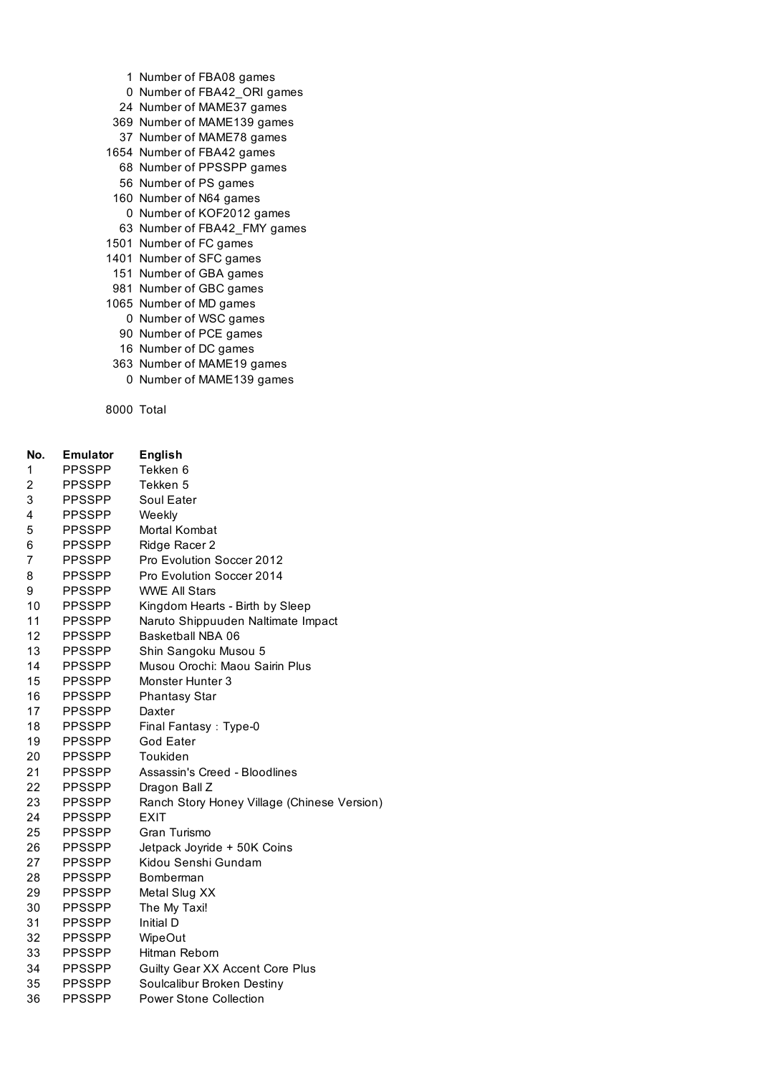- Number of FBA08 games
- Number of FBA42\_ORI games
- Number of MAME37 games
- Number of MAME139 games
- Number of MAME78 games
- Number of FBA42 games
	- Number of PPSSPP games
	- Number of PS games
- Number of N64 games
- Number of KOF2012 games
- Number of FBA42\_FMY games
- Number of FC games
- Number of SFC games
- Number of GBA games
- Number of GBC games
- Number of MD games
	- Number of WSC games
	- Number of PCE games
	- Number of DC games
- Number of MAME19 games
- Number of MAME139 games

Total

| No.            | <b>Emulator</b> | <b>English</b>                              |
|----------------|-----------------|---------------------------------------------|
| 1              | <b>PPSSPP</b>   | Tekken 6                                    |
| 2              | <b>PPSSPP</b>   | Tekken 5                                    |
| 3              | <b>PPSSPP</b>   | Soul Eater                                  |
| 4              | <b>PPSSPP</b>   | Weekly                                      |
| 5              | <b>PPSSPP</b>   | Mortal Kombat                               |
| 6              | <b>PPSSPP</b>   | Ridge Racer 2                               |
| $\overline{7}$ | <b>PPSSPP</b>   | Pro Evolution Soccer 2012                   |
| 8              | <b>PPSSPP</b>   | Pro Evolution Soccer 2014                   |
| 9              | <b>PPSSPP</b>   | <b>WWE All Stars</b>                        |
| 10             | <b>PPSSPP</b>   | Kingdom Hearts - Birth by Sleep             |
| 11             | <b>PPSSPP</b>   | Naruto Shippuuden Naltimate Impact          |
| 12             | <b>PPSSPP</b>   | Basketball NBA 06                           |
| 13             | <b>PPSSPP</b>   | Shin Sangoku Musou 5                        |
| 14             | <b>PPSSPP</b>   | Musou Orochi: Maou Sairin Plus              |
| 15             | <b>PPSSPP</b>   | Monster Hunter 3                            |
| 16             | <b>PPSSPP</b>   | <b>Phantasy Star</b>                        |
| 17             | <b>PPSSPP</b>   | Daxter                                      |
| 18             | <b>PPSSPP</b>   | Final Fantasy: Type-0                       |
| 19             | <b>PPSSPP</b>   | God Eater                                   |
| 20             | <b>PPSSPP</b>   | Toukiden                                    |
| 21             | <b>PPSSPP</b>   | Assassin's Creed - Bloodlines               |
| 22             | <b>PPSSPP</b>   | Dragon Ball Z                               |
| 23             | <b>PPSSPP</b>   | Ranch Story Honey Village (Chinese Version) |
| 24             | <b>PPSSPP</b>   | EXIT                                        |
| 25             | <b>PPSSPP</b>   | Gran Turismo                                |
| 26             | <b>PPSSPP</b>   | Jetpack Joyride + 50K Coins                 |
| 27             | <b>PPSSPP</b>   | Kidou Senshi Gundam                         |
| 28             | <b>PPSSPP</b>   | Bomberman                                   |
| 29             | <b>PPSSPP</b>   | Metal Slug XX                               |
| 30             | <b>PPSSPP</b>   | The My Taxi!                                |
| 31             | <b>PPSSPP</b>   | Initial D                                   |
| 32             | <b>PPSSPP</b>   | <b>WipeOut</b>                              |
| 33             | <b>PPSSPP</b>   | Hitman Reborn                               |
| 34             | PPSSPP          | Guilty Gear XX Accent Core Plus             |
| 35             | <b>PPSSPP</b>   | Soulcalibur Broken Destiny                  |
| 36             | <b>PPSSPP</b>   | <b>Power Stone Collection</b>               |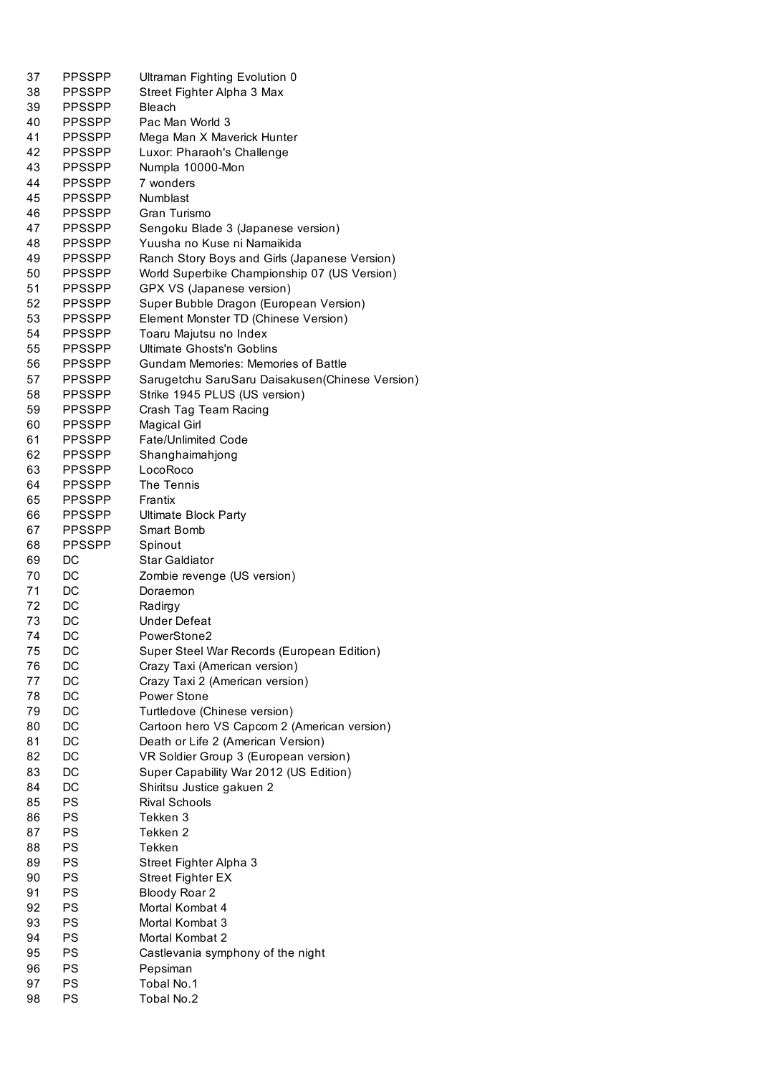| 37 | <b>PPSSPP</b> | Ultraman Fighting Evolution 0                    |
|----|---------------|--------------------------------------------------|
| 38 | <b>PPSSPP</b> | Street Fighter Alpha 3 Max                       |
| 39 | <b>PPSSPP</b> | <b>Bleach</b>                                    |
| 40 | <b>PPSSPP</b> | Pac Man World 3                                  |
| 41 | <b>PPSSPP</b> | Mega Man X Maverick Hunter                       |
| 42 | <b>PPSSPP</b> | Luxor: Pharaoh's Challenge                       |
| 43 | <b>PPSSPP</b> | Numpla 10000-Mon                                 |
| 44 | <b>PPSSPP</b> | 7 wonders                                        |
| 45 | <b>PPSSPP</b> | Numblast                                         |
|    |               |                                                  |
| 46 | <b>PPSSPP</b> | Gran Turismo                                     |
| 47 | <b>PPSSPP</b> | Sengoku Blade 3 (Japanese version)               |
| 48 | <b>PPSSPP</b> | Yuusha no Kuse ni Namaikida                      |
| 49 | <b>PPSSPP</b> | Ranch Story Boys and Girls (Japanese Version)    |
| 50 | <b>PPSSPP</b> | World Superbike Championship 07 (US Version)     |
| 51 | <b>PPSSPP</b> | GPX VS (Japanese version)                        |
| 52 | PPSSPP        | Super Bubble Dragon (European Version)           |
| 53 | PPSSPP        | Element Monster TD (Chinese Version)             |
| 54 | <b>PPSSPP</b> | Toaru Majutsu no Index                           |
| 55 | <b>PPSSPP</b> | Ultimate Ghosts'n Goblins                        |
| 56 | <b>PPSSPP</b> | <b>Gundam Memories: Memories of Battle</b>       |
| 57 | <b>PPSSPP</b> | Sarugetchu SaruSaru Daisakusen (Chinese Version) |
| 58 | <b>PPSSPP</b> | Strike 1945 PLUS (US version)                    |
| 59 | <b>PPSSPP</b> | Crash Tag Team Racing                            |
|    |               |                                                  |
| 60 | <b>PPSSPP</b> | <b>Magical Girl</b>                              |
| 61 | <b>PPSSPP</b> | <b>Fate/Unlimited Code</b>                       |
| 62 | <b>PPSSPP</b> | Shanghaimahjong                                  |
| 63 | <b>PPSSPP</b> | LocoRoco                                         |
| 64 | <b>PPSSPP</b> | The Tennis                                       |
| 65 | <b>PPSSPP</b> | Frantix                                          |
| 66 | <b>PPSSPP</b> | <b>Ultimate Block Party</b>                      |
| 67 | PPSSPP        | Smart Bomb                                       |
| 68 | <b>PPSSPP</b> | Spinout                                          |
| 69 | DC            | Star Galdiator                                   |
| 70 | DC            | Zombie revenge (US version)                      |
| 71 | DC            | Doraemon                                         |
| 72 | DC            | Radirgy                                          |
| 73 | DC            | <b>Under Defeat</b>                              |
| 74 | DC            | PowerStone2                                      |
|    |               |                                                  |
| 75 | DC            | Super Steel War Records (European Edition)       |
| 76 | $\mathsf{DC}$ | Crazy Taxi (American version)                    |
| 77 | DC            | Crazy Taxi 2 (American version)                  |
| 78 | DC            | Power Stone                                      |
| 79 | DC            | Turtledove (Chinese version)                     |
| 80 | $\mathsf{DC}$ | Cartoon hero VS Capcom 2 (American version)      |
| 81 | $\mathsf{DC}$ | Death or Life 2 (American Version)               |
| 82 | DC            | VR Soldier Group 3 (European version)            |
| 83 | DC            | Super Capability War 2012 (US Edition)           |
| 84 | DC            | Shiritsu Justice gakuen 2                        |
| 85 | PS            | <b>Rival Schools</b>                             |
| 86 | PS            | Tekken 3                                         |
| 87 | PS            | Tekken 2                                         |
|    |               |                                                  |
| 88 | PS            | Tekken                                           |
| 89 | PS            | Street Fighter Alpha 3                           |
| 90 | PS            | <b>Street Fighter EX</b>                         |
| 91 | <b>PS</b>     | Bloody Roar 2                                    |
| 92 | <b>PS</b>     | Mortal Kombat 4                                  |
| 93 | <b>PS</b>     | Mortal Kombat 3                                  |
| 94 | <b>PS</b>     | Mortal Kombat 2                                  |
| 95 | <b>PS</b>     | Castlevania symphony of the night                |
| 96 | <b>PS</b>     | Pepsiman                                         |
| 97 | <b>PS</b>     | Tobal No.1                                       |
| 98 | PS            | Tobal No.2                                       |
|    |               |                                                  |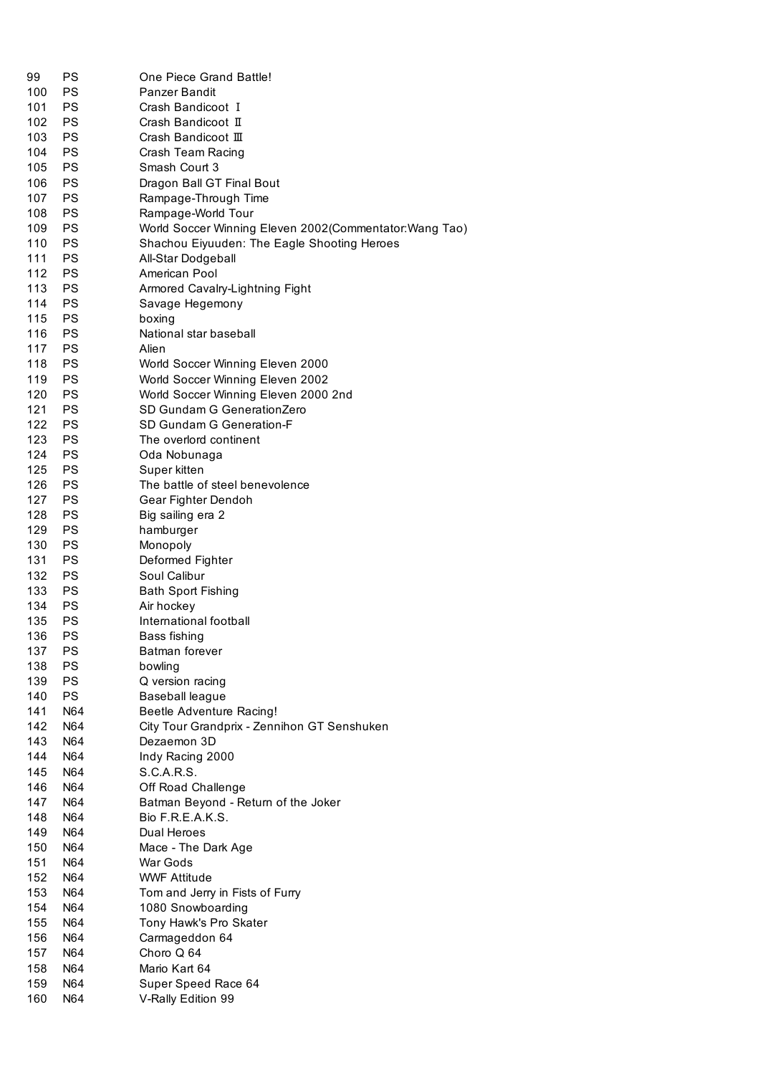| 99  | PS        | One Piece Grand Battle!                                 |
|-----|-----------|---------------------------------------------------------|
| 100 | <b>PS</b> | Panzer Bandit                                           |
| 101 | <b>PS</b> | Crash Bandicoot I                                       |
| 102 | <b>PS</b> | Crash Bandicoot II                                      |
| 103 | <b>PS</b> | Crash Bandicoot III                                     |
| 104 | <b>PS</b> | Crash Team Racing                                       |
| 105 | <b>PS</b> | Smash Court 3                                           |
| 106 | <b>PS</b> | Dragon Ball GT Final Bout                               |
| 107 | PS        | Rampage-Through Time                                    |
| 108 | PS        | Rampage-World Tour                                      |
| 109 | <b>PS</b> | World Soccer Winning Eleven 2002(Commentator: Wang Tao) |
| 110 | <b>PS</b> | Shachou Eiyuuden: The Eagle Shooting Heroes             |
| 111 | PS        | All-Star Dodgeball                                      |
| 112 | <b>PS</b> | American Pool                                           |
| 113 | <b>PS</b> | Armored Cavalry-Lightning Fight                         |
| 114 | <b>PS</b> | Savage Hegemony                                         |
| 115 | <b>PS</b> | boxing                                                  |
| 116 | <b>PS</b> | National star baseball                                  |
| 117 | <b>PS</b> | Alien                                                   |
| 118 | <b>PS</b> |                                                         |
|     |           | World Soccer Winning Eleven 2000                        |
| 119 | <b>PS</b> | World Soccer Winning Eleven 2002                        |
| 120 | PS        | World Soccer Winning Eleven 2000 2nd                    |
| 121 | PS        | SD Gundam G GenerationZero                              |
| 122 | PS        | SD Gundam G Generation-F                                |
| 123 | <b>PS</b> | The overlord continent                                  |
| 124 | PS        | Oda Nobunaga                                            |
| 125 | PS        | Super kitten                                            |
| 126 | PS        | The battle of steel benevolence                         |
| 127 | PS        | Gear Fighter Dendoh                                     |
| 128 | PS        | Big sailing era 2                                       |
| 129 | PS        | hamburger                                               |
| 130 | <b>PS</b> | Monopoly                                                |
| 131 | <b>PS</b> | Deformed Fighter                                        |
| 132 | <b>PS</b> | Soul Calibur                                            |
| 133 | <b>PS</b> | <b>Bath Sport Fishing</b>                               |
| 134 | <b>PS</b> | Air hockey                                              |
| 135 | PS        | International football                                  |
| 136 | PS        | Bass fishing                                            |
| 137 | PS        | Batman forever                                          |
| 138 | <b>PS</b> | bowling                                                 |
| 139 | <b>PS</b> | Q version racing                                        |
| 140 | <b>PS</b> | Baseball league                                         |
| 141 | N64       | Beetle Adventure Racing!                                |
| 142 | N64       | City Tour Grandprix - Zennihon GT Senshuken             |
| 143 | N64       | Dezaemon 3D                                             |
| 144 | N64       | Indy Racing 2000                                        |
| 145 | N64       | S.C.A.R.S.                                              |
| 146 | N64       | Off Road Challenge                                      |
| 147 | N64       | Batman Beyond - Return of the Joker                     |
| 148 | N64       | Bio F.R.E.A.K.S.                                        |
| 149 | N64       | Dual Heroes                                             |
| 150 | N64       | Mace - The Dark Age                                     |
| 151 | N64       | War Gods                                                |
| 152 | N64       | <b>WWF Attitude</b>                                     |
| 153 | N64       | Tom and Jerry in Fists of Furry                         |
| 154 | N64       | 1080 Snowboarding                                       |
| 155 | N64       | Tony Hawk's Pro Skater                                  |
| 156 | N64       | Carmageddon 64                                          |
| 157 | N64       | Choro Q 64                                              |
| 158 | N64       | Mario Kart 64                                           |
| 159 | N64       | Super Speed Race 64                                     |
| 160 | N64       | V-Rally Edition 99                                      |
|     |           |                                                         |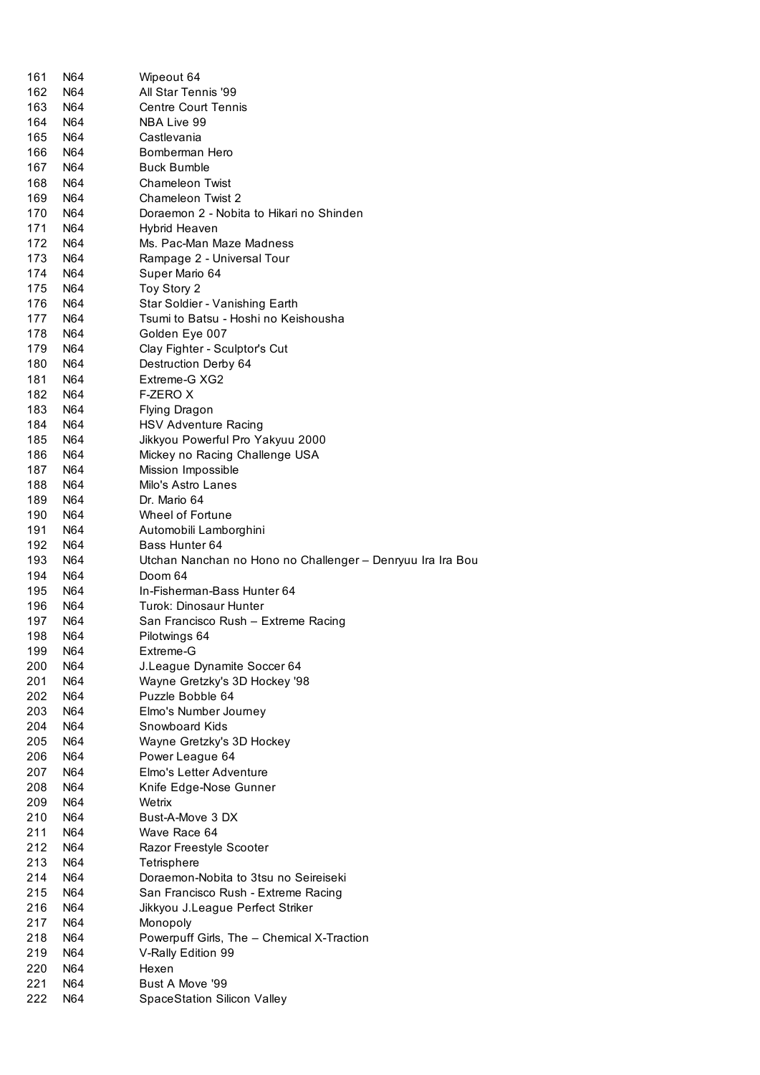| 161 | N64 | Wipeout 64                                                 |
|-----|-----|------------------------------------------------------------|
| 162 | N64 | All Star Tennis '99                                        |
| 163 | N64 | <b>Centre Court Tennis</b>                                 |
| 164 | N64 | NBA Live 99                                                |
| 165 | N64 | Castlevania                                                |
| 166 | N64 | Bomberman Hero                                             |
| 167 | N64 | <b>Buck Bumble</b>                                         |
| 168 | N64 | <b>Chameleon Twist</b>                                     |
| 169 | N64 | <b>Chameleon Twist 2</b>                                   |
| 170 | N64 | Doraemon 2 - Nobita to Hikari no Shinden                   |
| 171 | N64 | Hybrid Heaven                                              |
| 172 | N64 | Ms. Pac-Man Maze Madness                                   |
| 173 | N64 | Rampage 2 - Universal Tour                                 |
| 174 | N64 | Super Mario 64                                             |
| 175 | N64 | Toy Story 2                                                |
| 176 | N64 | Star Soldier - Vanishing Earth                             |
| 177 | N64 | Tsumi to Batsu - Hoshi no Keishousha                       |
| 178 | N64 | Golden Eye 007                                             |
| 179 | N64 | Clay Fighter - Sculptor's Cut                              |
| 180 | N64 | Destruction Derby 64                                       |
| 181 | N64 | Extreme-G XG2                                              |
| 182 | N64 | F-ZERO X                                                   |
| 183 | N64 | Flying Dragon                                              |
| 184 | N64 | HSV Adventure Racing                                       |
| 185 | N64 | Jikkyou Powerful Pro Yakyuu 2000                           |
| 186 | N64 | Mickey no Racing Challenge USA                             |
| 187 | N64 | Mission Impossible                                         |
| 188 | N64 | Milo's Astro Lanes                                         |
| 189 | N64 | Dr. Mario 64                                               |
| 190 | N64 | Wheel of Fortune                                           |
| 191 | N64 | Automobili Lamborghini                                     |
| 192 | N64 | Bass Hunter 64                                             |
| 193 | N64 | Utchan Nanchan no Hono no Challenger - Denryuu Ira Ira Bou |
| 194 | N64 | Doom 64                                                    |
| 195 | N64 | In-Fisherman-Bass Hunter 64                                |
| 196 | N64 | Turok: Dinosaur Hunter                                     |
| 197 | N64 | San Francisco Rush - Extreme Racing                        |
| 198 | N64 | Pilotwings 64                                              |
| 199 | N64 | Extreme-G                                                  |
| 200 | N64 | J.League Dynamite Soccer 64                                |
| 201 | N64 | Wayne Gretzky's 3D Hockey '98                              |
| 202 | N64 | Puzzle Bobble 64                                           |
| 203 | N64 | Elmo's Number Journey                                      |
| 204 | N64 | Snowboard Kids                                             |
| 205 | N64 | Wayne Gretzky's 3D Hockey                                  |
| 206 | N64 | Power League 64                                            |
| 207 | N64 | Elmo's Letter Adventure                                    |
| 208 | N64 | Knife Edge-Nose Gunner                                     |
| 209 | N64 | Wetrix                                                     |
| 210 | N64 | Bust-A-Move 3 DX                                           |
| 211 | N64 | Wave Race 64                                               |
| 212 | N64 | Razor Freestyle Scooter                                    |
| 213 | N64 | Tetrisphere                                                |
| 214 | N64 | Doraemon-Nobita to 3tsu no Seireiseki                      |
| 215 | N64 | San Francisco Rush - Extreme Racing                        |
| 216 | N64 | Jikkyou J.League Perfect Striker                           |
| 217 | N64 | Monopoly                                                   |
| 218 | N64 | Powerpuff Girls, The - Chemical X-Traction                 |
| 219 | N64 | V-Rally Edition 99                                         |
| 220 | N64 | Hexen                                                      |
| 221 | N64 | Bust A Move '99                                            |
| 222 | N64 | <b>SpaceStation Silicon Valley</b>                         |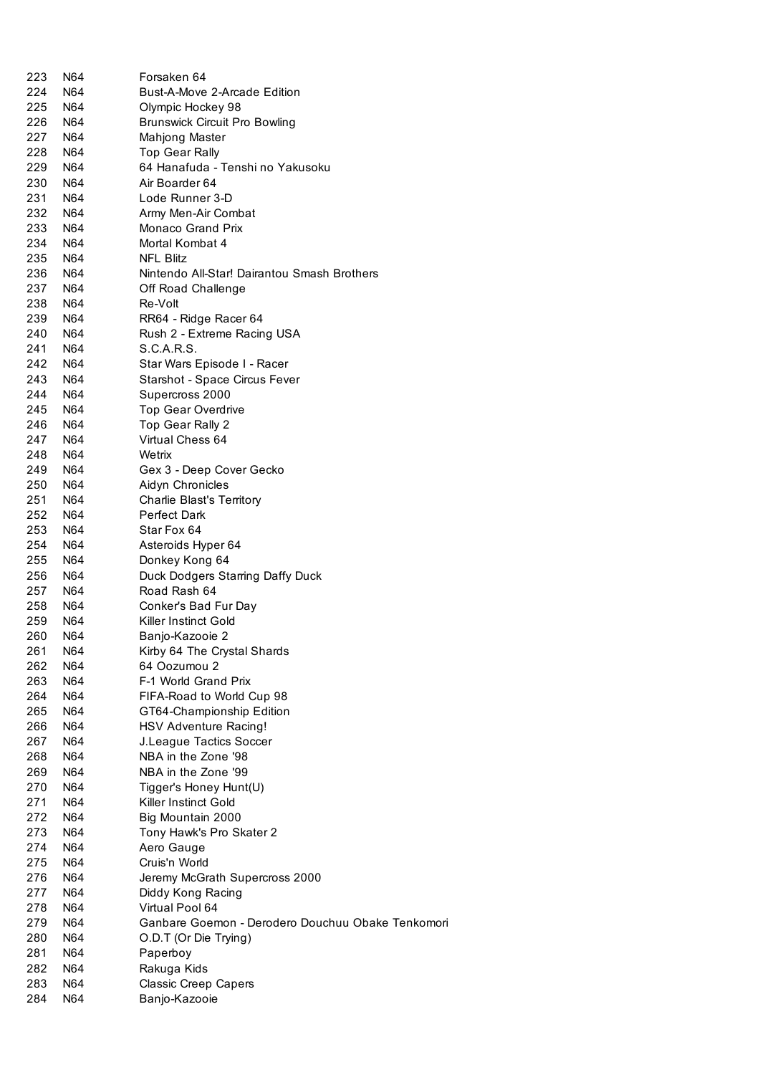| 223  | N64 | Forsaken 64                                       |
|------|-----|---------------------------------------------------|
| 224  | N64 | Bust-A-Move 2-Arcade Edition                      |
| 225  | N64 | Olympic Hockey 98                                 |
| 226. | N64 | <b>Brunswick Circuit Pro Bowling</b>              |
| 227  | N64 | Mahjong Master                                    |
| 228  | N64 | <b>Top Gear Rally</b>                             |
| 229  | N64 | 64 Hanafuda - Tenshi no Yakusoku                  |
| 230  | N64 | Air Boarder 64                                    |
| 231  | N64 | Lode Runner 3-D                                   |
| 232  | N64 | Army Men-Air Combat                               |
| 233  | N64 | Monaco Grand Prix                                 |
| 234  | N64 | Mortal Kombat 4                                   |
| 235  | N64 | <b>NFL Blitz</b>                                  |
| 236  | N64 | Nintendo All-Star! Dairantou Smash Brothers       |
| 237  | N64 | Off Road Challenge                                |
| 238  | N64 | Re-Volt                                           |
| 239  | N64 | RR64 - Ridge Racer 64                             |
| 240  | N64 | Rush 2 - Extreme Racing USA                       |
| 241  | N64 | S.C.A.R.S.                                        |
| 242  | N64 | Star Wars Episode I - Racer                       |
| 243  | N64 | Starshot - Space Circus Fever                     |
| 244  | N64 | Supercross 2000                                   |
| 245  | N64 | <b>Top Gear Overdrive</b>                         |
| 246  | N64 | Top Gear Rally 2                                  |
| 247  | N64 | Virtual Chess 64                                  |
| 248  | N64 | Wetrix                                            |
| 249  | N64 | Gex 3 - Deep Cover Gecko                          |
| 250  | N64 | Aidyn Chronicles                                  |
| 251  | N64 | Charlie Blast's Territory                         |
| 252  | N64 | Perfect Dark                                      |
| 253  | N64 | Star Fox 64                                       |
| 254  | N64 | Asteroids Hyper 64                                |
| 255  | N64 | Donkey Kong 64                                    |
| 256  | N64 | Duck Dodgers Starring Daffy Duck                  |
| 257  | N64 | Road Rash 64                                      |
| 258  | N64 | Conker's Bad Fur Day                              |
| 259  | N64 | Killer Instinct Gold                              |
| 260  | N64 | Banjo-Kazooie 2                                   |
| 261  | N64 | Kirby 64 The Crystal Shards                       |
| 262  | N64 | 64 Oozumou 2                                      |
| 263  | N64 | F-1 World Grand Prix                              |
| 264  | N64 | FIFA-Road to World Cup 98                         |
| 265  | N64 | GT64-Championship Edition                         |
| 266  | N64 | HSV Adventure Racing!                             |
| 267  | N64 | J.League Tactics Soccer                           |
| 268  | N64 | NBA in the Zone '98                               |
| 269  | N64 | NBA in the Zone '99                               |
| 270  | N64 | Tigger's Honey Hunt(U)                            |
| 271  | N64 | Killer Instinct Gold                              |
| 272  | N64 | Big Mountain 2000                                 |
| 273  | N64 | Tony Hawk's Pro Skater 2                          |
| 274  | N64 | Aero Gauge                                        |
| 275  | N64 | Cruis'n World                                     |
| 276  | N64 | Jeremy McGrath Supercross 2000                    |
| 277  | N64 | Diddy Kong Racing                                 |
| 278  | N64 | Virtual Pool 64                                   |
| 279  | N64 | Ganbare Goemon - Derodero Douchuu Obake Tenkomori |
| 280  | N64 | O.D.T (Or Die Trying)                             |
| 281  | N64 | Paperboy                                          |
| 282  | N64 | Rakuga Kids                                       |
| 283  | N64 | Classic Creep Capers                              |
| 284  | N64 | Banjo-Kazooie                                     |
|      |     |                                                   |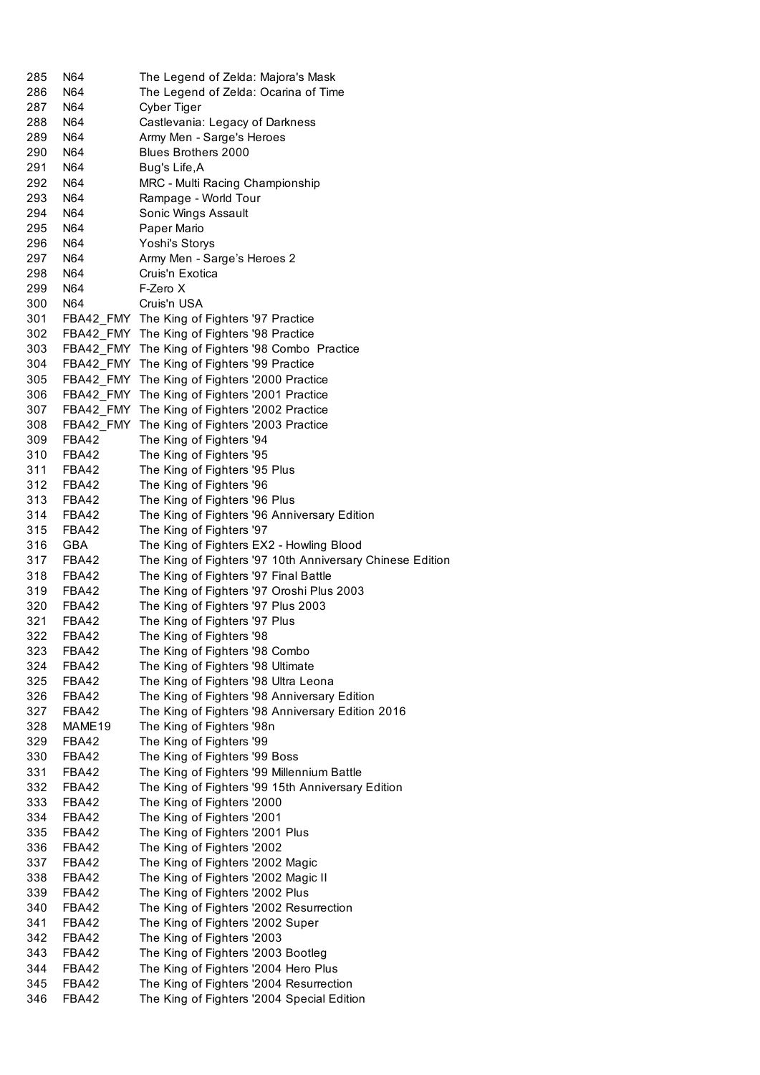| 285        | N64            | The Legend of Zelda: Majora's Mask                                                    |
|------------|----------------|---------------------------------------------------------------------------------------|
| 286        | N64            | The Legend of Zelda: Ocarina of Time                                                  |
| 287        | N64            | Cyber Tiger                                                                           |
| 288        | N64            | Castlevania: Legacy of Darkness                                                       |
| 289        | N64            | Army Men - Sarge's Heroes                                                             |
| 290        | N64            | <b>Blues Brothers 2000</b>                                                            |
| 291        | N64            | Bug's Life,A                                                                          |
| 292        | N64            | MRC - Multi Racing Championship                                                       |
| 293        | N64            | Rampage - World Tour                                                                  |
| 294        | N64            | Sonic Wings Assault                                                                   |
| 295        | N64            | Paper Mario                                                                           |
| 296        | N64            | Yoshi's Storys                                                                        |
|            |                |                                                                                       |
| 297        | N64            | Army Men - Sarge's Heroes 2                                                           |
| 298        | N64            | Cruis'n Exotica                                                                       |
| 299        | N64            | F-Zero X                                                                              |
| 300        | N64            | Cruis'n USA                                                                           |
| 301        |                | FBA42_FMY The King of Fighters '97 Practice                                           |
| 302        |                | FBA42_FMY The King of Fighters '98 Practice                                           |
| 303        |                | FBA42 FMY The King of Fighters '98 Combo Practice                                     |
| 304        |                | FBA42_FMY The King of Fighters '99 Practice                                           |
| 305        |                | FBA42_FMY The King of Fighters '2000 Practice                                         |
| 306        |                | FBA42_FMY The King of Fighters '2001 Practice                                         |
| 307        | FBA42 FMY      | The King of Fighters '2002 Practice                                                   |
| 308        | FBA42 FMY      | The King of Fighters '2003 Practice                                                   |
| 309        | FBA42          | The King of Fighters '94                                                              |
| 310        | FBA42          | The King of Fighters '95                                                              |
| 311        | FBA42          | The King of Fighters '95 Plus                                                         |
| 312        | FBA42          | The King of Fighters '96                                                              |
| 313        | FBA42          | The King of Fighters '96 Plus                                                         |
| 314        | FBA42          | The King of Fighters '96 Anniversary Edition                                          |
| 315        | FBA42          | The King of Fighters '97                                                              |
| 316        | <b>GBA</b>     | The King of Fighters EX2 - Howling Blood                                              |
|            | FBA42          |                                                                                       |
|            |                |                                                                                       |
| 317        |                | The King of Fighters '97 10th Anniversary Chinese Edition                             |
| 318        | FBA42          | The King of Fighters '97 Final Battle                                                 |
| 319        | FBA42          | The King of Fighters '97 Oroshi Plus 2003                                             |
| 320        | FBA42          | The King of Fighters '97 Plus 2003                                                    |
| 321        | FBA42          | The King of Fighters '97 Plus                                                         |
| 322        | FBA42          | The King of Fighters '98                                                              |
| 323        | FBA42          | The King of Fighters '98 Combo                                                        |
| 324        | FBA42          | The King of Fighters '98 Ultimate                                                     |
| 325        | FBA42          | The King of Fighters '98 Ultra Leona                                                  |
| 326        | FBA42          | The King of Fighters '98 Anniversary Edition                                          |
| 327        | FBA42          | The King of Fighters '98 Anniversary Edition 2016                                     |
| 328        | MAME19         | The King of Fighters '98n                                                             |
| 329        | FBA42          | The King of Fighters '99                                                              |
| 330        | FBA42          | The King of Fighters '99 Boss                                                         |
| 331        | FBA42          |                                                                                       |
|            | FBA42          | The King of Fighters '99 Millennium Battle                                            |
| 332        |                | The King of Fighters '99 15th Anniversary Edition                                     |
| 333        | FBA42          | The King of Fighters '2000                                                            |
| 334        | FBA42          | The King of Fighters '2001                                                            |
| 335        | FBA42          | The King of Fighters '2001 Plus                                                       |
| 336        | FBA42          | The King of Fighters '2002                                                            |
| 337        | FBA42          | The King of Fighters '2002 Magic                                                      |
| 338        | FBA42          | The King of Fighters '2002 Magic II                                                   |
| 339        | FBA42          | The King of Fighters '2002 Plus                                                       |
| 340        | FBA42          | The King of Fighters '2002 Resurrection                                               |
| 341        | FBA42          | The King of Fighters '2002 Super                                                      |
| 342        | FBA42          | The King of Fighters '2003                                                            |
| 343        | FBA42          | The King of Fighters '2003 Bootleg                                                    |
| 344        | FBA42          | The King of Fighters '2004 Hero Plus                                                  |
| 345<br>346 | FBA42<br>FBA42 | The King of Fighters '2004 Resurrection<br>The King of Fighters '2004 Special Edition |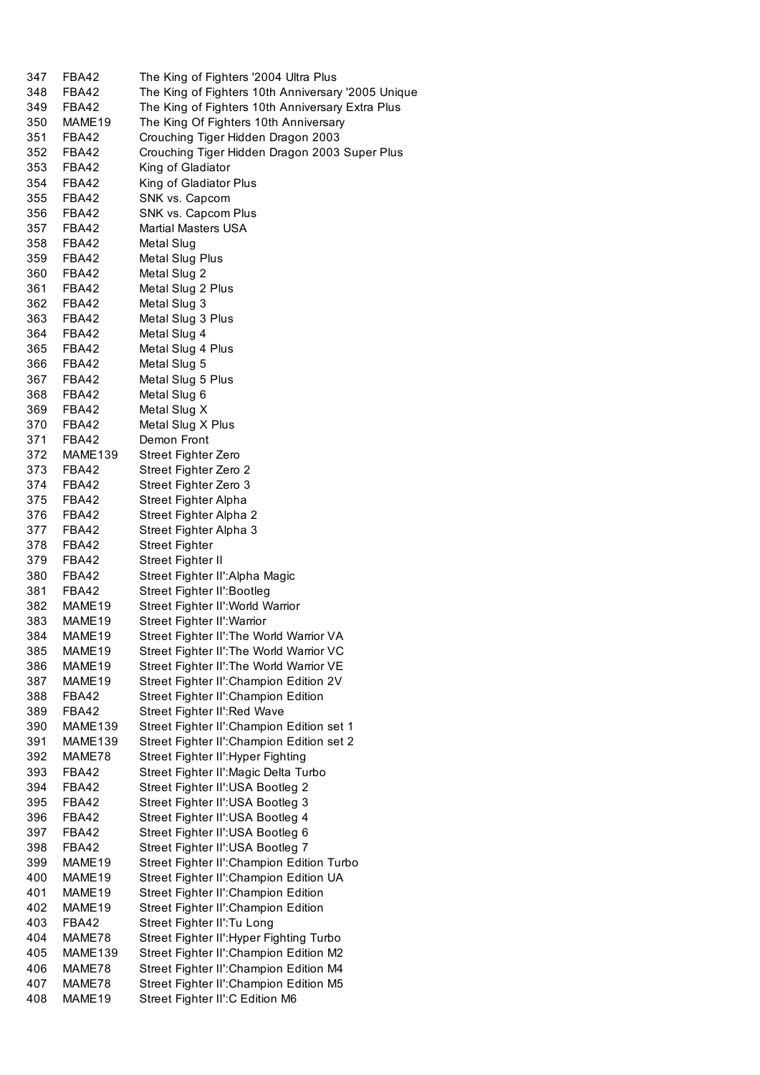| 347 | FBA42              | The King of Fighters '2004 Ultra Plus              |
|-----|--------------------|----------------------------------------------------|
| 348 | FBA42              | The King of Fighters 10th Anniversary '2005 Unique |
| 349 | FBA42              | The King of Fighters 10th Anniversary Extra Plus   |
| 350 | MAME <sub>19</sub> | The King Of Fighters 10th Anniversary              |
| 351 | FBA42              | Crouching Tiger Hidden Dragon 2003                 |
| 352 | FBA42              | Crouching Tiger Hidden Dragon 2003 Super Plus      |
| 353 | FBA42              | King of Gladiator                                  |
| 354 | FBA42              | King of Gladiator Plus                             |
| 355 | FBA42              | SNK vs. Capcom                                     |
| 356 | FBA42              | SNK vs. Capcom Plus                                |
| 357 | FBA42              | <b>Martial Masters USA</b>                         |
| 358 | FBA42              | Metal Slug                                         |
| 359 | FBA42              | Metal Slug Plus                                    |
| 360 | FBA42              | Metal Slug 2                                       |
| 361 | FBA42              | Metal Slug 2 Plus                                  |
| 362 | FBA42              | Metal Slug 3                                       |
| 363 | FBA42              | Metal Slug 3 Plus                                  |
| 364 | FBA42              | Metal Slug 4                                       |
| 365 | FBA42              | Metal Slug 4 Plus                                  |
| 366 | FBA42              | Metal Slug 5                                       |
| 367 | FBA42              | Metal Slug 5 Plus                                  |
| 368 | FBA42              | Metal Slug 6                                       |
| 369 | FBA42              | Metal Slug X                                       |
| 370 | FBA42              | Metal Slug X Plus                                  |
| 371 | FBA42              | Demon Front                                        |
| 372 | MAME139            | Street Fighter Zero                                |
| 373 | FBA42              | Street Fighter Zero 2                              |
| 374 | FBA42              | Street Fighter Zero 3                              |
| 375 | FBA42              | Street Fighter Alpha                               |
| 376 | FBA42              | Street Fighter Alpha 2                             |
| 377 | FBA42              | Street Fighter Alpha 3                             |
| 378 | FBA42              | <b>Street Fighter</b>                              |
| 379 | FBA42              | Street Fighter II                                  |
| 380 | FBA42              | Street Fighter II': Alpha Magic                    |
| 381 | FBA42              | Street Fighter II': Bootleg                        |
| 382 | MAME19             | Street Fighter II': World Warrior                  |
| 383 | MAME19             | Street Fighter II': Warrior                        |
| 384 | MAME19             | Street Fighter II': The World Warrior VA           |
| 385 | MAME19             | Street Fighter II': The World Warrior VC           |
| 386 | MAME19             | Street Fighter II': The World Warrior VE           |
| 387 | MAME19             | Street Fighter II': Champion Edition 2V            |
| 388 | FBA42              | Street Fighter II': Champion Edition               |
| 389 | FBA42              | Street Fighter II': Red Wave                       |
| 390 | MAME139            | Street Fighter II': Champion Edition set 1         |
| 391 | MAME139            | Street Fighter II': Champion Edition set 2         |
| 392 | MAME78             | Street Fighter II': Hyper Fighting                 |
| 393 | FBA42              | Street Fighter II': Magic Delta Turbo              |
| 394 | FBA42              | Street Fighter II': USA Bootleg 2                  |
| 395 | FBA42              | Street Fighter II': USA Bootleg 3                  |
| 396 | FBA42              | Street Fighter II': USA Bootleg 4                  |
| 397 | FBA42              | Street Fighter II': USA Bootleg 6                  |
| 398 | FBA42              | Street Fighter II': USA Bootleg 7                  |
| 399 | MAME19             | Street Fighter II': Champion Edition Turbo         |
| 400 | MAME19             | Street Fighter II': Champion Edition UA            |
| 401 | MAME19             | Street Fighter II': Champion Edition               |
| 402 | MAME19             | Street Fighter II': Champion Edition               |
| 403 | FBA42              | Street Fighter II': Tu Long                        |
| 404 | MAME78             | Street Fighter II': Hyper Fighting Turbo           |
| 405 | MAME139            | Street Fighter II': Champion Edition M2            |
| 406 | MAME78             | Street Fighter II': Champion Edition M4            |
| 407 | MAME78             | Street Fighter II': Champion Edition M5            |
| 408 | MAME19             | Street Fighter II': C Edition M6                   |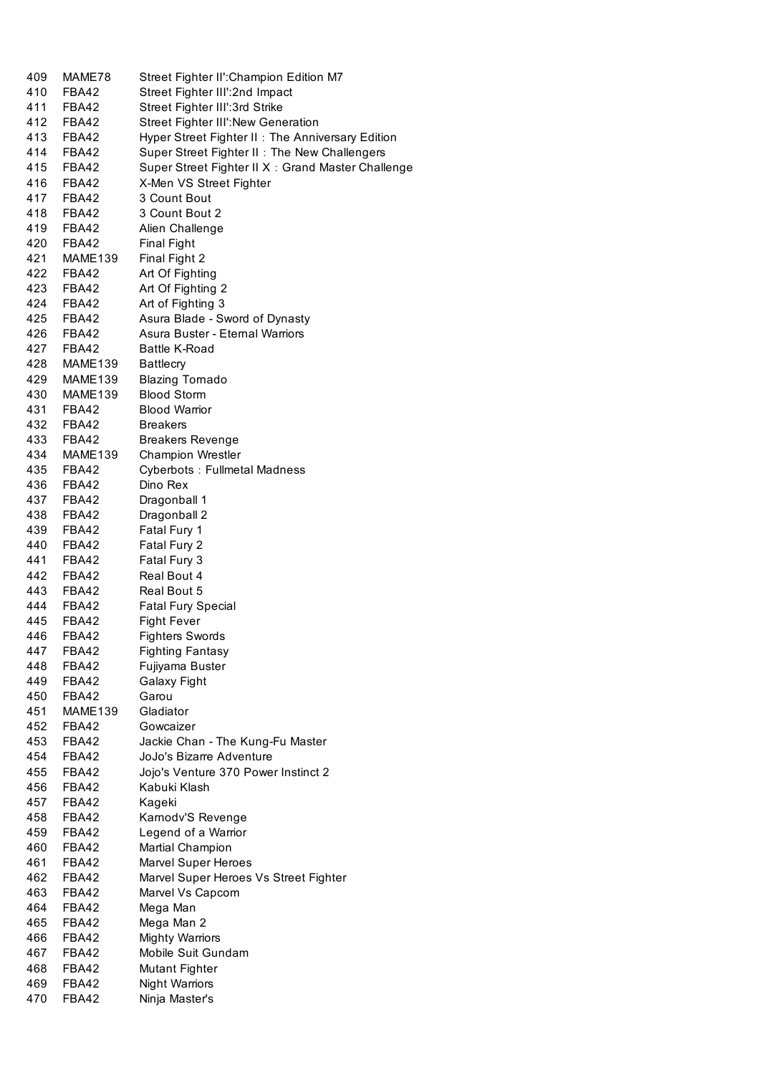| 409 | MAME78       | Street Fighter II': Champion Edition M7            |
|-----|--------------|----------------------------------------------------|
| 410 | FBA42        | Street Fighter III':2nd Impact                     |
| 411 | FBA42        | Street Fighter III':3rd Strike                     |
| 412 | FBA42        | <b>Street Fighter III': New Generation</b>         |
| 413 | FBA42        | Hyper Street Fighter II: The Anniversary Edition   |
| 414 | FBA42        | Super Street Fighter II: The New Challengers       |
| 415 | FBA42        | Super Street Fighter II X : Grand Master Challenge |
| 416 | FBA42        | X-Men VS Street Fighter                            |
| 417 | FBA42        | 3 Count Bout                                       |
| 418 | FBA42        | 3 Count Bout 2                                     |
| 419 | <b>FBA42</b> | Alien Challenge                                    |
| 420 | FBA42        | <b>Final Fight</b>                                 |
| 421 | MAME139      | Final Fight 2                                      |
| 422 | FBA42        | Art Of Fighting                                    |
| 423 | FBA42        | Art Of Fighting 2                                  |
| 424 | FBA42        | Art of Fighting 3                                  |
| 425 | FBA42        | Asura Blade - Sword of Dynasty                     |
| 426 | FBA42        | Asura Buster - Eternal Warriors                    |
| 427 | FBA42        | <b>Battle K-Road</b>                               |
| 428 | MAME139      | <b>Battlecry</b>                                   |
| 429 | MAME139      | <b>Blazing Tornado</b>                             |
| 430 | MAME139      | <b>Blood Storm</b>                                 |
| 431 | FBA42        | <b>Blood Warrior</b>                               |
| 432 |              |                                                    |
|     | FBA42        | <b>Breakers</b>                                    |
| 433 | FBA42        | <b>Breakers Revenge</b>                            |
| 434 | MAME139      | Champion Wrestler                                  |
| 435 | FBA42        | <b>Cyberbots: Fullmetal Madness</b>                |
| 436 | FBA42        | Dino Rex                                           |
| 437 | FBA42        | Dragonball 1                                       |
| 438 | FBA42        | Dragonball 2                                       |
| 439 | FBA42        | Fatal Fury 1                                       |
| 440 | FBA42        | Fatal Fury 2                                       |
| 441 | FBA42        | Fatal Fury 3                                       |
| 442 | FBA42        | Real Bout 4                                        |
| 443 | FBA42        | Real Bout 5                                        |
| 444 | FBA42        | <b>Fatal Fury Special</b>                          |
| 445 | FBA42        | <b>Fight Fever</b>                                 |
| 446 | <b>FBA42</b> | <b>Fighters Swords</b>                             |
| 447 | <b>FBA42</b> | <b>Fighting Fantasy</b>                            |
| 448 | FBA42        | Fujiyama Buster                                    |
| 449 | FBA42        | Galaxy Fight                                       |
| 450 | FBA42        | Garou                                              |
| 451 | MAME139      | Gladiator                                          |
| 452 | FBA42        | Gowcaizer                                          |
| 453 | <b>FBA42</b> | Jackie Chan - The Kung-Fu Master                   |
| 454 | FBA42        | JoJo's Bizarre Adventure                           |
| 455 | FBA42        | Jojo's Venture 370 Power Instinct 2                |
| 456 | FBA42        | Kabuki Klash                                       |
| 457 | FBA42        | Kageki                                             |
| 458 | FBA42        | Karnodv'S Revenge                                  |
| 459 | FBA42        | Legend of a Warrior                                |
| 460 | FBA42        | <b>Martial Champion</b>                            |
| 461 | FBA42        | Marvel Super Heroes                                |
| 462 | FBA42        | Marvel Super Heroes Vs Street Fighter              |
| 463 | FBA42        | Marvel Vs Capcom                                   |
| 464 | FBA42        | Mega Man                                           |
| 465 | FBA42        | Mega Man 2                                         |
| 466 | FBA42        | <b>Mighty Warriors</b>                             |
| 467 | FBA42        | Mobile Suit Gundam                                 |
| 468 | FBA42        | <b>Mutant Fighter</b>                              |
| 469 | FBA42        |                                                    |
|     |              | <b>Night Warriors</b>                              |
| 470 | FBA42        | Ninja Master's                                     |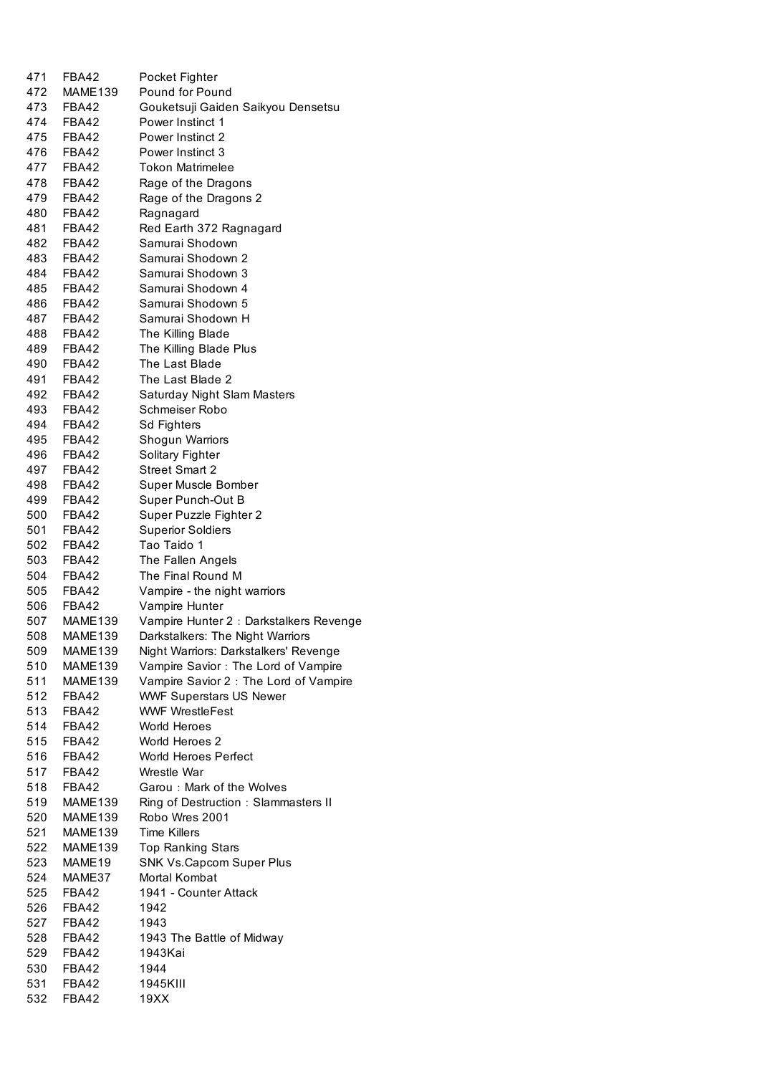| 471 | FBA42          | Pocket Fighter                          |
|-----|----------------|-----------------------------------------|
| 472 | MAME139        | Pound for Pound                         |
| 473 | FBA42          | Gouketsuji Gaiden Saikyou Densetsu      |
|     | 474 FBA42      | Power Instinct 1                        |
| 475 | FBA42          | Power Instinct 2                        |
| 476 | FBA42          | Power Instinct 3                        |
| 477 | FBA42          | <b>Tokon Matrimelee</b>                 |
| 478 | FBA42          | Rage of the Dragons                     |
| 479 | FBA42          | Rage of the Dragons 2                   |
| 480 | FBA42          | Ragnagard                               |
| 481 | FBA42          | Red Earth 372 Ragnagard                 |
| 482 | FBA42          | Samurai Shodown                         |
| 483 | FBA42          | Samurai Shodown 2                       |
| 484 | FBA42          | Samurai Shodown 3                       |
| 485 | FBA42          | Samurai Shodown 4                       |
|     |                | Samurai Shodown 5                       |
| 486 | FBA42          |                                         |
| 487 | FBA42          | Samurai Shodown H                       |
| 488 | FBA42          | The Killing Blade                       |
| 489 | FBA42          | The Killing Blade Plus                  |
| 490 | FBA42          | The Last Blade                          |
| 491 | FBA42          | The Last Blade 2                        |
| 492 | FBA42          | Saturday Night Slam Masters             |
| 493 | FBA42          | Schmeiser Robo                          |
| 494 | FBA42          | <b>Sd Fighters</b>                      |
| 495 | <b>FBA42</b>   | Shogun Warriors                         |
| 496 | <b>FBA42</b>   | Solitary Fighter                        |
| 497 | FBA42          | <b>Street Smart 2</b>                   |
| 498 | FBA42          | Super Muscle Bomber                     |
| 499 | FBA42          | Super Punch-Out B                       |
| 500 | FBA42          | Super Puzzle Fighter 2                  |
| 501 | FBA42          | <b>Superior Soldiers</b>                |
| 502 | FBA42          | Tao Taido 1                             |
| 503 | FBA42          | The Fallen Angels                       |
| 504 | FBA42          | The Final Round M                       |
|     | 505 FBA42      | Vampire - the night warriors            |
|     | 506 FBA42      | Vampire Hunter                          |
|     | 507 MAME139    | Vampire Hunter 2 : Darkstalkers Revenge |
| 508 | MAME139        | Darkstalkers: The Night Warriors        |
| 509 | <b>MAME139</b> | Night Warriors: Darkstalkers' Revenge   |
| 510 | MAME139        | Vampire Savior : The Lord of Vampire    |
| 511 | MAME139        | Vampire Savior 2 : The Lord of Vampire  |
| 512 | FBA42          | <b>WWF Superstars US Newer</b>          |
| 513 | FBA42          | <b>WWF WrestleFest</b>                  |
| 514 | FBA42          | World Heroes                            |
| 515 | FBA42          | World Heroes 2                          |
| 516 | FBA42          | World Heroes Perfect                    |
| 517 | FBA42          | Wrestle War                             |
| 518 | FBA42          | Garou: Mark of the Wolves               |
| 519 | MAME139        | Ring of Destruction: Slammasters II     |
| 520 | MAME139        | Robo Wres 2001                          |
| 521 | MAME139        | <b>Time Killers</b>                     |
| 522 | MAME139        | <b>Top Ranking Stars</b>                |
| 523 | MAME19         | SNK Vs.Capcom Super Plus                |
| 524 | MAME37         | Mortal Kombat                           |
| 525 | FBA42          | 1941 - Counter Attack                   |
| 526 | FBA42          | 1942                                    |
| 527 | FBA42          | 1943                                    |
| 528 | FBA42          | 1943 The Battle of Midway               |
| 529 | FBA42          | 1943Kai                                 |
| 530 | FBA42          | 1944                                    |
| 531 | FBA42          | 1945KIII                                |
| 532 | FBA42          | 19XX                                    |
|     |                |                                         |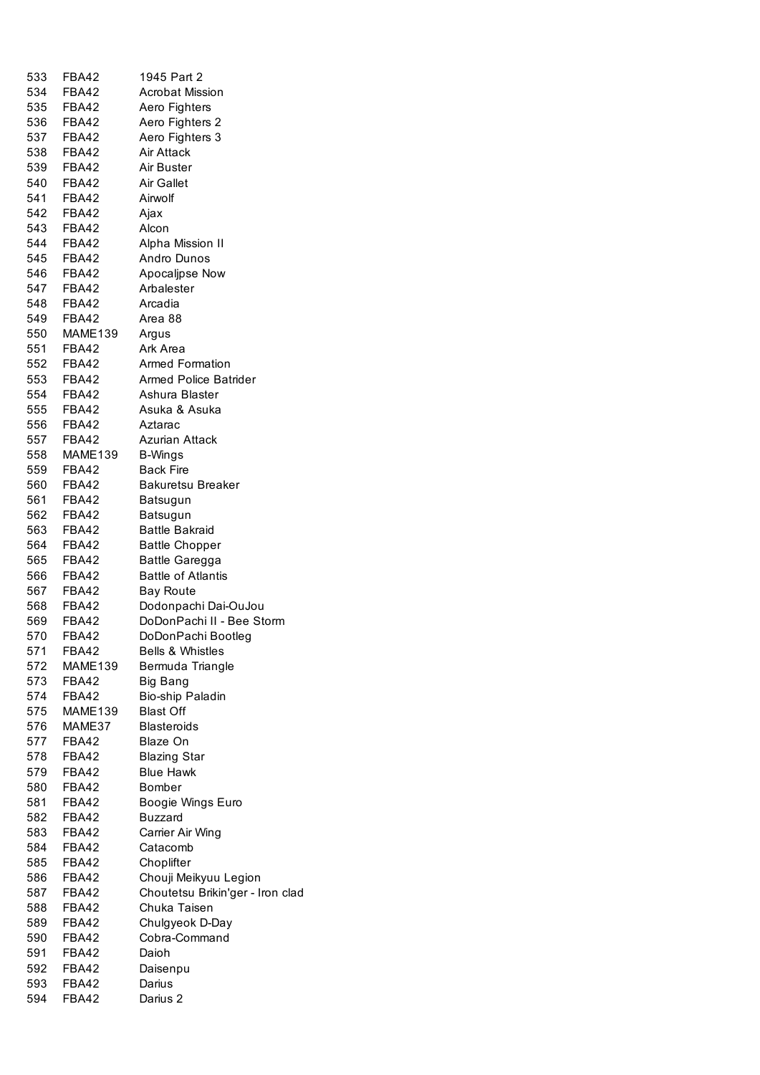| 533   | <b>FBA42</b> | 1945 Part 2                      |
|-------|--------------|----------------------------------|
|       | 534 FBA42    | <b>Acrobat Mission</b>           |
|       | 535 FBA42    | Aero Fighters                    |
|       | 536 FBA42    | Aero Fighters 2                  |
|       | 537 FBA42    | Aero Fighters 3                  |
|       | 538 FBA42    | Air Attack                       |
|       | 539 FBA42    | Air Buster                       |
|       | 540 FBA42    | Air Gallet                       |
|       | 541 FBA42    | Airwolf                          |
|       |              |                                  |
|       | 542 FBA42    | Ajax                             |
|       | 543 FBA42    | Alcon                            |
|       | 544 FBA42    | Alpha Mission II                 |
|       | 545 FBA42    | Andro Dunos                      |
|       | 546 FBA42    | Apocaljpse Now                   |
|       | 547 FBA42    | Arbalester                       |
| 548   | FBA42        | Arcadia                          |
| 549   | FBA42        | Area 88                          |
| 550   | MAME139      | Argus                            |
| 551   | FBA42        | Ark Area                         |
| 552   | FBA42        | <b>Armed Formation</b>           |
| 553   | FBA42        | <b>Armed Police Batrider</b>     |
| 554   | FBA42        | Ashura Blaster                   |
| 555   | FBA42        | Asuka & Asuka                    |
| 556   | FBA42        | Aztarac                          |
| 557   | FBA42        | Azurian Attack                   |
| 558   | MAME139      | <b>B-Wings</b>                   |
| 559   | FBA42        | <b>Back Fire</b>                 |
| 560 - | FBA42        | <b>Bakuretsu Breaker</b>         |
| 561   | FBA42        | Batsugun                         |
| 562   | FBA42        | Batsugun                         |
| 563   | FBA42        | <b>Battle Bakraid</b>            |
| 564   | FBA42        | <b>Battle Chopper</b>            |
| 565   | FBA42        | <b>Battle Garegga</b>            |
| 566   | FBA42        | <b>Battle of Atlantis</b>        |
| 567   | FBA42        | <b>Bay Route</b>                 |
|       | 568 FBA42    | Dodonpachi Dai-OuJou             |
| 569   | FBA42        | DoDonPachi II - Bee Storm        |
| 570 - | FBA42        | DoDonPachi Bootleg               |
| 571   | FBA42        | <b>Bells &amp; Whistles</b>      |
| 572   | MAME139      | Bermuda Triangle                 |
| 573   | FBA42        | <b>Big Bang</b>                  |
| 574   | <b>FBA42</b> | Bio-ship Paladin                 |
| 575   | MAME139      | <b>Blast Off</b>                 |
| 576   | MAME37       | <b>Blasteroids</b>               |
| 577   | <b>FBA42</b> | Blaze On                         |
| 578   | FBA42        | <b>Blazing Star</b>              |
| 579   | FBA42        | <b>Blue Hawk</b>                 |
|       |              |                                  |
| 580   | FBA42        | <b>Bomber</b>                    |
| 581   | FBA42        | Boogie Wings Euro                |
| 582   | FBA42        | <b>Buzzard</b>                   |
| 583   | FBA42        | Carrier Air Wing                 |
| 584   | FBA42        | Catacomb                         |
| 585   | FBA42        | Choplifter                       |
| 586   | FBA42        | Chouji Meikyuu Legion            |
| 587   | FBA42        | Choutetsu Brikin'ger - Iron clad |
| 588   | FBA42        | Chuka Taisen                     |
| 589   | FBA42        | Chulgyeok D-Day                  |
| 590   | FBA42        | Cobra-Command                    |
| 591   | FBA42        | Daioh                            |
| 592   | FBA42        | Daisenpu                         |
| 593   | <b>FBA42</b> | Darius                           |
| 594   | <b>FBA42</b> | Darius 2                         |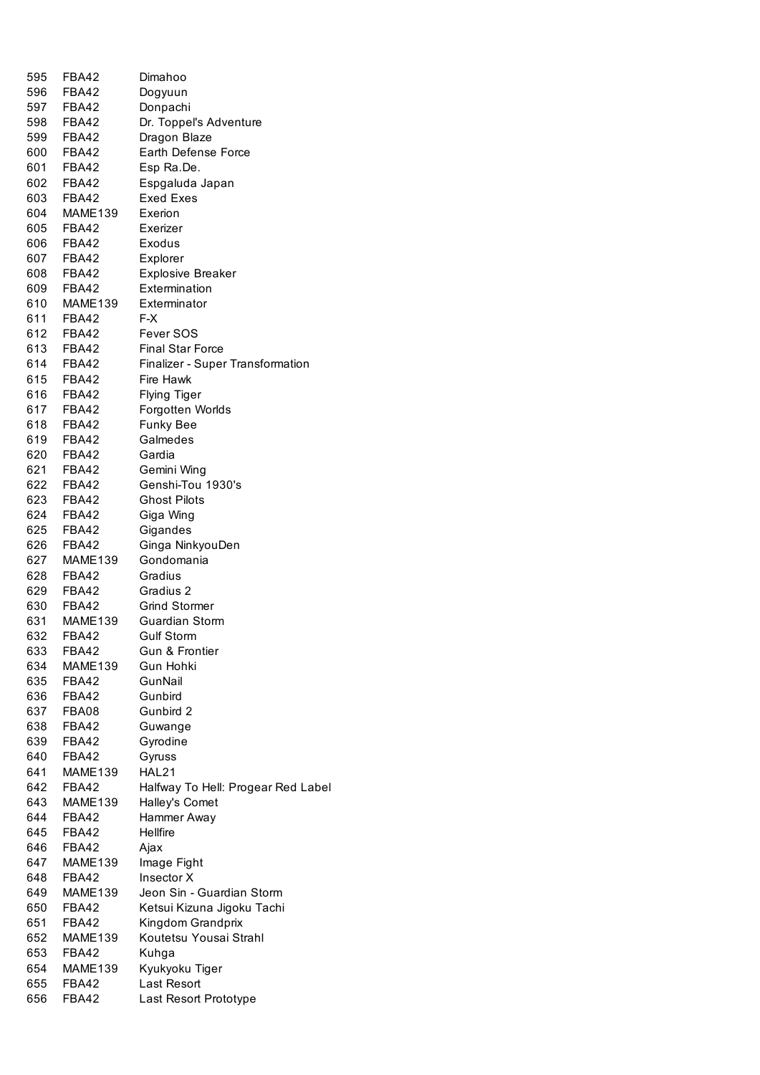| 595   | FBA42        | Dimahoo                                 |
|-------|--------------|-----------------------------------------|
| 596   |              |                                         |
|       | FBA42        | Dogyuun                                 |
| 597   | FBA42        | Donpachi                                |
|       | 598 FBA42    | Dr. Toppel's Adventure                  |
| 599   | FBA42        | Dragon Blaze                            |
| 600   | FBA42        | Earth Defense Force                     |
| 601 - | FBA42        | Esp Ra.De.                              |
| 602   | FBA42        | Espgaluda Japan                         |
| 603   | FBA42        | <b>Exed Exes</b>                        |
| 604 - | MAME139      | Exerion                                 |
| 605   | FBA42        | Exerizer                                |
| 606   | FBA42        | Exodus                                  |
| 607   | FBA42        | Explorer                                |
| 608   | FBA42        | <b>Explosive Breaker</b>                |
| 609   | FBA42        | Extermination                           |
| 610   | MAME139      | Exterminator                            |
| 611   | FBA42        | F-X                                     |
|       |              | Fever SOS                               |
|       | 612 FBA42    |                                         |
|       | 613 FBA42    | <b>Final Star Force</b>                 |
| 614   | FBA42        | <b>Finalizer - Super Transformation</b> |
| 615   | FBA42        | Fire Hawk                               |
| 616   | FBA42        | <b>Flying Tiger</b>                     |
|       | 617 FBA42    | Forgotten Worlds                        |
| 618   | FBA42        | <b>Funky Bee</b>                        |
| 619   | FBA42        | Galmedes                                |
| 620   | FBA42        | Gardia                                  |
| 621   | FBA42        | Gemini Wing                             |
|       | 622 FBA42    | Genshi-Tou 1930's                       |
|       | 623 FBA42    | <b>Ghost Pilots</b>                     |
| 624   | FBA42        | Giga Wing                               |
|       | 625 FBA42    | Gigandes                                |
|       | 626 FBA42    | Ginga NinkyouDen                        |
| 627   |              |                                         |
|       | MAME139      | Gondomania                              |
| 628   | FBA42        | Gradius                                 |
|       | 629 FBA42    | Gradius 2                               |
|       | 630 FBA42    | <b>Grind Stormer</b>                    |
| 631   | MAME139      | <b>Guardian Storm</b>                   |
| 632   | FBA42        | Gulf Storm                              |
| 633   | FBA42        | <b>Gun &amp; Frontier</b>               |
| 634   | MAME139      | Gun Hohki                               |
| 635   | FBA42        | GunNail                                 |
| 636   | FBA42        | Gunbird                                 |
| 637   | FBA08        | Gunbird 2                               |
| 638   | FBA42        | Guwange                                 |
| 639   | FBA42        | Gyrodine                                |
| 640   | <b>FBA42</b> | Gyruss                                  |
| 641   | MAME139      | HAL21                                   |
| 642   | <b>FBA42</b> | Halfway To Hell: Progear Red Label      |
| 643   | MAME139      | Halley's Comet                          |
| 644   | FBA42        | Hammer Away                             |
|       |              |                                         |
| 645   | FBA42        | Hellfire                                |
| 646   | FBA42        | Ajax                                    |
| 647   | MAME139      | Image Fight                             |
| 648   | FBA42        | Insector X                              |
| 649   | MAME139      | Jeon Sin - Guardian Storm               |
| 650   | <b>FBA42</b> | Ketsui Kizuna Jigoku Tachi              |
| 651   | FBA42        | Kingdom Grandprix                       |
| 652   | MAME139      | Koutetsu Yousai Strahl                  |
| 653   | FBA42        | Kuhga                                   |
| 654   | MAME139      | Kyukyoku Tiger                          |
| 655   | FBA42        | Last Resort                             |
| 656   | FBA42        | Last Resort Prototype                   |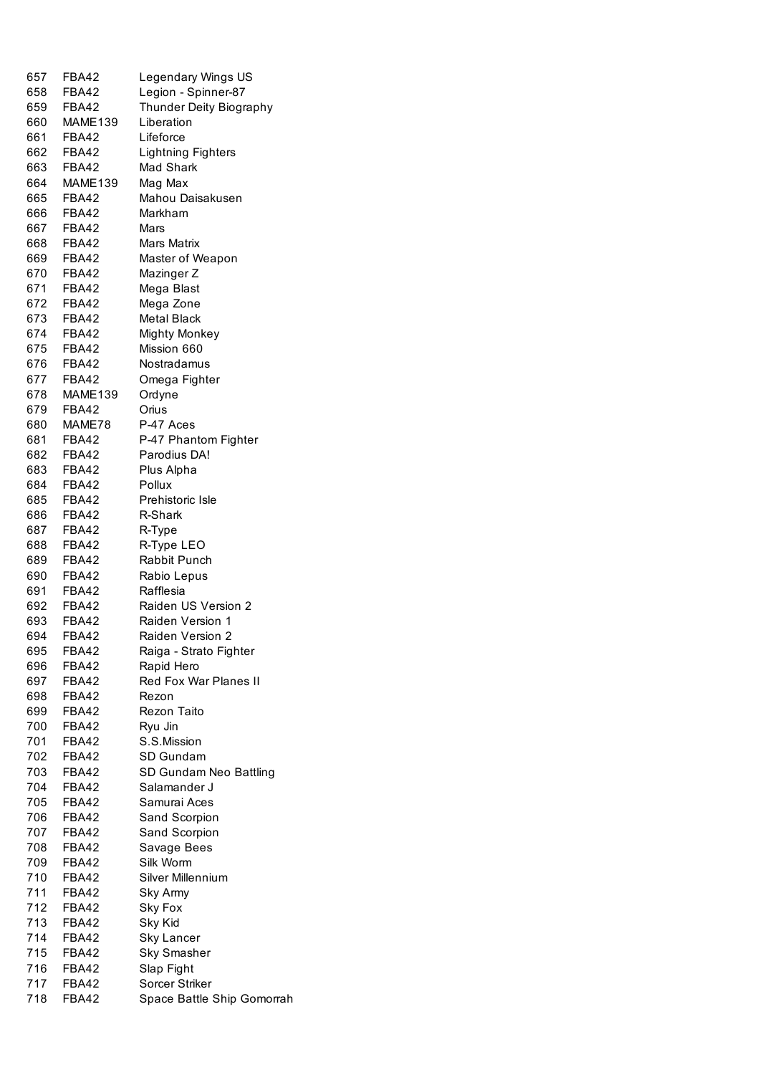| 657 | FBA42        | Legendary Wings US                  |
|-----|--------------|-------------------------------------|
| 658 | FBA42        | Legion - Spinner-87                 |
|     | 659 FBA42    | Thunder Deity Biography             |
|     | 660 MAME139  | Liberation                          |
|     | 661 FBA42    | Lifeforce                           |
|     | 662 FBA42    | <b>Lightning Fighters</b>           |
|     | 663 FBA42    | Mad Shark                           |
|     | 664 MAME139  | Mag Max                             |
|     | 665 FBA42    | Mahou Daisakusen                    |
|     | 666 FBA42    | Markham                             |
|     | 667 FBA42    | Mars                                |
|     | 668 FBA42    | Mars Matrix                         |
|     | 669 FBA42    | Master of Weapon                    |
|     | 670 FBA42    |                                     |
|     |              | Mazinger Z                          |
|     | 671 FBA42    | Mega Blast                          |
|     | 672 FBA42    | Mega Zone                           |
|     | 673 FBA42    | <b>Metal Black</b>                  |
|     | 674 FBA42    | <b>Mighty Monkey</b>                |
|     | 675 FBA42    | Mission 660                         |
|     | 676 FBA42    | Nostradamus                         |
|     | 677 FBA42    | Omega Fighter                       |
| 678 | MAME139      | Ordyne                              |
| 679 | FBA42        | Orius                               |
| 680 | MAME78       | P-47 Aces                           |
|     | 681 FBA42    | P-47 Phantom Fighter                |
| 682 | FBA42        | Parodius DA!                        |
| 683 | FBA42        | Plus Alpha                          |
| 684 | FBA42        | Pollux                              |
| 685 | FBA42        | Prehistoric Isle                    |
| 686 | FBA42        | R-Shark                             |
|     | 687 FBA42    | R-Type                              |
| 688 | FBA42        | R-Type LEO                          |
|     | 689 FBA42    | Rabbit Punch                        |
|     | 690 FBA42    | Rabio Lepus                         |
|     | 691 FBA42    | Rafflesia                           |
|     | 692 FBA42    | Raiden US Version 2                 |
|     | 693 FBA42    | Raiden Version 1                    |
| 694 | FBA42        | Raiden Version 2                    |
| 695 | <b>FBA42</b> | Raiga - Strato Fighter              |
| 696 | FBA42        |                                     |
|     |              | Rapid Hero<br>Red Fox War Planes II |
| 697 | FBA42        |                                     |
| 698 | FBA42        | Rezon                               |
| 699 | FBA42        | <b>Rezon Taito</b>                  |
| 700 | <b>FBA42</b> | Ryu Jin                             |
| 701 | <b>FBA42</b> | S.S.Mission                         |
| 702 | FBA42        | SD Gundam                           |
| 703 | <b>FBA42</b> | SD Gundam Neo Battling              |
| 704 | FBA42        | Salamander J                        |
| 705 | FBA42        | Samurai Aces                        |
| 706 | FBA42        | Sand Scorpion                       |
| 707 | FBA42        | Sand Scorpion                       |
| 708 | FBA42        | Savage Bees                         |
| 709 | FBA42        | Silk Worm                           |
| 710 | FBA42        | Silver Millennium                   |
| 711 | FBA42        | Sky Army                            |
| 712 | FBA42        | Sky Fox                             |
| 713 | FBA42        | Sky Kid                             |
| 714 | FBA42        | <b>Sky Lancer</b>                   |
| 715 | FBA42        | <b>Sky Smasher</b>                  |
| 716 | FBA42        | Slap Fight                          |
| 717 | FBA42        | Sorcer Striker                      |
| 718 | <b>FBA42</b> | Space Battle Ship Gomorrah          |
|     |              |                                     |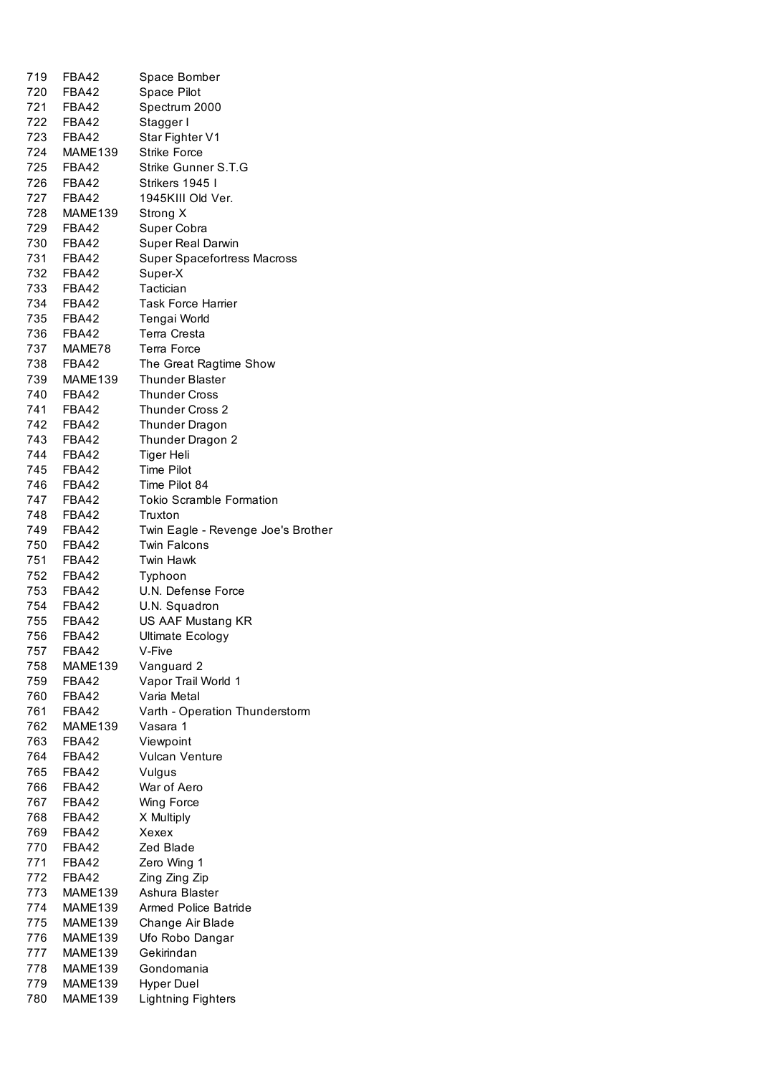| 719        | FBA42                | Space Bomber                                       |
|------------|----------------------|----------------------------------------------------|
| 720        | FBA42                | Space Pilot                                        |
| 721        | FBA42                | Spectrum 2000                                      |
| 722        | FBA42                | Stagger I                                          |
|            | 723 FBA42            | Star Fighter V1                                    |
| 724        | MAME139              | <b>Strike Force</b>                                |
|            | 725 FBA42            | Strike Gunner S.T.G                                |
| 726        | FBA42                | Strikers 1945 I                                    |
| 728        | 727 FBA42<br>MAME139 | 1945KIII Old Ver.                                  |
|            | 729 FBA42            | Strong X<br>Super Cobra                            |
|            | 730 FBA42            | <b>Super Real Darwin</b>                           |
|            | 731 FBA42            | <b>Super Spacefortress Macross</b>                 |
|            | 732 FBA42            | Super-X                                            |
|            | 733 FBA42            | Tactician                                          |
|            | 734 FBA42            | <b>Task Force Harrier</b>                          |
|            | 735 FBA42            | Tengai World                                       |
|            | 736 FBA42            | Terra Cresta                                       |
|            | 737 MAME78           | Terra Force                                        |
|            | 738 FBA42            | The Great Ragtime Show                             |
|            | 739 MAME139          | <b>Thunder Blaster</b>                             |
|            | 740 FBA42            | <b>Thunder Cross</b>                               |
|            | 741 FBA42            | <b>Thunder Cross 2</b>                             |
|            | 742 FBA42            | Thunder Dragon                                     |
|            | 743 FBA42            | Thunder Dragon 2                                   |
|            | 744 FBA42            | Tiger Heli                                         |
|            | 745 FBA42            | <b>Time Pilot</b>                                  |
|            | 746 FBA42            | Time Pilot 84                                      |
| 748        | 747 FBA42<br>FBA42   | Tokio Scramble Formation                           |
|            | 749 FBA42            | Truxton                                            |
| 750        | FBA42                | Twin Eagle - Revenge Joe's Brother<br>Twin Falcons |
| 751        | FBA42                | Twin Hawk                                          |
| 752        | FBA42                | Typhoon                                            |
|            | 753 FBA42            | U.N. Defense Force                                 |
|            | 754 FBA42            | U.N. Squadron                                      |
| 755        | FBA42                | US AAF Mustang KR                                  |
| 756        | FBA42                | <b>Ultimate Ecology</b>                            |
| 757        | FBA42                | V-Five                                             |
| 758        | MAME139              | Vanguard 2                                         |
| 759        | FBA42                | Vapor Trail World 1                                |
| 760        | FBA42                | Varia Metal                                        |
| 761        | FBA42                | Varth - Operation Thunderstorm                     |
| 762        | MAME139              | Vasara 1                                           |
| 763        | FBA42                | Viewpoint                                          |
| 764        | FBA42                | <b>Vulcan Venture</b>                              |
| 765        | FBA42                | Vulgus                                             |
| 766        | FBA42                | War of Aero                                        |
| 767        | FBA42<br>FBA42       | Wing Force                                         |
| 768<br>769 | FBA42                | X Multiply<br>Xexex                                |
| 770        | FBA42                | Zed Blade                                          |
| 771        | FBA42                | Zero Wing 1                                        |
| 772        | FBA42                | Zing Zing Zip                                      |
| 773        | MAME139              | Ashura Blaster                                     |
| 774        | MAME139              | <b>Armed Police Batride</b>                        |
| 775        | MAME139              | Change Air Blade                                   |
| 776        | MAME139              | Ufo Robo Dangar                                    |
| 777        | MAME139              | Gekirindan                                         |
| 778        | MAME139              | Gondomania                                         |
| 779        | MAME139              | <b>Hyper Duel</b>                                  |
| 780        | MAME139              | <b>Lightning Fighters</b>                          |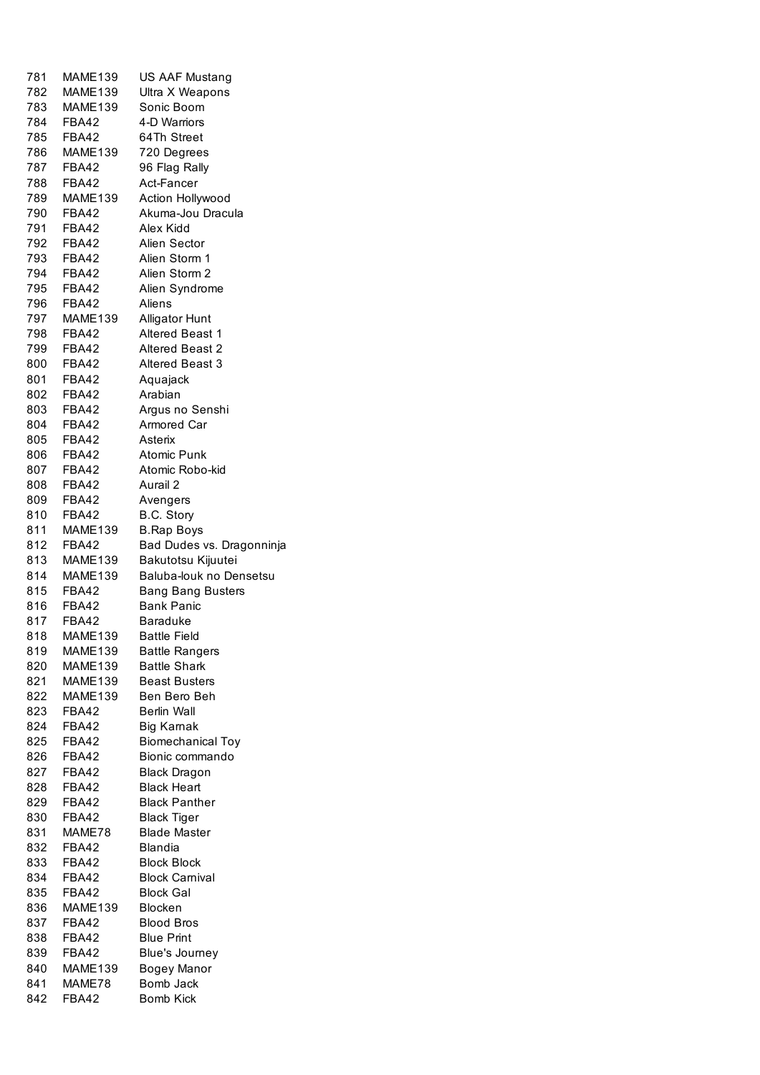| 781        | MAME139                 | <b>US AAF Mustang</b>                         |
|------------|-------------------------|-----------------------------------------------|
| 782        | MAME139                 | Ultra X Weapons                               |
| 783        | MAME139                 | Sonic Boom                                    |
| 784        | FBA42                   | 4-D Warriors                                  |
| 785        | FBA42                   | 64Th Street                                   |
| 786        | MAME139                 | 720 Degrees                                   |
| 787        | <b>FBA42</b>            | 96 Flag Rally                                 |
| 788        | FBA42                   | Act-Fancer                                    |
| 789        | MAME139                 | Action Hollywood                              |
| 790        | <b>FBA42</b>            | Akuma-Jou Dracula                             |
| 791        | FBA42                   | Alex Kidd                                     |
| 792 -      | FBA42                   | Alien Sector                                  |
| 793        | FBA42                   | Alien Storm 1                                 |
| 794        | FBA42                   | Alien Storm 2                                 |
| 795        | FBA42                   | Alien Syndrome                                |
| 796        | FBA42                   | Aliens                                        |
| 797        | MAME139                 | <b>Alligator Hunt</b>                         |
| 798        | <b>FBA42</b>            | Altered Beast 1                               |
| 799        | FBA42                   | Altered Beast 2                               |
| 800        | FBA42                   | <b>Altered Beast 3</b>                        |
| 801        | FBA42                   | Aquajack                                      |
| 802        | FBA42                   | Arabian                                       |
| 803        | FBA42                   | Argus no Senshi                               |
| 804        | FBA42                   | Armored Car                                   |
| 805        | FBA42                   | Asterix                                       |
| 806        | FBA42                   | <b>Atomic Punk</b>                            |
| 807        | FBA42                   | Atomic Robo-kid                               |
| 808        | FBA42                   | Aurail 2                                      |
| 809        | FBA42                   | Avengers                                      |
| 810        | FBA42                   | B.C. Story                                    |
| 811        | MAME139                 | <b>B.Rap Boys</b>                             |
| 812        | FBA42                   | Bad Dudes vs. Dragonninja                     |
| 813        | MAME139                 | Bakutotsu Kijuutei                            |
| 814        | <b>MAME139</b><br>FBA42 | Baluba-louk no Densetsu                       |
| 815<br>816 | FBA42                   | <b>Bang Bang Busters</b><br><b>Bank Panic</b> |
| 817        | FBA42                   | <b>Baraduke</b>                               |
|            | MAME139                 | <b>Battle Field</b>                           |
| 818<br>819 | MAME139                 | <b>Battle Rangers</b>                         |
| 820        | MAME139                 | <b>Battle Shark</b>                           |
| 821        | MAME139                 | <b>Beast Busters</b>                          |
| 822        | MAME139                 | Ben Bero Beh                                  |
| 823        | <b>FBA42</b>            | <b>Berlin Wall</b>                            |
| 824        | FBA42                   | Big Karnak                                    |
| 825        | FBA42                   | <b>Biomechanical Toy</b>                      |
| 826        | FBA42                   | Bionic commando                               |
| 827        | FBA42                   | <b>Black Dragon</b>                           |
| 828        | FBA42                   | <b>Black Heart</b>                            |
| 829        | FBA42                   | <b>Black Panther</b>                          |
| 830        | FBA42                   | Black Tiger                                   |
| 831        | MAME78                  | <b>Blade Master</b>                           |
| 832        | <b>FBA42</b>            | <b>Blandia</b>                                |
| 833        | FBA42                   | <b>Block Block</b>                            |
| 834        | FBA42                   | <b>Block Carnival</b>                         |
| 835        | FBA42                   | <b>Block Gal</b>                              |
| 836        | MAME139                 | <b>Blocken</b>                                |
| 837        | FBA42                   | <b>Blood Bros</b>                             |
| 838        | FBA42                   | <b>Blue Print</b>                             |
| 839        | FBA42                   | Blue's Journey                                |
| 840        | MAME139                 | Bogey Manor                                   |
| 841        | MAME78                  | Bomb Jack                                     |
| 842        | <b>FBA42</b>            | <b>Bomb Kick</b>                              |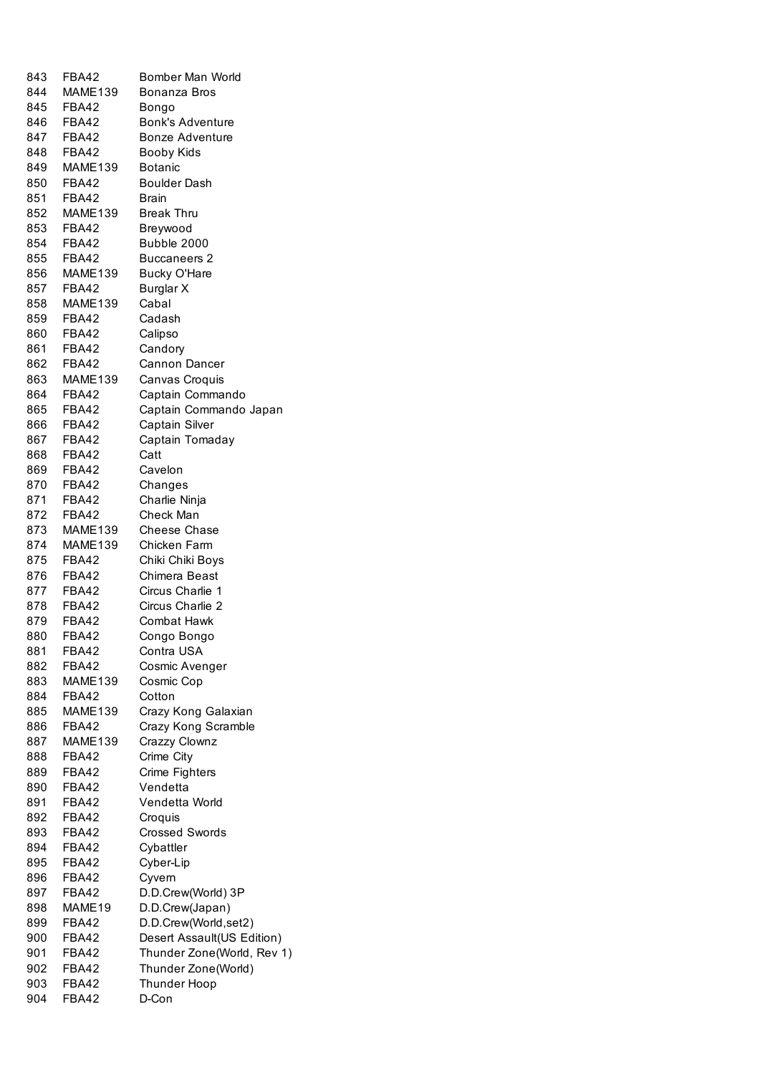| 843        | FBA42                   | Bomber Man World                 |
|------------|-------------------------|----------------------------------|
| 844        | MAME139                 | Bonanza Bros                     |
| 845        | FBA42                   | Bongo                            |
| 846        | FBA42                   | <b>Bonk's Adventure</b>          |
| 847        | FBA42                   | <b>Bonze Adventure</b>           |
| 848        | FBA42                   | <b>Booby Kids</b>                |
| 849        | MAME139                 | Botanic                          |
| 850        | <b>FBA42</b>            | Boulder Dash                     |
| 851        | FBA42                   | <b>Brain</b>                     |
| 852        | MAME139                 | <b>Break Thru</b>                |
| 853        | <b>FBA42</b>            | Breywood                         |
| 854        | FBA42                   | Bubble 2000                      |
| 855        | FBA42                   | <b>Buccaneers 2</b>              |
| 856        | MAME139                 | <b>Bucky O'Hare</b>              |
| 857        | FBA42                   | Burglar X                        |
| 858        | MAME139                 | Cabal                            |
| 859        | FBA42                   | Cadash                           |
| 860        | FBA42                   | Calipso                          |
| 861        | FBA42                   | Candory                          |
| 862        | FBA42                   | Cannon Dancer                    |
| 863        | MAME139                 | Canvas Croquis                   |
| 864        | FBA42                   | Captain Commando                 |
| 865        | FBA42                   | Captain Commando Japan           |
| 866        | FBA42                   | Captain Silver                   |
| 867        | FBA42                   | Captain Tomaday                  |
| 868        | FBA42                   | Catt                             |
| 869        | FBA42                   | Cavelon                          |
| 870        | FBA42                   | Changes                          |
| 871        | FBA42                   | Charlie Ninja                    |
| 872        | FBA42                   | Check Man                        |
| 873        | MAME139                 | <b>Cheese Chase</b>              |
| 874        | MAME139                 | Chicken Farm                     |
| 875        | FBA42                   | Chiki Chiki Boys                 |
| 876        | FBA42                   | Chimera Beast                    |
| 877        | FBA42                   | Circus Charlie 1                 |
| 878        | FBA42                   | Circus Charlie 2                 |
| 879        | FBA42                   | <b>Combat Hawk</b>               |
| 880        | FBA42                   | Congo Bongo                      |
| 881        | FBA42                   | Contra USA                       |
| 882        | <b>FBA42</b>            | Cosmic Avenger                   |
| 883        | MAME139                 | Cosmic Cop                       |
| 884        | FBA42                   | Cotton                           |
| 885        | MAME139                 | Crazy Kong Galaxian              |
| 886        | FBA42                   | Crazy Kong Scramble              |
| 887        | MAME139<br><b>FBA42</b> | Crazzy Clownz                    |
| 888<br>889 |                         | Crime City                       |
|            | FBA42<br>FBA42          | Crime Fighters<br>Vendetta       |
| 890        | FBA42                   |                                  |
| 891<br>892 | FBA42                   | Vendetta World                   |
| 893        | FBA42                   | Croquis<br><b>Crossed Swords</b> |
| 894        | FBA42                   | Cybattler                        |
| 895        | FBA42                   | Cyber-Lip                        |
| 896        | FBA42                   | Cyvern                           |
| 897        | <b>FBA42</b>            | D.D.Crew(World) 3P               |
| 898        | MAME19                  | D.D.Crew(Japan)                  |
| 899        | FBA42                   | D.D.Crew(World,set2)             |
| 900        | <b>FBA42</b>            | Desert Assault(US Edition)       |
| 901        | FBA42                   | Thunder Zone(World, Rev 1)       |
| 902        | <b>FBA42</b>            | Thunder Zone(World)              |
| 903        | <b>FBA42</b>            | <b>Thunder Hoop</b>              |
| 904        | <b>FBA42</b>            | D-Con                            |
|            |                         |                                  |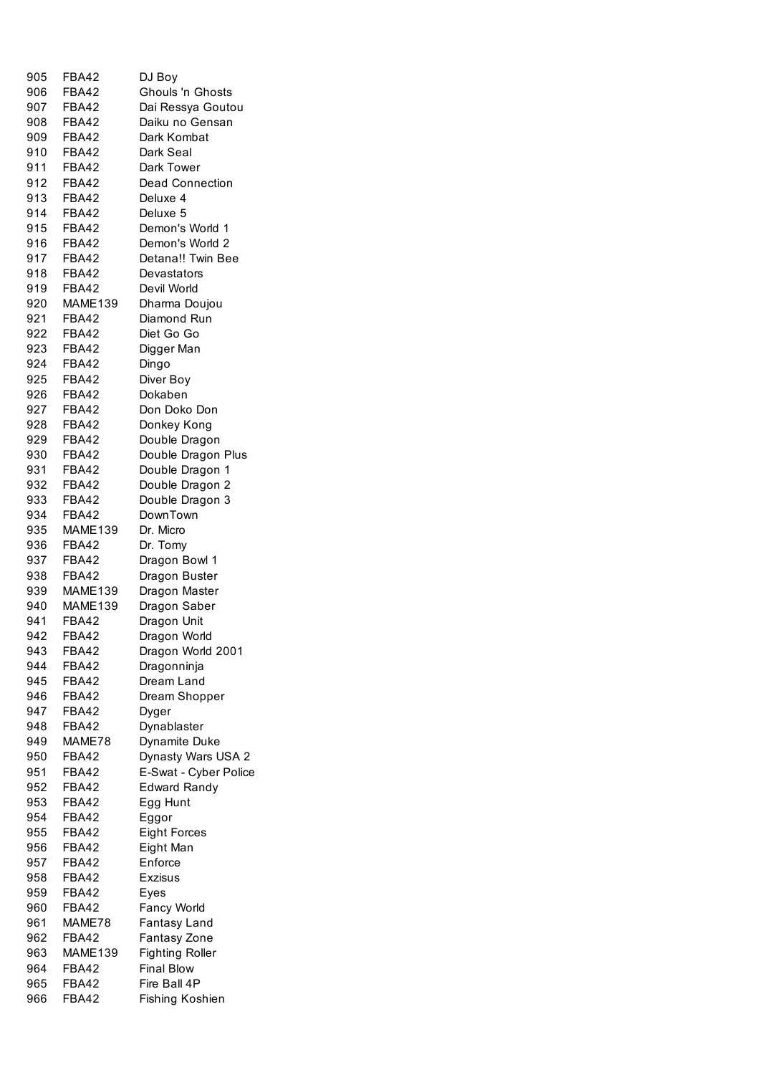| 905   | <b>FBA42</b>   | DJ Boy                 |
|-------|----------------|------------------------|
|       |                |                        |
| 906   | FBA42          | Ghouls 'n Ghosts       |
| 907 - | FBA42          | Dai Ressya Goutou      |
| 908   | FBA42          | Daiku no Gensan        |
| 909   | FBA42          | Dark Kombat            |
| 910   | <b>FBA42</b>   | Dark Seal              |
| 911   | FBA42          | Dark Tower             |
| 912   | FBA42          | <b>Dead Connection</b> |
| 913   | FBA42          | Deluxe 4               |
|       |                |                        |
| 914   | FBA42          | Deluxe 5               |
| 915   | FBA42          | Demon's World 1        |
| 916   | FBA42          | Demon's World 2        |
| 917   | <b>FBA42</b>   | Detana!! Twin Bee      |
| 918   | FBA42          | Devastators            |
| 919   | FBA42          | Devil World            |
| 920   | MAME139        | Dharma Doujou          |
| 921   | FBA42          | Diamond Run            |
| 922.  | <b>FBA42</b>   | Diet Go Go             |
| 923   | FBA42          | Digger Man             |
|       |                |                        |
| 924   | FBA42          | Dingo                  |
| 925   | FBA42          | Diver Boy              |
| 926   | <b>FBA42</b>   | Dokaben                |
| 927   | FBA42          | Don Doko Don           |
| 928   | <b>FBA42</b>   | Donkey Kong            |
| 929   | FBA42          | Double Dragon          |
| 930   | FBA42          | Double Dragon Plus     |
| 931   | FBA42          | Double Dragon 1        |
| 932   | FBA42          | Double Dragon 2        |
| 933   | <b>FBA42</b>   | Double Dragon 3        |
| 934   | FBA42          | DownTown               |
| 935   | MAME139        | Dr. Micro              |
| 936   | <b>FBA42</b>   | Dr. Tomy               |
| 937   | FBA42          |                        |
|       | FBA42          | Dragon Bowl 1          |
| 938   |                | Dragon Buster          |
| 939   | MAME139        | Dragon Master          |
| 940   | <b>MAME139</b> | Dragon Saber           |
| 941   | <b>FBA42</b>   | Dragon Unit            |
| 942   | <b>FBA42</b>   | Dragon World           |
| 943   | <b>FBA42</b>   | Dragon World 2001      |
| 944   | <b>FBA42</b>   | Dragonninja            |
| 945   | <b>FBA42</b>   | Dream Land             |
| 946   | <b>FBA42</b>   | Dream Shopper          |
| 947   | <b>FBA42</b>   | Dyger                  |
| 948   | <b>FBA42</b>   | Dynablaster            |
| 949   | MAME78         | Dynamite Duke          |
| 950   | <b>FBA42</b>   | Dynasty Wars USA 2     |
| 951   | <b>FBA42</b>   | E-Swat - Cyber Police  |
| 952   | <b>FBA42</b>   | <b>Edward Randy</b>    |
| 953   | <b>FBA42</b>   | Egg Hunt               |
| 954   | FBA42          |                        |
|       |                | Eggor                  |
| 955   | <b>FBA42</b>   | <b>Eight Forces</b>    |
| 956   | <b>FBA42</b>   | Eight Man              |
| 957   | <b>FBA42</b>   | Enforce                |
| 958   | <b>FBA42</b>   | <b>Exzisus</b>         |
| 959   | <b>FBA42</b>   | Eyes                   |
| 960   | <b>FBA42</b>   | Fancy World            |
| 961   | MAME78         | Fantasy Land           |
| 962   | <b>FBA42</b>   | Fantasy Zone           |
| 963   | MAME139        | <b>Fighting Roller</b> |
| 964   | <b>FBA42</b>   | <b>Final Blow</b>      |
| 965   | <b>FBA42</b>   | Fire Ball 4P           |
| 966   | <b>FBA42</b>   | Fishing Koshien        |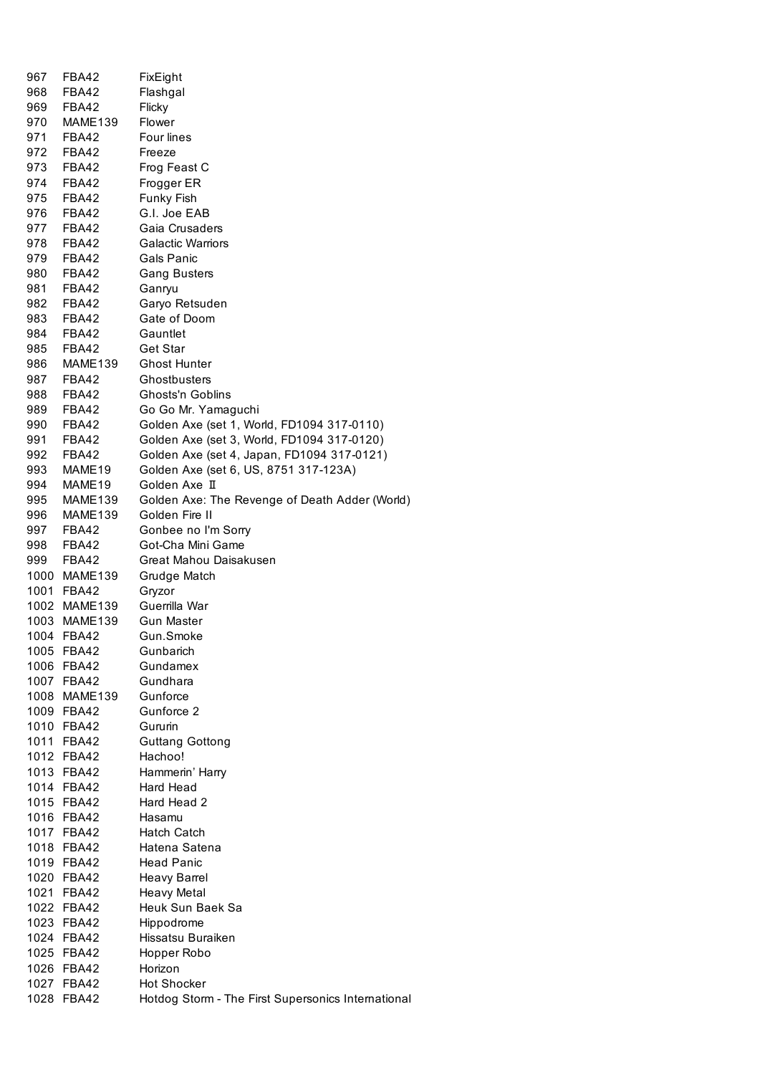| 967  | FBA42        | FixEight                                           |
|------|--------------|----------------------------------------------------|
| 968  | FBA42        | Flashgal                                           |
| 969  | FBA42        | Flicky                                             |
| 970  | MAME139      | Flower                                             |
| 971  | FBA42        | Four lines                                         |
| 972  | FBA42        | Freeze                                             |
| 973  | FBA42        | Frog Feast C                                       |
| 974  | FBA42        | Frogger ER                                         |
| 975  | FBA42        | Funky Fish                                         |
| 976  | FBA42        | G.I. Joe EAB                                       |
| 977  | FBA42        | Gaia Crusaders                                     |
| 978  | FBA42        | <b>Galactic Warriors</b>                           |
| 979  | FBA42        | Gals Panic                                         |
|      |              |                                                    |
| 980  | FBA42        | <b>Gang Busters</b>                                |
| 981  | FBA42        | Ganryu                                             |
| 982  | FBA42        | Garyo Retsuden                                     |
| 983  | FBA42        | Gate of Doom                                       |
| 984  | FBA42        | Gauntlet                                           |
| 985  | FBA42        | Get Star                                           |
| 986  | MAME139      | <b>Ghost Hunter</b>                                |
| 987  | FBA42        | Ghostbusters                                       |
| 988  | FBA42        | Ghosts'n Goblins                                   |
| 989  | FBA42        | Go Go Mr. Yamaguchi                                |
| 990  | FBA42        | Golden Axe (set 1, World, FD1094 317-0110)         |
| 991  | FBA42        | Golden Axe (set 3, World, FD1094 317-0120)         |
| 992  | FBA42        | Golden Axe (set 4, Japan, FD1094 317-0121)         |
| 993  | MAME19       | Golden Axe (set 6, US, 8751 317-123A)              |
| 994  | MAME19       | Golden Axe II                                      |
| 995  | MAME139      | Golden Axe: The Revenge of Death Adder (World)     |
| 996  | MAME139      | Golden Fire II                                     |
|      | 997 FBA42    | Gonbee no I'm Sorry                                |
| 998  | FBA42        | Got-Cha Mini Game                                  |
| 999  | FBA42        | Great Mahou Daisakusen                             |
|      | 1000 MAME139 | Grudge Match                                       |
|      | 1001 FBA42   | Gryzor                                             |
|      | 1002 MAME139 | Guerrilla War                                      |
|      | 1003 MAME139 | Gun Master                                         |
| 1004 | FBA42        | Gun.Smoke                                          |
|      | 1005 FBA42   | Gunbarich                                          |
|      | 1006 FBA42   | Gundamex                                           |
|      | 1007 FBA42   | Gundhara                                           |
|      | 1008 MAME139 | Gunforce                                           |
|      | 1009 FBA42   | Gunforce 2                                         |
|      | 1010 FBA42   | Gururin                                            |
|      | 1011 FBA42   | <b>Guttang Gottong</b>                             |
|      | 1012 FBA42   | Hachoo!                                            |
|      | 1013 FBA42   | Hammerin' Harry                                    |
|      | 1014 FBA42   | Hard Head                                          |
|      | 1015 FBA42   | Hard Head 2                                        |
|      | 1016 FBA42   | Hasamu                                             |
|      | 1017 FBA42   | <b>Hatch Catch</b>                                 |
|      | 1018 FBA42   | Hatena Satena                                      |
|      | 1019 FBA42   | <b>Head Panic</b>                                  |
|      |              |                                                    |
|      | 1020 FBA42   | Heavy Barrel                                       |
|      | 1021 FBA42   | <b>Heavy Metal</b>                                 |
|      | 1022 FBA42   | Heuk Sun Baek Sa                                   |
|      | 1023 FBA42   | Hippodrome                                         |
|      | 1024 FBA42   | Hissatsu Buraiken                                  |
|      | 1025 FBA42   | Hopper Robo                                        |
|      | 1026 FBA42   | Horizon                                            |
|      | 1027 FBA42   | <b>Hot Shocker</b>                                 |
|      | 1028 FBA42   | Hotdog Storm - The First Supersonics International |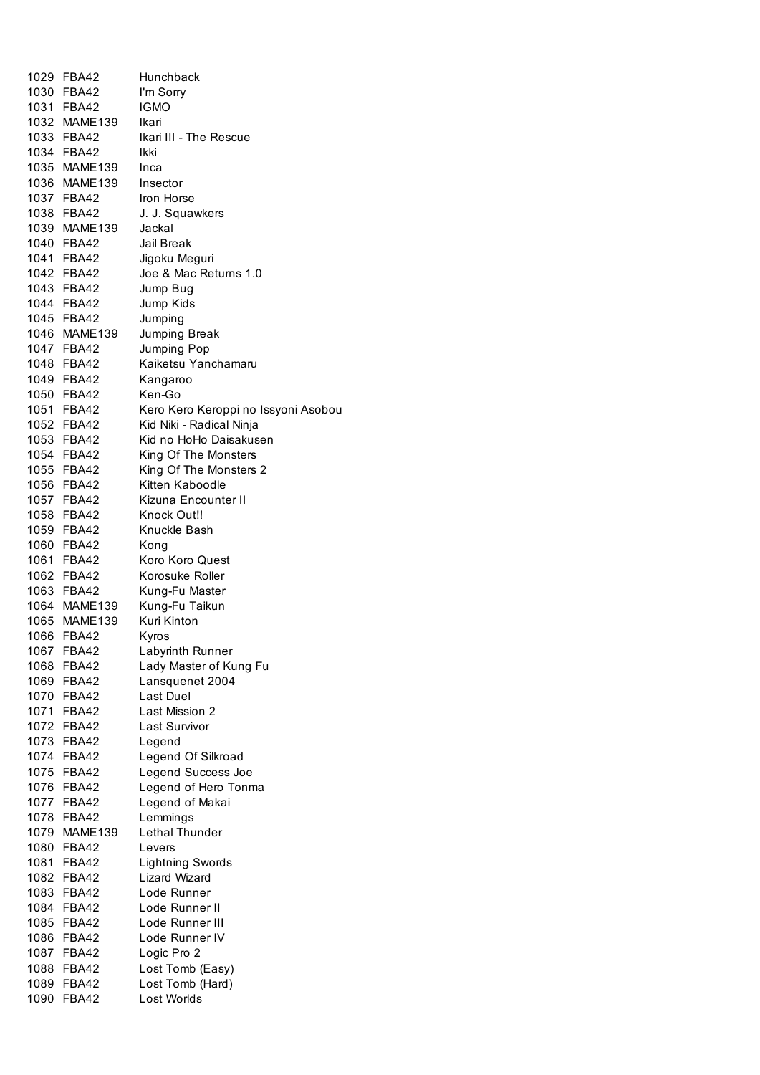| 1029 | FBA42        | Hunchback                           |
|------|--------------|-------------------------------------|
|      | 1030 FBA42   | I'm Sorry                           |
|      | 1031 FBA42   | <b>IGMO</b>                         |
|      | 1032 MAME139 | Ikari                               |
|      | 1033 FBA42   | Ikari III - The Rescue              |
|      | 1034 FBA42   | Ikki                                |
|      | 1035 MAME139 | Inca                                |
|      | 1036 MAME139 | Insector                            |
|      | 1037 FBA42   | Iron Horse                          |
|      | 1038 FBA42   | J. J. Squawkers                     |
|      | 1039 MAME139 | Jackal                              |
|      | 1040 FBA42   | Jail Break                          |
|      | 1041 FBA42   | Jigoku Meguri                       |
|      | 1042 FBA42   | Joe & Mac Returns 1.0               |
|      | 1043 FBA42   | Jump Bug                            |
|      | 1044 FBA42   | Jump Kids                           |
|      | 1045 FBA42   | Jumping                             |
|      | 1046 MAME139 | Jumping Break                       |
|      | 1047 FBA42   | Jumping Pop                         |
|      | 1048 FBA42   |                                     |
|      |              | Kaiketsu Yanchamaru                 |
|      | 1049 FBA42   | Kangaroo                            |
|      | 1050 FBA42   | Ken-Go                              |
|      | 1051 FBA42   | Kero Kero Keroppi no Issyoni Asobou |
|      | 1052 FBA42   | Kid Niki - Radical Ninja            |
|      | 1053 FBA42   | Kid no HoHo Daisakusen              |
|      | 1054 FBA42   | King Of The Monsters                |
|      | 1055 FBA42   | King Of The Monsters 2              |
|      | 1056 FBA42   | Kitten Kaboodle                     |
|      | 1057 FBA42   | Kizuna Encounter II                 |
|      | 1058 FBA42   | Knock Out!!                         |
|      | 1059 FBA42   | Knuckle Bash                        |
|      | 1060 FBA42   | Kong                                |
|      | 1061 FBA42   | Koro Koro Quest                     |
|      | 1062 FBA42   | Korosuke Roller                     |
|      | 1063 FBA42   | Kung-Fu Master                      |
|      | 1064 MAME139 | Kung-Fu Taikun                      |
|      | 1065 MAME139 | Kuri Kinton                         |
|      | 1066 FBA42   | Kyros                               |
| 1067 | <b>FBA42</b> | Labyrinth Runner                    |
| 1068 | FBA42        | Lady Master of Kung Fu              |
|      | 1069 FBA42   | Lansquenet 2004                     |
|      | 1070 FBA42   | <b>Last Duel</b>                    |
|      | 1071 FBA42   | Last Mission 2                      |
|      | 1072 FBA42   | <b>Last Survivor</b>                |
|      | 1073 FBA42   | Legend                              |
|      | 1074 FBA42   | Legend Of Silkroad                  |
|      | 1075 FBA42   | Legend Success Joe                  |
|      | 1076 FBA42   | Legend of Hero Tonma                |
|      | 1077 FBA42   | Legend of Makai                     |
|      | 1078 FBA42   | Lemmings                            |
|      | 1079 MAME139 | <b>Lethal Thunder</b>               |
|      | 1080 FBA42   | Levers                              |
| 1081 | <b>FBA42</b> | <b>Lightning Swords</b>             |
| 1082 | FBA42        | Lizard Wizard                       |
|      | 1083 FBA42   | Lode Runner                         |
|      | 1084 FBA42   | Lode Runner II                      |
|      | 1085 FBA42   | Lode Runner III                     |
|      | 1086 FBA42   | Lode Runner IV                      |
|      | 1087 FBA42   | Logic Pro 2                         |
|      | 1088 FBA42   | Lost Tomb (Easy)                    |
|      | 1089 FBA42   | Lost Tomb (Hard)                    |
|      |              |                                     |
| 1090 | <b>FBA42</b> | Lost Worlds                         |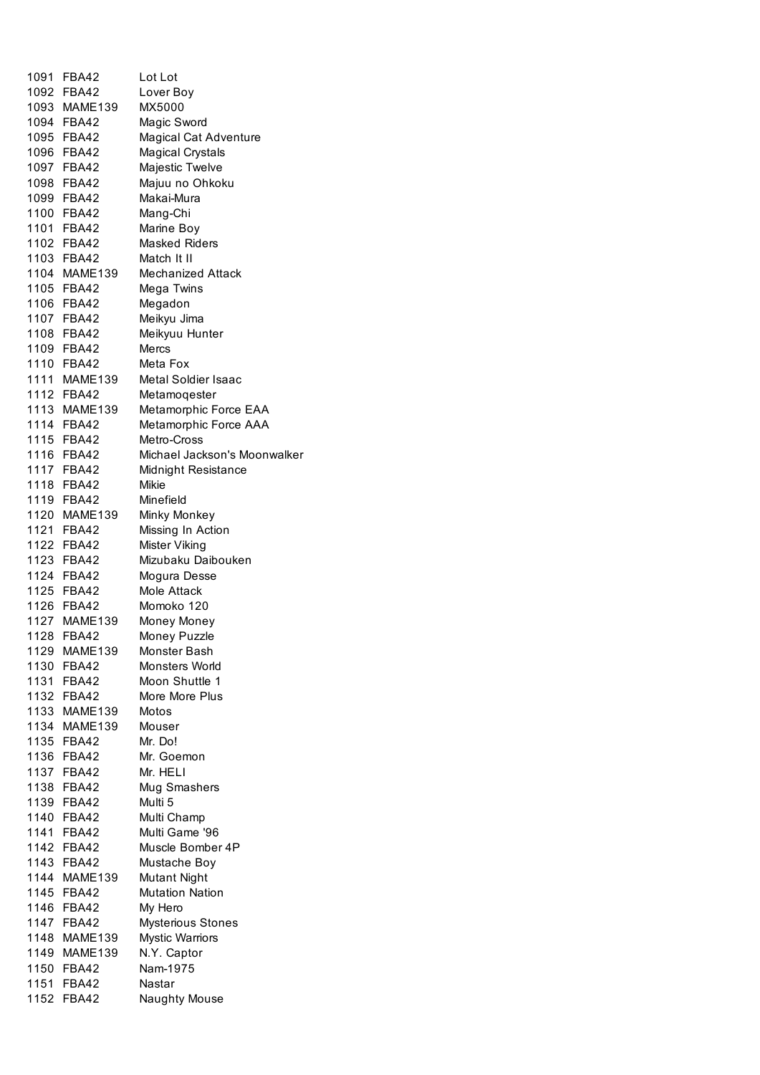|      | 1091 FBA42               | Lot Lot                      |
|------|--------------------------|------------------------------|
|      | 1092 FBA42               | Lover Boy                    |
|      | 1093 MAME139             | MX5000                       |
|      | 1094 FBA42               | Magic Sword                  |
|      | 1095 FBA42               | Magical Cat Adventure        |
|      | 1096 FBA42               | <b>Magical Crystals</b>      |
|      | 1097 FBA42               | Majestic Twelve              |
|      | 1098 FBA42               | Majuu no Ohkoku              |
|      | 1099 FBA42               | Makai-Mura                   |
|      | 1100 FBA42               | Mang-Chi                     |
|      | 1101 FBA42               | Marine Boy                   |
|      | 1102 FBA42               | <b>Masked Riders</b>         |
|      | 1103 FBA42               | Match It II                  |
|      | 1104 MAME139             | Mechanized Attack            |
|      | 1105 FBA42               | Mega Twins                   |
|      | 1106 FBA42               | Megadon                      |
|      | 1107 FBA42               | Meikyu Jima                  |
|      | 1108 FBA42               | Meikyuu Hunter               |
|      | 1109 FBA42               | Mercs                        |
|      | 1110 FBA42               | Meta Fox                     |
|      | 1111 MAME139             | <b>Metal Soldier Isaac</b>   |
|      | 1112 FBA42               | Metamoqester                 |
|      | 1113 MAME139             | Metamorphic Force EAA        |
|      | 1114 FBA42               | Metamorphic Force AAA        |
|      | 1115 FBA42               | Metro-Cross                  |
|      | 1116 FBA42               | Michael Jackson's Moonwalker |
|      | 1117 FBA42               | Midnight Resistance          |
|      | 1118 FBA42               | Mikie                        |
|      | 1119 FBA42               | Minefield                    |
|      | 1120 MAME139             | Minky Monkey                 |
|      | 1121 FBA42               | Missing In Action            |
|      | 1122 FBA42               | Mister Viking                |
|      | 1123 FBA42               | Mizubaku Daibouken           |
|      | 1124 FBA42               | Mogura Desse<br>Mole Attack  |
|      | 1125 FBA42<br>1126 FBA42 | Momoko 120                   |
|      | 1127 MAME139             |                              |
|      | 1128 FBA42               | Money Money                  |
| 1129 | MAME139                  | Money Puzzle<br>Monster Bash |
|      | 1130 FBA42               | Monsters World               |
|      | 1131 FBA42               | Moon Shuttle 1               |
|      | 1132 FBA42               | More More Plus               |
|      | 1133 MAME139             | Motos                        |
|      | 1134 MAME139             | Mouser                       |
|      | 1135 FBA42               | Mr. Do!                      |
|      | 1136 FBA42               | Mr. Goemon                   |
|      | 1137 FBA42               | Mr. HELI                     |
|      | 1138 FBA42               | Mug Smashers                 |
|      | 1139 FBA42               | Multi 5                      |
|      | 1140 FBA42               | Multi Champ                  |
|      | 1141 FBA42               | Multi Game '96               |
|      | 1142 FBA42               | Muscle Bomber 4P             |
|      | 1143 FBA42               | Mustache Boy                 |
|      | 1144 MAME139             | <b>Mutant Night</b>          |
|      | 1145 FBA42               | <b>Mutation Nation</b>       |
|      | 1146 FBA42               | My Hero                      |
|      | 1147 FBA42               | Mysterious Stones            |
|      | 1148 MAME139             | <b>Mystic Warriors</b>       |
|      | 1149 MAME139             | N.Y. Captor                  |
|      | 1150 FBA42               | Nam-1975                     |
|      | 1151 FBA42               | Nastar                       |
|      | 1152 FBA42               | Naughty Mouse                |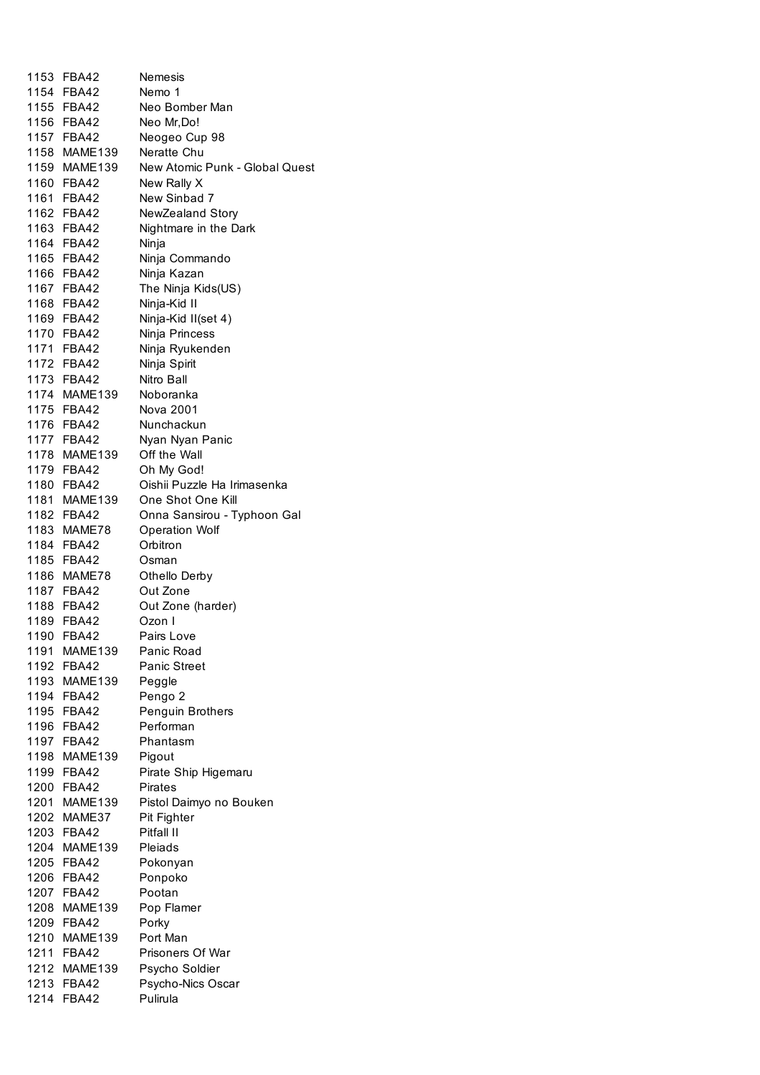|      | 1153 FBA42   | Nemesis                        |
|------|--------------|--------------------------------|
|      | 1154 FBA42   | Nemo 1                         |
|      | 1155 FBA42   | Neo Bomber Man                 |
|      | 1156 FBA42   | Neo Mr, Do!                    |
|      | 1157 FBA42   | Neogeo Cup 98                  |
|      | 1158 MAME139 | Neratte Chu                    |
|      | 1159 MAME139 | New Atomic Punk - Global Quest |
|      | 1160 FBA42   | New Rally X                    |
|      | 1161 FBA42   | New Sinbad 7                   |
|      | 1162 FBA42   | NewZealand Story               |
|      | 1163 FBA42   | Nightmare in the Dark          |
|      | 1164 FBA42   | Ninja                          |
|      | 1165 FBA42   | Ninja Commando                 |
|      | 1166 FBA42   | Ninja Kazan                    |
|      | 1167 FBA42   | The Ninja Kids(US)             |
|      | 1168 FBA42   | Ninja-Kid II                   |
|      | 1169 FBA42   | Ninja-Kid II(set 4)            |
|      | 1170 FBA42   | Ninja Princess                 |
|      | 1171 FBA42   | Ninja Ryukenden                |
|      | 1172 FBA42   | Ninja Spirit                   |
|      | 1173 FBA42   | Nitro Ball                     |
|      | 1174 MAME139 | Noboranka                      |
|      | 1175 FBA42   | Nova 2001                      |
|      | 1176 FBA42   | Nunchackun                     |
|      | 1177 FBA42   | Nyan Nyan Panic                |
|      | 1178 MAME139 | Off the Wall                   |
|      | 1179 FBA42   | Oh My God!                     |
|      | 1180 FBA42   | Oishii Puzzle Ha Irimasenka    |
|      | 1181 MAME139 | One Shot One Kill              |
|      | 1182 FBA42   | Onna Sansirou - Typhoon Gal    |
|      | 1183 MAME78  | <b>Operation Wolf</b>          |
|      | 1184 FBA42   | Orbitron                       |
|      | 1185 FBA42   | Osman                          |
|      | 1186 MAME78  | Othello Derby                  |
|      | 1187 FBA42   | Out Zone                       |
|      | 1188 FBA42   | Out Zone (harder)              |
|      | 1189 FBA42   | Ozon I                         |
|      | 1190 FBA42   | Pairs Love                     |
| 1191 | MAME139      | Panic Road                     |
|      | 1192 FBA42   | Panic Street                   |
|      | 1193 MAME139 | Peggle                         |
|      | 1194 FBA42   | Pengo 2                        |
|      | 1195 FBA42   | Penguin Brothers               |
|      | 1196 FBA42   | Performan                      |
|      | 1197 FBA42   | Phantasm                       |
|      | 1198 MAME139 | Pigout                         |
|      | 1199 FBA42   | Pirate Ship Higemaru           |
|      | 1200 FBA42   | <b>Pirates</b>                 |
|      | 1201 MAME139 | Pistol Daimyo no Bouken        |
|      | 1202 MAME37  | Pit Fighter                    |
|      | 1203 FBA42   | Pitfall II                     |
|      | 1204 MAME139 | Pleiads                        |
|      | 1205 FBA42   | Pokonyan                       |
|      | 1206 FBA42   | Ponpoko                        |
|      | 1207 FBA42   | Pootan                         |
|      | 1208 MAME139 | Pop Flamer                     |
|      | 1209 FBA42   | Porky                          |
|      | 1210 MAME139 | Port Man                       |
|      | 1211 FBA42   | Prisoners Of War               |
|      | 1212 MAME139 | Psycho Soldier                 |
|      | 1213 FBA42   | Psycho-Nics Oscar              |
|      | 1214 FBA42   | Pulirula                       |
|      |              |                                |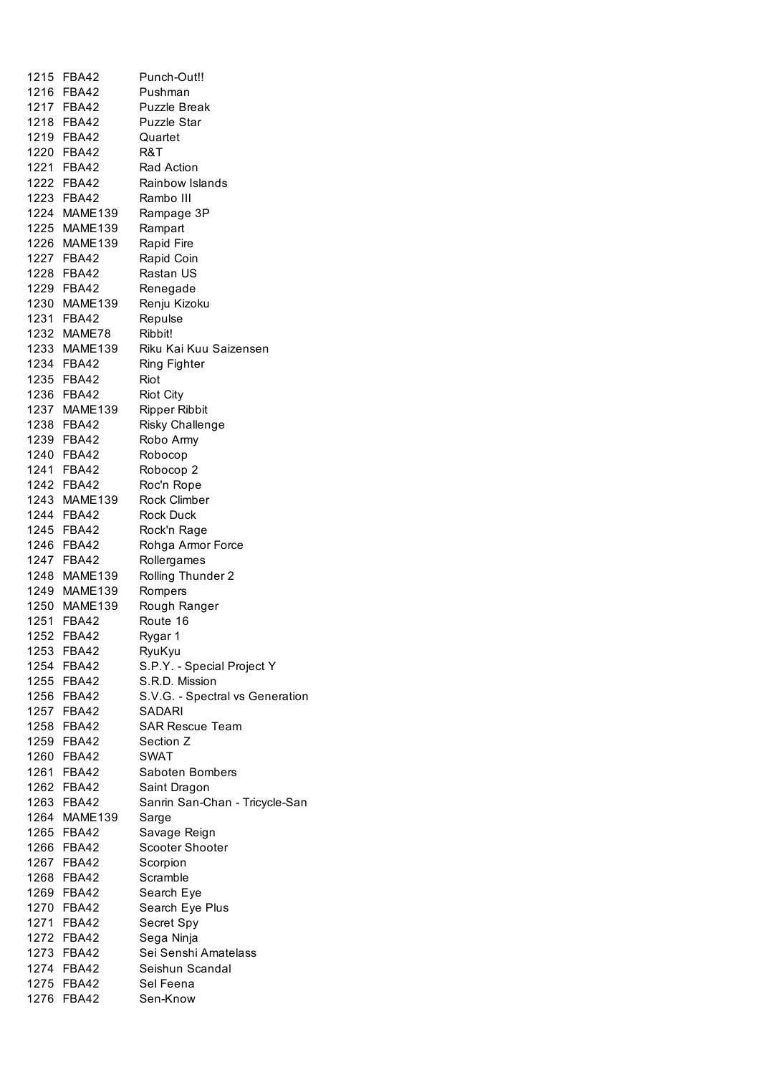| 1215 | FBA42        | Punch-Out!!                     |
|------|--------------|---------------------------------|
|      | 1216 FBA42   | Pushman                         |
|      | 1217 FBA42   | <b>Puzzle Break</b>             |
|      | 1218 FBA42   | <b>Puzzle Star</b>              |
|      | 1219 FBA42   | Quartet                         |
|      | 1220 FBA42   | R&T                             |
|      | 1221 FBA42   | Rad Action                      |
|      | 1222 FBA42   | Rainbow Islands                 |
|      | 1223 FBA42   | Rambo III                       |
|      | 1224 MAME139 | Rampage 3P                      |
|      | 1225 MAME139 | Rampart                         |
|      | 1226 MAME139 | Rapid Fire                      |
|      | 1227 FBA42   | Rapid Coin                      |
|      | 1228 FBA42   | Rastan US                       |
|      | 1229 FBA42   | Renegade                        |
|      | 1230 MAME139 | Renju Kizoku                    |
|      | 1231 FBA42   | Repulse                         |
|      | 1232 MAME78  | Ribbit!                         |
|      | 1233 MAME139 | Riku Kai Kuu Saizensen          |
|      | 1234 FBA42   | Ring Fighter                    |
|      | 1235 FBA42   | Riot                            |
|      | 1236 FBA42   | <b>Riot City</b>                |
|      | 1237 MAME139 | <b>Ripper Ribbit</b>            |
|      | 1238 FBA42   | Risky Challenge                 |
|      | 1239 FBA42   | Robo Army                       |
|      | 1240 FBA42   | Robocop                         |
|      | 1241 FBA42   | Robocop 2                       |
|      | 1242 FBA42   | Roc'n Rope                      |
|      | 1243 MAME139 | <b>Rock Climber</b>             |
|      | 1244 FBA42   | <b>Rock Duck</b>                |
|      | 1245 FBA42   | Rock'n Rage                     |
|      | 1246 FBA42   | Rohga Armor Force               |
|      | 1247 FBA42   | Rollergames                     |
|      | 1248 MAME139 | Rolling Thunder 2               |
|      | 1249 MAME139 | Rompers                         |
|      | 1250 MAME139 | Rough Ranger                    |
|      | 1251 FBA42   | Route 16                        |
|      | 1252 FBA42   | Rygar 1                         |
| 1253 | <b>FBA42</b> | RyuKyu                          |
|      | 1254 FBA42   | S.P.Y. - Special Project Y      |
|      | 1255 FBA42   | S.R.D. Mission                  |
|      | 1256 FBA42   | S.V.G. - Spectral vs Generation |
|      | 1257 FBA42   | SADARI                          |
|      | 1258 FBA42   | <b>SAR Rescue Team</b>          |
|      | 1259 FBA42   | Section Z                       |
|      | 1260 FBA42   | <b>SWAT</b>                     |
|      | 1261 FBA42   | Saboten Bombers                 |
|      | 1262 FBA42   | Saint Dragon                    |
|      | 1263 FBA42   | Sanrin San-Chan - Tricycle-San  |
|      | 1264 MAME139 | Sarge                           |
| 1265 | FBA42        | Savage Reign                    |
| 1266 | FBA42        | Scooter Shooter                 |
|      | 1267 FBA42   | Scorpion                        |
| 1268 | <b>FBA42</b> | Scramble                        |
|      | 1269 FBA42   | Search Eye                      |
|      | 1270 FBA42   | Search Eye Plus                 |
|      | 1271 FBA42   | Secret Spy                      |
|      | 1272 FBA42   | Sega Ninja                      |
|      | 1273 FBA42   | Sei Senshi Amatelass            |
|      | 1274 FBA42   | Seishun Scandal                 |
|      | 1275 FBA42   | Sel Feena                       |
| 1276 | <b>FBA42</b> | Sen-Know                        |
|      |              |                                 |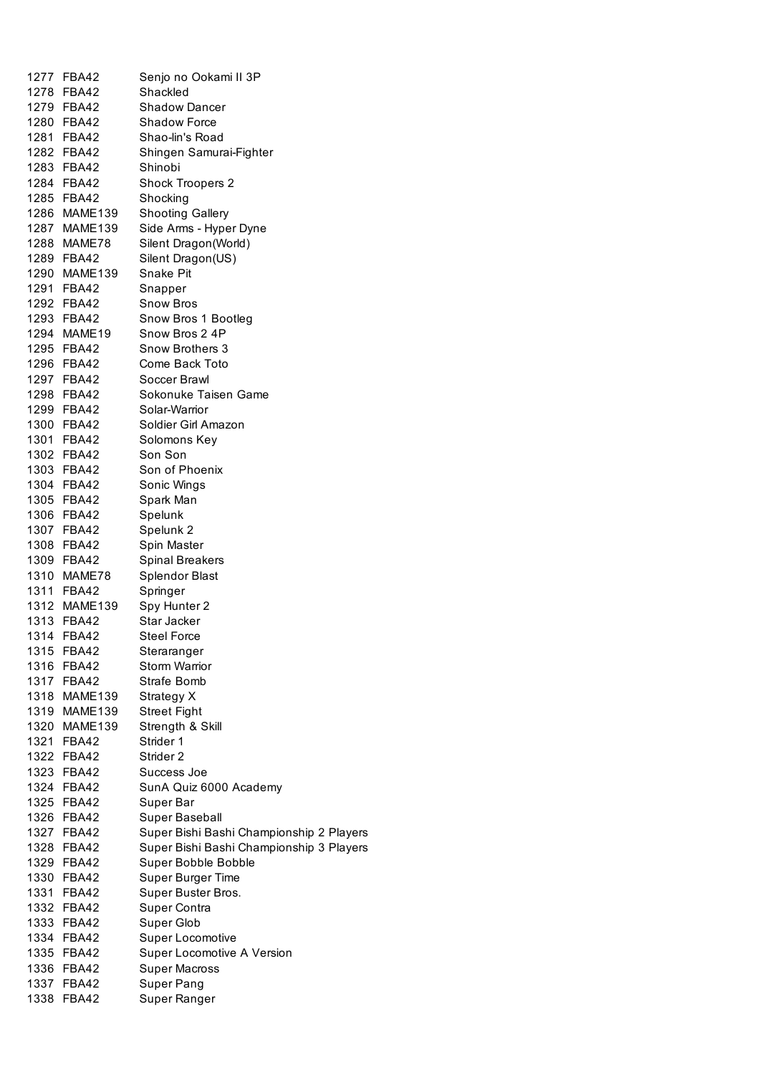| 1277 | FBA42        | Senjo no Ookami II 3P                    |
|------|--------------|------------------------------------------|
|      | 1278 FBA42   | Shackled                                 |
|      | 1279 FBA42   | <b>Shadow Dancer</b>                     |
|      | 1280 FBA42   | <b>Shadow Force</b>                      |
|      | 1281 FBA42   | Shao-lin's Road                          |
|      | 1282 FBA42   | Shingen Samurai-Fighter                  |
|      | 1283 FBA42   | Shinobi                                  |
|      | 1284 FBA42   | Shock Troopers 2                         |
|      | 1285 FBA42   | Shocking                                 |
|      | 1286 MAME139 | <b>Shooting Gallery</b>                  |
|      | 1287 MAME139 | Side Arms - Hyper Dyne                   |
|      | 1288 MAME78  | Silent Dragon(World)                     |
|      | 1289 FBA42   | Silent Dragon(US)                        |
|      | 1290 MAME139 | Snake Pit                                |
|      | 1291 FBA42   | Snapper                                  |
|      | 1292 FBA42   | <b>Snow Bros</b>                         |
|      | 1293 FBA42   | Snow Bros 1 Bootleg                      |
|      | 1294 MAME19  | Snow Bros 2 4P                           |
|      | 1295 FBA42   | <b>Snow Brothers 3</b>                   |
|      | 1296 FBA42   | Come Back Toto                           |
|      | 1297 FBA42   | Soccer Brawl                             |
|      | 1298 FBA42   | Sokonuke Taisen Game                     |
|      | 1299 FBA42   | Solar-Warrior                            |
|      | 1300 FBA42   | Soldier Girl Amazon                      |
|      | 1301 FBA42   | Solomons Key                             |
|      | 1302 FBA42   | Son Son                                  |
|      | 1303 FBA42   | Son of Phoenix                           |
|      | 1304 FBA42   | Sonic Wings                              |
|      | 1305 FBA42   | Spark Man                                |
|      | 1306 FBA42   | Spelunk                                  |
|      | 1307 FBA42   | Spelunk 2                                |
|      | 1308 FBA42   | Spin Master                              |
|      | 1309 FBA42   | <b>Spinal Breakers</b>                   |
|      | 1310 MAME78  | <b>Splendor Blast</b>                    |
|      | 1311 FBA42   | Springer                                 |
|      | 1312 MAME139 | Spy Hunter 2                             |
|      | 1313 FBA42   | Star Jacker                              |
|      | 1314 FBA42   | <b>Steel Force</b>                       |
| 1315 | FBA42        | Steraranger                              |
| 1316 | FBA42        | <b>Storm Warrior</b>                     |
|      | 1317 FBA42   | Strafe Bomb                              |
| 1318 | MAME139      | Strategy X                               |
|      | 1319 MAME139 | <b>Street Fight</b>                      |
|      | 1320 MAME139 | Strength & Skill                         |
|      | 1321 FBA42   | Strider 1                                |
|      | 1322 FBA42   | Strider 2                                |
|      | 1323 FBA42   | Success Joe                              |
|      | 1324 FBA42   | SunA Quiz 6000 Academy                   |
|      | 1325 FBA42   | Super Bar                                |
|      | 1326 FBA42   | Super Baseball                           |
|      | 1327 FBA42   | Super Bishi Bashi Championship 2 Players |
|      | 1328 FBA42   | Super Bishi Bashi Championship 3 Players |
|      | 1329 FBA42   | Super Bobble Bobble                      |
|      | 1330 FBA42   | Super Burger Time                        |
|      | 1331 FBA42   | Super Buster Bros.                       |
|      | 1332 FBA42   | Super Contra                             |
|      | 1333 FBA42   | Super Glob                               |
|      | 1334 FBA42   | Super Locomotive                         |
|      | 1335 FBA42   | Super Locomotive A Version               |
|      | 1336 FBA42   | <b>Super Macross</b>                     |
|      | 1337 FBA42   | <b>Super Pang</b>                        |
|      | 1338 FBA42   | Super Ranger                             |
|      |              |                                          |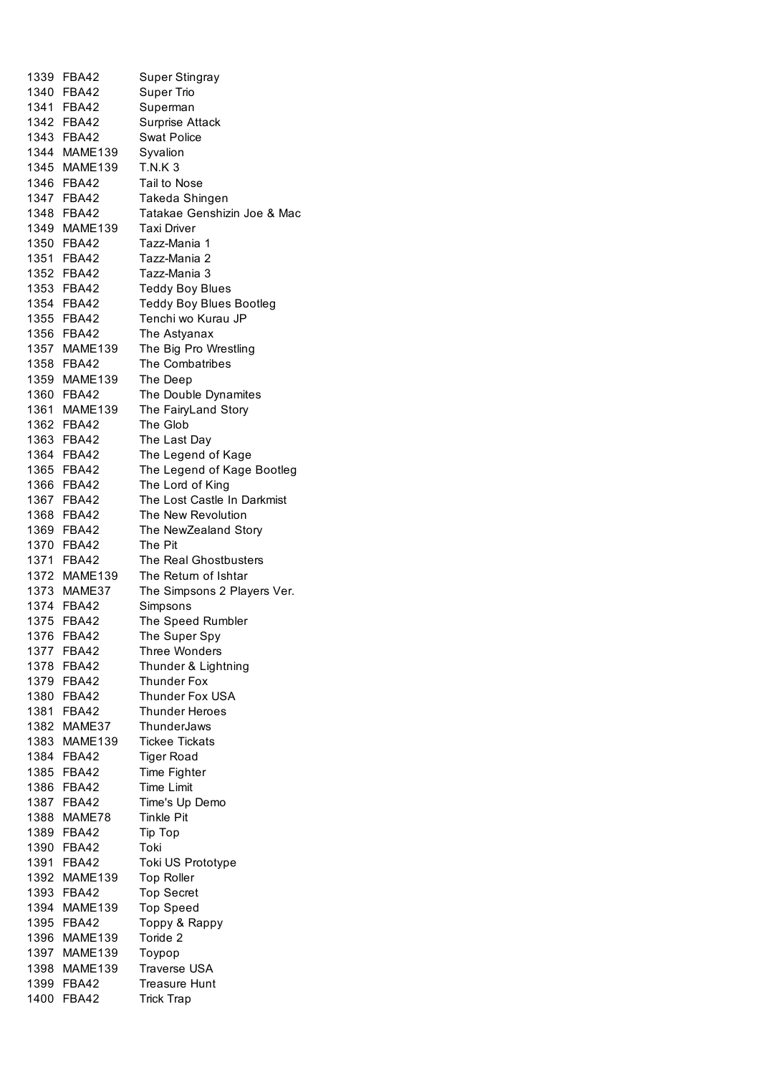|      | 1339 FBA42   | Super Stingray              |
|------|--------------|-----------------------------|
|      | 1340 FBA42   | <b>Super Trio</b>           |
|      | 1341 FBA42   | Superman                    |
|      | 1342 FBA42   | Surprise Attack             |
|      | 1343 FBA42   | <b>Swat Police</b>          |
|      | 1344 MAME139 | Syvalion                    |
| 1345 | MAME139      | <b>T.N.K3</b>               |
|      |              |                             |
| 1346 | FBA42        | Tail to Nose                |
|      | 1347 FBA42   | Takeda Shingen              |
|      | 1348 FBA42   | Tatakae Genshizin Joe & Mac |
|      | 1349 MAME139 | <b>Taxi Driver</b>          |
|      | 1350 FBA42   | Tazz-Mania 1                |
|      | 1351 FBA42   | Tazz-Mania 2                |
|      | 1352 FBA42   | Tazz-Mania 3                |
|      | 1353 FBA42   | <b>Teddy Boy Blues</b>      |
|      | 1354 FBA42   | Teddy Boy Blues Bootleg     |
|      | 1355 FBA42   | Tenchi wo Kurau JP          |
|      | 1356 FBA42   | The Astyanax                |
|      | 1357 MAME139 | The Big Pro Wrestling       |
|      | 1358 FBA42   | The Combatribes             |
|      | 1359 MAME139 | The Deep                    |
|      | 1360 FBA42   | The Double Dynamites        |
|      |              |                             |
|      | 1361 MAME139 | The FairyLand Story         |
|      | 1362 FBA42   | The Glob                    |
|      | 1363 FBA42   | The Last Day                |
|      | 1364 FBA42   | The Legend of Kage          |
|      | 1365 FBA42   | The Legend of Kage Bootleg  |
|      | 1366 FBA42   | The Lord of King            |
|      | 1367 FBA42   | The Lost Castle In Darkmist |
|      | 1368 FBA42   | The New Revolution          |
|      | 1369 FBA42   | The NewZealand Story        |
|      | 1370 FBA42   | The Pit                     |
|      | 1371 FBA42   | The Real Ghostbusters       |
|      | 1372 MAME139 | The Return of Ishtar        |
|      | 1373 MAME37  | The Simpsons 2 Players Ver. |
|      | 1374 FBA42   | Simpsons                    |
|      | 1375 FBA42   | The Speed Rumbler           |
|      | 1376 FBA42   | The Super Spy               |
|      |              |                             |
| 1377 | FBA42        | <b>Three Wonders</b>        |
|      | 1378 FBA42   | Thunder & Lightning         |
|      | 1379 FBA42   | <b>Thunder Fox</b>          |
|      | 1380 FBA42   | <b>Thunder Fox USA</b>      |
|      | 1381 FBA42   | Thunder Heroes              |
|      | 1382 MAME37  | ThunderJaws                 |
| 1383 | MAME139      | <b>Tickee Tickats</b>       |
|      | 1384 FBA42   | Tiger Road                  |
|      | 1385 FBA42   | <b>Time Fighter</b>         |
|      | 1386 FBA42   | Time Limit                  |
|      | 1387 FBA42   | Time's Up Demo              |
| 1388 | MAME78       | <b>Tinkle Pit</b>           |
|      | 1389 FBA42   | Tip Top                     |
|      | 1390 FBA42   | Toki                        |
|      | 1391 FBA42   | Toki US Prototype           |
|      | 1392 MAME139 |                             |
|      |              | <b>Top Roller</b>           |
|      | 1393 FBA42   | <b>Top Secret</b>           |
|      | 1394 MAME139 | <b>Top Speed</b>            |
|      | 1395 FBA42   | Toppy & Rappy               |
|      | 1396 MAME139 | Toride 2                    |
|      | 1397 MAME139 | Toypop                      |
|      | 1398 MAME139 | <b>Traverse USA</b>         |
|      | 1399 FBA42   | <b>Treasure Hunt</b>        |
| 1400 | <b>FBA42</b> | <b>Trick Trap</b>           |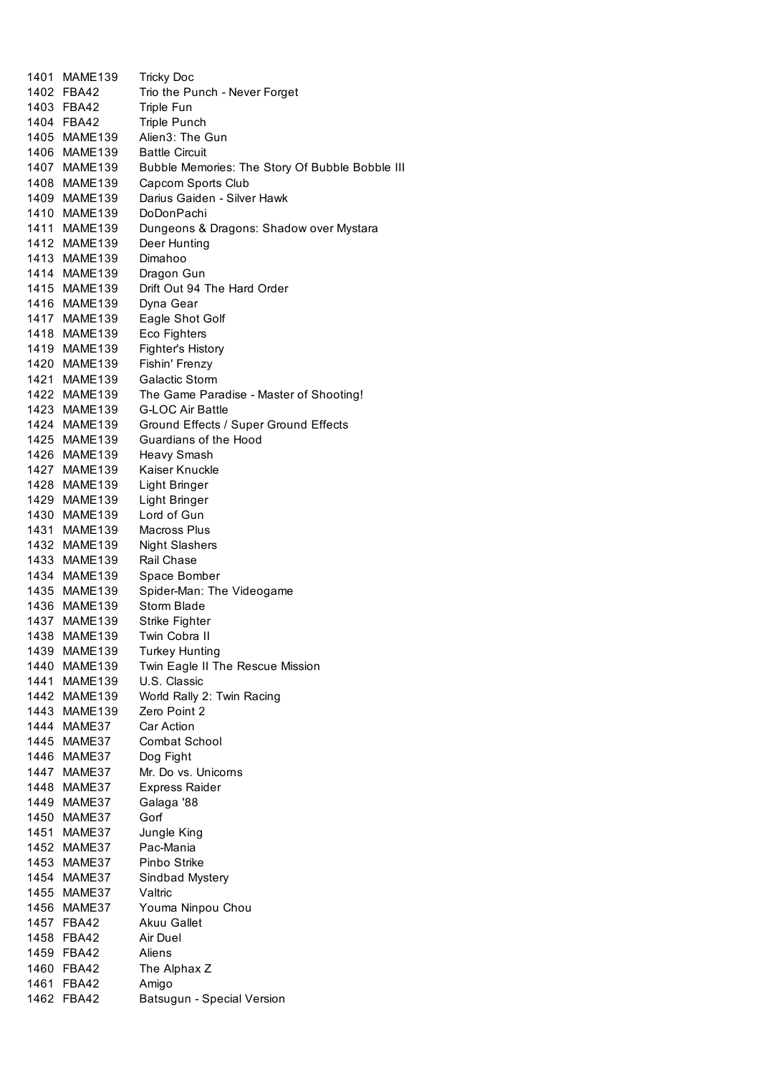| 1401 MAME139 | <b>Tricky Doc</b>                               |
|--------------|-------------------------------------------------|
| 1402 FBA42   | Trio the Punch - Never Forget                   |
| 1403 FBA42   | Triple Fun                                      |
| 1404 FBA42   | <b>Triple Punch</b>                             |
| 1405 MAME139 | Alien3: The Gun                                 |
| 1406 MAME139 | <b>Battle Circuit</b>                           |
| 1407 MAME139 | Bubble Memories: The Story Of Bubble Bobble III |
| 1408 MAME139 | Capcom Sports Club                              |
| 1409 MAME139 | Darius Gaiden - Silver Hawk                     |
| 1410 MAME139 | DoDonPachi                                      |
| 1411 MAME139 | Dungeons & Dragons: Shadow over Mystara         |
| 1412 MAME139 | Deer Hunting                                    |
| 1413 MAME139 | Dimahoo                                         |
| 1414 MAME139 | Dragon Gun                                      |
| 1415 MAME139 | Drift Out 94 The Hard Order                     |
| 1416 MAME139 | Dyna Gear                                       |
| 1417 MAME139 | Eagle Shot Golf                                 |
| 1418 MAME139 | Eco Fighters                                    |
| 1419 MAME139 | Fighter's History                               |
| 1420 MAME139 | Fishin' Frenzy                                  |
| 1421 MAME139 | <b>Galactic Storm</b>                           |
| 1422 MAME139 | The Game Paradise - Master of Shooting!         |
| 1423 MAME139 | <b>G-LOC Air Battle</b>                         |
| 1424 MAME139 | Ground Effects / Super Ground Effects           |
| 1425 MAME139 | Guardians of the Hood                           |
| 1426 MAME139 | <b>Heavy Smash</b>                              |
| 1427 MAME139 | Kaiser Knuckle                                  |
| 1428 MAME139 | Light Bringer                                   |
| 1429 MAME139 | Light Bringer                                   |
| 1430 MAME139 | Lord of Gun                                     |
| 1431 MAME139 | Macross Plus                                    |
| 1432 MAME139 | <b>Night Slashers</b>                           |
| 1433 MAME139 | Rail Chase                                      |
| 1434 MAME139 | Space Bomber                                    |
| 1435 MAME139 | Spider-Man: The Videogame                       |
| 1436 MAME139 | <b>Storm Blade</b>                              |
| 1437 MAME139 | Strike Fighter                                  |
| 1438 MAME139 | Twin Cobra II                                   |
| 1439 MAME139 | <b>Turkey Hunting</b>                           |
| 1440 MAME139 | Twin Eagle II The Rescue Mission                |
| 1441 MAME139 | U.S. Classic                                    |
| 1442 MAME139 | World Rally 2: Twin Racing                      |
| 1443 MAME139 | Zero Point 2                                    |
| 1444 MAME37  | <b>Car Action</b>                               |
| 1445 MAME37  | Combat School                                   |
| 1446 MAME37  | Dog Fight                                       |
| 1447 MAME37  | Mr. Do vs. Unicorns                             |
| 1448 MAME37  | <b>Express Raider</b>                           |
| 1449 MAME37  | Galaga '88                                      |
| 1450 MAME37  | Gorf                                            |
| 1451 MAME37  | Jungle King                                     |
| 1452 MAME37  | Pac-Mania                                       |
| 1453 MAME37  | Pinbo Strike                                    |
| 1454 MAME37  | Sindbad Mystery                                 |
| 1455 MAME37  | Valtric                                         |
| 1456 MAME37  | Youma Ninpou Chou                               |
| 1457 FBA42   | <b>Akuu Gallet</b>                              |
| 1458 FBA42   | Air Duel                                        |
| 1459 FBA42   | Aliens                                          |
| 1460 FBA42   | The Alphax Z                                    |
| 1461 FBA42   | Amigo                                           |
| 1462 FBA42   | Batsugun - Special Version                      |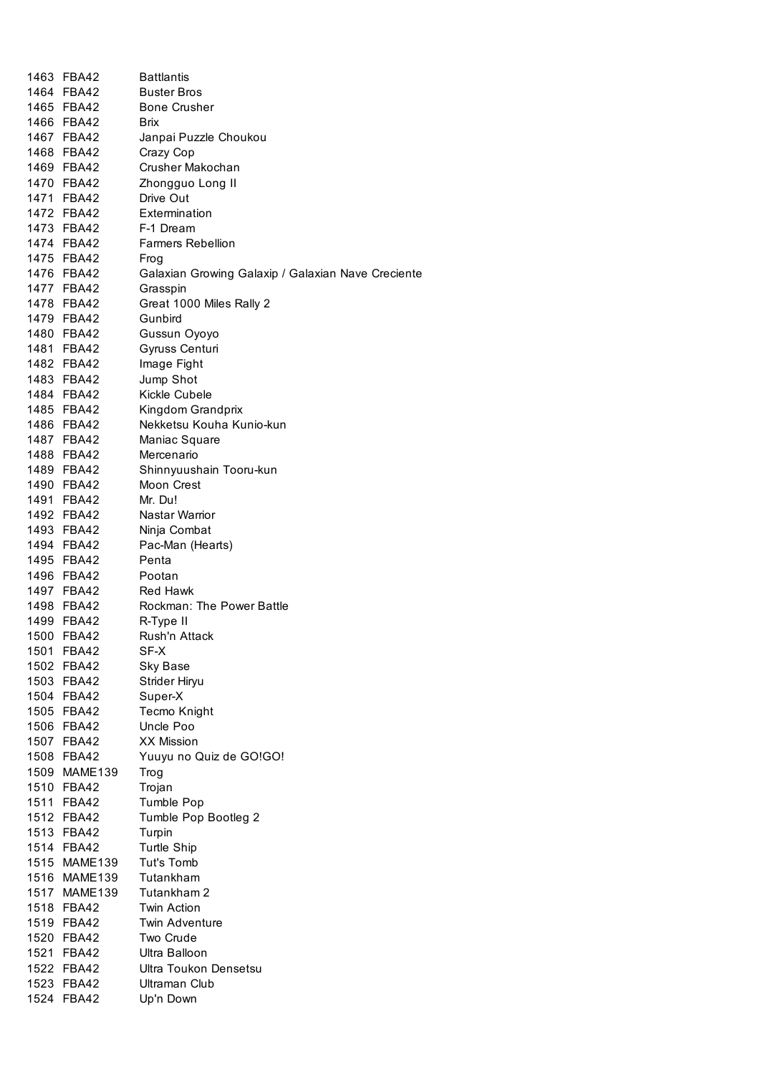|      | 1463 FBA42               | <b>Battlantis</b>                                  |
|------|--------------------------|----------------------------------------------------|
|      | 1464 FBA42               | <b>Buster Bros</b>                                 |
|      | 1465 FBA42               | <b>Bone Crusher</b>                                |
|      | 1466 FBA42               | <b>Brix</b>                                        |
|      | 1467 FBA42               | Janpai Puzzle Choukou                              |
|      | 1468 FBA42               | Crazy Cop                                          |
|      | 1469 FBA42               | Crusher Makochan                                   |
|      | 1470 FBA42               | Zhongguo Long II                                   |
|      | 1471 FBA42               | Drive Out                                          |
|      | 1472 FBA42               | Extermination                                      |
|      | 1473 FBA42               | F-1 Dream                                          |
|      | 1474 FBA42               | <b>Farmers Rebellion</b>                           |
|      | 1475 FBA42               | Frog                                               |
|      | 1476 FBA42               | Galaxian Growing Galaxip / Galaxian Nave Creciente |
|      | 1477 FBA42               | Grasspin                                           |
|      | 1478 FBA42               | Great 1000 Miles Rally 2                           |
|      | 1479 FBA42               | Gunbird                                            |
|      | 1480 FBA42               | Gussun Oyoyo                                       |
|      | 1481 FBA42               | Gyruss Centuri                                     |
|      | 1482 FBA42               | Image Fight                                        |
|      | 1483 FBA42               | Jump Shot                                          |
|      | 1484 FBA42               | Kickle Cubele                                      |
|      | 1485 FBA42               | Kingdom Grandprix                                  |
|      | 1486 FBA42               | Nekketsu Kouha Kunio-kun                           |
|      | 1487 FBA42               | Maniac Square                                      |
|      | 1488 FBA42               | Mercenario                                         |
|      | 1489 FBA42               | Shinnyuushain Tooru-kun                            |
|      | 1490 FBA42               | Moon Crest                                         |
|      | 1491 FBA42               | Mr. Du!                                            |
|      | 1492 FBA42               | Nastar Warrior                                     |
|      | 1493 FBA42               | Ninja Combat                                       |
|      | 1494 FBA42               | Pac-Man (Hearts)                                   |
|      | 1495 FBA42               | Penta                                              |
|      | 1496 FBA42               | Pootan                                             |
|      | 1497 FBA42               | <b>Red Hawk</b>                                    |
|      | 1498 FBA42               | <b>Rockman: The Power Battle</b>                   |
|      | 1499 FBA42               | R-Type II                                          |
|      | 1500 FBA42               | Rush'n Attack                                      |
|      | 1501 FBA42               | SF-X                                               |
|      | 1502 FBA42               | <b>Sky Base</b>                                    |
|      |                          |                                                    |
|      | 1503 FBA42<br>1504 FBA42 | Strider Hiryu<br>Super-X                           |
| 1505 | FBA42                    | Tecmo Knight                                       |
| 1506 | FBA42                    | Uncle Poo                                          |
| 1507 | FBA42                    | <b>XX Mission</b>                                  |
|      | 1508 FBA42               | Yuuyu no Quiz de GO!GO!                            |
|      | 1509 MAME139             | Trog                                               |
|      | 1510 FBA42               | Trojan                                             |
|      | 1511 FBA42               |                                                    |
|      | 1512 FBA42               | Tumble Pop<br>Tumble Pop Bootleg 2                 |
|      | 1513 FBA42               |                                                    |
|      | 1514 FBA42               | Turpin                                             |
|      | 1515 MAME139             | <b>Turtle Ship</b><br>Tut's Tomb                   |
|      | 1516 MAME139             | Tutankham                                          |
|      | 1517 MAME139             | Tutankham 2                                        |
|      |                          |                                                    |
|      | 1518 FBA42               | <b>Twin Action</b>                                 |
|      | 1519 FBA42               | <b>Twin Adventure</b>                              |
|      | 1520 FBA42               | Two Crude                                          |
|      | 1521 FBA42               | Ultra Balloon                                      |
|      | 1522 FBA42               | Ultra Toukon Densetsu                              |
|      | 1523 FBA42               | Ultraman Club                                      |
|      | 1524 FBA42               | Up'n Down                                          |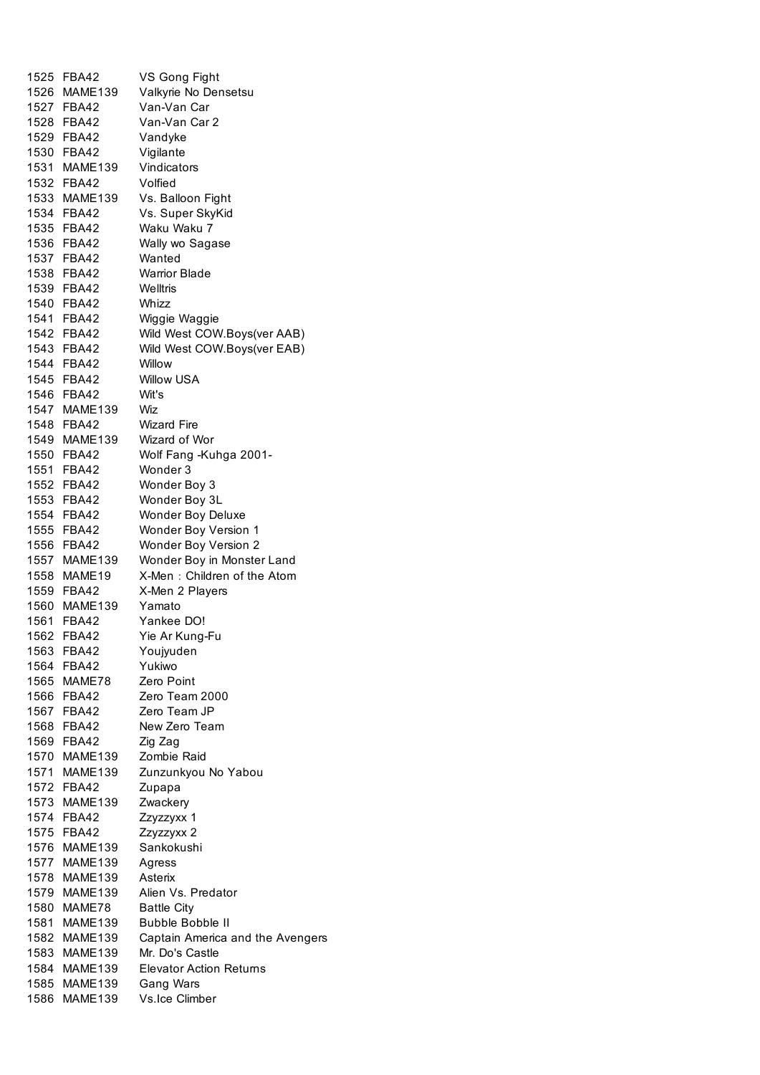| 1525 | FBA42        | VS Gong Fight                    |
|------|--------------|----------------------------------|
|      | 1526 MAME139 | Valkyrie No Densetsu             |
|      | 1527 FBA42   | Van-Van Car                      |
|      | 1528 FBA42   | Van-Van Car 2                    |
|      | 1529 FBA42   | Vandyke                          |
|      | 1530 FBA42   | Vigilante                        |
|      | 1531 MAME139 | Vindicators                      |
|      | 1532 FBA42   | Volfied                          |
|      | 1533 MAME139 | Vs. Balloon Fight                |
|      | 1534 FBA42   | Vs. Super SkyKid                 |
|      | 1535 FBA42   | Waku Waku 7                      |
|      | 1536 FBA42   | Wally wo Sagase                  |
|      |              | Wanted                           |
|      | 1537 FBA42   |                                  |
|      | 1538 FBA42   | <b>Warrior Blade</b>             |
|      | 1539 FBA42   | Welltris                         |
|      | 1540 FBA42   | Whizz                            |
|      | 1541 FBA42   | Wiggie Waggie                    |
|      | 1542 FBA42   | Wild West COW.Boys(ver AAB)      |
|      | 1543 FBA42   | Wild West COW.Boys(ver EAB)      |
|      | 1544 FBA42   | Willow                           |
|      | 1545 FBA42   | <b>Willow USA</b>                |
|      | 1546 FBA42   | Wit's                            |
|      | 1547 MAME139 | Wiz                              |
|      | 1548 FBA42   | <b>Wizard Fire</b>               |
|      | 1549 MAME139 | Wizard of Wor                    |
|      | 1550 FBA42   | Wolf Fang -Kuhga 2001-           |
|      | 1551 FBA42   | Wonder 3                         |
|      | 1552 FBA42   | Wonder Boy 3                     |
|      | 1553 FBA42   | Wonder Boy 3L                    |
|      | 1554 FBA42   | <b>Wonder Boy Deluxe</b>         |
|      | 1555 FBA42   | Wonder Boy Version 1             |
|      | 1556 FBA42   | Wonder Boy Version 2             |
|      | 1557 MAME139 | Wonder Boy in Monster Land       |
|      | 1558 MAME19  | X-Men: Children of the Atom      |
|      | 1559 FBA42   | X-Men 2 Players                  |
|      | 1560 MAME139 | Yamato                           |
|      | 1561 FBA42   | Yankee DO!                       |
|      | 1562 FBA42   | Yie Ar Kung-Fu                   |
| 1563 | <b>FBA42</b> | Youjyuden                        |
|      | 1564 FBA42   | Yukiwo                           |
|      | 1565 MAME78  | Zero Point                       |
|      |              |                                  |
|      | 1566 FBA42   | Zero Team 2000                   |
|      | 1567 FBA42   | Zero Team JP                     |
|      | 1568 FBA42   | New Zero Team                    |
|      | 1569 FBA42   | Zig Zag                          |
|      | 1570 MAME139 | Zombie Raid                      |
|      | 1571 MAME139 | Zunzunkyou No Yabou              |
|      | 1572 FBA42   | Zupapa                           |
|      | 1573 MAME139 | Zwackery                         |
|      | 1574 FBA42   | Zzyzzyxx 1                       |
|      | 1575 FBA42   | Zzyzzyxx 2                       |
|      | 1576 MAME139 | Sankokushi                       |
|      | 1577 MAME139 | Agress                           |
|      | 1578 MAME139 | Asterix                          |
|      | 1579 MAME139 | Alien Vs. Predator               |
|      | 1580 MAME78  | <b>Battle City</b>               |
|      | 1581 MAME139 | <b>Bubble Bobble II</b>          |
|      | 1582 MAME139 | Captain America and the Avengers |
|      | 1583 MAME139 | Mr. Do's Castle                  |
|      | 1584 MAME139 | <b>Elevator Action Returns</b>   |
|      | 1585 MAME139 | Gang Wars                        |
|      | 1586 MAME139 | Vs.lce Climber                   |
|      |              |                                  |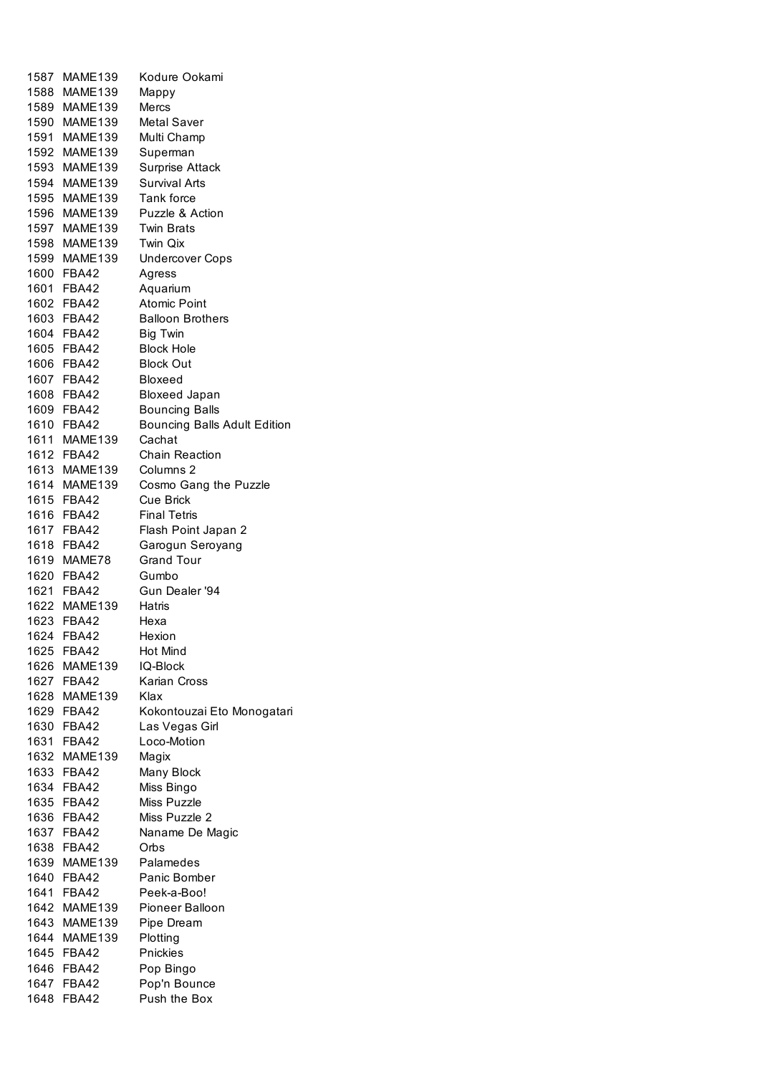| 1587 | MAME139      | Kodure Ookami                |
|------|--------------|------------------------------|
|      | 1588 MAME139 | Mappy                        |
|      | 1589 MAME139 | Mercs                        |
|      | 1590 MAME139 | Metal Saver                  |
|      | 1591 MAME139 | Multi Champ                  |
|      | 1592 MAME139 | Superman                     |
|      | 1593 MAME139 | <b>Surprise Attack</b>       |
|      | 1594 MAME139 | <b>Survival Arts</b>         |
|      | 1595 MAME139 | Tank force                   |
|      | 1596 MAME139 | Puzzle & Action              |
|      | 1597 MAME139 | <b>Twin Brats</b>            |
|      | 1598 MAME139 | Twin Qix                     |
|      | 1599 MAME139 | <b>Undercover Cops</b>       |
|      | 1600 FBA42   | Agress                       |
|      | 1601 FBA42   | Aquarium                     |
|      | 1602 FBA42   | <b>Atomic Point</b>          |
|      | 1603 FBA42   | <b>Balloon Brothers</b>      |
|      |              |                              |
|      | 1604 FBA42   | <b>Big Twin</b>              |
|      | 1605 FBA42   | <b>Block Hole</b>            |
|      | 1606 FBA42   | <b>Block Out</b>             |
|      | 1607 FBA42   | <b>Bloxeed</b>               |
|      | 1608 FBA42   | <b>Bloxeed Japan</b>         |
|      | 1609 FBA42   | <b>Bouncing Balls</b>        |
|      | 1610 FBA42   | Bouncing Balls Adult Edition |
|      | 1611 MAME139 | Cachat                       |
|      | 1612 FBA42   | <b>Chain Reaction</b>        |
|      | 1613 MAME139 | Columns 2                    |
|      | 1614 MAME139 | Cosmo Gang the Puzzle        |
|      | 1615 FBA42   | <b>Cue Brick</b>             |
|      | 1616 FBA42   | <b>Final Tetris</b>          |
|      | 1617 FBA42   | Flash Point Japan 2          |
|      | 1618 FBA42   | Garogun Seroyang             |
|      | 1619 MAME78  | <b>Grand Tour</b>            |
|      | 1620 FBA42   | Gumbo                        |
|      | 1621 FBA42   | Gun Dealer '94               |
|      | 1622 MAME139 | Hatris                       |
|      | 1623 FBA42   | Hexa                         |
|      | 1624 FBA42   | Hexion                       |
| 1625 | <b>FBA42</b> | Hot Mind                     |
|      | 1626 MAME139 | IQ-Block                     |
|      | 1627 FBA42   | Karian Cross                 |
|      | 1628 MAME139 | Klax                         |
|      | 1629 FBA42   | Kokontouzai Eto Monogatari   |
|      | 1630 FBA42   | Las Vegas Girl               |
|      | 1631 FBA42   | Loco-Motion                  |
|      | 1632 MAME139 | Magix                        |
|      | 1633 FBA42   | Many Block                   |
|      | 1634 FBA42   | Miss Bingo                   |
|      | 1635 FBA42   | Miss Puzzle                  |
|      | 1636 FBA42   | Miss Puzzle 2                |
|      | 1637 FBA42   | Naname De Magic              |
| 1638 | FBA42        | Orbs                         |
|      | 1639 MAME139 | Palamedes                    |
| 1640 | <b>FBA42</b> | Panic Bomber                 |
|      | 1641 FBA42   | Peek-a-Boo!                  |
|      | 1642 MAME139 | Pioneer Balloon              |
|      | 1643 MAME139 | Pipe Dream                   |
|      | 1644 MAME139 |                              |
|      |              | Plotting                     |
|      | 1645 FBA42   | Pnickies                     |
|      | 1646 FBA42   | Pop Bingo                    |
|      | 1647 FBA42   | Pop'n Bounce                 |
| 1648 | <b>FBA42</b> | Push the Box                 |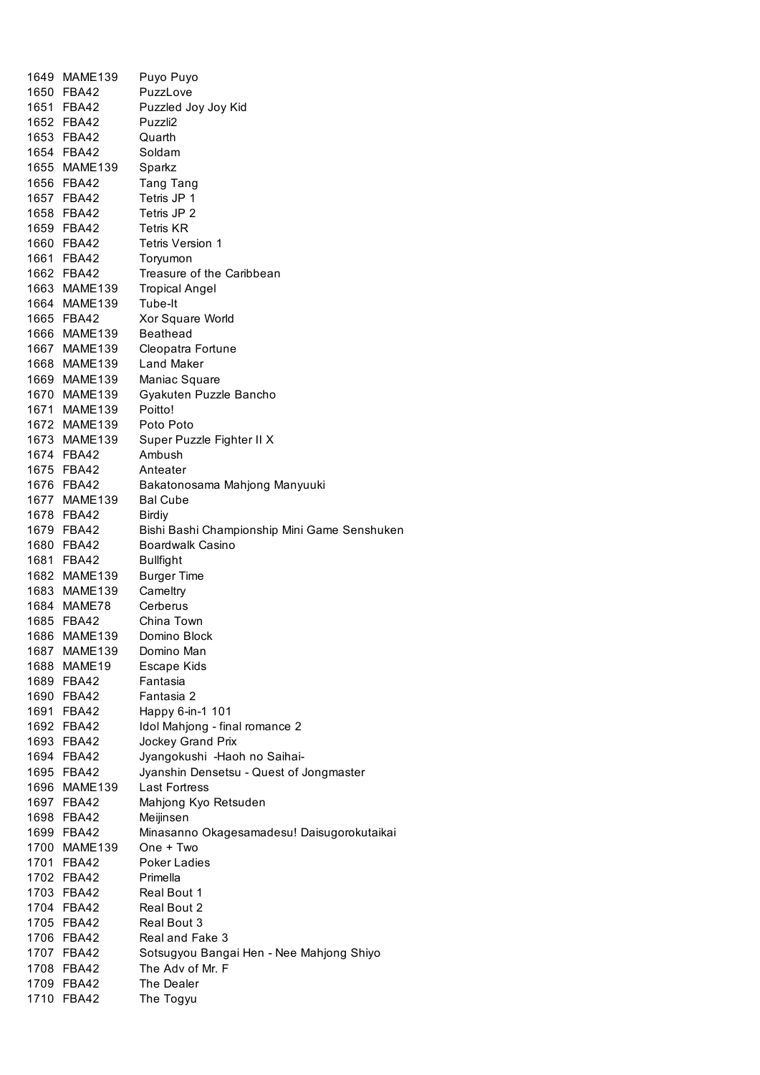| 1649 MAME139             | Puyo Puyo                                    |
|--------------------------|----------------------------------------------|
| 1650 FBA42               | PuzzLove                                     |
| 1651 FBA42               | Puzzled Joy Joy Kid                          |
| 1652 FBA42               | Puzzli2                                      |
| 1653 FBA42               | Quarth                                       |
| 1654 FBA42               | Soldam                                       |
| 1655 MAME139             | Sparkz                                       |
| 1656 FBA42               | <b>Tang Tang</b>                             |
|                          | Tetris JP 1                                  |
| 1657 FBA42               |                                              |
| 1658 FBA42               | Tetris JP 2                                  |
| 1659 FBA42               | <b>Tetris KR</b>                             |
| 1660 FBA42               | <b>Tetris Version 1</b>                      |
| 1661 FBA42               | Toryumon                                     |
| 1662 FBA42               | Treasure of the Caribbean                    |
| 1663 MAME139             | <b>Tropical Angel</b>                        |
| 1664 MAME139             | Tube-It                                      |
| 1665 FBA42               | Xor Square World                             |
| 1666 MAME139             | Beathead                                     |
| 1667 MAME139             | Cleopatra Fortune                            |
| 1668 MAME139             | Land Maker                                   |
| 1669 MAME139             | Maniac Square                                |
| 1670 MAME139             | Gyakuten Puzzle Bancho                       |
| 1671 MAME139             | Poitto!                                      |
|                          |                                              |
| 1672 MAME139             | Poto Poto                                    |
| 1673 MAME139             | Super Puzzle Fighter II X                    |
| 1674 FBA42               | Ambush                                       |
| 1675 FBA42               | Anteater                                     |
| 1676 FBA42               | Bakatonosama Mahjong Manyuuki                |
| 1677 MAME139             | <b>Bal Cube</b>                              |
| 1678 FBA42               | <b>Birdiy</b>                                |
| 1679 FBA42               | Bishi Bashi Championship Mini Game Senshuken |
| 1680 FBA42               | <b>Boardwalk Casino</b>                      |
| 1681 FBA42               | <b>Bullfight</b>                             |
| 1682 MAME139             | <b>Burger Time</b>                           |
| 1683 MAME139             | Cameltry                                     |
| 1684 MAME78              | Cerberus                                     |
| 1685 FBA42               | China Town                                   |
| 1686 MAME139             | Domino Block                                 |
| 1687 MAME139             | Domino Man                                   |
| 1688 MAME19              | Escape Kids                                  |
| 1689 FBA42               | Fantasia                                     |
| 1690 FBA42               | Fantasia 2                                   |
| 1691 FBA42               |                                              |
|                          | Happy 6-in-1 101                             |
|                          |                                              |
| 1692 FBA42               | Idol Mahjong - final romance 2               |
| 1693 FBA42               | Jockey Grand Prix                            |
| 1694 FBA42               | Jyangokushi - Haoh no Saihai-                |
| 1695 FBA42               | Jyanshin Densetsu - Quest of Jongmaster      |
| 1696 MAME139             | Last Fortress                                |
| 1697 FBA42               | Mahjong Kyo Retsuden                         |
| 1698 FBA42               | Meijinsen                                    |
| 1699 FBA42               | Minasanno Okagesamadesu! Daisugorokutaikai   |
| 1700 MAME139             | One + Two                                    |
| 1701 FBA42               | <b>Poker Ladies</b>                          |
| 1702 FBA42               | Primella                                     |
| 1703 FBA42               | Real Bout 1                                  |
|                          | Real Bout 2                                  |
| 1704 FBA42               |                                              |
| 1705 FBA42               | Real Bout 3                                  |
| 1706 FBA42               | Real and Fake 3                              |
| 1707 FBA42               | Sotsugyou Bangai Hen - Nee Mahjong Shiyo     |
| 1708 FBA42               | The Adv of Mr. F                             |
| 1709 FBA42<br>1710 FBA42 | The Dealer<br>The Togyu                      |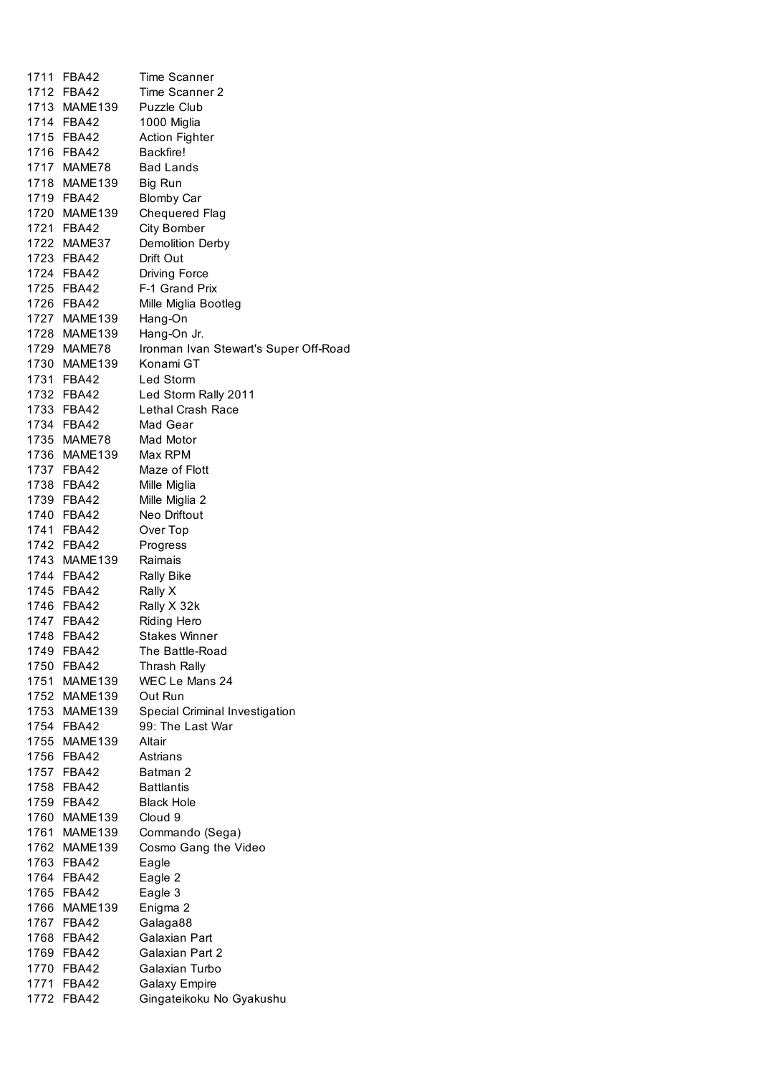| 1711 | <b>FBA42</b> | Time Scanner                          |
|------|--------------|---------------------------------------|
|      | 1712 FBA42   | Time Scanner 2                        |
|      | 1713 MAME139 | Puzzle Club                           |
|      | 1714 FBA42   | 1000 Miglia                           |
|      | 1715 FBA42   | <b>Action Fighter</b>                 |
|      | 1716 FBA42   | Backfire!                             |
|      | 1717 MAME78  | <b>Bad Lands</b>                      |
|      | 1718 MAME139 | Big Run                               |
|      | 1719 FBA42   | <b>Blomby Car</b>                     |
|      | 1720 MAME139 | Chequered Flag                        |
|      | 1721 FBA42   | <b>City Bomber</b>                    |
|      | 1722 MAME37  | Demolition Derby                      |
|      | 1723 FBA42   | Drift Out                             |
|      | 1724 FBA42   | <b>Driving Force</b>                  |
|      | 1725 FBA42   | F-1 Grand Prix                        |
|      | 1726 FBA42   | Mille Miglia Bootleg                  |
|      | 1727 MAME139 | Hang-On                               |
|      | 1728 MAME139 | Hang-On Jr.                           |
|      | 1729 MAME78  | Ironman Ivan Stewart's Super Off-Road |
|      | 1730 MAME139 | Konami GT                             |
|      | 1731 FBA42   | Led Storm                             |
|      | 1732 FBA42   | Led Storm Rally 2011                  |
|      | 1733 FBA42   | Lethal Crash Race                     |
|      | 1734 FBA42   | Mad Gear                              |
|      | 1735 MAME78  | Mad Motor                             |
|      | 1736 MAME139 | Max RPM                               |
|      | 1737 FBA42   | Maze of Flott                         |
|      | 1738 FBA42   | Mille Miglia                          |
|      | 1739 FBA42   | Mille Miglia 2                        |
|      | 1740 FBA42   | Neo Driftout                          |
|      | 1741 FBA42   | Over Top                              |
|      | 1742 FBA42   | Progress                              |
|      | 1743 MAME139 | Raimais                               |
|      | 1744 FBA42   | <b>Rally Bike</b>                     |
|      | 1745 FBA42   | Rally X                               |
|      | 1746 FBA42   | Rally X 32k                           |
|      | 1747 FBA42   | <b>Riding Hero</b>                    |
| 1748 | <b>FBA42</b> | Stakes Winner                         |
| 1749 | <b>FBA42</b> | The Battle-Road                       |
|      | 1750 FBA42   | Thrash Rally                          |
|      | 1751 MAME139 | WEC Le Mans 24                        |
|      | 1752 MAME139 | Out Run                               |
|      | 1753 MAME139 | Special Criminal Investigation        |
|      | 1754 FBA42   | 99: The Last War                      |
|      | 1755 MAME139 | Altair                                |
|      | 1756 FBA42   | Astrians                              |
|      | 1757 FBA42   | Batman 2                              |
| 1758 | FBA42        | <b>Battlantis</b>                     |
| 1759 | FBA42        | <b>Black Hole</b>                     |
| 1760 | MAME139      | Cloud 9                               |
| 1761 | MAME139      | Commando (Sega)                       |
| 1762 | MAME139      | Cosmo Gang the Video                  |
|      | 1763 FBA42   | Eagle                                 |
|      | 1764 FBA42   | Eagle 2                               |
|      | 1765 FBA42   | Eagle 3                               |
|      | 1766 MAME139 | Enigma 2                              |
|      | 1767 FBA42   | Galaga88                              |
|      | 1768 FBA42   | Galaxian Part                         |
|      | 1769 FBA42   | Galaxian Part 2                       |
|      | 1770 FBA42   | Galaxian Turbo                        |
|      | 1771 FBA42   | <b>Galaxy Empire</b>                  |
| 1772 | <b>FBA42</b> | Gingateikoku No Gyakushu              |
|      |              |                                       |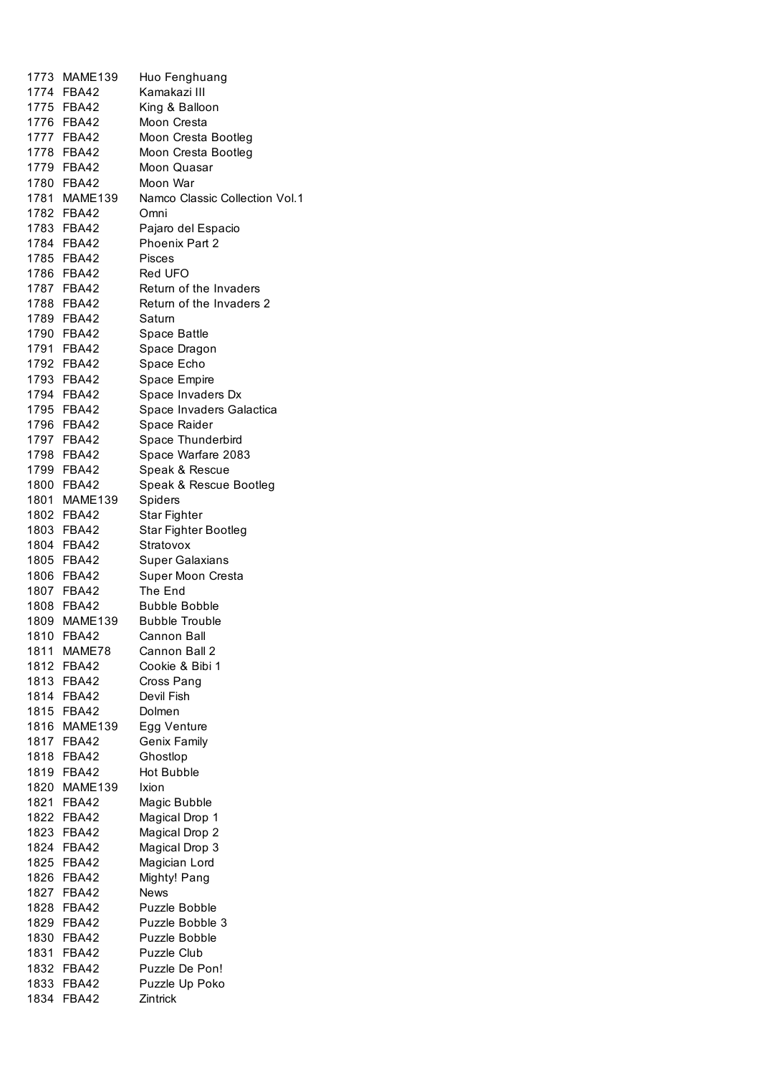| 1773 MAME139 | Huo Fenghuang                  |
|--------------|--------------------------------|
| 1774 FBA42   | Kamakazi III                   |
| 1775 FBA42   | King & Balloon                 |
| 1776 FBA42   | Moon Cresta                    |
| 1777 FBA42   | Moon Cresta Bootleg            |
| 1778 FBA42   | Moon Cresta Bootleg            |
| 1779 FBA42   | Moon Quasar                    |
| 1780 FBA42   | Moon War                       |
| 1781 MAME139 | Namco Classic Collection Vol.1 |
| 1782 FBA42   | Omni                           |
| 1783 FBA42   | Pajaro del Espacio             |
| 1784 FBA42   | Phoenix Part 2                 |
| 1785 FBA42   | Pisces                         |
| 1786 FBA42   | Red UFO                        |
| 1787 FBA42   | Retum of the Invaders          |
|              |                                |
| 1788 FBA42   | Retum of the Invaders 2        |
| 1789 FBA42   | Satum                          |
| 1790 FBA42   | Space Battle                   |
| 1791 FBA42   | Space Dragon                   |
| 1792 FBA42   | Space Echo                     |
| 1793 FBA42   | Space Empire                   |
| 1794 FBA42   | Space Invaders Dx              |
| 1795 FBA42   | Space Invaders Galactica       |
| 1796 FBA42   | Space Raider                   |
| 1797 FBA42   | Space Thunderbird              |
| 1798 FBA42   | Space Warfare 2083             |
| 1799 FBA42   | Speak & Rescue                 |
| 1800 FBA42   | Speak & Rescue Bootleg         |
| 1801 MAME139 | Spiders                        |
| 1802 FBA42   | Star Fighter                   |
| 1803 FBA42   | Star Fighter Bootleg           |
| 1804 FBA42   | Stratovox                      |
| 1805 FBA42   | <b>Super Galaxians</b>         |
| 1806 FBA42   | Super Moon Cresta              |
| 1807 FBA42   | The End                        |
| 1808 FBA42   | <b>Bubble Bobble</b>           |
| 1809 MAME139 | <b>Bubble Trouble</b>          |
| 1810 FBA42   | Cannon Ball                    |
| 1811 MAME78  | Cannon Ball 2                  |
| 1812 FBA42   | Cookie & Bibi 1                |
| 1813 FBA42   | Cross Pang                     |
| 1814 FBA42   | Devil Fish                     |
| 1815 FBA42   | Dolmen                         |
| 1816 MAME139 | Egg Venture                    |
| 1817 FBA42   | <b>Genix Family</b>            |
| 1818 FBA42   | Ghostlop                       |
| 1819 FBA42   | <b>Hot Bubble</b>              |
| 1820 MAME139 | Ixion                          |
| 1821 FBA42   | Magic Bubble                   |
| 1822 FBA42   | Magical Drop 1                 |
| 1823 FBA42   | Magical Drop 2                 |
| 1824 FBA42   | Magical Drop 3                 |
| 1825 FBA42   | Magician Lord                  |
| 1826 FBA42   | Mighty! Pang                   |
| 1827 FBA42   | <b>News</b>                    |
| 1828 FBA42   | Puzzle Bobble                  |
| 1829 FBA42   | Puzzle Bobble 3                |
| 1830 FBA42   | Puzzle Bobble                  |
| 1831 FBA42   | Puzzle Club                    |
| 1832 FBA42   | Puzzle De Pon!                 |
| 1833 FBA42   | Puzzle Up Poko                 |
| 1834 FBA42   | Zintrick                       |
|              |                                |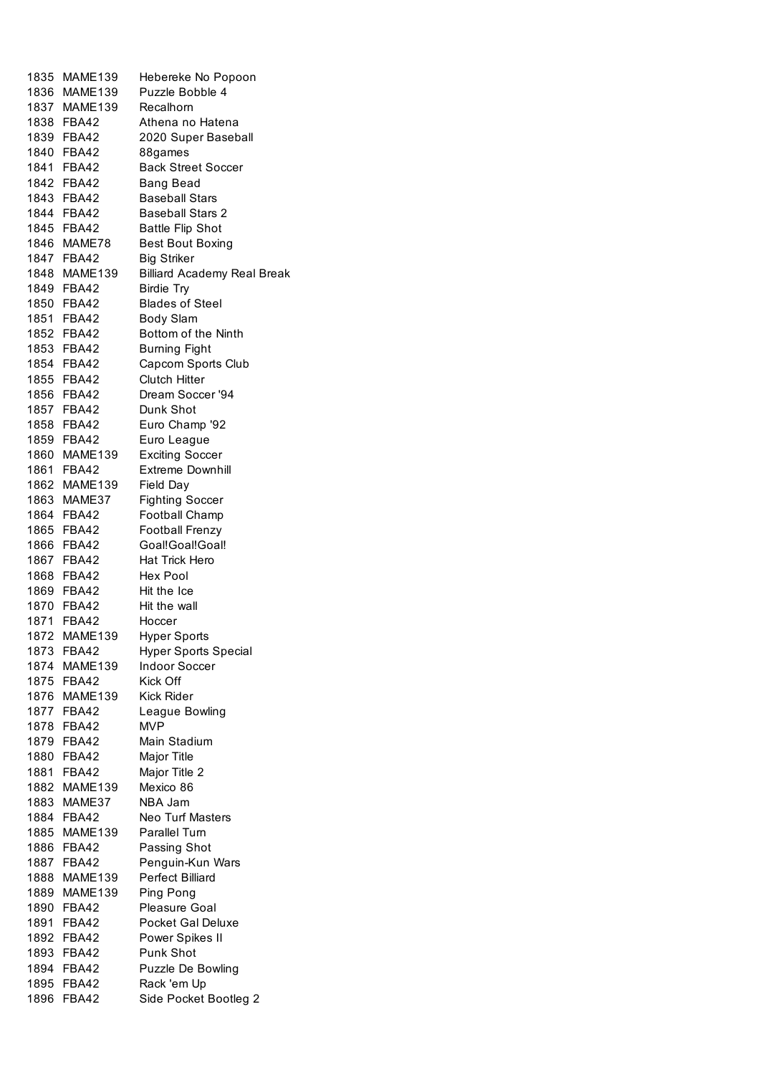| 1835 MAME139 | Hebereke No Popoon                 |
|--------------|------------------------------------|
| 1836 MAME139 | Puzzle Bobble 4                    |
| 1837 MAME139 | Recalhorn                          |
| 1838 FBA42   |                                    |
|              | Athena no Hatena                   |
| 1839 FBA42   | 2020 Super Baseball                |
| 1840 FBA42   | 88games                            |
| 1841 FBA42   | <b>Back Street Soccer</b>          |
| 1842 FBA42   | Bang Bead                          |
| 1843 FBA42   | <b>Baseball Stars</b>              |
|              |                                    |
| 1844 FBA42   | <b>Baseball Stars 2</b>            |
| 1845 FBA42   | <b>Battle Flip Shot</b>            |
| 1846 MAME78  | <b>Best Bout Boxing</b>            |
| 1847 FBA42   | <b>Big Striker</b>                 |
| 1848 MAME139 | <b>Billiard Academy Real Break</b> |
| 1849 FBA42   | <b>Birdie Try</b>                  |
|              |                                    |
| 1850 FBA42   | <b>Blades of Steel</b>             |
| 1851 FBA42   | <b>Body Slam</b>                   |
| 1852 FBA42   | Bottom of the Ninth                |
| 1853 FBA42   | <b>Burning Fight</b>               |
| 1854 FBA42   | Capcom Sports Club                 |
| 1855 FBA42   | <b>Clutch Hitter</b>               |
|              |                                    |
| 1856 FBA42   | Dream Soccer '94                   |
| 1857 FBA42   | Dunk Shot                          |
| 1858 FBA42   | Euro Champ '92                     |
| 1859 FBA42   | Euro League                        |
| 1860 MAME139 | <b>Exciting Soccer</b>             |
| 1861 FBA42   | <b>Extreme Downhill</b>            |
| 1862 MAME139 |                                    |
|              | Field Day                          |
| 1863 MAME37  | <b>Fighting Soccer</b>             |
| 1864 FBA42   | Football Champ                     |
| 1865 FBA42   | <b>Football Frenzy</b>             |
| 1866 FBA42   | Goal!Goal!Goal!                    |
| 1867 FBA42   | Hat Trick Hero                     |
| 1868 FBA42   | Hex Pool                           |
|              | Hit the Ice                        |
| 1869 FBA42   |                                    |
| 1870 FBA42   | Hit the wall                       |
| 1871 FBA42   | Hoccer                             |
| 1872 MAME139 | <b>Hyper Sports</b>                |
| 1873 FBA42   | <b>Hyper Sports Special</b>        |
| 1874 MAME139 | <b>Indoor Soccer</b>               |
| 1875 FBA42   | Kick Off                           |
|              |                                    |
| 1876 MAME139 | <b>Kick Rider</b>                  |
| 1877 FBA42   | League Bowling                     |
| 1878 FBA42   | MVP                                |
| 1879 FBA42   | Main Stadium                       |
| 1880 FBA42   | Major Title                        |
| 1881 FBA42   | Major Title 2                      |
| 1882 MAME139 | Mexico 86                          |
|              |                                    |
| 1883 MAME37  | NBA Jam                            |
| 1884 FBA42   | Neo Turf Masters                   |
| 1885 MAME139 | Parallel Turn                      |
| 1886 FBA42   | Passing Shot                       |
| 1887 FBA42   | Penguin-Kun Wars                   |
| 1888 MAME139 | Perfect Billiard                   |
|              |                                    |
| 1889 MAME139 | Ping Pong                          |
| 1890 FBA42   | Pleasure Goal                      |
| 1891 FBA42   | Pocket Gal Deluxe                  |
| 1892 FBA42   | Power Spikes II                    |
| 1893 FBA42   | Punk Shot                          |
| 1894 FBA42   | Puzzle De Bowling                  |
| 1895 FBA42   | Rack 'em Up                        |
| 1896 FBA42   | Side Pocket Bootleg 2              |
|              |                                    |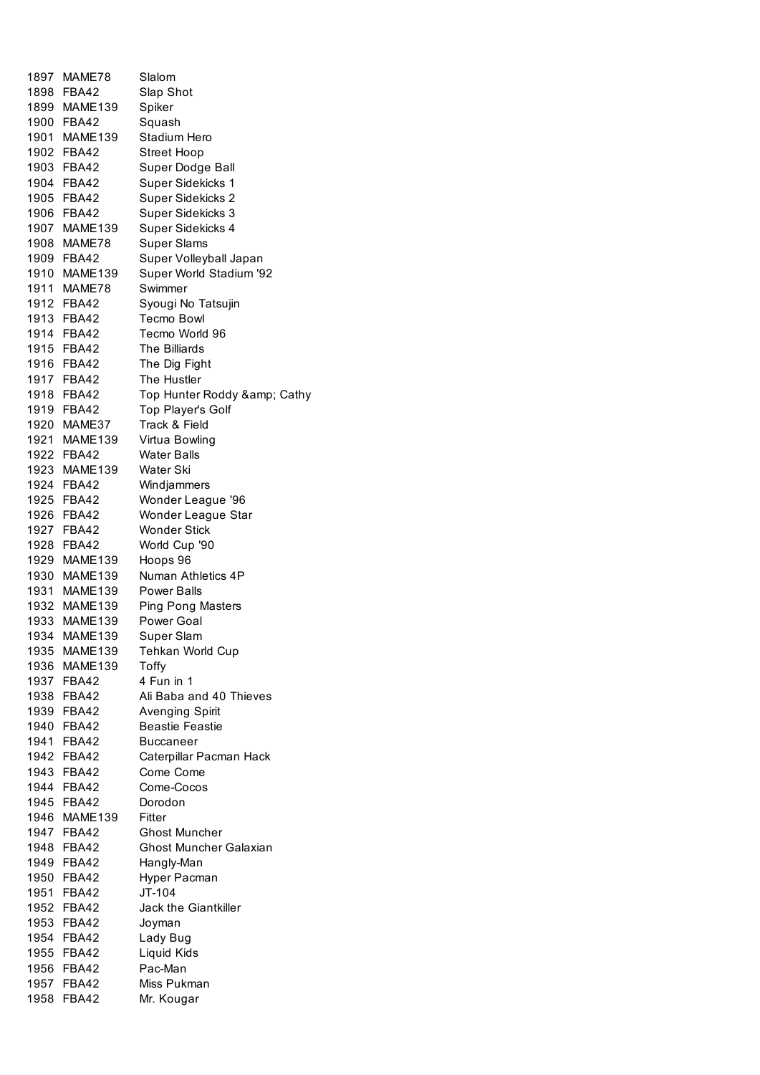|      | 1897 MAME78  | Slalom                        |
|------|--------------|-------------------------------|
|      | 1898 FBA42   | Slap Shot                     |
|      | 1899 MAME139 | Spiker                        |
|      | 1900 FBA42   | Squash                        |
|      | 1901 MAME139 | Stadium Hero                  |
|      | 1902 FBA42   | <b>Street Hoop</b>            |
|      | 1903 FBA42   | Super Dodge Ball              |
|      | 1904 FBA42   | Super Sidekicks 1             |
|      | 1905 FBA42   | Super Sidekicks 2             |
|      | 1906 FBA42   | Super Sidekicks 3             |
|      | 1907 MAME139 | Super Sidekicks 4             |
|      | 1908 MAME78  | <b>Super Slams</b>            |
|      | 1909 FBA42   | Super Volleyball Japan        |
|      | 1910 MAME139 | Super World Stadium '92       |
|      | 1911 MAME78  | Swimmer                       |
|      | 1912 FBA42   | Syougi No Tatsujin            |
|      | 1913 FBA42   | <b>Tecmo Bowl</b>             |
|      | 1914 FBA42   | Tecmo World 96                |
|      | 1915 FBA42   | <b>The Billiards</b>          |
|      | 1916 FBA42   | The Dig Fight                 |
|      | 1917 FBA42   | The Hustler                   |
|      | 1918 FBA42   | Top Hunter Roddy & Cathy      |
|      | 1919 FBA42   | Top Player's Golf             |
|      | 1920 MAME37  | Track & Field                 |
|      | 1921 MAME139 | Virtua Bowling                |
|      | 1922 FBA42   | <b>Water Balls</b>            |
|      | 1923 MAME139 | Water Ski                     |
|      | 1924 FBA42   | Windjammers                   |
|      | 1925 FBA42   | Wonder League '96             |
|      | 1926 FBA42   | Wonder League Star            |
|      | 1927 FBA42   | <b>Wonder Stick</b>           |
|      | 1928 FBA42   | World Cup '90                 |
|      | 1929 MAME139 | Hoops 96                      |
|      | 1930 MAME139 | Numan Athletics 4P            |
|      | 1931 MAME139 | Power Balls                   |
|      | 1932 MAME139 | <b>Ping Pong Masters</b>      |
| 1933 | MAME139      | Power Goal                    |
| 1934 | MAME139      | Super Slam                    |
| 1935 | MAME139      | Tehkan World Cup              |
| 1936 | MAME139      | Toffy                         |
|      | 1937 FBA42   | 4 Fun in 1                    |
|      | 1938 FBA42   | Ali Baba and 40 Thieves       |
|      | 1939 FBA42   | Avenging Spirit               |
|      | 1940 FBA42   | <b>Beastie Feastie</b>        |
|      | 1941 FBA42   | <b>Buccaneer</b>              |
|      | 1942 FBA42   | Caterpillar Pacman Hack       |
|      | 1943 FBA42   | Come Come                     |
|      | 1944 FBA42   | Come-Cocos                    |
|      | 1945 FBA42   | Dorodon                       |
|      | 1946 MAME139 | Fitter                        |
|      | 1947 FBA42   | <b>Ghost Muncher</b>          |
|      | 1948 FBA42   | <b>Ghost Muncher Galaxian</b> |
|      | 1949 FBA42   | Hangly-Man                    |
|      | 1950 FBA42   | Hyper Pacman                  |
|      | 1951 FBA42   | $JT-104$                      |
|      | 1952 FBA42   | Jack the Giantkiller          |
|      | 1953 FBA42   | Joyman                        |
|      | 1954 FBA42   | Lady Bug                      |
|      | 1955 FBA42   | Liquid Kids                   |
|      | 1956 FBA42   | Pac-Man                       |
|      | 1957 FBA42   | Miss Pukman                   |
|      | 1958 FBA42   | Mr. Kougar                    |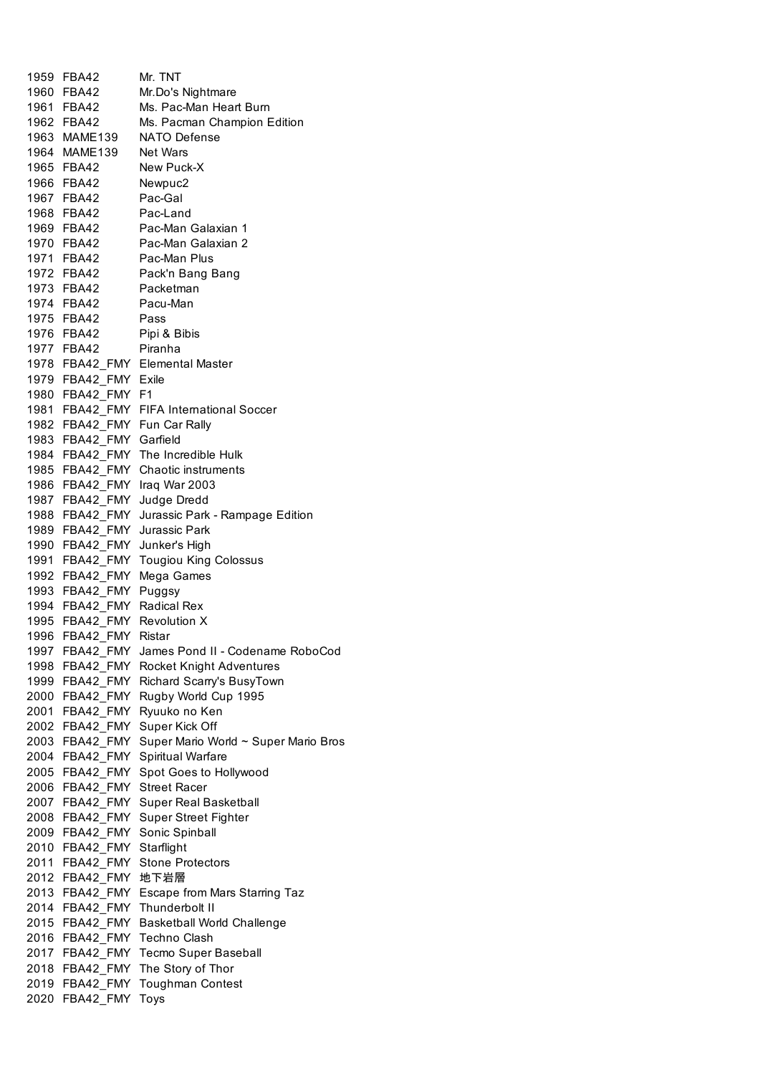|      | 1959 FBA42                   | Mr. TNT                                                        |
|------|------------------------------|----------------------------------------------------------------|
|      | 1960 FBA42                   | Mr.Do's Nightmare                                              |
|      | 1961 FBA42                   | Ms. Pac-Man Heart Burn                                         |
|      | 1962 FBA42                   | Ms. Pacman Champion Edition                                    |
|      | 1963 MAME139                 | <b>NATO Defense</b>                                            |
|      | 1964 MAME139                 | Net Wars                                                       |
|      | 1965 FBA42                   | New Puck-X                                                     |
|      | 1966 FBA42                   | Newpuc2                                                        |
|      | 1967 FBA42                   | Pac-Gal                                                        |
|      | 1968 FBA42 Pac-Land          |                                                                |
|      |                              |                                                                |
|      |                              | 1969 FBA42 Pac-Man Galaxian 1<br>1970 FBA42 Pac-Man Galaxian 2 |
|      |                              |                                                                |
|      |                              | 1971 FBA42 Pac-Man Plus                                        |
|      |                              | 1972 FBA42 Pack'n Bang Bang                                    |
|      | 1973 FBA42 Packetman         |                                                                |
|      | 1974 FBA42 Pacu-Man          |                                                                |
|      | 1975 FBA42 Pass              |                                                                |
|      | 1976 FBA42 Pipi & Bibis      |                                                                |
|      | 1977 FBA42 Piranha           |                                                                |
|      |                              | 1978 FBA42_FMY Elemental Master                                |
|      | 1979 FBA42_FMY Exile         |                                                                |
|      | 1980 FBA42_FMY F1            |                                                                |
|      |                              | 1981 FBA42_FMY FIFA International Soccer                       |
|      |                              | 1982 FBA42 FMY Fun Car Rally                                   |
|      | 1983 FBA42_FMY Garfield      |                                                                |
|      |                              | 1984 FBA42 FMY The Incredible Hulk                             |
|      |                              | 1985 FBA42 FMY Chaotic instruments                             |
|      |                              | 1986 FBA42_FMY Iraq War 2003                                   |
|      | 1987 FBA42_FMY Judge Dredd   |                                                                |
|      |                              | 1988 FBA42_FMY Jurassic Park - Rampage Edition                 |
|      | 1989 FBA42 FMY Jurassic Park |                                                                |
|      | 1990 FBA42_FMY Junker's High |                                                                |
|      |                              | 1991 FBA42_FMY Tougiou King Colossus                           |
|      | 1992 FBA42 FMY               |                                                                |
|      |                              | Mega Games                                                     |
|      | 1993 FBA42_FMY Puggsy        |                                                                |
|      | 1994 FBA42 FMY Radical Rex   |                                                                |
|      | 1995 FBA42 FMY Revolution X  |                                                                |
|      | 1996 FBA42 FMY Ristar        |                                                                |
| 1997 | FBA42 FMY                    | James Pond II - Codename RoboCod                               |
| 1998 | FBA42 FMY                    | Rocket Knight Adventures                                       |
| 1999 | FBA42 FMY                    | Richard Scarry's BusyTown                                      |
| 2000 | FBA42 FMY                    | Rugby World Cup 1995                                           |
| 2001 | FBA42_FMY                    | Ryuuko no Ken                                                  |
| 2002 | FBA42 FMY                    | Super Kick Off                                                 |
| 2003 | FBA42 FMY                    | Super Mario World ~ Super Mario Bros                           |
| 2004 | FBA42_FMY                    | Spiritual Warfare                                              |
| 2005 | FBA42 FMY                    | Spot Goes to Hollywood                                         |
| 2006 | FBA42_FMY                    | <b>Street Racer</b>                                            |
| 2007 | FBA42_FMY                    | Super Real Basketball                                          |
| 2008 | FBA42_FMY                    | <b>Super Street Fighter</b>                                    |
| 2009 | FBA42_FMY                    | Sonic Spinball                                                 |
| 2010 | FBA42_FMY                    | Starflight                                                     |
| 2011 | FBA42_FMY                    | <b>Stone Protectors</b>                                        |
| 2012 | FBA42_FMY                    | 地下岩層                                                           |
| 2013 | FBA42_FMY                    | Escape from Mars Starring Taz                                  |
| 2014 | FBA42_FMY                    | Thunderbolt II                                                 |
| 2015 | FBA42_FMY                    | Basketball World Challenge                                     |
| 2016 |                              | FBA42_FMY Techno Clash                                         |
|      | 2017 FBA42_FMY               |                                                                |
|      |                              | <b>Tecmo Super Baseball</b>                                    |
|      | 2018 FBA42_FMY               | The Story of Thor                                              |
| 2019 | FBA42 FMY                    | <b>Toughman Contest</b>                                        |
| 2020 | FBA42_FMY                    | Toys                                                           |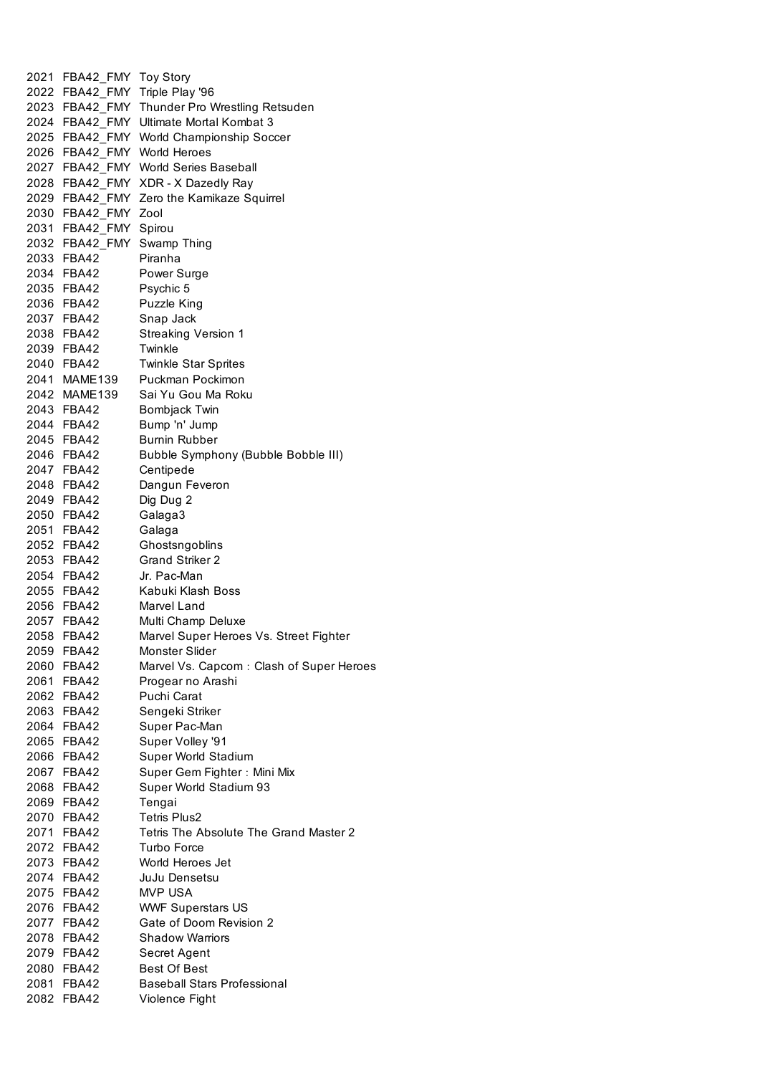|      | 2021 FBA42_FMY Toy Story    |                                               |
|------|-----------------------------|-----------------------------------------------|
|      |                             | 2022 FBA42_FMY Triple Play '96                |
|      |                             | 2023 FBA42_FMY Thunder Pro Wrestling Retsuden |
|      |                             | 2024 FBA42 FMY Ultimate Mortal Kombat 3       |
|      |                             | 2025 FBA42_FMY World Championship Soccer      |
|      | 2026 FBA42 FMY World Heroes |                                               |
|      |                             | 2027 FBA42 FMY World Series Baseball          |
|      |                             | 2028 FBA42_FMY XDR - X Dazedly Ray            |
|      |                             | 2029 FBA42_FMY Zero the Kamikaze Squirrel     |
|      | 2030 FBA42 FMY Zool         |                                               |
|      | 2031 FBA42 FMY Spirou       |                                               |
|      |                             | 2032 FBA42_FMY Swamp Thing                    |
|      | 2033 FBA42                  | Piranha                                       |
|      | 2034 FBA42                  | Power Surge                                   |
|      | 2035 FBA42                  | Psychic 5                                     |
|      | 2036 FBA42                  | Puzzle King                                   |
|      | 2037 FBA42                  | Snap Jack                                     |
|      | 2038 FBA42                  | Streaking Version 1                           |
|      | 2039 FBA42                  | Twinkle                                       |
|      | 2040 FBA42                  | <b>Twinkle Star Sprites</b>                   |
|      | 2041 MAME139                | Puckman Pockimon                              |
|      | 2042 MAME139                | Sai Yu Gou Ma Roku                            |
|      | 2043 FBA42                  | Bombjack Twin                                 |
|      | 2044 FBA42                  | Bump 'n' Jump                                 |
|      | 2045 FBA42                  | <b>Burnin Rubber</b>                          |
|      | 2046 FBA42                  | Bubble Symphony (Bubble Bobble III)           |
|      | 2047 FBA42                  | Centipede                                     |
|      | 2048 FBA42                  | Dangun Feveron                                |
|      | 2049 FBA42                  | Dig Dug 2                                     |
|      | 2050 FBA42                  | Galaga3                                       |
|      | 2051 FBA42                  | Galaga                                        |
|      | 2052 FBA42                  | Ghostsngoblins                                |
|      | 2053 FBA42                  | <b>Grand Striker 2</b>                        |
|      | 2054 FBA42                  | Jr. Pac-Man                                   |
|      | 2055 FBA42                  | Kabuki Klash Boss                             |
|      | 2056 FBA42                  | Marvel Land                                   |
|      | 2057 FBA42                  | Multi Champ Deluxe                            |
|      | 2058 FBA42                  | Marvel Super Heroes Vs. Street Fighter        |
| 2059 | FBA42                       | Monster Slider                                |
|      | 2060 FBA42                  | Marvel Vs. Capcom: Clash of Super Heroes      |
|      | 2061 FBA42                  | Progear no Arashi                             |
|      | 2062 FBA42                  | Puchi Carat                                   |
|      | 2063 FBA42                  | Sengeki Striker                               |
|      | 2064 FBA42                  | Super Pac-Man                                 |
|      | 2065 FBA42                  | Super Volley '91                              |
|      | 2066 FBA42                  | Super World Stadium                           |
|      | 2067 FBA42                  | Super Gem Fighter: Mini Mix                   |
|      | 2068 FBA42                  | Super World Stadium 93                        |
|      | 2069 FBA42                  | Tengai                                        |
|      | 2070 FBA42                  | Tetris Plus2                                  |
|      | 2071 FBA42                  | Tetris The Absolute The Grand Master 2        |
|      | 2072 FBA42                  | Turbo Force                                   |
|      | 2073 FBA42                  | World Heroes Jet                              |
|      | 2074 FBA42                  | JuJu Densetsu                                 |
|      | 2075 FBA42                  | MVP USA                                       |
|      | 2076 FBA42                  | <b>WWF Superstars US</b>                      |
|      | 2077 FBA42                  | Gate of Doom Revision 2                       |
|      | 2078 FBA42                  | <b>Shadow Warriors</b>                        |
|      | 2079 FBA42                  | Secret Agent                                  |
|      | 2080 FBA42                  | <b>Best Of Best</b>                           |
|      | 2081 FBA42                  | <b>Baseball Stars Professional</b>            |
|      | 2082 FBA42                  | Violence Fight                                |
|      |                             |                                               |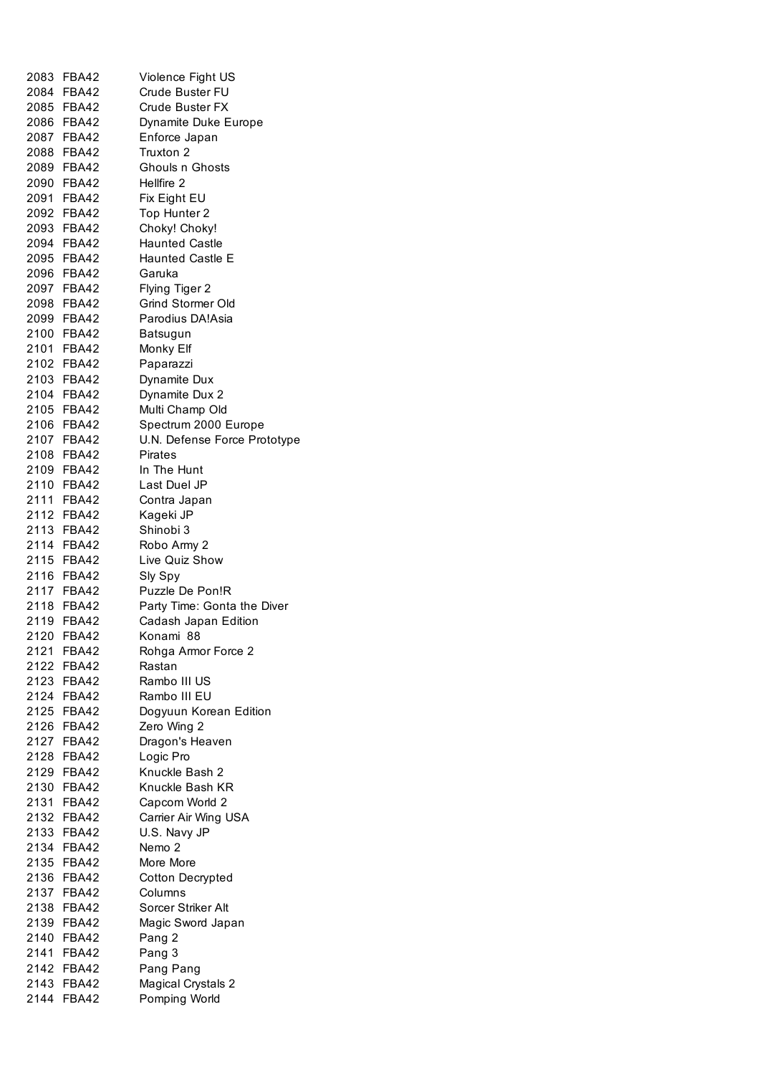| 2083 FBA42 | Violence Fight US            |
|------------|------------------------------|
| 2084 FBA42 | Crude Buster FU              |
| 2085 FBA42 | <b>Crude Buster FX</b>       |
| 2086 FBA42 |                              |
|            | Dynamite Duke Europe         |
| 2087 FBA42 | Enforce Japan                |
| 2088 FBA42 | Truxton 2                    |
| 2089 FBA42 | Ghouls n Ghosts              |
| 2090 FBA42 | Hellfire 2                   |
| 2091 FBA42 | Fix Eight EU                 |
| 2092 FBA42 | Top Hunter 2                 |
| 2093 FBA42 | Choky! Choky!                |
| 2094 FBA42 | <b>Haunted Castle</b>        |
| 2095 FBA42 | <b>Haunted Castle E</b>      |
| 2096 FBA42 | Garuka                       |
|            |                              |
| 2097 FBA42 | Flying Tiger 2               |
| 2098 FBA42 | Grind Stormer Old            |
| 2099 FBA42 | Parodius DA!Asia             |
| 2100 FBA42 | Batsugun                     |
| 2101 FBA42 | Monky Elf                    |
| 2102 FBA42 | Paparazzi                    |
| 2103 FBA42 | Dynamite Dux                 |
| 2104 FBA42 | Dynamite Dux 2               |
| 2105 FBA42 | Multi Champ Old              |
| 2106 FBA42 | Spectrum 2000 Europe         |
| 2107 FBA42 |                              |
|            | U.N. Defense Force Prototype |
| 2108 FBA42 | <b>Pirates</b>               |
| 2109 FBA42 | In The Hunt                  |
| 2110 FBA42 | Last Duel JP                 |
| 2111 FBA42 | Contra Japan                 |
| 2112 FBA42 | Kageki JP                    |
| 2113 FBA42 | Shinobi 3                    |
| 2114 FBA42 | Robo Army 2                  |
| 2115 FBA42 | Live Quiz Show               |
| 2116 FBA42 | Sly Spy                      |
| 2117 FBA42 | Puzzle De Pon!R              |
| 2118 FBA42 | Party Time: Gonta the Diver  |
| 2119 FBA42 | Cadash Japan Edition         |
| 2120 FBA42 | Konami 88                    |
| 2121 FBA42 | Rohga Armor Force 2          |
| 2122 FBA42 | Rastan                       |
| 2123 FBA42 | Rambo III US                 |
| 2124 FBA42 | Rambo III EU                 |
|            |                              |
| 2125 FBA42 | Dogyuun Korean Edition       |
| 2126 FBA42 | Zero Wing 2                  |
| 2127 FBA42 | Dragon's Heaven              |
| 2128 FBA42 | Logic Pro                    |
| 2129 FBA42 | Knuckle Bash 2               |
| 2130 FBA42 | Knuckle Bash KR              |
| 2131 FBA42 | Capcom World 2               |
| 2132 FBA42 | Carrier Air Wing USA         |
| 2133 FBA42 | U.S. Navy JP                 |
| 2134 FBA42 | Nemo <sub>2</sub>            |
| 2135 FBA42 | More More                    |
| 2136 FBA42 | <b>Cotton Decrypted</b>      |
| 2137 FBA42 | Columns                      |
| 2138 FBA42 | Sorcer Striker Alt           |
| 2139 FBA42 | Magic Sword Japan            |
| 2140 FBA42 |                              |
|            | Pang 2                       |
| 2141 FBA42 | Pang 3                       |
| 2142 FBA42 | Pang Pang                    |
| 2143 FBA42 | <b>Magical Crystals 2</b>    |
| 2144 FBA42 | Pomping World                |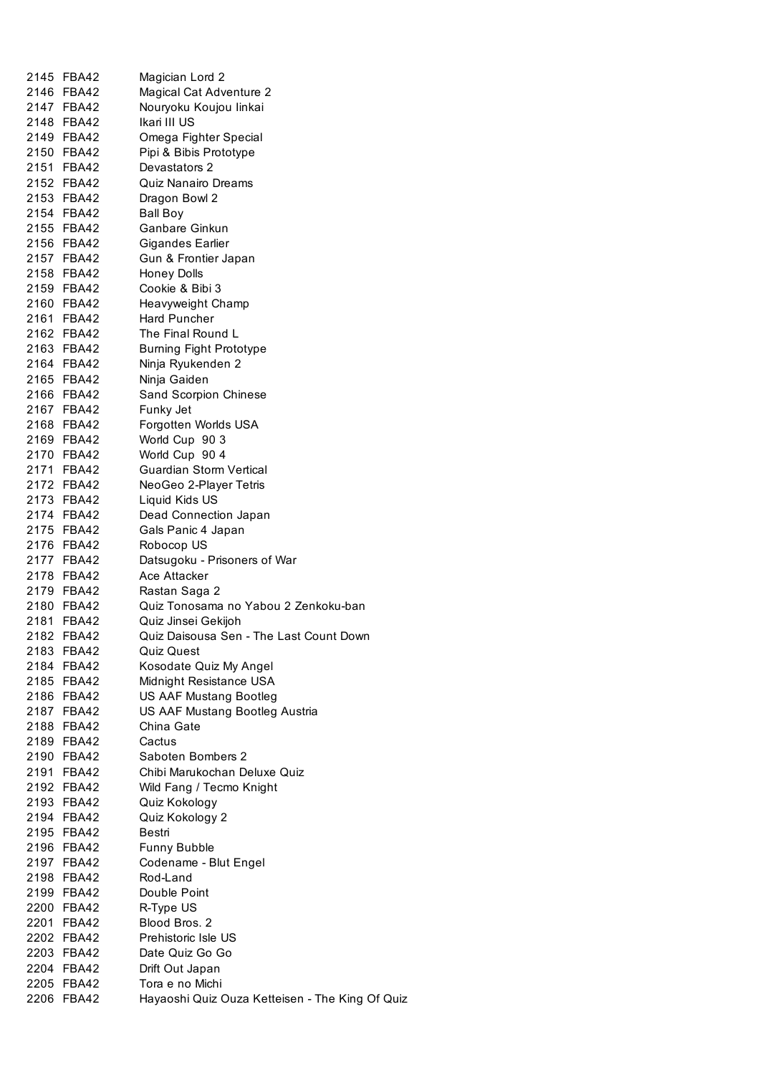|      | 2145 FBA42 | Magician Lord 2                                 |
|------|------------|-------------------------------------------------|
|      | 2146 FBA42 | Magical Cat Adventure 2                         |
|      | 2147 FBA42 | Nouryoku Koujou linkai                          |
|      | 2148 FBA42 | Ikari III US                                    |
|      | 2149 FBA42 | Omega Fighter Special                           |
|      | 2150 FBA42 | Pipi & Bibis Prototype                          |
|      | 2151 FBA42 | Devastators 2                                   |
|      | 2152 FBA42 | Quiz Nanairo Dreams                             |
|      | 2153 FBA42 | Dragon Bowl 2                                   |
|      | 2154 FBA42 | Ball Boy                                        |
|      | 2155 FBA42 | Ganbare Ginkun                                  |
|      | 2156 FBA42 |                                                 |
|      |            | Gigandes Earlier                                |
|      | 2157 FBA42 | Gun & Frontier Japan                            |
|      | 2158 FBA42 | <b>Honey Dolls</b>                              |
|      | 2159 FBA42 | Cookie & Bibi 3                                 |
|      | 2160 FBA42 | Heavyweight Champ                               |
|      | 2161 FBA42 | <b>Hard Puncher</b>                             |
|      | 2162 FBA42 | The Final Round L                               |
|      | 2163 FBA42 | <b>Burning Fight Prototype</b>                  |
|      | 2164 FBA42 | Ninja Ryukenden 2                               |
|      | 2165 FBA42 | Ninja Gaiden                                    |
|      | 2166 FBA42 | Sand Scorpion Chinese                           |
|      | 2167 FBA42 | Funky Jet                                       |
|      | 2168 FBA42 | Forgotten Worlds USA                            |
|      | 2169 FBA42 | World Cup 90 3                                  |
|      | 2170 FBA42 | World Cup 90 4                                  |
|      | 2171 FBA42 | <b>Guardian Storm Vertical</b>                  |
|      | 2172 FBA42 | NeoGeo 2-Player Tetris                          |
|      | 2173 FBA42 | Liquid Kids US                                  |
|      | 2174 FBA42 | Dead Connection Japan                           |
|      |            |                                                 |
|      | 2175 FBA42 | Gals Panic 4 Japan                              |
|      | 2176 FBA42 | Robocop US                                      |
|      | 2177 FBA42 | Datsugoku - Prisoners of War                    |
|      | 2178 FBA42 | Ace Attacker                                    |
|      | 2179 FBA42 | Rastan Saga 2                                   |
|      | 2180 FBA42 | Quiz Tonosama no Yabou 2 Zenkoku-ban            |
|      | 2181 FBA42 | Quiz Jinsei Gekijoh                             |
| 2182 | FBA42      | Quiz Daisousa Sen - The Last Count Down         |
|      | 2183 FBA42 | <b>Quiz Quest</b>                               |
|      | 2184 FBA42 | Kosodate Quiz My Angel                          |
|      | 2185 FBA42 | Midnight Resistance USA                         |
|      | 2186 FBA42 | US AAF Mustang Bootleg                          |
|      | 2187 FBA42 | US AAF Mustang Bootleg Austria                  |
|      | 2188 FBA42 | China Gate                                      |
|      | 2189 FBA42 | Cactus                                          |
|      | 2190 FBA42 | Saboten Bombers 2                               |
|      | 2191 FBA42 | Chibi Marukochan Deluxe Quiz                    |
|      | 2192 FBA42 | Wild Fang / Tecmo Knight                        |
|      | 2193 FBA42 | Quiz Kokology                                   |
|      | 2194 FBA42 | Quiz Kokology 2                                 |
|      | 2195 FBA42 | Bestri                                          |
|      | 2196 FBA42 | Funny Bubble                                    |
|      | 2197 FBA42 | Codename - Blut Engel                           |
|      | 2198 FBA42 | Rod-Land                                        |
|      |            |                                                 |
|      | 2199 FBA42 | Double Point                                    |
|      | 2200 FBA42 | R-Type US                                       |
| 2201 | FBA42      | Blood Bros. 2                                   |
|      | 2202 FBA42 | Prehistoric Isle US                             |
|      | 2203 FBA42 | Date Quiz Go Go                                 |
|      | 2204 FBA42 | Drift Out Japan                                 |
|      | 2205 FBA42 | Tora e no Michi                                 |
|      | 2206 FBA42 | Hayaoshi Quiz Ouza Ketteisen - The King Of Quiz |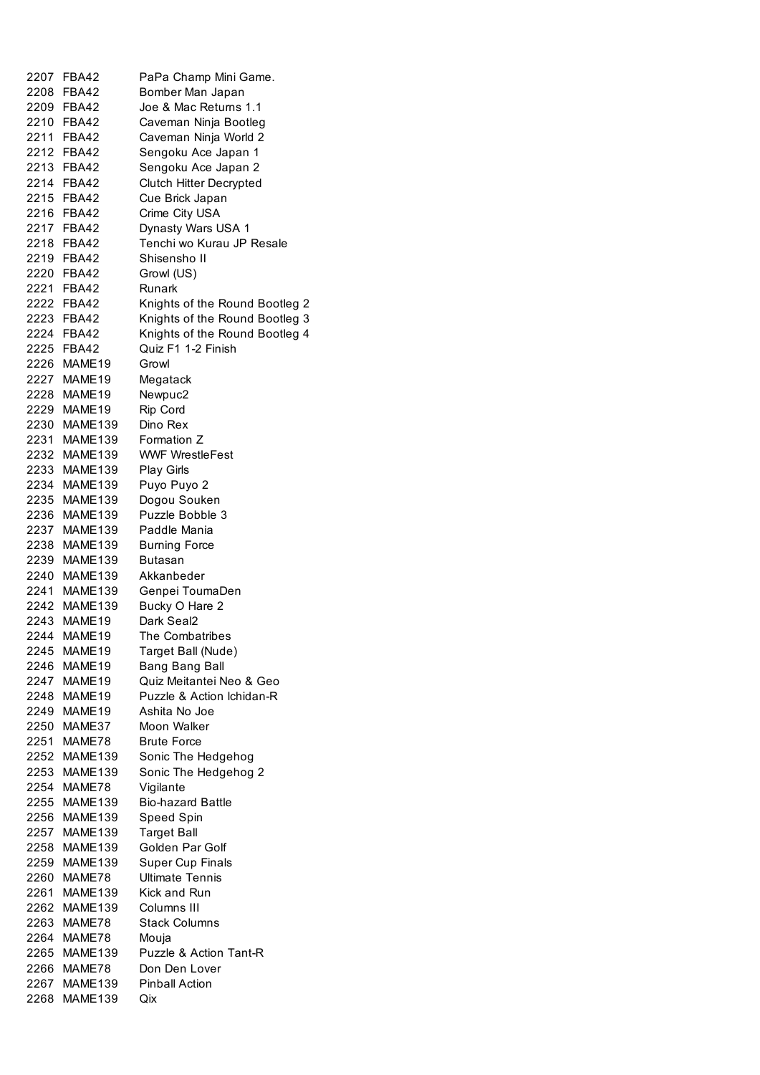| 2207 | <b>FBA42</b> | PaPa Champ Mini Game.           |
|------|--------------|---------------------------------|
|      | 2208 FBA42   | Bomber Man Japan                |
|      | 2209 FBA42   | Joe & Mac Returns 1.1           |
|      | 2210 FBA42   | Caveman Ninja Bootleg           |
|      | 2211 FBA42   | Caveman Ninja World 2           |
|      | 2212 FBA42   | Sengoku Ace Japan 1             |
|      | 2213 FBA42   | Sengoku Ace Japan 2             |
|      | 2214 FBA42   | Clutch Hitter Decrypted         |
|      | 2215 FBA42   | Cue Brick Japan                 |
|      | 2216 FBA42   | Crime City USA                  |
|      | 2217 FBA42   | Dynasty Wars USA 1              |
|      | 2218 FBA42   | Tenchi wo Kurau JP Resale       |
|      | 2219 FBA42   | Shisensho II                    |
|      | 2220 FBA42   | Growl (US)                      |
|      | 2221 FBA42   | Runark                          |
|      | 2222 FBA42   | Knights of the Round Bootleg 2  |
|      | 2223 FBA42   | Knights of the Round Bootleg 3  |
|      | 2224 FBA42   | Knights of the Round Bootleg 4  |
|      | 2225 FBA42   | Quiz F1 1-2 Finish              |
| 2226 | MAME19       | Growl                           |
| 2227 | MAME19       | Megatack                        |
| 2228 | MAME19       | Newpuc2                         |
| 2229 | MAME19       | Rip Cord                        |
| 2230 | MAME139      | Dino Rex                        |
| 2231 | MAME139      | Formation Z                     |
| 2232 | MAME139      | <b>WWF WrestleFest</b>          |
| 2233 | MAME139      | <b>Play Girls</b>               |
| 2234 | MAME139      | Puyo Puyo 2                     |
| 2235 | MAME139      | Dogou Souken                    |
| 2236 | MAME139      | Puzzle Bobble 3                 |
| 2237 | MAME139      | Paddle Mania                    |
| 2238 | MAME139      | <b>Burning Force</b>            |
| 2239 | MAME139      | Butasan                         |
| 2240 | MAME139      | Akkanbeder                      |
|      | 2241 MAME139 | Genpei ToumaDen                 |
|      | 2242 MAME139 | Bucky O Hare 2                  |
|      | 2243 MAME19  | Dark Seal2                      |
| 2244 | MAME19       | The Combatribes                 |
| 2245 | MAME19       | Target Ball (Nude)              |
| 2246 | MAME19       | Bang Bang Ball                  |
| 2247 | MAME19       | Quiz Meitantei Neo & Geo        |
| 2248 | MAME19       | Puzzle & Action Ichidan-R       |
| 2249 | MAME19       | Ashita No Joe                   |
| 2250 | MAME37       | Moon Walker                     |
| 2251 | MAME78       | <b>Brute Force</b>              |
| 2252 | MAME139      | Sonic The Hedgehog              |
| 2253 | MAME139      | Sonic The Hedgehog 2            |
| 2254 | MAME78       | Vigilante                       |
| 2255 | MAME139      | <b>Bio-hazard Battle</b>        |
| 2256 | MAME139      | Speed Spin                      |
| 2257 | MAME139      | <b>Target Ball</b>              |
| 2258 | MAME139      | Golden Par Golf                 |
| 2259 | MAME139      | <b>Super Cup Finals</b>         |
| 2260 | MAME78       | <b>Ultimate Tennis</b>          |
| 2261 | MAME139      | Kick and Run                    |
| 2262 | MAME139      | Columns III                     |
| 2263 | MAME78       | <b>Stack Columns</b>            |
|      |              |                                 |
| 2264 | MAME78       | Mouja<br>Puzzle & Action Tant-R |
| 2265 | MAME139      |                                 |
| 2266 | MAME78       | Don Den Lover                   |
| 2267 | MAME139      | Pinball Action                  |
| 2268 | MAME139      | Qix                             |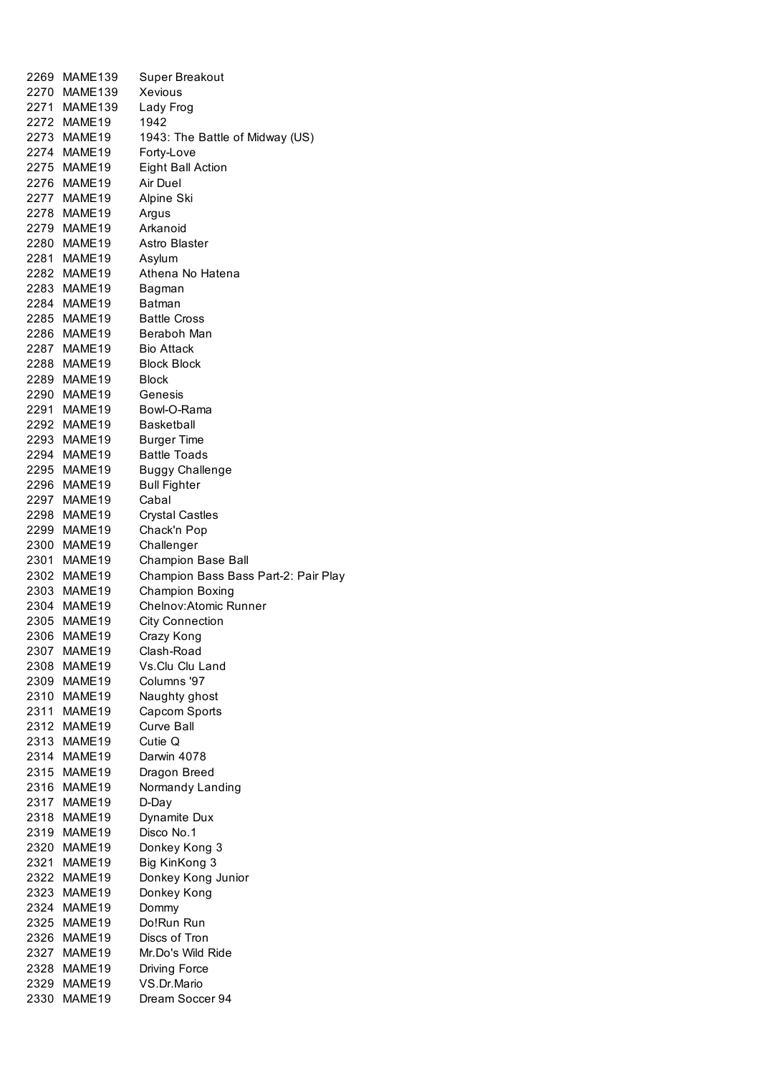| 2269 | MAME139            | Super Breakout                       |
|------|--------------------|--------------------------------------|
|      | 2270 MAME139       | Xevious                              |
|      | 2271 MAME139       | Lady Frog                            |
|      | 2272 MAME19        | 1942                                 |
|      | 2273 MAME19        | 1943: The Battle of Midway (US)      |
|      | 2274 MAME19        | Forty-Love                           |
|      | 2275 MAME19        | Eight Ball Action                    |
|      | 2276 MAME19        | Air Duel                             |
|      | 2277 MAME19        | Alpine Ski                           |
|      | 2278 MAME19        | Argus                                |
|      | 2279 MAME19        | Arkanoid                             |
|      | 2280 MAME19        | Astro Blaster                        |
|      | 2281 MAME19        | Asylum                               |
|      | 2282 MAME19        | Athena No Hatena                     |
|      | 2283 MAME19        | Bagman                               |
|      | 2284 MAME19        | <b>Batman</b>                        |
|      |                    | <b>Battle Cross</b>                  |
|      | 2285 MAME19        | Beraboh Man                          |
|      | 2286 MAME19        |                                      |
|      | 2287 MAME19        | <b>Bio Attack</b>                    |
|      | 2288 MAME19        | <b>Block Block</b>                   |
|      | 2289 MAME19        | <b>Block</b>                         |
|      | 2290 MAME19        | Genesis                              |
|      | 2291 MAME19        | Bowl-O-Rama                          |
|      | 2292 MAME19        | <b>Basketball</b>                    |
|      | 2293 MAME19        | <b>Burger Time</b>                   |
|      | 2294 MAME19        | <b>Battle Toads</b>                  |
|      | 2295 MAME19        | <b>Buggy Challenge</b>               |
|      | 2296 MAME19        | <b>Bull Fighter</b>                  |
|      | 2297 MAME19        | Cabal                                |
|      | 2298 MAME19        | Crystal Castles                      |
|      | 2299 MAME19        | Chack'n Pop                          |
|      | 2300 MAME19        | Challenger                           |
|      | 2301 MAME19        | Champion Base Ball                   |
|      | 2302 MAME19        | Champion Bass Bass Part-2: Pair Play |
|      | 2303 MAME19        | <b>Champion Boxing</b>               |
|      | 2304 MAME19        | Chelnov:Atomic Runner                |
|      | 2305 MAME19        | <b>City Connection</b>               |
|      | 2306 MAME19        | Crazy Kong                           |
| 2307 | MAME19             | Clash-Road                           |
| 2308 | MAME <sub>19</sub> | Vs.Clu Clu Land                      |
|      | 2309 MAME19        | Columns '97                          |
|      | 2310 MAME19        | Naughty ghost                        |
|      | 2311 MAME19        | Capcom Sports                        |
|      | 2312 MAME19        | Curve Ball                           |
|      | 2313 MAME19        | Cutie Q                              |
|      | 2314 MAME19        | Darwin 4078                          |
|      | 2315 MAME19        | Dragon Breed                         |
|      | 2316 MAME19        | Normandy Landing                     |
|      | 2317 MAME19        | D-Day                                |
| 2318 | MAME19             | Dynamite Dux                         |
|      | 2319 MAME19        | Disco No.1                           |
| 2320 | MAME19             | Donkey Kong 3                        |
|      | 2321 MAME19        | Big KinKong 3                        |
|      | 2322 MAME19        | Donkey Kong Junior                   |
|      | 2323 MAME19        | Donkey Kong                          |
|      | 2324 MAME19        | Dommy                                |
|      | 2325 MAME19        | Do!Run Run                           |
|      | 2326 MAME19        | Discs of Tron                        |
|      | 2327 MAME19        | Mr.Do's Wild Ride                    |
|      | 2328 MAME19        | Driving Force                        |
|      | 2329 MAME19        | VS.Dr.Mario                          |
| 2330 | MAME19             | Dream Soccer 94                      |
|      |                    |                                      |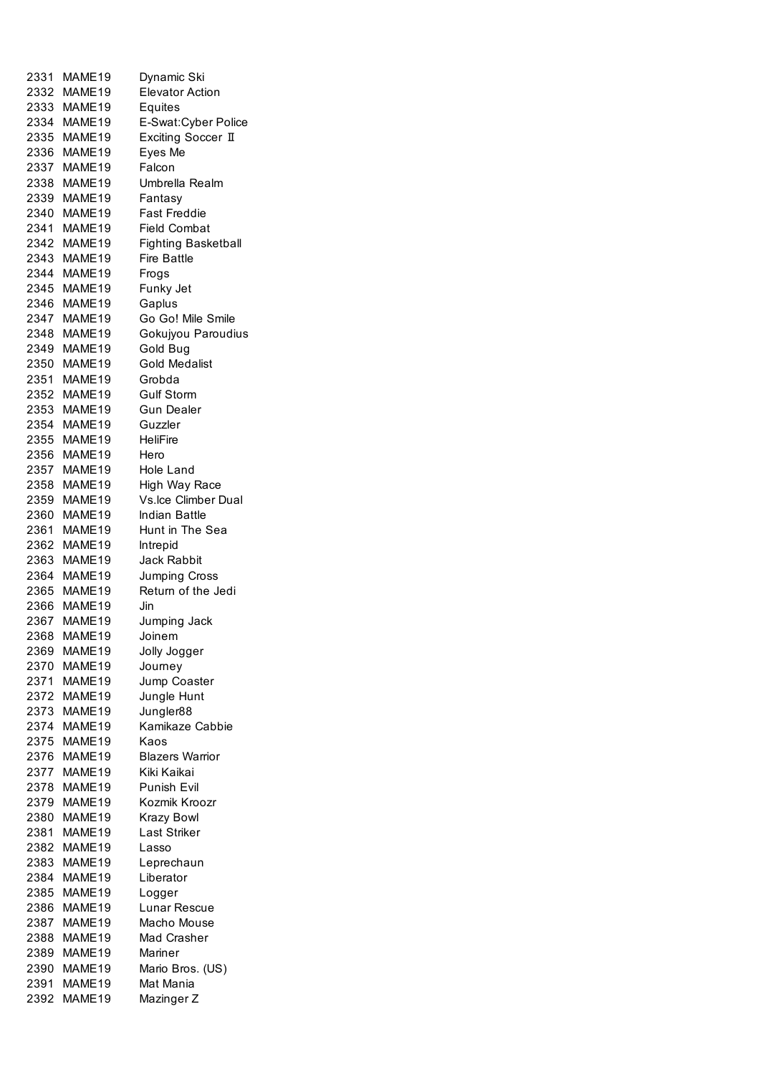|      | 2331 MAME19        | Dynamic Ski                |
|------|--------------------|----------------------------|
|      | 2332 MAME19        | <b>Elevator Action</b>     |
|      | 2333 MAME19        | Equites                    |
|      | 2334 MAME19        | E-Swat:Cyber Police        |
|      | 2335 MAME19        | Exciting Soccer II         |
|      | 2336 MAME19        | Eyes Me                    |
|      | 2337 MAME19        | Falcon                     |
|      | 2338 MAME19        | Umbrella Realm             |
|      |                    |                            |
|      | 2339 MAME19        | Fantasy                    |
|      | 2340 MAME19        | <b>Fast Freddie</b>        |
|      | 2341 MAME19        | <b>Field Combat</b>        |
|      | 2342 MAME19        | <b>Fighting Basketball</b> |
| 2343 | MAME19             | <b>Fire Battle</b>         |
|      | 2344 MAME19        | Frogs                      |
|      | 2345 MAME19        | Funky Jet                  |
| 2346 | MAME19             | Gaplus                     |
| 2347 | MAME19             | Go Go! Mile Smile          |
| 2348 | MAME19             | Gokujyou Paroudius         |
| 2349 | MAME <sub>19</sub> | Gold Bug                   |
| 2350 | MAME19             | <b>Gold Medalist</b>       |
| 2351 | MAME19             | Grobda                     |
| 2352 | MAME19             | <b>Gulf Storm</b>          |
|      | 2353 MAME19        | <b>Gun Dealer</b>          |
| 2354 | MAME19             | Guzzler                    |
| 2355 | MAME19             | HeliFire                   |
| 2356 | MAME <sub>19</sub> | Hero                       |
| 2357 | MAME <sub>19</sub> |                            |
|      |                    | Hole Land                  |
| 2358 | MAME <sub>19</sub> | High Way Race              |
| 2359 | MAME19             | <b>Vs.lce Climber Dual</b> |
| 2360 | MAME19             | <b>Indian Battle</b>       |
| 2361 | MAME19             | Hunt in The Sea            |
|      | 2362 MAME19        | Intrepid                   |
|      | 2363 MAME19        | <b>Jack Rabbit</b>         |
|      | 2364 MAME19        | Jumping Cross              |
|      | 2365 MAME19        | Retum of the Jedi          |
|      | 2366 MAME19        | Jin                        |
| 2367 | MAME19             | Jumping Jack               |
| 2368 | MAME19             | Joinem                     |
|      | 2369 MAME19        | Jolly Jogger               |
|      | 2370 MAME19        | Journey                    |
|      | 2371 MAME19        | Jump Coaster               |
|      | 2372 MAME19        | Jungle Hunt                |
|      | 2373 MAME19        | Jungler88                  |
|      | 2374 MAME19        | Kamikaze Cabbie            |
|      | 2375 MAME19        | Kaos                       |
|      | 2376 MAME19        | <b>Blazers Warrior</b>     |
| 2377 | MAME19             | Kiki Kaikai                |
|      | MAME19             | Punish Evil                |
| 2378 |                    |                            |
| 2379 | MAME19             | Kozmik Kroozr              |
| 2380 | MAME19             | <b>Krazy Bowl</b>          |
| 2381 | MAME19             | Last Striker               |
| 2382 | MAME19             | Lasso                      |
| 2383 | MAME19             | Leprechaun                 |
| 2384 | MAME19             | Liberator                  |
| 2385 | MAME19             | Logger                     |
| 2386 | MAME19             | Lunar Rescue               |
| 2387 | MAME19             | Macho Mouse                |
| 2388 | MAME19             | Mad Crasher                |
|      | 2389 MAME19        | Mariner                    |
| 2390 | MAME19             | Mario Bros. (US)           |
|      | 2391 MAME19        | Mat Mania                  |
| 2392 | MAME19             | Mazinger Z                 |
|      |                    |                            |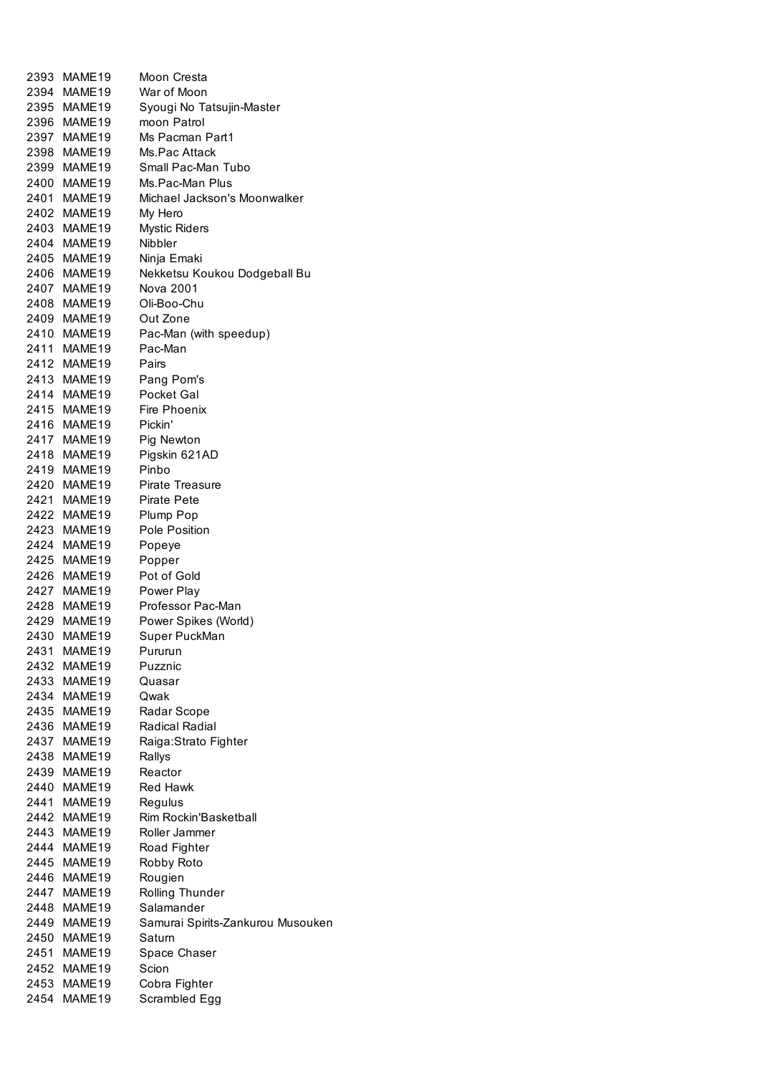| 2393 | MAME19                     | Moon Cresta                       |
|------|----------------------------|-----------------------------------|
|      | 2394 MAME19                | War of Moon                       |
|      | 2395 MAME19                | Syougi No Tatsujin-Master         |
|      | 2396 MAME19                | moon Patrol                       |
|      | 2397 MAME19                | Ms Pacman Part1                   |
|      | 2398 MAME19                | Ms.Pac Attack                     |
|      | 2399 MAME19                | Small Pac-Man Tubo                |
|      | 2400 MAME19                | Ms.Pac-Man Plus                   |
|      | 2401 MAME19                | Michael Jackson's Moonwalker      |
|      |                            |                                   |
|      | 2402 MAME19                | My Hero                           |
|      | 2403 MAME19                | <b>Mystic Riders</b>              |
|      | 2404 MAME19                | <b>Nibbler</b>                    |
|      | 2405 MAME19                | Ninja Emaki                       |
|      | 2406 MAME19                | Nekketsu Koukou Dodgeball Bu      |
|      | 2407 MAME19                | Nova 2001                         |
|      | 2408 MAME19                | Oli-Boo-Chu                       |
|      | 2409 MAME19                | Out Zone                          |
|      | 2410 MAME19                | Pac-Man (with speedup)            |
|      | 2411 MAME19                | Pac-Man                           |
|      | 2412 MAME19                | Pairs                             |
|      | 2413 MAME19                | Pang Pom's                        |
|      | 2414 MAME19                | Pocket Gal                        |
|      | 2415 MAME19                | <b>Fire Phoenix</b>               |
|      | 2416 MAME19                | Pickin'                           |
|      | 2417 MAME19                | Pig Newton                        |
|      | 2418 MAME19                | Pigskin 621AD                     |
|      | 2419 MAME19                | Pinbo                             |
|      | 2420 MAME19                | Pirate Treasure                   |
|      |                            | <b>Pirate Pete</b>                |
|      | 2421 MAME19<br>2422 MAME19 |                                   |
|      |                            | Plump Pop                         |
|      | 2423 MAME19                | Pole Position                     |
|      | 2424 MAME19                | Popeye                            |
|      | 2425 MAME19                | Popper                            |
|      | 2426 MAME19                | Pot of Gold                       |
|      | 2427 MAME19                | Power Play                        |
|      | 2428 MAME19                | Professor Pac-Man                 |
|      | 2429 MAME19                | Power Spikes (World)              |
|      | 2430 MAME19                | Super PuckMan                     |
| 2431 | MAME19                     | Pururun                           |
|      | 2432 MAME19                | Puzznic                           |
|      | 2433 MAME19                | Quasar                            |
|      | 2434 MAME19                | Qwak                              |
|      | 2435 MAME19                | Radar Scope                       |
|      | 2436 MAME19                | <b>Radical Radial</b>             |
|      | 2437 MAME19                | Raiga: Strato Fighter             |
|      | 2438 MAME19                | Rallys                            |
|      | 2439 MAME19                | Reactor                           |
|      | 2440 MAME19                | <b>Red Hawk</b>                   |
|      | 2441 MAME19                | Regulus                           |
|      | 2442 MAME19                | Rim Rockin'Basketball             |
|      |                            | Roller Jammer                     |
|      | 2443 MAME19                |                                   |
|      | 2444 MAME19                | Road Fighter                      |
|      | 2445 MAME19                | Robby Roto                        |
|      | 2446 MAME19                | Rougien                           |
|      | 2447 MAME19                | Rolling Thunder                   |
|      | 2448 MAME19                | Salamander                        |
|      | 2449 MAME19                | Samurai Spirits-Zankurou Musouken |
|      | 2450 MAME19                | Satum                             |
|      | 2451 MAME19                | Space Chaser                      |
|      | 2452 MAME19                | Scion                             |
|      | 2453 MAME19                | Cobra Fighter                     |
|      | 2454 MAME19                | Scrambled Egg                     |
|      |                            |                                   |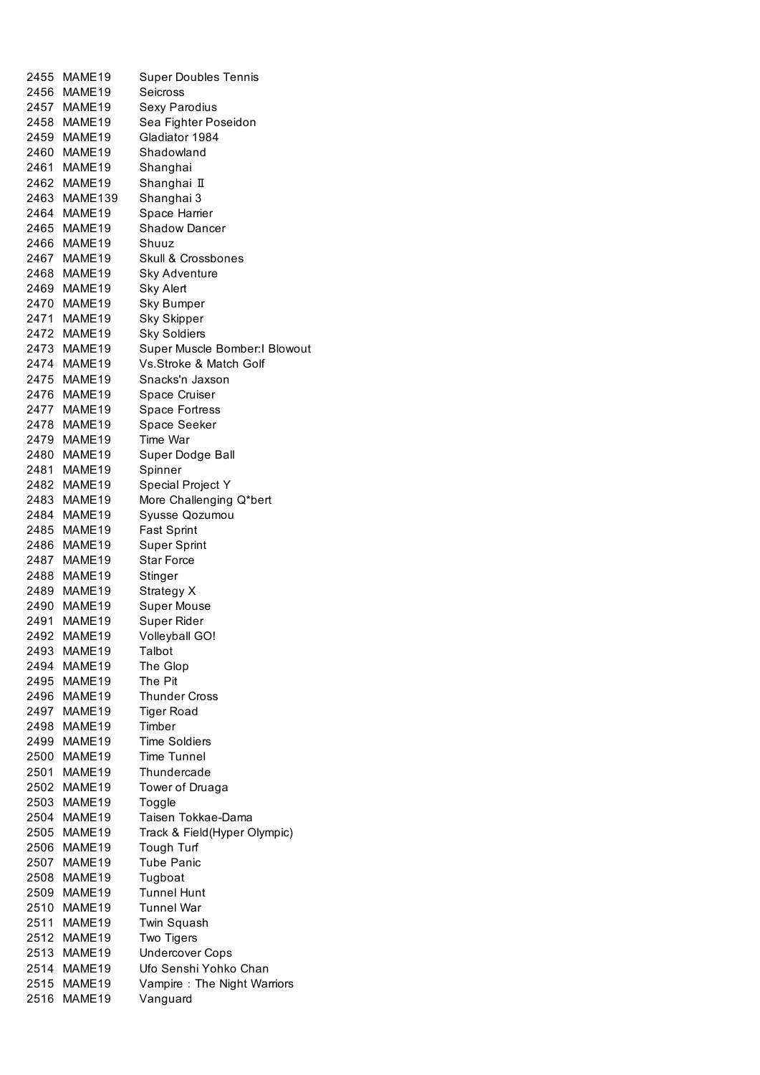| 2455 | MAME19             | <b>Super Doubles Tennis</b>    |
|------|--------------------|--------------------------------|
| 2456 | MAME19             | Seicross                       |
|      | 2457 MAME19        | Sexy Parodius                  |
|      | 2458 MAME19        | Sea Fighter Poseidon           |
| 2459 | MAME19             | Gladiator 1984                 |
| 2460 | MAME19             | Shadowland                     |
| 2461 | MAME19             | Shanghai                       |
| 2462 | MAME19             | Shanghai II                    |
| 2463 | MAME139            | Shanghai 3                     |
|      | MAME19             |                                |
| 2464 |                    | Space Harrier                  |
| 2465 | MAME19             | <b>Shadow Dancer</b>           |
| 2466 | MAME <sub>19</sub> | Shuuz                          |
| 2467 | MAME <sub>19</sub> | Skull & Crossbones             |
| 2468 | MAME19             | <b>Sky Adventure</b>           |
| 2469 | MAME19             | <b>Sky Alert</b>               |
| 2470 | MAME19             | <b>Sky Bumper</b>              |
| 2471 | MAME19             | <b>Sky Skipper</b>             |
| 2472 | MAME19             | <b>Sky Soldiers</b>            |
| 2473 | MAME19             | Super Muscle Bomber: I Blowout |
| 2474 | MAME19             | Vs.Stroke & Match Golf         |
|      | 2475 MAME19        | Snacks'n Jaxson                |
| 2476 | MAME19             | Space Cruiser                  |
| 2477 | MAME <sub>19</sub> | Space Fortress                 |
| 2478 | MAME19             | Space Seeker                   |
| 2479 | MAME19             | Time War                       |
| 2480 | MAME19             | Super Dodge Ball               |
| 2481 | MAME19             | Spinner                        |
| 2482 | MAME19             | Special Project Y              |
|      |                    |                                |
| 2483 | MAME19             | More Challenging Q*bert        |
| 2484 | MAME19             | Syusse Qozumou                 |
| 2485 | MAME19             | <b>Fast Sprint</b>             |
| 2486 | MAME19             | <b>Super Sprint</b>            |
| 2487 | MAME19             | <b>Star Force</b>              |
| 2488 | MAME19             | Stinger                        |
| 2489 | MAME19             | Strategy X                     |
|      | 2490 MAME19        | Super Mouse                    |
| 2491 | MAME19             | Super Rider                    |
| 2492 | MAME19             | Volleyball GO!                 |
| 2493 | MAME19             | Talbot                         |
| 2494 | MAME19             | The Glop                       |
| 2495 | MAME19             | The Pit                        |
| 2496 | MAME19             | <b>Thunder Cross</b>           |
| 2497 | MAME19             | <b>Tiger Road</b>              |
| 2498 | MAME19             | Timber                         |
| 2499 | MAME19             | <b>Time Soldiers</b>           |
| 2500 | MAME19             | <b>Time Tunnel</b>             |
| 2501 | MAME19             | Thundercade                    |
| 2502 | MAME <sub>19</sub> | Tower of Druaga                |
|      |                    |                                |
| 2503 | MAME19             | Toggle                         |
| 2504 | MAME19             | Taisen Tokkae-Dama             |
| 2505 | MAME19             | Track & Field(Hyper Olympic)   |
| 2506 | MAME19             | Tough Turf                     |
| 2507 | MAME19             | <b>Tube Panic</b>              |
| 2508 | MAME19             | Tugboat                        |
| 2509 | MAME19             | <b>Tunnel Hunt</b>             |
| 2510 | MAME19             | <b>Tunnel War</b>              |
| 2511 | MAME19             | Twin Squash                    |
| 2512 | MAME19             | Two Tigers                     |
| 2513 | MAME19             | <b>Undercover Cops</b>         |
| 2514 | MAME19             | Ufo Senshi Yohko Chan          |
| 2515 | MAME19             | Vampire: The Night Warriors    |
| 2516 | MAME19             | Vanguard                       |
|      |                    |                                |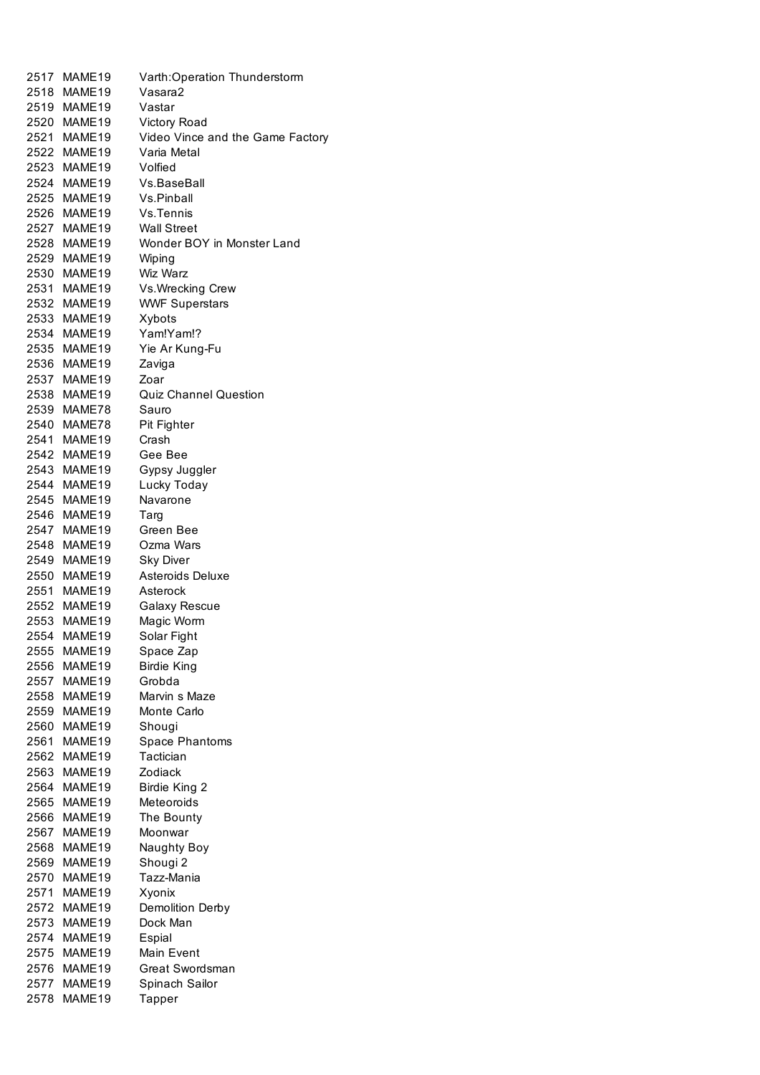| 2517         | MAME19             | Varth: Operation Thunderstorm        |
|--------------|--------------------|--------------------------------------|
| 2518         | MAME19             | Vasara2                              |
|              | 2519 MAME19        | Vastar                               |
|              | 2520 MAME19        | <b>Victory Road</b>                  |
|              | 2521 MAME19        | Video Vince and the Game Factory     |
|              | 2522 MAME19        | Varia Metal                          |
|              | 2523 MAME19        | Volfied                              |
|              | 2524 MAME19        | Vs.BaseBall                          |
|              | 2525 MAME19        | Vs.Pinball                           |
|              | 2526 MAME19        | Vs.Tennis                            |
|              | 2527 MAME19        | <b>Wall Street</b>                   |
| 2528         | MAME19             | Wonder BOY in Monster Land           |
| 2529         | MAME19             | Wiping                               |
|              | 2530 MAME19        | Wiz Warz                             |
| 2531         | MAME19             | Vs. Wrecking Crew                    |
|              | 2532 MAME19        | <b>WWF Superstars</b>                |
| 2533         | MAME19             | Xybots                               |
|              | 2534 MAME19        | Yam!Yam!?                            |
|              | 2535 MAME19        | Yie Ar Kung-Fu                       |
| 2536         | MAME19             | Zaviga                               |
|              | 2537 MAME19        | Zoar                                 |
|              | 2538 MAME19        | <b>Quiz Channel Question</b>         |
|              | 2539 MAME78        | Sauro                                |
|              | 2540 MAME78        |                                      |
| 2541         | MAME <sub>19</sub> | Pit Fighter<br>Crash                 |
|              | 2542 MAME19        | Gee Bee                              |
|              | 2543 MAME19        |                                      |
| 2544         | MAME <sub>19</sub> | Gypsy Juggler                        |
|              | MAME19             | Lucky Today                          |
| 2545         |                    | Navarone                             |
| 2546         | MAME <sub>19</sub> | Targ                                 |
| 2547         | MAME <sub>19</sub> | Green Bee                            |
| 2548         | MAME <sub>19</sub> | Ozma Wars                            |
|              | 2549 MAME19        | <b>Sky Diver</b><br>Asteroids Deluxe |
|              | 2550 MAME19        |                                      |
|              | 2551 MAME19        | Asterock                             |
|              | 2552 MAME19        | Galaxy Rescue                        |
|              | 2553 MAME19        | Magic Worm                           |
| 2554<br>2555 | MAME19             | Solar Fight                          |
|              | MAME19             | Space Zap                            |
| 2556         | MAME19             | <b>Birdie King</b>                   |
| 2557         | MAME19             | Grobda                               |
| 2558         | MAME19             | Marvin s Maze                        |
| 2559         | MAME19             | Monte Carlo                          |
| 2560         | MAME19             | Shougi                               |
| 2561         | MAME19             | Space Phantoms                       |
| 2562         | MAME19             | Tactician                            |
| 2563         | MAME19             | Zodiack                              |
| 2564         | MAME19             | Birdie King 2                        |
| 2565         | MAME19             | Meteoroids                           |
| 2566         | MAME19             | The Bounty                           |
| 2567         | MAME19             | Moonwar                              |
| 2568         | MAME19             | Naughty Boy                          |
| 2569         | MAME19             | Shougi <sub>2</sub>                  |
| 2570         | MAME19             | Tazz-Mania                           |
| 2571         | MAME19             | Xyonix                               |
| 2572         | MAME19             | Demolition Derby                     |
| 2573         | MAME19             | Dock Man                             |
| 2574         | MAME19             | Espial                               |
| 2575         | MAME19             | Main Event                           |
| 2576         | MAME19             | Great Swordsman                      |
| 2577         | MAME19             | Spinach Sailor                       |
| 2578         | MAME19             | Tapper                               |
|              |                    |                                      |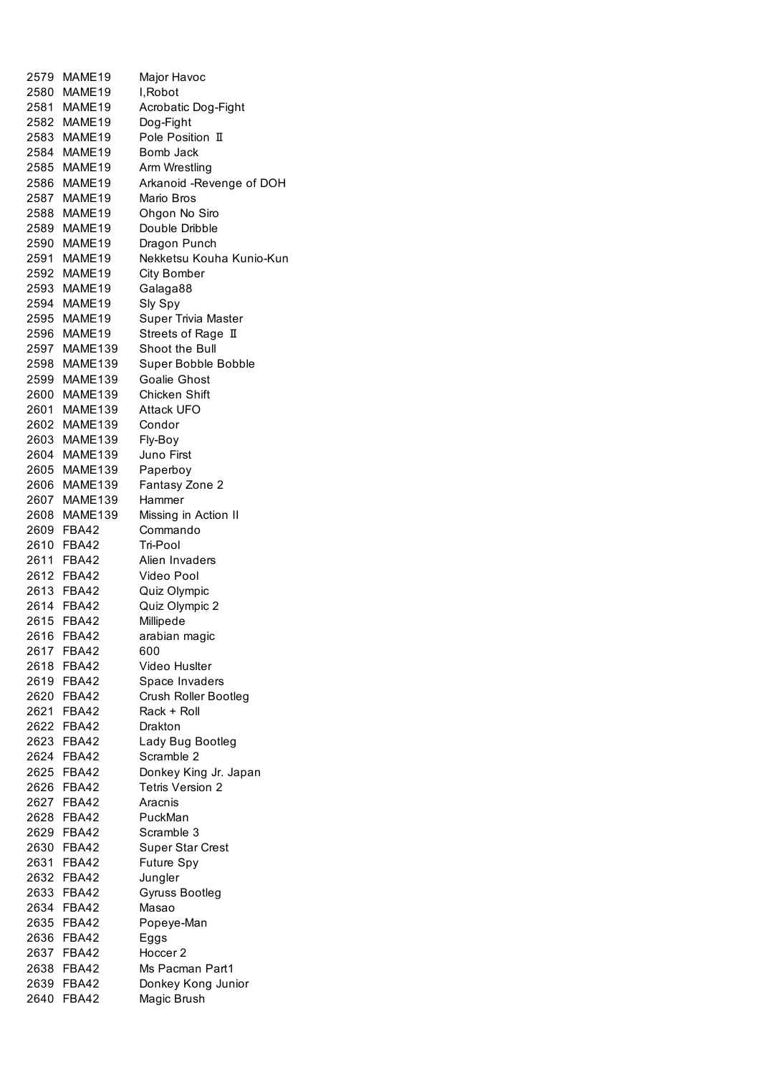| 2579 MAME19                | Major Havoc               |
|----------------------------|---------------------------|
| 2580 MAME19                | I, Robot                  |
| 2581 MAME19                | Acrobatic Dog-Fight       |
| 2582 MAME19                | Dog-Fight                 |
| 2583 MAME19                | Pole Position II          |
| 2584 MAME19                | <b>Bomb Jack</b>          |
| 2585 MAME19                | Arm Wrestling             |
| 2586 MAME19                | Arkanoid - Revenge of DOH |
| 2587 MAME19                | Mario Bros                |
| 2588 MAME19                | Ohgon No Siro             |
|                            |                           |
| 2589 MAME19<br>2590 MAME19 | Double Dribble            |
|                            | Dragon Punch              |
| 2591 MAME19                | Nekketsu Kouha Kunio-Kun  |
| 2592 MAME19                | <b>City Bomber</b>        |
| 2593 MAME19                | Galaga88                  |
| 2594 MAME19                | Sly Spy                   |
| 2595 MAME19                | Super Trivia Master       |
| 2596 MAME19                | Streets of Rage II        |
| 2597 MAME139               | Shoot the Bull            |
| 2598 MAME139               | Super Bobble Bobble       |
| 2599 MAME139               | Goalie Ghost              |
| 2600 MAME139               | <b>Chicken Shift</b>      |
| 2601 MAME139               | Attack UFO                |
| 2602 MAME139               | Condor                    |
| 2603 MAME139               | Fly-Boy                   |
| 2604 MAME139               | Juno First                |
| 2605 MAME139               | Paperboy                  |
| 2606 MAME139               | Fantasy Zone 2            |
| 2607 MAME139               | Hammer                    |
| 2608 MAME139               | Missing in Action II      |
| 2609 FBA42                 | Commando                  |
| 2610 FBA42                 | Tri-Pool                  |
| 2611 FBA42                 | Alien Invaders            |
| 2612 FBA42                 | Video Pool                |
| 2613 FBA42                 | Quiz Olympic              |
| 2614 FBA42                 | Quiz Olympic 2            |
| 2615 FBA42                 | Millipede                 |
| 2616 FBA42                 | arabian magic             |
| 2617 FBA42                 | 600                       |
| 2618 FBA42                 | Video Huslter             |
| 2619 FBA42                 | Space Invaders            |
| 2620 FBA42                 | Crush Roller Bootleg      |
| 2621 FBA42                 | Rack + Roll               |
| 2622 FBA42                 | Drakton                   |
| 2623 FBA42                 | Lady Bug Bootleg          |
| 2624 FBA42                 | Scramble 2                |
| 2625 FBA42                 | Donkey King Jr. Japan     |
| 2626 FBA42                 | <b>Tetris Version 2</b>   |
| 2627 FBA42                 | Aracnis                   |
| 2628 FBA42                 | PuckMan                   |
| 2629 FBA42                 | Scramble 3                |
| 2630 FBA42                 | <b>Super Star Crest</b>   |
| 2631 FBA42                 | Future Spy                |
| 2632 FBA42                 | Jungler                   |
| 2633 FBA42                 | Gyruss Bootleg            |
| 2634 FBA42                 | Masao                     |
| 2635 FBA42                 | Popeye-Man                |
| 2636 FBA42                 | Eggs                      |
| 2637 FBA42                 | Hoccer 2                  |
| 2638 FBA42                 | Ms Pacman Part1           |
|                            |                           |
| 2639 FBA42                 | Donkey Kong Junior        |
| 2640 FBA42                 | Magic Brush               |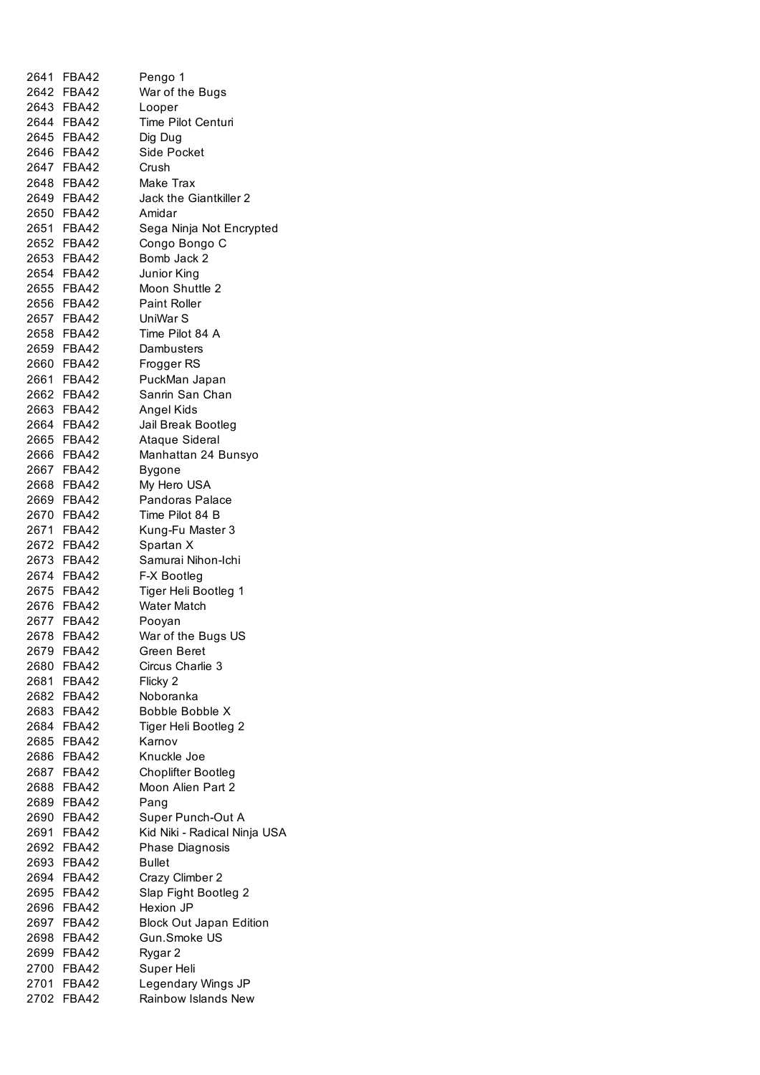| 2641 FBA42 | Pengo 1                        |
|------------|--------------------------------|
| 2642 FBA42 | War of the Bugs                |
| 2643 FBA42 | Looper                         |
| 2644 FBA42 | Time Pilot Centuri             |
| 2645 FBA42 | Dig Dug                        |
| 2646 FBA42 | <b>Side Pocket</b>             |
| 2647 FBA42 | Crush                          |
|            |                                |
| 2648 FBA42 | Make Trax                      |
| 2649 FBA42 | Jack the Giantkiller 2         |
| 2650 FBA42 | Amidar                         |
| 2651 FBA42 | Sega Ninja Not Encrypted       |
| 2652 FBA42 | Congo Bongo C                  |
| 2653 FBA42 | Bomb Jack 2                    |
| 2654 FBA42 | Junior King                    |
| 2655 FBA42 | Moon Shuttle 2                 |
| 2656 FBA42 | <b>Paint Roller</b>            |
| 2657 FBA42 | UniWar S                       |
| 2658 FBA42 | Time Pilot 84 A                |
| 2659 FBA42 | Dambusters                     |
| 2660 FBA42 | Frogger RS                     |
| 2661 FBA42 | PuckMan Japan                  |
| 2662 FBA42 | Sanrin San Chan                |
| 2663 FBA42 | Angel Kids                     |
| 2664 FBA42 | Jail Break Bootleg             |
| 2665 FBA42 | Ataque Sideral                 |
| 2666 FBA42 | Manhattan 24 Bunsyo            |
| 2667 FBA42 | Bygone                         |
| 2668 FBA42 | My Hero USA                    |
| 2669 FBA42 | Pandoras Palace                |
| 2670 FBA42 | Time Pilot 84 B                |
| 2671 FBA42 | Kung-Fu Master 3               |
| 2672 FBA42 | Spartan X                      |
| 2673 FBA42 | Samurai Nihon-Ichi             |
| 2674 FBA42 | F-X Bootleg                    |
| 2675 FBA42 | Tiger Heli Bootleg 1           |
| 2676 FBA42 | <b>Water Match</b>             |
| 2677 FBA42 | Pooyan                         |
| 2678 FBA42 | War of the Bugs US             |
| 2679 FBA42 | Green Beret                    |
| 2680 FBA42 | Circus Charlie 3               |
| 2681 FBA42 | Flicky 2                       |
| 2682 FBA42 | Noboranka                      |
| 2683 FBA42 | Bobble Bobble X                |
| 2684 FBA42 | Tiger Heli Bootleg 2           |
| 2685 FBA42 | Karnov                         |
| 2686 FBA42 | Knuckle Joe                    |
| 2687 FBA42 | <b>Choplifter Bootleg</b>      |
| 2688 FBA42 | Moon Alien Part 2              |
| 2689 FBA42 | Pang                           |
| 2690 FBA42 | Super Punch-Out A              |
|            |                                |
| 2691 FBA42 | Kid Niki - Radical Ninja USA   |
| 2692 FBA42 | Phase Diagnosis                |
| 2693 FBA42 | <b>Bullet</b>                  |
| 2694 FBA42 | Crazy Climber 2                |
| 2695 FBA42 | Slap Fight Bootleg 2           |
| 2696 FBA42 | Hexion JP                      |
| 2697 FBA42 | <b>Block Out Japan Edition</b> |
| 2698 FBA42 | Gun.Smoke US                   |
| 2699 FBA42 | Rygar 2                        |
| 2700 FBA42 | Super Heli                     |
| 2701 FBA42 | Legendary Wings JP             |
| 2702 FBA42 | Rainbow Islands New            |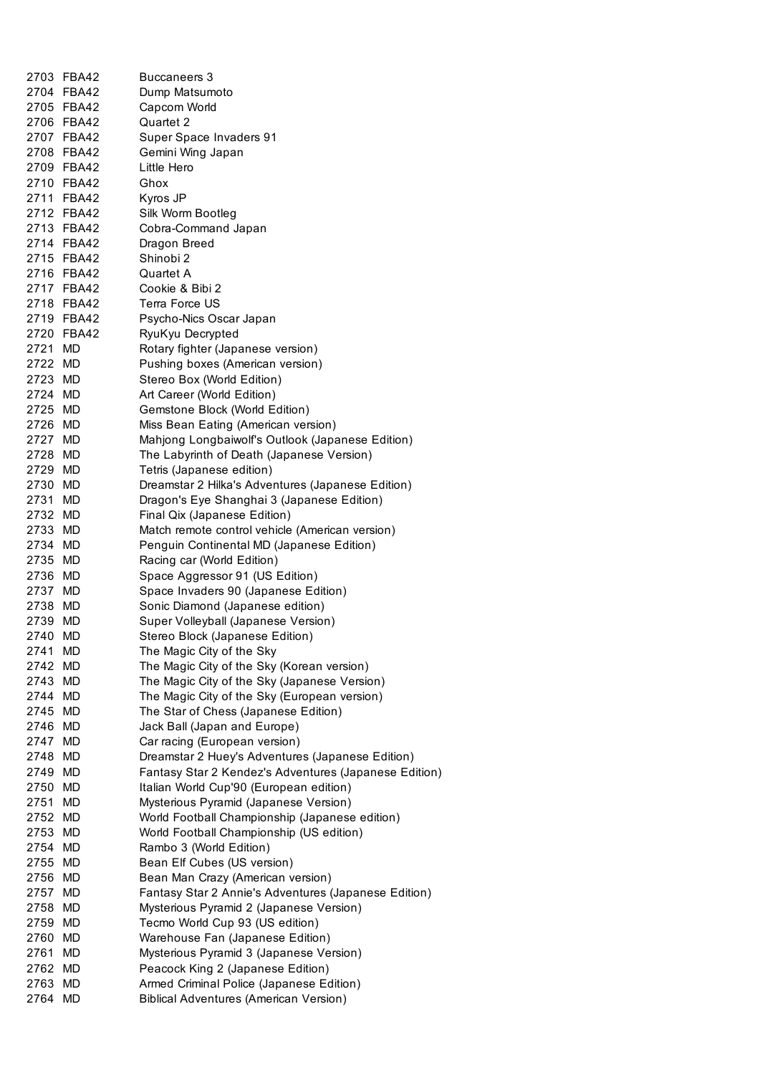|         | 2703 FBA42               | <b>Buccaneers 3</b>                                   |
|---------|--------------------------|-------------------------------------------------------|
|         | 2704 FBA42               | Dump Matsumoto                                        |
|         | 2705 FBA42               | Capcom World                                          |
|         | 2706 FBA42               | Quartet 2                                             |
|         | 2707 FBA42               | Super Space Invaders 91                               |
|         | 2708 FBA42               | Gemini Wing Japan                                     |
|         | 2709 FBA42               | Little Hero                                           |
|         | 2710 FBA42               | Ghox                                                  |
|         | 2711 FBA42               | Kyros JP                                              |
|         | 2712 FBA42               |                                                       |
|         |                          | Silk Worm Bootleg                                     |
|         | 2713 FBA42<br>2714 FBA42 | Cobra-Command Japan                                   |
|         |                          | Dragon Breed                                          |
|         | 2715 FBA42               | Shinobi 2                                             |
|         | 2716 FBA42               | Quartet A                                             |
|         | 2717 FBA42               | Cookie & Bibi 2                                       |
|         | 2718 FBA42               | Terra Force US                                        |
|         | 2719 FBA42               | Psycho-Nics Oscar Japan                               |
|         | 2720 FBA42               | RyuKyu Decrypted                                      |
| 2721 MD |                          | Rotary fighter (Japanese version)                     |
| 2722 MD |                          | Pushing boxes (American version)                      |
| 2723 MD |                          | Stereo Box (World Edition)                            |
| 2724 MD |                          | Art Career (World Edition)                            |
| 2725 MD |                          | Gemstone Block (World Edition)                        |
| 2726 MD |                          | Miss Bean Eating (American version)                   |
| 2727 MD |                          | Mahjong Longbaiwolf's Outlook (Japanese Edition)      |
| 2728 MD |                          | The Labyrinth of Death (Japanese Version)             |
| 2729 MD |                          | Tetris (Japanese edition)                             |
| 2730 MD |                          | Dreamstar 2 Hilka's Adventures (Japanese Edition)     |
| 2731 MD |                          | Dragon's Eye Shanghai 3 (Japanese Edition)            |
| 2732 MD |                          | Final Qix (Japanese Edition)                          |
| 2733 MD |                          | Match remote control vehicle (American version)       |
| 2734 MD |                          | Penguin Continental MD (Japanese Edition)             |
| 2735 MD |                          | Racing car (World Edition)                            |
| 2736 MD |                          | Space Aggressor 91 (US Edition)                       |
| 2737 MD |                          | Space Invaders 90 (Japanese Edition)                  |
| 2738 MD |                          | Sonic Diamond (Japanese edition)                      |
| 2739 MD |                          | Super Volleyball (Japanese Version)                   |
| 2740 MD |                          | Stereo Block (Japanese Edition)                       |
| 2741    | MD                       | The Magic City of the Sky                             |
| 2742 MD |                          | The Magic City of the Sky (Korean version)            |
| 2743    | MD                       | The Magic City of the Sky (Japanese Version)          |
| 2744 MD |                          | The Magic City of the Sky (European version)          |
| 2745    | MD                       | The Star of Chess (Japanese Edition)                  |
| 2746    | MD                       | Jack Ball (Japan and Europe)                          |
| 2747    | <b>MD</b>                | Car racing (European version)                         |
| 2748    | MD                       | Dreamstar 2 Huey's Adventures (Japanese Edition)      |
| 2749    | MD                       | Fantasy Star 2 Kendez's Adventures (Japanese Edition) |
| 2750    | MD                       | Italian World Cup'90 (European edition)               |
| 2751    | MD                       | Mysterious Pyramid (Japanese Version)                 |
| 2752    | MD                       | World Football Championship (Japanese edition)        |
| 2753    | MD                       | World Football Championship (US edition)              |
|         |                          | Rambo 3 (World Edition)                               |
| 2754    | MD                       |                                                       |
| 2755    | MD                       | Bean Elf Cubes (US version)                           |
| 2756    | MD                       | Bean Man Crazy (American version)                     |
| 2757    | MD                       | Fantasy Star 2 Annie's Adventures (Japanese Edition)  |
| 2758    | MD                       | Mysterious Pyramid 2 (Japanese Version)               |
| 2759    | MD                       | Tecmo World Cup 93 (US edition)                       |
| 2760    | MD                       | Warehouse Fan (Japanese Edition)                      |
| 2761    | MD                       | Mysterious Pyramid 3 (Japanese Version)               |
| 2762    | MD                       | Peacock King 2 (Japanese Edition)                     |
| 2763    | MD                       | Armed Criminal Police (Japanese Edition)              |
| 2764 MD |                          | <b>Biblical Adventures (American Version)</b>         |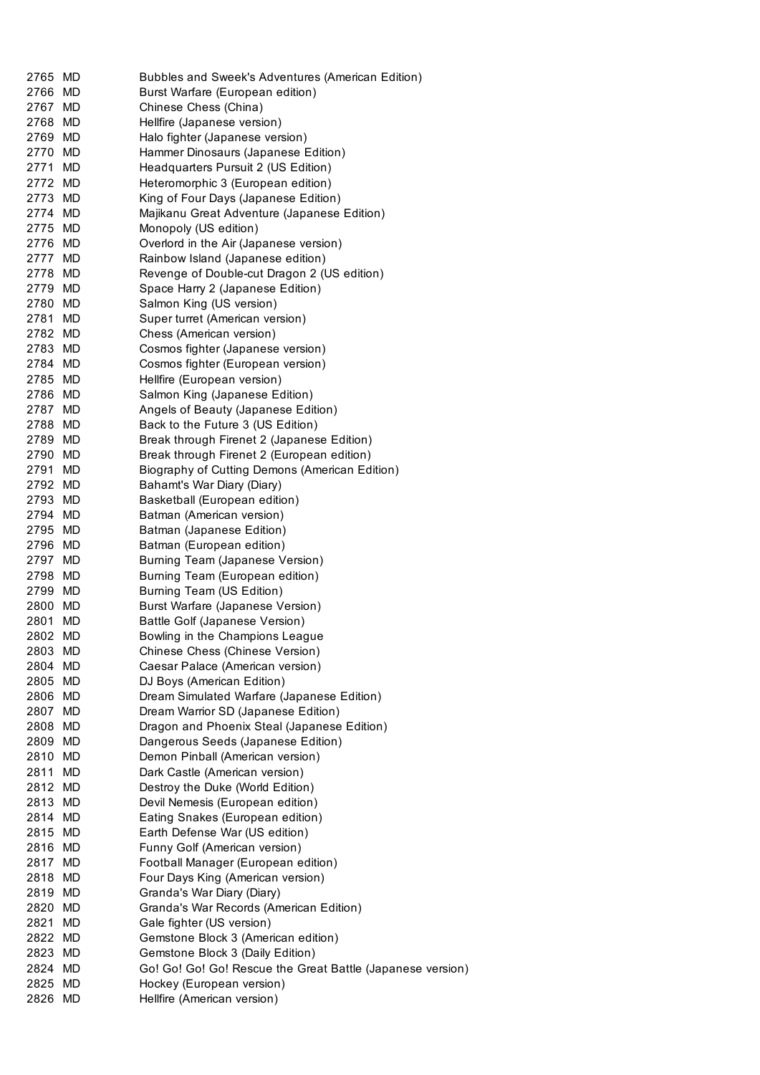| 2765    | MD | Bubbles and Sweek's Adventures (American Edition)          |
|---------|----|------------------------------------------------------------|
| 2766 MD |    | Burst Warfare (European edition)                           |
| 2767 MD |    | Chinese Chess (China)                                      |
| 2768 MD |    | Hellfire (Japanese version)                                |
| 2769 MD |    | Halo fighter (Japanese version)                            |
| 2770 MD |    | Hammer Dinosaurs (Japanese Edition)                        |
| 2771 MD |    | Headquarters Pursuit 2 (US Edition)                        |
| 2772 MD |    | Heteromorphic 3 (European edition)                         |
| 2773 MD |    | King of Four Days (Japanese Edition)                       |
| 2774 MD |    | Majikanu Great Adventure (Japanese Edition)                |
| 2775 MD |    | Monopoly (US edition)                                      |
| 2776 MD |    | Overlord in the Air (Japanese version)                     |
| 2777 MD |    | Rainbow Island (Japanese edition)                          |
| 2778 MD |    | Revenge of Double-cut Dragon 2 (US edition)                |
| 2779 MD |    | Space Harry 2 (Japanese Edition)                           |
| 2780 MD |    | Salmon King (US version)                                   |
| 2781 MD |    | Super turret (American version)                            |
| 2782 MD |    | Chess (American version)                                   |
| 2783 MD |    | Cosmos fighter (Japanese version)                          |
| 2784 MD |    | Cosmos fighter (European version)                          |
| 2785 MD |    | Hellfire (European version)                                |
| 2786 MD |    | Salmon King (Japanese Edition)                             |
| 2787 MD |    | Angels of Beauty (Japanese Edition)                        |
| 2788 MD |    | Back to the Future 3 (US Edition)                          |
| 2789 MD |    | Break through Firenet 2 (Japanese Edition)                 |
| 2790 MD |    | Break through Firenet 2 (European edition)                 |
| 2791 MD |    | Biography of Cutting Demons (American Edition)             |
| 2792 MD |    | Bahamt's War Diary (Diary)                                 |
| 2793 MD |    | Basketball (European edition)                              |
| 2794 MD |    | Batman (American version)                                  |
| 2795 MD |    | Batman (Japanese Edition)                                  |
| 2796 MD |    | Batman (European edition)                                  |
| 2797 MD |    | Burning Team (Japanese Version)                            |
| 2798 MD |    | Burning Team (European edition)                            |
| 2799 MD |    | Burning Team (US Edition)                                  |
| 2800 MD |    | Burst Warfare (Japanese Version)                           |
| 2801    | MD | Battle Golf (Japanese Version)                             |
| 2802 MD |    | Bowling in the Champions League                            |
| 2803    | MD | Chinese Chess (Chinese Version)                            |
| 2804 MD |    | Caesar Palace (American version)                           |
| 2805 MD |    | DJ Boys (American Edition)                                 |
| 2806 MD |    | Dream Simulated Warfare (Japanese Edition)                 |
| 2807 MD |    | Dream Warrior SD (Japanese Edition)                        |
| 2808 MD |    | Dragon and Phoenix Steal (Japanese Edition)                |
| 2809 MD |    | Dangerous Seeds (Japanese Edition)                         |
| 2810 MD |    | Demon Pinball (American version)                           |
| 2811 MD |    | Dark Castle (American version)                             |
| 2812 MD |    | Destroy the Duke (World Edition)                           |
| 2813 MD |    | Devil Nemesis (European edition)                           |
| 2814 MD |    | Eating Snakes (European edition)                           |
| 2815 MD |    | Earth Defense War (US edition)                             |
| 2816 MD |    | Funny Golf (American version)                              |
| 2817 MD |    | Football Manager (European edition)                        |
| 2818 MD |    | Four Days King (American version)                          |
| 2819 MD |    | Granda's War Diary (Diary)                                 |
| 2820 MD |    | Granda's War Records (American Edition)                    |
| 2821 MD |    | Gale fighter (US version)                                  |
| 2822 MD |    | Gemstone Block 3 (American edition)                        |
| 2823 MD |    | Gemstone Block 3 (Daily Edition)                           |
| 2824 MD |    | Go! Go! Go! Go! Rescue the Great Battle (Japanese version) |
| 2825 MD |    | Hockey (European version)                                  |
| 2826 MD |    | Hellfire (American version)                                |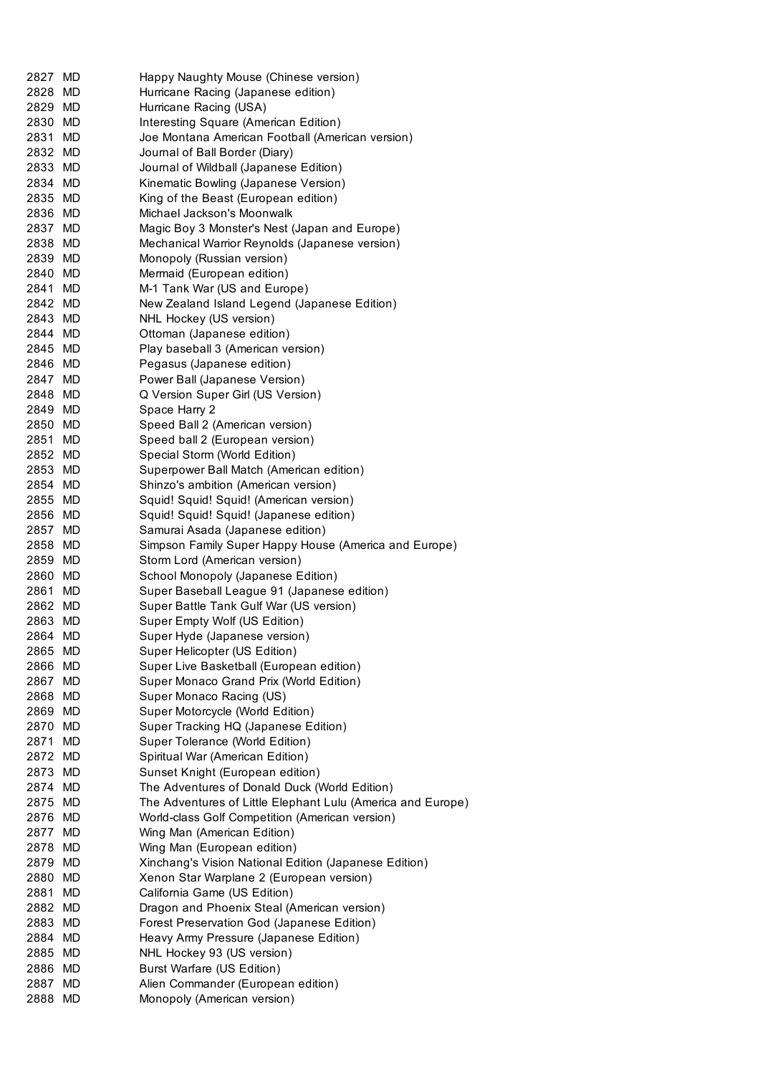| 2827 MD | Happy Naughty Mouse (Chinese version)                       |
|---------|-------------------------------------------------------------|
| 2828 MD | Hurricane Racing (Japanese edition)                         |
| 2829 MD | Hurricane Racing (USA)                                      |
| 2830 MD | Interesting Square (American Edition)                       |
| 2831 MD | Joe Montana American Football (American version)            |
| 2832 MD | Journal of Ball Border (Diary)                              |
| 2833 MD | Journal of Wildball (Japanese Edition)                      |
| 2834 MD | Kinematic Bowling (Japanese Version)                        |
| 2835 MD | King of the Beast (European edition)                        |
| 2836 MD | Michael Jackson's Moonwalk                                  |
| 2837 MD | Magic Boy 3 Monster's Nest (Japan and Europe)               |
| 2838 MD | Mechanical Warrior Reynolds (Japanese version)              |
| 2839 MD | Monopoly (Russian version)                                  |
| 2840 MD | Mermaid (European edition)                                  |
| 2841 MD | M-1 Tank War (US and Europe)                                |
| 2842 MD | New Zealand Island Legend (Japanese Edition)                |
| 2843 MD | NHL Hockey (US version)                                     |
| 2844 MD | Ottoman (Japanese edition)                                  |
| 2845 MD | Play baseball 3 (American version)                          |
| 2846 MD | Pegasus (Japanese edition)                                  |
| 2847 MD | Power Ball (Japanese Version)                               |
| 2848 MD | Q Version Super Girl (US Version)                           |
| 2849 MD | Space Harry 2                                               |
| 2850 MD | Speed Ball 2 (American version)                             |
| 2851 MD | Speed ball 2 (European version)                             |
| 2852 MD | Special Storm (World Edition)                               |
| 2853 MD | Superpower Ball Match (American edition)                    |
| 2854 MD | Shinzo's ambition (American version)                        |
| 2855 MD | Squid! Squid! Squid! (American version)                     |
| 2856 MD | Squid! Squid! Squid! (Japanese edition)                     |
| 2857 MD | Samurai Asada (Japanese edition)                            |
| 2858 MD | Simpson Family Super Happy House (America and Europe)       |
| 2859 MD | Storm Lord (American version)                               |
| 2860 MD | School Monopoly (Japanese Edition)                          |
| 2861 MD | Super Baseball League 91 (Japanese edition)                 |
| 2862 MD | Super Battle Tank Gulf War (US version)                     |
| 2863 MD | Super Empty Wolf (US Edition)                               |
| 2864 MD | Super Hyde (Japanese version)                               |
| 2865 MD | Super Helicopter (US Edition)                               |
| 2866 MD | Super Live Basketball (European edition)                    |
| 2867 MD | Super Monaco Grand Prix (World Edition)                     |
| 2868 MD | Super Monaco Racing (US)                                    |
| 2869 MD | Super Motorcycle (World Edition)                            |
| 2870 MD | Super Tracking HQ (Japanese Edition)                        |
| 2871 MD | Super Tolerance (World Edition)                             |
| 2872 MD | Spiritual War (American Edition)                            |
| 2873 MD | Sunset Knight (European edition)                            |
| 2874 MD | The Adventures of Donald Duck (World Edition)               |
| 2875 MD | The Adventures of Little Elephant Lulu (America and Europe) |
| 2876 MD | World-class Golf Competition (American version)             |
| 2877 MD | Wing Man (American Edition)                                 |
| 2878 MD | Wing Man (European edition)                                 |
| 2879 MD | Xinchang's Vision National Edition (Japanese Edition)       |
| 2880 MD | Xenon Star Warplane 2 (European version)                    |
| 2881 MD | California Game (US Edition)                                |
| 2882 MD | Dragon and Phoenix Steal (American version)                 |
| 2883 MD | Forest Preservation God (Japanese Edition)                  |
| 2884 MD | Heavy Army Pressure (Japanese Edition)                      |
| 2885 MD |                                                             |
|         | NHL Hockey 93 (US version)                                  |
| 2886 MD | Burst Warfare (US Edition)                                  |
| 2887 MD | Alien Commander (European edition)                          |
| 2888 MD | Monopoly (American version)                                 |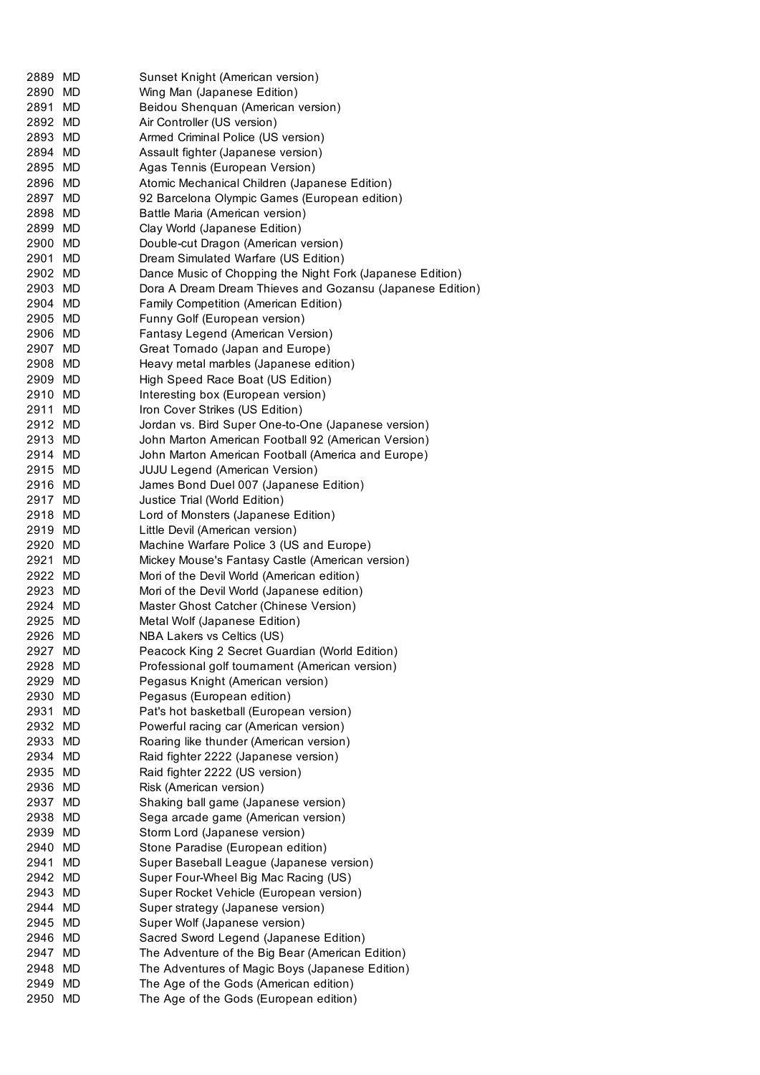| 2889    | MD        | Sunset Knight (American version)                          |
|---------|-----------|-----------------------------------------------------------|
| 2890 MD |           | Wing Man (Japanese Edition)                               |
| 2891 MD |           | Beidou Shenquan (American version)                        |
| 2892 MD |           | Air Controller (US version)                               |
| 2893 MD |           | Armed Criminal Police (US version)                        |
| 2894 MD |           | Assault fighter (Japanese version)                        |
| 2895 MD |           | Agas Tennis (European Version)                            |
| 2896 MD |           | Atomic Mechanical Children (Japanese Edition)             |
| 2897 MD |           | 92 Barcelona Olympic Games (European edition)             |
| 2898 MD |           | Battle Maria (American version)                           |
| 2899 MD |           | Clay World (Japanese Edition)                             |
| 2900 MD |           | Double-cut Dragon (American version)                      |
| 2901 MD |           | Dream Simulated Warfare (US Edition)                      |
| 2902 MD |           | Dance Music of Chopping the Night Fork (Japanese Edition) |
| 2903 MD |           | Dora A Dream Dream Thieves and Gozansu (Japanese Edition) |
| 2904 MD |           | Family Competition (American Edition)                     |
| 2905 MD |           | Funny Golf (European version)                             |
| 2906 MD |           | Fantasy Legend (American Version)                         |
| 2907 MD |           | Great Tornado (Japan and Europe)                          |
| 2908 MD |           | Heavy metal marbles (Japanese edition)                    |
| 2909 MD |           | High Speed Race Boat (US Edition)                         |
| 2910 MD |           | Interesting box (European version)                        |
| 2911 MD |           | Iron Cover Strikes (US Edition)                           |
| 2912 MD |           | Jordan vs. Bird Super One-to-One (Japanese version)       |
| 2913 MD |           | John Marton American Football 92 (American Version)       |
| 2914 MD |           | John Marton American Football (America and Europe)        |
| 2915 MD |           | <b>JUJU Legend (American Version)</b>                     |
| 2916 MD |           | James Bond Duel 007 (Japanese Edition)                    |
| 2917 MD |           | Justice Trial (World Edition)                             |
| 2918 MD |           | Lord of Monsters (Japanese Edition)                       |
| 2919 MD |           | Little Devil (American version)                           |
| 2920 MD |           | Machine Warfare Police 3 (US and Europe)                  |
| 2921 MD |           | Mickey Mouse's Fantasy Castle (American version)          |
| 2922 MD |           | Mori of the Devil World (American edition)                |
| 2923 MD |           | Mori of the Devil World (Japanese edition)                |
| 2924 MD |           | Master Ghost Catcher (Chinese Version)                    |
| 2925 MD |           | Metal Wolf (Japanese Edition)                             |
| 2926 MD |           | NBA Lakers vs Celtics (US)                                |
| 2927    | MD        | Peacock King 2 Secret Guardian (World Edition)            |
| 2928    | <b>MD</b> | Professional golf tournament (American version)           |
| 2929 MD |           | Pegasus Knight (American version)                         |
| 2930 MD |           | Pegasus (European edition)                                |
| 2931    | MD        | Pat's hot basketball (European version)                   |
| 2932 MD |           | Powerful racing car (American version)                    |
| 2933 MD |           | Roaring like thunder (American version)                   |
| 2934 MD |           | Raid fighter 2222 (Japanese version)                      |
| 2935 MD |           | Raid fighter 2222 (US version)                            |
| 2936 MD |           | Risk (American version)                                   |
| 2937 MD |           | Shaking ball game (Japanese version)                      |
| 2938 MD |           | Sega arcade game (American version)                       |
| 2939 MD |           | Storm Lord (Japanese version)                             |
| 2940    | MD        | Stone Paradise (European edition)                         |
| 2941    | MD        | Super Baseball League (Japanese version)                  |
| 2942 MD |           | Super Four-Wheel Big Mac Racing (US)                      |
| 2943 MD |           | Super Rocket Vehicle (European version)                   |
| 2944 MD |           | Super strategy (Japanese version)                         |
| 2945 MD |           | Super Wolf (Japanese version)                             |
| 2946 MD |           | Sacred Sword Legend (Japanese Edition)                    |
| 2947 MD |           | The Adventure of the Big Bear (American Edition)          |
| 2948 MD |           | The Adventures of Magic Boys (Japanese Edition)           |
| 2949 MD |           | The Age of the Gods (American edition)                    |
| 2950 MD |           | The Age of the Gods (European edition)                    |
|         |           |                                                           |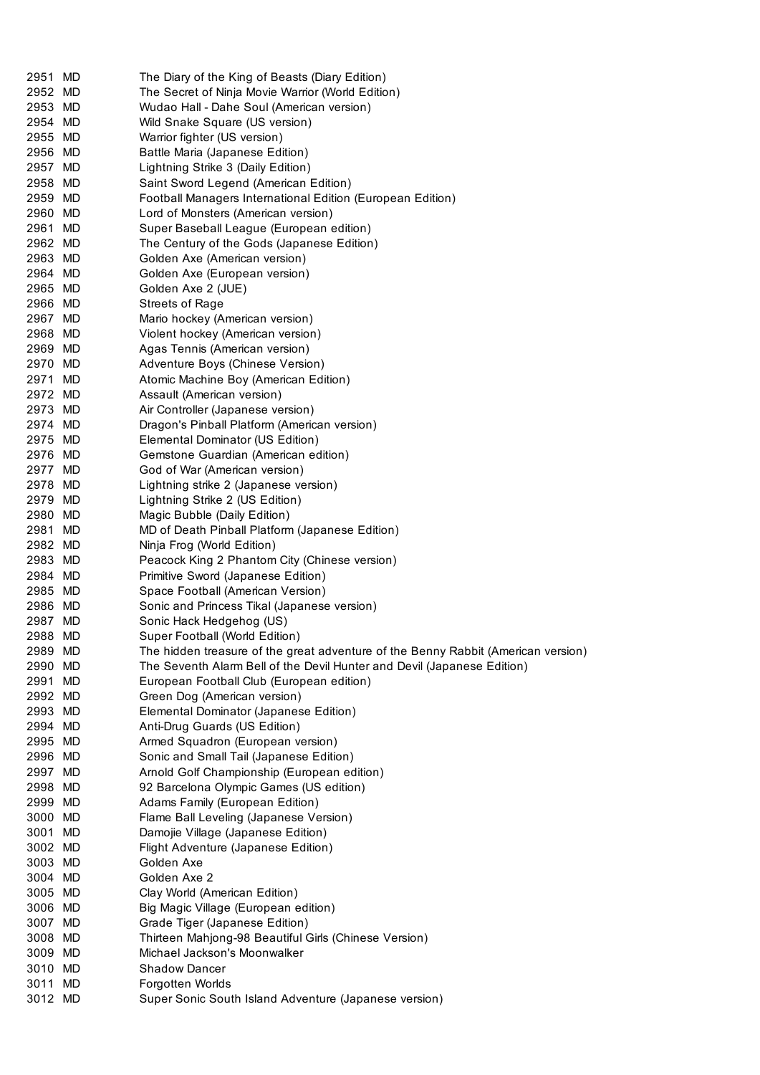| 2951 MD |    | The Diary of the King of Beasts (Diary Edition)                                   |
|---------|----|-----------------------------------------------------------------------------------|
| 2952 MD |    | The Secret of Ninja Movie Warrior (World Edition)                                 |
| 2953 MD |    | Wudao Hall - Dahe Soul (American version)                                         |
| 2954 MD |    | Wild Snake Square (US version)                                                    |
| 2955 MD |    | Warrior fighter (US version)                                                      |
| 2956 MD |    | Battle Maria (Japanese Edition)                                                   |
| 2957 MD |    | Lightning Strike 3 (Daily Edition)                                                |
| 2958 MD |    | Saint Sword Legend (American Edition)                                             |
| 2959 MD |    | Football Managers International Edition (European Edition)                        |
| 2960 MD |    | Lord of Monsters (American version)                                               |
| 2961 MD |    | Super Baseball League (European edition)                                          |
| 2962 MD |    | The Century of the Gods (Japanese Edition)                                        |
| 2963 MD |    | Golden Axe (American version)                                                     |
| 2964 MD |    | Golden Axe (European version)                                                     |
| 2965 MD |    | Golden Axe 2 (JUE)                                                                |
| 2966 MD |    | <b>Streets of Rage</b>                                                            |
| 2967 MD |    | Mario hockey (American version)                                                   |
| 2968 MD |    | Violent hockey (American version)                                                 |
| 2969 MD |    | Agas Tennis (American version)                                                    |
| 2970 MD |    | Adventure Boys (Chinese Version)                                                  |
| 2971 MD |    | Atomic Machine Boy (American Edition)                                             |
| 2972 MD |    | Assault (American version)                                                        |
| 2973 MD |    | Air Controller (Japanese version)                                                 |
| 2974 MD |    | Dragon's Pinball Platform (American version)                                      |
| 2975 MD |    | Elemental Dominator (US Edition)                                                  |
| 2976 MD |    | Gemstone Guardian (American edition)                                              |
| 2977 MD |    | God of War (American version)                                                     |
| 2978 MD |    | Lightning strike 2 (Japanese version)                                             |
| 2979 MD |    | Lightning Strike 2 (US Edition)                                                   |
| 2980 MD |    | Magic Bubble (Daily Edition)                                                      |
| 2981 MD |    | MD of Death Pinball Platform (Japanese Edition)                                   |
| 2982 MD |    | Ninja Frog (World Edition)                                                        |
| 2983 MD |    | Peacock King 2 Phantom City (Chinese version)                                     |
| 2984 MD |    | Primitive Sword (Japanese Edition)                                                |
| 2985 MD |    | Space Football (American Version)                                                 |
| 2986 MD |    | Sonic and Princess Tikal (Japanese version)                                       |
| 2987 MD |    | Sonic Hack Hedgehog (US)                                                          |
| 2988 MD |    | Super Football (World Edition)                                                    |
| 2989 MD |    | The hidden treasure of the great adventure of the Benny Rabbit (American version) |
| 2990 MD |    | The Seventh Alarm Bell of the Devil Hunter and Devil (Japanese Edition)           |
| 2991 MD |    | European Football Club (European edition)                                         |
| 2992 MD |    | Green Dog (American version)                                                      |
| 2993 MD |    | Elemental Dominator (Japanese Edition)                                            |
| 2994 MD |    | Anti-Drug Guards (US Edition)                                                     |
| 2995 MD |    | Armed Squadron (European version)                                                 |
| 2996 MD |    | Sonic and Small Tail (Japanese Edition)                                           |
| 2997 MD |    | Arnold Golf Championship (European edition)                                       |
| 2998 MD |    | 92 Barcelona Olympic Games (US edition)                                           |
| 2999 MD |    | Adams Family (European Edition)                                                   |
| 3000 MD |    | Flame Ball Leveling (Japanese Version)                                            |
| 3001 MD |    | Damojie Village (Japanese Edition)                                                |
| 3002 MD |    | Flight Adventure (Japanese Edition)                                               |
| 3003 MD |    | Golden Axe                                                                        |
| 3004 MD |    | Golden Axe 2                                                                      |
| 3005 MD |    | Clay World (American Edition)                                                     |
| 3006 MD |    | Big Magic Village (European edition)                                              |
| 3007 MD |    | Grade Tiger (Japanese Edition)                                                    |
| 3008 MD |    | Thirteen Mahjong-98 Beautiful Girls (Chinese Version)                             |
| 3009 MD |    | Michael Jackson's Moonwalker                                                      |
| 3010 MD |    | <b>Shadow Dancer</b>                                                              |
| 3011    | MD | Forgotten Worlds                                                                  |
| 3012 MD |    | Super Sonic South Island Adventure (Japanese version)                             |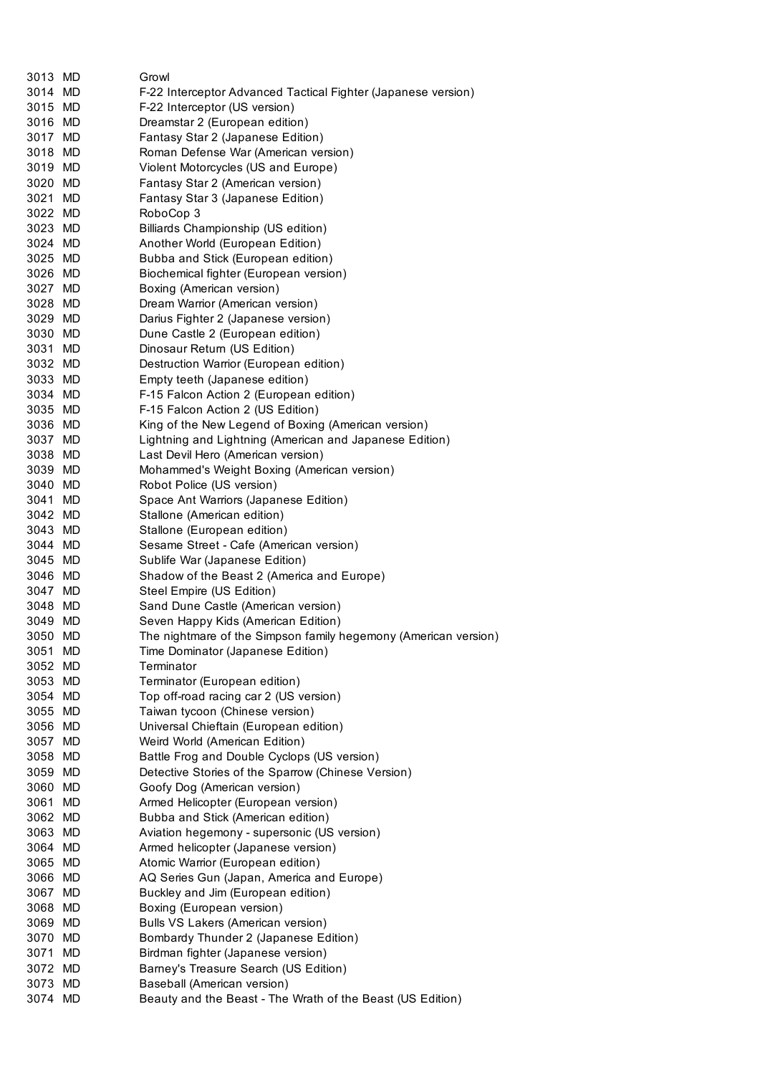| 3013 MD |     | Growl                                                                       |
|---------|-----|-----------------------------------------------------------------------------|
| 3014 MD |     | F-22 Interceptor Advanced Tactical Fighter (Japanese version)               |
| 3015 MD |     | F-22 Interceptor (US version)                                               |
| 3016 MD |     | Dreamstar 2 (European edition)                                              |
| 3017 MD |     | Fantasy Star 2 (Japanese Edition)                                           |
| 3018 MD |     |                                                                             |
| 3019 MD |     | Roman Defense War (American version)<br>Violent Motorcycles (US and Europe) |
| 3020 MD |     |                                                                             |
| 3021 MD |     | Fantasy Star 2 (American version)                                           |
| 3022 MD |     | Fantasy Star 3 (Japanese Edition)<br>RoboCop 3                              |
| 3023 MD |     | Billiards Championship (US edition)                                         |
| 3024 MD |     |                                                                             |
| 3025 MD |     | Another World (European Edition)<br>Bubba and Stick (European edition)      |
| 3026 MD |     | Biochemical fighter (European version)                                      |
| 3027 MD |     | Boxing (American version)                                                   |
| 3028 MD |     | Dream Warrior (American version)                                            |
| 3029 MD |     | Darius Fighter 2 (Japanese version)                                         |
| 3030 MD |     | Dune Castle 2 (European edition)                                            |
| 3031 MD |     | Dinosaur Return (US Edition)                                                |
| 3032 MD |     | Destruction Warrior (European edition)                                      |
| 3033 MD |     | Empty teeth (Japanese edition)                                              |
| 3034 MD |     | F-15 Falcon Action 2 (European edition)                                     |
| 3035 MD |     | F-15 Falcon Action 2 (US Edition)                                           |
| 3036 MD |     | King of the New Legend of Boxing (American version)                         |
| 3037 MD |     | Lightning and Lightning (American and Japanese Edition)                     |
| 3038 MD |     | Last Devil Hero (American version)                                          |
| 3039 MD |     | Mohammed's Weight Boxing (American version)                                 |
| 3040 MD |     | Robot Police (US version)                                                   |
| 3041 MD |     | Space Ant Warriors (Japanese Edition)                                       |
| 3042 MD |     | Stallone (American edition)                                                 |
| 3043 MD |     | Stallone (European edition)                                                 |
| 3044 MD |     | Sesame Street - Cafe (American version)                                     |
| 3045 MD |     | Sublife War (Japanese Edition)                                              |
| 3046 MD |     | Shadow of the Beast 2 (America and Europe)                                  |
| 3047    | MD  | Steel Empire (US Edition)                                                   |
| 3048    | MD. | Sand Dune Castle (American version)                                         |
| 3049    | MD. | Seven Happy Kids (American Edition)                                         |
| 3050 MD |     | The nightmare of the Simpson family hegemony (American version)             |
| 3051 MD |     | Time Dominator (Japanese Edition)                                           |
| 3052 MD |     | Terminator                                                                  |
| 3053 MD |     | Terminator (European edition)                                               |
| 3054 MD |     | Top off-road racing car 2 (US version)                                      |
| 3055 MD |     | Taiwan tycoon (Chinese version)                                             |
| 3056 MD |     | Universal Chieftain (European edition)                                      |
| 3057 MD |     | Weird World (American Edition)                                              |
| 3058 MD |     | Battle Frog and Double Cyclops (US version)                                 |
| 3059 MD |     | Detective Stories of the Sparrow (Chinese Version)                          |
| 3060 MD |     | Goofy Dog (American version)                                                |
| 3061    | MD  | Armed Helicopter (European version)                                         |
| 3062 MD |     | Bubba and Stick (American edition)                                          |
| 3063 MD |     | Aviation hegemony - supersonic (US version)                                 |
| 3064 MD |     | Armed helicopter (Japanese version)                                         |
| 3065 MD |     | Atomic Warrior (European edition)                                           |
| 3066 MD |     | AQ Series Gun (Japan, America and Europe)                                   |
| 3067 MD |     | Buckley and Jim (European edition)                                          |
| 3068 MD |     | Boxing (European version)                                                   |
| 3069 MD |     | Bulls VS Lakers (American version)                                          |
| 3070 MD |     | Bombardy Thunder 2 (Japanese Edition)                                       |
| 3071 MD |     | Birdman fighter (Japanese version)                                          |
| 3072 MD |     | Barney's Treasure Search (US Edition)                                       |
| 3073 MD |     | Baseball (American version)                                                 |
| 3074 MD |     | Beauty and the Beast - The Wrath of the Beast (US Edition)                  |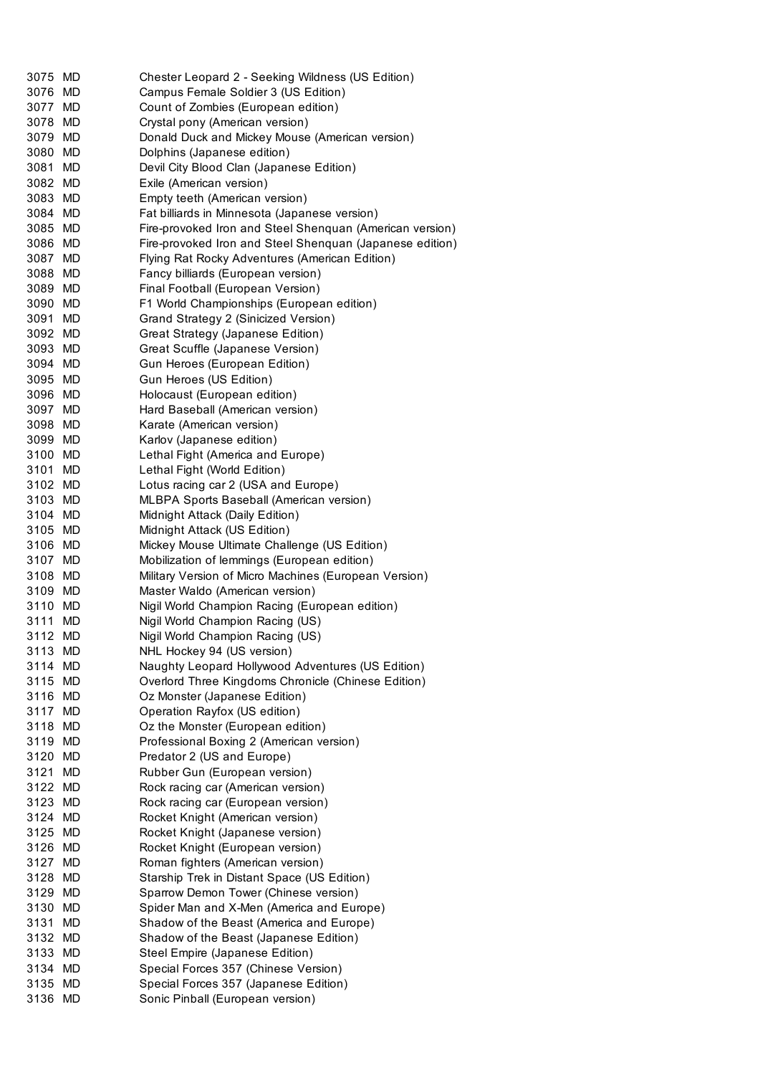| 3075 MD            | Chester Leopard 2 - Seeking Wildness (US Edition)                                                         |
|--------------------|-----------------------------------------------------------------------------------------------------------|
| 3076 MD            | Campus Female Soldier 3 (US Edition)                                                                      |
| 3077 MD            | Count of Zombies (European edition)                                                                       |
| 3078 MD            | Crystal pony (American version)                                                                           |
| 3079 MD            | Donald Duck and Mickey Mouse (American version)                                                           |
| 3080 MD            | Dolphins (Japanese edition)                                                                               |
| 3081 MD            | Devil City Blood Clan (Japanese Edition)                                                                  |
| 3082 MD            |                                                                                                           |
|                    | Exile (American version)                                                                                  |
| 3083 MD<br>3084 MD | Empty teeth (American version)                                                                            |
| 3085 MD            | Fat billiards in Minnesota (Japanese version)<br>Fire-provoked Iron and Steel Shenquan (American version) |
|                    |                                                                                                           |
| 3086 MD            | Fire-provoked Iron and Steel Shenquan (Japanese edition)                                                  |
| 3087 MD<br>3088 MD | Flying Rat Rocky Adventures (American Edition)                                                            |
|                    | Fancy billiards (European version)                                                                        |
| 3089 MD            | Final Football (European Version)                                                                         |
| 3090 MD            | F1 World Championships (European edition)                                                                 |
| 3091 MD            | Grand Strategy 2 (Sinicized Version)                                                                      |
| 3092 MD            | Great Strategy (Japanese Edition)                                                                         |
| 3093 MD            | Great Scuffle (Japanese Version)                                                                          |
| 3094 MD            | Gun Heroes (European Edition)                                                                             |
| 3095 MD            | Gun Heroes (US Edition)                                                                                   |
| 3096 MD            | Holocaust (European edition)                                                                              |
| 3097 MD            | Hard Baseball (American version)                                                                          |
| 3098 MD            | Karate (American version)                                                                                 |
| 3099 MD            | Karlov (Japanese edition)                                                                                 |
| 3100 MD            | Lethal Fight (America and Europe)                                                                         |
| 3101 MD            | Lethal Fight (World Edition)                                                                              |
| 3102 MD            | Lotus racing car 2 (USA and Europe)                                                                       |
| 3103 MD            | MLBPA Sports Baseball (American version)                                                                  |
| 3104 MD            | Midnight Attack (Daily Edition)                                                                           |
| 3105 MD            | Midnight Attack (US Edition)                                                                              |
| 3106 MD            | Mickey Mouse Ultimate Challenge (US Edition)                                                              |
| 3107 MD            | Mobilization of lemmings (European edition)                                                               |
| 3108 MD            | Military Version of Micro Machines (European Version)                                                     |
| 3109 MD            | Master Waldo (American version)                                                                           |
| 3110 MD            | Nigil World Champion Racing (European edition)                                                            |
| 3111 MD            | Nigil World Champion Racing (US)                                                                          |
| 3112 MD            | Nigil World Champion Racing (US)                                                                          |
| 3113 MD            | NHL Hockey 94 (US version)                                                                                |
| 3114 MD            | Naughty Leopard Hollywood Adventures (US Edition)                                                         |
| 3115 MD            | Overlord Three Kingdoms Chronicle (Chinese Edition)                                                       |
| 3116 MD            | Oz Monster (Japanese Edition)                                                                             |
| 3117 MD            | Operation Rayfox (US edition)                                                                             |
| 3118 MD            | Oz the Monster (European edition)                                                                         |
| 3119 MD            | Professional Boxing 2 (American version)                                                                  |
| 3120 MD            | Predator 2 (US and Europe)                                                                                |
| 3121 MD            | Rubber Gun (European version)                                                                             |
| 3122 MD            | Rock racing car (American version)                                                                        |
| 3123 MD            | Rock racing car (European version)                                                                        |
| 3124 MD            | Rocket Knight (American version)                                                                          |
| 3125 MD            | Rocket Knight (Japanese version)                                                                          |
| 3126 MD            | Rocket Knight (European version)                                                                          |
| 3127 MD            | Roman fighters (American version)                                                                         |
| 3128 MD            | Starship Trek in Distant Space (US Edition)                                                               |
| 3129 MD            | Sparrow Demon Tower (Chinese version)                                                                     |
| 3130 MD            | Spider Man and X-Men (America and Europe)                                                                 |
| 3131 MD            | Shadow of the Beast (America and Europe)                                                                  |
| 3132 MD            | Shadow of the Beast (Japanese Edition)                                                                    |
| 3133 MD            | Steel Empire (Japanese Edition)                                                                           |
| 3134 MD            | Special Forces 357 (Chinese Version)                                                                      |
| 3135 MD            | Special Forces 357 (Japanese Edition)                                                                     |
| 3136 MD            | Sonic Pinball (European version)                                                                          |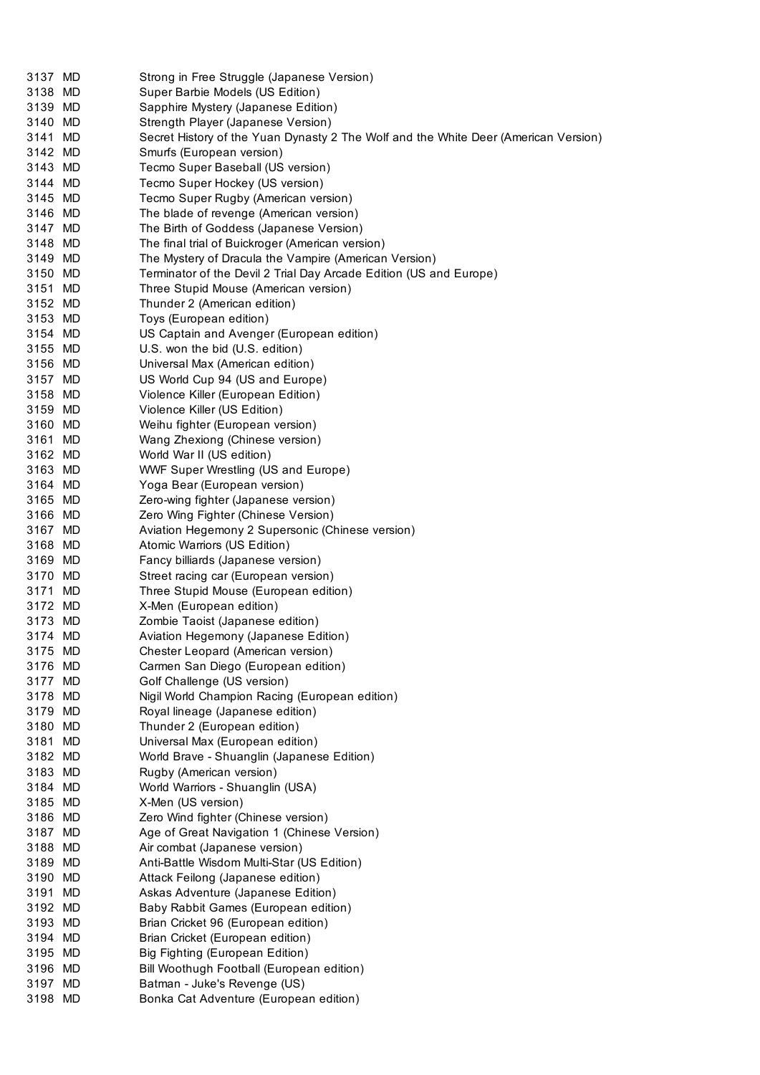| 3137 MD | Strong in Free Struggle (Japanese Version)                                          |
|---------|-------------------------------------------------------------------------------------|
| 3138 MD | Super Barbie Models (US Edition)                                                    |
| 3139 MD | Sapphire Mystery (Japanese Edition)                                                 |
| 3140 MD | Strength Player (Japanese Version)                                                  |
| 3141 MD | Secret History of the Yuan Dynasty 2 The Wolf and the White Deer (American Version) |
| 3142 MD | Smurfs (European version)                                                           |
| 3143 MD | Tecmo Super Baseball (US version)                                                   |
| 3144 MD | Tecmo Super Hockey (US version)                                                     |
| 3145 MD | Tecmo Super Rugby (American version)                                                |
| 3146 MD | The blade of revenge (American version)                                             |
| 3147 MD | The Birth of Goddess (Japanese Version)                                             |
| 3148 MD | The final trial of Buickroger (American version)                                    |
| 3149 MD | The Mystery of Dracula the Vampire (American Version)                               |
| 3150 MD | Terminator of the Devil 2 Trial Day Arcade Edition (US and Europe)                  |
|         |                                                                                     |
| 3151 MD | Three Stupid Mouse (American version)                                               |
| 3152 MD | Thunder 2 (American edition)                                                        |
| 3153 MD | Toys (European edition)                                                             |
| 3154 MD | US Captain and Avenger (European edition)                                           |
| 3155 MD | U.S. won the bid (U.S. edition)                                                     |
| 3156 MD | Universal Max (American edition)                                                    |
| 3157 MD | US World Cup 94 (US and Europe)                                                     |
| 3158 MD | Violence Killer (European Edition)                                                  |
| 3159 MD | Violence Killer (US Edition)                                                        |
| 3160 MD | Weihu fighter (European version)                                                    |
| 3161 MD | Wang Zhexiong (Chinese version)                                                     |
| 3162 MD | World War II (US edition)                                                           |
| 3163 MD | <b>WWF Super Wrestling (US and Europe)</b>                                          |
| 3164 MD | Yoga Bear (European version)                                                        |
| 3165 MD | Zero-wing fighter (Japanese version)                                                |
| 3166 MD | Zero Wing Fighter (Chinese Version)                                                 |
| 3167 MD | Aviation Hegemony 2 Supersonic (Chinese version)                                    |
| 3168 MD | Atomic Warriors (US Edition)                                                        |
|         |                                                                                     |
| 3169 MD | Fancy billiards (Japanese version)                                                  |
| 3170 MD | Street racing car (European version)                                                |
| 3171 MD | Three Stupid Mouse (European edition)                                               |
| 3172 MD | X-Men (European edition)                                                            |
| 3173 MD | Zombie Taoist (Japanese edition)                                                    |
| 3174 MD | Aviation Hegemony (Japanese Edition)                                                |
| 3175 MD | Chester Leopard (American version)                                                  |
| 3176 MD | Carmen San Diego (European edition)                                                 |
| 3177 MD | Golf Challenge (US version)                                                         |
| 3178 MD | Nigil World Champion Racing (European edition)                                      |
| 3179 MD | Royal lineage (Japanese edition)                                                    |
| 3180 MD | Thunder 2 (European edition)                                                        |
| 3181 MD | Universal Max (European edition)                                                    |
| 3182 MD | World Brave - Shuanglin (Japanese Edition)                                          |
| 3183 MD | Rugby (American version)                                                            |
| 3184 MD | World Warriors - Shuanglin (USA)                                                    |
| 3185 MD | X-Men (US version)                                                                  |
| 3186 MD | Zero Wind fighter (Chinese version)                                                 |
| 3187 MD | Age of Great Navigation 1 (Chinese Version)                                         |
| 3188 MD |                                                                                     |
|         | Air combat (Japanese version)                                                       |
| 3189 MD | Anti-Battle Wisdom Multi-Star (US Edition)                                          |
| 3190 MD | Attack Feilong (Japanese edition)                                                   |
| 3191 MD | Askas Adventure (Japanese Edition)                                                  |
| 3192 MD | Baby Rabbit Games (European edition)                                                |
| 3193 MD | Brian Cricket 96 (European edition)                                                 |
| 3194 MD | Brian Cricket (European edition)                                                    |
| 3195 MD | Big Fighting (European Edition)                                                     |
| 3196 MD | Bill Woothugh Football (European edition)                                           |
| 3197 MD | Batman - Juke's Revenge (US)                                                        |
| 3198 MD | Bonka Cat Adventure (European edition)                                              |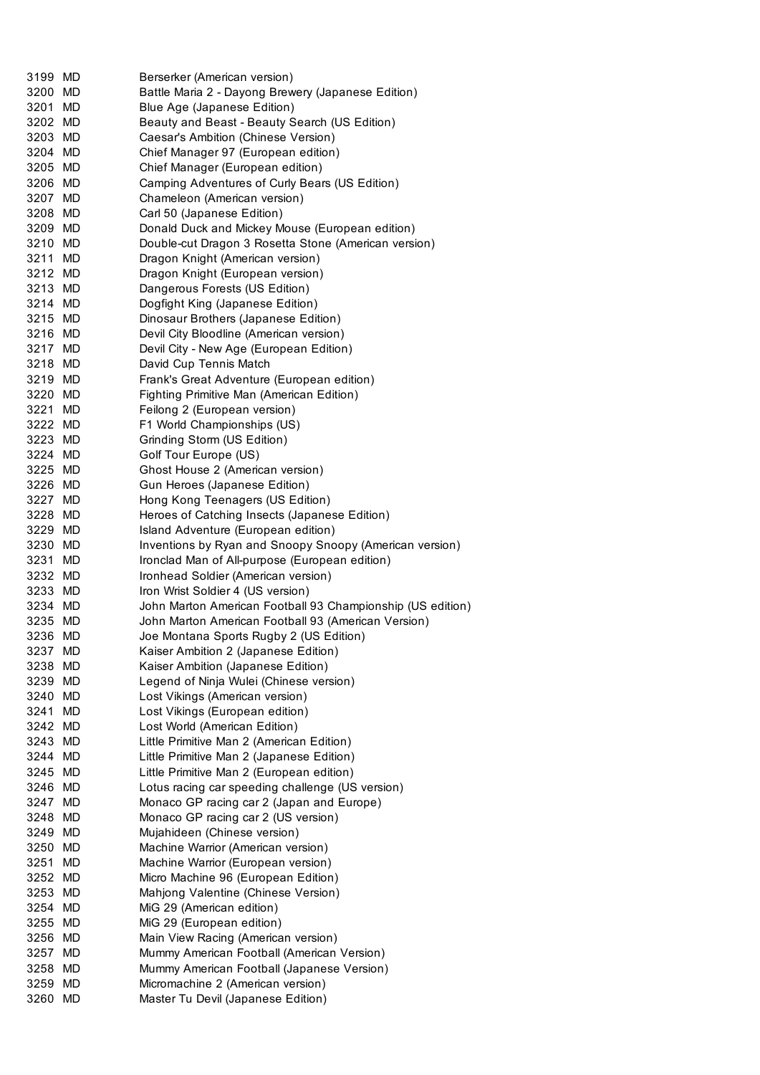| 3199 MD |    | Berserker (American version)                               |
|---------|----|------------------------------------------------------------|
| 3200 MD |    |                                                            |
|         |    | Battle Maria 2 - Dayong Brewery (Japanese Edition)         |
| 3201 MD |    | Blue Age (Japanese Edition)                                |
| 3202 MD |    | Beauty and Beast - Beauty Search (US Edition)              |
| 3203 MD |    |                                                            |
|         |    | Caesar's Ambition (Chinese Version)                        |
| 3204 MD |    | Chief Manager 97 (European edition)                        |
| 3205 MD |    | Chief Manager (European edition)                           |
|         |    |                                                            |
| 3206 MD |    | Camping Adventures of Curly Bears (US Edition)             |
| 3207 MD |    | Chameleon (American version)                               |
| 3208 MD |    | Carl 50 (Japanese Edition)                                 |
|         |    |                                                            |
| 3209 MD |    | Donald Duck and Mickey Mouse (European edition)            |
| 3210 MD |    | Double-cut Dragon 3 Rosetta Stone (American version)       |
| 3211 MD |    | Dragon Knight (American version)                           |
| 3212 MD |    | Dragon Knight (European version)                           |
|         |    |                                                            |
| 3213 MD |    | Dangerous Forests (US Edition)                             |
| 3214 MD |    | Dogfight King (Japanese Edition)                           |
| 3215 MD |    | Dinosaur Brothers (Japanese Edition)                       |
|         |    |                                                            |
| 3216 MD |    | Devil City Bloodline (American version)                    |
| 3217 MD |    | Devil City - New Age (European Edition)                    |
| 3218 MD |    | David Cup Tennis Match                                     |
|         |    |                                                            |
| 3219 MD |    | Frank's Great Adventure (European edition)                 |
| 3220 MD |    | Fighting Primitive Man (American Edition)                  |
| 3221 MD |    | Feilong 2 (European version)                               |
|         |    |                                                            |
| 3222 MD |    | F1 World Championships (US)                                |
| 3223 MD |    | Grinding Storm (US Edition)                                |
| 3224 MD |    | Golf Tour Europe (US)                                      |
|         |    |                                                            |
| 3225 MD |    | Ghost House 2 (American version)                           |
| 3226 MD |    | Gun Heroes (Japanese Edition)                              |
| 3227 MD |    | Hong Kong Teenagers (US Edition)                           |
| 3228 MD |    | Heroes of Catching Insects (Japanese Edition)              |
|         |    |                                                            |
| 3229 MD |    | Island Adventure (European edition)                        |
| 3230 MD |    | Inventions by Ryan and Snoopy Snoopy (American version)    |
| 3231 MD |    | Ironclad Man of All-purpose (European edition)             |
|         |    |                                                            |
| 3232 MD |    | Ironhead Soldier (American version)                        |
| 3233 MD |    | Iron Wrist Soldier 4 (US version)                          |
| 3234 MD |    | John Marton American Football 93 Championship (US edition) |
|         |    |                                                            |
| 3235 MD |    | John Marton American Football 93 (American Version)        |
| 3236 MD |    | Joe Montana Sports Rugby 2 (US Edition)                    |
| 3237 MD |    | Kaiser Ambition 2 (Japanese Edition)                       |
|         |    |                                                            |
| 3238 MD |    | Kaiser Ambition (Japanese Edition)                         |
| 3239 MD |    | Legend of Ninja Wulei (Chinese version)                    |
| 3240 MD |    | Lost Vikings (American version)                            |
| 3241 MD |    | Lost Vikings (European edition)                            |
|         |    |                                                            |
| 3242 MD |    | Lost World (American Edition)                              |
| 3243 MD |    | Little Primitive Man 2 (American Edition)                  |
| 3244 MD |    | Little Primitive Man 2 (Japanese Edition)                  |
|         |    |                                                            |
| 3245 MD |    | Little Primitive Man 2 (European edition)                  |
| 3246 MD |    | Lotus racing car speeding challenge (US version)           |
| 3247 MD |    | Monaco GP racing car 2 (Japan and Europe)                  |
|         |    | Monaco GP racing car 2 (US version)                        |
| 3248 MD |    |                                                            |
| 3249 MD |    | Mujahideen (Chinese version)                               |
| 3250 MD |    | Machine Warrior (American version)                         |
| 3251    | MD | Machine Warrior (European version)                         |
|         |    |                                                            |
| 3252 MD |    | Micro Machine 96 (European Edition)                        |
| 3253 MD |    | Mahjong Valentine (Chinese Version)                        |
| 3254 MD |    | MiG 29 (American edition)                                  |
|         |    |                                                            |
| 3255 MD |    | MiG 29 (European edition)                                  |
| 3256 MD |    | Main View Racing (American version)                        |
| 3257 MD |    | Mummy American Football (American Version)                 |
|         |    |                                                            |
| 3258 MD |    | Mummy American Football (Japanese Version)                 |
| 3259 MD |    | Micromachine 2 (American version)                          |
| 3260 MD |    | Master Tu Devil (Japanese Edition)                         |
|         |    |                                                            |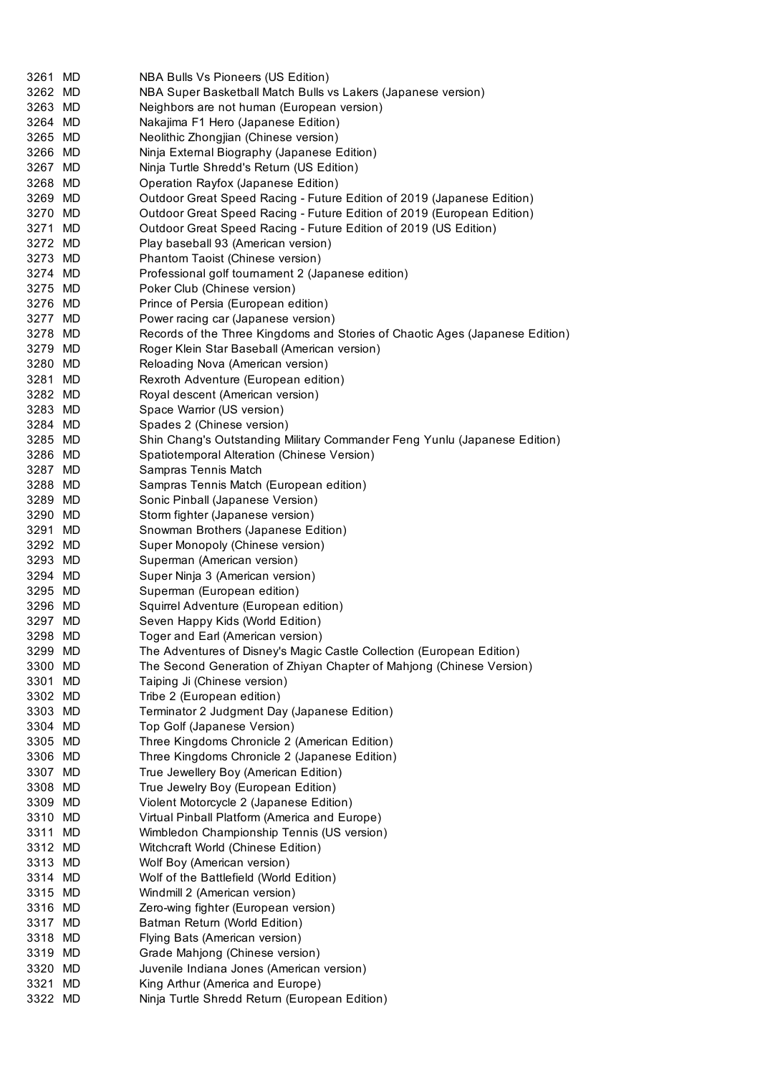| 3261 MD            | NBA Bulls Vs Pioneers (US Edition)                                                                         |
|--------------------|------------------------------------------------------------------------------------------------------------|
| 3262 MD            | NBA Super Basketball Match Bulls vs Lakers (Japanese version)                                              |
| 3263 MD            | Neighbors are not human (European version)                                                                 |
| 3264 MD            | Nakajima F1 Hero (Japanese Edition)                                                                        |
| 3265 MD            | Neolithic Zhongjian (Chinese version)                                                                      |
| 3266 MD            | Ninja External Biography (Japanese Edition)                                                                |
| 3267 MD            | Ninja Turtle Shredd's Return (US Edition)                                                                  |
| 3268 MD            | Operation Rayfox (Japanese Edition)                                                                        |
| 3269 MD            | Outdoor Great Speed Racing - Future Edition of 2019 (Japanese Edition)                                     |
| 3270 MD            | Outdoor Great Speed Racing - Future Edition of 2019 (European Edition)                                     |
| 3271 MD            | Outdoor Great Speed Racing - Future Edition of 2019 (US Edition)                                           |
| 3272 MD            | Play baseball 93 (American version)                                                                        |
| 3273 MD            | Phantom Taoist (Chinese version)                                                                           |
| 3274 MD            | Professional golf tournament 2 (Japanese edition)                                                          |
| 3275 MD            | Poker Club (Chinese version)                                                                               |
| 3276 MD            | Prince of Persia (European edition)                                                                        |
| 3277 MD            | Power racing car (Japanese version)                                                                        |
| 3278 MD            | Records of the Three Kingdoms and Stories of Chaotic Ages (Japanese Edition)                               |
| 3279 MD            | Roger Klein Star Baseball (American version)                                                               |
| 3280 MD            | Reloading Nova (American version)                                                                          |
| 3281 MD            | Rexroth Adventure (European edition)                                                                       |
| 3282 MD            | Royal descent (American version)                                                                           |
| 3283 MD            | Space Warrior (US version)                                                                                 |
| 3284 MD            | Spades 2 (Chinese version)                                                                                 |
| 3285 MD            | Shin Chang's Outstanding Military Commander Feng Yunlu (Japanese Edition)                                  |
| 3286 MD            | Spatiotemporal Alteration (Chinese Version)                                                                |
| 3287 MD            | Sampras Tennis Match                                                                                       |
| 3288 MD            | Sampras Tennis Match (European edition)                                                                    |
| 3289 MD            | Sonic Pinball (Japanese Version)                                                                           |
| 3290 MD            | Storm fighter (Japanese version)                                                                           |
| 3291 MD            |                                                                                                            |
|                    | Snowman Brothers (Japanese Edition)                                                                        |
| 3292 MD<br>3293 MD | Super Monopoly (Chinese version)                                                                           |
|                    | Superman (American version)                                                                                |
| 3294 MD            | Super Ninja 3 (American version)                                                                           |
| 3295 MD            | Superman (European edition)                                                                                |
| 3296 MD            | Squirrel Adventure (European edition)                                                                      |
| 3297 MD            | Seven Happy Kids (World Edition)                                                                           |
| 3298 MD            | Toger and Earl (American version)<br>The Adventures of Disney's Magic Castle Collection (European Edition) |
| 3299 MD            |                                                                                                            |
| 3300 MD            | The Second Generation of Zhiyan Chapter of Mahjong (Chinese Version)                                       |
| 3301 MD            | Taiping Ji (Chinese version)                                                                               |
| 3302 MD            | Tribe 2 (European edition)                                                                                 |
| 3303 MD            | Terminator 2 Judgment Day (Japanese Edition)                                                               |
| 3304 MD            | Top Golf (Japanese Version)                                                                                |
| 3305 MD            | Three Kingdoms Chronicle 2 (American Edition)                                                              |
| 3306 MD            | Three Kingdoms Chronicle 2 (Japanese Edition)                                                              |
| 3307 MD            | True Jewellery Boy (American Edition)                                                                      |
| 3308 MD            | True Jewelry Boy (European Edition)                                                                        |
| 3309 MD            | Violent Motorcycle 2 (Japanese Edition)                                                                    |
| 3310 MD            | Virtual Pinball Platform (America and Europe)                                                              |
| 3311 MD            | Wimbledon Championship Tennis (US version)                                                                 |
| 3312 MD            | Witchcraft World (Chinese Edition)                                                                         |
| 3313 MD            | Wolf Boy (American version)                                                                                |
| 3314 MD            | Wolf of the Battlefield (World Edition)                                                                    |
| 3315 MD            | Windmill 2 (American version)                                                                              |
| 3316 MD            | Zero-wing fighter (European version)                                                                       |
| 3317 MD            | Batman Return (World Edition)                                                                              |
| 3318 MD            | Flying Bats (American version)                                                                             |
| 3319 MD            | Grade Mahjong (Chinese version)                                                                            |
| 3320 MD            | Juvenile Indiana Jones (American version)                                                                  |
| 3321 MD            | King Arthur (America and Europe)                                                                           |
| 3322 MD            | Ninja Turtle Shredd Return (European Edition)                                                              |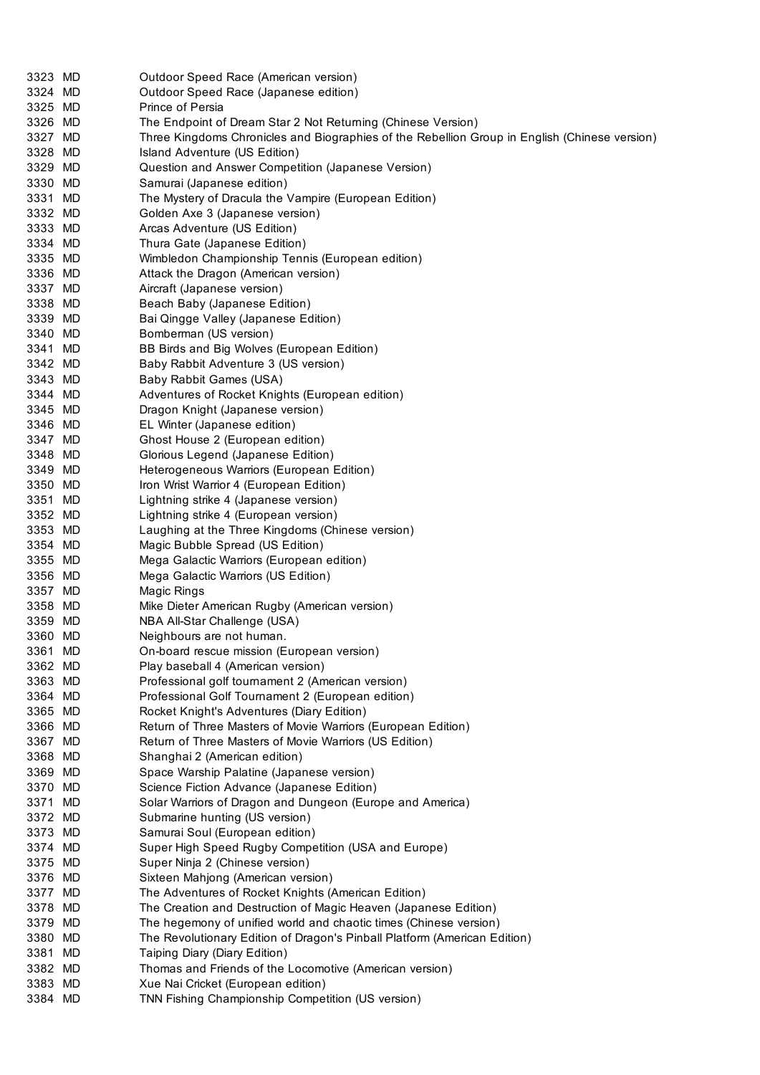| 3323 MD | Outdoor Speed Race (American version)                                                         |
|---------|-----------------------------------------------------------------------------------------------|
| 3324 MD | Outdoor Speed Race (Japanese edition)                                                         |
| 3325 MD | Prince of Persia                                                                              |
| 3326 MD | The Endpoint of Dream Star 2 Not Returning (Chinese Version)                                  |
| 3327 MD | Three Kingdoms Chronicles and Biographies of the Rebellion Group in English (Chinese version) |
| 3328 MD | Island Adventure (US Edition)                                                                 |
| 3329 MD | Question and Answer Competition (Japanese Version)                                            |
| 3330 MD | Samurai (Japanese edition)                                                                    |
| 3331 MD | The Mystery of Dracula the Vampire (European Edition)                                         |
| 3332 MD | Golden Axe 3 (Japanese version)                                                               |
| 3333 MD | Arcas Adventure (US Edition)                                                                  |
| 3334 MD | Thura Gate (Japanese Edition)                                                                 |
| 3335 MD | Wimbledon Championship Tennis (European edition)                                              |
| 3336 MD | Attack the Dragon (American version)                                                          |
| 3337 MD | Aircraft (Japanese version)                                                                   |
| 3338 MD | Beach Baby (Japanese Edition)                                                                 |
| 3339 MD | Bai Qingge Valley (Japanese Edition)                                                          |
| 3340 MD | Bomberman (US version)                                                                        |
| 3341 MD | BB Birds and Big Wolves (European Edition)                                                    |
| 3342 MD | Baby Rabbit Adventure 3 (US version)                                                          |
| 3343 MD | Baby Rabbit Games (USA)                                                                       |
| 3344 MD | Adventures of Rocket Knights (European edition)                                               |
| 3345 MD | Dragon Knight (Japanese version)                                                              |
| 3346 MD | EL Winter (Japanese edition)                                                                  |
| 3347 MD | Ghost House 2 (European edition)                                                              |
| 3348 MD | Glorious Legend (Japanese Edition)                                                            |
| 3349 MD | Heterogeneous Warriors (European Edition)                                                     |
| 3350 MD | Iron Wrist Warrior 4 (European Edition)                                                       |
| 3351 MD | Lightning strike 4 (Japanese version)                                                         |
| 3352 MD | Lightning strike 4 (European version)                                                         |
| 3353 MD | Laughing at the Three Kingdoms (Chinese version)                                              |
| 3354 MD | Magic Bubble Spread (US Edition)                                                              |
| 3355 MD | Mega Galactic Warriors (European edition)                                                     |
| 3356 MD | Mega Galactic Warriors (US Edition)                                                           |
| 3357 MD | Magic Rings                                                                                   |
| 3358 MD | Mike Dieter American Rugby (American version)                                                 |
| 3359 MD | NBA All-Star Challenge (USA)                                                                  |
| 3360 MD | Neighbours are not human.                                                                     |
| 3361 MD | On-board rescue mission (European version)                                                    |
| 3362 MD | Play baseball 4 (American version)                                                            |
| 3363 MD | Professional golf tournament 2 (American version)                                             |
| 3364 MD | Professional Golf Tournament 2 (European edition)                                             |
| 3365 MD | Rocket Knight's Adventures (Diary Edition)                                                    |
| 3366 MD | Return of Three Masters of Movie Warriors (European Edition)                                  |
| 3367 MD | Retum of Three Masters of Movie Warriors (US Edition)                                         |
| 3368 MD | Shanghai 2 (American edition)                                                                 |
| 3369 MD | Space Warship Palatine (Japanese version)                                                     |
| 3370 MD | Science Fiction Advance (Japanese Edition)                                                    |
| 3371 MD | Solar Warriors of Dragon and Dungeon (Europe and America)                                     |
| 3372 MD | Submarine hunting (US version)                                                                |
| 3373 MD | Samurai Soul (European edition)                                                               |
| 3374 MD | Super High Speed Rugby Competition (USA and Europe)                                           |
| 3375 MD | Super Ninja 2 (Chinese version)                                                               |
| 3376 MD | Sixteen Mahjong (American version)                                                            |
| 3377 MD | The Adventures of Rocket Knights (American Edition)                                           |
| 3378 MD | The Creation and Destruction of Magic Heaven (Japanese Edition)                               |
| 3379 MD | The hegemony of unified world and chaotic times (Chinese version)                             |
| 3380 MD | The Revolutionary Edition of Dragon's Pinball Platform (American Edition)                     |
| 3381 MD | Taiping Diary (Diary Edition)                                                                 |
| 3382 MD | Thomas and Friends of the Locomotive (American version)                                       |
| 3383 MD | Xue Nai Cricket (European edition)                                                            |
| 3384 MD | TNN Fishing Championship Competition (US version)                                             |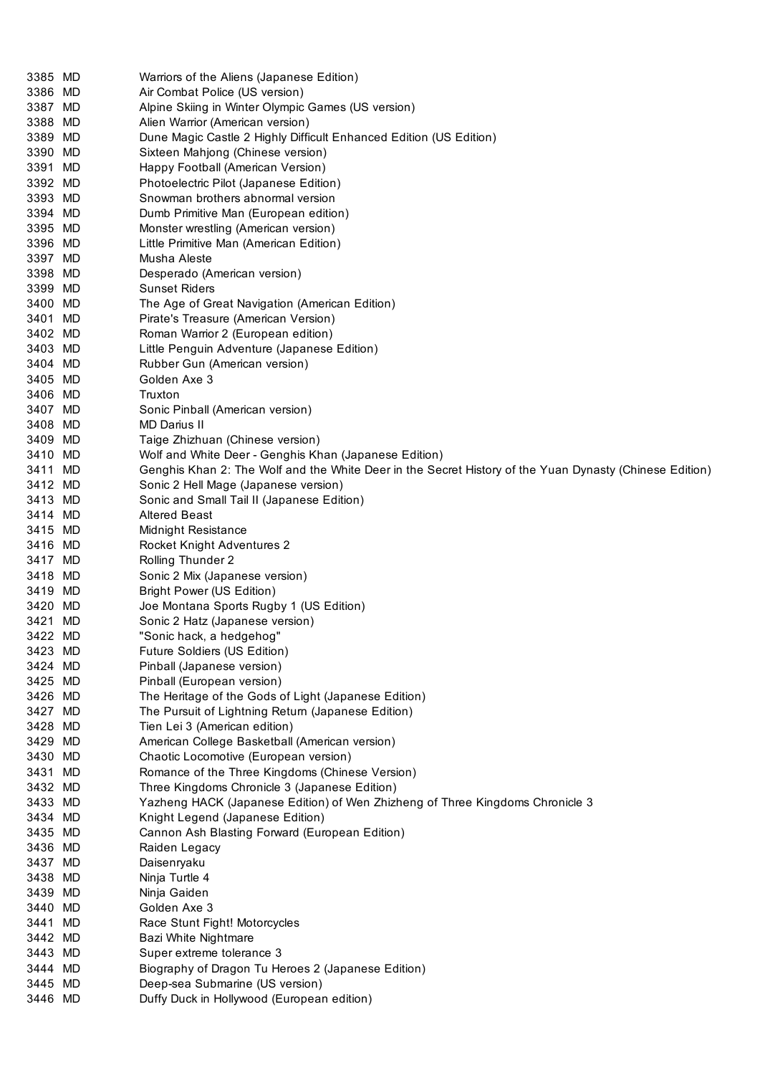| 3385 MD | Warriors of the Aliens (Japanese Edition)                                                               |
|---------|---------------------------------------------------------------------------------------------------------|
| 3386 MD | Air Combat Police (US version)                                                                          |
| 3387 MD | Alpine Skiing in Winter Olympic Games (US version)                                                      |
| 3388 MD | Alien Warrior (American version)                                                                        |
| 3389 MD | Dune Magic Castle 2 Highly Difficult Enhanced Edition (US Edition)                                      |
| 3390 MD | Sixteen Mahjong (Chinese version)                                                                       |
| 3391 MD | Happy Football (American Version)                                                                       |
| 3392 MD | Photoelectric Pilot (Japanese Edition)                                                                  |
| 3393 MD | Snowman brothers abnormal version                                                                       |
| 3394 MD | Dumb Primitive Man (European edition)                                                                   |
| 3395 MD | Monster wrestling (American version)                                                                    |
| 3396 MD | Little Primitive Man (American Edition)                                                                 |
| 3397 MD | Musha Aleste                                                                                            |
| 3398 MD | Desperado (American version)                                                                            |
| 3399 MD | <b>Sunset Riders</b>                                                                                    |
| 3400 MD | The Age of Great Navigation (American Edition)                                                          |
| 3401 MD | Pirate's Treasure (American Version)                                                                    |
| 3402 MD | Roman Warrior 2 (European edition)                                                                      |
| 3403 MD | Little Penguin Adventure (Japanese Edition)                                                             |
| 3404 MD | Rubber Gun (American version)                                                                           |
| 3405 MD | Golden Axe 3                                                                                            |
| 3406 MD | Truxton                                                                                                 |
| 3407 MD |                                                                                                         |
| 3408 MD | Sonic Pinball (American version)                                                                        |
|         | MD Darius II                                                                                            |
| 3409 MD | Taige Zhizhuan (Chinese version)                                                                        |
| 3410 MD | Wolf and White Deer - Genghis Khan (Japanese Edition)                                                   |
| 3411 MD | Genghis Khan 2: The Wolf and the White Deer in the Secret History of the Yuan Dynasty (Chinese Edition) |
| 3412 MD | Sonic 2 Hell Mage (Japanese version)                                                                    |
| 3413 MD | Sonic and Small Tail II (Japanese Edition)                                                              |
| 3414 MD | <b>Altered Beast</b>                                                                                    |
| 3415 MD | Midnight Resistance                                                                                     |
| 3416 MD | Rocket Knight Adventures 2                                                                              |
| 3417 MD | Rolling Thunder 2                                                                                       |
| 3418 MD | Sonic 2 Mix (Japanese version)                                                                          |
| 3419 MD | Bright Power (US Edition)                                                                               |
| 3420 MD | Joe Montana Sports Rugby 1 (US Edition)                                                                 |
| 3421 MD | Sonic 2 Hatz (Japanese version)                                                                         |
| 3422 MD | "Sonic hack, a hedgehog"                                                                                |
| 3423 MD | Future Soldiers (US Edition)                                                                            |
| 3424 MD | Pinball (Japanese version)                                                                              |
| 3425 MD | Pinball (European version)                                                                              |
| 3426 MD | The Heritage of the Gods of Light (Japanese Edition)                                                    |
| 3427 MD | The Pursuit of Lightning Return (Japanese Edition)                                                      |
| 3428 MD | Tien Lei 3 (American edition)                                                                           |
| 3429 MD | American College Basketball (American version)                                                          |
| 3430 MD | Chaotic Locomotive (European version)                                                                   |
| 3431 MD | Romance of the Three Kingdoms (Chinese Version)                                                         |
| 3432 MD | Three Kingdoms Chronicle 3 (Japanese Edition)                                                           |
| 3433 MD | Yazheng HACK (Japanese Edition) of Wen Zhizheng of Three Kingdoms Chronicle 3                           |
| 3434 MD | Knight Legend (Japanese Edition)                                                                        |
| 3435 MD | Cannon Ash Blasting Forward (European Edition)                                                          |
| 3436 MD | Raiden Legacy                                                                                           |
| 3437 MD | Daisenryaku                                                                                             |
|         |                                                                                                         |
| 3438 MD | Ninja Turtle 4                                                                                          |
| 3439 MD | Ninja Gaiden                                                                                            |
| 3440 MD | Golden Axe 3                                                                                            |
| 3441 MD | Race Stunt Fight! Motorcycles                                                                           |
| 3442 MD | Bazi White Nightmare                                                                                    |
| 3443 MD | Super extreme tolerance 3                                                                               |
| 3444 MD | Biography of Dragon Tu Heroes 2 (Japanese Edition)                                                      |
| 3445 MD | Deep-sea Submarine (US version)                                                                         |
| 3446 MD | Duffy Duck in Hollywood (European edition)                                                              |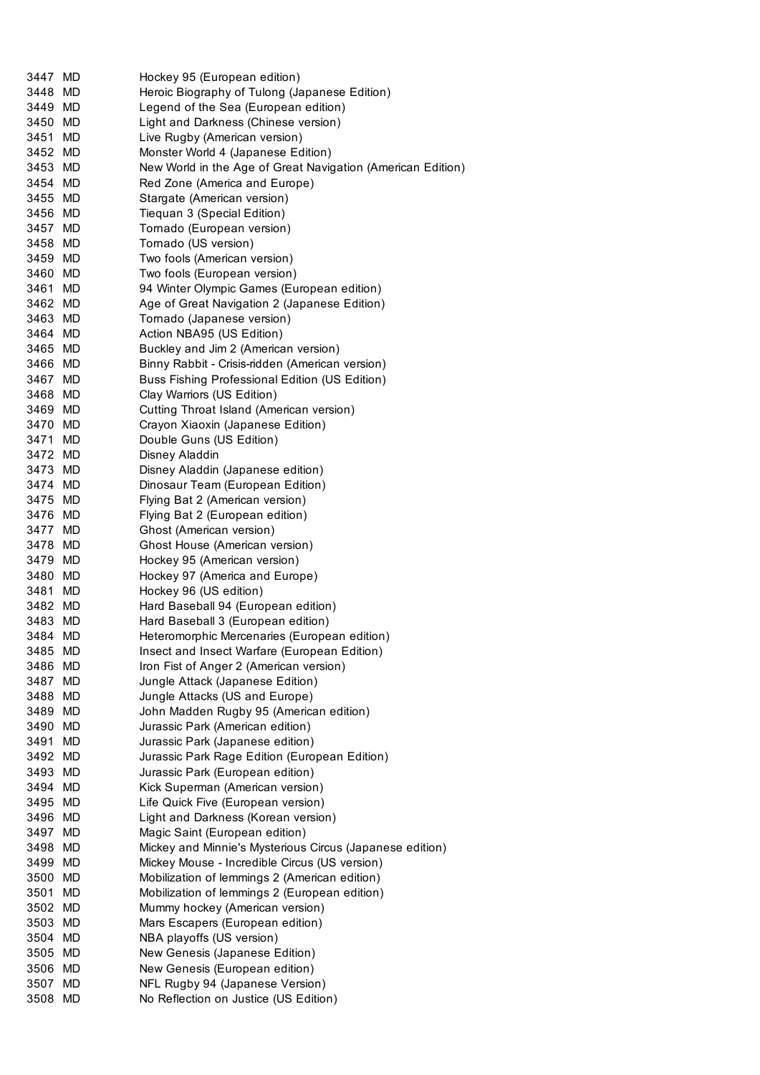| 3447 MD            |    | Hockey 95 (European edition)                                              |
|--------------------|----|---------------------------------------------------------------------------|
| 3448 MD            |    | Heroic Biography of Tulong (Japanese Edition)                             |
| 3449 MD            |    | Legend of the Sea (European edition)                                      |
| 3450 MD            |    | Light and Darkness (Chinese version)                                      |
| 3451 MD            |    | Live Rugby (American version)                                             |
| 3452 MD            |    | Monster World 4 (Japanese Edition)                                        |
| 3453 MD            |    | New World in the Age of Great Navigation (American Edition)               |
| 3454 MD            |    | Red Zone (America and Europe)                                             |
| 3455 MD            |    | Stargate (American version)                                               |
| 3456 MD            |    | Tiequan 3 (Special Edition)                                               |
| 3457 MD            |    | Tornado (European version)                                                |
| 3458 MD            |    | Tornado (US version)                                                      |
| 3459 MD            |    | Two fools (American version)                                              |
| 3460 MD            |    | Two fools (European version)                                              |
| 3461 MD            |    | 94 Winter Olympic Games (European edition)                                |
| 3462 MD            |    | Age of Great Navigation 2 (Japanese Edition)                              |
| 3463 MD            |    | Tornado (Japanese version)                                                |
| 3464 MD            |    | Action NBA95 (US Edition)                                                 |
| 3465 MD            |    | Buckley and Jim 2 (American version)                                      |
| 3466 MD            |    | Binny Rabbit - Crisis-ridden (American version)                           |
| 3467 MD            |    | Buss Fishing Professional Edition (US Edition)                            |
| 3468 MD            |    | Clay Warriors (US Edition)                                                |
| 3469 MD            |    | Cutting Throat Island (American version)                                  |
| 3470 MD            |    | Crayon Xiaoxin (Japanese Edition)                                         |
| 3471 MD            |    | Double Guns (US Edition)                                                  |
| 3472 MD            |    | Disney Aladdin                                                            |
| 3473 MD            |    | Disney Aladdin (Japanese edition)                                         |
| 3474 MD            |    | Dinosaur Team (European Edition)                                          |
| 3475 MD            |    | Flying Bat 2 (American version)                                           |
| 3476 MD            |    | Flying Bat 2 (European edition)                                           |
| 3477 MD            |    | Ghost (American version)                                                  |
| 3478 MD            |    | Ghost House (American version)                                            |
| 3479 MD            |    | Hockey 95 (American version)                                              |
| 3480 MD            |    | Hockey 97 (America and Europe)                                            |
| 3481 MD            |    | Hockey 96 (US edition)                                                    |
| 3482 MD            |    | Hard Baseball 94 (European edition)                                       |
| 3483 MD            |    | Hard Baseball 3 (European edition)                                        |
| 3484 MD            |    | Heteromorphic Mercenaries (European edition)                              |
| 3485               | MD | Insect and Insect Warfare (European Edition)                              |
| 3486 MD            |    | Iron Fist of Anger 2 (American version)                                   |
| 3487 MD            |    | Jungle Attack (Japanese Edition)                                          |
| 3488 MD            |    | Jungle Attacks (US and Europe)                                            |
| 3489 MD            |    | John Madden Rugby 95 (American edition)                                   |
| 3490 MD            |    | Jurassic Park (American edition)                                          |
| 3491 MD            |    | Jurassic Park (Japanese edition)                                          |
| 3492 MD            |    | Jurassic Park Rage Edition (European Edition)                             |
| 3493 MD            |    | Jurassic Park (European edition)                                          |
| 3494 MD            |    | Kick Superman (American version)                                          |
|                    |    |                                                                           |
| 3495 MD<br>3496 MD |    | Life Quick Five (European version)<br>Light and Darkness (Korean version) |
|                    |    |                                                                           |
| 3497 MD            |    | Magic Saint (European edition)                                            |
| 3498 MD            |    | Mickey and Minnie's Mysterious Circus (Japanese edition)                  |
| 3499 MD            |    | Mickey Mouse - Incredible Circus (US version)                             |
| 3500 MD            |    | Mobilization of lemmings 2 (American edition)                             |
| 3501 MD            |    | Mobilization of lemmings 2 (European edition)                             |
| 3502 MD            |    | Mummy hockey (American version)                                           |
| 3503 MD            |    | Mars Escapers (European edition)                                          |
| 3504 MD            |    | NBA playoffs (US version)                                                 |
| 3505 MD            |    | New Genesis (Japanese Edition)                                            |
| 3506 MD            |    | New Genesis (European edition)                                            |
| 3507 MD            |    | NFL Rugby 94 (Japanese Version)                                           |
| 3508 MD            |    | No Reflection on Justice (US Edition)                                     |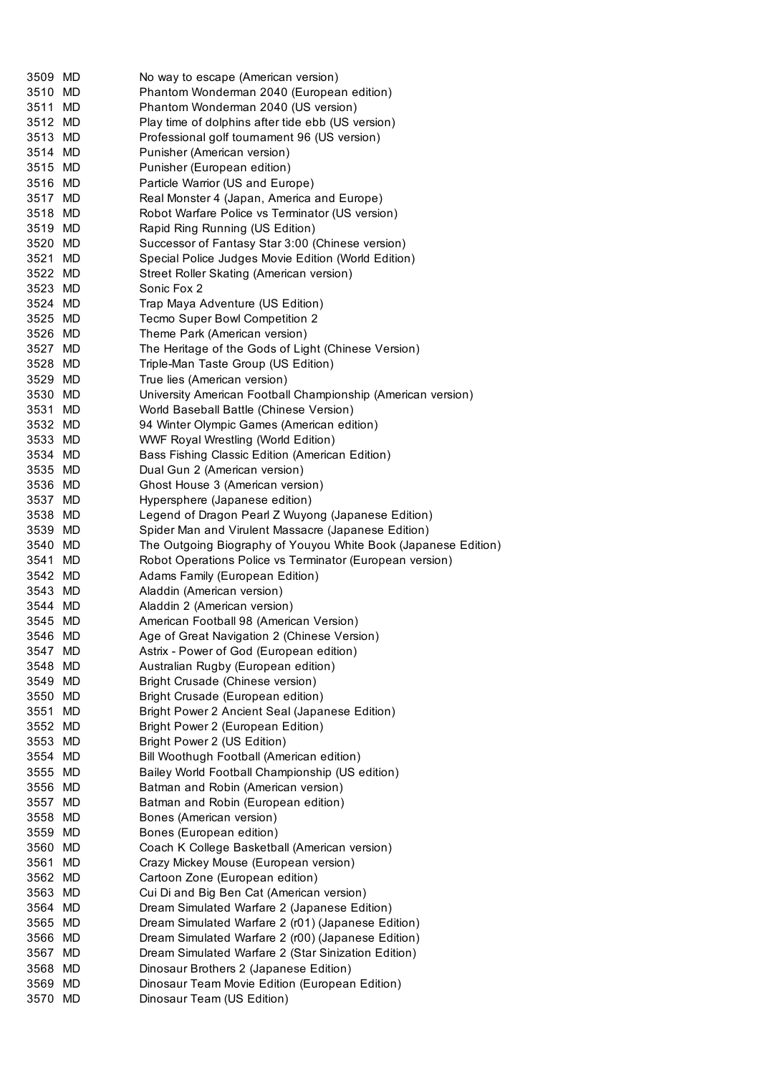| 3509 MD | No way to escape (American version)                            |
|---------|----------------------------------------------------------------|
| 3510 MD | Phantom Wonderman 2040 (European edition)                      |
| 3511 MD | Phantom Wonderman 2040 (US version)                            |
| 3512 MD | Play time of dolphins after tide ebb (US version)              |
| 3513 MD | Professional golf tournament 96 (US version)                   |
| 3514 MD | Punisher (American version)                                    |
| 3515 MD | Punisher (European edition)                                    |
| 3516 MD | Particle Warrior (US and Europe)                               |
| 3517 MD | Real Monster 4 (Japan, America and Europe)                     |
| 3518 MD | Robot Warfare Police vs Terminator (US version)                |
| 3519 MD | Rapid Ring Running (US Edition)                                |
| 3520 MD | Successor of Fantasy Star 3:00 (Chinese version)               |
| 3521 MD | Special Police Judges Movie Edition (World Edition)            |
| 3522 MD | Street Roller Skating (American version)                       |
| 3523 MD | Sonic Fox 2                                                    |
| 3524 MD | Trap Maya Adventure (US Edition)                               |
| 3525 MD | Tecmo Super Bowl Competition 2                                 |
| 3526 MD | Theme Park (American version)                                  |
| 3527 MD | The Heritage of the Gods of Light (Chinese Version)            |
| 3528 MD | Triple-Man Taste Group (US Edition)                            |
| 3529 MD | True lies (American version)                                   |
| 3530 MD | University American Football Championship (American version)   |
| 3531 MD | World Baseball Battle (Chinese Version)                        |
| 3532 MD | 94 Winter Olympic Games (American edition)                     |
| 3533 MD | WWF Royal Wrestling (World Edition)                            |
| 3534 MD | Bass Fishing Classic Edition (American Edition)                |
| 3535 MD | Dual Gun 2 (American version)                                  |
| 3536 MD | Ghost House 3 (American version)                               |
| 3537 MD | Hypersphere (Japanese edition)                                 |
| 3538 MD | Legend of Dragon Pearl Z Wuyong (Japanese Edition)             |
| 3539 MD | Spider Man and Virulent Massacre (Japanese Edition)            |
| 3540 MD | The Outgoing Biography of Youyou White Book (Japanese Edition) |
| 3541 MD | Robot Operations Police vs Terminator (European version)       |
| 3542 MD | Adams Family (European Edition)                                |
| 3543 MD | Aladdin (American version)                                     |
| 3544 MD | Aladdin 2 (American version)                                   |
| 3545 MD | American Football 98 (American Version)                        |
| 3546 MD | Age of Great Navigation 2 (Chinese Version)                    |
| 3547 MD | Astrix - Power of God (European edition)                       |
| 3548 MD | Australian Rugby (European edition)                            |
| 3549 MD | Bright Crusade (Chinese version)                               |
| 3550 MD | Bright Crusade (European edition)                              |
| 3551 MD | Bright Power 2 Ancient Seal (Japanese Edition)                 |
| 3552 MD | Bright Power 2 (European Edition)                              |
| 3553 MD | Bright Power 2 (US Edition)                                    |
| 3554 MD | Bill Woothugh Football (American edition)                      |
| 3555 MD | Bailey World Football Championship (US edition)                |
| 3556 MD | Batman and Robin (American version)                            |
| 3557 MD | Batman and Robin (European edition)                            |
| 3558 MD | Bones (American version)                                       |
| 3559 MD | Bones (European edition)                                       |
| 3560 MD | Coach K College Basketball (American version)                  |
| 3561 MD | Crazy Mickey Mouse (European version)                          |
| 3562 MD | Cartoon Zone (European edition)                                |
| 3563 MD | Cui Di and Big Ben Cat (American version)                      |
| 3564 MD | Dream Simulated Warfare 2 (Japanese Edition)                   |
| 3565 MD | Dream Simulated Warfare 2 (r01) (Japanese Edition)             |
| 3566 MD | Dream Simulated Warfare 2 (r00) (Japanese Edition)             |
| 3567 MD | Dream Simulated Warfare 2 (Star Sinization Edition)            |
| 3568 MD | Dinosaur Brothers 2 (Japanese Edition)                         |
| 3569 MD | Dinosaur Team Movie Edition (European Edition)                 |
| 3570 MD | Dinosaur Team (US Edition)                                     |
|         |                                                                |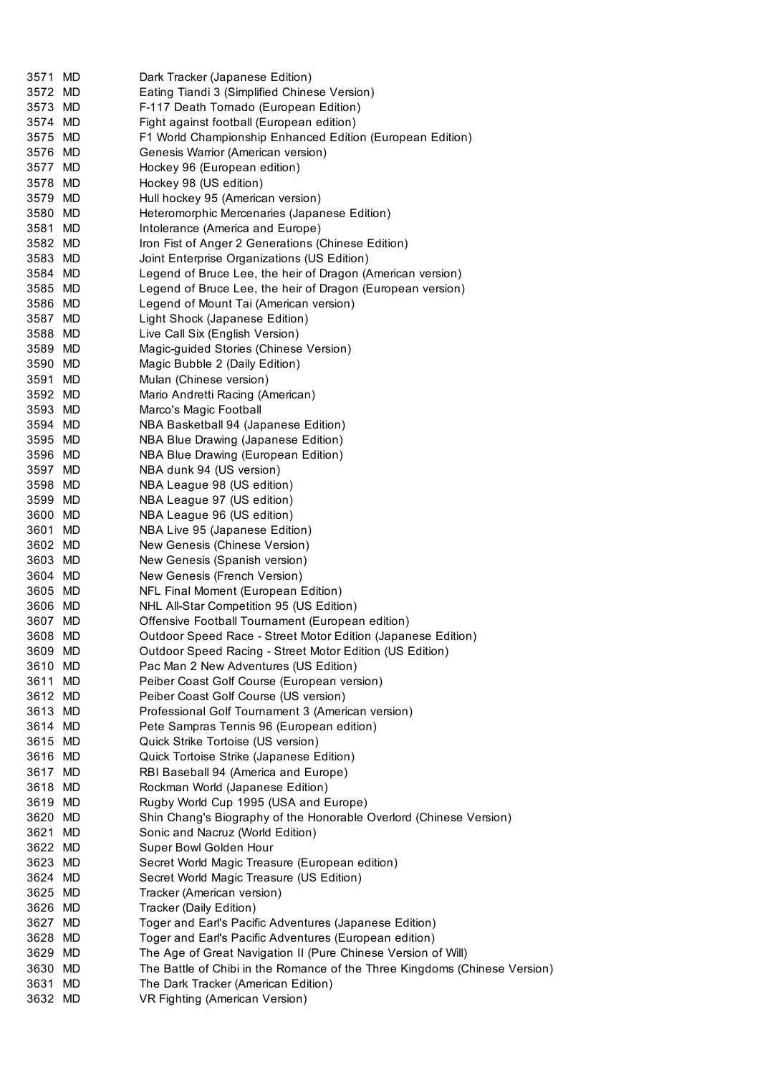| 3571 MD | Dark Tracker (Japanese Edition)                                            |
|---------|----------------------------------------------------------------------------|
| 3572 MD | Eating Tiandi 3 (Simplified Chinese Version)                               |
| 3573 MD | F-117 Death Tornado (European Edition)                                     |
| 3574 MD | Fight against football (European edition)                                  |
| 3575 MD | F1 World Championship Enhanced Edition (European Edition)                  |
| 3576 MD | Genesis Warrior (American version)                                         |
| 3577 MD | Hockey 96 (European edition)                                               |
| 3578 MD | Hockey 98 (US edition)                                                     |
| 3579 MD | Hull hockey 95 (American version)                                          |
| 3580 MD | Heteromorphic Mercenaries (Japanese Edition)                               |
| 3581 MD | Intolerance (America and Europe)                                           |
| 3582 MD | Iron Fist of Anger 2 Generations (Chinese Edition)                         |
| 3583 MD | Joint Enterprise Organizations (US Edition)                                |
| 3584 MD | Legend of Bruce Lee, the heir of Dragon (American version)                 |
| 3585 MD | Legend of Bruce Lee, the heir of Dragon (European version)                 |
| 3586 MD | Legend of Mount Tai (American version)                                     |
| 3587 MD | Light Shock (Japanese Edition)                                             |
| 3588 MD | Live Call Six (English Version)                                            |
| 3589 MD | Magic-guided Stories (Chinese Version)                                     |
| 3590 MD | Magic Bubble 2 (Daily Edition)                                             |
| 3591 MD | Mulan (Chinese version)                                                    |
| 3592 MD | Mario Andretti Racing (American)                                           |
| 3593 MD | Marco's Magic Football                                                     |
| 3594 MD | NBA Basketball 94 (Japanese Edition)                                       |
| 3595 MD | NBA Blue Drawing (Japanese Edition)                                        |
| 3596 MD | NBA Blue Drawing (European Edition)                                        |
| 3597 MD | NBA dunk 94 (US version)                                                   |
| 3598 MD | NBA League 98 (US edition)                                                 |
| 3599 MD | NBA League 97 (US edition)                                                 |
| 3600 MD | NBA League 96 (US edition)                                                 |
| 3601 MD | NBA Live 95 (Japanese Edition)                                             |
| 3602 MD | New Genesis (Chinese Version)                                              |
| 3603 MD | New Genesis (Spanish version)                                              |
| 3604 MD | New Genesis (French Version)                                               |
| 3605 MD | NFL Final Moment (European Edition)                                        |
| 3606 MD | NHL All-Star Competition 95 (US Edition)                                   |
| 3607 MD | Offensive Football Tournament (European edition)                           |
| 3608 MD | Outdoor Speed Race - Street Motor Edition (Japanese Edition)               |
| 3609 MD | Outdoor Speed Racing - Street Motor Edition (US Edition)                   |
| 3610 MD | Pac Man 2 New Adventures (US Edition)                                      |
| 3611 MD | Peiber Coast Golf Course (European version)                                |
| 3612 MD | Peiber Coast Golf Course (US version)                                      |
| 3613 MD | Professional Golf Tournament 3 (American version)                          |
| 3614 MD | Pete Sampras Tennis 96 (European edition)                                  |
| 3615 MD | Quick Strike Tortoise (US version)                                         |
| 3616 MD | Quick Tortoise Strike (Japanese Edition)                                   |
| 3617 MD | RBI Baseball 94 (America and Europe)                                       |
| 3618 MD | Rockman World (Japanese Edition)                                           |
| 3619 MD | Rugby World Cup 1995 (USA and Europe)                                      |
| 3620 MD | Shin Chang's Biography of the Honorable Overlord (Chinese Version)         |
| 3621 MD | Sonic and Nacruz (World Edition)                                           |
| 3622 MD | Super Bowl Golden Hour                                                     |
| 3623 MD | Secret World Magic Treasure (European edition)                             |
| 3624 MD | Secret World Magic Treasure (US Edition)                                   |
| 3625 MD | Tracker (American version)                                                 |
| 3626 MD | Tracker (Daily Edition)                                                    |
| 3627 MD | Toger and Earl's Pacific Adventures (Japanese Edition)                     |
| 3628 MD | Toger and Earl's Pacific Adventures (European edition)                     |
| 3629 MD | The Age of Great Navigation II (Pure Chinese Version of Will)              |
| 3630 MD | The Battle of Chibi in the Romance of the Three Kingdoms (Chinese Version) |
| 3631 MD | The Dark Tracker (American Edition)                                        |
| 3632 MD | VR Fighting (American Version)                                             |
|         |                                                                            |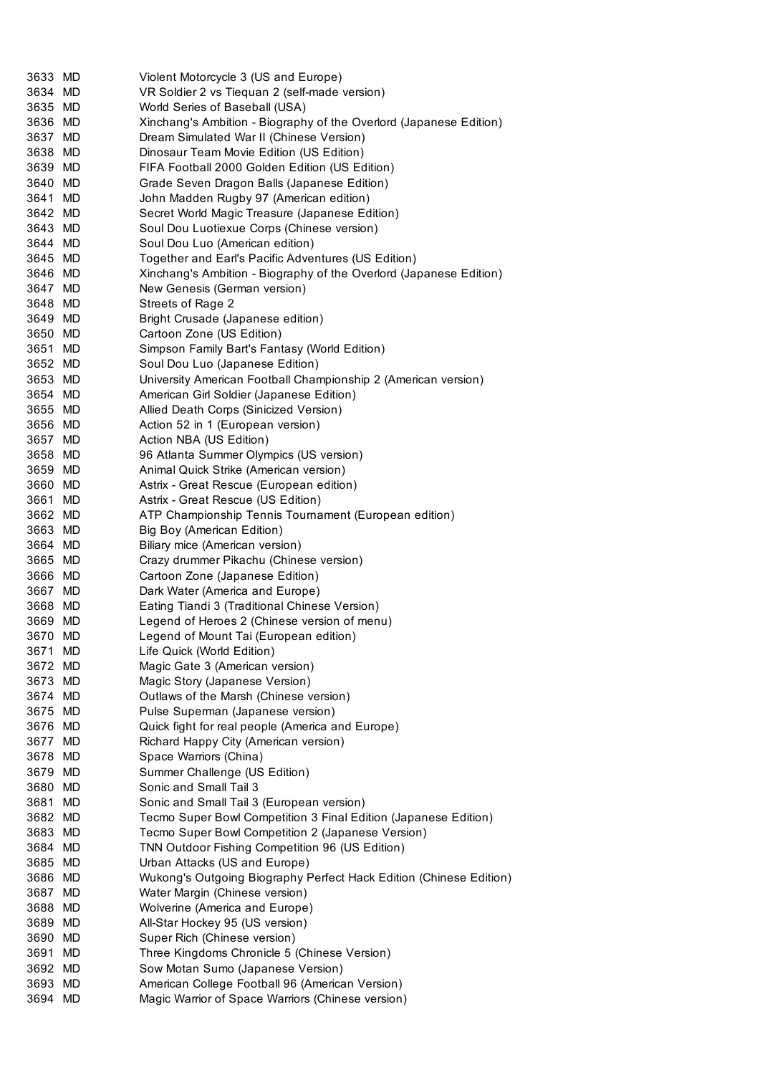| 3633 MD | Violent Motorcycle 3 (US and Europe)                               |
|---------|--------------------------------------------------------------------|
| 3634 MD | VR Soldier 2 vs Tiequan 2 (self-made version)                      |
| 3635 MD | World Series of Baseball (USA)                                     |
| 3636 MD | Xinchang's Ambition - Biography of the Overlord (Japanese Edition) |
| 3637 MD | Dream Simulated War II (Chinese Version)                           |
| 3638 MD | Dinosaur Team Movie Edition (US Edition)                           |
| 3639 MD | FIFA Football 2000 Golden Edition (US Edition)                     |
| 3640 MD | Grade Seven Dragon Balls (Japanese Edition)                        |
| 3641 MD | John Madden Rugby 97 (American edition)                            |
| 3642 MD | Secret World Magic Treasure (Japanese Edition)                     |
| 3643 MD | Soul Dou Luotiexue Corps (Chinese version)                         |
| 3644 MD | Soul Dou Luo (American edition)                                    |
| 3645 MD | Together and Earl's Pacific Adventures (US Edition)                |
| 3646 MD | Xinchang's Ambition - Biography of the Overlord (Japanese Edition) |
| 3647 MD | New Genesis (German version)                                       |
| 3648 MD | Streets of Rage 2                                                  |
| 3649 MD | Bright Crusade (Japanese edition)                                  |
| 3650 MD | Cartoon Zone (US Edition)                                          |
| 3651 MD | Simpson Family Bart's Fantasy (World Edition)                      |
| 3652 MD | Soul Dou Luo (Japanese Edition)                                    |
| 3653 MD | University American Football Championship 2 (American version)     |
| 3654 MD | American Girl Soldier (Japanese Edition)                           |
| 3655 MD | Allied Death Corps (Sinicized Version)                             |
| 3656 MD | Action 52 in 1 (European version)                                  |
| 3657 MD | Action NBA (US Edition)                                            |
| 3658 MD | 96 Atlanta Summer Olympics (US version)                            |
| 3659 MD | Animal Quick Strike (American version)                             |
| 3660 MD | Astrix - Great Rescue (European edition)                           |
| 3661 MD | Astrix - Great Rescue (US Edition)                                 |
| 3662 MD | ATP Championship Tennis Tournament (European edition)              |
| 3663 MD | Big Boy (American Edition)                                         |
| 3664 MD | Biliary mice (American version)                                    |
| 3665 MD | Crazy drummer Pikachu (Chinese version)                            |
| 3666 MD | Cartoon Zone (Japanese Edition)                                    |
| 3667 MD | Dark Water (America and Europe)                                    |
| 3668 MD | Eating Tiandi 3 (Traditional Chinese Version)                      |
| 3669 MD | Legend of Heroes 2 (Chinese version of menu)                       |
| 3670 MD | Legend of Mount Tai (European edition)                             |
| 3671 MD | Life Quick (World Edition)                                         |
| 3672 MD | Magic Gate 3 (American version)                                    |
| 3673 MD | Magic Story (Japanese Version)                                     |
| 3674 MD | Outlaws of the Marsh (Chinese version)                             |
| 3675 MD | Pulse Superman (Japanese version)                                  |
| 3676 MD | Quick fight for real people (America and Europe)                   |
| 3677 MD | Richard Happy City (American version)                              |
| 3678 MD | Space Warriors (China)                                             |
| 3679 MD | Summer Challenge (US Edition)                                      |
| 3680 MD | Sonic and Small Tail 3                                             |
| 3681 MD | Sonic and Small Tail 3 (European version)                          |
| 3682 MD | Tecmo Super Bowl Competition 3 Final Edition (Japanese Edition)    |
| 3683 MD | Tecmo Super Bowl Competition 2 (Japanese Version)                  |
| 3684 MD | TNN Outdoor Fishing Competition 96 (US Edition)                    |
| 3685 MD | Urban Attacks (US and Europe)                                      |
| 3686 MD | Wukong's Outgoing Biography Perfect Hack Edition (Chinese Edition) |
| 3687 MD | Water Margin (Chinese version)                                     |
| 3688 MD | Wolverine (America and Europe)                                     |
| 3689 MD | All-Star Hockey 95 (US version)                                    |
| 3690 MD | Super Rich (Chinese version)                                       |
| 3691 MD | Three Kingdoms Chronicle 5 (Chinese Version)                       |
| 3692 MD | Sow Motan Sumo (Japanese Version)                                  |
| 3693 MD | American College Football 96 (American Version)                    |
| 3694 MD | Magic Warrior of Space Warriors (Chinese version)                  |
|         |                                                                    |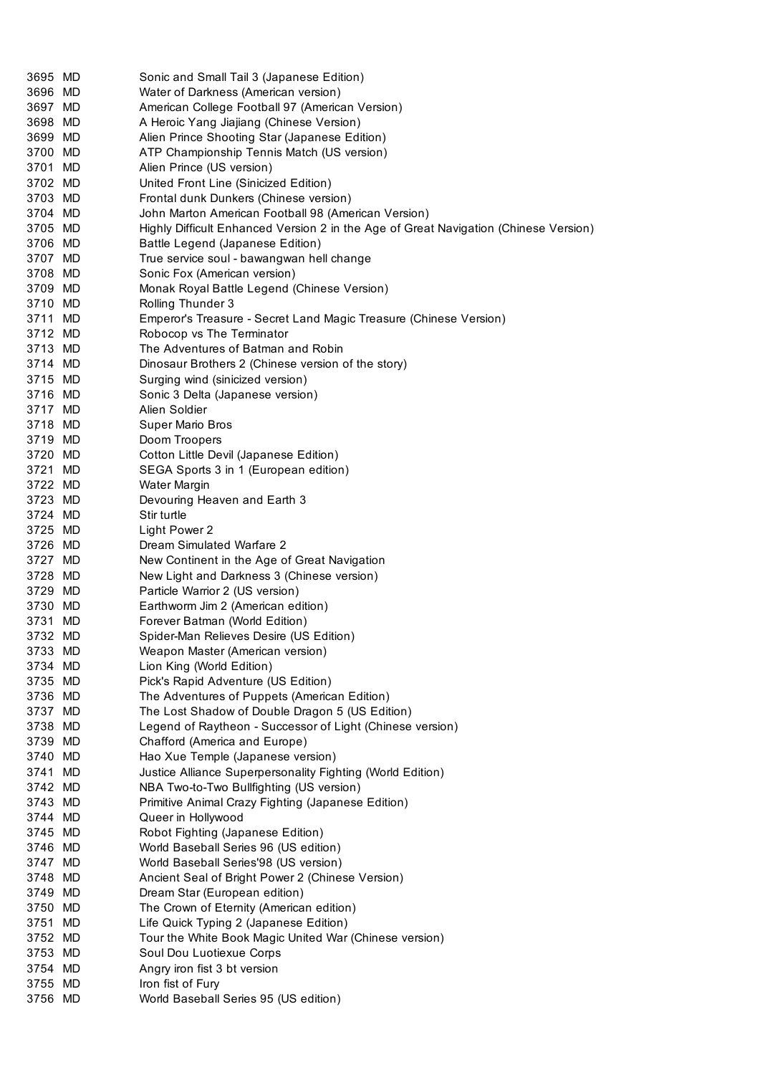| 3695 MD            | Sonic and Small Tail 3 (Japanese Edition)                                            |
|--------------------|--------------------------------------------------------------------------------------|
| 3696 MD            | Water of Darkness (American version)                                                 |
| 3697 MD            | American College Football 97 (American Version)                                      |
| 3698 MD            | A Heroic Yang Jiajiang (Chinese Version)                                             |
| 3699 MD            | Alien Prince Shooting Star (Japanese Edition)                                        |
| 3700 MD            | ATP Championship Tennis Match (US version)                                           |
| 3701 MD            | Alien Prince (US version)                                                            |
| 3702 MD            | United Front Line (Sinicized Edition)                                                |
| 3703 MD            | Frontal dunk Dunkers (Chinese version)                                               |
| 3704 MD            | John Marton American Football 98 (American Version)                                  |
| 3705 MD            | Highly Difficult Enhanced Version 2 in the Age of Great Navigation (Chinese Version) |
| 3706 MD            | Battle Legend (Japanese Edition)                                                     |
| 3707 MD            | True service soul - bawangwan hell change                                            |
| 3708 MD            | Sonic Fox (American version)                                                         |
| 3709 MD            | Monak Royal Battle Legend (Chinese Version)                                          |
| 3710 MD            | Rolling Thunder 3                                                                    |
| 3711 MD            | Emperor's Treasure - Secret Land Magic Treasure (Chinese Version)                    |
| 3712 MD            | Robocop vs The Terminator                                                            |
| 3713 MD            | The Adventures of Batman and Robin                                                   |
| 3714 MD            | Dinosaur Brothers 2 (Chinese version of the story)                                   |
| 3715 MD            | Surging wind (sinicized version)                                                     |
| 3716 MD            | Sonic 3 Delta (Japanese version)                                                     |
| 3717 MD            | Alien Soldier                                                                        |
| 3718 MD            | Super Mario Bros                                                                     |
| 3719 MD            | Doom Troopers                                                                        |
| 3720 MD            | Cotton Little Devil (Japanese Edition)                                               |
| 3721 MD            | SEGA Sports 3 in 1 (European edition)                                                |
| 3722 MD<br>3723 MD | Water Margin                                                                         |
| 3724 MD            | Devouring Heaven and Earth 3<br>Stir turtle                                          |
| 3725 MD            | Light Power 2                                                                        |
| 3726 MD            | Dream Simulated Warfare 2                                                            |
| 3727 MD            | New Continent in the Age of Great Navigation                                         |
| 3728 MD            | New Light and Darkness 3 (Chinese version)                                           |
| 3729 MD            | Particle Warrior 2 (US version)                                                      |
| 3730 MD            | Earthworm Jim 2 (American edition)                                                   |
| 3731 MD            | Forever Batman (World Edition)                                                       |
| 3732 MD            | Spider-Man Relieves Desire (US Edition)                                              |
| 3733 MD            | Weapon Master (American version)                                                     |
| 3734 MD            | Lion King (World Edition)                                                            |
| 3735 MD            | Pick's Rapid Adventure (US Edition)                                                  |
| 3736 MD            | The Adventures of Puppets (American Edition)                                         |
| 3737 MD            | The Lost Shadow of Double Dragon 5 (US Edition)                                      |
| 3738 MD            | Legend of Raytheon - Successor of Light (Chinese version)                            |
| 3739 MD            | Chafford (America and Europe)                                                        |
| 3740 MD            | Hao Xue Temple (Japanese version)                                                    |
| 3741 MD            | Justice Alliance Superpersonality Fighting (World Edition)                           |
| 3742 MD            | NBA Two-to-Two Bullfighting (US version)                                             |
| 3743 MD            | Primitive Animal Crazy Fighting (Japanese Edition)                                   |
| 3744 MD            | Queer in Hollywood                                                                   |
| 3745 MD            | Robot Fighting (Japanese Edition)                                                    |
| 3746 MD            | World Baseball Series 96 (US edition)                                                |
| 3747 MD            | World Baseball Series'98 (US version)                                                |
| 3748 MD            | Ancient Seal of Bright Power 2 (Chinese Version)                                     |
| 3749 MD            | Dream Star (European edition)                                                        |
| 3750 MD            | The Crown of Eternity (American edition)                                             |
| 3751 MD            | Life Quick Typing 2 (Japanese Edition)                                               |
| 3752 MD            | Tour the White Book Magic United War (Chinese version)                               |
| 3753 MD            | Soul Dou Luotiexue Corps                                                             |
| 3754 MD            | Angry iron fist 3 bt version                                                         |
| 3755 MD<br>3756 MD | Iron fist of Fury<br>World Baseball Series 95 (US edition)                           |
|                    |                                                                                      |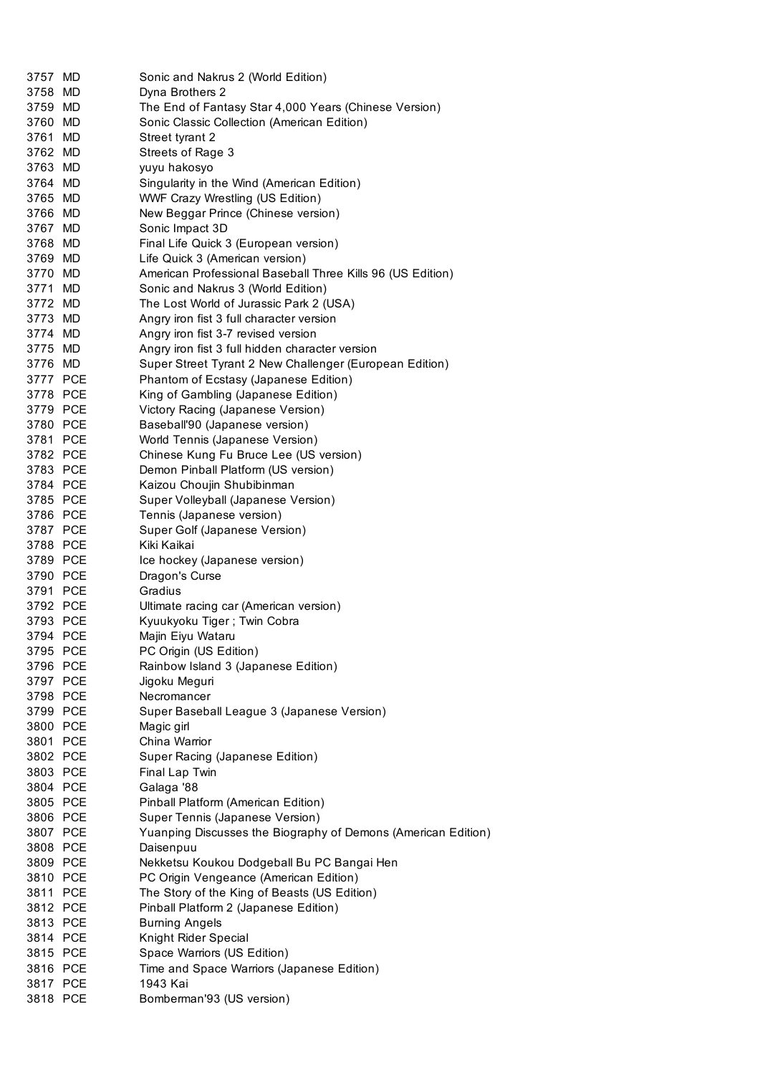| 3757 MD  | Sonic and Nakrus 2 (World Edition)                            |
|----------|---------------------------------------------------------------|
| 3758 MD  | Dyna Brothers 2                                               |
| 3759 MD  | The End of Fantasy Star 4,000 Years (Chinese Version)         |
| 3760 MD  | Sonic Classic Collection (American Edition)                   |
| 3761 MD  | Street tyrant 2                                               |
| 3762 MD  | Streets of Rage 3                                             |
| 3763 MD  | yuyu hakosyo                                                  |
| 3764 MD  | Singularity in the Wind (American Edition)                    |
| 3765 MD  | <b>WWF Crazy Wrestling (US Edition)</b>                       |
| 3766 MD  | New Beggar Prince (Chinese version)                           |
| 3767 MD  | Sonic Impact 3D                                               |
| 3768 MD  | Final Life Quick 3 (European version)                         |
| 3769 MD  | Life Quick 3 (American version)                               |
| 3770 MD  | American Professional Baseball Three Kills 96 (US Edition)    |
| 3771 MD  | Sonic and Nakrus 3 (World Edition)                            |
| 3772 MD  | The Lost World of Jurassic Park 2 (USA)                       |
| 3773 MD  | Angry iron fist 3 full character version                      |
| 3774 MD  | Angry iron fist 3-7 revised version                           |
| 3775 MD  | Angry iron fist 3 full hidden character version               |
| 3776 MD  | Super Street Tyrant 2 New Challenger (European Edition)       |
| 3777 PCE | Phantom of Ecstasy (Japanese Edition)                         |
| 3778 PCE | King of Gambling (Japanese Edition)                           |
| 3779 PCE | Victory Racing (Japanese Version)                             |
| 3780 PCE | Baseball'90 (Japanese version)                                |
| 3781 PCE | World Tennis (Japanese Version)                               |
| 3782 PCE | Chinese Kung Fu Bruce Lee (US version)                        |
| 3783 PCE | Demon Pinball Platform (US version)                           |
| 3784 PCE |                                                               |
|          | Kaizou Choujin Shubibinman                                    |
| 3785 PCE | Super Volleyball (Japanese Version)                           |
| 3786 PCE | Tennis (Japanese version)                                     |
| 3787 PCE | Super Golf (Japanese Version)                                 |
| 3788 PCE | Kiki Kaikai                                                   |
| 3789 PCE | Ice hockey (Japanese version)                                 |
| 3790 PCE | Dragon's Curse                                                |
| 3791 PCE | Gradius                                                       |
| 3792 PCE | Ultimate racing car (American version)                        |
| 3793 PCE | Kyuukyoku Tiger; Twin Cobra                                   |
| 3794 PCE | Majin Eiyu Wataru                                             |
| 3795 PCE | PC Origin (US Edition)                                        |
| 3796 PCE | Rainbow Island 3 (Japanese Edition)                           |
| 3797 PCE | Jigoku Meguri                                                 |
| 3798 PCE | Necromancer                                                   |
| 3799 PCE | Super Baseball League 3 (Japanese Version)                    |
| 3800 PCE | Magic girl                                                    |
| 3801 PCE | China Warrior                                                 |
| 3802 PCE | Super Racing (Japanese Edition)                               |
| 3803 PCE | Final Lap Twin                                                |
| 3804 PCE | Galaga '88                                                    |
| 3805 PCE | Pinball Platform (American Edition)                           |
| 3806 PCE | Super Tennis (Japanese Version)                               |
| 3807 PCE | Yuanping Discusses the Biography of Demons (American Edition) |
| 3808 PCE | Daisenpuu                                                     |
| 3809 PCE | Nekketsu Koukou Dodgeball Bu PC Bangai Hen                    |
| 3810 PCE | PC Origin Vengeance (American Edition)                        |
| 3811 PCE | The Story of the King of Beasts (US Edition)                  |
| 3812 PCE | Pinball Platform 2 (Japanese Edition)                         |
| 3813 PCE | <b>Burning Angels</b>                                         |
| 3814 PCE | Knight Rider Special                                          |
| 3815 PCE | Space Warriors (US Edition)                                   |
| 3816 PCE | Time and Space Warriors (Japanese Edition)                    |
| 3817 PCE | 1943 Kai                                                      |
| 3818 PCE | Bomberman'93 (US version)                                     |
|          |                                                               |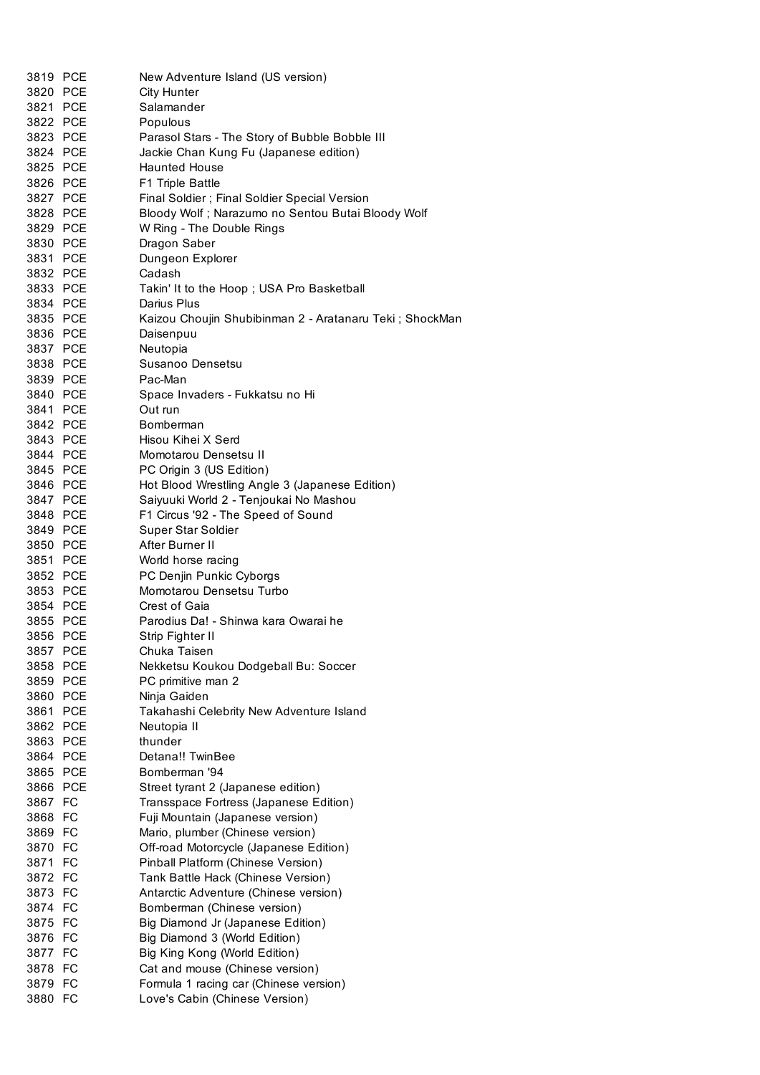| 3819 PCE | New Adventure Island (US version)                        |
|----------|----------------------------------------------------------|
| 3820 PCE | <b>City Hunter</b>                                       |
| 3821 PCE | Salamander                                               |
| 3822 PCE | Populous                                                 |
| 3823 PCE | Parasol Stars - The Story of Bubble Bobble III           |
| 3824 PCE | Jackie Chan Kung Fu (Japanese edition)                   |
| 3825 PCE | <b>Haunted House</b>                                     |
| 3826 PCE | F1 Triple Battle                                         |
| 3827 PCE | Final Soldier ; Final Soldier Special Version            |
| 3828 PCE | Bloody Wolf; Narazumo no Sentou Butai Bloody Wolf        |
| 3829 PCE | W Ring - The Double Rings                                |
| 3830 PCE | Dragon Saber                                             |
| 3831 PCE | Dungeon Explorer                                         |
| 3832 PCE | Cadash                                                   |
| 3833 PCE | Takin' It to the Hoop; USA Pro Basketball                |
| 3834 PCE | Darius Plus                                              |
| 3835 PCE | Kaizou Choujin Shubibinman 2 - Aratanaru Teki; ShockMan  |
| 3836 PCE | Daisenpuu                                                |
| 3837 PCE | Neutopia                                                 |
| 3838 PCE | Susanoo Densetsu                                         |
| 3839 PCE | Pac-Man                                                  |
| 3840 PCE | Space Invaders - Fukkatsu no Hi                          |
| 3841 PCE | Out run                                                  |
| 3842 PCE | Bomberman                                                |
| 3843 PCE | Hisou Kihei X Serd                                       |
| 3844 PCE | Momotarou Densetsu II                                    |
| 3845 PCE | PC Origin 3 (US Edition)                                 |
| 3846 PCE | Hot Blood Wrestling Angle 3 (Japanese Edition)           |
| 3847 PCE | Saiyuuki World 2 - Tenjoukai No Mashou                   |
| 3848 PCE | F1 Circus '92 - The Speed of Sound                       |
| 3849 PCE | Super Star Soldier                                       |
| 3850 PCE | After Burner II                                          |
| 3851 PCE | World horse racing                                       |
| 3852 PCE | PC Denjin Punkic Cyborgs                                 |
| 3853 PCE | Momotarou Densetsu Turbo                                 |
| 3854 PCE | Crest of Gaia                                            |
| 3855 PCE | Parodius Da! - Shinwa kara Owarai he                     |
| 3856 PCE | Strip Fighter II                                         |
| 3857 PCE | Chuka Taisen                                             |
| 3858 PCE | Nekketsu Koukou Dodgeball Bu: Soccer                     |
| 3859 PCE | PC primitive man 2                                       |
| 3860 PCE |                                                          |
| 3861 PCE | Ninja Gaiden<br>Takahashi Celebrity New Adventure Island |
| 3862 PCE |                                                          |
| 3863 PCE | Neutopia II<br>thunder                                   |
| 3864 PCE | Detana!! TwinBee                                         |
| 3865 PCE | Bomberman '94                                            |
|          |                                                          |
| 3866 PCE | Street tyrant 2 (Japanese edition)                       |
| 3867 FC  | Transspace Fortress (Japanese Edition)                   |
| 3868 FC  | Fuji Mountain (Japanese version)                         |
| 3869 FC  | Mario, plumber (Chinese version)                         |
| 3870 FC  | Off-road Motorcycle (Japanese Edition)                   |
| 3871 FC  | Pinball Platform (Chinese Version)                       |
| 3872 FC  | Tank Battle Hack (Chinese Version)                       |
| 3873 FC  | Antarctic Adventure (Chinese version)                    |
| 3874 FC  | Bomberman (Chinese version)                              |
| 3875 FC  | Big Diamond Jr (Japanese Edition)                        |
| 3876 FC  | Big Diamond 3 (World Edition)                            |
| 3877 FC  | Big King Kong (World Edition)                            |
| 3878 FC  | Cat and mouse (Chinese version)                          |
| 3879 FC  | Formula 1 racing car (Chinese version)                   |
| 3880 FC  | Love's Cabin (Chinese Version)                           |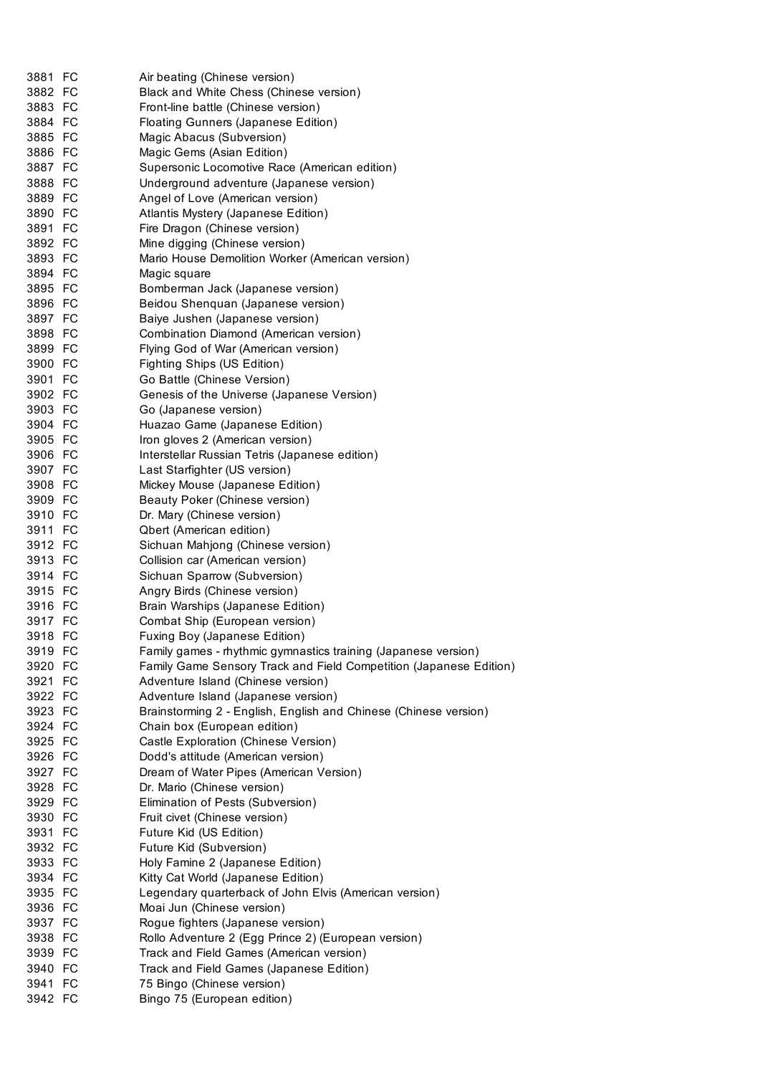| 3881 FC            | Air beating (Chinese version)                                      |
|--------------------|--------------------------------------------------------------------|
| 3882 FC            | Black and White Chess (Chinese version)                            |
| 3883 FC            | Front-line battle (Chinese version)                                |
| 3884 FC            | Floating Gunners (Japanese Edition)                                |
| 3885 FC            | Magic Abacus (Subversion)                                          |
| 3886 FC            | Magic Gems (Asian Edition)                                         |
| 3887 FC            | Supersonic Locomotive Race (American edition)                      |
| 3888 FC            | Underground adventure (Japanese version)                           |
| 3889 FC            | Angel of Love (American version)                                   |
| 3890 FC            | Atlantis Mystery (Japanese Edition)                                |
| 3891 FC            | Fire Dragon (Chinese version)                                      |
| 3892 FC            | Mine digging (Chinese version)                                     |
| 3893 FC            | Mario House Demolition Worker (American version)                   |
| 3894 FC            | Magic square                                                       |
| 3895 FC            | Bomberman Jack (Japanese version)                                  |
| 3896 FC            | Beidou Shenquan (Japanese version)                                 |
| 3897 FC            | Baiye Jushen (Japanese version)                                    |
| 3898 FC            | Combination Diamond (American version)                             |
| 3899 FC            | Flying God of War (American version)                               |
| 3900 FC            | Fighting Ships (US Edition)                                        |
| 3901 FC            | Go Battle (Chinese Version)                                        |
| 3902 FC            | Genesis of the Universe (Japanese Version)                         |
| 3903 FC            | Go (Japanese version)                                              |
|                    |                                                                    |
| 3904 FC<br>3905 FC | Huazao Game (Japanese Edition)                                     |
|                    | Iron gloves 2 (American version)                                   |
| 3906 FC            | Interstellar Russian Tetris (Japanese edition)                     |
| 3907 FC            | Last Starfighter (US version)                                      |
| 3908 FC            | Mickey Mouse (Japanese Edition)                                    |
| 3909 FC            | Beauty Poker (Chinese version)                                     |
| 3910 FC            | Dr. Mary (Chinese version)                                         |
| 3911 FC            | Qbert (American edition)                                           |
| 3912 FC            | Sichuan Mahjong (Chinese version)                                  |
| 3913 FC            | Collision car (American version)                                   |
| 3914 FC            | Sichuan Sparrow (Subversion)                                       |
| 3915 FC            | Angry Birds (Chinese version)                                      |
| 3916 FC            | Brain Warships (Japanese Edition)                                  |
| 3917 FC            | Combat Ship (European version)                                     |
| 3918 FC            | Fuxing Boy (Japanese Edition)                                      |
| 3919 FC            | Family games - rhythmic gymnastics training (Japanese version)     |
| 3920 FC            | Family Game Sensory Track and Field Competition (Japanese Edition) |
| 3921 FC            | Adventure Island (Chinese version)                                 |
| 3922 FC            | Adventure Island (Japanese version)                                |
| 3923 FC            | Brainstorming 2 - English, English and Chinese (Chinese version)   |
| 3924 FC            | Chain box (European edition)                                       |
| 3925 FC            | Castle Exploration (Chinese Version)                               |
| 3926 FC            | Dodd's attitude (American version)                                 |
| 3927 FC            | Dream of Water Pipes (American Version)                            |
| 3928 FC            | Dr. Mario (Chinese version)                                        |
| 3929 FC            | Elimination of Pests (Subversion)                                  |
| 3930 FC            | Fruit civet (Chinese version)                                      |
| 3931 FC            | Future Kid (US Edition)                                            |
| 3932 FC            | Future Kid (Subversion)                                            |
| 3933 FC            | Holy Famine 2 (Japanese Edition)                                   |
| 3934 FC            |                                                                    |
|                    | Kitty Cat World (Japanese Edition)                                 |
| 3935 FC            | Legendary quarterback of John Elvis (American version)             |
| 3936 FC            | Moai Jun (Chinese version)                                         |
| 3937 FC            | Rogue fighters (Japanese version)                                  |
| 3938 FC            | Rollo Adventure 2 (Egg Prince 2) (European version)                |
| 3939 FC            | Track and Field Games (American version)                           |
| 3940 FC            | Track and Field Games (Japanese Edition)                           |
| 3941 FC            | 75 Bingo (Chinese version)                                         |
| 3942 FC            | Bingo 75 (European edition)                                        |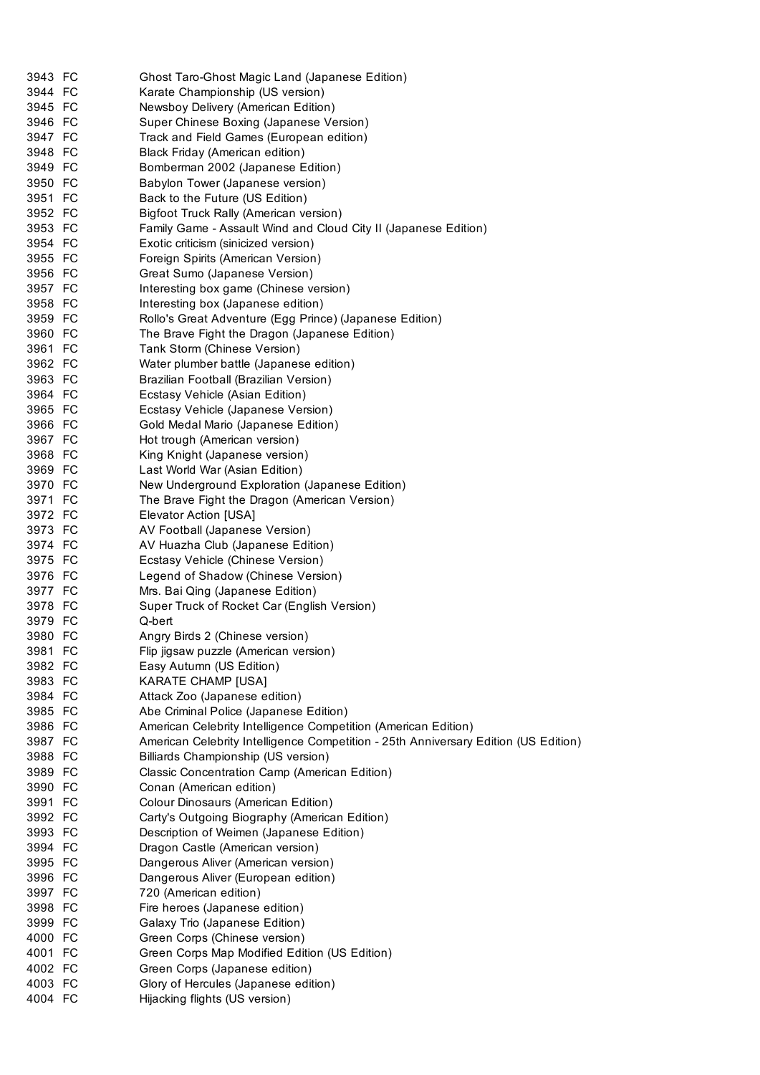| 3943 FC | Ghost Taro-Ghost Magic Land (Japanese Edition)                                      |
|---------|-------------------------------------------------------------------------------------|
| 3944 FC | Karate Championship (US version)                                                    |
| 3945 FC | Newsboy Delivery (American Edition)                                                 |
| 3946 FC | Super Chinese Boxing (Japanese Version)                                             |
| 3947 FC | Track and Field Games (European edition)                                            |
| 3948 FC | Black Friday (American edition)                                                     |
| 3949 FC | Bomberman 2002 (Japanese Edition)                                                   |
| 3950 FC | Babylon Tower (Japanese version)                                                    |
| 3951 FC | Back to the Future (US Edition)                                                     |
| 3952 FC | Bigfoot Truck Rally (American version)                                              |
| 3953 FC | Family Game - Assault Wind and Cloud City II (Japanese Edition)                     |
| 3954 FC | Exotic criticism (sinicized version)                                                |
| 3955 FC | Foreign Spirits (American Version)                                                  |
| 3956 FC | Great Sumo (Japanese Version)                                                       |
| 3957 FC | Interesting box game (Chinese version)                                              |
| 3958 FC | Interesting box (Japanese edition)                                                  |
| 3959 FC | Rollo's Great Adventure (Egg Prince) (Japanese Edition)                             |
| 3960 FC | The Brave Fight the Dragon (Japanese Edition)                                       |
| 3961 FC | Tank Storm (Chinese Version)                                                        |
| 3962 FC | Water plumber battle (Japanese edition)                                             |
| 3963 FC | Brazilian Football (Brazilian Version)                                              |
| 3964 FC | Ecstasy Vehicle (Asian Edition)                                                     |
| 3965 FC | Ecstasy Vehicle (Japanese Version)                                                  |
| 3966 FC | Gold Medal Mario (Japanese Edition)                                                 |
| 3967 FC | Hot trough (American version)                                                       |
| 3968 FC | King Knight (Japanese version)                                                      |
| 3969 FC |                                                                                     |
|         | Last World War (Asian Edition)                                                      |
| 3970 FC | New Underground Exploration (Japanese Edition)                                      |
| 3971 FC | The Brave Fight the Dragon (American Version)                                       |
| 3972 FC | Elevator Action [USA]                                                               |
| 3973 FC | AV Football (Japanese Version)                                                      |
| 3974 FC | AV Huazha Club (Japanese Edition)                                                   |
| 3975 FC | Ecstasy Vehicle (Chinese Version)                                                   |
| 3976 FC | Legend of Shadow (Chinese Version)                                                  |
| 3977 FC | Mrs. Bai Qing (Japanese Edition)                                                    |
| 3978 FC | Super Truck of Rocket Car (English Version)                                         |
| 3979 FC | Q-bert                                                                              |
| 3980 FC | Angry Birds 2 (Chinese version)                                                     |
| 3981 FC | Flip jigsaw puzzle (American version)                                               |
| 3982 FC | Easy Autumn (US Edition)                                                            |
| 3983 FC | KARATE CHAMP [USA]                                                                  |
| 3984 FC | Attack Zoo (Japanese edition)                                                       |
| 3985 FC | Abe Criminal Police (Japanese Edition)                                              |
| 3986 FC | American Celebrity Intelligence Competition (American Edition)                      |
| 3987 FC | American Celebrity Intelligence Competition - 25th Anniversary Edition (US Edition) |
| 3988 FC | Billiards Championship (US version)                                                 |
| 3989 FC | Classic Concentration Camp (American Edition)                                       |
| 3990 FC | Conan (American edition)                                                            |
| 3991 FC | Colour Dinosaurs (American Edition)                                                 |
| 3992 FC | Carty's Outgoing Biography (American Edition)                                       |
| 3993 FC | Description of Weimen (Japanese Edition)                                            |
| 3994 FC | Dragon Castle (American version)                                                    |
| 3995 FC | Dangerous Aliver (American version)                                                 |
| 3996 FC | Dangerous Aliver (European edition)                                                 |
| 3997 FC | 720 (American edition)                                                              |
| 3998 FC | Fire heroes (Japanese edition)                                                      |
| 3999 FC | Galaxy Trio (Japanese Edition)                                                      |
| 4000 FC | Green Corps (Chinese version)                                                       |
| 4001 FC | Green Corps Map Modified Edition (US Edition)                                       |
| 4002 FC | Green Corps (Japanese edition)                                                      |
| 4003 FC | Glory of Hercules (Japanese edition)                                                |
| 4004 FC | Hijacking flights (US version)                                                      |
|         |                                                                                     |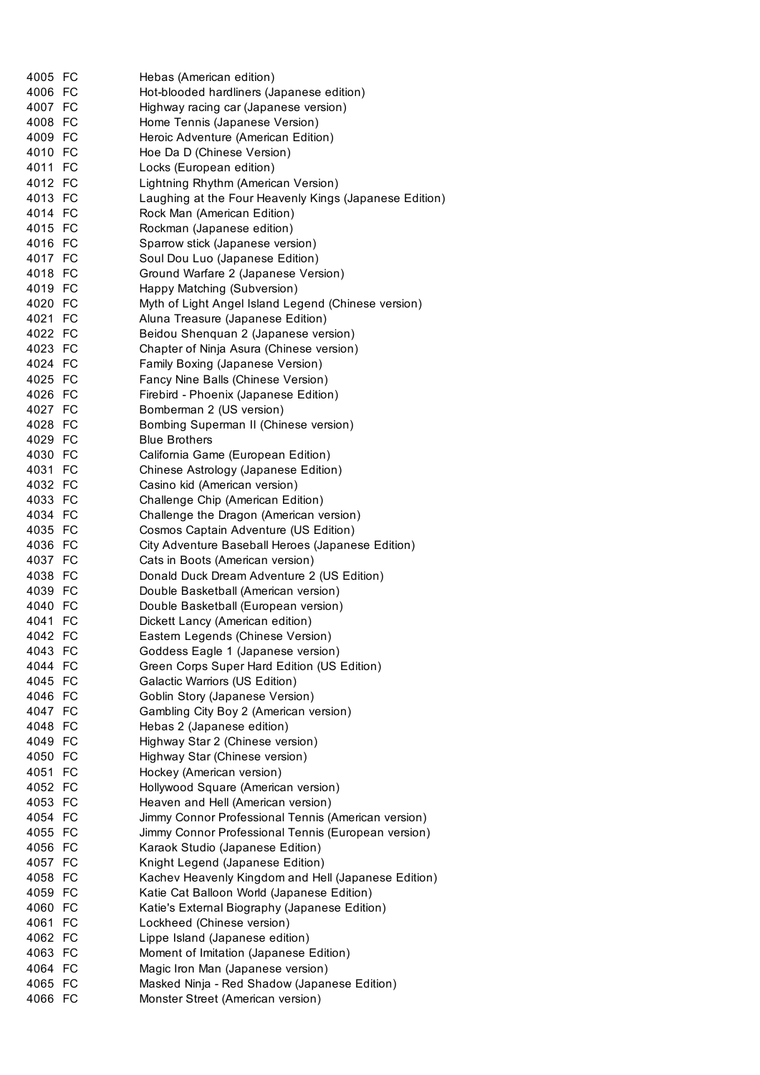| 4005 FC |    | Hebas (American edition)                               |
|---------|----|--------------------------------------------------------|
| 4006 FC |    | Hot-blooded hardliners (Japanese edition)              |
| 4007 FC |    | Highway racing car (Japanese version)                  |
| 4008 FC |    | Home Tennis (Japanese Version)                         |
| 4009 FC |    | Heroic Adventure (American Edition)                    |
| 4010 FC |    | Hoe Da D (Chinese Version)                             |
| 4011 FC |    | Locks (European edition)                               |
| 4012 FC |    | Lightning Rhythm (American Version)                    |
| 4013 FC |    | Laughing at the Four Heavenly Kings (Japanese Edition) |
| 4014 FC |    | Rock Man (American Edition)                            |
| 4015 FC |    | Rockman (Japanese edition)                             |
| 4016 FC |    | Sparrow stick (Japanese version)                       |
| 4017 FC |    | Soul Dou Luo (Japanese Edition)                        |
| 4018 FC |    | Ground Warfare 2 (Japanese Version)                    |
| 4019 FC |    | Happy Matching (Subversion)                            |
| 4020 FC |    | Myth of Light Angel Island Legend (Chinese version)    |
| 4021 FC |    | Aluna Treasure (Japanese Edition)                      |
| 4022 FC |    | Beidou Shenquan 2 (Japanese version)                   |
| 4023 FC |    | Chapter of Ninja Asura (Chinese version)               |
| 4024 FC |    | Family Boxing (Japanese Version)                       |
| 4025 FC |    | Fancy Nine Balls (Chinese Version)                     |
| 4026 FC |    | Firebird - Phoenix (Japanese Edition)                  |
| 4027 FC |    | Bomberman 2 (US version)                               |
| 4028 FC |    | Bombing Superman II (Chinese version)                  |
| 4029 FC |    | <b>Blue Brothers</b>                                   |
| 4030 FC |    | California Game (European Edition)                     |
| 4031 FC |    | Chinese Astrology (Japanese Edition)                   |
| 4032 FC |    | Casino kid (American version)                          |
| 4033 FC |    | Challenge Chip (American Edition)                      |
| 4034 FC |    | Challenge the Dragon (American version)                |
| 4035 FC |    | Cosmos Captain Adventure (US Edition)                  |
| 4036 FC |    | City Adventure Baseball Heroes (Japanese Edition)      |
| 4037 FC |    | Cats in Boots (American version)                       |
| 4038 FC |    | Donald Duck Dream Adventure 2 (US Edition)             |
| 4039 FC |    | Double Basketball (American version)                   |
| 4040 FC |    | Double Basketball (European version)                   |
| 4041 FC |    | Dickett Lancy (American edition)                       |
| 4042 FC |    | Eastern Legends (Chinese Version)                      |
| 4043    | FC | Goddess Eagle 1 (Japanese version)                     |
| 4044 FC |    | Green Corps Super Hard Edition (US Edition)            |
| 4045 FC |    | Galactic Warriors (US Edition)                         |
| 4046 FC |    | Goblin Story (Japanese Version)                        |
| 4047 FC |    | Gambling City Boy 2 (American version)                 |
| 4048 FC |    | Hebas 2 (Japanese edition)                             |
| 4049 FC |    | Highway Star 2 (Chinese version)                       |
| 4050 FC |    | Highway Star (Chinese version)                         |
| 4051 FC |    | Hockey (American version)                              |
| 4052 FC |    | Hollywood Square (American version)                    |
| 4053 FC |    | Heaven and Hell (American version)                     |
| 4054 FC |    | Jimmy Connor Professional Tennis (American version)    |
| 4055 FC |    | Jimmy Connor Professional Tennis (European version)    |
|         |    |                                                        |
| 4056 FC |    | Karaok Studio (Japanese Edition)                       |
| 4057 FC |    | Knight Legend (Japanese Edition)                       |
| 4058 FC |    | Kachev Heavenly Kingdom and Hell (Japanese Edition)    |
| 4059 FC |    | Katie Cat Balloon World (Japanese Edition)             |
| 4060 FC |    | Katie's External Biography (Japanese Edition)          |
| 4061 FC |    | Lockheed (Chinese version)                             |
| 4062 FC |    | Lippe Island (Japanese edition)                        |
| 4063 FC |    | Moment of Imitation (Japanese Edition)                 |
| 4064 FC |    | Magic Iron Man (Japanese version)                      |
| 4065 FC |    | Masked Ninja - Red Shadow (Japanese Edition)           |
| 4066 FC |    | Monster Street (American version)                      |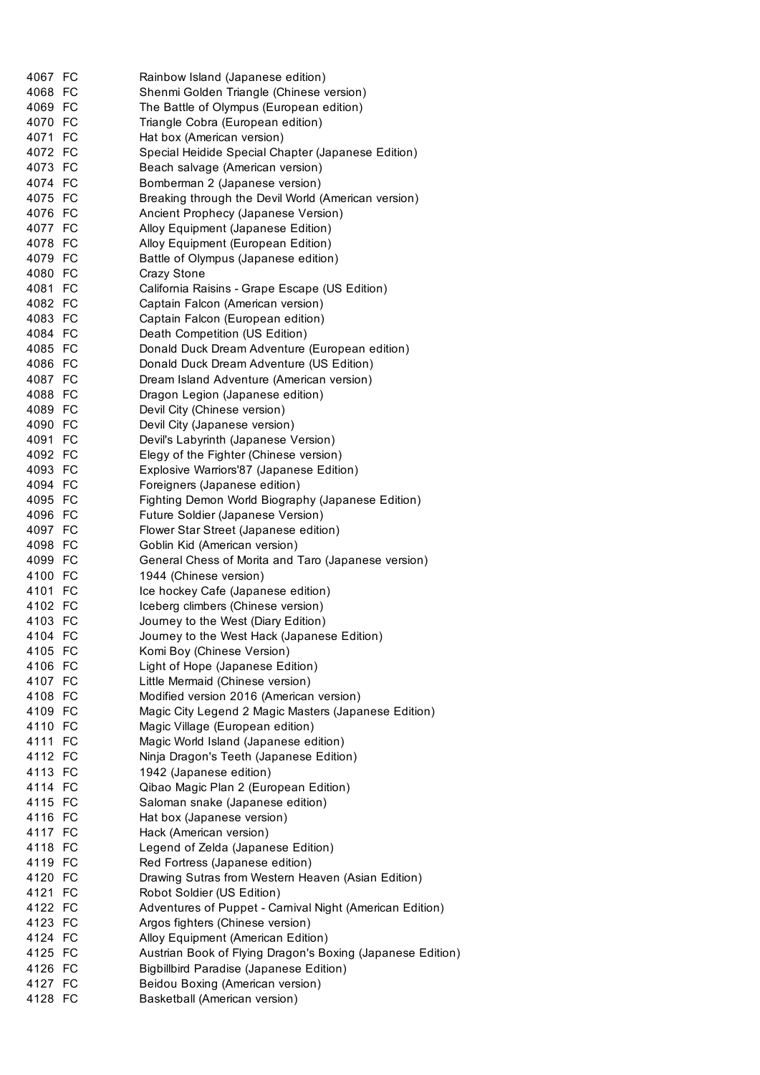| 4067 FC | Rainbow Island (Japanese edition)                          |
|---------|------------------------------------------------------------|
| 4068 FC | Shenmi Golden Triangle (Chinese version)                   |
| 4069 FC | The Battle of Olympus (European edition)                   |
| 4070 FC | Triangle Cobra (European edition)                          |
| 4071 FC | Hat box (American version)                                 |
| 4072 FC | Special Heidide Special Chapter (Japanese Edition)         |
| 4073 FC | Beach salvage (American version)                           |
| 4074 FC | Bomberman 2 (Japanese version)                             |
| 4075 FC | Breaking through the Devil World (American version)        |
| 4076 FC | Ancient Prophecy (Japanese Version)                        |
| 4077 FC | Alloy Equipment (Japanese Edition)                         |
| 4078 FC | Alloy Equipment (European Edition)                         |
| 4079 FC | Battle of Olympus (Japanese edition)                       |
| 4080 FC | Crazy Stone                                                |
| 4081 FC | California Raisins - Grape Escape (US Edition)             |
| 4082 FC | Captain Falcon (American version)                          |
| 4083 FC | Captain Falcon (European edition)                          |
| 4084 FC | Death Competition (US Edition)                             |
| 4085 FC | Donald Duck Dream Adventure (European edition)             |
| 4086 FC | Donald Duck Dream Adventure (US Edition)                   |
| 4087 FC |                                                            |
| 4088 FC | Dream Island Adventure (American version)                  |
|         | Dragon Legion (Japanese edition)                           |
| 4089 FC | Devil City (Chinese version)                               |
| 4090 FC | Devil City (Japanese version)                              |
| 4091 FC | Devil's Labyrinth (Japanese Version)                       |
| 4092 FC | Elegy of the Fighter (Chinese version)                     |
| 4093 FC | Explosive Warriors'87 (Japanese Edition)                   |
| 4094 FC | Foreigners (Japanese edition)                              |
| 4095 FC | Fighting Demon World Biography (Japanese Edition)          |
| 4096 FC | Future Soldier (Japanese Version)                          |
| 4097 FC | Flower Star Street (Japanese edition)                      |
| 4098 FC | Goblin Kid (American version)                              |
| 4099 FC | General Chess of Morita and Taro (Japanese version)        |
| 4100 FC | 1944 (Chinese version)                                     |
| 4101 FC | Ice hockey Cafe (Japanese edition)                         |
| 4102 FC | Iceberg climbers (Chinese version)                         |
| 4103 FC | Journey to the West (Diary Edition)                        |
| 4104 FC | Journey to the West Hack (Japanese Edition)                |
| 4105 FC | Komi Boy (Chinese Version)                                 |
| 4106 FC | Light of Hope (Japanese Edition)                           |
| 4107 FC | Little Mermaid (Chinese version)                           |
| 4108 FC | Modified version 2016 (American version)                   |
| 4109 FC | Magic City Legend 2 Magic Masters (Japanese Edition)       |
| 4110 FC | Magic Village (European edition)                           |
| 4111 FC | Magic World Island (Japanese edition)                      |
| 4112 FC | Ninja Dragon's Teeth (Japanese Edition)                    |
| 4113 FC | 1942 (Japanese edition)                                    |
| 4114 FC | Qibao Magic Plan 2 (European Edition)                      |
| 4115 FC | Saloman snake (Japanese edition)                           |
| 4116 FC | Hat box (Japanese version)                                 |
| 4117 FC | Hack (American version)                                    |
| 4118 FC | Legend of Zelda (Japanese Edition)                         |
| 4119 FC | Red Fortress (Japanese edition)                            |
| 4120 FC | Drawing Sutras from Western Heaven (Asian Edition)         |
| 4121 FC | Robot Soldier (US Edition)                                 |
| 4122 FC | Adventures of Puppet - Carnival Night (American Edition)   |
| 4123 FC | Argos fighters (Chinese version)                           |
| 4124 FC | Alloy Equipment (American Edition)                         |
| 4125 FC | Austrian Book of Flying Dragon's Boxing (Japanese Edition) |
| 4126 FC | <b>Bigbillbird Paradise (Japanese Edition)</b>             |
| 4127 FC | Beidou Boxing (American version)                           |
| 4128 FC | Basketball (American version)                              |
|         |                                                            |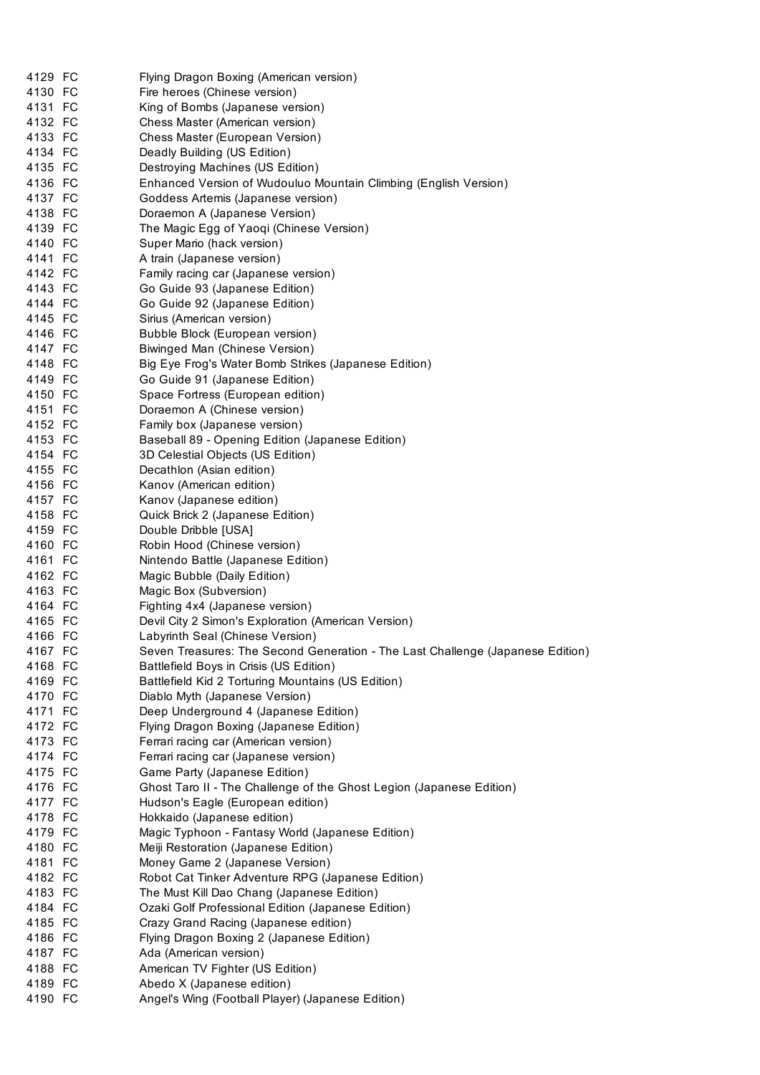| 4129 FC | Flying Dragon Boxing (American version)                                        |
|---------|--------------------------------------------------------------------------------|
| 4130 FC | Fire heroes (Chinese version)                                                  |
| 4131 FC | King of Bombs (Japanese version)                                               |
| 4132 FC | Chess Master (American version)                                                |
| 4133 FC | Chess Master (European Version)                                                |
| 4134 FC | Deadly Building (US Edition)                                                   |
| 4135 FC | Destroying Machines (US Edition)                                               |
| 4136 FC | Enhanced Version of Wudouluo Mountain Climbing (English Version)               |
| 4137 FC | Goddess Artemis (Japanese version)                                             |
| 4138 FC | Doraemon A (Japanese Version)                                                  |
| 4139 FC | The Magic Egg of Yaoqi (Chinese Version)                                       |
| 4140 FC | Super Mario (hack version)                                                     |
| 4141 FC | A train (Japanese version)                                                     |
| 4142 FC | Family racing car (Japanese version)                                           |
| 4143 FC | Go Guide 93 (Japanese Edition)                                                 |
| 4144 FC | Go Guide 92 (Japanese Edition)                                                 |
| 4145 FC | Sirius (American version)                                                      |
| 4146 FC | Bubble Block (European version)                                                |
| 4147 FC | Biwinged Man (Chinese Version)                                                 |
| 4148 FC | Big Eye Frog's Water Bomb Strikes (Japanese Edition)                           |
| 4149 FC | Go Guide 91 (Japanese Edition)                                                 |
| 4150 FC | Space Fortress (European edition)                                              |
| 4151 FC | Doraemon A (Chinese version)                                                   |
| 4152 FC | Family box (Japanese version)                                                  |
| 4153 FC | Baseball 89 - Opening Edition (Japanese Edition)                               |
| 4154 FC | 3D Celestial Objects (US Edition)                                              |
| 4155 FC | Decathlon (Asian edition)                                                      |
| 4156 FC | Kanov (American edition)                                                       |
| 4157 FC | Kanov (Japanese edition)                                                       |
| 4158 FC | Quick Brick 2 (Japanese Edition)                                               |
| 4159 FC | Double Dribble [USA]                                                           |
| 4160 FC | Robin Hood (Chinese version)                                                   |
| 4161 FC | Nintendo Battle (Japanese Edition)                                             |
| 4162 FC | Magic Bubble (Daily Edition)                                                   |
| 4163 FC | Magic Box (Subversion)                                                         |
| 4164 FC | Fighting 4x4 (Japanese version)                                                |
| 4165 FC | Devil City 2 Simon's Exploration (American Version)                            |
| 4166 FC | Labyrinth Seal (Chinese Version)                                               |
| 4167 FC | Seven Treasures: The Second Generation - The Last Challenge (Japanese Edition) |
| 4168 FC | Battlefield Boys in Crisis (US Edition)                                        |
| 4169 FC | Battlefield Kid 2 Torturing Mountains (US Edition)                             |
| 4170 FC | Diablo Myth (Japanese Version)                                                 |
| 4171 FC | Deep Underground 4 (Japanese Edition)                                          |
| 4172 FC | Flying Dragon Boxing (Japanese Edition)                                        |
| 4173 FC | Ferrari racing car (American version)                                          |
| 4174 FC | Ferrari racing car (Japanese version)                                          |
| 4175 FC | Game Party (Japanese Edition)                                                  |
| 4176 FC | Ghost Taro II - The Challenge of the Ghost Legion (Japanese Edition)           |
| 4177 FC | Hudson's Eagle (European edition)                                              |
| 4178 FC | Hokkaido (Japanese edition)                                                    |
| 4179 FC | Magic Typhoon - Fantasy World (Japanese Edition)                               |
| 4180 FC | Meiji Restoration (Japanese Edition)                                           |
| 4181 FC | Money Game 2 (Japanese Version)                                                |
| 4182 FC | Robot Cat Tinker Adventure RPG (Japanese Edition)                              |
| 4183 FC | The Must Kill Dao Chang (Japanese Edition)                                     |
|         |                                                                                |
| 4184 FC | Ozaki Golf Professional Edition (Japanese Edition)                             |
| 4185 FC | Crazy Grand Racing (Japanese edition)                                          |
| 4186 FC | Flying Dragon Boxing 2 (Japanese Edition)                                      |
| 4187 FC | Ada (American version)                                                         |
| 4188 FC | American TV Fighter (US Edition)                                               |
| 4189 FC | Abedo X (Japanese edition)                                                     |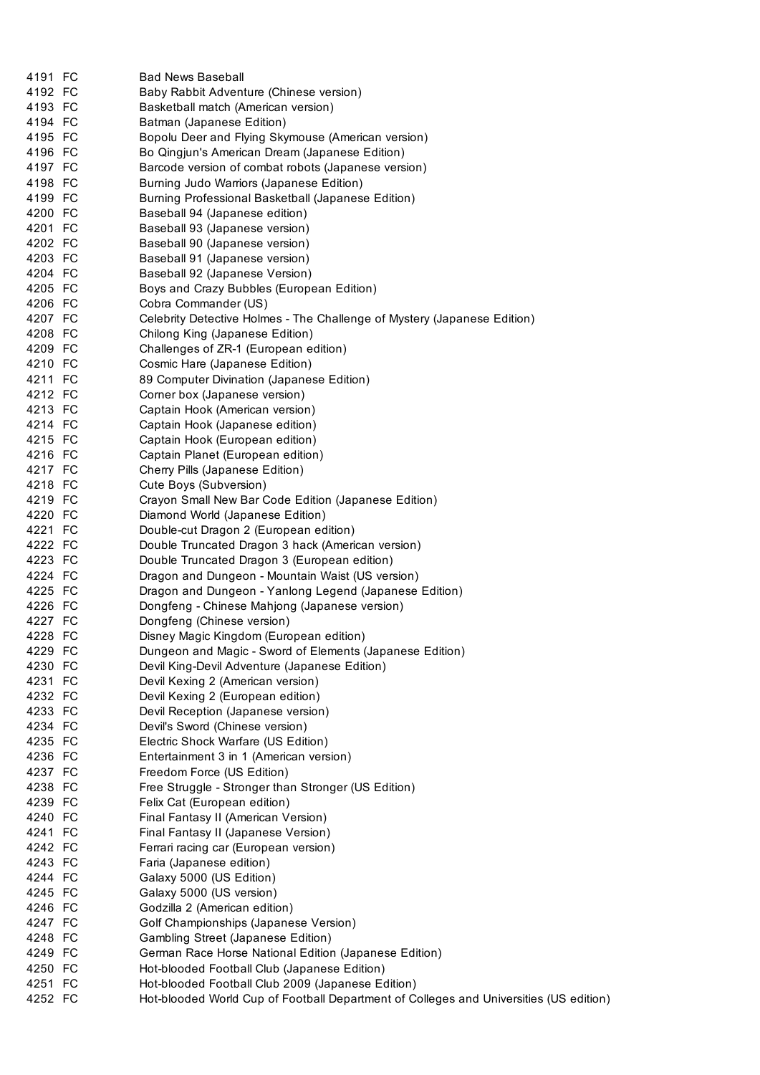| 4191 FC | <b>Bad News Baseball</b>                                                               |
|---------|----------------------------------------------------------------------------------------|
| 4192 FC | Baby Rabbit Adventure (Chinese version)                                                |
| 4193 FC | Basketball match (American version)                                                    |
| 4194 FC | Batman (Japanese Edition)                                                              |
| 4195 FC | Bopolu Deer and Flying Skymouse (American version)                                     |
| 4196 FC | Bo Qingjun's American Dream (Japanese Edition)                                         |
| 4197 FC | Barcode version of combat robots (Japanese version)                                    |
|         |                                                                                        |
| 4198 FC | Burning Judo Warriors (Japanese Edition)                                               |
| 4199 FC | Burning Professional Basketball (Japanese Edition)                                     |
| 4200 FC | Baseball 94 (Japanese edition)                                                         |
| 4201 FC | Baseball 93 (Japanese version)                                                         |
| 4202 FC | Baseball 90 (Japanese version)                                                         |
| 4203 FC | Baseball 91 (Japanese version)                                                         |
| 4204 FC | Baseball 92 (Japanese Version)                                                         |
| 4205 FC | Boys and Crazy Bubbles (European Edition)                                              |
| 4206 FC |                                                                                        |
|         | Cobra Commander (US)                                                                   |
| 4207 FC | Celebrity Detective Holmes - The Challenge of Mystery (Japanese Edition)               |
| 4208 FC | Chilong King (Japanese Edition)                                                        |
| 4209 FC | Challenges of ZR-1 (European edition)                                                  |
| 4210 FC | Cosmic Hare (Japanese Edition)                                                         |
| 4211 FC | 89 Computer Divination (Japanese Edition)                                              |
| 4212 FC | Corner box (Japanese version)                                                          |
| 4213 FC | Captain Hook (American version)                                                        |
| 4214 FC | Captain Hook (Japanese edition)                                                        |
|         |                                                                                        |
| 4215 FC | Captain Hook (European edition)                                                        |
| 4216 FC | Captain Planet (European edition)                                                      |
| 4217 FC | Cherry Pills (Japanese Edition)                                                        |
| 4218 FC | Cute Boys (Subversion)                                                                 |
| 4219 FC | Crayon Small New Bar Code Edition (Japanese Edition)                                   |
| 4220 FC | Diamond World (Japanese Edition)                                                       |
| 4221 FC | Double-cut Dragon 2 (European edition)                                                 |
| 4222 FC | Double Truncated Dragon 3 hack (American version)                                      |
| 4223 FC | Double Truncated Dragon 3 (European edition)                                           |
| 4224 FC |                                                                                        |
|         | Dragon and Dungeon - Mountain Waist (US version)                                       |
| 4225 FC | Dragon and Dungeon - Yanlong Legend (Japanese Edition)                                 |
| 4226 FC | Dongfeng - Chinese Mahjong (Japanese version)                                          |
| 4227 FC | Dongfeng (Chinese version)                                                             |
| 4228 FC | Disney Magic Kingdom (European edition)                                                |
| 4229 FC | Dungeon and Magic - Sword of Elements (Japanese Edition)                               |
| 4230 FC | Devil King-Devil Adventure (Japanese Edition)                                          |
| 4231 FC | Devil Kexing 2 (American version)                                                      |
| 4232 FC | Devil Kexing 2 (European edition)                                                      |
| 4233 FC | Devil Reception (Japanese version)                                                     |
|         |                                                                                        |
| 4234 FC | Devil's Sword (Chinese version)                                                        |
| 4235 FC | Electric Shock Warfare (US Edition)                                                    |
| 4236 FC | Entertainment 3 in 1 (American version)                                                |
| 4237 FC | Freedom Force (US Edition)                                                             |
| 4238 FC | Free Struggle - Stronger than Stronger (US Edition)                                    |
| 4239 FC | Felix Cat (European edition)                                                           |
| 4240 FC | Final Fantasy II (American Version)                                                    |
| 4241 FC | Final Fantasy II (Japanese Version)                                                    |
| 4242 FC | Ferrari racing car (European version)                                                  |
| 4243 FC | Faria (Japanese edition)                                                               |
|         |                                                                                        |
| 4244 FC | Galaxy 5000 (US Edition)                                                               |
| 4245 FC | Galaxy 5000 (US version)                                                               |
| 4246 FC | Godzilla 2 (American edition)                                                          |
| 4247 FC | Golf Championships (Japanese Version)                                                  |
| 4248 FC | Gambling Street (Japanese Edition)                                                     |
| 4249 FC | German Race Horse National Edition (Japanese Edition)                                  |
| 4250 FC | Hot-blooded Football Club (Japanese Edition)                                           |
| 4251 FC | Hot-blooded Football Club 2009 (Japanese Edition)                                      |
| 4252 FC | Hot-blooded World Cup of Football Department of Colleges and Universities (US edition) |
|         |                                                                                        |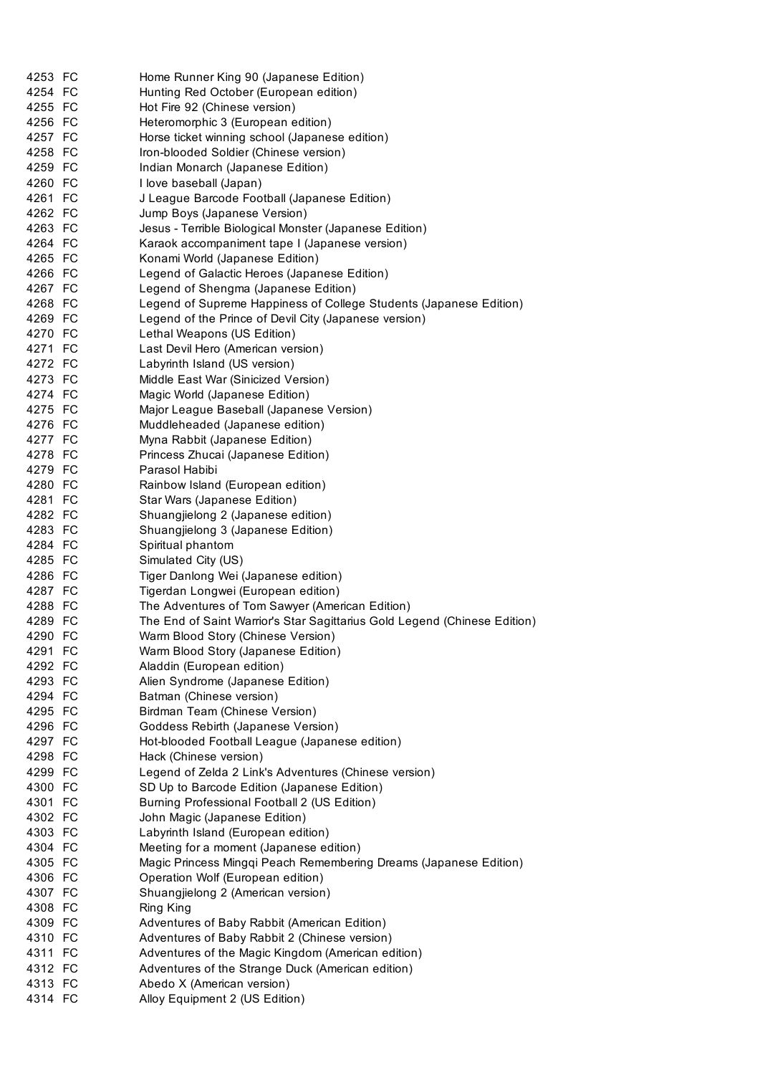| 4253 FC            | Home Runner King 90 (Japanese Edition)                                    |
|--------------------|---------------------------------------------------------------------------|
| 4254 FC            | Hunting Red October (European edition)                                    |
| 4255 FC            | Hot Fire 92 (Chinese version)                                             |
| 4256 FC            | Heteromorphic 3 (European edition)                                        |
| 4257 FC            | Horse ticket winning school (Japanese edition)                            |
| 4258 FC            | Iron-blooded Soldier (Chinese version)                                    |
| 4259 FC            | Indian Monarch (Japanese Edition)                                         |
| 4260 FC            | I love baseball (Japan)                                                   |
| 4261 FC            | J League Barcode Football (Japanese Edition)                              |
| 4262 FC            | Jump Boys (Japanese Version)                                              |
| 4263 FC            | Jesus - Terrible Biological Monster (Japanese Edition)                    |
| 4264 FC            | Karaok accompaniment tape I (Japanese version)                            |
| 4265 FC            | Konami World (Japanese Edition)                                           |
| 4266 FC            | Legend of Galactic Heroes (Japanese Edition)                              |
| 4267 FC            |                                                                           |
| 4268 FC            | Legend of Shengma (Japanese Edition)                                      |
|                    | Legend of Supreme Happiness of College Students (Japanese Edition)        |
| 4269 FC            | Legend of the Prince of Devil City (Japanese version)                     |
| 4270 FC            | Lethal Weapons (US Edition)                                               |
| 4271 FC            | Last Devil Hero (American version)                                        |
| 4272 FC            | Labyrinth Island (US version)                                             |
| 4273 FC            | Middle East War (Sinicized Version)                                       |
| 4274 FC            | Magic World (Japanese Edition)                                            |
| 4275 FC            | Major League Baseball (Japanese Version)                                  |
| 4276 FC            | Muddleheaded (Japanese edition)                                           |
| 4277 FC            | Myna Rabbit (Japanese Edition)                                            |
| 4278 FC            | Princess Zhucai (Japanese Edition)                                        |
| 4279 FC            | Parasol Habibi                                                            |
| 4280 FC            | Rainbow Island (European edition)                                         |
| 4281 FC            | Star Wars (Japanese Edition)                                              |
| 4282 FC            | Shuangjielong 2 (Japanese edition)                                        |
| 4283 FC            | Shuangjielong 3 (Japanese Edition)                                        |
| 4284 FC            | Spiritual phantom                                                         |
| 4285 FC            | Simulated City (US)                                                       |
| 4286 FC            | Tiger Danlong Wei (Japanese edition)                                      |
| 4287 FC            | Tigerdan Longwei (European edition)                                       |
| 4288 FC            |                                                                           |
|                    | The Adventures of Tom Sawyer (American Edition)                           |
| 4289 FC            | The End of Saint Warrior's Star Sagittarius Gold Legend (Chinese Edition) |
| 4290 FC            | Warm Blood Story (Chinese Version)                                        |
| 4291 FC            | Warm Blood Story (Japanese Edition)                                       |
| 4292 FC            | Aladdin (European edition)                                                |
| 4293 FC            |                                                                           |
| 4294 FC            | Alien Syndrome (Japanese Edition)                                         |
|                    | Batman (Chinese version)                                                  |
| 4295 FC            | Birdman Team (Chinese Version)                                            |
| 4296 FC            | Goddess Rebirth (Japanese Version)                                        |
| 4297 FC            | Hot-blooded Football League (Japanese edition)                            |
| 4298 FC            | Hack (Chinese version)                                                    |
| 4299 FC            | Legend of Zelda 2 Link's Adventures (Chinese version)                     |
| 4300 FC            | SD Up to Barcode Edition (Japanese Edition)                               |
| 4301 FC            | Burning Professional Football 2 (US Edition)                              |
| 4302 FC            | John Magic (Japanese Edition)                                             |
| 4303 FC            | Labyrinth Island (European edition)                                       |
| 4304 FC            | Meeting for a moment (Japanese edition)                                   |
| 4305 FC            | Magic Princess Mingqi Peach Remembering Dreams (Japanese Edition)         |
| 4306 FC            | Operation Wolf (European edition)                                         |
| 4307 FC            | Shuangjielong 2 (American version)                                        |
| 4308 FC            | Ring King                                                                 |
| 4309 FC            | Adventures of Baby Rabbit (American Edition)                              |
| 4310 FC            | Adventures of Baby Rabbit 2 (Chinese version)                             |
| 4311 FC            | Adventures of the Magic Kingdom (American edition)                        |
| 4312 FC            | Adventures of the Strange Duck (American edition)                         |
| 4313 FC<br>4314 FC | Abedo X (American version)<br>Alloy Equipment 2 (US Edition)              |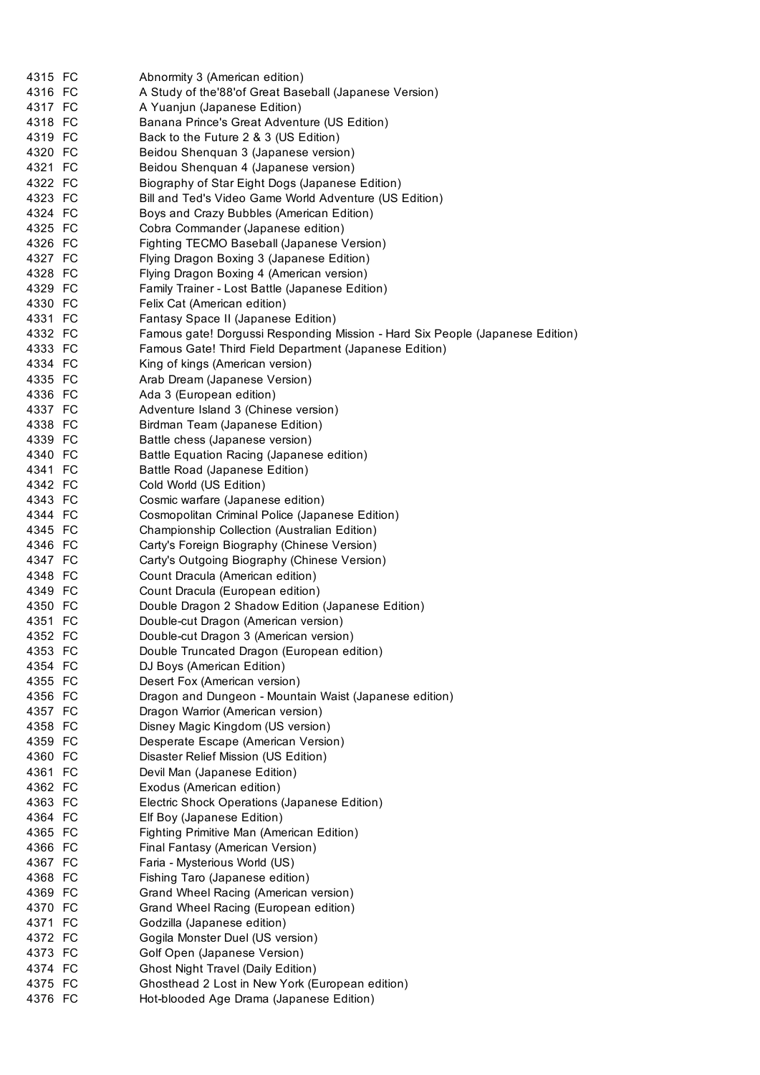| 4315 FC            | Abnormity 3 (American edition)                                                |
|--------------------|-------------------------------------------------------------------------------|
| 4316 FC            | A Study of the'88' of Great Baseball (Japanese Version)                       |
| 4317 FC            | A Yuanjun (Japanese Edition)                                                  |
| 4318 FC            | Banana Prince's Great Adventure (US Edition)                                  |
| 4319 FC            | Back to the Future 2 & 3 (US Edition)                                         |
| 4320 FC            | Beidou Shenquan 3 (Japanese version)                                          |
| 4321 FC            | Beidou Shenquan 4 (Japanese version)                                          |
| 4322 FC            | Biography of Star Eight Dogs (Japanese Edition)                               |
| 4323 FC            | Bill and Ted's Video Game World Adventure (US Edition)                        |
| 4324 FC            | Boys and Crazy Bubbles (American Edition)                                     |
| 4325 FC            | Cobra Commander (Japanese edition)                                            |
| 4326 FC            | Fighting TECMO Baseball (Japanese Version)                                    |
| 4327 FC            | Flying Dragon Boxing 3 (Japanese Edition)                                     |
| 4328 FC            | Flying Dragon Boxing 4 (American version)                                     |
| 4329 FC            | Family Trainer - Lost Battle (Japanese Edition)                               |
| 4330 FC            | Felix Cat (American edition)                                                  |
| 4331 FC            | Fantasy Space II (Japanese Edition)                                           |
| 4332 FC            | Famous gate! Dorgussi Responding Mission - Hard Six People (Japanese Edition) |
| 4333 FC            | Famous Gate! Third Field Department (Japanese Edition)                        |
| 4334 FC            | King of kings (American version)                                              |
| 4335 FC            | Arab Dream (Japanese Version)                                                 |
| 4336 FC            | Ada 3 (European edition)                                                      |
| 4337 FC            | Adventure Island 3 (Chinese version)                                          |
| 4338 FC            | Birdman Team (Japanese Edition)                                               |
| 4339 FC            | Battle chess (Japanese version)                                               |
| 4340 FC            | Battle Equation Racing (Japanese edition)                                     |
| 4341 FC            | Battle Road (Japanese Edition)                                                |
| 4342 FC            | Cold World (US Edition)                                                       |
| 4343 FC            | Cosmic warfare (Japanese edition)                                             |
| 4344 FC            | Cosmopolitan Criminal Police (Japanese Edition)                               |
| 4345 FC            | Championship Collection (Australian Edition)                                  |
| 4346 FC            | Carty's Foreign Biography (Chinese Version)                                   |
| 4347 FC            | Carty's Outgoing Biography (Chinese Version)                                  |
| 4348 FC            | Count Dracula (American edition)                                              |
| 4349 FC            | Count Dracula (European edition)                                              |
| 4350 FC            | Double Dragon 2 Shadow Edition (Japanese Edition)                             |
| 4351 FC            | Double-cut Dragon (American version)                                          |
| 4352 FC            | Double-cut Dragon 3 (American version)                                        |
| 4353 FC            | Double Truncated Dragon (European edition)                                    |
| 4354 FC            | DJ Boys (American Edition)                                                    |
| 4355 FC            | Desert Fox (American version)                                                 |
| 4356 FC            | Dragon and Dungeon - Mountain Waist (Japanese edition)                        |
| 4357 FC            | Dragon Warrior (American version)                                             |
| 4358 FC            | Disney Magic Kingdom (US version)                                             |
| 4359 FC            | Desperate Escape (American Version)                                           |
| 4360 FC            | Disaster Relief Mission (US Edition)                                          |
| 4361 FC            | Devil Man (Japanese Edition)                                                  |
| 4362 FC            | Exodus (American edition)                                                     |
| 4363 FC<br>4364 FC | Electric Shock Operations (Japanese Edition)                                  |
| 4365 FC            | Elf Boy (Japanese Edition)<br>Fighting Primitive Man (American Edition)       |
| 4366 FC            | Final Fantasy (American Version)                                              |
| 4367 FC            | Faria - Mysterious World (US)                                                 |
| 4368 FC            | Fishing Taro (Japanese edition)                                               |
| 4369 FC            | Grand Wheel Racing (American version)                                         |
| 4370 FC            | Grand Wheel Racing (European edition)                                         |
| 4371 FC            | Godzilla (Japanese edition)                                                   |
| 4372 FC            | Gogila Monster Duel (US version)                                              |
| 4373 FC            | Golf Open (Japanese Version)                                                  |
| 4374 FC            | <b>Ghost Night Travel (Daily Edition)</b>                                     |
| 4375 FC            | Ghosthead 2 Lost in New York (European edition)                               |
| 4376 FC            | Hot-blooded Age Drama (Japanese Edition)                                      |
|                    |                                                                               |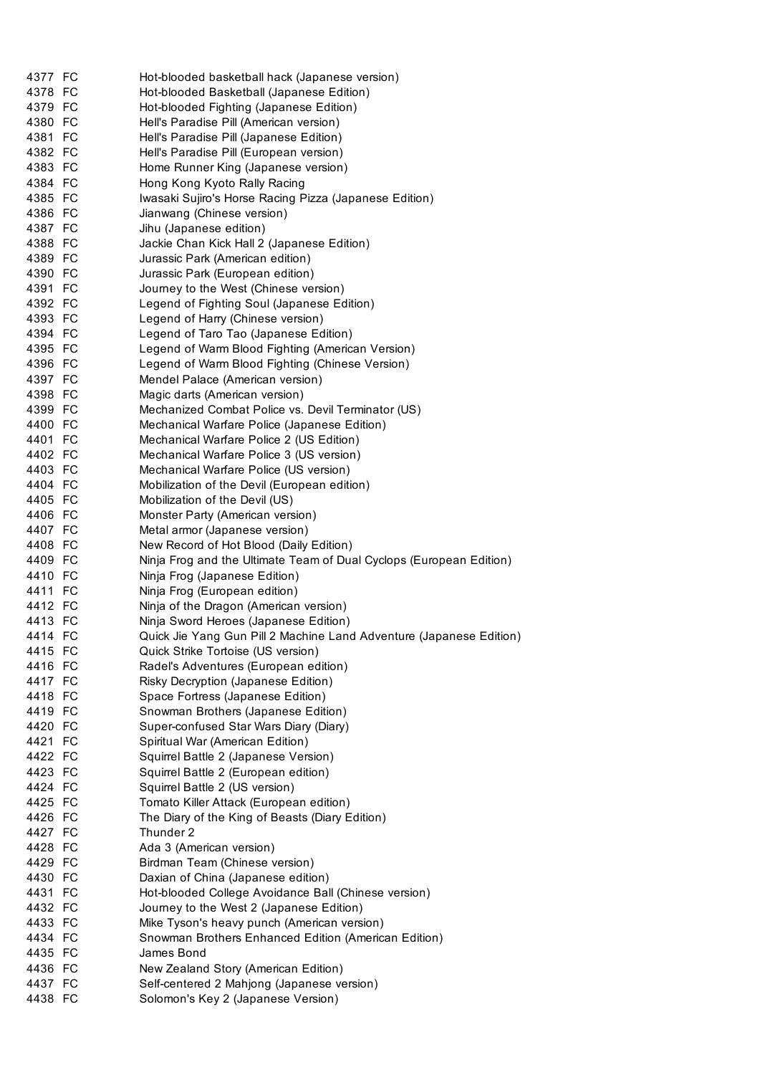| 4377 FC | Hot-blooded basketball hack (Japanese version)                      |
|---------|---------------------------------------------------------------------|
| 4378 FC | Hot-blooded Basketball (Japanese Edition)                           |
| 4379 FC | Hot-blooded Fighting (Japanese Edition)                             |
| 4380 FC | Hell's Paradise Pill (American version)                             |
| 4381 FC | Hell's Paradise Pill (Japanese Edition)                             |
| 4382 FC | Hell's Paradise Pill (European version)                             |
| 4383 FC | Home Runner King (Japanese version)                                 |
| 4384 FC | Hong Kong Kyoto Rally Racing                                        |
| 4385 FC | Iwasaki Sujiro's Horse Racing Pizza (Japanese Edition)              |
| 4386 FC | Jianwang (Chinese version)                                          |
| 4387 FC | Jihu (Japanese edition)                                             |
| 4388 FC | Jackie Chan Kick Hall 2 (Japanese Edition)                          |
| 4389 FC | Jurassic Park (American edition)                                    |
| 4390 FC | Jurassic Park (European edition)                                    |
| 4391 FC | Journey to the West (Chinese version)                               |
| 4392 FC | Legend of Fighting Soul (Japanese Edition)                          |
| 4393 FC | Legend of Harry (Chinese version)                                   |
| 4394 FC | Legend of Taro Tao (Japanese Edition)                               |
| 4395 FC | Legend of Warm Blood Fighting (American Version)                    |
| 4396 FC | Legend of Warm Blood Fighting (Chinese Version)                     |
| 4397 FC | Mendel Palace (American version)                                    |
| 4398 FC | Magic darts (American version)                                      |
| 4399 FC | Mechanized Combat Police vs. Devil Terminator (US)                  |
| 4400 FC | Mechanical Warfare Police (Japanese Edition)                        |
| 4401 FC | Mechanical Warfare Police 2 (US Edition)                            |
| 4402 FC | Mechanical Warfare Police 3 (US version)                            |
| 4403 FC | Mechanical Warfare Police (US version)                              |
| 4404 FC | Mobilization of the Devil (European edition)                        |
| 4405 FC | Mobilization of the Devil (US)                                      |
| 4406 FC | Monster Party (American version)                                    |
| 4407 FC | Metal armor (Japanese version)                                      |
| 4408 FC | New Record of Hot Blood (Daily Edition)                             |
| 4409 FC | Ninja Frog and the Ultimate Team of Dual Cyclops (European Edition) |
| 4410 FC | Ninja Frog (Japanese Edition)                                       |
| 4411 FC | Ninja Frog (European edition)                                       |
| 4412 FC | Ninja of the Dragon (American version)                              |
| 4413 FC | Ninja Sword Heroes (Japanese Edition)                               |
| 4414 FC | Quick Jie Yang Gun Pill 2 Machine Land Adventure (Japanese Edition) |
| 4415 FC | Quick Strike Tortoise (US version)                                  |
| 4416 FC | Radel's Adventures (European edition)                               |
| 4417 FC | Risky Decryption (Japanese Edition)                                 |
| 4418 FC | Space Fortress (Japanese Edition)                                   |
| 4419 FC | Snowman Brothers (Japanese Edition)                                 |
| 4420 FC | Super-confused Star Wars Diary (Diary)                              |
| 4421 FC | Spiritual War (American Edition)                                    |
| 4422 FC | Squirrel Battle 2 (Japanese Version)                                |
| 4423 FC | Squirrel Battle 2 (European edition)                                |
| 4424 FC | Squirrel Battle 2 (US version)                                      |
| 4425 FC | Tomato Killer Attack (European edition)                             |
| 4426 FC | The Diary of the King of Beasts (Diary Edition)                     |
| 4427 FC | Thunder 2                                                           |
| 4428 FC | Ada 3 (American version)                                            |
| 4429 FC | Birdman Team (Chinese version)                                      |
| 4430 FC | Daxian of China (Japanese edition)                                  |
| 4431 FC | Hot-blooded College Avoidance Ball (Chinese version)                |
| 4432 FC | Journey to the West 2 (Japanese Edition)                            |
| 4433 FC | Mike Tyson's heavy punch (American version)                         |
| 4434 FC | Snowman Brothers Enhanced Edition (American Edition)                |
| 4435 FC | James Bond                                                          |
| 4436 FC | New Zealand Story (American Edition)                                |
| 4437 FC | Self-centered 2 Mahjong (Japanese version)                          |
| 4438 FC | Solomon's Key 2 (Japanese Version)                                  |
|         |                                                                     |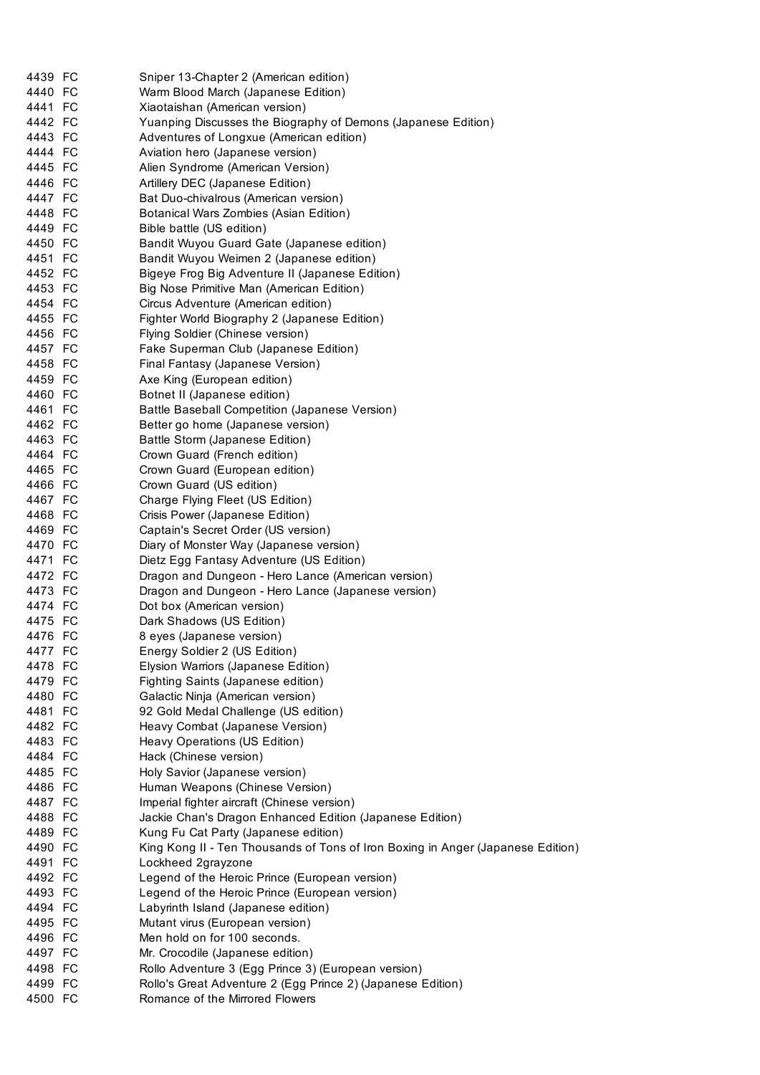| 4439 FC | Sniper 13-Chapter 2 (American edition)                                          |
|---------|---------------------------------------------------------------------------------|
| 4440 FC | Warm Blood March (Japanese Edition)                                             |
| 4441 FC | Xiaotaishan (American version)                                                  |
| 4442 FC | Yuanping Discusses the Biography of Demons (Japanese Edition)                   |
| 4443 FC | Adventures of Longxue (American edition)                                        |
| 4444 FC | Aviation hero (Japanese version)                                                |
| 4445 FC | Alien Syndrome (American Version)                                               |
| 4446 FC |                                                                                 |
|         | Artillery DEC (Japanese Edition)                                                |
| 4447 FC | Bat Duo-chivalrous (American version)                                           |
| 4448 FC | Botanical Wars Zombies (Asian Edition)                                          |
| 4449 FC | Bible battle (US edition)                                                       |
| 4450 FC | Bandit Wuyou Guard Gate (Japanese edition)                                      |
| 4451 FC | Bandit Wuyou Weimen 2 (Japanese edition)                                        |
| 4452 FC | Bigeye Frog Big Adventure II (Japanese Edition)                                 |
| 4453 FC | Big Nose Primitive Man (American Edition)                                       |
| 4454 FC | Circus Adventure (American edition)                                             |
| 4455 FC | Fighter World Biography 2 (Japanese Edition)                                    |
| 4456 FC | Flying Soldier (Chinese version)                                                |
| 4457 FC | Fake Superman Club (Japanese Edition)                                           |
| 4458 FC | Final Fantasy (Japanese Version)                                                |
| 4459 FC | Axe King (European edition)                                                     |
| 4460 FC | Botnet II (Japanese edition)                                                    |
| 4461 FC |                                                                                 |
|         | Battle Baseball Competition (Japanese Version)                                  |
| 4462 FC | Better go home (Japanese version)                                               |
| 4463 FC | Battle Storm (Japanese Edition)                                                 |
| 4464 FC | Crown Guard (French edition)                                                    |
| 4465 FC | Crown Guard (European edition)                                                  |
| 4466 FC | Crown Guard (US edition)                                                        |
| 4467 FC | Charge Flying Fleet (US Edition)                                                |
| 4468 FC | Crisis Power (Japanese Edition)                                                 |
| 4469 FC | Captain's Secret Order (US version)                                             |
| 4470 FC | Diary of Monster Way (Japanese version)                                         |
| 4471 FC | Dietz Egg Fantasy Adventure (US Edition)                                        |
| 4472 FC | Dragon and Dungeon - Hero Lance (American version)                              |
| 4473 FC | Dragon and Dungeon - Hero Lance (Japanese version)                              |
| 4474 FC | Dot box (American version)                                                      |
| 4475 FC | Dark Shadows (US Edition)                                                       |
| 4476 FC | 8 eyes (Japanese version)                                                       |
| 4477 FC | Energy Soldier 2 (US Edition)                                                   |
| 4478 FC | Elysion Warriors (Japanese Edition)                                             |
| 4479 FC |                                                                                 |
|         | Fighting Saints (Japanese edition)                                              |
| 4480 FC | Galactic Ninja (American version)                                               |
| 4481 FC | 92 Gold Medal Challenge (US edition)                                            |
| 4482 FC | Heavy Combat (Japanese Version)                                                 |
| 4483 FC | Heavy Operations (US Edition)                                                   |
| 4484 FC | Hack (Chinese version)                                                          |
| 4485 FC | Holy Savior (Japanese version)                                                  |
| 4486 FC | Human Weapons (Chinese Version)                                                 |
| 4487 FC | Imperial fighter aircraft (Chinese version)                                     |
| 4488 FC | Jackie Chan's Dragon Enhanced Edition (Japanese Edition)                        |
| 4489 FC | Kung Fu Cat Party (Japanese edition)                                            |
| 4490 FC | King Kong II - Ten Thousands of Tons of Iron Boxing in Anger (Japanese Edition) |
| 4491 FC | Lockheed 2grayzone                                                              |
| 4492 FC | Legend of the Heroic Prince (European version)                                  |
| 4493 FC | Legend of the Heroic Prince (European version)                                  |
| 4494 FC | Labyrinth Island (Japanese edition)                                             |
| 4495 FC | Mutant virus (European version)                                                 |
|         |                                                                                 |
| 4496 FC | Men hold on for 100 seconds.                                                    |
| 4497 FC | Mr. Crocodile (Japanese edition)                                                |
| 4498 FC | Rollo Adventure 3 (Egg Prince 3) (European version)                             |
| 4499 FC | Rollo's Great Adventure 2 (Egg Prince 2) (Japanese Edition)                     |
| 4500 FC | Romance of the Mirrored Flowers                                                 |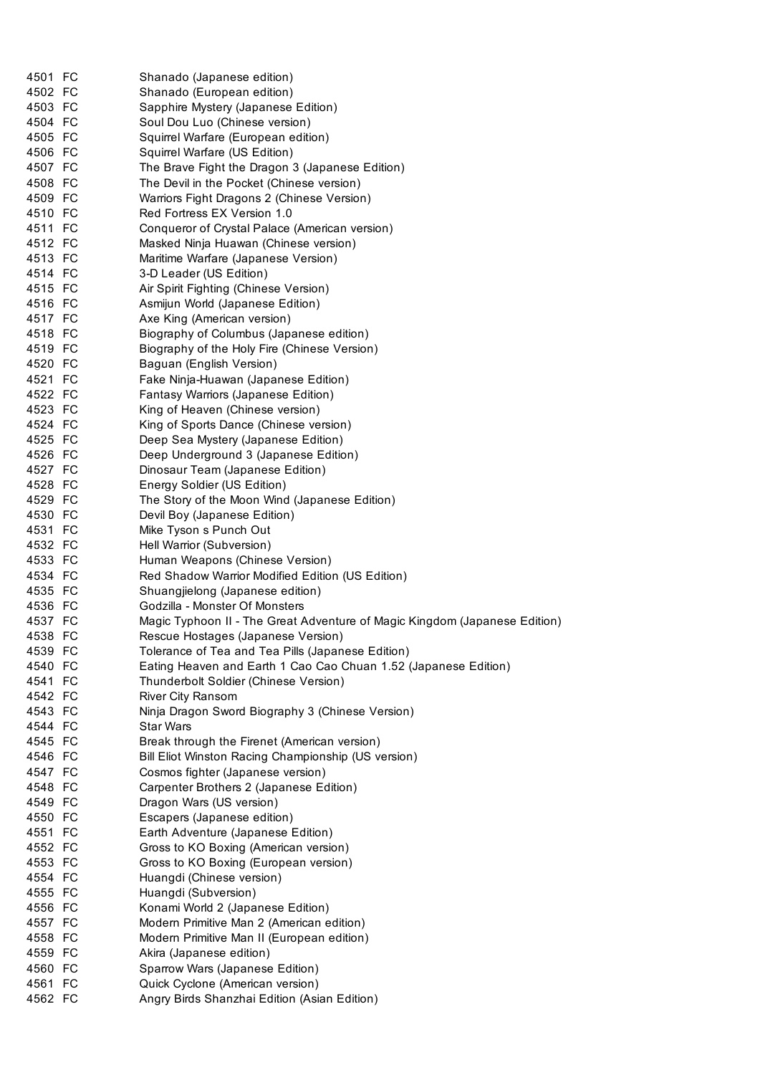| 4501 FC |                                                                            |
|---------|----------------------------------------------------------------------------|
| 4502 FC | Shanado (Japanese edition)                                                 |
|         | Shanado (European edition)                                                 |
| 4503 FC | Sapphire Mystery (Japanese Edition)                                        |
| 4504 FC | Soul Dou Luo (Chinese version)                                             |
| 4505 FC | Squirrel Warfare (European edition)                                        |
| 4506 FC | Squirrel Warfare (US Edition)                                              |
| 4507 FC | The Brave Fight the Dragon 3 (Japanese Edition)                            |
| 4508 FC | The Devil in the Pocket (Chinese version)                                  |
| 4509 FC | Warriors Fight Dragons 2 (Chinese Version)                                 |
| 4510 FC | Red Fortress EX Version 1.0                                                |
| 4511 FC | Conqueror of Crystal Palace (American version)                             |
| 4512 FC | Masked Ninja Huawan (Chinese version)                                      |
| 4513 FC | Maritime Warfare (Japanese Version)                                        |
| 4514 FC | 3-D Leader (US Edition)                                                    |
| 4515 FC | Air Spirit Fighting (Chinese Version)                                      |
| 4516 FC | Asmijun World (Japanese Edition)                                           |
| 4517 FC | Axe King (American version)                                                |
| 4518 FC | Biography of Columbus (Japanese edition)                                   |
| 4519 FC | Biography of the Holy Fire (Chinese Version)                               |
| 4520 FC | Baguan (English Version)                                                   |
| 4521 FC | Fake Ninja-Huawan (Japanese Edition)                                       |
| 4522 FC | Fantasy Warriors (Japanese Edition)                                        |
| 4523 FC | King of Heaven (Chinese version)                                           |
| 4524 FC | King of Sports Dance (Chinese version)                                     |
| 4525 FC | Deep Sea Mystery (Japanese Edition)                                        |
| 4526 FC | Deep Underground 3 (Japanese Edition)                                      |
| 4527 FC | Dinosaur Team (Japanese Edition)                                           |
| 4528 FC | Energy Soldier (US Edition)                                                |
| 4529 FC | The Story of the Moon Wind (Japanese Edition)                              |
| 4530 FC | Devil Boy (Japanese Edition)                                               |
| 4531 FC | Mike Tyson s Punch Out                                                     |
| 4532 FC | Hell Warrior (Subversion)                                                  |
| 4533 FC | Human Weapons (Chinese Version)                                            |
| 4534 FC | Red Shadow Warrior Modified Edition (US Edition)                           |
| 4535 FC | Shuangjielong (Japanese edition)                                           |
| 4536 FC | Godzilla - Monster Of Monsters                                             |
| 4537 FC | Magic Typhoon II - The Great Adventure of Magic Kingdom (Japanese Edition) |
| 4538 FC | Rescue Hostages (Japanese Version)                                         |
| 4539 FC | Tolerance of Tea and Tea Pills (Japanese Edition)                          |
| 4540 FC | Eating Heaven and Earth 1 Cao Cao Chuan 1.52 (Japanese Edition)            |
| 4541 FC | Thunderbolt Soldier (Chinese Version)                                      |
| 4542 FC | River City Ransom                                                          |
| 4543 FC | Ninja Dragon Sword Biography 3 (Chinese Version)                           |
| 4544 FC | Star Wars                                                                  |
| 4545 FC | Break through the Firenet (American version)                               |
| 4546 FC | Bill Eliot Winston Racing Championship (US version)                        |
| 4547 FC | Cosmos fighter (Japanese version)                                          |
| 4548 FC | Carpenter Brothers 2 (Japanese Edition)                                    |
| 4549 FC | Dragon Wars (US version)                                                   |
| 4550 FC | Escapers (Japanese edition)                                                |
| 4551 FC | Earth Adventure (Japanese Edition)                                         |
| 4552 FC |                                                                            |
|         | Gross to KO Boxing (American version)                                      |
| 4553 FC | Gross to KO Boxing (European version)                                      |
| 4554 FC | Huangdi (Chinese version)                                                  |
| 4555 FC | Huangdi (Subversion)                                                       |
| 4556 FC | Konami World 2 (Japanese Edition)                                          |
| 4557 FC | Modern Primitive Man 2 (American edition)                                  |
| 4558 FC | Modern Primitive Man II (European edition)                                 |
| 4559 FC | Akira (Japanese edition)                                                   |
| 4560 FC | Sparrow Wars (Japanese Edition)                                            |
| 4561 FC | Quick Cyclone (American version)                                           |
| 4562 FC | Angry Birds Shanzhai Edition (Asian Edition)                               |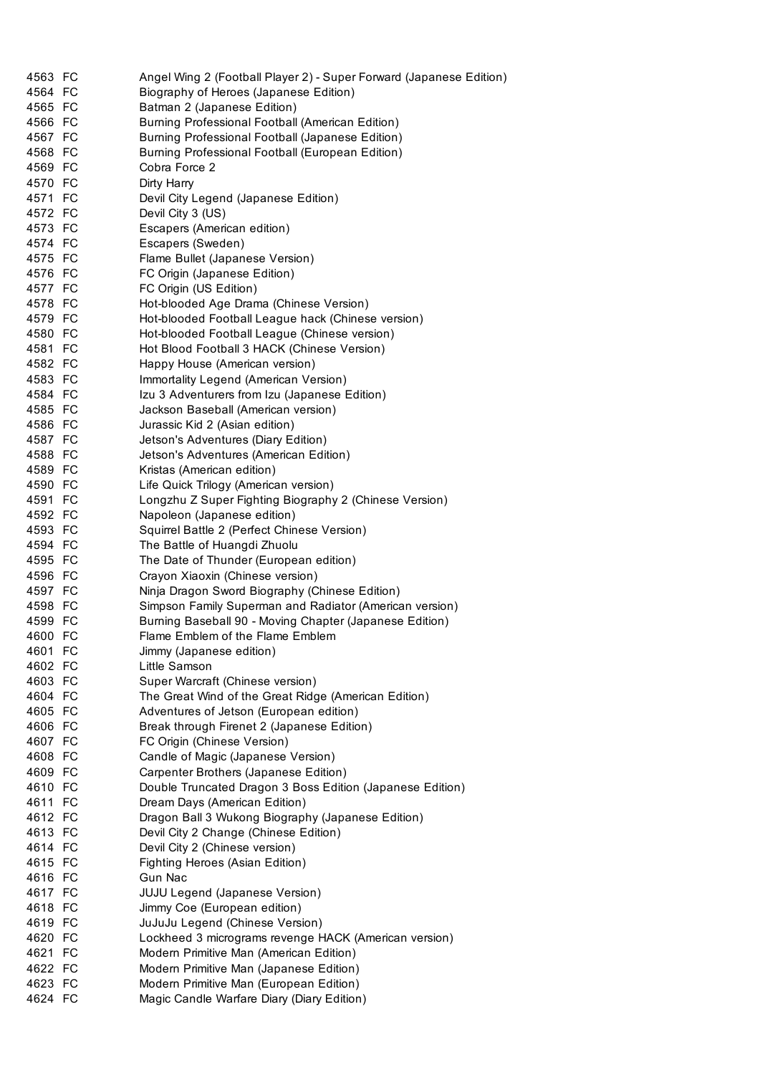| 4563 FC            | Angel Wing 2 (Football Player 2) - Super Forward (Japanese Edition)         |
|--------------------|-----------------------------------------------------------------------------|
| 4564 FC            | Biography of Heroes (Japanese Edition)                                      |
| 4565 FC            | Batman 2 (Japanese Edition)                                                 |
| 4566 FC            | Burning Professional Football (American Edition)                            |
| 4567 FC            | Burning Professional Football (Japanese Edition)                            |
| 4568 FC            | Burning Professional Football (European Edition)                            |
| 4569 FC            | Cobra Force 2                                                               |
| 4570 FC            | Dirty Harry                                                                 |
| 4571 FC            | Devil City Legend (Japanese Edition)                                        |
| 4572 FC            | Devil City 3 (US)                                                           |
| 4573 FC            | Escapers (American edition)                                                 |
| 4574 FC            | Escapers (Sweden)                                                           |
| 4575 FC            | Flame Bullet (Japanese Version)                                             |
| 4576 FC            | FC Origin (Japanese Edition)                                                |
| 4577 FC            | FC Origin (US Edition)                                                      |
| 4578 FC            | Hot-blooded Age Drama (Chinese Version)                                     |
| 4579 FC            | Hot-blooded Football League hack (Chinese version)                          |
| 4580 FC            | Hot-blooded Football League (Chinese version)                               |
| 4581 FC            | Hot Blood Football 3 HACK (Chinese Version)                                 |
| 4582 FC            | Happy House (American version)                                              |
| 4583 FC            | Immortality Legend (American Version)                                       |
| 4584 FC            | Izu 3 Adventurers from Izu (Japanese Edition)                               |
| 4585 FC            | Jackson Baseball (American version)                                         |
| 4586 FC            | Jurassic Kid 2 (Asian edition)                                              |
| 4587 FC            | Jetson's Adventures (Diary Edition)                                         |
| 4588 FC            | Jetson's Adventures (American Edition)                                      |
| 4589 FC            | Kristas (American edition)                                                  |
| 4590 FC            | Life Quick Trilogy (American version)                                       |
| 4591 FC            | Longzhu Z Super Fighting Biography 2 (Chinese Version)                      |
| 4592 FC            | Napoleon (Japanese edition)                                                 |
| 4593 FC            | Squirrel Battle 2 (Perfect Chinese Version)                                 |
| 4594 FC            | The Battle of Huangdi Zhuolu                                                |
| 4595 FC            | The Date of Thunder (European edition)                                      |
| 4596 FC            | Crayon Xiaoxin (Chinese version)                                            |
| 4597 FC            | Ninja Dragon Sword Biography (Chinese Edition)                              |
| 4598 FC            | Simpson Family Superman and Radiator (American version)                     |
| 4599 FC            | Burning Baseball 90 - Moving Chapter (Japanese Edition)                     |
| 4600 FC            | Flame Emblem of the Flame Emblem                                            |
| 4601 FC            | Jimmy (Japanese edition)                                                    |
| 4602 FC            | Little Samson                                                               |
| 4603 FC            | Super Warcraft (Chinese version)                                            |
| 4604 FC            | The Great Wind of the Great Ridge (American Edition)                        |
| 4605 FC            | Adventures of Jetson (European edition)                                     |
| 4606 FC            | Break through Firenet 2 (Japanese Edition)                                  |
| 4607 FC            | FC Origin (Chinese Version)                                                 |
|                    |                                                                             |
| 4608 FC<br>4609 FC | Candle of Magic (Japanese Version)<br>Carpenter Brothers (Japanese Edition) |
|                    |                                                                             |
| 4610 FC            | Double Truncated Dragon 3 Boss Edition (Japanese Edition)                   |
| 4611 FC            | Dream Days (American Edition)                                               |
| 4612 FC            | Dragon Ball 3 Wukong Biography (Japanese Edition)                           |
| 4613 FC            | Devil City 2 Change (Chinese Edition)                                       |
| 4614 FC            | Devil City 2 (Chinese version)                                              |
| 4615 FC            | Fighting Heroes (Asian Edition)                                             |
| 4616 FC            | Gun Nac                                                                     |
| 4617 FC            | <b>JUJU Legend (Japanese Version)</b>                                       |
| 4618 FC            | Jimmy Coe (European edition)                                                |
| 4619 FC            | JuJuJu Legend (Chinese Version)                                             |
| 4620 FC            | Lockheed 3 micrograms revenge HACK (American version)                       |
| 4621 FC            | Modern Primitive Man (American Edition)                                     |
| 4622 FC            | Modern Primitive Man (Japanese Edition)                                     |
| 4623 FC            | Modern Primitive Man (European Edition)                                     |
| 4624 FC            | Magic Candle Warfare Diary (Diary Edition)                                  |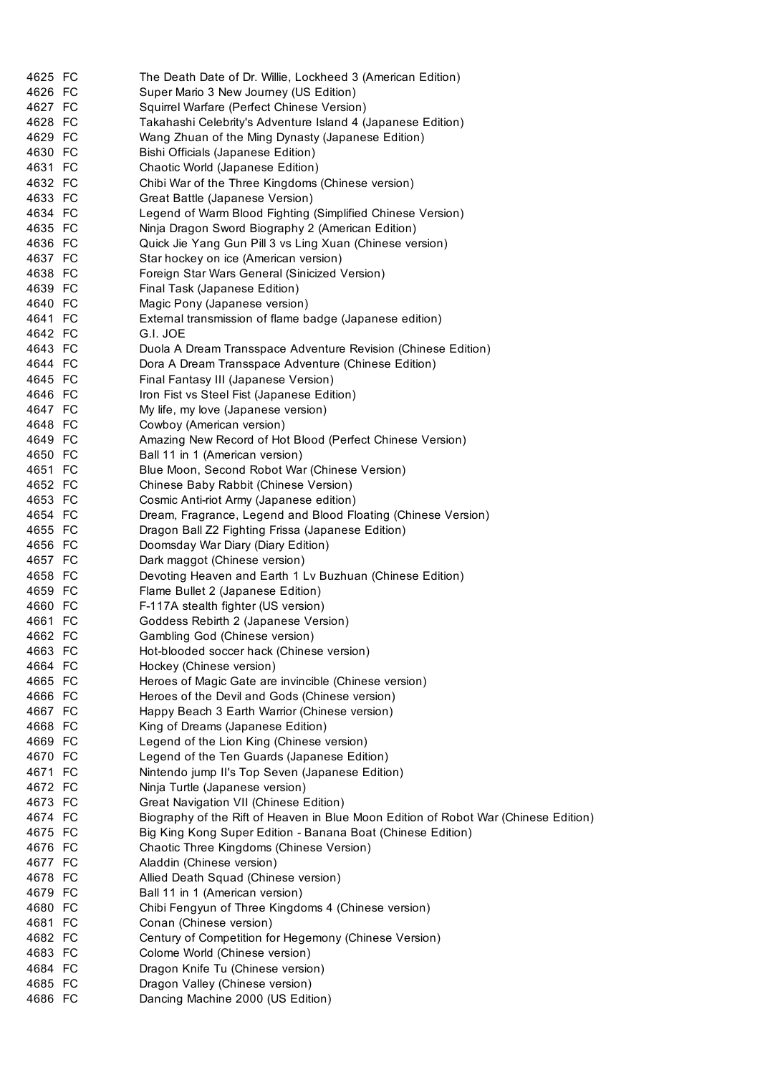| 4625 FC | The Death Date of Dr. Willie, Lockheed 3 (American Edition)                         |
|---------|-------------------------------------------------------------------------------------|
| 4626 FC | Super Mario 3 New Journey (US Edition)                                              |
| 4627 FC | Squirrel Warfare (Perfect Chinese Version)                                          |
| 4628 FC | Takahashi Celebrity's Adventure Island 4 (Japanese Edition)                         |
| 4629 FC | Wang Zhuan of the Ming Dynasty (Japanese Edition)                                   |
| 4630 FC | Bishi Officials (Japanese Edition)                                                  |
| 4631 FC | Chaotic World (Japanese Edition)                                                    |
| 4632 FC | Chibi War of the Three Kingdoms (Chinese version)                                   |
| 4633 FC | Great Battle (Japanese Version)                                                     |
| 4634 FC | Legend of Warm Blood Fighting (Simplified Chinese Version)                          |
| 4635 FC | Ninja Dragon Sword Biography 2 (American Edition)                                   |
| 4636 FC | Quick Jie Yang Gun Pill 3 vs Ling Xuan (Chinese version)                            |
| 4637 FC | Star hockey on ice (American version)                                               |
| 4638 FC | Foreign Star Wars General (Sinicized Version)                                       |
| 4639 FC | Final Task (Japanese Edition)                                                       |
| 4640 FC | Magic Pony (Japanese version)                                                       |
| 4641 FC | External transmission of flame badge (Japanese edition)                             |
| 4642 FC | G.I. JOE                                                                            |
| 4643 FC | Duola A Dream Transspace Adventure Revision (Chinese Edition)                       |
| 4644 FC | Dora A Dream Transspace Adventure (Chinese Edition)                                 |
| 4645 FC | Final Fantasy III (Japanese Version)                                                |
| 4646 FC | Iron Fist vs Steel Fist (Japanese Edition)                                          |
| 4647 FC | My life, my love (Japanese version)                                                 |
| 4648 FC | Cowboy (American version)                                                           |
| 4649 FC | Amazing New Record of Hot Blood (Perfect Chinese Version)                           |
| 4650 FC | Ball 11 in 1 (American version)                                                     |
| 4651 FC | Blue Moon, Second Robot War (Chinese Version)                                       |
| 4652 FC | Chinese Baby Rabbit (Chinese Version)                                               |
| 4653 FC | Cosmic Anti-riot Army (Japanese edition)                                            |
| 4654 FC | Dream, Fragrance, Legend and Blood Floating (Chinese Version)                       |
| 4655 FC | Dragon Ball Z2 Fighting Frissa (Japanese Edition)                                   |
| 4656 FC | Doomsday War Diary (Diary Edition)                                                  |
| 4657 FC | Dark maggot (Chinese version)                                                       |
| 4658 FC | Devoting Heaven and Earth 1 Lv Buzhuan (Chinese Edition)                            |
| 4659 FC | Flame Bullet 2 (Japanese Edition)                                                   |
| 4660 FC | F-117A stealth fighter (US version)                                                 |
| 4661 FC | Goddess Rebirth 2 (Japanese Version)                                                |
| 4662 FC | Gambling God (Chinese version)                                                      |
| 4663 FC | Hot-blooded soccer hack (Chinese version)                                           |
| 4664 FC | Hockey (Chinese version)                                                            |
| 4665 FC | Heroes of Magic Gate are invincible (Chinese version)                               |
| 4666 FC | Heroes of the Devil and Gods (Chinese version)                                      |
| 4667 FC | Happy Beach 3 Earth Warrior (Chinese version)                                       |
| 4668 FC | King of Dreams (Japanese Edition)                                                   |
| 4669 FC | Legend of the Lion King (Chinese version)                                           |
| 4670 FC | Legend of the Ten Guards (Japanese Edition)                                         |
| 4671 FC | Nintendo jump II's Top Seven (Japanese Edition)                                     |
| 4672 FC | Ninja Turtle (Japanese version)                                                     |
| 4673 FC | Great Navigation VII (Chinese Edition)                                              |
| 4674 FC | Biography of the Rift of Heaven in Blue Moon Edition of Robot War (Chinese Edition) |
| 4675 FC | Big King Kong Super Edition - Banana Boat (Chinese Edition)                         |
| 4676 FC | Chaotic Three Kingdoms (Chinese Version)                                            |
| 4677 FC | Aladdin (Chinese version)                                                           |
| 4678 FC | Allied Death Squad (Chinese version)                                                |
| 4679 FC | Ball 11 in 1 (American version)                                                     |
| 4680 FC | Chibi Fengyun of Three Kingdoms 4 (Chinese version)                                 |
| 4681 FC | Conan (Chinese version)                                                             |
| 4682 FC | Century of Competition for Hegemony (Chinese Version)                               |
| 4683 FC | Colome World (Chinese version)                                                      |
| 4684 FC | Dragon Knife Tu (Chinese version)                                                   |
| 4685 FC | Dragon Valley (Chinese version)                                                     |
| 4686 FC | Dancing Machine 2000 (US Edition)                                                   |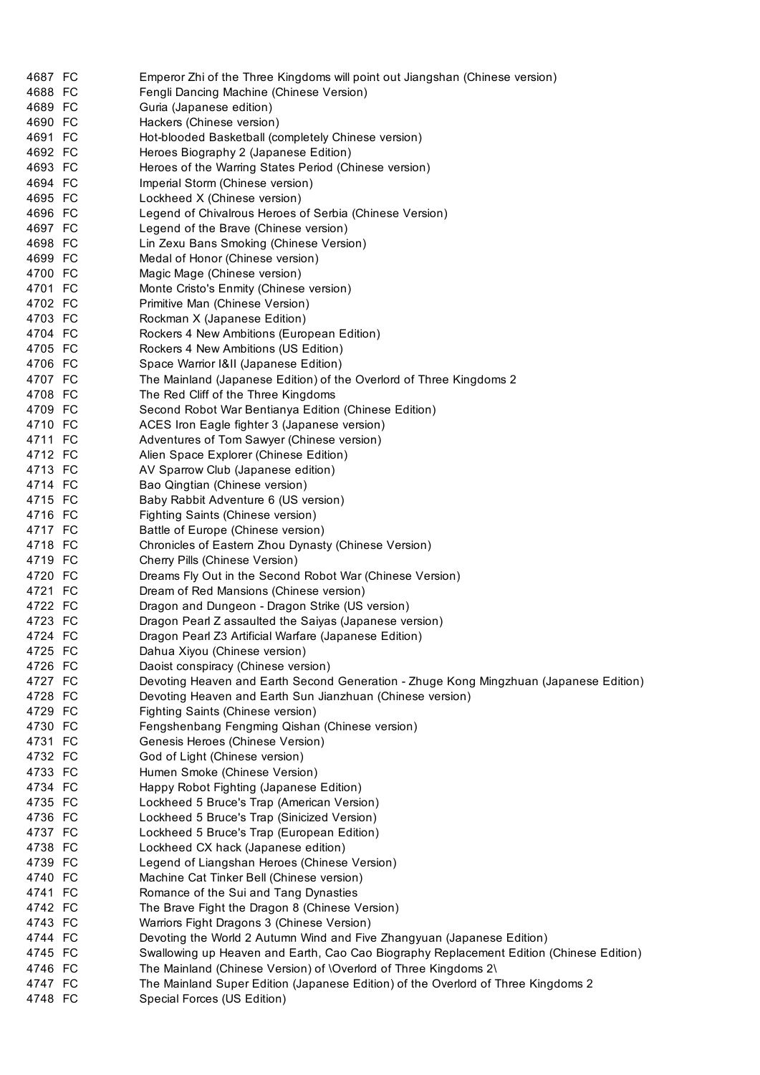| 4687 FC | Emperor Zhi of the Three Kingdoms will point out Jiangshan (Chinese version)            |
|---------|-----------------------------------------------------------------------------------------|
| 4688 FC | Fengli Dancing Machine (Chinese Version)                                                |
| 4689 FC | Guria (Japanese edition)                                                                |
| 4690 FC | Hackers (Chinese version)                                                               |
| 4691 FC | Hot-blooded Basketball (completely Chinese version)                                     |
| 4692 FC | Heroes Biography 2 (Japanese Edition)                                                   |
| 4693 FC | Heroes of the Warring States Period (Chinese version)                                   |
| 4694 FC | Imperial Storm (Chinese version)                                                        |
| 4695 FC | Lockheed X (Chinese version)                                                            |
| 4696 FC | Legend of Chivalrous Heroes of Serbia (Chinese Version)                                 |
| 4697 FC | Legend of the Brave (Chinese version)                                                   |
| 4698 FC | Lin Zexu Bans Smoking (Chinese Version)                                                 |
| 4699 FC | Medal of Honor (Chinese version)                                                        |
| 4700 FC | Magic Mage (Chinese version)                                                            |
| 4701 FC | Monte Cristo's Enmity (Chinese version)                                                 |
| 4702 FC | Primitive Man (Chinese Version)                                                         |
| 4703 FC | Rockman X (Japanese Edition)                                                            |
| 4704 FC | Rockers 4 New Ambitions (European Edition)                                              |
| 4705 FC | Rockers 4 New Ambitions (US Edition)                                                    |
| 4706 FC | Space Warrior I&II (Japanese Edition)                                                   |
| 4707 FC | The Mainland (Japanese Edition) of the Overlord of Three Kingdoms 2                     |
| 4708 FC | The Red Cliff of the Three Kingdoms                                                     |
| 4709 FC | Second Robot War Bentianya Edition (Chinese Edition)                                    |
| 4710 FC | ACES Iron Eagle fighter 3 (Japanese version)                                            |
| 4711 FC | Adventures of Tom Sawyer (Chinese version)                                              |
| 4712 FC | Alien Space Explorer (Chinese Edition)                                                  |
| 4713 FC | AV Sparrow Club (Japanese edition)                                                      |
| 4714 FC | Bao Qingtian (Chinese version)                                                          |
| 4715 FC | Baby Rabbit Adventure 6 (US version)                                                    |
| 4716 FC | Fighting Saints (Chinese version)                                                       |
| 4717 FC | Battle of Europe (Chinese version)                                                      |
| 4718 FC | Chronicles of Eastern Zhou Dynasty (Chinese Version)                                    |
| 4719 FC | Cherry Pills (Chinese Version)                                                          |
| 4720 FC | Dreams Fly Out in the Second Robot War (Chinese Version)                                |
| 4721 FC | Dream of Red Mansions (Chinese version)                                                 |
| 4722 FC | Dragon and Dungeon - Dragon Strike (US version)                                         |
| 4723 FC | Dragon Pearl Z assaulted the Saiyas (Japanese version)                                  |
| 4724 FC | Dragon Pearl Z3 Artificial Warfare (Japanese Edition)                                   |
| 4725 FC | Dahua Xiyou (Chinese version)                                                           |
| 4726 FC | Daoist conspiracy (Chinese version)                                                     |
| 4727 FC | Devoting Heaven and Earth Second Generation - Zhuge Kong Mingzhuan (Japanese Edition)   |
| 4728 FC | Devoting Heaven and Earth Sun Jianzhuan (Chinese version)                               |
| 4729 FC | Fighting Saints (Chinese version)                                                       |
| 4730 FC | Fengshenbang Fengming Qishan (Chinese version)                                          |
| 4731 FC | Genesis Heroes (Chinese Version)                                                        |
| 4732 FC | God of Light (Chinese version)                                                          |
| 4733 FC | Humen Smoke (Chinese Version)                                                           |
| 4734 FC | Happy Robot Fighting (Japanese Edition)                                                 |
| 4735 FC | Lockheed 5 Bruce's Trap (American Version)                                              |
| 4736 FC | Lockheed 5 Bruce's Trap (Sinicized Version)                                             |
| 4737 FC | Lockheed 5 Bruce's Trap (European Edition)                                              |
| 4738 FC | Lockheed CX hack (Japanese edition)                                                     |
| 4739 FC | Legend of Liangshan Heroes (Chinese Version)                                            |
| 4740 FC | Machine Cat Tinker Bell (Chinese version)                                               |
| 4741 FC | Romance of the Sui and Tang Dynasties                                                   |
| 4742 FC | The Brave Fight the Dragon 8 (Chinese Version)                                          |
| 4743 FC | Warriors Fight Dragons 3 (Chinese Version)                                              |
| 4744 FC | Devoting the World 2 Autumn Wind and Five Zhangyuan (Japanese Edition)                  |
| 4745 FC | Swallowing up Heaven and Earth, Cao Cao Biography Replacement Edition (Chinese Edition) |
| 4746 FC | The Mainland (Chinese Version) of \Overlord of Three Kingdoms 2\                        |
| 4747 FC | The Mainland Super Edition (Japanese Edition) of the Overlord of Three Kingdoms 2       |
| 4748 FC | Special Forces (US Edition)                                                             |
|         |                                                                                         |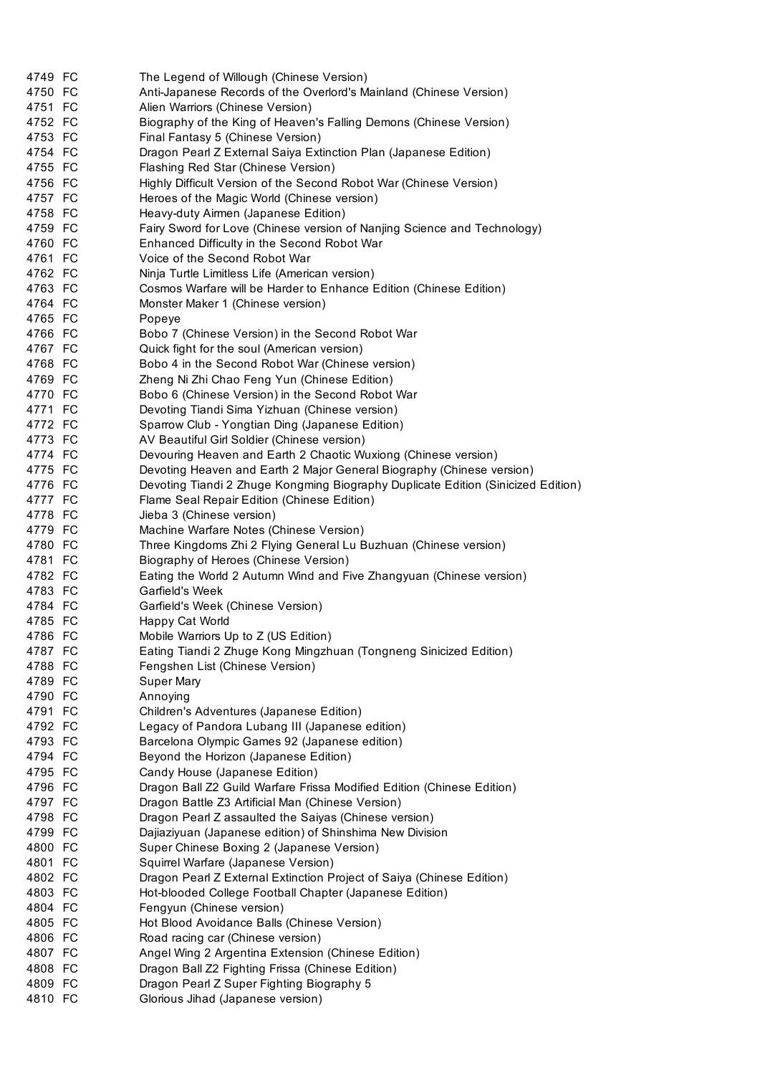| 4749 FC | The Legend of Willough (Chinese Version)                                         |
|---------|----------------------------------------------------------------------------------|
| 4750 FC | Anti-Japanese Records of the Overlord's Mainland (Chinese Version)               |
| 4751 FC | Alien Warriors (Chinese Version)                                                 |
| 4752 FC | Biography of the King of Heaven's Falling Demons (Chinese Version)               |
| 4753 FC | Final Fantasy 5 (Chinese Version)                                                |
| 4754 FC | Dragon Pearl Z External Saiya Extinction Plan (Japanese Edition)                 |
| 4755 FC | Flashing Red Star (Chinese Version)                                              |
| 4756 FC | Highly Difficult Version of the Second Robot War (Chinese Version)               |
| 4757 FC | Heroes of the Magic World (Chinese version)                                      |
| 4758 FC | Heavy-duty Airmen (Japanese Edition)                                             |
| 4759 FC | Fairy Sword for Love (Chinese version of Nanjing Science and Technology)         |
| 4760 FC | Enhanced Difficulty in the Second Robot War                                      |
| 4761 FC | Voice of the Second Robot War                                                    |
| 4762 FC | Ninja Turtle Limitless Life (American version)                                   |
| 4763 FC | Cosmos Warfare will be Harder to Enhance Edition (Chinese Edition)               |
| 4764 FC | Monster Maker 1 (Chinese version)                                                |
| 4765 FC | Popeye                                                                           |
| 4766 FC | Bobo 7 (Chinese Version) in the Second Robot War                                 |
| 4767 FC | Quick fight for the soul (American version)                                      |
| 4768 FC | Bobo 4 in the Second Robot War (Chinese version)                                 |
| 4769 FC | Zheng Ni Zhi Chao Feng Yun (Chinese Edition)                                     |
| 4770 FC | Bobo 6 (Chinese Version) in the Second Robot War                                 |
| 4771 FC | Devoting Tiandi Sima Yizhuan (Chinese version)                                   |
| 4772 FC | Sparrow Club - Yongtian Ding (Japanese Edition)                                  |
| 4773 FC | AV Beautiful Girl Soldier (Chinese version)                                      |
| 4774 FC | Devouring Heaven and Earth 2 Chaotic Wuxiong (Chinese version)                   |
| 4775 FC | Devoting Heaven and Earth 2 Major General Biography (Chinese version)            |
| 4776 FC | Devoting Tiandi 2 Zhuge Kongming Biography Duplicate Edition (Sinicized Edition) |
| 4777 FC | Flame Seal Repair Edition (Chinese Edition)                                      |
| 4778 FC | Jieba 3 (Chinese version)                                                        |
| 4779 FC | Machine Warfare Notes (Chinese Version)                                          |
| 4780 FC | Three Kingdoms Zhi 2 Flying General Lu Buzhuan (Chinese version)                 |
| 4781 FC | Biography of Heroes (Chinese Version)                                            |
| 4782 FC | Eating the World 2 Autumn Wind and Five Zhangyuan (Chinese version)              |
| 4783 FC | Garfield's Week                                                                  |
| 4784 FC | Garfield's Week (Chinese Version)                                                |
| 4785 FC | Happy Cat World                                                                  |
| 4786 FC | Mobile Warriors Up to Z (US Edition)                                             |
| 4787 FC | Eating Tiandi 2 Zhuge Kong Mingzhuan (Tongneng Sinicized Edition)                |
| 4788 FC | Fengshen List (Chinese Version)                                                  |
| 4789 FC | <b>Super Mary</b>                                                                |
| 4790 FC | Annoying                                                                         |
| 4791 FC | Children's Adventures (Japanese Edition)                                         |
| 4792 FC | Legacy of Pandora Lubang III (Japanese edition)                                  |
| 4793 FC | Barcelona Olympic Games 92 (Japanese edition)                                    |
| 4794 FC | Beyond the Horizon (Japanese Edition)                                            |
| 4795 FC | Candy House (Japanese Edition)                                                   |
| 4796 FC | Dragon Ball Z2 Guild Warfare Frissa Modified Edition (Chinese Edition)           |
| 4797 FC | Dragon Battle Z3 Artificial Man (Chinese Version)                                |
| 4798 FC | Dragon Pearl Z assaulted the Saiyas (Chinese version)                            |
| 4799 FC | Dajiaziyuan (Japanese edition) of Shinshima New Division                         |
| 4800 FC | Super Chinese Boxing 2 (Japanese Version)                                        |
| 4801 FC | Squirrel Warfare (Japanese Version)                                              |
| 4802 FC | Dragon Pearl Z External Extinction Project of Saiya (Chinese Edition)            |
| 4803 FC | Hot-blooded College Football Chapter (Japanese Edition)                          |
| 4804 FC | Fengyun (Chinese version)                                                        |
| 4805 FC | Hot Blood Avoidance Balls (Chinese Version)                                      |
| 4806 FC | Road racing car (Chinese version)                                                |
| 4807 FC | Angel Wing 2 Argentina Extension (Chinese Edition)                               |
| 4808 FC | Dragon Ball Z2 Fighting Frissa (Chinese Edition)                                 |
| 4809 FC | Dragon Pearl Z Super Fighting Biography 5                                        |
| 4810 FC | Glorious Jihad (Japanese version)                                                |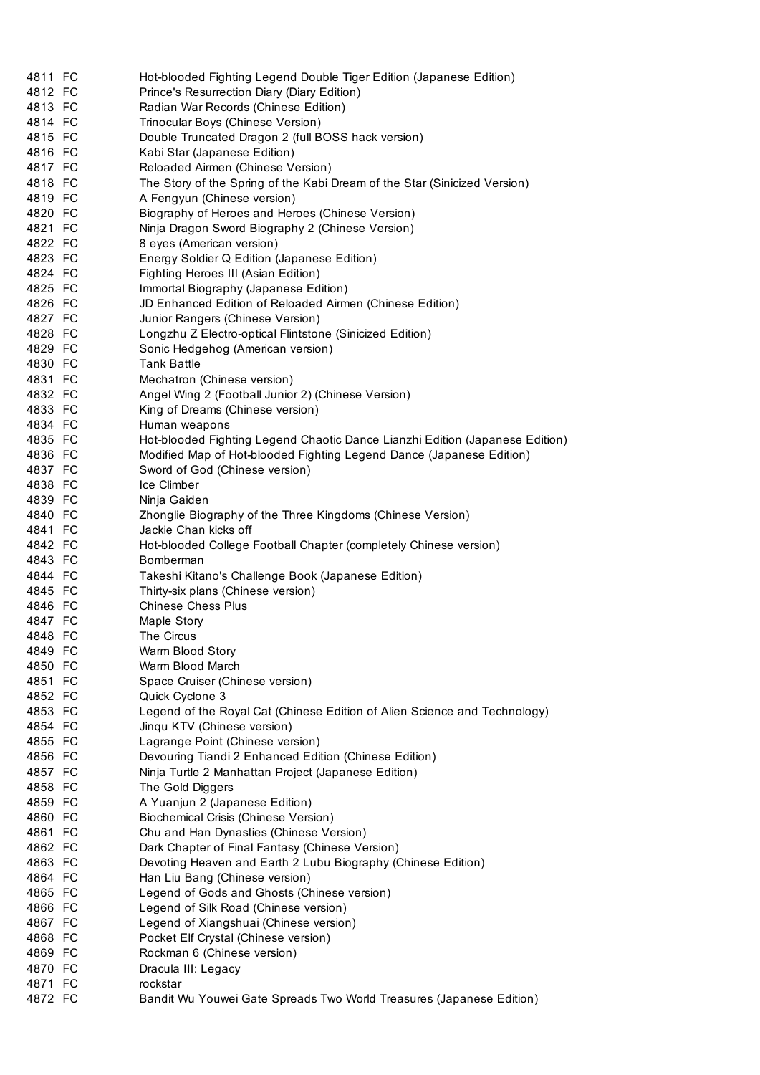| 4811 FC | Hot-blooded Fighting Legend Double Tiger Edition (Japanese Edition)          |
|---------|------------------------------------------------------------------------------|
| 4812 FC | Prince's Resurrection Diary (Diary Edition)                                  |
| 4813 FC | Radian War Records (Chinese Edition)                                         |
| 4814 FC | Trinocular Boys (Chinese Version)                                            |
| 4815 FC | Double Truncated Dragon 2 (full BOSS hack version)                           |
| 4816 FC | Kabi Star (Japanese Edition)                                                 |
| 4817 FC | Reloaded Airmen (Chinese Version)                                            |
| 4818 FC | The Story of the Spring of the Kabi Dream of the Star (Sinicized Version)    |
| 4819 FC | A Fengyun (Chinese version)                                                  |
| 4820 FC | Biography of Heroes and Heroes (Chinese Version)                             |
| 4821 FC | Ninja Dragon Sword Biography 2 (Chinese Version)                             |
| 4822 FC | 8 eyes (American version)                                                    |
| 4823 FC | Energy Soldier Q Edition (Japanese Edition)                                  |
| 4824 FC | Fighting Heroes III (Asian Edition)                                          |
| 4825 FC | Immortal Biography (Japanese Edition)                                        |
| 4826 FC | JD Enhanced Edition of Reloaded Airmen (Chinese Edition)                     |
| 4827 FC | Junior Rangers (Chinese Version)                                             |
| 4828 FC | Longzhu Z Electro-optical Flintstone (Sinicized Edition)                     |
| 4829 FC | Sonic Hedgehog (American version)                                            |
| 4830 FC | <b>Tank Battle</b>                                                           |
| 4831 FC | Mechatron (Chinese version)                                                  |
| 4832 FC | Angel Wing 2 (Football Junior 2) (Chinese Version)                           |
| 4833 FC | King of Dreams (Chinese version)                                             |
| 4834 FC | Human weapons                                                                |
| 4835 FC | Hot-blooded Fighting Legend Chaotic Dance Lianzhi Edition (Japanese Edition) |
| 4836 FC | Modified Map of Hot-blooded Fighting Legend Dance (Japanese Edition)         |
| 4837 FC | Sword of God (Chinese version)                                               |
| 4838 FC | Ice Climber                                                                  |
| 4839 FC | Ninja Gaiden                                                                 |
| 4840 FC | Zhonglie Biography of the Three Kingdoms (Chinese Version)                   |
| 4841 FC | Jackie Chan kicks off                                                        |
| 4842 FC | Hot-blooded College Football Chapter (completely Chinese version)            |
| 4843 FC | Bomberman                                                                    |
| 4844 FC | Takeshi Kitano's Challenge Book (Japanese Edition)                           |
| 4845 FC | Thirty-six plans (Chinese version)                                           |
| 4846 FC | <b>Chinese Chess Plus</b>                                                    |
| 4847 FC | Maple Story                                                                  |
| 4848 FC | The Circus                                                                   |
| 4849 FC | Warm Blood Story                                                             |
| 4850 FC | Warm Blood March                                                             |
| 4851 FC | Space Cruiser (Chinese version)                                              |
| 4852 FC | Quick Cyclone 3                                                              |
| 4853 FC | Legend of the Royal Cat (Chinese Edition of Alien Science and Technology)    |
| 4854 FC | Jingu KTV (Chinese version)                                                  |
| 4855 FC | Lagrange Point (Chinese version)                                             |
| 4856 FC | Devouring Tiandi 2 Enhanced Edition (Chinese Edition)                        |
| 4857 FC | Ninja Turtle 2 Manhattan Project (Japanese Edition)                          |
| 4858 FC | The Gold Diggers                                                             |
| 4859 FC | A Yuanjun 2 (Japanese Edition)                                               |
| 4860 FC | Biochemical Crisis (Chinese Version)                                         |
| 4861 FC | Chu and Han Dynasties (Chinese Version)                                      |
| 4862 FC | Dark Chapter of Final Fantasy (Chinese Version)                              |
| 4863 FC | Devoting Heaven and Earth 2 Lubu Biography (Chinese Edition)                 |
| 4864 FC | Han Liu Bang (Chinese version)                                               |
| 4865 FC | Legend of Gods and Ghosts (Chinese version)                                  |
| 4866 FC | Legend of Silk Road (Chinese version)                                        |
| 4867 FC | Legend of Xiangshuai (Chinese version)                                       |
| 4868 FC | Pocket Elf Crystal (Chinese version)                                         |
| 4869 FC | Rockman 6 (Chinese version)                                                  |
| 4870 FC | Dracula III: Legacy                                                          |
| 4871 FC | rockstar                                                                     |
| 4872 FC | Bandit Wu Youwei Gate Spreads Two World Treasures (Japanese Edition)         |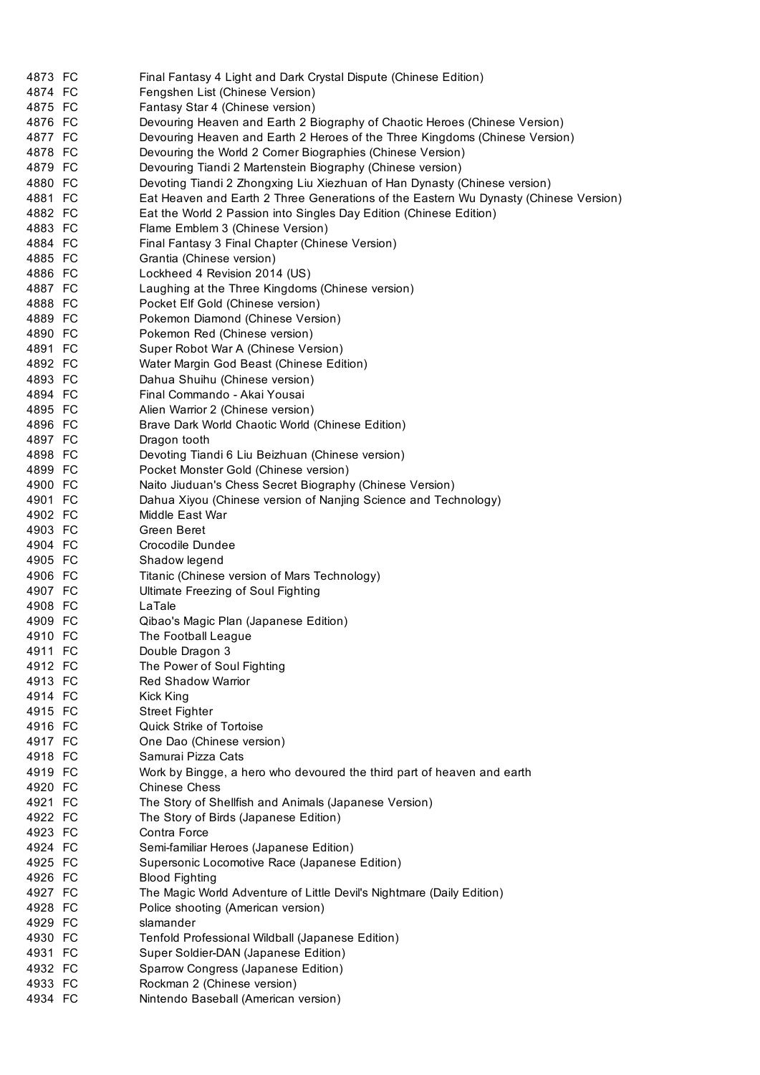| 4873 FC | Final Fantasy 4 Light and Dark Crystal Dispute (Chinese Edition)                     |
|---------|--------------------------------------------------------------------------------------|
| 4874 FC | Fengshen List (Chinese Version)                                                      |
| 4875 FC | Fantasy Star 4 (Chinese version)                                                     |
| 4876 FC | Devouring Heaven and Earth 2 Biography of Chaotic Heroes (Chinese Version)           |
| 4877 FC | Devouring Heaven and Earth 2 Heroes of the Three Kingdoms (Chinese Version)          |
| 4878 FC | Devouring the World 2 Corner Biographies (Chinese Version)                           |
| 4879 FC | Devouring Tiandi 2 Martenstein Biography (Chinese version)                           |
| 4880 FC | Devoting Tiandi 2 Zhongxing Liu Xiezhuan of Han Dynasty (Chinese version)            |
| 4881 FC | Eat Heaven and Earth 2 Three Generations of the Eastern Wu Dynasty (Chinese Version) |
| 4882 FC | Eat the World 2 Passion into Singles Day Edition (Chinese Edition)                   |
| 4883 FC | Flame Emblem 3 (Chinese Version)                                                     |
| 4884 FC | Final Fantasy 3 Final Chapter (Chinese Version)                                      |
| 4885 FC | Grantia (Chinese version)                                                            |
| 4886 FC | Lockheed 4 Revision 2014 (US)                                                        |
| 4887 FC | Laughing at the Three Kingdoms (Chinese version)                                     |
| 4888 FC | Pocket Elf Gold (Chinese version)                                                    |
| 4889 FC | Pokemon Diamond (Chinese Version)                                                    |
| 4890 FC | Pokemon Red (Chinese version)                                                        |
| 4891 FC | Super Robot War A (Chinese Version)                                                  |
| 4892 FC | Water Margin God Beast (Chinese Edition)                                             |
| 4893 FC | Dahua Shuihu (Chinese version)                                                       |
| 4894 FC | Final Commando - Akai Yousai                                                         |
| 4895 FC |                                                                                      |
|         | Alien Warrior 2 (Chinese version)                                                    |
| 4896 FC | Brave Dark World Chaotic World (Chinese Edition)                                     |
| 4897 FC | Dragon tooth                                                                         |
| 4898 FC | Devoting Tiandi 6 Liu Beizhuan (Chinese version)                                     |
| 4899 FC | Pocket Monster Gold (Chinese version)                                                |
| 4900 FC | Naito Jiuduan's Chess Secret Biography (Chinese Version)                             |
| 4901 FC | Dahua Xiyou (Chinese version of Nanjing Science and Technology)                      |
| 4902 FC | Middle East War                                                                      |
| 4903 FC | Green Beret                                                                          |
| 4904 FC | Crocodile Dundee                                                                     |
| 4905 FC | Shadow legend                                                                        |
| 4906 FC | Titanic (Chinese version of Mars Technology)                                         |
| 4907 FC | Ultimate Freezing of Soul Fighting                                                   |
| 4908 FC | LaTale                                                                               |
| 4909 FC | Qibao's Magic Plan (Japanese Edition)                                                |
| 4910 FC | The Football League                                                                  |
| 4911 FC | Double Dragon 3                                                                      |
| 4912 FC | The Power of Soul Fighting                                                           |
| 4913 FC | <b>Red Shadow Warrior</b>                                                            |
| 4914 FC | Kick King                                                                            |
| 4915 FC | <b>Street Fighter</b>                                                                |
| 4916 FC | <b>Quick Strike of Tortoise</b>                                                      |
| 4917 FC | One Dao (Chinese version)                                                            |
| 4918 FC | Samurai Pizza Cats                                                                   |
| 4919 FC | Work by Bingge, a hero who devoured the third part of heaven and earth               |
| 4920 FC | <b>Chinese Chess</b>                                                                 |
| 4921 FC | The Story of Shellfish and Animals (Japanese Version)                                |
| 4922 FC | The Story of Birds (Japanese Edition)                                                |
| 4923 FC | Contra Force                                                                         |
| 4924 FC | Semi-familiar Heroes (Japanese Edition)                                              |
| 4925 FC | Supersonic Locomotive Race (Japanese Edition)                                        |
| 4926 FC | <b>Blood Fighting</b>                                                                |
| 4927 FC | The Magic World Adventure of Little Devil's Nightmare (Daily Edition)                |
| 4928 FC | Police shooting (American version)                                                   |
| 4929 FC | slamander                                                                            |
| 4930 FC | Tenfold Professional Wildball (Japanese Edition)                                     |
| 4931 FC | Super Soldier-DAN (Japanese Edition)                                                 |
| 4932 FC | Sparrow Congress (Japanese Edition)                                                  |
| 4933 FC | Rockman 2 (Chinese version)                                                          |
| 4934 FC | Nintendo Baseball (American version)                                                 |
|         |                                                                                      |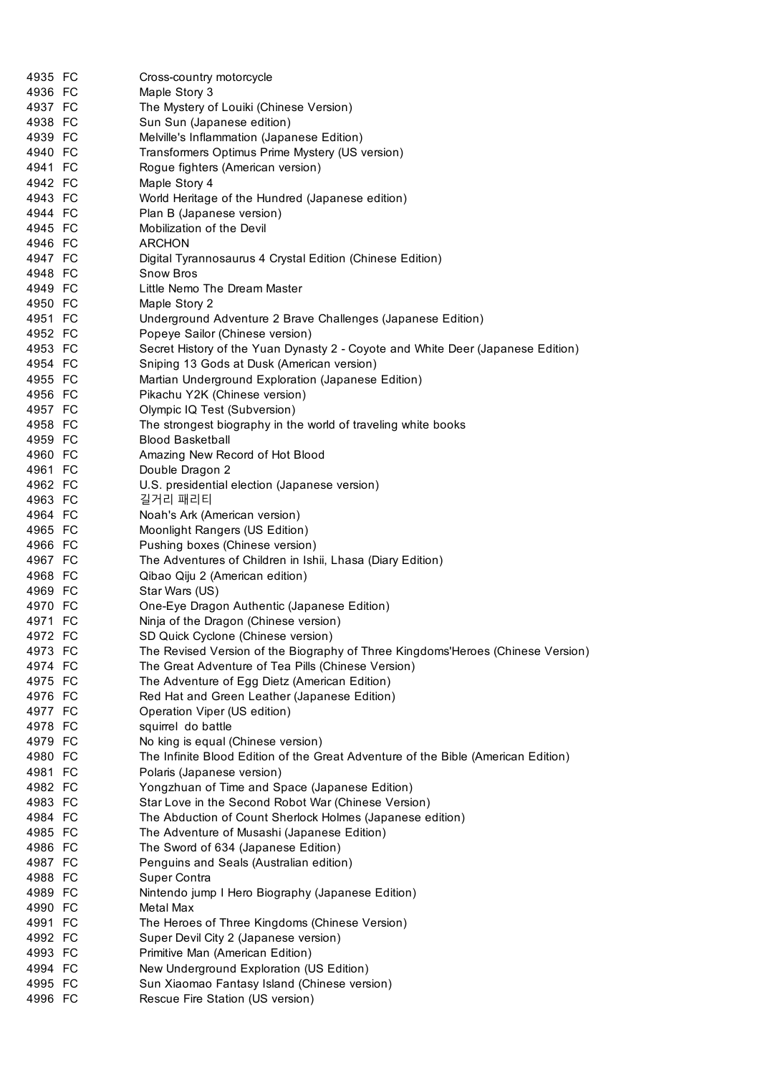| 4935 FC | Cross-country motorcycle                                                          |
|---------|-----------------------------------------------------------------------------------|
| 4936 FC | Maple Story 3                                                                     |
| 4937 FC | The Mystery of Louiki (Chinese Version)                                           |
| 4938 FC | Sun Sun (Japanese edition)                                                        |
| 4939 FC | Melville's Inflammation (Japanese Edition)                                        |
| 4940 FC | Transformers Optimus Prime Mystery (US version)                                   |
| 4941 FC | Rogue fighters (American version)                                                 |
| 4942 FC | Maple Story 4                                                                     |
| 4943 FC | World Heritage of the Hundred (Japanese edition)                                  |
| 4944 FC | Plan B (Japanese version)                                                         |
| 4945 FC | Mobilization of the Devil                                                         |
| 4946 FC | <b>ARCHON</b>                                                                     |
| 4947 FC | Digital Tyrannosaurus 4 Crystal Edition (Chinese Edition)                         |
| 4948 FC | <b>Snow Bros</b>                                                                  |
| 4949 FC | Little Nemo The Dream Master                                                      |
| 4950 FC | Maple Story 2                                                                     |
| 4951 FC | Underground Adventure 2 Brave Challenges (Japanese Edition)                       |
| 4952 FC | Popeye Sailor (Chinese version)                                                   |
| 4953 FC | Secret History of the Yuan Dynasty 2 - Coyote and White Deer (Japanese Edition)   |
| 4954 FC | Sniping 13 Gods at Dusk (American version)                                        |
| 4955 FC | Martian Underground Exploration (Japanese Edition)                                |
| 4956 FC | Pikachu Y2K (Chinese version)                                                     |
| 4957 FC | Olympic IQ Test (Subversion)                                                      |
| 4958 FC | The strongest biography in the world of traveling white books                     |
| 4959 FC | <b>Blood Basketball</b>                                                           |
| 4960 FC | Amazing New Record of Hot Blood                                                   |
| 4961 FC | Double Dragon 2                                                                   |
| 4962 FC | U.S. presidential election (Japanese version)                                     |
| 4963 FC | 길거리 패리티                                                                           |
| 4964 FC | Noah's Ark (American version)                                                     |
| 4965 FC | Moonlight Rangers (US Edition)                                                    |
| 4966 FC | Pushing boxes (Chinese version)                                                   |
| 4967 FC | The Adventures of Children in Ishii, Lhasa (Diary Edition)                        |
| 4968 FC | Qibao Qiju 2 (American edition)                                                   |
| 4969 FC | Star Wars (US)                                                                    |
| 4970 FC | One-Eye Dragon Authentic (Japanese Edition)                                       |
| 4971 FC | Ninja of the Dragon (Chinese version)                                             |
| 4972 FC | SD Quick Cyclone (Chinese version)                                                |
| 4973 FC | The Revised Version of the Biography of Three Kingdoms'Heroes (Chinese Version)   |
| 4974 FC | The Great Adventure of Tea Pills (Chinese Version)                                |
| 4975 FC | The Adventure of Egg Dietz (American Edition)                                     |
| 4976 FC | Red Hat and Green Leather (Japanese Edition)                                      |
| 4977 FC | Operation Viper (US edition)                                                      |
| 4978 FC | squirrel do battle                                                                |
| 4979 FC | No king is equal (Chinese version)                                                |
| 4980 FC | The Infinite Blood Edition of the Great Adventure of the Bible (American Edition) |
| 4981 FC | Polaris (Japanese version)                                                        |
| 4982 FC | Yongzhuan of Time and Space (Japanese Edition)                                    |
| 4983 FC | Star Love in the Second Robot War (Chinese Version)                               |
| 4984 FC | The Abduction of Count Sherlock Holmes (Japanese edition)                         |
| 4985 FC |                                                                                   |
|         | The Adventure of Musashi (Japanese Edition)                                       |
| 4986 FC | The Sword of 634 (Japanese Edition)                                               |
| 4987 FC | Penguins and Seals (Australian edition)                                           |
| 4988 FC | Super Contra                                                                      |
| 4989 FC | Nintendo jump I Hero Biography (Japanese Edition)                                 |
| 4990 FC | Metal Max                                                                         |
| 4991 FC | The Heroes of Three Kingdoms (Chinese Version)                                    |
| 4992 FC | Super Devil City 2 (Japanese version)                                             |
| 4993 FC | Primitive Man (American Edition)                                                  |
| 4994 FC | New Underground Exploration (US Edition)                                          |
| 4995 FC | Sun Xiaomao Fantasy Island (Chinese version)                                      |
| 4996 FC | Rescue Fire Station (US version)                                                  |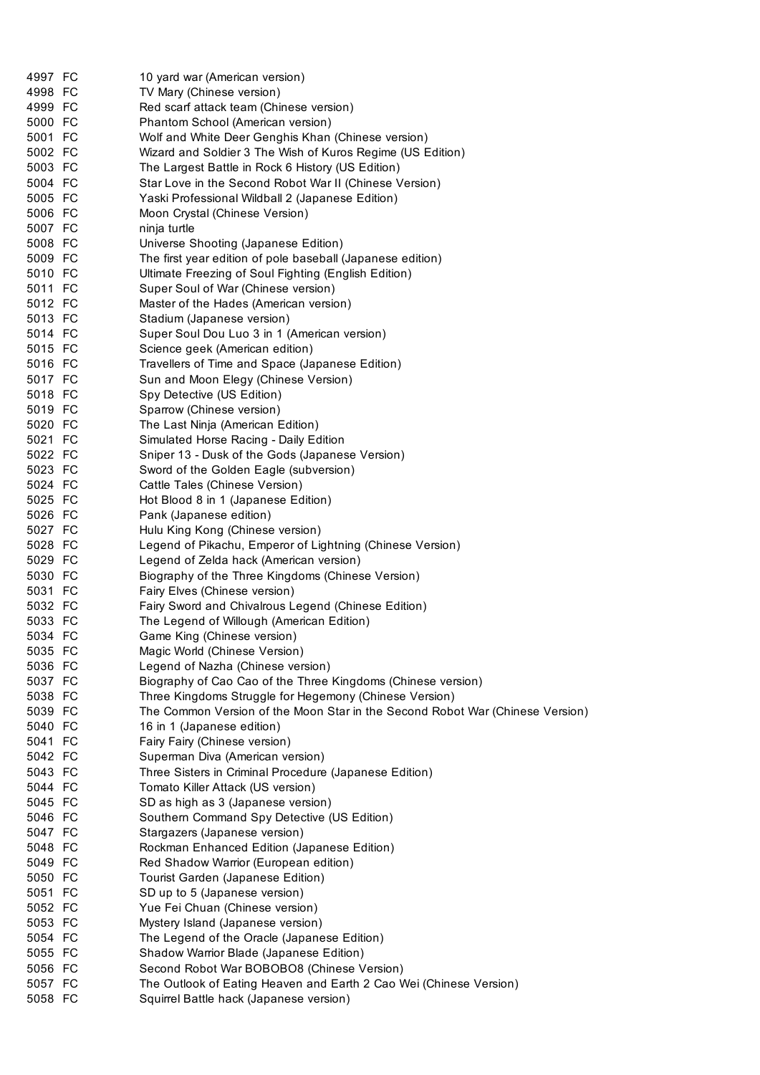| 4997 FC            | 10 yard war (American version)                                                                                     |
|--------------------|--------------------------------------------------------------------------------------------------------------------|
| 4998 FC            | TV Mary (Chinese version)                                                                                          |
| 4999 FC            | Red scarf attack team (Chinese version)                                                                            |
| 5000 FC            | Phantom School (American version)                                                                                  |
| 5001 FC            | Wolf and White Deer Genghis Khan (Chinese version)                                                                 |
| 5002 FC            | Wizard and Soldier 3 The Wish of Kuros Regime (US Edition)                                                         |
| 5003 FC            | The Largest Battle in Rock 6 History (US Edition)                                                                  |
| 5004 FC            | Star Love in the Second Robot War II (Chinese Version)                                                             |
| 5005 FC            | Yaski Professional Wildball 2 (Japanese Edition)                                                                   |
| 5006 FC            | Moon Crystal (Chinese Version)                                                                                     |
| 5007 FC            | ninja turtle                                                                                                       |
| 5008 FC            | Universe Shooting (Japanese Edition)                                                                               |
| 5009 FC<br>5010 FC | The first year edition of pole baseball (Japanese edition)<br>Ultimate Freezing of Soul Fighting (English Edition) |
| 5011 FC            | Super Soul of War (Chinese version)                                                                                |
| 5012 FC            | Master of the Hades (American version)                                                                             |
| 5013 FC            | Stadium (Japanese version)                                                                                         |
| 5014 FC            | Super Soul Dou Luo 3 in 1 (American version)                                                                       |
| 5015 FC            | Science geek (American edition)                                                                                    |
| 5016 FC            | Travellers of Time and Space (Japanese Edition)                                                                    |
| 5017 FC            | Sun and Moon Elegy (Chinese Version)                                                                               |
| 5018 FC            | Spy Detective (US Edition)                                                                                         |
| 5019 FC            | Sparrow (Chinese version)                                                                                          |
| 5020 FC            | The Last Ninja (American Edition)                                                                                  |
| 5021 FC            | Simulated Horse Racing - Daily Edition                                                                             |
| 5022 FC            | Sniper 13 - Dusk of the Gods (Japanese Version)                                                                    |
| 5023 FC            | Sword of the Golden Eagle (subversion)                                                                             |
| 5024 FC            | Cattle Tales (Chinese Version)                                                                                     |
| 5025 FC            | Hot Blood 8 in 1 (Japanese Edition)                                                                                |
| 5026 FC            | Pank (Japanese edition)                                                                                            |
| 5027 FC            | Hulu King Kong (Chinese version)                                                                                   |
| 5028 FC            | Legend of Pikachu, Emperor of Lightning (Chinese Version)                                                          |
| 5029 FC            | Legend of Zelda hack (American version)                                                                            |
| 5030 FC<br>5031 FC | Biography of the Three Kingdoms (Chinese Version)                                                                  |
| 5032 FC            | Fairy Elves (Chinese version)<br>Fairy Sword and Chivalrous Legend (Chinese Edition)                               |
| 5033 FC            | The Legend of Willough (American Edition)                                                                          |
| 5034 FC            | Game King (Chinese version)                                                                                        |
| 5035 FC            | Magic World (Chinese Version)                                                                                      |
| 5036 FC            | Legend of Nazha (Chinese version)                                                                                  |
| 5037 FC            | Biography of Cao Cao of the Three Kingdoms (Chinese version)                                                       |
| 5038 FC            | Three Kingdoms Struggle for Hegemony (Chinese Version)                                                             |
| 5039 FC            | The Common Version of the Moon Star in the Second Robot War (Chinese Version)                                      |
| 5040 FC            | 16 in 1 (Japanese edition)                                                                                         |
| 5041 FC            | Fairy Fairy (Chinese version)                                                                                      |
| 5042 FC            | Superman Diva (American version)                                                                                   |
| 5043 FC            | Three Sisters in Criminal Procedure (Japanese Edition)                                                             |
| 5044 FC            | Tomato Killer Attack (US version)                                                                                  |
| 5045 FC            | SD as high as 3 (Japanese version)                                                                                 |
| 5046 FC            | Southern Command Spy Detective (US Edition)                                                                        |
| 5047 FC            | Stargazers (Japanese version)                                                                                      |
| 5048 FC            | Rockman Enhanced Edition (Japanese Edition)                                                                        |
| 5049 FC            | Red Shadow Warrior (European edition)                                                                              |
| 5050 FC            | Tourist Garden (Japanese Edition)                                                                                  |
| 5051 FC            | SD up to 5 (Japanese version)                                                                                      |
| 5052 FC            | Yue Fei Chuan (Chinese version)                                                                                    |
| 5053 FC            | Mystery Island (Japanese version)                                                                                  |
| 5054 FC            | The Legend of the Oracle (Japanese Edition)                                                                        |
| 5055 FC<br>5056 FC | Shadow Warrior Blade (Japanese Edition)<br>Second Robot War BOBOBO8 (Chinese Version)                              |
| 5057 FC            | The Outlook of Eating Heaven and Earth 2 Cao Wei (Chinese Version)                                                 |
| 5058 FC            | Squirrel Battle hack (Japanese version)                                                                            |
|                    |                                                                                                                    |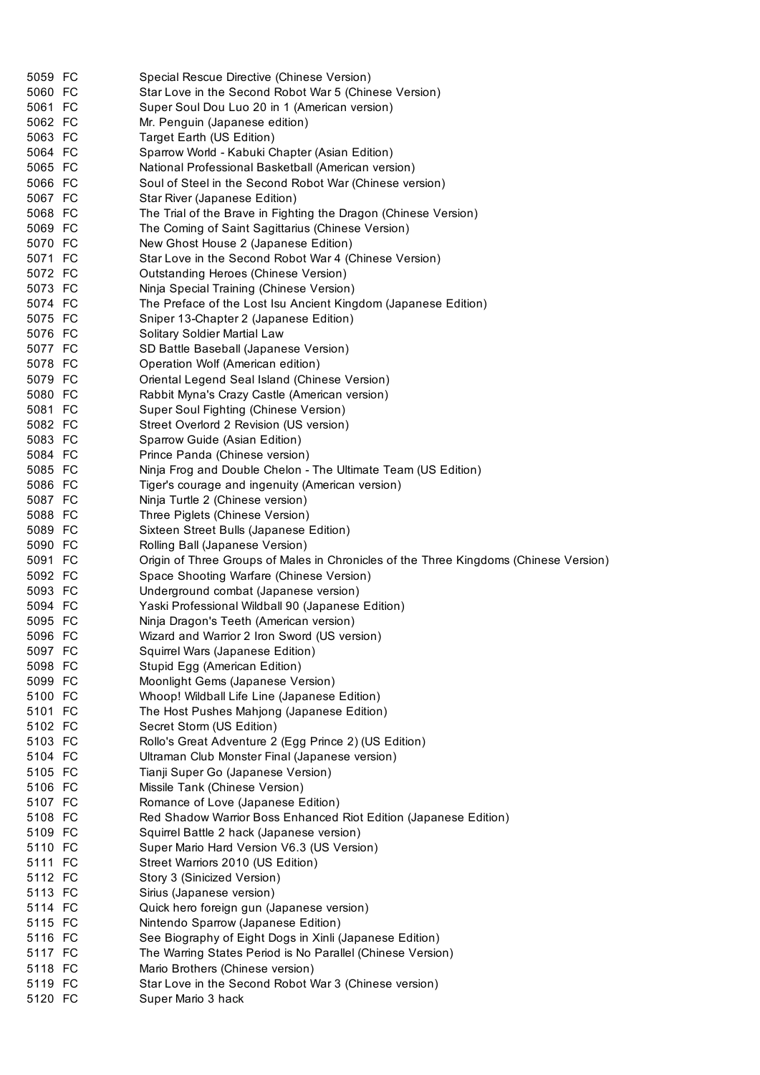| 5059 FC            | Special Rescue Directive (Chinese Version)                                            |
|--------------------|---------------------------------------------------------------------------------------|
| 5060 FC            | Star Love in the Second Robot War 5 (Chinese Version)                                 |
| 5061 FC            | Super Soul Dou Luo 20 in 1 (American version)                                         |
| 5062 FC            | Mr. Penguin (Japanese edition)                                                        |
| 5063 FC            | Target Earth (US Edition)                                                             |
| 5064 FC            | Sparrow World - Kabuki Chapter (Asian Edition)                                        |
| 5065 FC            | National Professional Basketball (American version)                                   |
| 5066 FC            | Soul of Steel in the Second Robot War (Chinese version)                               |
| 5067 FC            | Star River (Japanese Edition)                                                         |
| 5068 FC            | The Trial of the Brave in Fighting the Dragon (Chinese Version)                       |
| 5069 FC            | The Coming of Saint Sagittarius (Chinese Version)                                     |
| 5070 FC            | New Ghost House 2 (Japanese Edition)                                                  |
| 5071 FC            | Star Love in the Second Robot War 4 (Chinese Version)                                 |
| 5072 FC            | Outstanding Heroes (Chinese Version)                                                  |
| 5073 FC            | Ninja Special Training (Chinese Version)                                              |
| 5074 FC            | The Preface of the Lost Isu Ancient Kingdom (Japanese Edition)                        |
| 5075 FC            | Sniper 13-Chapter 2 (Japanese Edition)                                                |
| 5076 FC            | Solitary Soldier Martial Law                                                          |
| 5077 FC            | SD Battle Baseball (Japanese Version)                                                 |
| 5078 FC            | Operation Wolf (American edition)                                                     |
| 5079 FC            | Oriental Legend Seal Island (Chinese Version)                                         |
| 5080 FC            | Rabbit Myna's Crazy Castle (American version)                                         |
| 5081 FC            | Super Soul Fighting (Chinese Version)                                                 |
| 5082 FC            | Street Overlord 2 Revision (US version)                                               |
| 5083 FC            |                                                                                       |
| 5084 FC            | Sparrow Guide (Asian Edition)                                                         |
|                    | Prince Panda (Chinese version)                                                        |
| 5085 FC            | Ninja Frog and Double Chelon - The Ultimate Team (US Edition)                         |
| 5086 FC            | Tiger's courage and ingenuity (American version)                                      |
| 5087 FC            | Ninja Turtle 2 (Chinese version)                                                      |
| 5088 FC            | Three Piglets (Chinese Version)                                                       |
| 5089 FC            | Sixteen Street Bulls (Japanese Edition)                                               |
| 5090 FC            | Rolling Ball (Japanese Version)                                                       |
|                    |                                                                                       |
| 5091 FC            | Origin of Three Groups of Males in Chronicles of the Three Kingdoms (Chinese Version) |
| 5092 FC            | Space Shooting Warfare (Chinese Version)                                              |
| 5093 FC            | Underground combat (Japanese version)                                                 |
| 5094 FC            | Yaski Professional Wildball 90 (Japanese Edition)                                     |
| 5095 FC            | Ninja Dragon's Teeth (American version)                                               |
| 5096 FC            | Wizard and Warrior 2 Iron Sword (US version)                                          |
| 5097 FC            | Squirrel Wars (Japanese Edition)                                                      |
| 5098 FC            | Stupid Egg (American Edition)                                                         |
| 5099 FC            | Moonlight Gems (Japanese Version)                                                     |
| 5100 FC            | Whoop! Wildball Life Line (Japanese Edition)                                          |
| 5101 FC            | The Host Pushes Mahjong (Japanese Edition)                                            |
| 5102 FC            | Secret Storm (US Edition)                                                             |
| 5103 FC            | Rollo's Great Adventure 2 (Egg Prince 2) (US Edition)                                 |
| 5104 FC            | Ultraman Club Monster Final (Japanese version)                                        |
| 5105 FC            | Tianji Super Go (Japanese Version)                                                    |
| 5106 FC            | Missile Tank (Chinese Version)                                                        |
| 5107 FC            | Romance of Love (Japanese Edition)                                                    |
| 5108 FC            | Red Shadow Warrior Boss Enhanced Riot Edition (Japanese Edition)                      |
| 5109 FC            | Squirrel Battle 2 hack (Japanese version)                                             |
| 5110 FC            | Super Mario Hard Version V6.3 (US Version)                                            |
| 5111 FC            | Street Warriors 2010 (US Edition)                                                     |
| 5112 FC            | Story 3 (Sinicized Version)                                                           |
| 5113 FC            | Sirius (Japanese version)                                                             |
| 5114 FC            | Quick hero foreign gun (Japanese version)                                             |
| 5115 FC            |                                                                                       |
| 5116 FC            | Nintendo Sparrow (Japanese Edition)                                                   |
|                    | See Biography of Eight Dogs in Xinli (Japanese Edition)                               |
| 5117 FC            | The Warring States Period is No Parallel (Chinese Version)                            |
| 5118 FC            | Mario Brothers (Chinese version)                                                      |
| 5119 FC<br>5120 FC | Star Love in the Second Robot War 3 (Chinese version)<br>Super Mario 3 hack           |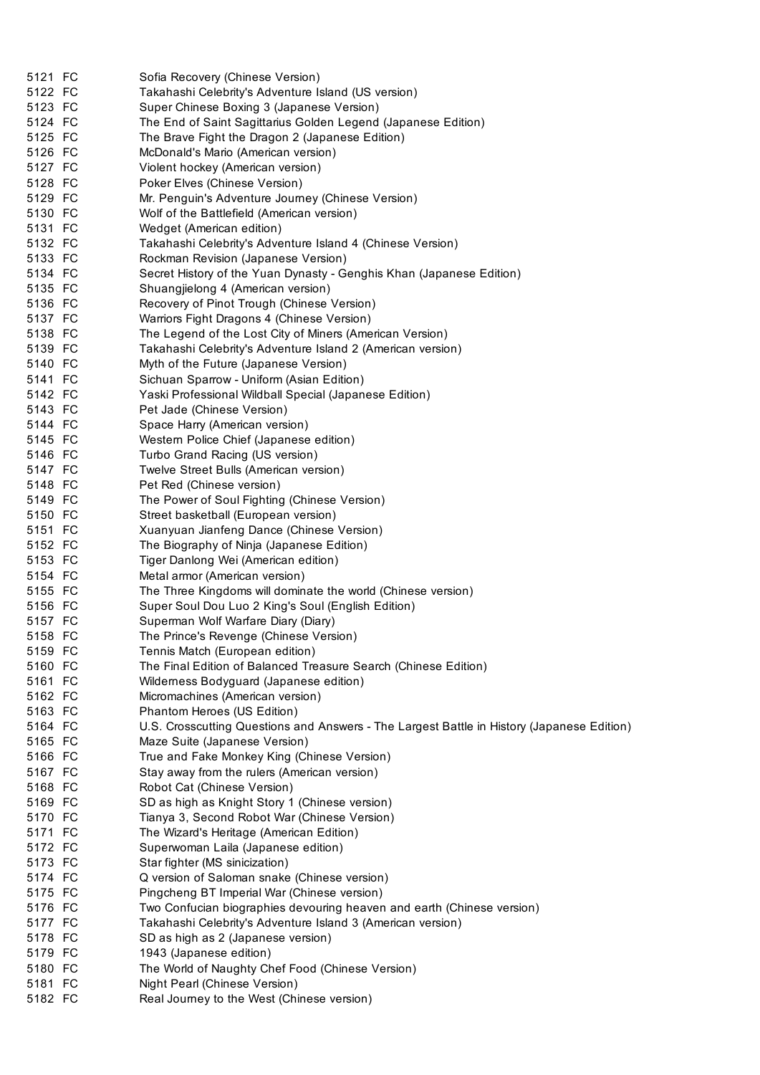| 5121 FC            | Sofia Recovery (Chinese Version)                                                           |
|--------------------|--------------------------------------------------------------------------------------------|
| 5122 FC            | Takahashi Celebrity's Adventure Island (US version)                                        |
| 5123 FC            | Super Chinese Boxing 3 (Japanese Version)                                                  |
| 5124 FC            | The End of Saint Sagittarius Golden Legend (Japanese Edition)                              |
| 5125 FC            | The Brave Fight the Dragon 2 (Japanese Edition)                                            |
| 5126 FC            | McDonald's Mario (American version)                                                        |
| 5127 FC            | Violent hockey (American version)                                                          |
| 5128 FC            | Poker Elves (Chinese Version)                                                              |
| 5129 FC            | Mr. Penguin's Adventure Journey (Chinese Version)                                          |
| 5130 FC            | Wolf of the Battlefield (American version)                                                 |
| 5131 FC            | Wedget (American edition)                                                                  |
| 5132 FC            | Takahashi Celebrity's Adventure Island 4 (Chinese Version)                                 |
|                    |                                                                                            |
| 5133 FC<br>5134 FC | Rockman Revision (Japanese Version)                                                        |
|                    | Secret History of the Yuan Dynasty - Genghis Khan (Japanese Edition)                       |
| 5135 FC            | Shuangjielong 4 (American version)                                                         |
| 5136 FC            | Recovery of Pinot Trough (Chinese Version)                                                 |
| 5137 FC            | Warriors Fight Dragons 4 (Chinese Version)                                                 |
| 5138 FC            | The Legend of the Lost City of Miners (American Version)                                   |
| 5139 FC            | Takahashi Celebrity's Adventure Island 2 (American version)                                |
| 5140 FC            | Myth of the Future (Japanese Version)                                                      |
| 5141 FC            | Sichuan Sparrow - Uniform (Asian Edition)                                                  |
| 5142 FC            | Yaski Professional Wildball Special (Japanese Edition)                                     |
| 5143 FC            | Pet Jade (Chinese Version)                                                                 |
| 5144 FC            | Space Harry (American version)                                                             |
| 5145 FC            | Western Police Chief (Japanese edition)                                                    |
| 5146 FC            | Turbo Grand Racing (US version)                                                            |
| 5147 FC            | Twelve Street Bulls (American version)                                                     |
| 5148 FC            | Pet Red (Chinese version)                                                                  |
| 5149 FC            | The Power of Soul Fighting (Chinese Version)                                               |
| 5150 FC            | Street basketball (European version)                                                       |
| 5151 FC            | Xuanyuan Jianfeng Dance (Chinese Version)                                                  |
| 5152 FC            | The Biography of Ninja (Japanese Edition)                                                  |
| 5153 FC            | Tiger Danlong Wei (American edition)                                                       |
| 5154 FC            | Metal armor (American version)                                                             |
| 5155 FC            | The Three Kingdoms will dominate the world (Chinese version)                               |
| 5156 FC            | Super Soul Dou Luo 2 King's Soul (English Edition)                                         |
| 5157 FC            | Superman Wolf Warfare Diary (Diary)                                                        |
| 5158 FC            | The Prince's Revenge (Chinese Version)                                                     |
| 5159 FC            | Tennis Match (European edition)                                                            |
| 5160 FC            |                                                                                            |
|                    | The Final Edition of Balanced Treasure Search (Chinese Edition)                            |
| 5161 FC            | Wilderness Bodyguard (Japanese edition)                                                    |
| 5162 FC            | Micromachines (American version)                                                           |
| 5163 FC            | Phantom Heroes (US Edition)                                                                |
| 5164 FC            | U.S. Crosscutting Questions and Answers - The Largest Battle in History (Japanese Edition) |
| 5165 FC            | Maze Suite (Japanese Version)                                                              |
| 5166 FC            | True and Fake Monkey King (Chinese Version)                                                |
| 5167 FC            | Stay away from the rulers (American version)                                               |
| 5168 FC            | Robot Cat (Chinese Version)                                                                |
| 5169 FC            | SD as high as Knight Story 1 (Chinese version)                                             |
| 5170 FC            | Tianya 3, Second Robot War (Chinese Version)                                               |
| 5171 FC            | The Wizard's Heritage (American Edition)                                                   |
| 5172 FC            | Superwoman Laila (Japanese edition)                                                        |
| 5173 FC            | Star fighter (MS sinicization)                                                             |
| 5174 FC            | Q version of Saloman snake (Chinese version)                                               |
| 5175 FC            | Pingcheng BT Imperial War (Chinese version)                                                |
| 5176 FC            | Two Confucian biographies devouring heaven and earth (Chinese version)                     |
| 5177 FC            | Takahashi Celebrity's Adventure Island 3 (American version)                                |
| 5178 FC            | SD as high as 2 (Japanese version)                                                         |
| 5179 FC            | 1943 (Japanese edition)                                                                    |
| 5180 FC            | The World of Naughty Chef Food (Chinese Version)                                           |
| 5181 FC            | Night Pearl (Chinese Version)                                                              |
| 5182 FC            | Real Journey to the West (Chinese version)                                                 |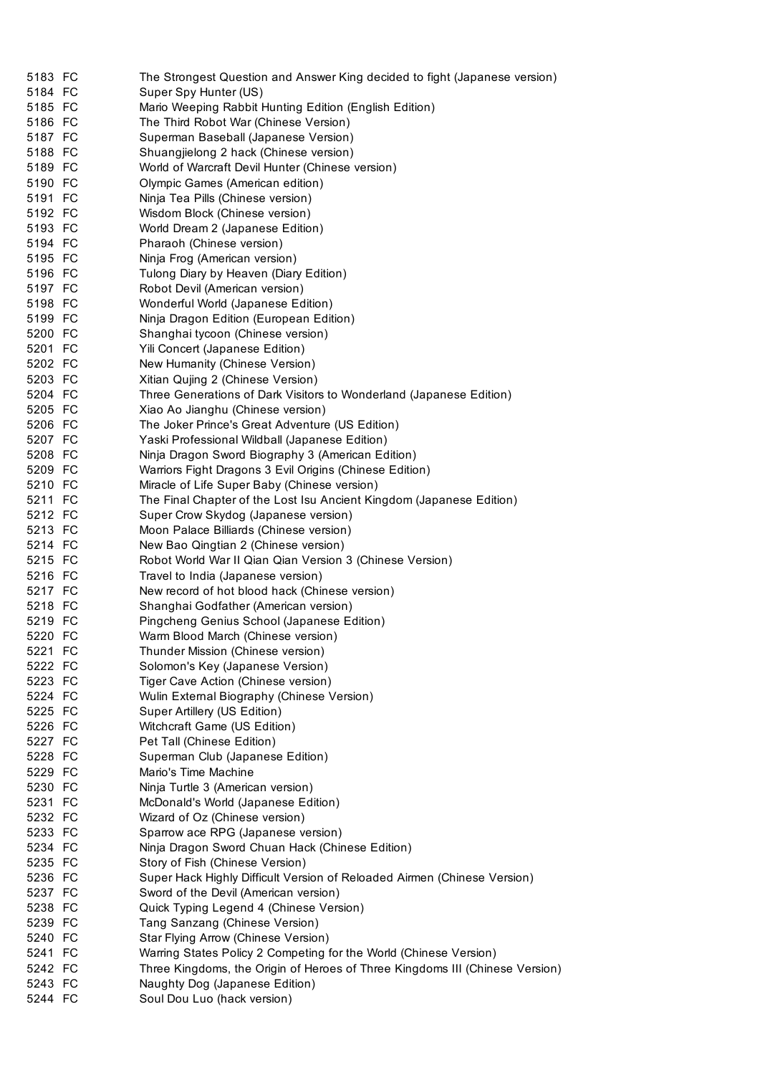| 5183 FC            | The Strongest Question and Answer King decided to fight (Japanese version)   |
|--------------------|------------------------------------------------------------------------------|
| 5184 FC            | Super Spy Hunter (US)                                                        |
| 5185 FC            | Mario Weeping Rabbit Hunting Edition (English Edition)                       |
| 5186 FC            | The Third Robot War (Chinese Version)                                        |
| 5187 FC            | Superman Baseball (Japanese Version)                                         |
| 5188 FC            | Shuangjielong 2 hack (Chinese version)                                       |
| 5189 FC            | World of Warcraft Devil Hunter (Chinese version)                             |
| 5190 FC            | Olympic Games (American edition)                                             |
| 5191 FC            | Ninja Tea Pills (Chinese version)                                            |
| 5192 FC            | Wisdom Block (Chinese version)                                               |
| 5193 FC            | World Dream 2 (Japanese Edition)                                             |
| 5194 FC            | Pharaoh (Chinese version)                                                    |
| 5195 FC            | Ninja Frog (American version)                                                |
| 5196 FC            | Tulong Diary by Heaven (Diary Edition)                                       |
| 5197 FC            | Robot Devil (American version)                                               |
| 5198 FC            | Wonderful World (Japanese Edition)                                           |
| 5199 FC            | Ninja Dragon Edition (European Edition)                                      |
| 5200 FC            | Shanghai tycoon (Chinese version)                                            |
| 5201 FC            | Yili Concert (Japanese Edition)                                              |
| 5202 FC            | New Humanity (Chinese Version)                                               |
| 5203 FC            | Xitian Qujing 2 (Chinese Version)                                            |
| 5204 FC            | Three Generations of Dark Visitors to Wonderland (Japanese Edition)          |
| 5205 FC            | Xiao Ao Jianghu (Chinese version)                                            |
| 5206 FC            | The Joker Prince's Great Adventure (US Edition)                              |
| 5207 FC            | Yaski Professional Wildball (Japanese Edition)                               |
| 5208 FC            | Ninja Dragon Sword Biography 3 (American Edition)                            |
| 5209 FC            | Warriors Fight Dragons 3 Evil Origins (Chinese Edition)                      |
| 5210 FC            | Miracle of Life Super Baby (Chinese version)                                 |
| 5211 FC            | The Final Chapter of the Lost Isu Ancient Kingdom (Japanese Edition)         |
| 5212 FC            | Super Crow Skydog (Japanese version)                                         |
| 5213 FC            | Moon Palace Billiards (Chinese version)                                      |
| 5214 FC            | New Bao Qingtian 2 (Chinese version)                                         |
| 5215 FC            | Robot World War II Qian Qian Version 3 (Chinese Version)                     |
| 5216 FC            | Travel to India (Japanese version)                                           |
| 5217 FC            | New record of hot blood hack (Chinese version)                               |
| 5218 FC            | Shanghai Godfather (American version)                                        |
| 5219 FC            | Pingcheng Genius School (Japanese Edition)                                   |
| 5220 FC            | Warm Blood March (Chinese version)                                           |
| 5221 FC            | Thunder Mission (Chinese version)                                            |
|                    |                                                                              |
| 5222 FC<br>5223 FC | Solomon's Key (Japanese Version)                                             |
|                    | Tiger Cave Action (Chinese version)                                          |
| 5224 FC            | Wulin External Biography (Chinese Version)                                   |
| 5225 FC            | Super Artillery (US Edition)                                                 |
| 5226 FC            | Witchcraft Game (US Edition)                                                 |
| 5227 FC            | Pet Tall (Chinese Edition)                                                   |
| 5228 FC            | Superman Club (Japanese Edition)                                             |
| 5229 FC            | Mario's Time Machine                                                         |
| 5230 FC            | Ninja Turtle 3 (American version)                                            |
| 5231 FC            | McDonald's World (Japanese Edition)                                          |
| 5232 FC            | Wizard of Oz (Chinese version)                                               |
| 5233 FC            | Sparrow ace RPG (Japanese version)                                           |
| 5234 FC            | Ninja Dragon Sword Chuan Hack (Chinese Edition)                              |
| 5235 FC            | Story of Fish (Chinese Version)                                              |
| 5236 FC            | Super Hack Highly Difficult Version of Reloaded Airmen (Chinese Version)     |
| 5237 FC            | Sword of the Devil (American version)                                        |
| 5238 FC            | Quick Typing Legend 4 (Chinese Version)                                      |
| 5239 FC            | Tang Sanzang (Chinese Version)                                               |
| 5240 FC            | Star Flying Arrow (Chinese Version)                                          |
| 5241 FC            | Warring States Policy 2 Competing for the World (Chinese Version)            |
| 5242 FC            | Three Kingdoms, the Origin of Heroes of Three Kingdoms III (Chinese Version) |
| 5243 FC            | Naughty Dog (Japanese Edition)                                               |
| 5244 FC            | Soul Dou Luo (hack version)                                                  |
|                    |                                                                              |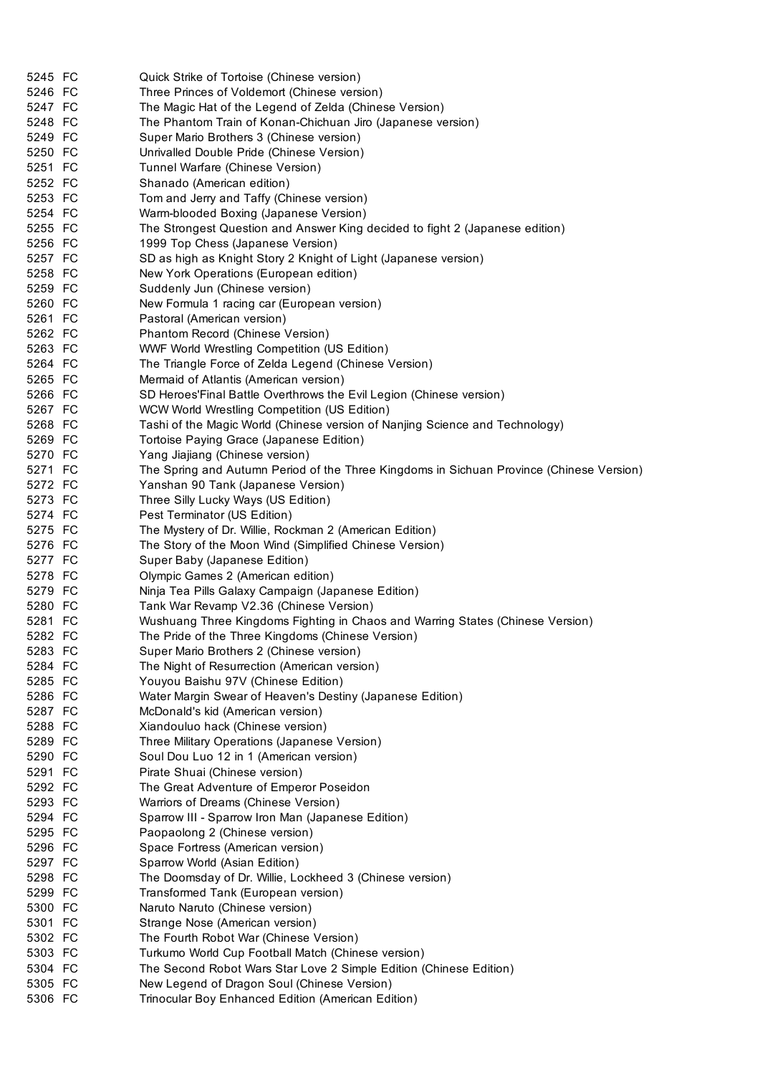| 5245 FC            | Quick Strike of Tortoise (Chinese version)                                               |
|--------------------|------------------------------------------------------------------------------------------|
| 5246 FC            | Three Princes of Voldemort (Chinese version)                                             |
| 5247 FC            | The Magic Hat of the Legend of Zelda (Chinese Version)                                   |
| 5248 FC            | The Phantom Train of Konan-Chichuan Jiro (Japanese version)                              |
| 5249 FC            | Super Mario Brothers 3 (Chinese version)                                                 |
| 5250 FC            | Unrivalled Double Pride (Chinese Version)                                                |
| 5251 FC            |                                                                                          |
|                    | Tunnel Warfare (Chinese Version)                                                         |
| 5252 FC<br>5253 FC | Shanado (American edition)                                                               |
|                    | Tom and Jerry and Taffy (Chinese version)                                                |
| 5254 FC            | Warm-blooded Boxing (Japanese Version)                                                   |
| 5255 FC            | The Strongest Question and Answer King decided to fight 2 (Japanese edition)             |
| 5256 FC            | 1999 Top Chess (Japanese Version)                                                        |
| 5257 FC            | SD as high as Knight Story 2 Knight of Light (Japanese version)                          |
| 5258 FC            | New York Operations (European edition)                                                   |
| 5259 FC            | Suddenly Jun (Chinese version)                                                           |
| 5260 FC            | New Formula 1 racing car (European version)                                              |
| 5261 FC            | Pastoral (American version)                                                              |
| 5262 FC            | Phantom Record (Chinese Version)                                                         |
| 5263 FC            | <b>WWF World Wrestling Competition (US Edition)</b>                                      |
| 5264 FC            | The Triangle Force of Zelda Legend (Chinese Version)                                     |
| 5265 FC            | Mermaid of Atlantis (American version)                                                   |
| 5266 FC            | SD Heroes'Final Battle Overthrows the Evil Legion (Chinese version)                      |
| 5267 FC            | WCW World Wrestling Competition (US Edition)                                             |
| 5268 FC            | Tashi of the Magic World (Chinese version of Nanjing Science and Technology)             |
| 5269 FC            | Tortoise Paying Grace (Japanese Edition)                                                 |
| 5270 FC            | Yang Jiajiang (Chinese version)                                                          |
| 5271 FC            | The Spring and Autumn Period of the Three Kingdoms in Sichuan Province (Chinese Version) |
| 5272 FC            | Yanshan 90 Tank (Japanese Version)                                                       |
| 5273 FC            | Three Silly Lucky Ways (US Edition)                                                      |
| 5274 FC            | Pest Terminator (US Edition)                                                             |
| 5275 FC            | The Mystery of Dr. Willie, Rockman 2 (American Edition)                                  |
| 5276 FC            | The Story of the Moon Wind (Simplified Chinese Version)                                  |
| 5277 FC            | Super Baby (Japanese Edition)                                                            |
| 5278 FC            | Olympic Games 2 (American edition)                                                       |
| 5279 FC            | Ninja Tea Pills Galaxy Campaign (Japanese Edition)                                       |
| 5280 FC            | Tank War Revamp V2.36 (Chinese Version)                                                  |
| 5281 FC            | Wushuang Three Kingdoms Fighting in Chaos and Warring States (Chinese Version)           |
| 5282 FC            | The Pride of the Three Kingdoms (Chinese Version)                                        |
| 5283 FC            | Super Mario Brothers 2 (Chinese version)                                                 |
| 5284 FC            | The Night of Resurrection (American version)                                             |
| 5285 FC            | Youyou Baishu 97V (Chinese Edition)                                                      |
| 5286 FC            | Water Margin Swear of Heaven's Destiny (Japanese Edition)                                |
| 5287 FC            | McDonald's kid (American version)                                                        |
| 5288 FC            | Xiandouluo hack (Chinese version)                                                        |
| 5289 FC            | Three Military Operations (Japanese Version)                                             |
| 5290 FC            | Soul Dou Luo 12 in 1 (American version)                                                  |
| 5291 FC            | Pirate Shuai (Chinese version)                                                           |
| 5292 FC            | The Great Adventure of Emperor Poseidon                                                  |
| 5293 FC            | Warriors of Dreams (Chinese Version)                                                     |
| 5294 FC            | Sparrow III - Sparrow Iron Man (Japanese Edition)                                        |
| 5295 FC            | Paopaolong 2 (Chinese version)                                                           |
| 5296 FC            | Space Fortress (American version)                                                        |
| 5297 FC            | Sparrow World (Asian Edition)                                                            |
| 5298 FC            | The Doomsday of Dr. Willie, Lockheed 3 (Chinese version)                                 |
| 5299 FC            | Transformed Tank (European version)                                                      |
| 5300 FC            | Naruto Naruto (Chinese version)                                                          |
| 5301 FC            | Strange Nose (American version)                                                          |
| 5302 FC            | The Fourth Robot War (Chinese Version)                                                   |
| 5303 FC            | Turkumo World Cup Football Match (Chinese version)                                       |
| 5304 FC            | The Second Robot Wars Star Love 2 Simple Edition (Chinese Edition)                       |
| 5305 FC            | New Legend of Dragon Soul (Chinese Version)                                              |
| 5306 FC            | Trinocular Boy Enhanced Edition (American Edition)                                       |
|                    |                                                                                          |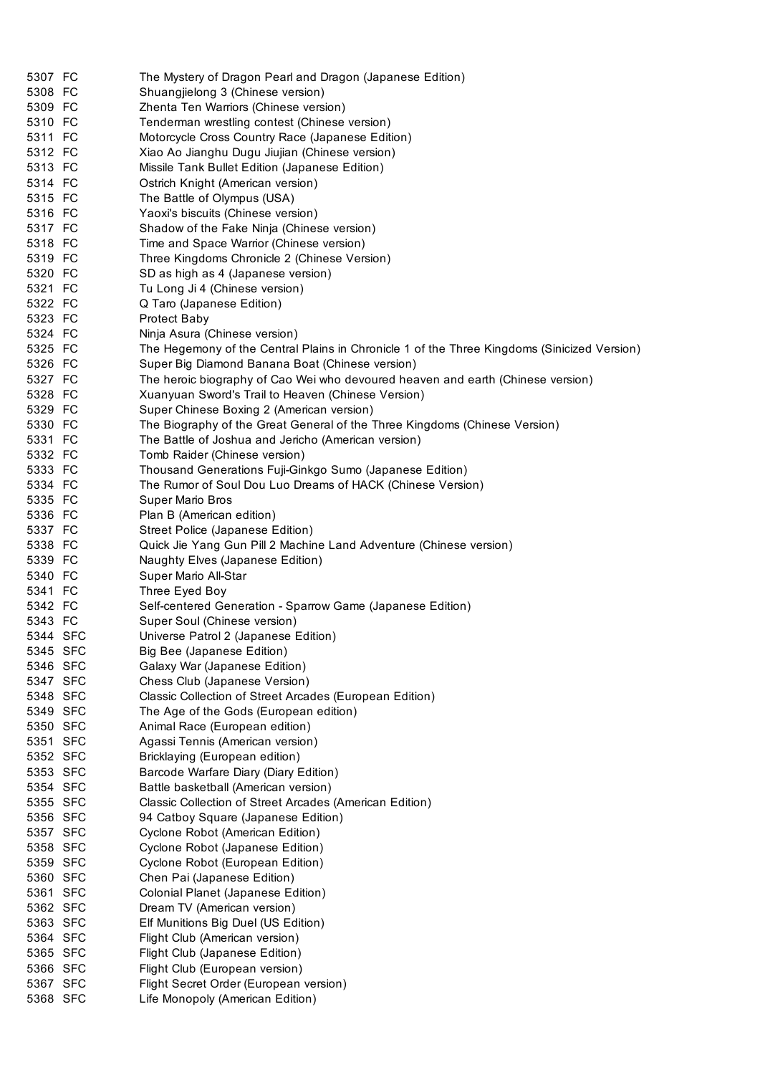| 5307 FC            | The Mystery of Dragon Pearl and Dragon (Japanese Edition)                                   |
|--------------------|---------------------------------------------------------------------------------------------|
| 5308 FC            | Shuangjielong 3 (Chinese version)                                                           |
| 5309 FC            | Zhenta Ten Warriors (Chinese version)                                                       |
| 5310 FC            | Tenderman wrestling contest (Chinese version)                                               |
| 5311 FC            | Motorcycle Cross Country Race (Japanese Edition)                                            |
| 5312 FC            | Xiao Ao Jianghu Dugu Jiujian (Chinese version)                                              |
| 5313 FC            | Missile Tank Bullet Edition (Japanese Edition)                                              |
| 5314 FC            | Ostrich Knight (American version)                                                           |
| 5315 FC            | The Battle of Olympus (USA)                                                                 |
| 5316 FC            | Yaoxi's biscuits (Chinese version)                                                          |
| 5317 FC            | Shadow of the Fake Ninja (Chinese version)                                                  |
| 5318 FC            | Time and Space Warrior (Chinese version)                                                    |
| 5319 FC            | Three Kingdoms Chronicle 2 (Chinese Version)                                                |
| 5320 FC            | SD as high as 4 (Japanese version)                                                          |
| 5321 FC            | Tu Long Ji 4 (Chinese version)                                                              |
| 5322 FC            | Q Taro (Japanese Edition)                                                                   |
| 5323 FC            | <b>Protect Baby</b>                                                                         |
| 5324 FC            | Ninja Asura (Chinese version)                                                               |
| 5325 FC            | The Hegemony of the Central Plains in Chronicle 1 of the Three Kingdoms (Sinicized Version) |
| 5326 FC            | Super Big Diamond Banana Boat (Chinese version)                                             |
| 5327 FC            | The heroic biography of Cao Wei who devoured heaven and earth (Chinese version)             |
| 5328 FC            | Xuanyuan Sword's Trail to Heaven (Chinese Version)                                          |
| 5329 FC            | Super Chinese Boxing 2 (American version)                                                   |
| 5330 FC            | The Biography of the Great General of the Three Kingdoms (Chinese Version)                  |
| 5331 FC            | The Battle of Joshua and Jericho (American version)                                         |
| 5332 FC            | Tomb Raider (Chinese version)                                                               |
| 5333 FC            | Thousand Generations Fuji-Ginkgo Sumo (Japanese Edition)                                    |
| 5334 FC            | The Rumor of Soul Dou Luo Dreams of HACK (Chinese Version)                                  |
| 5335 FC            | <b>Super Mario Bros</b>                                                                     |
| 5336 FC            | Plan B (American edition)                                                                   |
| 5337 FC            | Street Police (Japanese Edition)                                                            |
| 5338 FC            | Quick Jie Yang Gun Pill 2 Machine Land Adventure (Chinese version)                          |
| 5339 FC            | Naughty Elves (Japanese Edition)                                                            |
| 5340 FC<br>5341 FC | Super Mario All-Star<br>Three Eyed Boy                                                      |
| 5342 FC            | Self-centered Generation - Sparrow Game (Japanese Edition)                                  |
| 5343 FC            | Super Soul (Chinese version)                                                                |
| 5344 SFC           | Universe Patrol 2 (Japanese Edition)                                                        |
| 5345 SFC           | Big Bee (Japanese Edition)                                                                  |
| 5346 SFC           | Galaxy War (Japanese Edition)                                                               |
| 5347 SFC           | Chess Club (Japanese Version)                                                               |
| 5348 SFC           | Classic Collection of Street Arcades (European Edition)                                     |
| 5349 SFC           | The Age of the Gods (European edition)                                                      |
| 5350 SFC           | Animal Race (European edition)                                                              |
| 5351 SFC           | Agassi Tennis (American version)                                                            |
| 5352 SFC           | Bricklaying (European edition)                                                              |
| 5353 SFC           | Barcode Warfare Diary (Diary Edition)                                                       |
| 5354 SFC           | Battle basketball (American version)                                                        |
| 5355 SFC           | Classic Collection of Street Arcades (American Edition)                                     |
| 5356 SFC           | 94 Catboy Square (Japanese Edition)                                                         |
| 5357 SFC           | Cyclone Robot (American Edition)                                                            |
| 5358 SFC           | Cyclone Robot (Japanese Edition)                                                            |
| 5359 SFC           | Cyclone Robot (European Edition)                                                            |
| 5360 SFC           | Chen Pai (Japanese Edition)                                                                 |
| 5361 SFC           | Colonial Planet (Japanese Edition)                                                          |
| 5362 SFC           | Dream TV (American version)                                                                 |
| 5363 SFC           | Elf Munitions Big Duel (US Edition)                                                         |
| 5364 SFC           | Flight Club (American version)                                                              |
| 5365 SFC           | Flight Club (Japanese Edition)                                                              |
| 5366 SFC           | Flight Club (European version)                                                              |
| 5367 SFC           | Flight Secret Order (European version)                                                      |
| 5368 SFC           | Life Monopoly (American Edition)                                                            |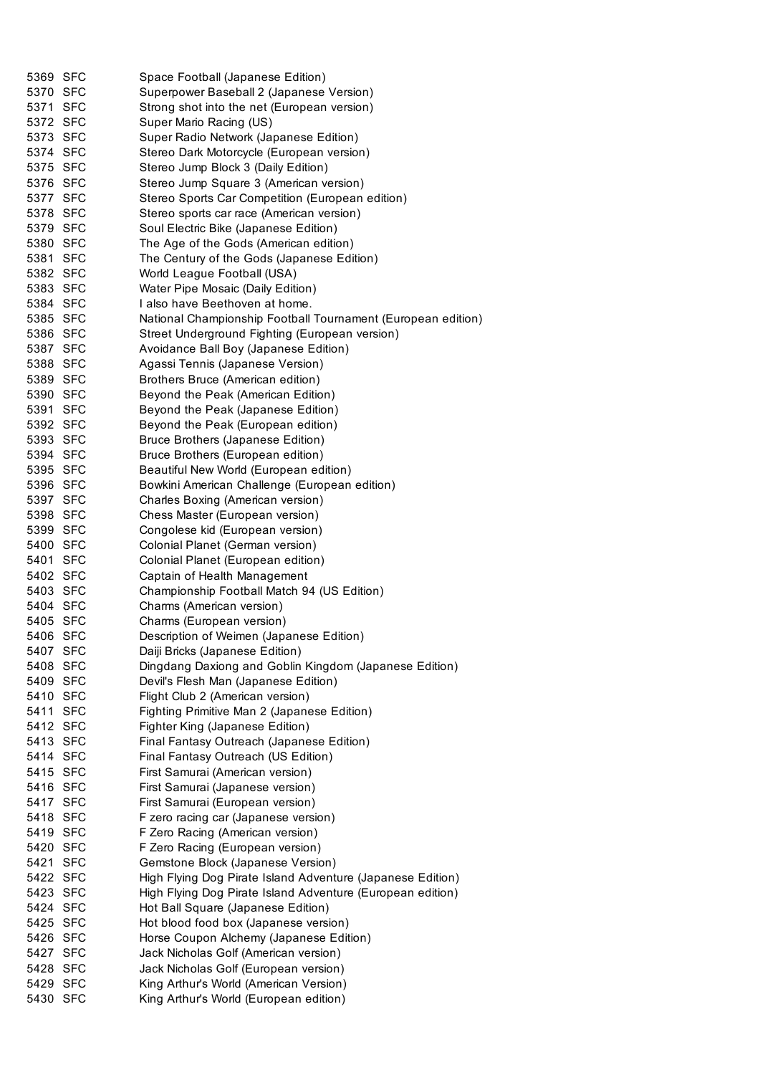| 5369 SFC | Space Football (Japanese Edition)                            |
|----------|--------------------------------------------------------------|
| 5370 SFC | Superpower Baseball 2 (Japanese Version)                     |
| 5371 SFC | Strong shot into the net (European version)                  |
| 5372 SFC | Super Mario Racing (US)                                      |
| 5373 SFC | Super Radio Network (Japanese Edition)                       |
| 5374 SFC | Stereo Dark Motorcycle (European version)                    |
| 5375 SFC | Stereo Jump Block 3 (Daily Edition)                          |
| 5376 SFC | Stereo Jump Square 3 (American version)                      |
| 5377 SFC | Stereo Sports Car Competition (European edition)             |
| 5378 SFC | Stereo sports car race (American version)                    |
| 5379 SFC | Soul Electric Bike (Japanese Edition)                        |
| 5380 SFC | The Age of the Gods (American edition)                       |
| 5381 SFC | The Century of the Gods (Japanese Edition)                   |
| 5382 SFC | World League Football (USA)                                  |
| 5383 SFC | Water Pipe Mosaic (Daily Edition)                            |
| 5384 SFC | I also have Beethoven at home.                               |
| 5385 SFC | National Championship Football Tournament (European edition) |
| 5386 SFC | Street Underground Fighting (European version)               |
| 5387 SFC | Avoidance Ball Boy (Japanese Edition)                        |
| 5388 SFC | Agassi Tennis (Japanese Version)                             |
| 5389 SFC | Brothers Bruce (American edition)                            |
| 5390 SFC | Beyond the Peak (American Edition)                           |
| 5391 SFC | Beyond the Peak (Japanese Edition)                           |
| 5392 SFC | Beyond the Peak (European edition)                           |
| 5393 SFC | <b>Bruce Brothers (Japanese Edition)</b>                     |
| 5394 SFC | Bruce Brothers (European edition)                            |
| 5395 SFC | Beautiful New World (European edition)                       |
| 5396 SFC | Bowkini American Challenge (European edition)                |
| 5397 SFC | Charles Boxing (American version)                            |
| 5398 SFC | Chess Master (European version)                              |
|          |                                                              |
| 5399 SFC | Congolese kid (European version)                             |
| 5400 SFC | Colonial Planet (German version)                             |
| 5401 SFC | Colonial Planet (European edition)                           |
| 5402 SFC | Captain of Health Management                                 |
| 5403 SFC | Championship Football Match 94 (US Edition)                  |
| 5404 SFC | Charms (American version)                                    |
| 5405 SFC | Charms (European version)                                    |
| 5406 SFC | Description of Weimen (Japanese Edition)                     |
| 5407 SFC | Daiji Bricks (Japanese Edition)                              |
| 5408 SFC | Dingdang Daxiong and Goblin Kingdom (Japanese Edition)       |
| 5409 SFC | Devil's Flesh Man (Japanese Edition)                         |
| 5410 SFC | Flight Club 2 (American version)                             |
| 5411 SFC | Fighting Primitive Man 2 (Japanese Edition)                  |
| 5412 SFC | Fighter King (Japanese Edition)                              |
| 5413 SFC | Final Fantasy Outreach (Japanese Edition)                    |
| 5414 SFC | Final Fantasy Outreach (US Edition)                          |
| 5415 SFC | First Samurai (American version)                             |
| 5416 SFC | First Samurai (Japanese version)                             |
| 5417 SFC | First Samurai (European version)                             |
| 5418 SFC | F zero racing car (Japanese version)                         |
| 5419 SFC | F Zero Racing (American version)                             |
| 5420 SFC | F Zero Racing (European version)                             |
| 5421 SFC | Gemstone Block (Japanese Version)                            |
| 5422 SFC | High Flying Dog Pirate Island Adventure (Japanese Edition)   |
| 5423 SFC | High Flying Dog Pirate Island Adventure (European edition)   |
| 5424 SFC | Hot Ball Square (Japanese Edition)                           |
| 5425 SFC | Hot blood food box (Japanese version)                        |
| 5426 SFC | Horse Coupon Alchemy (Japanese Edition)                      |
| 5427 SFC | Jack Nicholas Golf (American version)                        |
| 5428 SFC | Jack Nicholas Golf (European version)                        |
| 5429 SFC | King Arthur's World (American Version)                       |
| 5430 SFC | King Arthur's World (European edition)                       |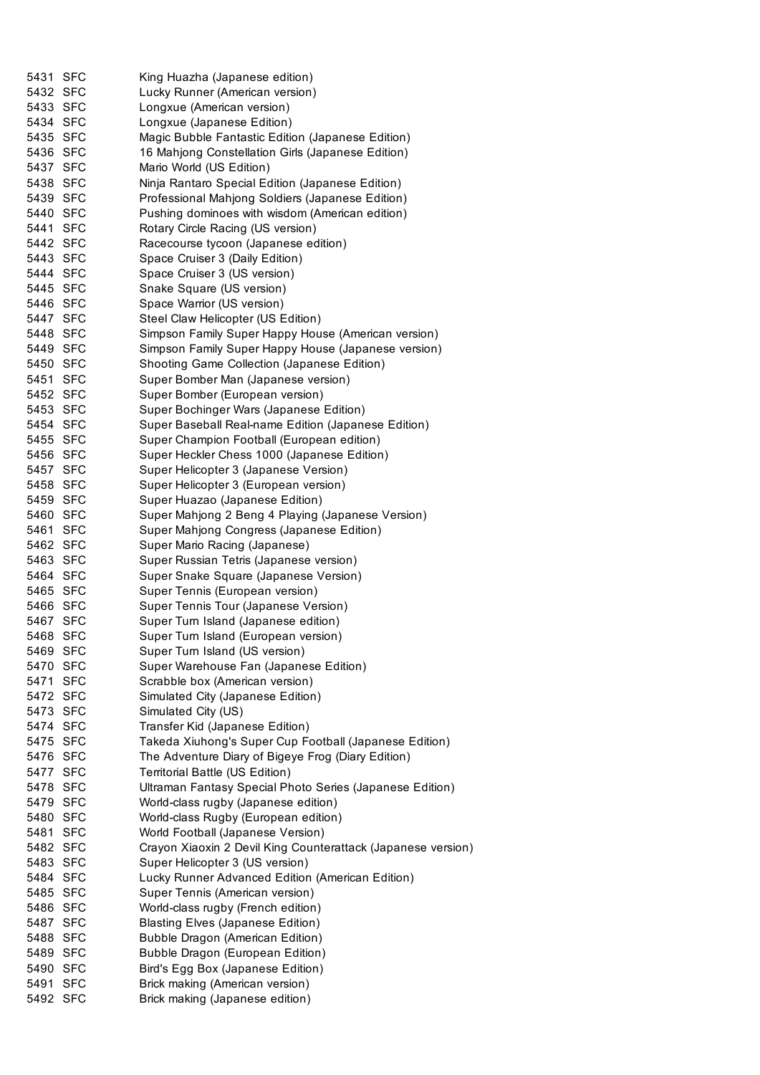| 5431 SFC | King Huazha (Japanese edition)                               |
|----------|--------------------------------------------------------------|
| 5432 SFC | Lucky Runner (American version)                              |
| 5433 SFC | Longxue (American version)                                   |
| 5434 SFC | Longxue (Japanese Edition)                                   |
| 5435 SFC | Magic Bubble Fantastic Edition (Japanese Edition)            |
| 5436 SFC | 16 Mahjong Constellation Girls (Japanese Edition)            |
| 5437 SFC | Mario World (US Edition)                                     |
| 5438 SFC | Ninja Rantaro Special Edition (Japanese Edition)             |
| 5439 SFC | Professional Mahjong Soldiers (Japanese Edition)             |
| 5440 SFC | Pushing dominoes with wisdom (American edition)              |
| 5441 SFC | Rotary Circle Racing (US version)                            |
| 5442 SFC | Racecourse tycoon (Japanese edition)                         |
| 5443 SFC | Space Cruiser 3 (Daily Edition)                              |
| 5444 SFC | Space Cruiser 3 (US version)                                 |
| 5445 SFC | Snake Square (US version)                                    |
| 5446 SFC | Space Warrior (US version)                                   |
| 5447 SFC | Steel Claw Helicopter (US Edition)                           |
| 5448 SFC | Simpson Family Super Happy House (American version)          |
| 5449 SFC | Simpson Family Super Happy House (Japanese version)          |
| 5450 SFC | Shooting Game Collection (Japanese Edition)                  |
| 5451 SFC | Super Bomber Man (Japanese version)                          |
| 5452 SFC | Super Bomber (European version)                              |
| 5453 SFC | Super Bochinger Wars (Japanese Edition)                      |
| 5454 SFC | Super Baseball Real-name Edition (Japanese Edition)          |
| 5455 SFC | Super Champion Football (European edition)                   |
| 5456 SFC | Super Heckler Chess 1000 (Japanese Edition)                  |
| 5457 SFC | Super Helicopter 3 (Japanese Version)                        |
| 5458 SFC | Super Helicopter 3 (European version)                        |
| 5459 SFC | Super Huazao (Japanese Edition)                              |
| 5460 SFC | Super Mahjong 2 Beng 4 Playing (Japanese Version)            |
| 5461 SFC | Super Mahjong Congress (Japanese Edition)                    |
| 5462 SFC | Super Mario Racing (Japanese)                                |
| 5463 SFC | Super Russian Tetris (Japanese version)                      |
| 5464 SFC | Super Snake Square (Japanese Version)                        |
| 5465 SFC | Super Tennis (European version)                              |
| 5466 SFC | Super Tennis Tour (Japanese Version)                         |
| 5467 SFC | Super Turn Island (Japanese edition)                         |
| 5468 SFC | Super Turn Island (European version)                         |
| 5469 SFC | Super Turn Island (US version)                               |
| 5470 SFC | Super Warehouse Fan (Japanese Edition)                       |
| 5471 SFC | Scrabble box (American version)                              |
| 5472 SFC | Simulated City (Japanese Edition)                            |
| 5473 SFC | Simulated City (US)                                          |
| 5474 SFC | Transfer Kid (Japanese Edition)                              |
| 5475 SFC | Takeda Xiuhong's Super Cup Football (Japanese Edition)       |
| 5476 SFC | The Adventure Diary of Bigeye Frog (Diary Edition)           |
| 5477 SFC | Territorial Battle (US Edition)                              |
| 5478 SFC | Ultraman Fantasy Special Photo Series (Japanese Edition)     |
| 5479 SFC | World-class rugby (Japanese edition)                         |
| 5480 SFC | World-class Rugby (European edition)                         |
| 5481 SFC | World Football (Japanese Version)                            |
| 5482 SFC | Crayon Xiaoxin 2 Devil King Counterattack (Japanese version) |
| 5483 SFC | Super Helicopter 3 (US version)                              |
| 5484 SFC | Lucky Runner Advanced Edition (American Edition)             |
| 5485 SFC | Super Tennis (American version)                              |
| 5486 SFC | World-class rugby (French edition)                           |
| 5487 SFC | <b>Blasting Elves (Japanese Edition)</b>                     |
| 5488 SFC | <b>Bubble Dragon (American Edition)</b>                      |
| 5489 SFC | <b>Bubble Dragon (European Edition)</b>                      |
| 5490 SFC | Bird's Egg Box (Japanese Edition)                            |
| 5491 SFC | Brick making (American version)                              |
| 5492 SFC | Brick making (Japanese edition)                              |
|          |                                                              |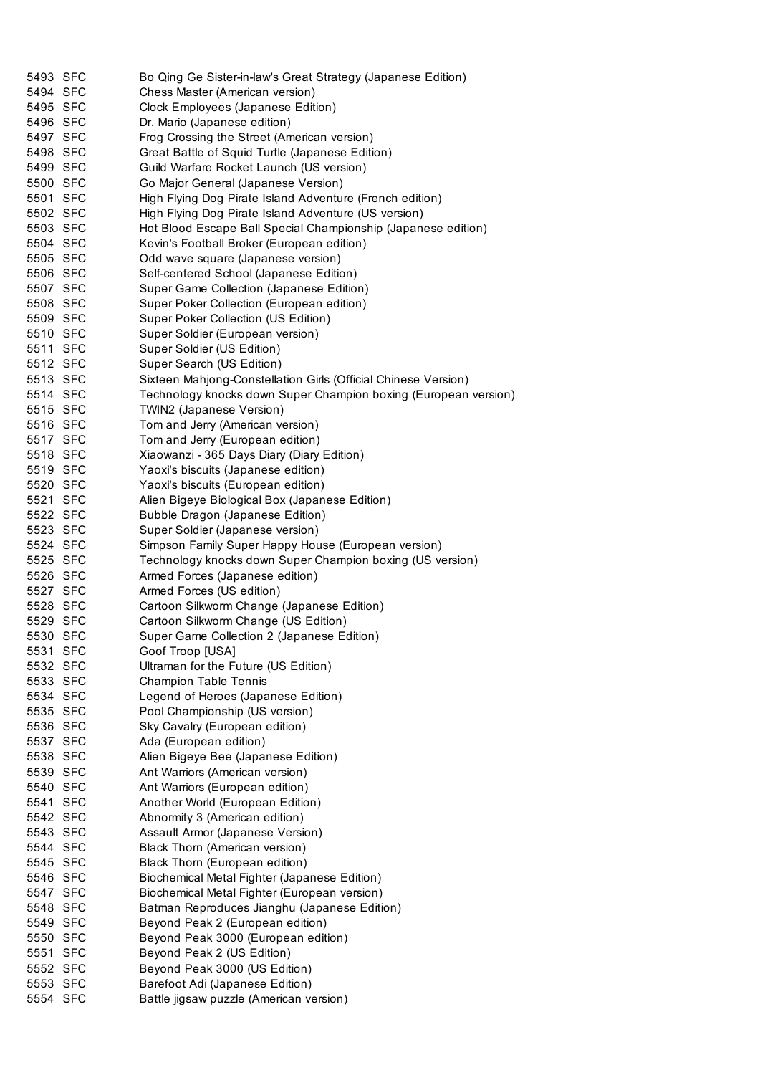| 5493 SFC             | Bo Qing Ge Sister-in-law's Great Strategy (Japanese Edition)    |
|----------------------|-----------------------------------------------------------------|
| 5494 SFC             | Chess Master (American version)                                 |
| 5495 SFC             | Clock Employees (Japanese Edition)                              |
| 5496 SFC             | Dr. Mario (Japanese edition)                                    |
| 5497 SFC             | Frog Crossing the Street (American version)                     |
| 5498 SFC             | Great Battle of Squid Turtle (Japanese Edition)                 |
| 5499 SFC             | Guild Warfare Rocket Launch (US version)                        |
| 5500 SFC             | Go Major General (Japanese Version)                             |
| 5501 SFC             | High Flying Dog Pirate Island Adventure (French edition)        |
| 5502 SFC             | High Flying Dog Pirate Island Adventure (US version)            |
| 5503 SFC             | Hot Blood Escape Ball Special Championship (Japanese edition)   |
| 5504 SFC             | Kevin's Football Broker (European edition)                      |
| 5505 SFC             | Odd wave square (Japanese version)                              |
| 5506 SFC             | Self-centered School (Japanese Edition)                         |
| 5507 SFC             | Super Game Collection (Japanese Edition)                        |
| 5508 SFC             | Super Poker Collection (European edition)                       |
| 5509 SFC             | Super Poker Collection (US Edition)                             |
| 5510 SFC             | Super Soldier (European version)                                |
| 5511 SFC             | Super Soldier (US Edition)                                      |
| 5512 SFC             | Super Search (US Edition)                                       |
| 5513 SFC             | Sixteen Mahjong-Constellation Girls (Official Chinese Version)  |
| 5514 SFC             | Technology knocks down Super Champion boxing (European version) |
| 5515 SFC             | TWIN2 (Japanese Version)                                        |
| 5516 SFC             | Tom and Jerry (American version)                                |
| 5517 SFC             | Tom and Jerry (European edition)                                |
| 5518 SFC             | Xiaowanzi - 365 Days Diary (Diary Edition)                      |
| 5519 SFC             | Yaoxi's biscuits (Japanese edition)                             |
| 5520 SFC             | Yaoxi's biscuits (European edition)                             |
| 5521 SFC             | Alien Bigeye Biological Box (Japanese Edition)                  |
| 5522 SFC             | Bubble Dragon (Japanese Edition)                                |
| 5523 SFC             | Super Soldier (Japanese version)                                |
| 5524 SFC             | Simpson Family Super Happy House (European version)             |
| 5525 SFC             | Technology knocks down Super Champion boxing (US version)       |
| 5526 SFC             | Armed Forces (Japanese edition)                                 |
| 5527 SFC             | Armed Forces (US edition)                                       |
| 5528 SFC             | Cartoon Silkworm Change (Japanese Edition)                      |
|                      | Cartoon Silkworm Change (US Edition)                            |
| 5529 SFC             |                                                                 |
| 5530 SFC<br>5531 SFC | Super Game Collection 2 (Japanese Edition)<br>Goof Troop [USA]  |
| 5532 SFC             |                                                                 |
| 5533 SFC             | Ultraman for the Future (US Edition)                            |
|                      | Champion Table Tennis                                           |
| 5534 SFC             | Legend of Heroes (Japanese Edition)                             |
| 5535 SFC             | Pool Championship (US version)                                  |
| 5536 SFC             | Sky Cavalry (European edition)                                  |
| 5537 SFC             | Ada (European edition)                                          |
| 5538 SFC             | Alien Bigeye Bee (Japanese Edition)                             |
| 5539 SFC             | Ant Warriors (American version)                                 |
| 5540 SFC             | Ant Warriors (European edition)                                 |
| 5541 SFC             | Another World (European Edition)                                |
| 5542 SFC             | Abnormity 3 (American edition)                                  |
| 5543 SFC             | Assault Armor (Japanese Version)                                |
| 5544 SFC             | <b>Black Thorn (American version)</b>                           |
| 5545 SFC             | Black Thorn (European edition)                                  |
| 5546 SFC             | Biochemical Metal Fighter (Japanese Edition)                    |
| 5547 SFC             | Biochemical Metal Fighter (European version)                    |
| 5548 SFC             | Batman Reproduces Jianghu (Japanese Edition)                    |
| 5549 SFC             | Beyond Peak 2 (European edition)                                |
| 5550 SFC             | Beyond Peak 3000 (European edition)                             |
| 5551 SFC             | Beyond Peak 2 (US Edition)                                      |
| 5552 SFC             | Beyond Peak 3000 (US Edition)                                   |
| 5553 SFC             | Barefoot Adi (Japanese Edition)                                 |
| 5554 SFC             | Battle jigsaw puzzle (American version)                         |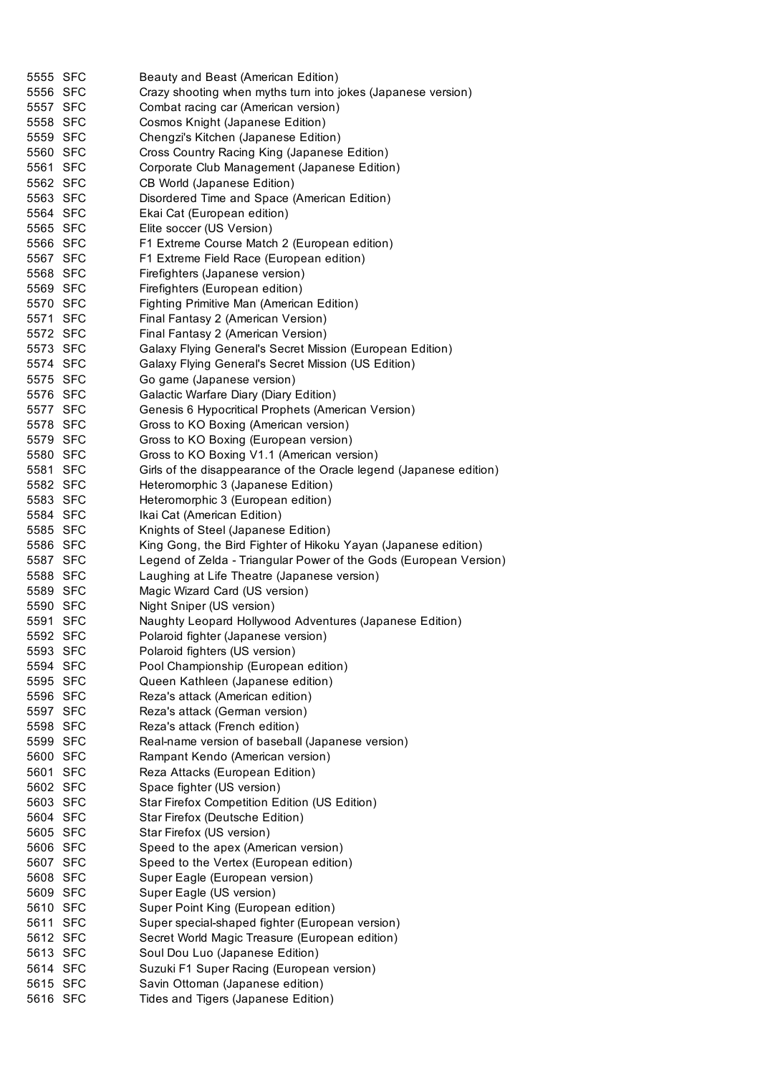| 5555 SFC | Beauty and Beast (American Edition)                                |
|----------|--------------------------------------------------------------------|
| 5556 SFC | Crazy shooting when myths turn into jokes (Japanese version)       |
| 5557 SFC | Combat racing car (American version)                               |
| 5558 SFC | Cosmos Knight (Japanese Edition)                                   |
| 5559 SFC | Chengzi's Kitchen (Japanese Edition)                               |
| 5560 SFC | Cross Country Racing King (Japanese Edition)                       |
| 5561 SFC | Corporate Club Management (Japanese Edition)                       |
| 5562 SFC | CB World (Japanese Edition)                                        |
| 5563 SFC | Disordered Time and Space (American Edition)                       |
| 5564 SFC | Ekai Cat (European edition)                                        |
| 5565 SFC | Elite soccer (US Version)                                          |
| 5566 SFC | F1 Extreme Course Match 2 (European edition)                       |
| 5567 SFC | F1 Extreme Field Race (European edition)                           |
| 5568 SFC | Firefighters (Japanese version)                                    |
| 5569 SFC | Firefighters (European edition)                                    |
| 5570 SFC | Fighting Primitive Man (American Edition)                          |
| 5571 SFC | Final Fantasy 2 (American Version)                                 |
| 5572 SFC | Final Fantasy 2 (American Version)                                 |
| 5573 SFC | Galaxy Flying General's Secret Mission (European Edition)          |
| 5574 SFC | Galaxy Flying General's Secret Mission (US Edition)                |
| 5575 SFC | Go game (Japanese version)                                         |
| 5576 SFC | Galactic Warfare Diary (Diary Edition)                             |
| 5577 SFC | Genesis 6 Hypocritical Prophets (American Version)                 |
| 5578 SFC | Gross to KO Boxing (American version)                              |
| 5579 SFC | Gross to KO Boxing (European version)                              |
| 5580 SFC | Gross to KO Boxing V1.1 (American version)                         |
| 5581 SFC | Girls of the disappearance of the Oracle legend (Japanese edition) |
| 5582 SFC | Heteromorphic 3 (Japanese Edition)                                 |
| 5583 SFC | Heteromorphic 3 (European edition)                                 |
| 5584 SFC | Ikai Cat (American Edition)                                        |
| 5585 SFC | Knights of Steel (Japanese Edition)                                |
| 5586 SFC | King Gong, the Bird Fighter of Hikoku Yayan (Japanese edition)     |
| 5587 SFC | Legend of Zelda - Triangular Power of the Gods (European Version)  |
| 5588 SFC | Laughing at Life Theatre (Japanese version)                        |
| 5589 SFC | Magic Wizard Card (US version)                                     |
| 5590 SFC | Night Sniper (US version)                                          |
| 5591 SFC | Naughty Leopard Hollywood Adventures (Japanese Edition)            |
| 5592 SFC | Polaroid fighter (Japanese version)                                |
| 5593 SFC | Polaroid fighters (US version)                                     |
| 5594 SFC | Pool Championship (European edition)                               |
| 5595 SFC | Queen Kathleen (Japanese edition)                                  |
| 5596 SFC | Reza's attack (American edition)                                   |
| 5597 SFC | Reza's attack (German version)                                     |
| 5598 SFC | Reza's attack (French edition)                                     |
| 5599 SFC | Real-name version of baseball (Japanese version)                   |
| 5600 SFC | Rampant Kendo (American version)                                   |
| 5601 SFC | Reza Attacks (European Edition)                                    |
| 5602 SFC | Space fighter (US version)                                         |
| 5603 SFC | Star Firefox Competition Edition (US Edition)                      |
| 5604 SFC | Star Firefox (Deutsche Edition)                                    |
| 5605 SFC | Star Firefox (US version)                                          |
| 5606 SFC | Speed to the apex (American version)                               |
| 5607 SFC | Speed to the Vertex (European edition)                             |
| 5608 SFC | Super Eagle (European version)                                     |
| 5609 SFC | Super Eagle (US version)                                           |
| 5610 SFC | Super Point King (European edition)                                |
| 5611 SFC | Super special-shaped fighter (European version)                    |
| 5612 SFC | Secret World Magic Treasure (European edition)                     |
| 5613 SFC | Soul Dou Luo (Japanese Edition)                                    |
| 5614 SFC | Suzuki F1 Super Racing (European version)                          |
| 5615 SFC | Savin Ottoman (Japanese edition)                                   |
| 5616 SFC | Tides and Tigers (Japanese Edition)                                |
|          |                                                                    |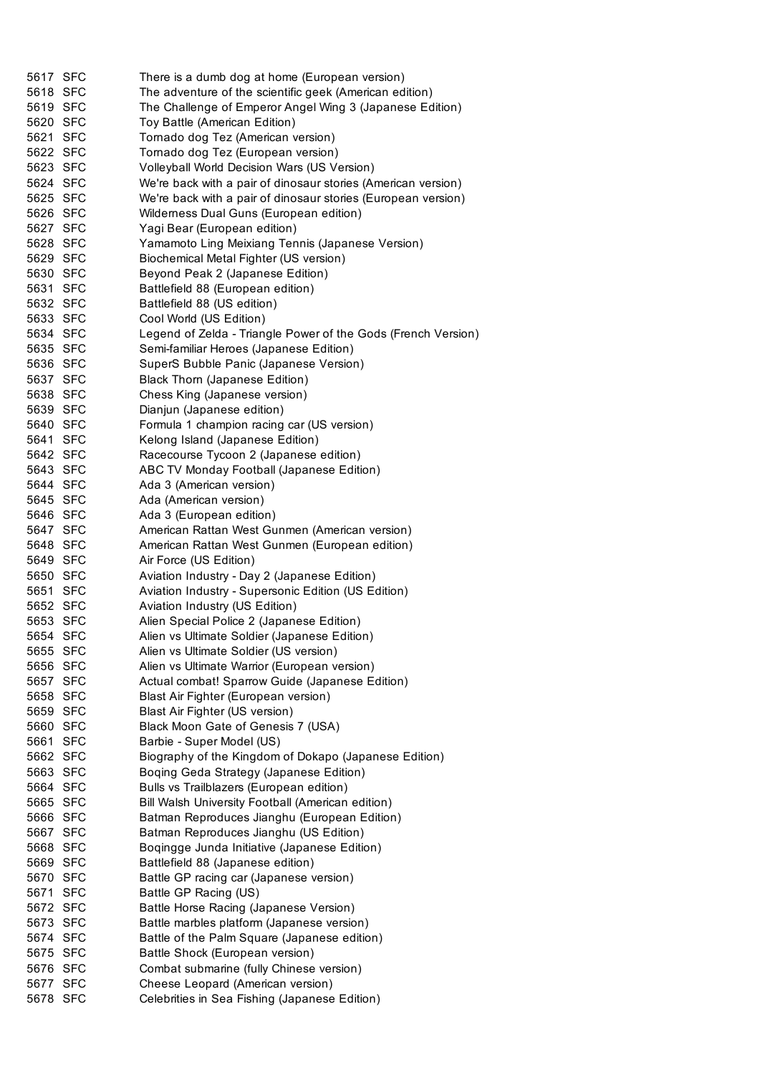| 5617 SFC | There is a dumb dog at home (European version)                |
|----------|---------------------------------------------------------------|
| 5618 SFC | The adventure of the scientific geek (American edition)       |
| 5619 SFC | The Challenge of Emperor Angel Wing 3 (Japanese Edition)      |
| 5620 SFC | Toy Battle (American Edition)                                 |
| 5621 SFC | Tornado dog Tez (American version)                            |
| 5622 SFC | Tornado dog Tez (European version)                            |
| 5623 SFC | Volleyball World Decision Wars (US Version)                   |
| 5624 SFC | We're back with a pair of dinosaur stories (American version) |
| 5625 SFC | We're back with a pair of dinosaur stories (European version) |
| 5626 SFC | Wilderness Dual Guns (European edition)                       |
| 5627 SFC | Yagi Bear (European edition)                                  |
| 5628 SFC | Yamamoto Ling Meixiang Tennis (Japanese Version)              |
| 5629 SFC | Biochemical Metal Fighter (US version)                        |
| 5630 SFC | Beyond Peak 2 (Japanese Edition)                              |
| 5631 SFC | Battlefield 88 (European edition)                             |
| 5632 SFC | Battlefield 88 (US edition)                                   |
| 5633 SFC | Cool World (US Edition)                                       |
| 5634 SFC | Legend of Zelda - Triangle Power of the Gods (French Version) |
| 5635 SFC | Semi-familiar Heroes (Japanese Edition)                       |
| 5636 SFC | SuperS Bubble Panic (Japanese Version)                        |
| 5637 SFC | Black Thorn (Japanese Edition)                                |
| 5638 SFC | Chess King (Japanese version)                                 |
| 5639 SFC | Dianjun (Japanese edition)                                    |
| 5640 SFC | Formula 1 champion racing car (US version)                    |
| 5641 SFC | Kelong Island (Japanese Edition)                              |
| 5642 SFC | Racecourse Tycoon 2 (Japanese edition)                        |
| 5643 SFC | ABC TV Monday Football (Japanese Edition)                     |
| 5644 SFC | Ada 3 (American version)                                      |
| 5645 SFC | Ada (American version)                                        |
| 5646 SFC | Ada 3 (European edition)                                      |
| 5647 SFC | American Rattan West Gunmen (American version)                |
| 5648 SFC | American Rattan West Gunmen (European edition)                |
| 5649 SFC | Air Force (US Edition)                                        |
| 5650 SFC | Aviation Industry - Day 2 (Japanese Edition)                  |
| 5651 SFC | Aviation Industry - Supersonic Edition (US Edition)           |
| 5652 SFC | Aviation Industry (US Edition)                                |
| 5653 SFC | Alien Special Police 2 (Japanese Edition)                     |
| 5654 SFC | Alien vs Ultimate Soldier (Japanese Edition)                  |
| 5655 SFC | Alien vs Ultimate Soldier (US version)                        |
| 5656 SFC | Alien vs Ultimate Warrior (European version)                  |
| 5657 SFC | Actual combat! Sparrow Guide (Japanese Edition)               |
| 5658 SFC | Blast Air Fighter (European version)                          |
| 5659 SFC | Blast Air Fighter (US version)                                |
| 5660 SFC | Black Moon Gate of Genesis 7 (USA)                            |
| 5661 SFC | Barbie - Super Model (US)                                     |
| 5662 SFC | Biography of the Kingdom of Dokapo (Japanese Edition)         |
| 5663 SFC | Boqing Geda Strategy (Japanese Edition)                       |
| 5664 SFC | Bulls vs Trailblazers (European edition)                      |
| 5665 SFC | Bill Walsh University Football (American edition)             |
| 5666 SFC | Batman Reproduces Jianghu (European Edition)                  |
| 5667 SFC | Batman Reproduces Jianghu (US Edition)                        |
| 5668 SFC | Boqingge Junda Initiative (Japanese Edition)                  |
| 5669 SFC | Battlefield 88 (Japanese edition)                             |
| 5670 SFC | Battle GP racing car (Japanese version)                       |
| 5671 SFC | Battle GP Racing (US)                                         |
| 5672 SFC | Battle Horse Racing (Japanese Version)                        |
| 5673 SFC | Battle marbles platform (Japanese version)                    |
| 5674 SFC | Battle of the Palm Square (Japanese edition)                  |
| 5675 SFC | Battle Shock (European version)                               |
| 5676 SFC | Combat submarine (fully Chinese version)                      |
| 5677 SFC | Cheese Leopard (American version)                             |
| 5678 SFC | Celebrities in Sea Fishing (Japanese Edition)                 |
|          |                                                               |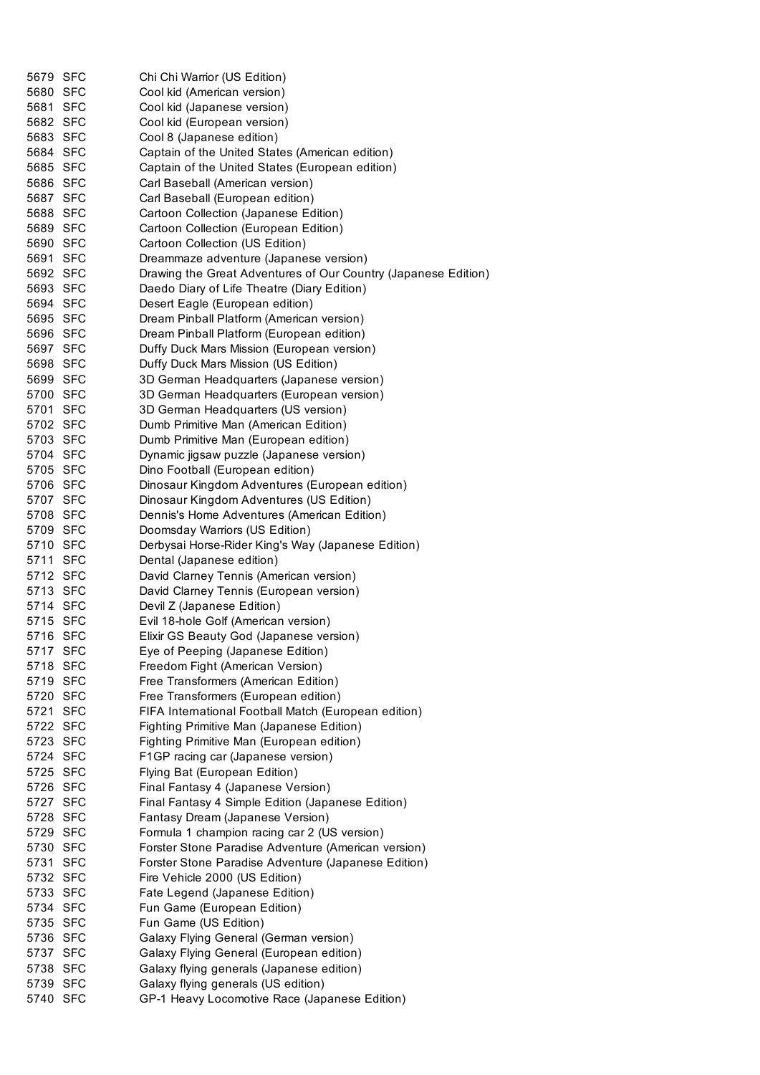| 5679 SFC | Chi Chi Warrior (US Edition)                                   |
|----------|----------------------------------------------------------------|
| 5680 SFC | Cool kid (American version)                                    |
| 5681 SFC | Cool kid (Japanese version)                                    |
| 5682 SFC | Cool kid (European version)                                    |
| 5683 SFC | Cool 8 (Japanese edition)                                      |
| 5684 SFC | Captain of the United States (American edition)                |
| 5685 SFC | Captain of the United States (European edition)                |
| 5686 SFC | Carl Baseball (American version)                               |
| 5687 SFC | Carl Baseball (European edition)                               |
| 5688 SFC | Cartoon Collection (Japanese Edition)                          |
| 5689 SFC | Cartoon Collection (European Edition)                          |
| 5690 SFC | Cartoon Collection (US Edition)                                |
| 5691 SFC | Dreammaze adventure (Japanese version)                         |
| 5692 SFC | Drawing the Great Adventures of Our Country (Japanese Edition) |
| 5693 SFC | Daedo Diary of Life Theatre (Diary Edition)                    |
| 5694 SFC | Desert Eagle (European edition)                                |
| 5695 SFC | Dream Pinball Platform (American version)                      |
| 5696 SFC | Dream Pinball Platform (European edition)                      |
| 5697 SFC | Duffy Duck Mars Mission (European version)                     |
| 5698 SFC | Duffy Duck Mars Mission (US Edition)                           |
| 5699 SFC | 3D German Headquarters (Japanese version)                      |
| 5700 SFC | 3D German Headquarters (European version)                      |
| 5701 SFC | 3D German Headquarters (US version)                            |
| 5702 SFC | Dumb Primitive Man (American Edition)                          |
| 5703 SFC | Dumb Primitive Man (European edition)                          |
| 5704 SFC | Dynamic jigsaw puzzle (Japanese version)                       |
| 5705 SFC | Dino Football (European edition)                               |
| 5706 SFC | Dinosaur Kingdom Adventures (European edition)                 |
| 5707 SFC | Dinosaur Kingdom Adventures (US Edition)                       |
| 5708 SFC | Dennis's Home Adventures (American Edition)                    |
| 5709 SFC | Doomsday Warriors (US Edition)                                 |
| 5710 SFC | Derbysai Horse-Rider King's Way (Japanese Edition)             |
| 5711 SFC | Dental (Japanese edition)                                      |
| 5712 SFC | David Clarney Tennis (American version)                        |
| 5713 SFC | David Clarney Tennis (European version)                        |
| 5714 SFC | Devil Z (Japanese Edition)                                     |
| 5715 SFC | Evil 18-hole Golf (American version)                           |
| 5716 SFC | Elixir GS Beauty God (Japanese version)                        |
| 5717 SFC | Eye of Peeping (Japanese Edition)                              |
| 5718 SFC | Freedom Fight (American Version)                               |
| 5719 SFC | Free Transformers (American Edition)                           |
| 5720 SFC | Free Transformers (European edition)                           |
| 5721 SFC | FIFA International Football Match (European edition)           |
| 5722 SFC | Fighting Primitive Man (Japanese Edition)                      |
| 5723 SFC | Fighting Primitive Man (European edition)                      |
| 5724 SFC | F1GP racing car (Japanese version)                             |
| 5725 SFC | Flying Bat (European Edition)                                  |
| 5726 SFC | Final Fantasy 4 (Japanese Version)                             |
| 5727 SFC | Final Fantasy 4 Simple Edition (Japanese Edition)              |
| 5728 SFC | Fantasy Dream (Japanese Version)                               |
| 5729 SFC | Formula 1 champion racing car 2 (US version)                   |
| 5730 SFC | Forster Stone Paradise Adventure (American version)            |
| 5731 SFC | Forster Stone Paradise Adventure (Japanese Edition)            |
| 5732 SFC | Fire Vehicle 2000 (US Edition)                                 |
| 5733 SFC | Fate Legend (Japanese Edition)                                 |
| 5734 SFC | Fun Game (European Edition)                                    |
| 5735 SFC | Fun Game (US Edition)                                          |
| 5736 SFC | Galaxy Flying General (German version)                         |
| 5737 SFC | Galaxy Flying General (European edition)                       |
| 5738 SFC | Galaxy flying generals (Japanese edition)                      |
| 5739 SFC | Galaxy flying generals (US edition)                            |
| 5740 SFC | GP-1 Heavy Locomotive Race (Japanese Edition)                  |
|          |                                                                |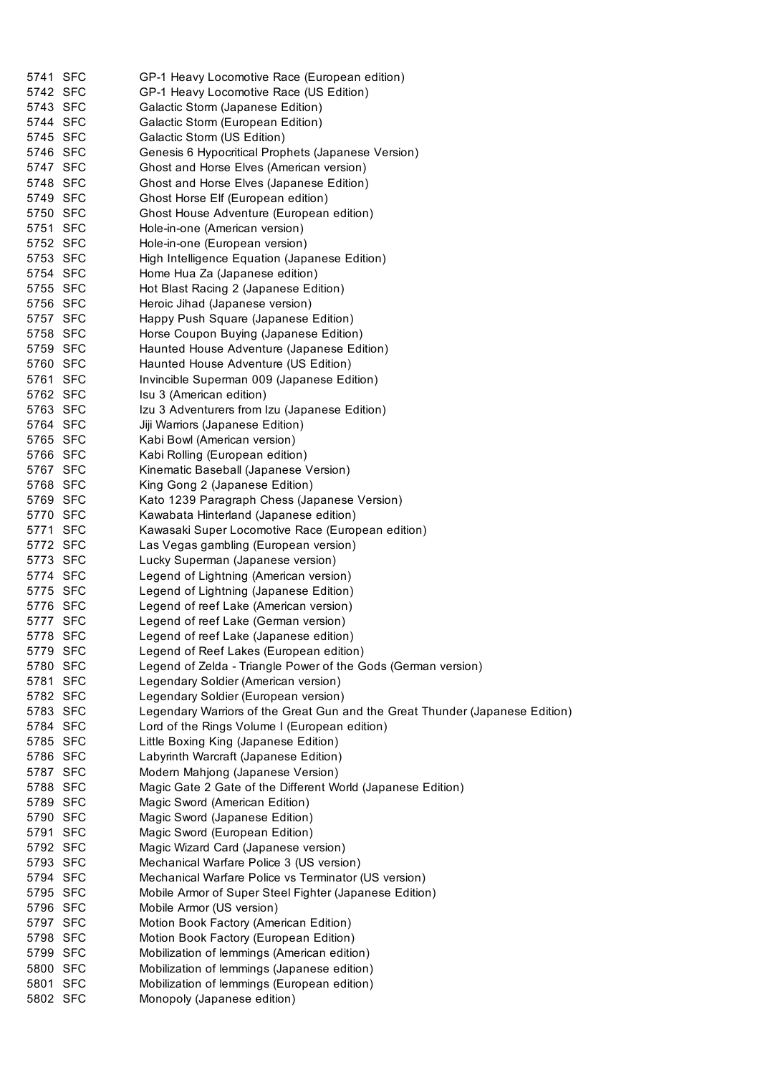| 5741 SFC | GP-1 Heavy Locomotive Race (European edition)                                |
|----------|------------------------------------------------------------------------------|
| 5742 SFC | GP-1 Heavy Locomotive Race (US Edition)                                      |
| 5743 SFC | Galactic Storm (Japanese Edition)                                            |
| 5744 SFC | Galactic Storm (European Edition)                                            |
| 5745 SFC | Galactic Storm (US Edition)                                                  |
| 5746 SFC | Genesis 6 Hypocritical Prophets (Japanese Version)                           |
| 5747 SFC | Ghost and Horse Elves (American version)                                     |
| 5748 SFC | Ghost and Horse Elves (Japanese Edition)                                     |
| 5749 SFC | Ghost Horse Elf (European edition)                                           |
| 5750 SFC | Ghost House Adventure (European edition)                                     |
| 5751 SFC | Hole-in-one (American version)                                               |
| 5752 SFC | Hole-in-one (European version)                                               |
| 5753 SFC | High Intelligence Equation (Japanese Edition)                                |
| 5754 SFC | Home Hua Za (Japanese edition)                                               |
| 5755 SFC | Hot Blast Racing 2 (Japanese Edition)                                        |
| 5756 SFC | Heroic Jihad (Japanese version)                                              |
| 5757 SFC | Happy Push Square (Japanese Edition)                                         |
| 5758 SFC | Horse Coupon Buying (Japanese Edition)                                       |
| 5759 SFC | Haunted House Adventure (Japanese Edition)                                   |
| 5760 SFC | Haunted House Adventure (US Edition)                                         |
| 5761 SFC | Invincible Superman 009 (Japanese Edition)                                   |
| 5762 SFC | Isu 3 (American edition)                                                     |
| 5763 SFC | Izu 3 Adventurers from Izu (Japanese Edition)                                |
| 5764 SFC |                                                                              |
|          | Jiji Warriors (Japanese Edition)                                             |
| 5765 SFC | Kabi Bowl (American version)                                                 |
| 5766 SFC | Kabi Rolling (European edition)                                              |
| 5767 SFC | Kinematic Baseball (Japanese Version)                                        |
| 5768 SFC | King Gong 2 (Japanese Edition)                                               |
| 5769 SFC | Kato 1239 Paragraph Chess (Japanese Version)                                 |
| 5770 SFC | Kawabata Hinterland (Japanese edition)                                       |
| 5771 SFC | Kawasaki Super Locomotive Race (European edition)                            |
| 5772 SFC | Las Vegas gambling (European version)                                        |
| 5773 SFC | Lucky Superman (Japanese version)                                            |
| 5774 SFC | Legend of Lightning (American version)                                       |
| 5775 SFC | Legend of Lightning (Japanese Edition)                                       |
| 5776 SFC | Legend of reef Lake (American version)                                       |
| 5777 SFC | Legend of reef Lake (German version)                                         |
| 5778 SFC | Legend of reef Lake (Japanese edition)                                       |
| 5779 SFC | Legend of Reef Lakes (European edition)                                      |
| 5780 SFC | Legend of Zelda - Triangle Power of the Gods (German version)                |
| 5781 SFC | Legendary Soldier (American version)                                         |
| 5782 SFC | Legendary Soldier (European version)                                         |
| 5783 SFC | Legendary Warriors of the Great Gun and the Great Thunder (Japanese Edition) |
| 5784 SFC | Lord of the Rings Volume I (European edition)                                |
| 5785 SFC | Little Boxing King (Japanese Edition)                                        |
| 5786 SFC | Labyrinth Warcraft (Japanese Edition)                                        |
| 5787 SFC | Modern Mahjong (Japanese Version)                                            |
| 5788 SFC | Magic Gate 2 Gate of the Different World (Japanese Edition)                  |
| 5789 SFC | Magic Sword (American Edition)                                               |
| 5790 SFC | Magic Sword (Japanese Edition)                                               |
| 5791 SFC | Magic Sword (European Edition)                                               |
| 5792 SFC | Magic Wizard Card (Japanese version)                                         |
| 5793 SFC | Mechanical Warfare Police 3 (US version)                                     |
| 5794 SFC | Mechanical Warfare Police vs Terminator (US version)                         |
| 5795 SFC |                                                                              |
|          | Mobile Armor of Super Steel Fighter (Japanese Edition)                       |
| 5796 SFC | Mobile Armor (US version)                                                    |
| 5797 SFC | Motion Book Factory (American Edition)                                       |
| 5798 SFC | Motion Book Factory (European Edition)                                       |
| 5799 SFC | Mobilization of lemmings (American edition)                                  |
| 5800 SFC | Mobilization of lemmings (Japanese edition)                                  |
| 5801 SFC | Mobilization of lemmings (European edition)                                  |
| 5802 SFC | Monopoly (Japanese edition)                                                  |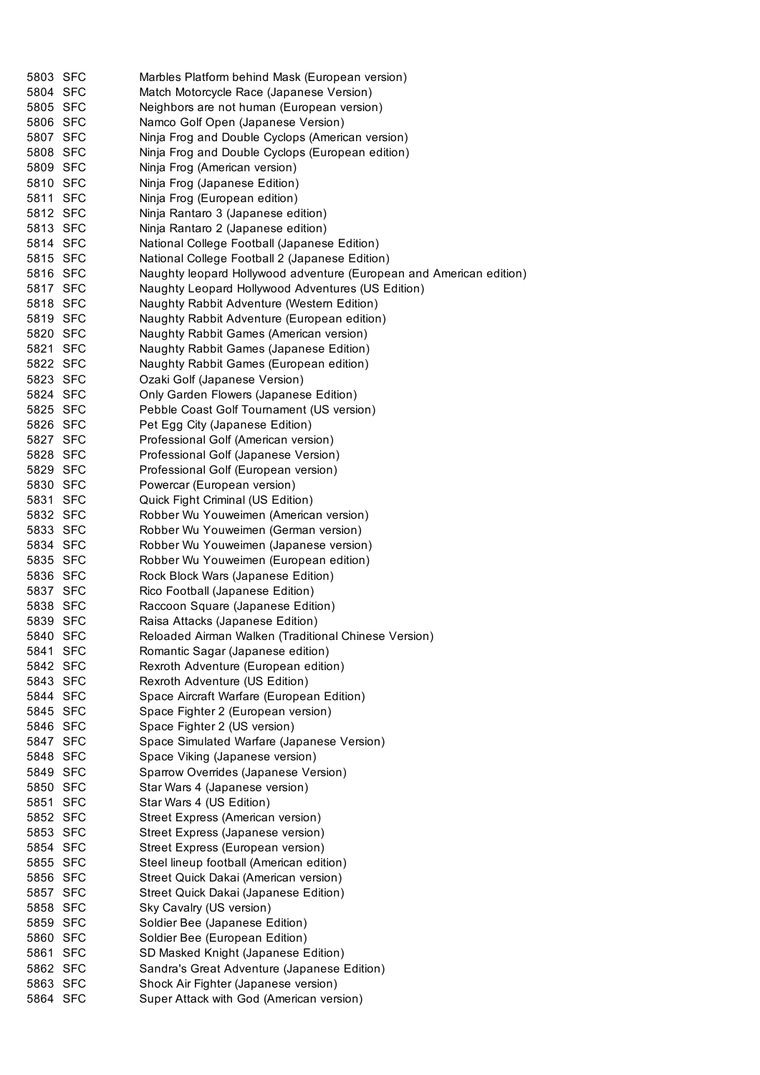| 5803 SFC             | Marbles Platform behind Mask (European version)                     |
|----------------------|---------------------------------------------------------------------|
| 5804 SFC             | Match Motorcycle Race (Japanese Version)                            |
| 5805 SFC             | Neighbors are not human (European version)                          |
| 5806 SFC             | Namco Golf Open (Japanese Version)                                  |
| 5807 SFC             | Ninja Frog and Double Cyclops (American version)                    |
| 5808 SFC             | Ninja Frog and Double Cyclops (European edition)                    |
| 5809 SFC             | Ninja Frog (American version)                                       |
| 5810 SFC             | Ninja Frog (Japanese Edition)                                       |
| 5811 SFC             | Ninja Frog (European edition)                                       |
| 5812 SFC             | Ninja Rantaro 3 (Japanese edition)                                  |
| 5813 SFC             | Ninja Rantaro 2 (Japanese edition)                                  |
| 5814 SFC             | National College Football (Japanese Edition)                        |
| 5815 SFC             | National College Football 2 (Japanese Edition)                      |
| 5816 SFC             | Naughty leopard Hollywood adventure (European and American edition) |
| 5817 SFC             | Naughty Leopard Hollywood Adventures (US Edition)                   |
| 5818 SFC             | Naughty Rabbit Adventure (Western Edition)                          |
| 5819 SFC             | Naughty Rabbit Adventure (European edition)                         |
| 5820 SFC             | Naughty Rabbit Games (American version)                             |
| 5821 SFC             | Naughty Rabbit Games (Japanese Edition)                             |
| 5822 SFC             | Naughty Rabbit Games (European edition)                             |
| 5823 SFC             | Ozaki Golf (Japanese Version)                                       |
| 5824 SFC             | Only Garden Flowers (Japanese Edition)                              |
| 5825 SFC             | Pebble Coast Golf Tournament (US version)                           |
| 5826 SFC             | Pet Egg City (Japanese Edition)                                     |
| 5827 SFC             | Professional Golf (American version)                                |
| 5828 SFC             | Professional Golf (Japanese Version)                                |
| 5829 SFC             | Professional Golf (European version)                                |
| 5830 SFC             | Powercar (European version)                                         |
| 5831 SFC             | Quick Fight Criminal (US Edition)                                   |
| 5832 SFC             | Robber Wu Youweimen (American version)                              |
| 5833 SFC             | Robber Wu Youweimen (German version)                                |
| 5834 SFC             | Robber Wu Youweimen (Japanese version)                              |
| 5835 SFC             | Robber Wu Youweimen (European edition)                              |
| 5836 SFC             | Rock Block Wars (Japanese Edition)                                  |
| 5837 SFC             | Rico Football (Japanese Edition)                                    |
| 5838 SFC             | Raccoon Square (Japanese Edition)                                   |
| 5839 SFC             | Raisa Attacks (Japanese Edition)                                    |
| 5840 SFC             | Reloaded Airman Walken (Traditional Chinese Version)                |
| 5841 SFC             | Romantic Sagar (Japanese edition)                                   |
| 5842 SFC             | Rexroth Adventure (European edition)                                |
| 5843 SFC             | Rexroth Adventure (US Edition)                                      |
| 5844 SFC             | Space Aircraft Warfare (European Edition)                           |
| 5845 SFC             | Space Fighter 2 (European version)                                  |
| 5846 SFC             | Space Fighter 2 (US version)                                        |
| 5847 SFC             | Space Simulated Warfare (Japanese Version)                          |
| 5848 SFC             | Space Viking (Japanese version)                                     |
| 5849 SFC             | Sparrow Overrides (Japanese Version)                                |
| 5850 SFC             | Star Wars 4 (Japanese version)                                      |
| 5851 SFC             | Star Wars 4 (US Edition)                                            |
| 5852 SFC             | Street Express (American version)                                   |
| 5853 SFC             | Street Express (Japanese version)                                   |
| 5854 SFC             | Street Express (European version)                                   |
| 5855 SFC             | Steel lineup football (American edition)                            |
| 5856 SFC             | Street Quick Dakai (American version)                               |
| 5857 SFC             | Street Quick Dakai (Japanese Edition)                               |
| 5858 SFC             | Sky Cavalry (US version)                                            |
| 5859 SFC             | Soldier Bee (Japanese Edition)                                      |
| 5860 SFC             | Soldier Bee (European Edition)                                      |
| 5861 SFC             | SD Masked Knight (Japanese Edition)                                 |
|                      | Sandra's Great Adventure (Japanese Edition)                         |
| 5862 SFC             |                                                                     |
| 5863 SFC<br>5864 SFC | Shock Air Fighter (Japanese version)                                |
|                      | Super Attack with God (American version)                            |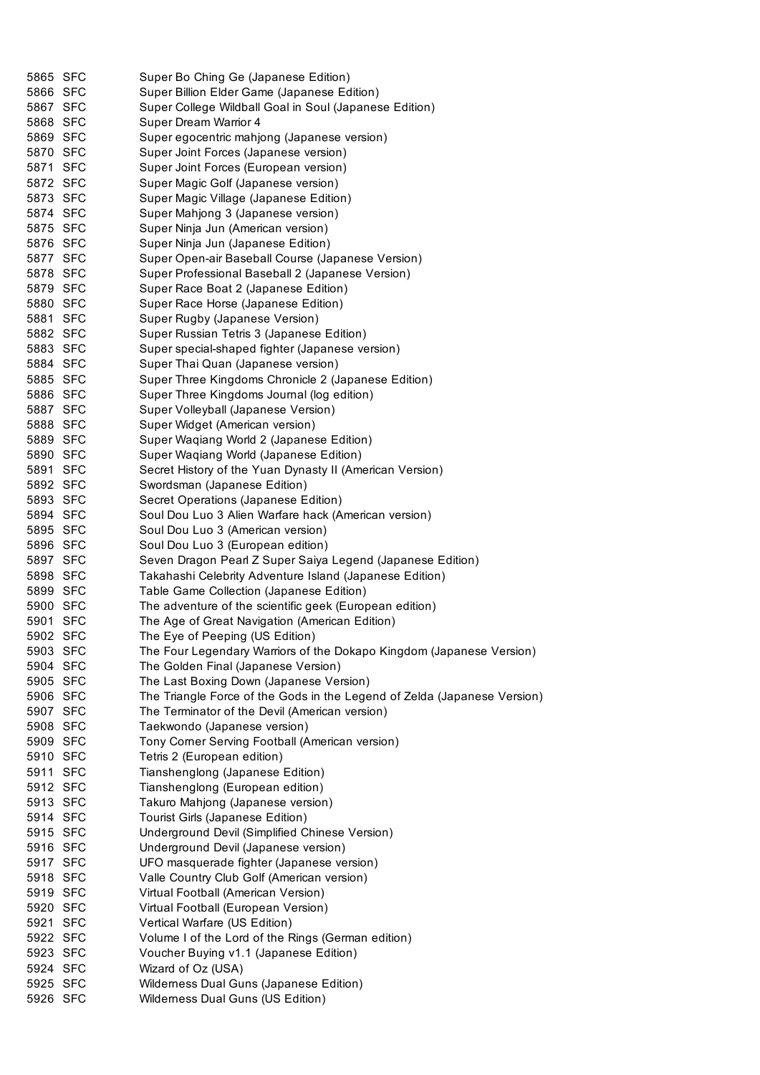| 5865 SFC             | Super Bo Ching Ge (Japanese Edition)                                         |
|----------------------|------------------------------------------------------------------------------|
| 5866 SFC             | Super Billion Elder Game (Japanese Edition)                                  |
| 5867 SFC             | Super College Wildball Goal in Soul (Japanese Edition)                       |
| 5868 SFC             | Super Dream Warrior 4                                                        |
| 5869 SFC             | Super egocentric mahjong (Japanese version)                                  |
| 5870 SFC             | Super Joint Forces (Japanese version)                                        |
| 5871 SFC             | Super Joint Forces (European version)                                        |
| 5872 SFC             | Super Magic Golf (Japanese version)                                          |
| 5873 SFC             | Super Magic Village (Japanese Edition)                                       |
| 5874 SFC             | Super Mahjong 3 (Japanese version)                                           |
| 5875 SFC             | Super Ninja Jun (American version)                                           |
| 5876 SFC             | Super Ninja Jun (Japanese Edition)                                           |
| 5877 SFC             | Super Open-air Baseball Course (Japanese Version)                            |
| 5878 SFC             | Super Professional Baseball 2 (Japanese Version)                             |
| 5879 SFC             | Super Race Boat 2 (Japanese Edition)                                         |
| 5880 SFC             | Super Race Horse (Japanese Edition)                                          |
| 5881 SFC             | Super Rugby (Japanese Version)                                               |
| 5882 SFC             | Super Russian Tetris 3 (Japanese Edition)                                    |
| 5883 SFC             | Super special-shaped fighter (Japanese version)                              |
| 5884 SFC             | Super Thai Quan (Japanese version)                                           |
| 5885 SFC             | Super Three Kingdoms Chronicle 2 (Japanese Edition)                          |
| 5886 SFC             | Super Three Kingdoms Journal (log edition)                                   |
| 5887 SFC             | Super Volleyball (Japanese Version)                                          |
| 5888 SFC             |                                                                              |
|                      | Super Widget (American version)                                              |
| 5889 SFC             | Super Waqiang World 2 (Japanese Edition)                                     |
| 5890 SFC             | Super Waqiang World (Japanese Edition)                                       |
| 5891 SFC             | Secret History of the Yuan Dynasty II (American Version)                     |
| 5892 SFC             | Swordsman (Japanese Edition)                                                 |
| 5893 SFC             | Secret Operations (Japanese Edition)                                         |
| 5894 SFC             | Soul Dou Luo 3 Alien Warfare hack (American version)                         |
| 5895 SFC             | Soul Dou Luo 3 (American version)                                            |
| 5896 SFC             | Soul Dou Luo 3 (European edition)                                            |
| 5897 SFC             | Seven Dragon Pearl Z Super Saiya Legend (Japanese Edition)                   |
| 5898 SFC             | Takahashi Celebrity Adventure Island (Japanese Edition)                      |
| 5899 SFC             | Table Game Collection (Japanese Edition)                                     |
| 5900 SFC             | The adventure of the scientific geek (European edition)                      |
| 5901 SFC             | The Age of Great Navigation (American Edition)                               |
| 5902 SFC             | The Eye of Peeping (US Edition)                                              |
| 5903 SFC             | The Four Legendary Warriors of the Dokapo Kingdom (Japanese Version)         |
| 5904 SFC             | The Golden Final (Japanese Version)                                          |
| 5905 SFC             | The Last Boxing Down (Japanese Version)                                      |
| 5906 SFC             | The Triangle Force of the Gods in the Legend of Zelda (Japanese Version)     |
| 5907 SFC             | The Terminator of the Devil (American version)                               |
| 5908 SFC             | Taekwondo (Japanese version)                                                 |
| 5909 SFC             |                                                                              |
| 5910 SFC             |                                                                              |
|                      | Tony Corner Serving Football (American version)                              |
|                      | Tetris 2 (European edition)                                                  |
| 5911 SFC             | Tianshenglong (Japanese Edition)                                             |
| 5912 SFC             | Tianshenglong (European edition)                                             |
| 5913 SFC             | Takuro Mahjong (Japanese version)                                            |
| 5914 SFC             | Tourist Girls (Japanese Edition)                                             |
| 5915 SFC             | Underground Devil (Simplified Chinese Version)                               |
| 5916 SFC             | Underground Devil (Japanese version)                                         |
| 5917 SFC             | UFO masquerade fighter (Japanese version)                                    |
| 5918 SFC             | Valle Country Club Golf (American version)                                   |
| 5919 SFC             | Virtual Football (American Version)                                          |
| 5920 SFC             | Virtual Football (European Version)                                          |
| 5921 SFC             | Vertical Warfare (US Edition)                                                |
| 5922 SFC             | Volume I of the Lord of the Rings (German edition)                           |
| 5923 SFC             | Voucher Buying v1.1 (Japanese Edition)                                       |
| 5924 SFC             | Wizard of Oz (USA)                                                           |
| 5925 SFC<br>5926 SFC | Wilderness Dual Guns (Japanese Edition)<br>Wilderness Dual Guns (US Edition) |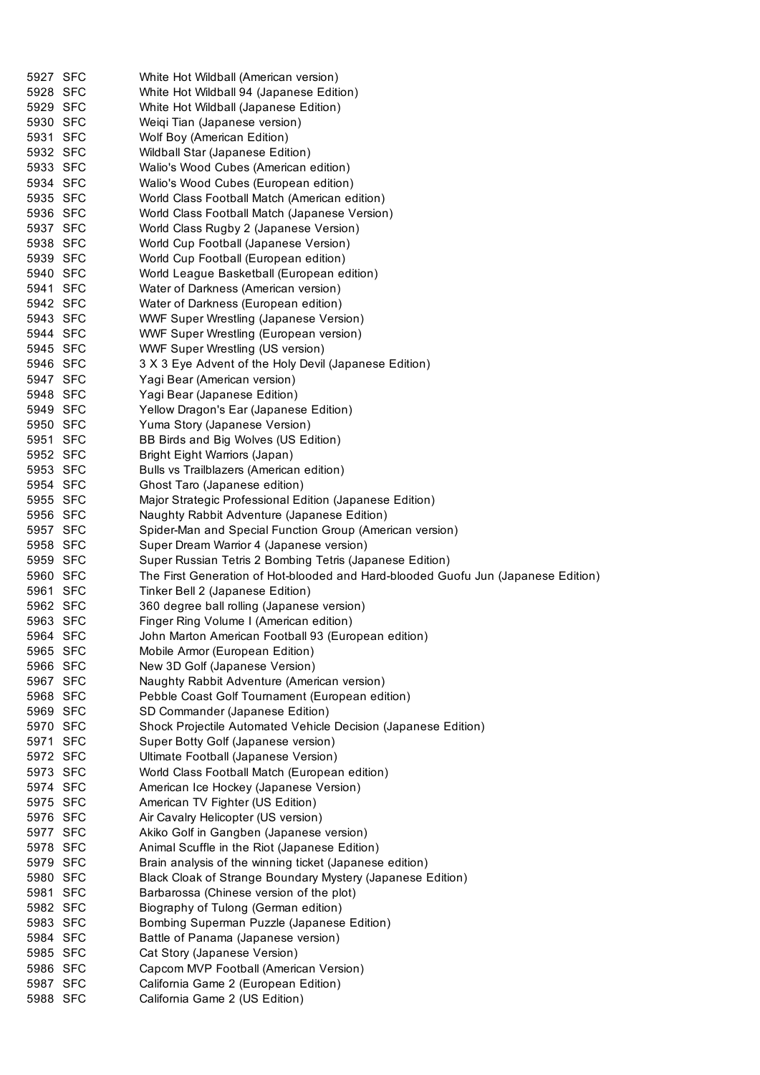| 5927 SFC             | White Hot Wildball (American version)                                             |
|----------------------|-----------------------------------------------------------------------------------|
| 5928 SFC             | White Hot Wildball 94 (Japanese Edition)                                          |
| 5929 SFC             | White Hot Wildball (Japanese Edition)                                             |
| 5930 SFC             | Weiqi Tian (Japanese version)                                                     |
| 5931 SFC             | Wolf Boy (American Edition)                                                       |
| 5932 SFC             | Wildball Star (Japanese Edition)                                                  |
| 5933 SFC             | Walio's Wood Cubes (American edition)                                             |
| 5934 SFC             | Walio's Wood Cubes (European edition)                                             |
| 5935 SFC             | World Class Football Match (American edition)                                     |
| 5936 SFC             | World Class Football Match (Japanese Version)                                     |
| 5937 SFC             | World Class Rugby 2 (Japanese Version)                                            |
| 5938 SFC             | World Cup Football (Japanese Version)                                             |
| 5939 SFC             | World Cup Football (European edition)                                             |
| 5940 SFC             | World League Basketball (European edition)                                        |
| 5941 SFC             | Water of Darkness (American version)                                              |
| 5942 SFC             | Water of Darkness (European edition)                                              |
| 5943 SFC             | <b>WWF Super Wrestling (Japanese Version)</b>                                     |
| 5944 SFC             | WWF Super Wrestling (European version)                                            |
| 5945 SFC             | <b>WWF Super Wrestling (US version)</b>                                           |
| 5946 SFC             | 3 X 3 Eye Advent of the Holy Devil (Japanese Edition)                             |
| 5947 SFC             | Yagi Bear (American version)                                                      |
| 5948 SFC             | Yagi Bear (Japanese Edition)                                                      |
| 5949 SFC             | Yellow Dragon's Ear (Japanese Edition)                                            |
| 5950 SFC             | Yuma Story (Japanese Version)                                                     |
| 5951 SFC             | BB Birds and Big Wolves (US Edition)                                              |
| 5952 SFC             | Bright Eight Warriors (Japan)                                                     |
| 5953 SFC             | Bulls vs Trailblazers (American edition)                                          |
| 5954 SFC             | Ghost Taro (Japanese edition)                                                     |
| 5955 SFC             | Major Strategic Professional Edition (Japanese Edition)                           |
| 5956 SFC             | Naughty Rabbit Adventure (Japanese Edition)                                       |
| 5957 SFC             | Spider-Man and Special Function Group (American version)                          |
| 5958 SFC             | Super Dream Warrior 4 (Japanese version)                                          |
| 5959 SFC             | Super Russian Tetris 2 Bombing Tetris (Japanese Edition)                          |
| 5960 SFC             | The First Generation of Hot-blooded and Hard-blooded Guofu Jun (Japanese Edition) |
| 5961 SFC             | Tinker Bell 2 (Japanese Edition)                                                  |
| 5962 SFC             | 360 degree ball rolling (Japanese version)                                        |
| 5963 SFC             | Finger Ring Volume I (American edition)                                           |
| 5964 SFC             | John Marton American Football 93 (European edition)                               |
| 5965 SFC             | Mobile Armor (European Edition)                                                   |
| 5966 SFC             | New 3D Golf (Japanese Version)                                                    |
| 5967 SFC             | Naughty Rabbit Adventure (American version)                                       |
| 5968 SFC             | Pebble Coast Golf Tournament (European edition)                                   |
| 5969 SFC             | SD Commander (Japanese Edition)                                                   |
| 5970 SFC             | Shock Projectile Automated Vehicle Decision (Japanese Edition)                    |
| 5971 SFC             | Super Botty Golf (Japanese version)                                               |
| 5972 SFC             | Ultimate Football (Japanese Version)                                              |
| 5973 SFC             | World Class Football Match (European edition)                                     |
| 5974 SFC             | American Ice Hockey (Japanese Version)                                            |
| 5975 SFC             | American TV Fighter (US Edition)                                                  |
| 5976 SFC             | Air Cavalry Helicopter (US version)                                               |
| 5977 SFC             | Akiko Golf in Gangben (Japanese version)                                          |
| 5978 SFC             | Animal Scuffle in the Riot (Japanese Edition)                                     |
| 5979 SFC             | Brain analysis of the winning ticket (Japanese edition)                           |
| 5980 SFC             | Black Cloak of Strange Boundary Mystery (Japanese Edition)                        |
| 5981 SFC             | Barbarossa (Chinese version of the plot)                                          |
| 5982 SFC             | Biography of Tulong (German edition)                                              |
| 5983 SFC             | Bombing Superman Puzzle (Japanese Edition)                                        |
| 5984 SFC             | Battle of Panama (Japanese version)                                               |
|                      |                                                                                   |
| 5985 SFC             | Cat Story (Japanese Version)                                                      |
| 5986 SFC             | Capcom MVP Football (American Version)                                            |
| 5987 SFC<br>5988 SFC | California Game 2 (European Edition)<br>California Game 2 (US Edition)            |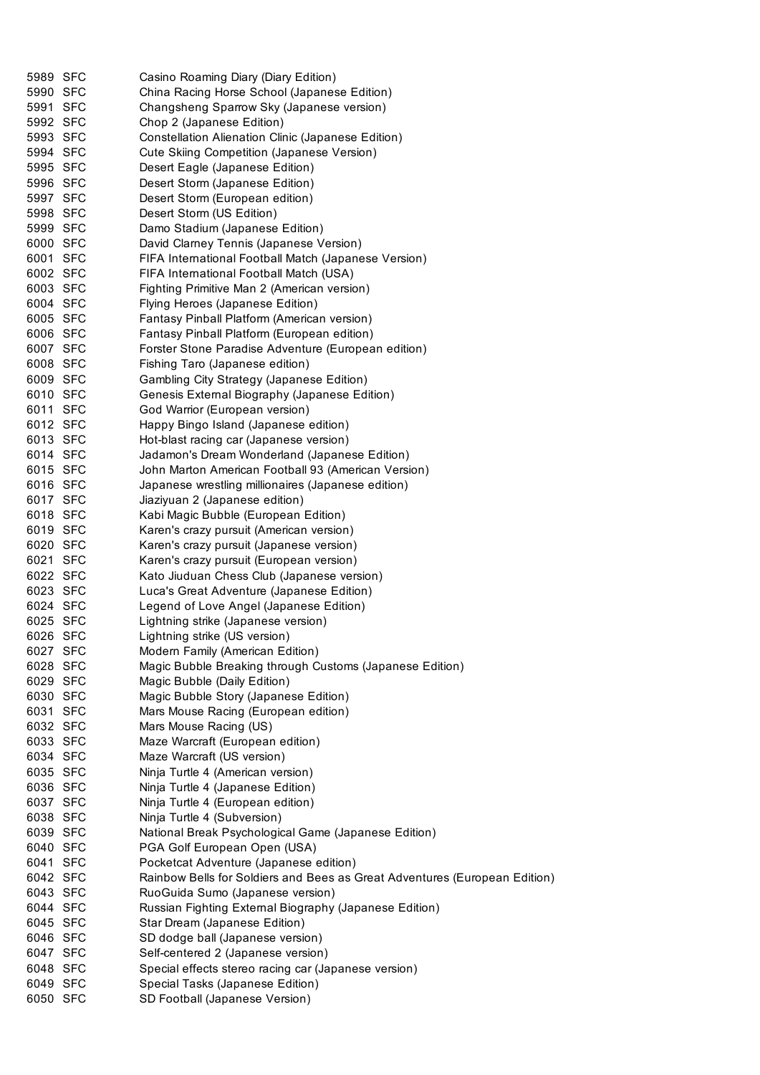| 5989 SFC | Casino Roaming Diary (Diary Edition)                                       |
|----------|----------------------------------------------------------------------------|
| 5990 SFC | China Racing Horse School (Japanese Edition)                               |
| 5991 SFC | Changsheng Sparrow Sky (Japanese version)                                  |
| 5992 SFC | Chop 2 (Japanese Edition)                                                  |
| 5993 SFC | Constellation Alienation Clinic (Japanese Edition)                         |
| 5994 SFC | Cute Skiing Competition (Japanese Version)                                 |
| 5995 SFC | Desert Eagle (Japanese Edition)                                            |
| 5996 SFC | Desert Storm (Japanese Edition)                                            |
| 5997 SFC | Desert Storm (European edition)                                            |
| 5998 SFC | Desert Storm (US Edition)                                                  |
| 5999 SFC | Damo Stadium (Japanese Edition)                                            |
| 6000 SFC | David Clarney Tennis (Japanese Version)                                    |
| 6001 SFC | FIFA International Football Match (Japanese Version)                       |
| 6002 SFC | FIFA International Football Match (USA)                                    |
| 6003 SFC | Fighting Primitive Man 2 (American version)                                |
| 6004 SFC | Flying Heroes (Japanese Edition)                                           |
| 6005 SFC | Fantasy Pinball Platform (American version)                                |
| 6006 SFC | Fantasy Pinball Platform (European edition)                                |
| 6007 SFC | Forster Stone Paradise Adventure (European edition)                        |
| 6008 SFC | Fishing Taro (Japanese edition)                                            |
| 6009 SFC | Gambling City Strategy (Japanese Edition)                                  |
| 6010 SFC | Genesis External Biography (Japanese Edition)                              |
| 6011 SFC | God Warrior (European version)                                             |
| 6012 SFC |                                                                            |
| 6013 SFC | Happy Bingo Island (Japanese edition)                                      |
|          | Hot-blast racing car (Japanese version)                                    |
| 6014 SFC | Jadamon's Dream Wonderland (Japanese Edition)                              |
| 6015 SFC | John Marton American Football 93 (American Version)                        |
| 6016 SFC | Japanese wrestling millionaires (Japanese edition)                         |
| 6017 SFC | Jiaziyuan 2 (Japanese edition)                                             |
| 6018 SFC | Kabi Magic Bubble (European Edition)                                       |
| 6019 SFC | Karen's crazy pursuit (American version)                                   |
| 6020 SFC | Karen's crazy pursuit (Japanese version)                                   |
| 6021 SFC | Karen's crazy pursuit (European version)                                   |
| 6022 SFC | Kato Jiuduan Chess Club (Japanese version)                                 |
| 6023 SFC | Luca's Great Adventure (Japanese Edition)                                  |
| 6024 SFC | Legend of Love Angel (Japanese Edition)                                    |
| 6025 SFC | Lightning strike (Japanese version)                                        |
| 6026 SFC | Lightning strike (US version)                                              |
| 6027 SFC | Modern Family (American Edition)                                           |
| 6028 SFC | Magic Bubble Breaking through Customs (Japanese Edition)                   |
| 6029 SFC | Magic Bubble (Daily Edition)                                               |
| 6030 SFC | Magic Bubble Story (Japanese Edition)                                      |
| 6031 SFC | Mars Mouse Racing (European edition)                                       |
| 6032 SFC | Mars Mouse Racing (US)                                                     |
| 6033 SFC | Maze Warcraft (European edition)                                           |
| 6034 SFC | Maze Warcraft (US version)                                                 |
| 6035 SFC | Ninja Turtle 4 (American version)                                          |
| 6036 SFC | Ninja Turtle 4 (Japanese Edition)                                          |
| 6037 SFC | Ninja Turtle 4 (European edition)                                          |
| 6038 SFC | Ninja Turtle 4 (Subversion)                                                |
| 6039 SFC | National Break Psychological Game (Japanese Edition)                       |
| 6040 SFC | PGA Golf European Open (USA)                                               |
| 6041 SFC | Pocketcat Adventure (Japanese edition)                                     |
| 6042 SFC | Rainbow Bells for Soldiers and Bees as Great Adventures (European Edition) |
| 6043 SFC | RuoGuida Sumo (Japanese version)                                           |
| 6044 SFC | Russian Fighting External Biography (Japanese Edition)                     |
| 6045 SFC | Star Dream (Japanese Edition)                                              |
| 6046 SFC | SD dodge ball (Japanese version)                                           |
| 6047 SFC | Self-centered 2 (Japanese version)                                         |
| 6048 SFC | Special effects stereo racing car (Japanese version)                       |
| 6049 SFC | Special Tasks (Japanese Edition)                                           |
| 6050 SFC | SD Football (Japanese Version)                                             |
|          |                                                                            |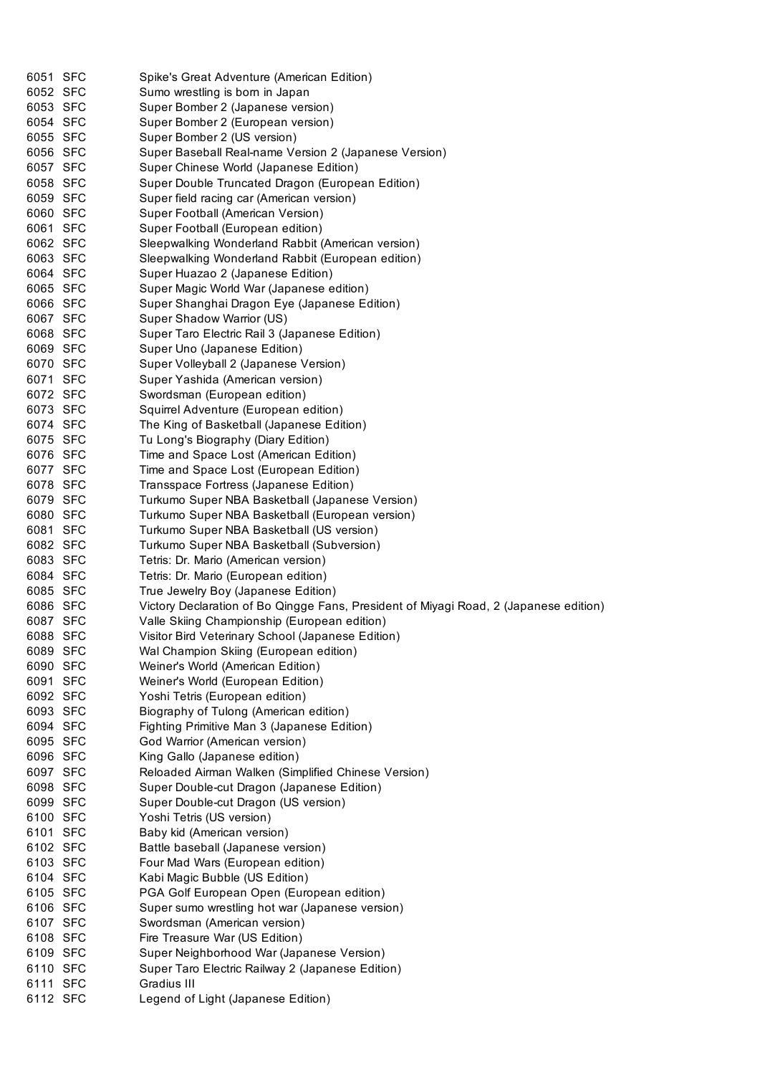| 6051 SFC | Spike's Great Adventure (American Edition)                                            |
|----------|---------------------------------------------------------------------------------------|
| 6052 SFC | Sumo wrestling is born in Japan                                                       |
| 6053 SFC | Super Bomber 2 (Japanese version)                                                     |
| 6054 SFC |                                                                                       |
| 6055 SFC | Super Bomber 2 (European version)                                                     |
|          | Super Bomber 2 (US version)                                                           |
| 6056 SFC | Super Baseball Real-name Version 2 (Japanese Version)                                 |
| 6057 SFC | Super Chinese World (Japanese Edition)                                                |
| 6058 SFC | Super Double Truncated Dragon (European Edition)                                      |
| 6059 SFC | Super field racing car (American version)                                             |
| 6060 SFC | Super Football (American Version)                                                     |
| 6061 SFC | Super Football (European edition)                                                     |
| 6062 SFC | Sleepwalking Wonderland Rabbit (American version)                                     |
| 6063 SFC | Sleepwalking Wonderland Rabbit (European edition)                                     |
| 6064 SFC | Super Huazao 2 (Japanese Edition)                                                     |
| 6065 SFC | Super Magic World War (Japanese edition)                                              |
| 6066 SFC | Super Shanghai Dragon Eye (Japanese Edition)                                          |
| 6067 SFC | Super Shadow Warrior (US)                                                             |
| 6068 SFC | Super Taro Electric Rail 3 (Japanese Edition)                                         |
| 6069 SFC | Super Uno (Japanese Edition)                                                          |
| 6070 SFC | Super Volleyball 2 (Japanese Version)                                                 |
| 6071 SFC | Super Yashida (American version)                                                      |
| 6072 SFC | Swordsman (European edition)                                                          |
| 6073 SFC | Squirrel Adventure (European edition)                                                 |
| 6074 SFC | The King of Basketball (Japanese Edition)                                             |
| 6075 SFC | Tu Long's Biography (Diary Edition)                                                   |
| 6076 SFC | Time and Space Lost (American Edition)                                                |
| 6077 SFC | Time and Space Lost (European Edition)                                                |
| 6078 SFC | Transspace Fortress (Japanese Edition)                                                |
| 6079 SFC | Turkumo Super NBA Basketball (Japanese Version)                                       |
| 6080 SFC | Turkumo Super NBA Basketball (European version)                                       |
| 6081 SFC | Turkumo Super NBA Basketball (US version)                                             |
| 6082 SFC | Turkumo Super NBA Basketball (Subversion)                                             |
| 6083 SFC | Tetris: Dr. Mario (American version)                                                  |
| 6084 SFC | Tetris: Dr. Mario (European edition)                                                  |
| 6085 SFC | True Jewelry Boy (Japanese Edition)                                                   |
| 6086 SFC | Victory Declaration of Bo Qingge Fans, President of Miyagi Road, 2 (Japanese edition) |
| 6087 SFC | Valle Skiing Championship (European edition)                                          |
| 6088 SFC | Visitor Bird Veterinary School (Japanese Edition)                                     |
| 6089 SFC | Wal Champion Skiing (European edition)                                                |
| 6090 SFC | Weiner's World (American Edition)                                                     |
| 6091 SFC | Weiner's World (European Edition)                                                     |
| 6092 SFC | Yoshi Tetris (European edition)                                                       |
| 6093 SFC | Biography of Tulong (American edition)                                                |
| 6094 SFC | Fighting Primitive Man 3 (Japanese Edition)                                           |
| 6095 SFC | God Warrior (American version)                                                        |
| 6096 SFC | King Gallo (Japanese edition)                                                         |
| 6097 SFC | Reloaded Airman Walken (Simplified Chinese Version)                                   |
| 6098 SFC | Super Double-cut Dragon (Japanese Edition)                                            |
| 6099 SFC | Super Double-cut Dragon (US version)                                                  |
| 6100 SFC | Yoshi Tetris (US version)                                                             |
| 6101 SFC | Baby kid (American version)                                                           |
| 6102 SFC | Battle baseball (Japanese version)                                                    |
| 6103 SFC | Four Mad Wars (European edition)                                                      |
| 6104 SFC | Kabi Magic Bubble (US Edition)                                                        |
| 6105 SFC | PGA Golf European Open (European edition)                                             |
| 6106 SFC | Super sumo wrestling hot war (Japanese version)                                       |
| 6107 SFC | Swordsman (American version)                                                          |
| 6108 SFC | Fire Treasure War (US Edition)                                                        |
| 6109 SFC | Super Neighborhood War (Japanese Version)                                             |
| 6110 SFC | Super Taro Electric Railway 2 (Japanese Edition)                                      |
| 6111 SFC | Gradius III                                                                           |
| 6112 SFC | Legend of Light (Japanese Edition)                                                    |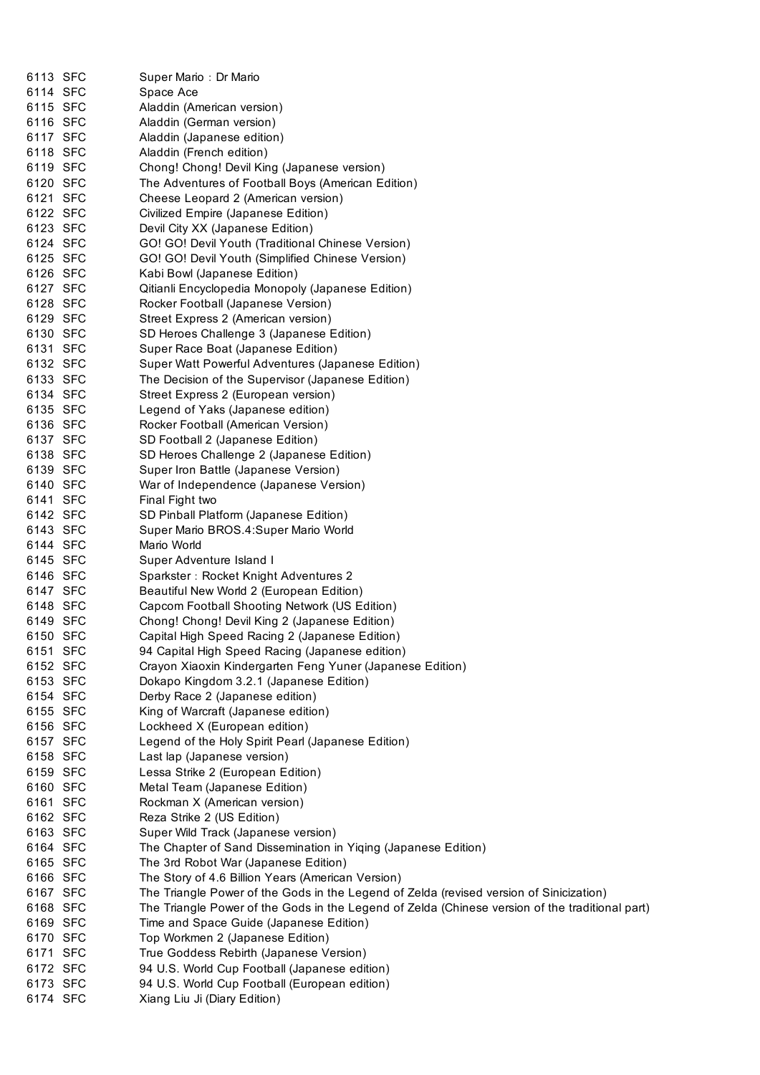| 6113 SFC             | Super Mario: Dr Mario                                                                           |
|----------------------|-------------------------------------------------------------------------------------------------|
| 6114 SFC             | Space Ace                                                                                       |
| 6115 SFC             | Aladdin (American version)                                                                      |
| 6116 SFC             | Aladdin (German version)                                                                        |
| 6117 SFC             | Aladdin (Japanese edition)                                                                      |
| 6118 SFC             | Aladdin (French edition)                                                                        |
| 6119 SFC             | Chong! Chong! Devil King (Japanese version)                                                     |
| 6120 SFC             | The Adventures of Football Boys (American Edition)                                              |
| 6121 SFC             | Cheese Leopard 2 (American version)                                                             |
| 6122 SFC             | Civilized Empire (Japanese Edition)                                                             |
| 6123 SFC             | Devil City XX (Japanese Edition)                                                                |
| 6124 SFC             | GO! GO! Devil Youth (Traditional Chinese Version)                                               |
| 6125 SFC             | GO! GO! Devil Youth (Simplified Chinese Version)                                                |
| 6126 SFC             | Kabi Bowl (Japanese Edition)                                                                    |
| 6127 SFC             | Qitianli Encyclopedia Monopoly (Japanese Edition)                                               |
| 6128 SFC             | Rocker Football (Japanese Version)                                                              |
| 6129 SFC             | Street Express 2 (American version)                                                             |
| 6130 SFC             | SD Heroes Challenge 3 (Japanese Edition)                                                        |
| 6131 SFC             | Super Race Boat (Japanese Edition)                                                              |
| 6132 SFC             | Super Watt Powerful Adventures (Japanese Edition)                                               |
| 6133 SFC             | The Decision of the Supervisor (Japanese Edition)                                               |
| 6134 SFC             | Street Express 2 (European version)                                                             |
| 6135 SFC             | Legend of Yaks (Japanese edition)                                                               |
| 6136 SFC             | Rocker Football (American Version)                                                              |
| 6137 SFC             | SD Football 2 (Japanese Edition)                                                                |
| 6138 SFC             | SD Heroes Challenge 2 (Japanese Edition)                                                        |
| 6139 SFC             | Super Iron Battle (Japanese Version)                                                            |
| 6140 SFC             | War of Independence (Japanese Version)                                                          |
| 6141 SFC             | Final Fight two                                                                                 |
| 6142 SFC             | SD Pinball Platform (Japanese Edition)                                                          |
| 6143 SFC             | Super Mario BROS.4: Super Mario World                                                           |
| 6144 SFC             | Mario World                                                                                     |
| 6145 SFC             | Super Adventure Island I                                                                        |
| 6146 SFC             | Sparkster: Rocket Knight Adventures 2                                                           |
| 6147 SFC             | Beautiful New World 2 (European Edition)                                                        |
| 6148 SFC             | Capcom Football Shooting Network (US Edition)                                                   |
| 6149 SFC             | Chong! Chong! Devil King 2 (Japanese Edition)                                                   |
| 6150 SFC             | Capital High Speed Racing 2 (Japanese Edition)                                                  |
| 6151 SFC             | 94 Capital High Speed Racing (Japanese edition)                                                 |
| 6152 SFC             | Crayon Xiaoxin Kindergarten Feng Yuner (Japanese Edition)                                       |
| 6153 SFC             | Dokapo Kingdom 3.2.1 (Japanese Edition)                                                         |
| 6154 SFC             | Derby Race 2 (Japanese edition)                                                                 |
| 6155 SFC             | King of Warcraft (Japanese edition)                                                             |
| 6156 SFC<br>6157 SFC | Lockheed X (European edition)                                                                   |
| 6158 SFC             | Legend of the Holy Spirit Pearl (Japanese Edition)<br>Last lap (Japanese version)               |
| 6159 SFC             | Lessa Strike 2 (European Edition)                                                               |
| 6160 SFC             | Metal Team (Japanese Edition)                                                                   |
| 6161 SFC             | Rockman X (American version)                                                                    |
| 6162 SFC             | Reza Strike 2 (US Edition)                                                                      |
| 6163 SFC             | Super Wild Track (Japanese version)                                                             |
| 6164 SFC             | The Chapter of Sand Dissemination in Yiqing (Japanese Edition)                                  |
| 6165 SFC             | The 3rd Robot War (Japanese Edition)                                                            |
| 6166 SFC             | The Story of 4.6 Billion Years (American Version)                                               |
| 6167 SFC             | The Triangle Power of the Gods in the Legend of Zelda (revised version of Sinicization)         |
| 6168 SFC             | The Triangle Power of the Gods in the Legend of Zelda (Chinese version of the traditional part) |
| 6169 SFC             | Time and Space Guide (Japanese Edition)                                                         |
| 6170 SFC             | Top Workmen 2 (Japanese Edition)                                                                |
| 6171 SFC             | True Goddess Rebirth (Japanese Version)                                                         |
| 6172 SFC             | 94 U.S. World Cup Football (Japanese edition)                                                   |
| 6173 SFC             | 94 U.S. World Cup Football (European edition)                                                   |
| 6174 SFC             | Xiang Liu Ji (Diary Edition)                                                                    |
|                      |                                                                                                 |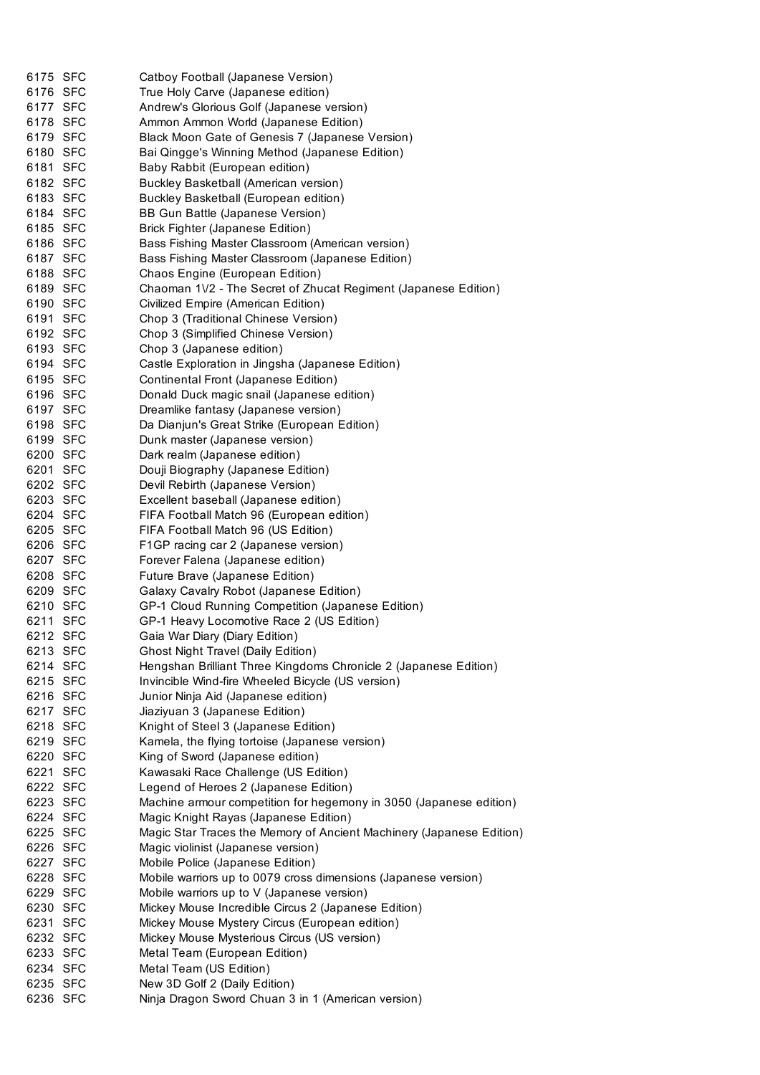| 6175 SFC | Catboy Football (Japanese Version)                                   |
|----------|----------------------------------------------------------------------|
| 6176 SFC | True Holy Carve (Japanese edition)                                   |
| 6177 SFC | Andrew's Glorious Golf (Japanese version)                            |
| 6178 SFC | Ammon Ammon World (Japanese Edition)                                 |
| 6179 SFC | Black Moon Gate of Genesis 7 (Japanese Version)                      |
| 6180 SFC | Bai Qingge's Winning Method (Japanese Edition)                       |
| 6181 SFC | Baby Rabbit (European edition)                                       |
| 6182 SFC | Buckley Basketball (American version)                                |
| 6183 SFC | Buckley Basketball (European edition)                                |
| 6184 SFC | BB Gun Battle (Japanese Version)                                     |
| 6185 SFC | <b>Brick Fighter (Japanese Edition)</b>                              |
| 6186 SFC | Bass Fishing Master Classroom (American version)                     |
| 6187 SFC | Bass Fishing Master Classroom (Japanese Edition)                     |
| 6188 SFC | Chaos Engine (European Edition)                                      |
| 6189 SFC | Chaoman 1V2 - The Secret of Zhucat Regiment (Japanese Edition)       |
| 6190 SFC | Civilized Empire (American Edition)                                  |
| 6191 SFC | Chop 3 (Traditional Chinese Version)                                 |
| 6192 SFC | Chop 3 (Simplified Chinese Version)                                  |
| 6193 SFC | Chop 3 (Japanese edition)                                            |
| 6194 SFC | Castle Exploration in Jingsha (Japanese Edition)                     |
| 6195 SFC | Continental Front (Japanese Edition)                                 |
| 6196 SFC | Donald Duck magic snail (Japanese edition)                           |
| 6197 SFC | Dreamlike fantasy (Japanese version)                                 |
| 6198 SFC | Da Dianjun's Great Strike (European Edition)                         |
| 6199 SFC | Dunk master (Japanese version)                                       |
| 6200 SFC | Dark realm (Japanese edition)                                        |
| 6201 SFC | Douji Biography (Japanese Edition)                                   |
| 6202 SFC | Devil Rebirth (Japanese Version)                                     |
| 6203 SFC | Excellent baseball (Japanese edition)                                |
| 6204 SFC | FIFA Football Match 96 (European edition)                            |
| 6205 SFC | FIFA Football Match 96 (US Edition)                                  |
| 6206 SFC | F1GP racing car 2 (Japanese version)                                 |
| 6207 SFC | Forever Falena (Japanese edition)                                    |
| 6208 SFC | Future Brave (Japanese Edition)                                      |
| 6209 SFC | Galaxy Cavalry Robot (Japanese Edition)                              |
| 6210 SFC | GP-1 Cloud Running Competition (Japanese Edition)                    |
| 6211 SFC | GP-1 Heavy Locomotive Race 2 (US Edition)                            |
| 6212 SFC | Gaia War Diary (Diary Edition)                                       |
| 6213 SFC | <b>Ghost Night Travel (Daily Edition)</b>                            |
| 6214 SFC | Hengshan Brilliant Three Kingdoms Chronicle 2 (Japanese Edition)     |
| 6215 SFC | Invincible Wind-fire Wheeled Bicycle (US version)                    |
| 6216 SFC | Junior Ninja Aid (Japanese edition)                                  |
| 6217 SFC | Jiaziyuan 3 (Japanese Edition)                                       |
| 6218 SFC | Knight of Steel 3 (Japanese Edition)                                 |
| 6219 SFC | Kamela, the flying tortoise (Japanese version)                       |
| 6220 SFC | King of Sword (Japanese edition)                                     |
| 6221 SFC | Kawasaki Race Challenge (US Edition)                                 |
| 6222 SFC | Legend of Heroes 2 (Japanese Edition)                                |
| 6223 SFC | Machine armour competition for hegemony in 3050 (Japanese edition)   |
| 6224 SFC | Magic Knight Rayas (Japanese Edition)                                |
| 6225 SFC | Magic Star Traces the Memory of Ancient Machinery (Japanese Edition) |
| 6226 SFC | Magic violinist (Japanese version)                                   |
| 6227 SFC | Mobile Police (Japanese Edition)                                     |
| 6228 SFC | Mobile warriors up to 0079 cross dimensions (Japanese version)       |
| 6229 SFC | Mobile warriors up to V (Japanese version)                           |
| 6230 SFC | Mickey Mouse Incredible Circus 2 (Japanese Edition)                  |
| 6231 SFC | Mickey Mouse Mystery Circus (European edition)                       |
| 6232 SFC | Mickey Mouse Mysterious Circus (US version)                          |
| 6233 SFC | Metal Team (European Edition)                                        |
| 6234 SFC | Metal Team (US Edition)                                              |
| 6235 SFC | New 3D Golf 2 (Daily Edition)                                        |
| 6236 SFC | Ninja Dragon Sword Chuan 3 in 1 (American version)                   |
|          |                                                                      |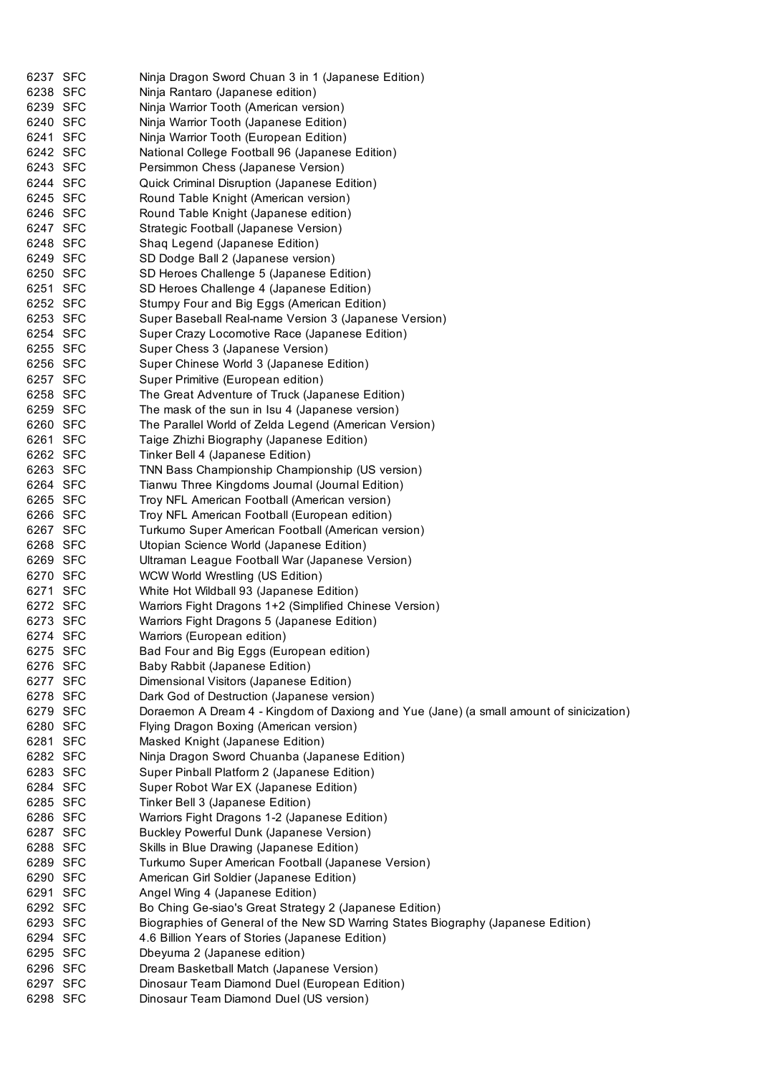| 6237 SFC | Ninja Dragon Sword Chuan 3 in 1 (Japanese Edition)                                      |
|----------|-----------------------------------------------------------------------------------------|
| 6238 SFC | Ninja Rantaro (Japanese edition)                                                        |
| 6239 SFC | Ninja Warrior Tooth (American version)                                                  |
| 6240 SFC | Ninja Warrior Tooth (Japanese Edition)                                                  |
| 6241 SFC | Ninja Warrior Tooth (European Edition)                                                  |
| 6242 SFC | National College Football 96 (Japanese Edition)                                         |
| 6243 SFC | Persimmon Chess (Japanese Version)                                                      |
| 6244 SFC | Quick Criminal Disruption (Japanese Edition)                                            |
| 6245 SFC | Round Table Knight (American version)                                                   |
| 6246 SFC | Round Table Knight (Japanese edition)                                                   |
| 6247 SFC | Strategic Football (Japanese Version)                                                   |
| 6248 SFC | Shaq Legend (Japanese Edition)                                                          |
| 6249 SFC | SD Dodge Ball 2 (Japanese version)                                                      |
| 6250 SFC | SD Heroes Challenge 5 (Japanese Edition)                                                |
| 6251 SFC | SD Heroes Challenge 4 (Japanese Edition)                                                |
| 6252 SFC | Stumpy Four and Big Eggs (American Edition)                                             |
| 6253 SFC | Super Baseball Real-name Version 3 (Japanese Version)                                   |
| 6254 SFC | Super Crazy Locomotive Race (Japanese Edition)                                          |
| 6255 SFC | Super Chess 3 (Japanese Version)                                                        |
| 6256 SFC | Super Chinese World 3 (Japanese Edition)                                                |
| 6257 SFC | Super Primitive (European edition)                                                      |
| 6258 SFC | The Great Adventure of Truck (Japanese Edition)                                         |
| 6259 SFC | The mask of the sun in Isu 4 (Japanese version)                                         |
| 6260 SFC | The Parallel World of Zelda Legend (American Version)                                   |
| 6261 SFC | Taige Zhizhi Biography (Japanese Edition)                                               |
| 6262 SFC | Tinker Bell 4 (Japanese Edition)                                                        |
| 6263 SFC | TNN Bass Championship Championship (US version)                                         |
| 6264 SFC | Tianwu Three Kingdoms Journal (Journal Edition)                                         |
| 6265 SFC | Troy NFL American Football (American version)                                           |
| 6266 SFC | Troy NFL American Football (European edition)                                           |
| 6267 SFC | Turkumo Super American Football (American version)                                      |
| 6268 SFC | Utopian Science World (Japanese Edition)                                                |
| 6269 SFC | Ultraman League Football War (Japanese Version)                                         |
| 6270 SFC | WCW World Wrestling (US Edition)                                                        |
| 6271 SFC | White Hot Wildball 93 (Japanese Edition)                                                |
| 6272 SFC | Warriors Fight Dragons 1+2 (Simplified Chinese Version)                                 |
| 6273 SFC | Warriors Fight Dragons 5 (Japanese Edition)                                             |
| 6274 SFC | Warriors (European edition)                                                             |
| 6275 SFC | Bad Four and Big Eggs (European edition)                                                |
| 6276 SFC | Baby Rabbit (Japanese Edition)                                                          |
| 6277 SFC | Dimensional Visitors (Japanese Edition)                                                 |
| 6278 SFC | Dark God of Destruction (Japanese version)                                              |
| 6279 SFC | Doraemon A Dream 4 - Kingdom of Daxiong and Yue (Jane) (a small amount of sinicization) |
| 6280 SFC | Flying Dragon Boxing (American version)                                                 |
| 6281 SFC | Masked Knight (Japanese Edition)                                                        |
| 6282 SFC | Ninja Dragon Sword Chuanba (Japanese Edition)                                           |
| 6283 SFC | Super Pinball Platform 2 (Japanese Edition)                                             |
| 6284 SFC | Super Robot War EX (Japanese Edition)                                                   |
| 6285 SFC | Tinker Bell 3 (Japanese Edition)                                                        |
| 6286 SFC | Warriors Fight Dragons 1-2 (Japanese Edition)                                           |
| 6287 SFC | Buckley Powerful Dunk (Japanese Version)                                                |
| 6288 SFC | Skills in Blue Drawing (Japanese Edition)                                               |
| 6289 SFC | Turkumo Super American Football (Japanese Version)                                      |
| 6290 SFC | American Girl Soldier (Japanese Edition)                                                |
| 6291 SFC | Angel Wing 4 (Japanese Edition)                                                         |
| 6292 SFC | Bo Ching Ge-siao's Great Strategy 2 (Japanese Edition)                                  |
| 6293 SFC | Biographies of General of the New SD Warring States Biography (Japanese Edition)        |
| 6294 SFC | 4.6 Billion Years of Stories (Japanese Edition)                                         |
| 6295 SFC | Dbeyuma 2 (Japanese edition)                                                            |
| 6296 SFC | Dream Basketball Match (Japanese Version)                                               |
| 6297 SFC | Dinosaur Team Diamond Duel (European Edition)                                           |
| 6298 SFC | Dinosaur Team Diamond Duel (US version)                                                 |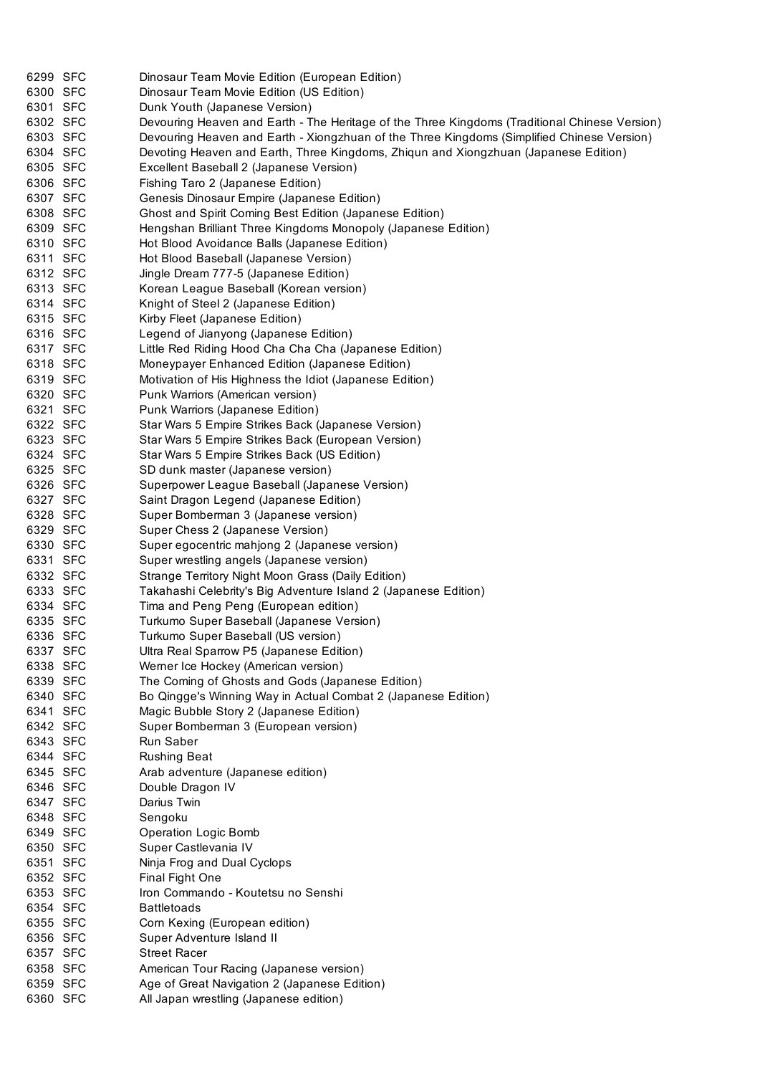| 6299 SFC | Dinosaur Team Movie Edition (European Edition)                                                |
|----------|-----------------------------------------------------------------------------------------------|
| 6300 SFC | Dinosaur Team Movie Edition (US Edition)                                                      |
| 6301 SFC | Dunk Youth (Japanese Version)                                                                 |
| 6302 SFC | Devouring Heaven and Earth - The Heritage of the Three Kingdoms (Traditional Chinese Version) |
| 6303 SFC | Devouring Heaven and Earth - Xiongzhuan of the Three Kingdoms (Simplified Chinese Version)    |
| 6304 SFC | Devoting Heaven and Earth, Three Kingdoms, Zhiqun and Xiongzhuan (Japanese Edition)           |
| 6305 SFC | Excellent Baseball 2 (Japanese Version)                                                       |
| 6306 SFC | Fishing Taro 2 (Japanese Edition)                                                             |
| 6307 SFC | Genesis Dinosaur Empire (Japanese Edition)                                                    |
| 6308 SFC | Ghost and Spirit Coming Best Edition (Japanese Edition)                                       |
| 6309 SFC | Hengshan Brilliant Three Kingdoms Monopoly (Japanese Edition)                                 |
| 6310 SFC | Hot Blood Avoidance Balls (Japanese Edition)                                                  |
| 6311 SFC | Hot Blood Baseball (Japanese Version)                                                         |
| 6312 SFC | Jingle Dream 777-5 (Japanese Edition)                                                         |
| 6313 SFC | Korean League Baseball (Korean version)                                                       |
| 6314 SFC | Knight of Steel 2 (Japanese Edition)                                                          |
| 6315 SFC | Kirby Fleet (Japanese Edition)                                                                |
| 6316 SFC | Legend of Jianyong (Japanese Edition)                                                         |
| 6317 SFC | Little Red Riding Hood Cha Cha Cha (Japanese Edition)                                         |
| 6318 SFC | Moneypayer Enhanced Edition (Japanese Edition)                                                |
| 6319 SFC | Motivation of His Highness the Idiot (Japanese Edition)                                       |
| 6320 SFC | Punk Warriors (American version)                                                              |
| 6321 SFC | Punk Warriors (Japanese Edition)                                                              |
| 6322 SFC | Star Wars 5 Empire Strikes Back (Japanese Version)                                            |
| 6323 SFC | Star Wars 5 Empire Strikes Back (European Version)                                            |
| 6324 SFC | Star Wars 5 Empire Strikes Back (US Edition)                                                  |
| 6325 SFC | SD dunk master (Japanese version)                                                             |
| 6326 SFC | Superpower League Baseball (Japanese Version)                                                 |
| 6327 SFC | Saint Dragon Legend (Japanese Edition)                                                        |
| 6328 SFC | Super Bomberman 3 (Japanese version)                                                          |
| 6329 SFC | Super Chess 2 (Japanese Version)                                                              |
| 6330 SFC | Super egocentric mahjong 2 (Japanese version)                                                 |
| 6331 SFC | Super wrestling angels (Japanese version)                                                     |
| 6332 SFC | Strange Territory Night Moon Grass (Daily Edition)                                            |
| 6333 SFC | Takahashi Celebrity's Big Adventure Island 2 (Japanese Edition)                               |
| 6334 SFC | Tima and Peng Peng (European edition)                                                         |
| 6335 SFC | Turkumo Super Baseball (Japanese Version)                                                     |
| 6336 SFC | Turkumo Super Baseball (US version)                                                           |
| 6337 SFC | Ultra Real Sparrow P5 (Japanese Edition)                                                      |
| 6338 SFC | Werner Ice Hockey (American version)                                                          |
| 6339 SFC | The Coming of Ghosts and Gods (Japanese Edition)                                              |
| 6340 SFC | Bo Qingge's Winning Way in Actual Combat 2 (Japanese Edition)                                 |
| 6341 SFC | Magic Bubble Story 2 (Japanese Edition)                                                       |
| 6342 SFC | Super Bomberman 3 (European version)                                                          |
| 6343 SFC | Run Saber                                                                                     |
| 6344 SFC | <b>Rushing Beat</b>                                                                           |
| 6345 SFC | Arab adventure (Japanese edition)                                                             |
| 6346 SFC | Double Dragon IV                                                                              |
| 6347 SFC | Darius Twin                                                                                   |
| 6348 SFC | Sengoku                                                                                       |
| 6349 SFC | <b>Operation Logic Bomb</b>                                                                   |
| 6350 SFC | Super Castlevania IV                                                                          |
| 6351 SFC | Ninja Frog and Dual Cyclops                                                                   |
| 6352 SFC | <b>Final Fight One</b>                                                                        |
| 6353 SFC | Iron Commando - Koutetsu no Senshi                                                            |
| 6354 SFC | <b>Battletoads</b>                                                                            |
| 6355 SFC | Corn Kexing (European edition)                                                                |
| 6356 SFC | Super Adventure Island II                                                                     |
| 6357 SFC | <b>Street Racer</b>                                                                           |
| 6358 SFC | American Tour Racing (Japanese version)                                                       |
| 6359 SFC | Age of Great Navigation 2 (Japanese Edition)                                                  |
| 6360 SFC | All Japan wrestling (Japanese edition)                                                        |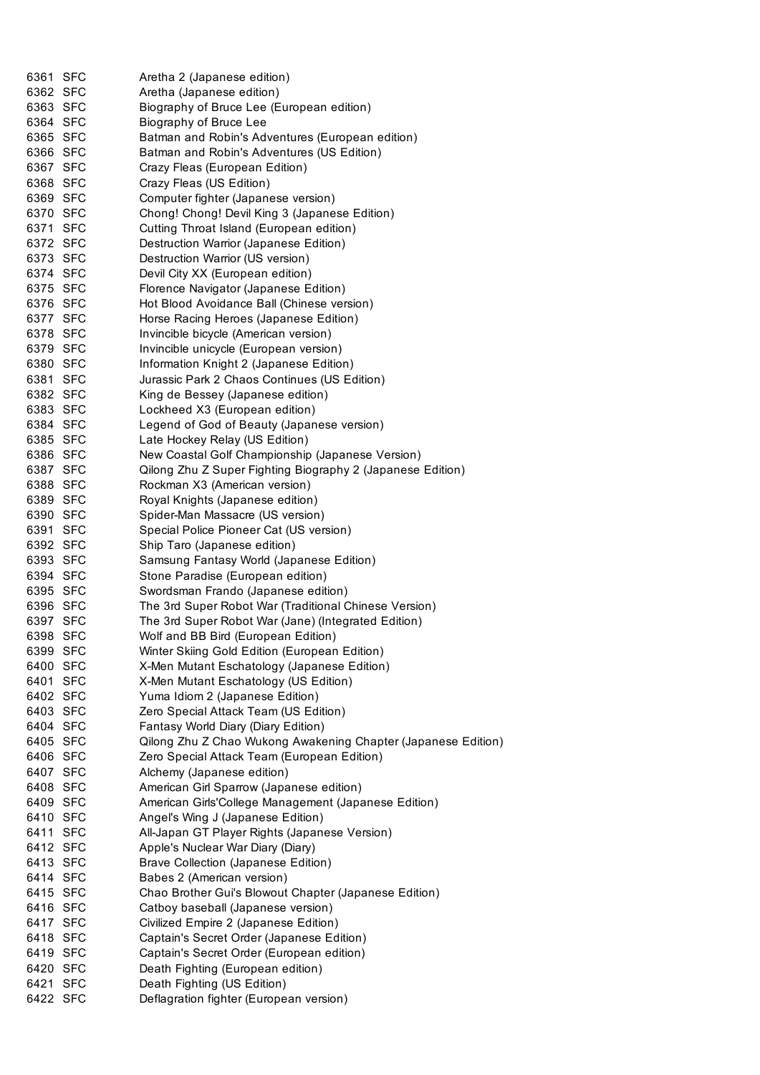| 6361 SFC | Aretha 2 (Japanese edition)                                                          |
|----------|--------------------------------------------------------------------------------------|
| 6362 SFC | Aretha (Japanese edition)                                                            |
| 6363 SFC | Biography of Bruce Lee (European edition)                                            |
| 6364 SFC | Biography of Bruce Lee                                                               |
| 6365 SFC | Batman and Robin's Adventures (European edition)                                     |
| 6366 SFC | Batman and Robin's Adventures (US Edition)                                           |
| 6367 SFC | Crazy Fleas (European Edition)                                                       |
| 6368 SFC | Crazy Fleas (US Edition)                                                             |
| 6369 SFC | Computer fighter (Japanese version)                                                  |
| 6370 SFC | Chong! Chong! Devil King 3 (Japanese Edition)                                        |
| 6371 SFC | Cutting Throat Island (European edition)                                             |
| 6372 SFC | Destruction Warrior (Japanese Edition)                                               |
| 6373 SFC | Destruction Warrior (US version)                                                     |
| 6374 SFC | Devil City XX (European edition)                                                     |
| 6375 SFC | Florence Navigator (Japanese Edition)                                                |
| 6376 SFC | Hot Blood Avoidance Ball (Chinese version)                                           |
| 6377 SFC | Horse Racing Heroes (Japanese Edition)                                               |
| 6378 SFC | Invincible bicycle (American version)                                                |
| 6379 SFC | Invincible unicycle (European version)                                               |
| 6380 SFC | Information Knight 2 (Japanese Edition)                                              |
| 6381 SFC | Jurassic Park 2 Chaos Continues (US Edition)                                         |
| 6382 SFC | King de Bessey (Japanese edition)                                                    |
| 6383 SFC | Lockheed X3 (European edition)                                                       |
| 6384 SFC | Legend of God of Beauty (Japanese version)                                           |
| 6385 SFC | Late Hockey Relay (US Edition)                                                       |
| 6386 SFC | New Coastal Golf Championship (Japanese Version)                                     |
| 6387 SFC | Qilong Zhu Z Super Fighting Biography 2 (Japanese Edition)                           |
| 6388 SFC | Rockman X3 (American version)                                                        |
| 6389 SFC | Royal Knights (Japanese edition)                                                     |
| 6390 SFC | Spider-Man Massacre (US version)                                                     |
| 6391 SFC | Special Police Pioneer Cat (US version)                                              |
| 6392 SFC | Ship Taro (Japanese edition)                                                         |
| 6393 SFC |                                                                                      |
| 6394 SFC | Samsung Fantasy World (Japanese Edition)<br>Stone Paradise (European edition)        |
| 6395 SFC | Swordsman Frando (Japanese edition)                                                  |
|          |                                                                                      |
| 6396 SFC | The 3rd Super Robot War (Traditional Chinese Version)                                |
| 6397 SFC | The 3rd Super Robot War (Jane) (Integrated Edition)                                  |
| 6398 SFC | Wolf and BB Bird (European Edition)<br>Winter Skiing Gold Edition (European Edition) |
| 6399 SFC |                                                                                      |
| 6400 SFC | X-Men Mutant Eschatology (Japanese Edition)                                          |
| 6401 SFC | X-Men Mutant Eschatology (US Edition)                                                |
| 6402 SFC | Yuma Idiom 2 (Japanese Edition)                                                      |
| 6403 SFC | Zero Special Attack Team (US Edition)                                                |
| 6404 SFC | Fantasy World Diary (Diary Edition)                                                  |
| 6405 SFC | Qilong Zhu Z Chao Wukong Awakening Chapter (Japanese Edition)                        |
| 6406 SFC | Zero Special Attack Team (European Edition)                                          |
| 6407 SFC | Alchemy (Japanese edition)                                                           |
| 6408 SFC | American Girl Sparrow (Japanese edition)                                             |
| 6409 SFC | American Girls'College Management (Japanese Edition)                                 |
| 6410 SFC | Angel's Wing J (Japanese Edition)                                                    |
| 6411 SFC | All-Japan GT Player Rights (Japanese Version)                                        |
| 6412 SFC | Apple's Nuclear War Diary (Diary)                                                    |
| 6413 SFC | Brave Collection (Japanese Edition)                                                  |
| 6414 SFC | Babes 2 (American version)                                                           |
| 6415 SFC | Chao Brother Gui's Blowout Chapter (Japanese Edition)                                |
| 6416 SFC | Catboy baseball (Japanese version)                                                   |
| 6417 SFC | Civilized Empire 2 (Japanese Edition)                                                |
| 6418 SFC | Captain's Secret Order (Japanese Edition)                                            |
| 6419 SFC | Captain's Secret Order (European edition)                                            |
| 6420 SFC | Death Fighting (European edition)                                                    |
| 6421 SFC | Death Fighting (US Edition)                                                          |
| 6422 SFC | Deflagration fighter (European version)                                              |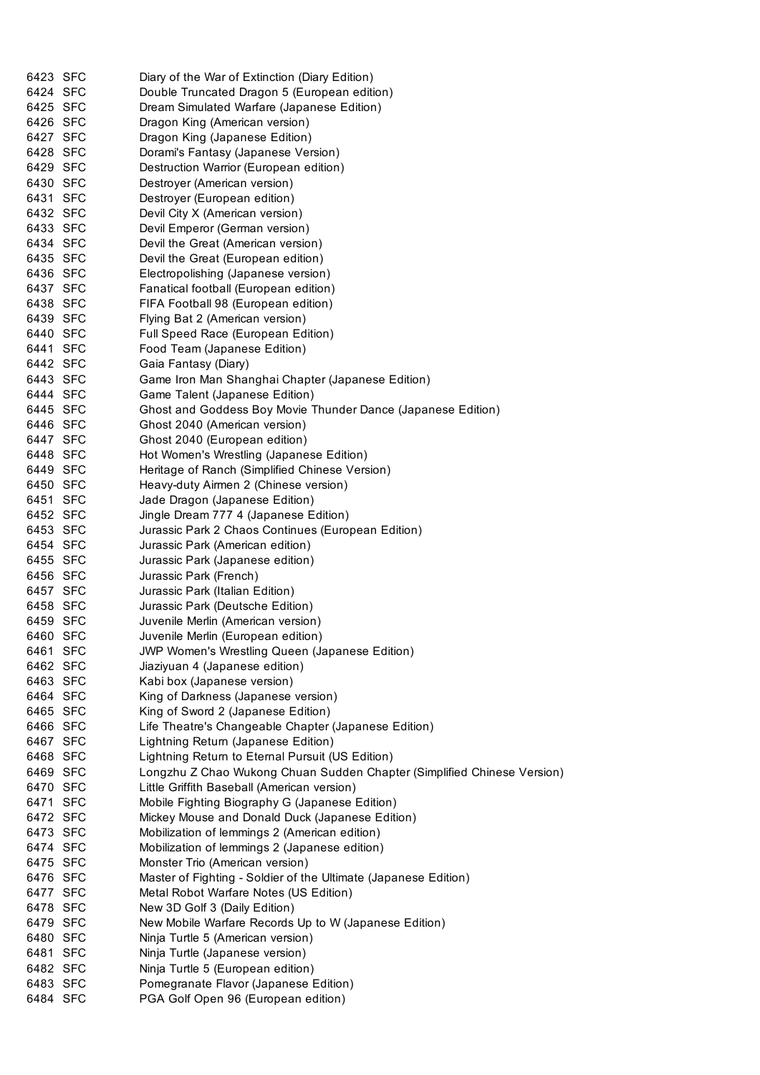| 6423 SFC | Diary of the War of Extinction (Diary Edition)                          |
|----------|-------------------------------------------------------------------------|
| 6424 SFC | Double Truncated Dragon 5 (European edition)                            |
| 6425 SFC | Dream Simulated Warfare (Japanese Edition)                              |
| 6426 SFC | Dragon King (American version)                                          |
| 6427 SFC | Dragon King (Japanese Edition)                                          |
| 6428 SFC | Dorami's Fantasy (Japanese Version)                                     |
| 6429 SFC | Destruction Warrior (European edition)                                  |
| 6430 SFC | Destroyer (American version)                                            |
| 6431 SFC | Destroyer (European edition)                                            |
| 6432 SFC | Devil City X (American version)                                         |
| 6433 SFC | Devil Emperor (German version)                                          |
| 6434 SFC | Devil the Great (American version)                                      |
| 6435 SFC | Devil the Great (European edition)                                      |
| 6436 SFC | Electropolishing (Japanese version)                                     |
| 6437 SFC | Fanatical football (European edition)                                   |
| 6438 SFC | FIFA Football 98 (European edition)                                     |
| 6439 SFC | Flying Bat 2 (American version)                                         |
| 6440 SFC | Full Speed Race (European Edition)                                      |
| 6441 SFC | Food Team (Japanese Edition)                                            |
| 6442 SFC | Gaia Fantasy (Diary)                                                    |
| 6443 SFC | Game Iron Man Shanghai Chapter (Japanese Edition)                       |
| 6444 SFC | Game Talent (Japanese Edition)                                          |
| 6445 SFC | Ghost and Goddess Boy Movie Thunder Dance (Japanese Edition)            |
| 6446 SFC | Ghost 2040 (American version)                                           |
| 6447 SFC | Ghost 2040 (European edition)                                           |
| 6448 SFC | Hot Women's Wrestling (Japanese Edition)                                |
| 6449 SFC | Heritage of Ranch (Simplified Chinese Version)                          |
| 6450 SFC | Heavy-duty Airmen 2 (Chinese version)                                   |
| 6451 SFC | Jade Dragon (Japanese Edition)                                          |
| 6452 SFC | Jingle Dream 777 4 (Japanese Edition)                                   |
| 6453 SFC | Jurassic Park 2 Chaos Continues (European Edition)                      |
| 6454 SFC | Jurassic Park (American edition)                                        |
| 6455 SFC | Jurassic Park (Japanese edition)                                        |
| 6456 SFC | Jurassic Park (French)                                                  |
| 6457 SFC | Jurassic Park (Italian Edition)                                         |
| 6458 SFC | Jurassic Park (Deutsche Edition)                                        |
| 6459 SFC | Juvenile Merlin (American version)                                      |
| 6460 SFC | Juvenile Merlin (European edition)                                      |
| 6461 SFC | JWP Women's Wrestling Queen (Japanese Edition)                          |
| 6462 SFC | Jiaziyuan 4 (Japanese edition)                                          |
| 6463 SFC | Kabi box (Japanese version)                                             |
| 6464 SFC | King of Darkness (Japanese version)                                     |
| 6465 SFC | King of Sword 2 (Japanese Edition)                                      |
| 6466 SFC | Life Theatre's Changeable Chapter (Japanese Edition)                    |
| 6467 SFC | Lightning Return (Japanese Edition)                                     |
| 6468 SFC | Lightning Return to Eternal Pursuit (US Edition)                        |
| 6469 SFC | Longzhu Z Chao Wukong Chuan Sudden Chapter (Simplified Chinese Version) |
| 6470 SFC | Little Griffith Baseball (American version)                             |
| 6471 SFC | Mobile Fighting Biography G (Japanese Edition)                          |
| 6472 SFC | Mickey Mouse and Donald Duck (Japanese Edition)                         |
| 6473 SFC |                                                                         |
| 6474 SFC | Mobilization of lemmings 2 (American edition)                           |
|          | Mobilization of lemmings 2 (Japanese edition)                           |
| 6475 SFC | Monster Trio (American version)                                         |
| 6476 SFC | Master of Fighting - Soldier of the Ultimate (Japanese Edition)         |
| 6477 SFC | Metal Robot Warfare Notes (US Edition)                                  |
| 6478 SFC | New 3D Golf 3 (Daily Edition)                                           |
| 6479 SFC | New Mobile Warfare Records Up to W (Japanese Edition)                   |
| 6480 SFC | Ninja Turtle 5 (American version)                                       |
| 6481 SFC | Ninja Turtle (Japanese version)                                         |
| 6482 SFC | Ninja Turtle 5 (European edition)                                       |
| 6483 SFC | Pomegranate Flavor (Japanese Edition)                                   |
| 6484 SFC | PGA Golf Open 96 (European edition)                                     |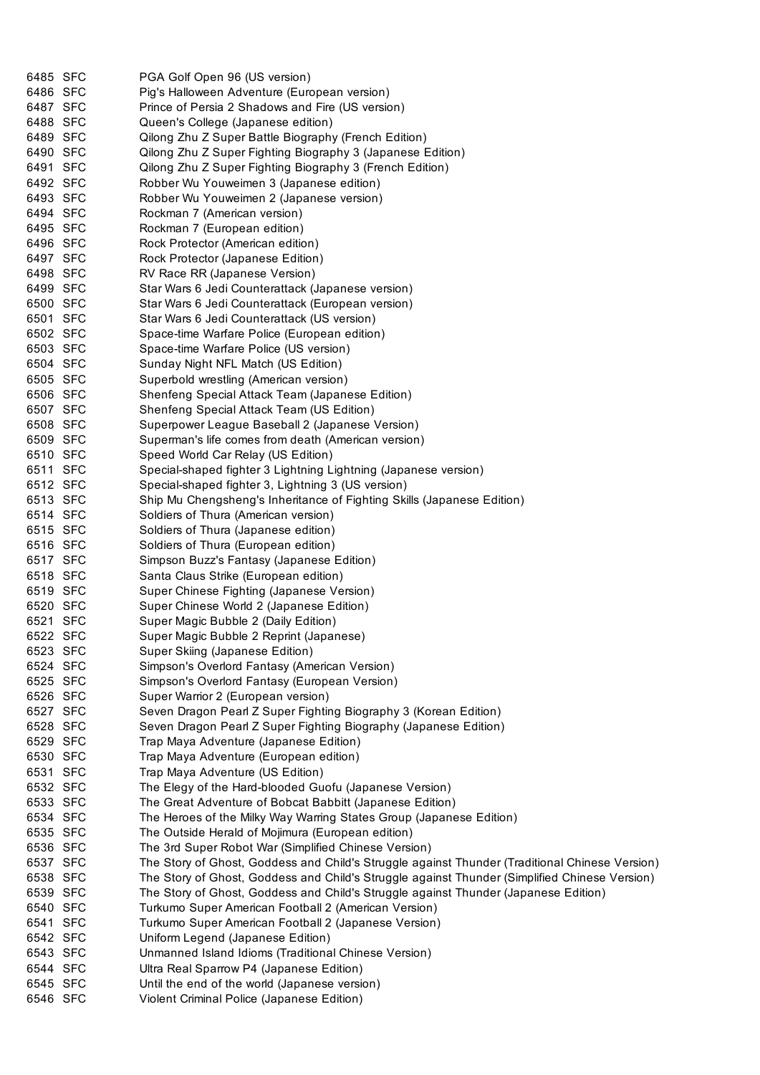| 6485 SFC             | PGA Golf Open 96 (US version)                                                                  |
|----------------------|------------------------------------------------------------------------------------------------|
| 6486 SFC             | Pig's Halloween Adventure (European version)                                                   |
| 6487 SFC             | Prince of Persia 2 Shadows and Fire (US version)                                               |
| 6488 SFC             | Queen's College (Japanese edition)                                                             |
| 6489 SFC             | Qilong Zhu Z Super Battle Biography (French Edition)                                           |
| 6490 SFC             | Qilong Zhu Z Super Fighting Biography 3 (Japanese Edition)                                     |
| 6491 SFC             | Qilong Zhu Z Super Fighting Biography 3 (French Edition)                                       |
| 6492 SFC             | Robber Wu Youweimen 3 (Japanese edition)                                                       |
| 6493 SFC             | Robber Wu Youweimen 2 (Japanese version)                                                       |
| 6494 SFC             | Rockman 7 (American version)                                                                   |
| 6495 SFC             | Rockman 7 (European edition)                                                                   |
| 6496 SFC             | Rock Protector (American edition)                                                              |
| 6497 SFC             | Rock Protector (Japanese Edition)                                                              |
| 6498 SFC             | RV Race RR (Japanese Version)                                                                  |
| 6499 SFC             | Star Wars 6 Jedi Counterattack (Japanese version)                                              |
| 6500 SFC             | Star Wars 6 Jedi Counterattack (European version)                                              |
| 6501 SFC             | Star Wars 6 Jedi Counterattack (US version)                                                    |
| 6502 SFC             | Space-time Warfare Police (European edition)                                                   |
| 6503 SFC             | Space-time Warfare Police (US version)                                                         |
| 6504 SFC             | Sunday Night NFL Match (US Edition)                                                            |
| 6505 SFC             | Superbold wrestling (American version)                                                         |
| 6506 SFC             | Shenfeng Special Attack Team (Japanese Edition)                                                |
| 6507 SFC             | Shenfeng Special Attack Team (US Edition)                                                      |
| 6508 SFC             | Superpower League Baseball 2 (Japanese Version)                                                |
| 6509 SFC             | Superman's life comes from death (American version)                                            |
| 6510 SFC             | Speed World Car Relay (US Edition)                                                             |
| 6511 SFC             | Special-shaped fighter 3 Lightning Lightning (Japanese version)                                |
| 6512 SFC             | Special-shaped fighter 3, Lightning 3 (US version)                                             |
| 6513 SFC             | Ship Mu Chengsheng's Inheritance of Fighting Skills (Japanese Edition)                         |
| 6514 SFC             | Soldiers of Thura (American version)                                                           |
| 6515 SFC             | Soldiers of Thura (Japanese edition)                                                           |
| 6516 SFC             | Soldiers of Thura (European edition)                                                           |
| 6517 SFC             | Simpson Buzz's Fantasy (Japanese Edition)                                                      |
| 6518 SFC             | Santa Claus Strike (European edition)                                                          |
| 6519 SFC             |                                                                                                |
|                      | Super Chinese Fighting (Japanese Version)                                                      |
| 6520 SFC             | Super Chinese World 2 (Japanese Edition)                                                       |
| 6521 SFC<br>6522 SFC | Super Magic Bubble 2 (Daily Edition)                                                           |
|                      | Super Magic Bubble 2 Reprint (Japanese)                                                        |
| 6523 SFC             | Super Skiing (Japanese Edition)                                                                |
| 6524 SFC             | Simpson's Overlord Fantasy (American Version)                                                  |
| 6525 SFC             | Simpson's Overlord Fantasy (European Version)                                                  |
| 6526 SFC             | Super Warrior 2 (European version)                                                             |
| 6527 SFC             | Seven Dragon Pearl Z Super Fighting Biography 3 (Korean Edition)                               |
| 6528 SFC             | Seven Dragon Pearl Z Super Fighting Biography (Japanese Edition)                               |
| 6529 SFC             | Trap Maya Adventure (Japanese Edition)                                                         |
| 6530 SFC             | Trap Maya Adventure (European edition)                                                         |
| 6531 SFC             | Trap Maya Adventure (US Edition)                                                               |
| 6532 SFC             | The Elegy of the Hard-blooded Guofu (Japanese Version)                                         |
| 6533 SFC             | The Great Adventure of Bobcat Babbitt (Japanese Edition)                                       |
| 6534 SFC             | The Heroes of the Milky Way Warring States Group (Japanese Edition)                            |
| 6535 SFC             | The Outside Herald of Mojimura (European edition)                                              |
| 6536 SFC             | The 3rd Super Robot War (Simplified Chinese Version)                                           |
| 6537 SFC             | The Story of Ghost, Goddess and Child's Struggle against Thunder (Traditional Chinese Version) |
| 6538 SFC             | The Story of Ghost, Goddess and Child's Struggle against Thunder (Simplified Chinese Version)  |
| 6539 SFC             | The Story of Ghost, Goddess and Child's Struggle against Thunder (Japanese Edition)            |
| 6540 SFC             | Turkumo Super American Football 2 (American Version)                                           |
| 6541 SFC             | Turkumo Super American Football 2 (Japanese Version)                                           |
| 6542 SFC             | Uniform Legend (Japanese Edition)                                                              |
| 6543 SFC             | Unmanned Island Idioms (Traditional Chinese Version)                                           |
| 6544 SFC             | Ultra Real Sparrow P4 (Japanese Edition)                                                       |
| 6545 SFC             | Until the end of the world (Japanese version)                                                  |
| 6546 SFC             | Violent Criminal Police (Japanese Edition)                                                     |
|                      |                                                                                                |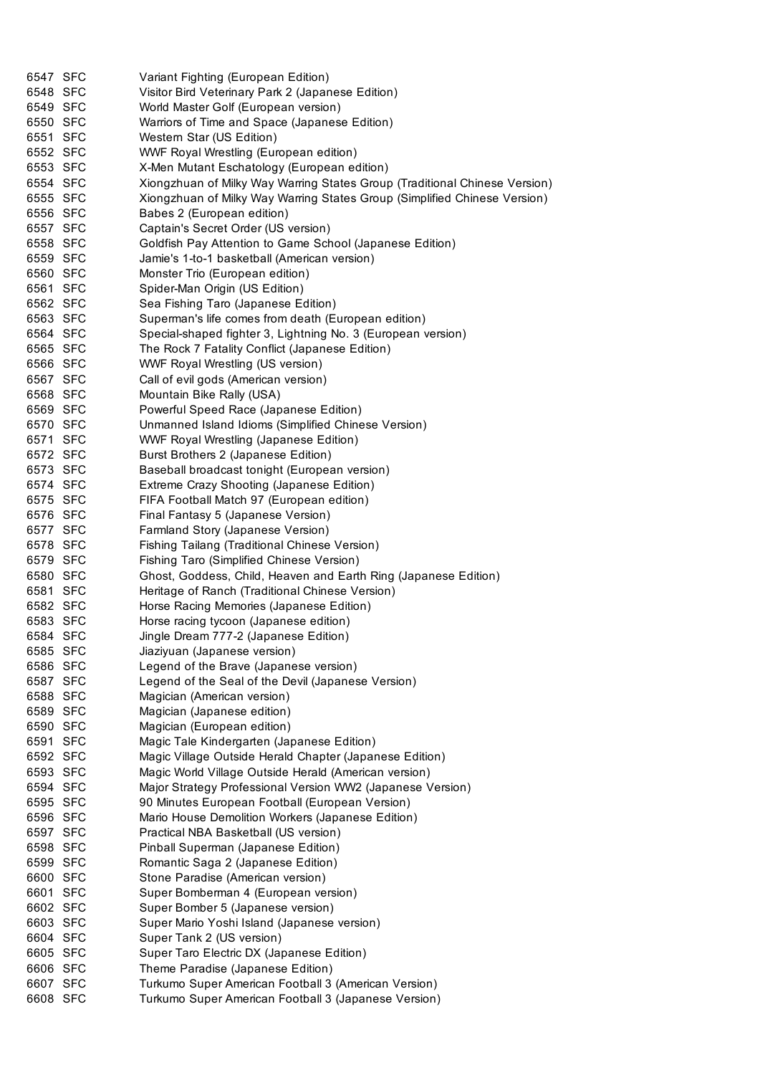| 6547 SFC             | Variant Fighting (European Edition)                                        |
|----------------------|----------------------------------------------------------------------------|
| 6548 SFC             | Visitor Bird Veterinary Park 2 (Japanese Edition)                          |
| 6549 SFC             | World Master Golf (European version)                                       |
| 6550 SFC             | Warriors of Time and Space (Japanese Edition)                              |
| 6551 SFC             | Western Star (US Edition)                                                  |
| 6552 SFC             | WWF Royal Wrestling (European edition)                                     |
| 6553 SFC             | X-Men Mutant Eschatology (European edition)                                |
| 6554 SFC             | Xiongzhuan of Milky Way Warring States Group (Traditional Chinese Version) |
| 6555 SFC             | Xiongzhuan of Milky Way Warring States Group (Simplified Chinese Version)  |
| 6556 SFC             | Babes 2 (European edition)                                                 |
| 6557 SFC             | Captain's Secret Order (US version)                                        |
| 6558 SFC             | Goldfish Pay Attention to Game School (Japanese Edition)                   |
| 6559 SFC             | Jamie's 1-to-1 basketball (American version)                               |
| 6560 SFC             | Monster Trio (European edition)                                            |
| 6561 SFC             | Spider-Man Origin (US Edition)                                             |
| 6562 SFC             | Sea Fishing Taro (Japanese Edition)                                        |
| 6563 SFC             | Superman's life comes from death (European edition)                        |
| 6564 SFC             | Special-shaped fighter 3, Lightning No. 3 (European version)               |
| 6565 SFC             | The Rock 7 Fatality Conflict (Japanese Edition)                            |
| 6566 SFC             | WWF Royal Wrestling (US version)                                           |
| 6567 SFC             | Call of evil gods (American version)                                       |
| 6568 SFC             | Mountain Bike Rally (USA)                                                  |
| 6569 SFC             | Powerful Speed Race (Japanese Edition)                                     |
| 6570 SFC             | Unmanned Island Idioms (Simplified Chinese Version)                        |
| 6571 SFC             | <b>WWF Royal Wrestling (Japanese Edition)</b>                              |
| 6572 SFC             | Burst Brothers 2 (Japanese Edition)                                        |
| 6573 SFC             | Baseball broadcast tonight (European version)                              |
| 6574 SFC             | Extreme Crazy Shooting (Japanese Edition)                                  |
| 6575 SFC             | FIFA Football Match 97 (European edition)                                  |
| 6576 SFC             | Final Fantasy 5 (Japanese Version)                                         |
| 6577 SFC             | Farmland Story (Japanese Version)                                          |
| 6578 SFC             | Fishing Tailang (Traditional Chinese Version)                              |
| 6579 SFC             | Fishing Taro (Simplified Chinese Version)                                  |
| 6580 SFC             | Ghost, Goddess, Child, Heaven and Earth Ring (Japanese Edition)            |
| 6581 SFC             | Heritage of Ranch (Traditional Chinese Version)                            |
| 6582 SFC             | Horse Racing Memories (Japanese Edition)                                   |
| 6583 SFC             | Horse racing tycoon (Japanese edition)                                     |
| 6584 SFC             | Jingle Dream 777-2 (Japanese Edition)                                      |
| 6585 SFC             | Jiaziyuan (Japanese version)                                               |
| 6586 SFC             | Legend of the Brave (Japanese version)                                     |
| 6587 SFC             | Legend of the Seal of the Devil (Japanese Version)                         |
| 6588 SFC             | Magician (American version)                                                |
| 6589 SFC             | Magician (Japanese edition)                                                |
| 6590 SFC             | Magician (European edition)                                                |
| 6591 SFC             | Magic Tale Kindergarten (Japanese Edition)                                 |
| 6592 SFC             | Magic Village Outside Herald Chapter (Japanese Edition)                    |
| 6593 SFC             | Magic World Village Outside Herald (American version)                      |
| 6594 SFC             | Major Strategy Professional Version WW2 (Japanese Version)                 |
|                      | 90 Minutes European Football (European Version)                            |
| 6595 SFC<br>6596 SFC | Mario House Demolition Workers (Japanese Edition)                          |
|                      |                                                                            |
| 6597 SFC             | Practical NBA Basketball (US version)                                      |
| 6598 SFC             | Pinball Superman (Japanese Edition)                                        |
| 6599 SFC             | Romantic Saga 2 (Japanese Edition)                                         |
| 6600 SFC             | Stone Paradise (American version)                                          |
| 6601 SFC             | Super Bomberman 4 (European version)                                       |
| 6602 SFC             | Super Bomber 5 (Japanese version)                                          |
| 6603 SFC             | Super Mario Yoshi Island (Japanese version)                                |
| 6604 SFC             | Super Tank 2 (US version)                                                  |
| 6605 SFC             | Super Taro Electric DX (Japanese Edition)                                  |
| 6606 SFC             | Theme Paradise (Japanese Edition)                                          |
| 6607 SFC             | Turkumo Super American Football 3 (American Version)                       |
| 6608 SFC             | Turkumo Super American Football 3 (Japanese Version)                       |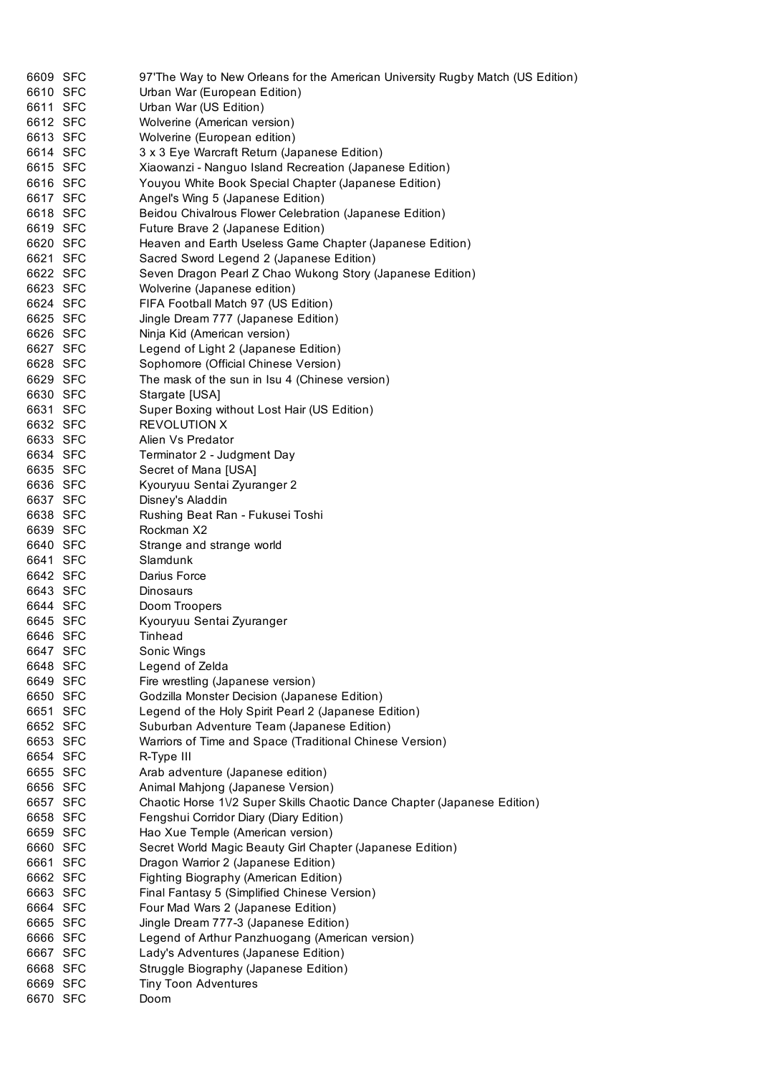| 6609 SFC | 97'The Way to New Orleans for the American University Rugby Match (US Edition) |
|----------|--------------------------------------------------------------------------------|
| 6610 SFC | Urban War (European Edition)                                                   |
| 6611 SFC | Urban War (US Edition)                                                         |
| 6612 SFC | Wolverine (American version)                                                   |
| 6613 SFC | Wolverine (European edition)                                                   |
| 6614 SFC | 3 x 3 Eye Warcraft Return (Japanese Edition)                                   |
| 6615 SFC | Xiaowanzi - Nanguo Island Recreation (Japanese Edition)                        |
| 6616 SFC | Youyou White Book Special Chapter (Japanese Edition)                           |
| 6617 SFC | Angel's Wing 5 (Japanese Edition)                                              |
| 6618 SFC | Beidou Chivalrous Flower Celebration (Japanese Edition)                        |
| 6619 SFC | Future Brave 2 (Japanese Edition)                                              |
| 6620 SFC | Heaven and Earth Useless Game Chapter (Japanese Edition)                       |
| 6621 SFC | Sacred Sword Legend 2 (Japanese Edition)                                       |
| 6622 SFC | Seven Dragon Pearl Z Chao Wukong Story (Japanese Edition)                      |
| 6623 SFC | Wolverine (Japanese edition)                                                   |
| 6624 SFC | FIFA Football Match 97 (US Edition)                                            |
| 6625 SFC | Jingle Dream 777 (Japanese Edition)                                            |
| 6626 SFC | Ninja Kid (American version)                                                   |
| 6627 SFC | Legend of Light 2 (Japanese Edition)                                           |
| 6628 SFC | Sophomore (Official Chinese Version)                                           |
| 6629 SFC | The mask of the sun in Isu 4 (Chinese version)                                 |
| 6630 SFC | Stargate [USA]                                                                 |
| 6631 SFC | Super Boxing without Lost Hair (US Edition)                                    |
| 6632 SFC | <b>REVOLUTION X</b>                                                            |
| 6633 SFC | Alien Vs Predator                                                              |
| 6634 SFC | Terminator 2 - Judgment Day                                                    |
| 6635 SFC | Secret of Mana [USA]                                                           |
| 6636 SFC | Kyouryuu Sentai Zyuranger 2                                                    |
| 6637 SFC | Disney's Aladdin                                                               |
| 6638 SFC | Rushing Beat Ran - Fukusei Toshi                                               |
| 6639 SFC | Rockman X2                                                                     |
| 6640 SFC | Strange and strange world                                                      |
|          |                                                                                |
| 6641 SFC | Slamdunk<br>Darius Force                                                       |
| 6642 SFC | <b>Dinosaurs</b>                                                               |
| 6643 SFC |                                                                                |
| 6644 SFC | Doom Troopers                                                                  |
| 6645 SFC | Kyouryuu Sentai Zyuranger                                                      |
| 6646 SFC | Tinhead                                                                        |
| 6647 SFC | Sonic Wings                                                                    |
| 6648 SFC | Legend of Zelda                                                                |
| 6649 SFC | Fire wrestling (Japanese version)                                              |
| 6650 SFC | Godzilla Monster Decision (Japanese Edition)                                   |
| 6651 SFC | Legend of the Holy Spirit Pearl 2 (Japanese Edition)                           |
| 6652 SFC | Suburban Adventure Team (Japanese Edition)                                     |
| 6653 SFC | Warriors of Time and Space (Traditional Chinese Version)                       |
| 6654 SFC | R-Type III                                                                     |
| 6655 SFC | Arab adventure (Japanese edition)                                              |
| 6656 SFC | Animal Mahjong (Japanese Version)                                              |
| 6657 SFC | Chaotic Horse 1V2 Super Skills Chaotic Dance Chapter (Japanese Edition)        |
| 6658 SFC | Fengshui Corridor Diary (Diary Edition)                                        |
| 6659 SFC | Hao Xue Temple (American version)                                              |
| 6660 SFC | Secret World Magic Beauty Girl Chapter (Japanese Edition)                      |
| 6661 SFC | Dragon Warrior 2 (Japanese Edition)                                            |
| 6662 SFC | Fighting Biography (American Edition)                                          |
| 6663 SFC | Final Fantasy 5 (Simplified Chinese Version)                                   |
| 6664 SFC | Four Mad Wars 2 (Japanese Edition)                                             |
| 6665 SFC | Jingle Dream 777-3 (Japanese Edition)                                          |
| 6666 SFC | Legend of Arthur Panzhuogang (American version)                                |
| 6667 SFC | Lady's Adventures (Japanese Edition)                                           |
| 6668 SFC | Struggle Biography (Japanese Edition)                                          |
| 6669 SFC | <b>Tiny Toon Adventures</b>                                                    |
| 6670 SFC | Doom                                                                           |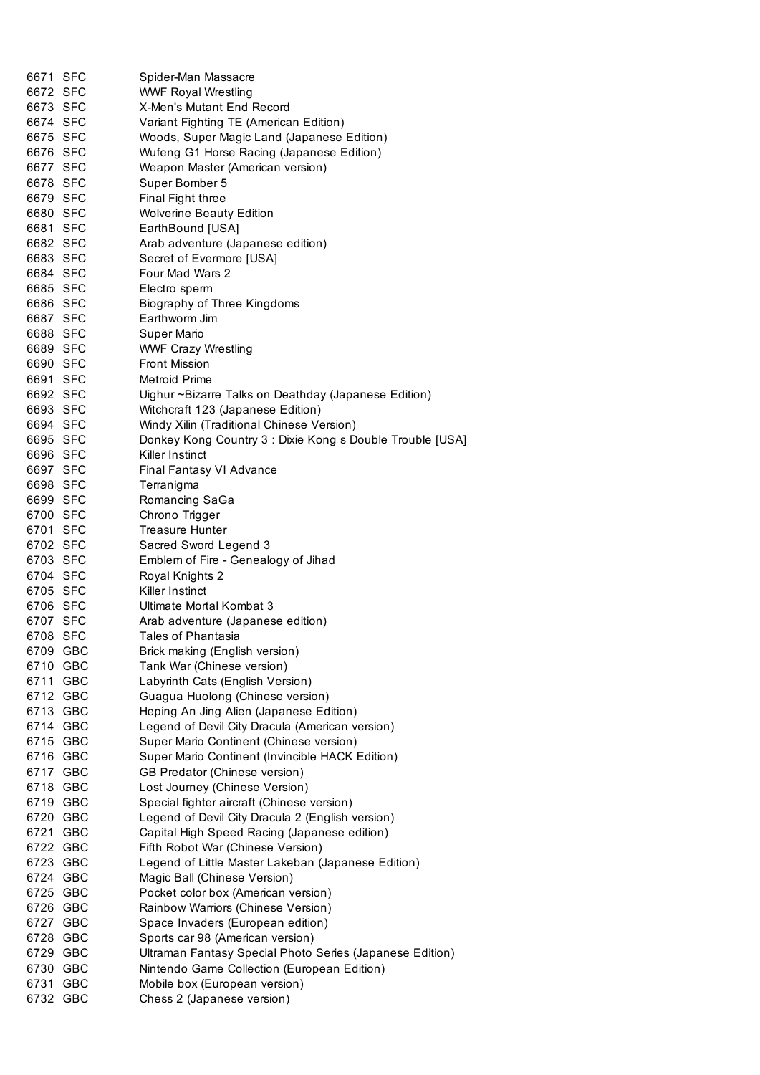| 6671 SFC<br>6672 SFC |     | Spider-Man Massacre<br><b>WWF Royal Wrestling</b>                                                      |
|----------------------|-----|--------------------------------------------------------------------------------------------------------|
| 6673 SFC             |     | X-Men's Mutant End Record                                                                              |
| 6674 SFC             |     | Variant Fighting TE (American Edition)                                                                 |
| 6675 SFC             |     | Woods, Super Magic Land (Japanese Edition)                                                             |
| 6676 SFC             |     | Wufeng G1 Horse Racing (Japanese Edition)                                                              |
| 6677 SFC             |     | Weapon Master (American version)                                                                       |
| 6678 SFC             |     | Super Bomber 5                                                                                         |
| 6679 SFC             |     | Final Fight three                                                                                      |
| 6680 SFC             |     | <b>Wolverine Beauty Edition</b>                                                                        |
| 6681 SFC             |     | EarthBound [USA]                                                                                       |
| 6682 SFC             |     | Arab adventure (Japanese edition)                                                                      |
| 6683 SFC             |     | Secret of Evermore [USA]                                                                               |
| 6684 SFC             |     | Four Mad Wars 2                                                                                        |
| 6685 SFC             |     | Electro sperm                                                                                          |
| 6686 SFC             |     | Biography of Three Kingdoms                                                                            |
| 6687 SFC             |     | Earthworm Jim                                                                                          |
| 6688 SFC             |     | Super Mario                                                                                            |
| 6689 SFC             |     | <b>WWF Crazy Wrestling</b>                                                                             |
| 6690 SFC             |     | <b>Front Mission</b>                                                                                   |
| 6691 SFC             |     | Metroid Prime                                                                                          |
| 6692 SFC             |     | Uighur ~Bizarre Talks on Deathday (Japanese Edition)                                                   |
| 6693 SFC<br>6694 SFC |     | Witchcraft 123 (Japanese Edition)                                                                      |
| 6695 SFC             |     | Windy Xilin (Traditional Chinese Version)<br>Donkey Kong Country 3 : Dixie Kong s Double Trouble [USA] |
| 6696 SFC             |     | Killer Instinct                                                                                        |
| 6697 SFC             |     | Final Fantasy VI Advance                                                                               |
| 6698 SFC             |     | Terranigma                                                                                             |
| 6699 SFC             |     | Romancing SaGa                                                                                         |
| 6700 SFC             |     | Chrono Trigger                                                                                         |
| 6701 SFC             |     | <b>Treasure Hunter</b>                                                                                 |
| 6702 SFC             |     | Sacred Sword Legend 3                                                                                  |
| 6703 SFC             |     | Emblem of Fire - Genealogy of Jihad                                                                    |
| 6704 SFC             |     | Royal Knights 2                                                                                        |
| 6705 SFC             |     | Killer Instinct                                                                                        |
| 6706 SFC             |     | Ultimate Mortal Kombat 3                                                                               |
| 6707 SFC             |     | Arab adventure (Japanese edition)                                                                      |
| 6708 SFC             |     | Tales of Phantasia                                                                                     |
| 6709 GBC             |     | Brick making (English version)                                                                         |
| 6710 GBC             |     | Tank War (Chinese version)                                                                             |
| 6711                 | GBC | Labyrinth Cats (English Version)                                                                       |
| 6712 GBC             |     | Guagua Huolong (Chinese version)                                                                       |
| 6713 GBC             |     | Heping An Jing Alien (Japanese Edition)                                                                |
| 6714 GBC             |     | Legend of Devil City Dracula (American version)                                                        |
| 6715 GBC             |     | Super Mario Continent (Chinese version)                                                                |
| 6716 GBC             |     | Super Mario Continent (Invincible HACK Edition)                                                        |
| 6717 GBC             |     | GB Predator (Chinese version)                                                                          |
| 6718 GBC             |     | Lost Journey (Chinese Version)                                                                         |
| 6719 GBC             |     | Special fighter aircraft (Chinese version)                                                             |
| 6720 GBC             |     | Legend of Devil City Dracula 2 (English version)                                                       |
| 6721 GBC<br>6722 GBC |     | Capital High Speed Racing (Japanese edition)<br>Fifth Robot War (Chinese Version)                      |
| 6723 GBC             |     | Legend of Little Master Lakeban (Japanese Edition)                                                     |
| 6724 GBC             |     | Magic Ball (Chinese Version)                                                                           |
| 6725 GBC             |     | Pocket color box (American version)                                                                    |
| 6726 GBC             |     | Rainbow Warriors (Chinese Version)                                                                     |
| 6727 GBC             |     | Space Invaders (European edition)                                                                      |
| 6728 GBC             |     | Sports car 98 (American version)                                                                       |
| 6729 GBC             |     | Ultraman Fantasy Special Photo Series (Japanese Edition)                                               |
| 6730 GBC             |     | Nintendo Game Collection (European Edition)                                                            |
| 6731 GBC             |     | Mobile box (European version)                                                                          |
| 6732 GBC             |     | Chess 2 (Japanese version)                                                                             |
|                      |     |                                                                                                        |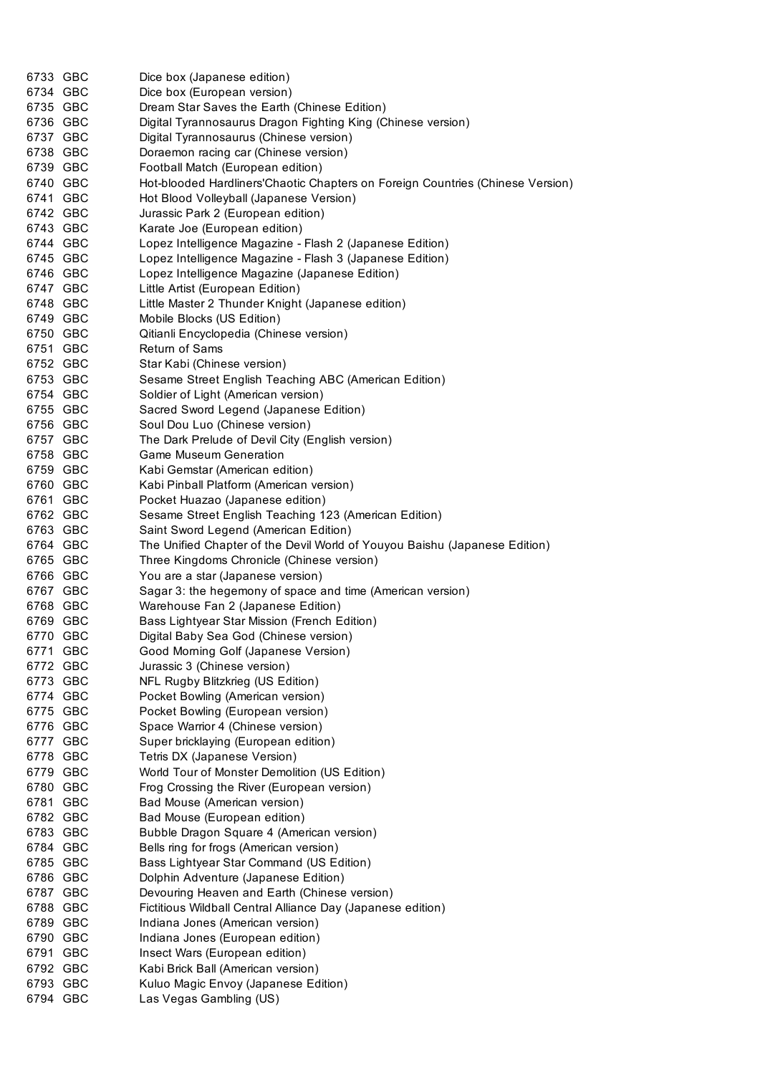| 6733 GBC | Dice box (Japanese edition)                                                    |
|----------|--------------------------------------------------------------------------------|
| 6734 GBC | Dice box (European version)                                                    |
| 6735 GBC | Dream Star Saves the Earth (Chinese Edition)                                   |
| 6736 GBC | Digital Tyrannosaurus Dragon Fighting King (Chinese version)                   |
| 6737 GBC | Digital Tyrannosaurus (Chinese version)                                        |
| 6738 GBC | Doraemon racing car (Chinese version)                                          |
| 6739 GBC | Football Match (European edition)                                              |
| 6740 GBC | Hot-blooded Hardliners'Chaotic Chapters on Foreign Countries (Chinese Version) |
| 6741 GBC | Hot Blood Volleyball (Japanese Version)                                        |
| 6742 GBC | Jurassic Park 2 (European edition)                                             |
| 6743 GBC | Karate Joe (European edition)                                                  |
| 6744 GBC | Lopez Intelligence Magazine - Flash 2 (Japanese Edition)                       |
| 6745 GBC | Lopez Intelligence Magazine - Flash 3 (Japanese Edition)                       |
| 6746 GBC | Lopez Intelligence Magazine (Japanese Edition)                                 |
| 6747 GBC | Little Artist (European Edition)                                               |
| 6748 GBC | Little Master 2 Thunder Knight (Japanese edition)                              |
| 6749 GBC | Mobile Blocks (US Edition)                                                     |
| 6750 GBC | Qitianli Encyclopedia (Chinese version)                                        |
| 6751 GBC | Return of Sams                                                                 |
| 6752 GBC | Star Kabi (Chinese version)                                                    |
| 6753 GBC | Sesame Street English Teaching ABC (American Edition)                          |
| 6754 GBC | Soldier of Light (American version)                                            |
| 6755 GBC | Sacred Sword Legend (Japanese Edition)                                         |
| 6756 GBC | Soul Dou Luo (Chinese version)                                                 |
| 6757 GBC | The Dark Prelude of Devil City (English version)                               |
| 6758 GBC | Game Museum Generation                                                         |
| 6759 GBC | Kabi Gemstar (American edition)                                                |
| 6760 GBC | Kabi Pinball Platform (American version)                                       |
| 6761 GBC | Pocket Huazao (Japanese edition)                                               |
| 6762 GBC | Sesame Street English Teaching 123 (American Edition)                          |
| 6763 GBC | Saint Sword Legend (American Edition)                                          |
| 6764 GBC | The Unified Chapter of the Devil World of Youyou Baishu (Japanese Edition)     |
| 6765 GBC | Three Kingdoms Chronicle (Chinese version)                                     |
| 6766 GBC | You are a star (Japanese version)                                              |
| 6767 GBC | Sagar 3: the hegemony of space and time (American version)                     |
| 6768 GBC | Warehouse Fan 2 (Japanese Edition)                                             |
| 6769 GBC | Bass Lightyear Star Mission (French Edition)                                   |
| 6770 GBC | Digital Baby Sea God (Chinese version)                                         |
| 6771 GBC | Good Morning Golf (Japanese Version)                                           |
| 6772 GBC | Jurassic 3 (Chinese version)                                                   |
| 6773 GBC | NFL Rugby Blitzkrieg (US Edition)                                              |
| 6774 GBC | Pocket Bowling (American version)                                              |
| 6775 GBC | Pocket Bowling (European version)                                              |
| 6776 GBC | Space Warrior 4 (Chinese version)                                              |
| 6777 GBC | Super bricklaying (European edition)                                           |
| 6778 GBC | Tetris DX (Japanese Version)                                                   |
| 6779 GBC | World Tour of Monster Demolition (US Edition)                                  |
| 6780 GBC | Frog Crossing the River (European version)                                     |
| 6781 GBC | Bad Mouse (American version)                                                   |
| 6782 GBC | Bad Mouse (European edition)                                                   |
| 6783 GBC | Bubble Dragon Square 4 (American version)                                      |
| 6784 GBC | Bells ring for frogs (American version)                                        |
| 6785 GBC | Bass Lightyear Star Command (US Edition)                                       |
| 6786 GBC | Dolphin Adventure (Japanese Edition)                                           |
| 6787 GBC | Devouring Heaven and Earth (Chinese version)                                   |
| 6788 GBC | Fictitious Wildball Central Alliance Day (Japanese edition)                    |
| 6789 GBC | Indiana Jones (American version)                                               |
| 6790 GBC | Indiana Jones (European edition)                                               |
| 6791 GBC | Insect Wars (European edition)                                                 |
| 6792 GBC | Kabi Brick Ball (American version)                                             |
| 6793 GBC | Kuluo Magic Envoy (Japanese Edition)                                           |
| 6794 GBC | Las Vegas Gambling (US)                                                        |
|          |                                                                                |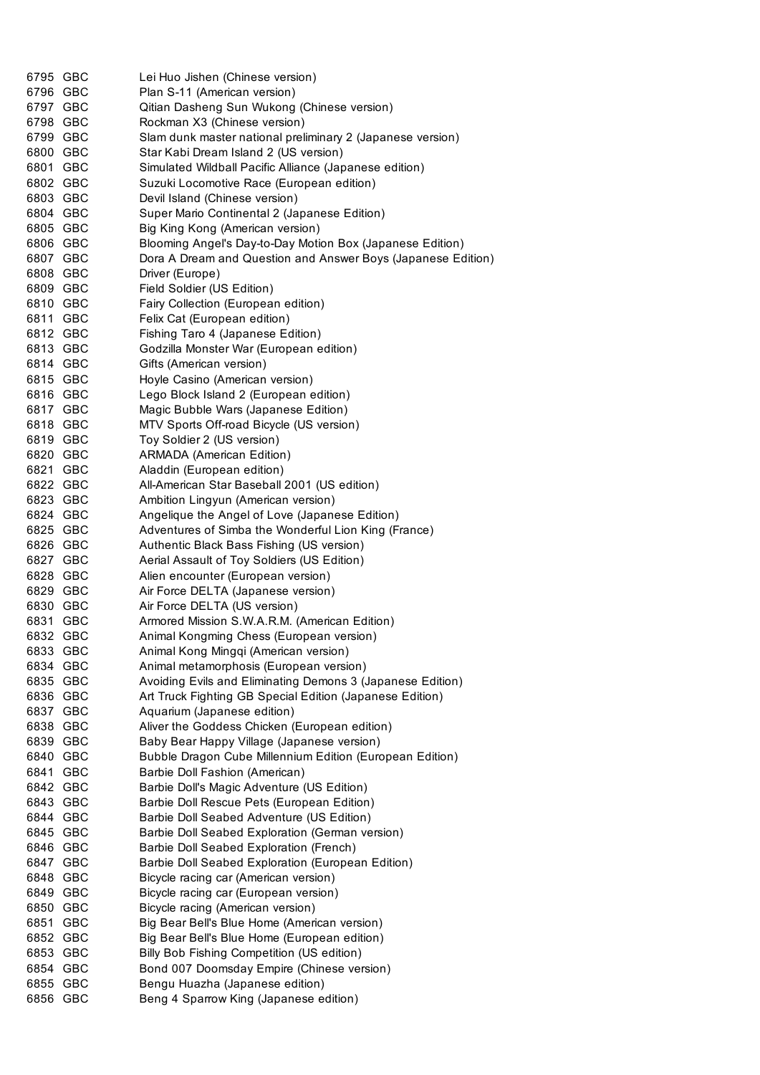| 6795 GBC             |            | Lei Huo Jishen (Chinese version)                                             |
|----------------------|------------|------------------------------------------------------------------------------|
| 6796 GBC             |            | Plan S-11 (American version)                                                 |
| 6797 GBC             |            | Qitian Dasheng Sun Wukong (Chinese version)                                  |
| 6798 GBC             |            | Rockman X3 (Chinese version)                                                 |
| 6799 GBC             |            | Slam dunk master national preliminary 2 (Japanese version)                   |
| 6800 GBC             |            | Star Kabi Dream Island 2 (US version)                                        |
| 6801 GBC             |            | Simulated Wildball Pacific Alliance (Japanese edition)                       |
| 6802 GBC             |            | Suzuki Locomotive Race (European edition)                                    |
| 6803 GBC             |            | Devil Island (Chinese version)                                               |
| 6804 GBC             |            | Super Mario Continental 2 (Japanese Edition)                                 |
| 6805 GBC             |            | Big King Kong (American version)                                             |
| 6806 GBC             |            | Blooming Angel's Day-to-Day Motion Box (Japanese Edition)                    |
| 6807 GBC             |            | Dora A Dream and Question and Answer Boys (Japanese Edition)                 |
| 6808 GBC             |            | Driver (Europe)                                                              |
| 6809 GBC             |            | Field Soldier (US Edition)                                                   |
| 6810 GBC             |            | Fairy Collection (European edition)                                          |
| 6811 GBC             |            | Felix Cat (European edition)                                                 |
| 6812 GBC             |            | Fishing Taro 4 (Japanese Edition)                                            |
| 6813 GBC             |            | Godzilla Monster War (European edition)                                      |
| 6814 GBC             |            | Gifts (American version)                                                     |
| 6815 GBC             |            | Hoyle Casino (American version)                                              |
| 6816 GBC             |            | Lego Block Island 2 (European edition)                                       |
| 6817 GBC             |            | Magic Bubble Wars (Japanese Edition)                                         |
| 6818 GBC             |            | MTV Sports Off-road Bicycle (US version)                                     |
| 6819 GBC             |            | Toy Soldier 2 (US version)                                                   |
| 6820 GBC             |            | <b>ARMADA</b> (American Edition)                                             |
| 6821 GBC             |            | Aladdin (European edition)                                                   |
| 6822 GBC             |            | All-American Star Baseball 2001 (US edition)                                 |
| 6823 GBC             |            | Ambition Lingyun (American version)                                          |
| 6824 GBC             |            | Angelique the Angel of Love (Japanese Edition)                               |
| 6825 GBC             |            | Adventures of Simba the Wonderful Lion King (France)                         |
| 6826 GBC             |            | Authentic Black Bass Fishing (US version)                                    |
| 6827 GBC             |            | Aerial Assault of Toy Soldiers (US Edition)                                  |
| 6828 GBC             |            | Alien encounter (European version)                                           |
| 6829 GBC             |            | Air Force DELTA (Japanese version)                                           |
| 6830 GBC             |            | Air Force DELTA (US version)                                                 |
| 6831 GBC             |            | Armored Mission S.W.A.R.M. (American Edition)                                |
| 6832 GBC             |            | Animal Kongming Chess (European version)                                     |
| 6833                 | <b>GBC</b> | Animal Kong Mingqi (American version)                                        |
| 6834 GBC             |            | Animal metamorphosis (European version)                                      |
| 6835 GBC             |            | Avoiding Evils and Eliminating Demons 3 (Japanese Edition)                   |
| 6836 GBC             |            | Art Truck Fighting GB Special Edition (Japanese Edition)                     |
| 6837 GBC             |            | Aquarium (Japanese edition)<br>Aliver the Goddess Chicken (European edition) |
| 6838 GBC             |            | Baby Bear Happy Village (Japanese version)                                   |
| 6839 GBC<br>6840 GBC |            | Bubble Dragon Cube Millennium Edition (European Edition)                     |
| 6841 GBC             |            | Barbie Doll Fashion (American)                                               |
| 6842 GBC             |            | Barbie Doll's Magic Adventure (US Edition)                                   |
| 6843 GBC             |            | Barbie Doll Rescue Pets (European Edition)                                   |
| 6844 GBC             |            | Barbie Doll Seabed Adventure (US Edition)                                    |
| 6845 GBC             |            | Barbie Doll Seabed Exploration (German version)                              |
| 6846 GBC             |            | Barbie Doll Seabed Exploration (French)                                      |
| 6847 GBC             |            | Barbie Doll Seabed Exploration (European Edition)                            |
| 6848 GBC             |            | Bicycle racing car (American version)                                        |
| 6849 GBC             |            | Bicycle racing car (European version)                                        |
| 6850 GBC             |            | Bicycle racing (American version)                                            |
| 6851 GBC             |            | Big Bear Bell's Blue Home (American version)                                 |
| 6852 GBC             |            | Big Bear Bell's Blue Home (European edition)                                 |
| 6853 GBC             |            | Billy Bob Fishing Competition (US edition)                                   |
| 6854 GBC             |            | Bond 007 Doomsday Empire (Chinese version)                                   |
| 6855 GBC             |            | Bengu Huazha (Japanese edition)                                              |
| 6856                 | GBC        | Beng 4 Sparrow King (Japanese edition)                                       |
|                      |            |                                                                              |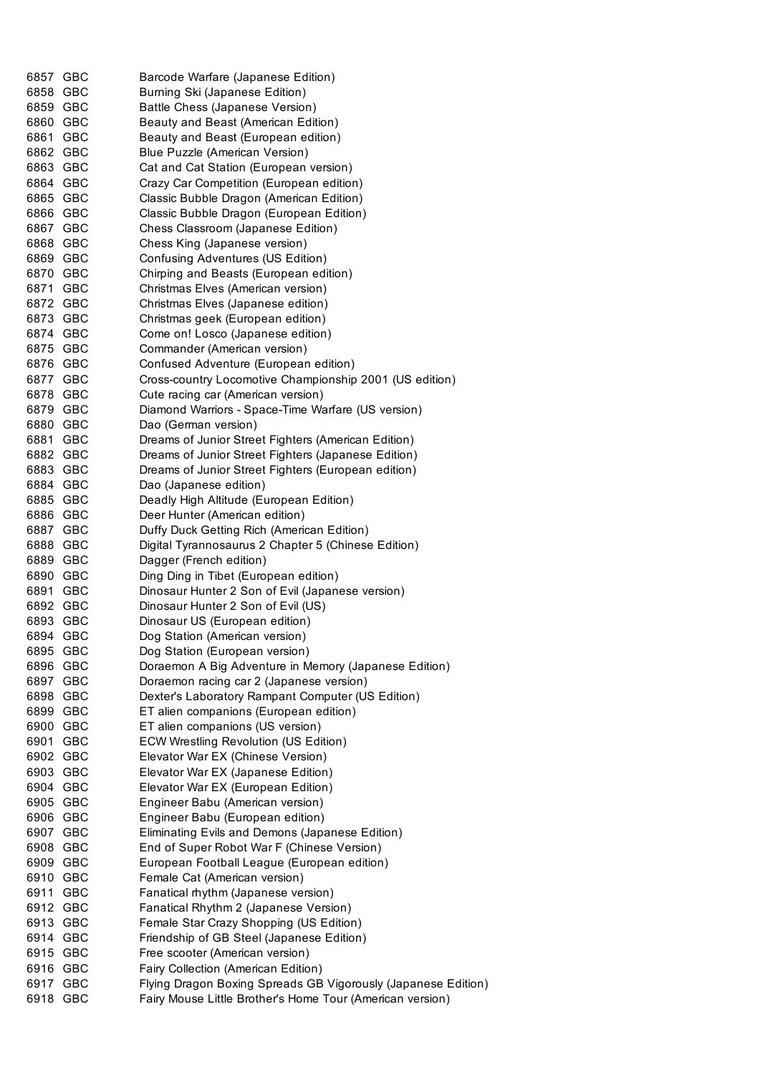| 6857 GBC<br>6858 GBC |            | Barcode Warfare (Japanese Edition)<br>Burning Ski (Japanese Edition)                      |
|----------------------|------------|-------------------------------------------------------------------------------------------|
| 6859 GBC             |            | Battle Chess (Japanese Version)                                                           |
| 6860 GBC             |            | Beauty and Beast (American Edition)                                                       |
| 6861 GBC             |            | Beauty and Beast (European edition)                                                       |
| 6862 GBC             |            | Blue Puzzle (American Version)                                                            |
| 6863 GBC             |            | Cat and Cat Station (European version)                                                    |
| 6864 GBC             |            | Crazy Car Competition (European edition)                                                  |
| 6865 GBC             |            | Classic Bubble Dragon (American Edition)                                                  |
| 6866 GBC             |            | Classic Bubble Dragon (European Edition)                                                  |
| 6867 GBC             |            | Chess Classroom (Japanese Edition)                                                        |
| 6868 GBC             |            | Chess King (Japanese version)                                                             |
| 6869 GBC             |            | Confusing Adventures (US Edition)                                                         |
| 6870 GBC             |            | Chirping and Beasts (European edition)                                                    |
| 6871 GBC             |            | Christmas Elves (American version)                                                        |
| 6872 GBC             |            | Christmas Elves (Japanese edition)                                                        |
| 6873 GBC             |            | Christmas geek (European edition)                                                         |
| 6874 GBC             |            | Come on! Losco (Japanese edition)                                                         |
| 6875 GBC             |            | Commander (American version)                                                              |
| 6876 GBC             |            | Confused Adventure (European edition)                                                     |
| 6877 GBC             |            | Cross-country Locomotive Championship 2001 (US edition)                                   |
| 6878 GBC             |            | Cute racing car (American version)                                                        |
| 6879 GBC             |            | Diamond Warriors - Space-Time Warfare (US version)                                        |
| 6880 GBC             |            | Dao (German version)                                                                      |
| 6881 GBC             |            | Dreams of Junior Street Fighters (American Edition)                                       |
| 6882 GBC             |            | Dreams of Junior Street Fighters (Japanese Edition)                                       |
| 6883 GBC             |            | Dreams of Junior Street Fighters (European edition)                                       |
| 6884 GBC             |            | Dao (Japanese edition)                                                                    |
| 6885 GBC             |            | Deadly High Altitude (European Edition)                                                   |
| 6886 GBC             |            | Deer Hunter (American edition)                                                            |
| 6887 GBC             |            | Duffy Duck Getting Rich (American Edition)                                                |
| 6888 GBC             |            | Digital Tyrannosaurus 2 Chapter 5 (Chinese Edition)                                       |
| 6889 GBC             |            | Dagger (French edition)                                                                   |
| 6890 GBC<br>6891 GBC |            | Ding Ding in Tibet (European edition)<br>Dinosaur Hunter 2 Son of Evil (Japanese version) |
| 6892 GBC             |            | Dinosaur Hunter 2 Son of Evil (US)                                                        |
| 6893 GBC             |            | Dinosaur US (European edition)                                                            |
| 6894 GBC             |            | Dog Station (American version)                                                            |
| 6895 GBC             |            | Dog Station (European version)                                                            |
| 6896 GBC             |            | Doraemon A Big Adventure in Memory (Japanese Edition)                                     |
| 6897 GBC             |            | Doraemon racing car 2 (Japanese version)                                                  |
| 6898                 | GBC        | Dexter's Laboratory Rampant Computer (US Edition)                                         |
| 6899 GBC             |            | ET alien companions (European edition)                                                    |
| 6900                 | GBC        | ET alien companions (US version)                                                          |
| 6901                 | <b>GBC</b> | <b>ECW Wrestling Revolution (US Edition)</b>                                              |
| 6902 GBC             |            | Elevator War EX (Chinese Version)                                                         |
| 6903 GBC             |            | Elevator War EX (Japanese Edition)                                                        |
| 6904 GBC             |            | Elevator War EX (European Edition)                                                        |
| 6905 GBC             |            | Engineer Babu (American version)                                                          |
| 6906 GBC             |            | Engineer Babu (European edition)                                                          |
| 6907 GBC             |            | Eliminating Evils and Demons (Japanese Edition)                                           |
| 6908 GBC             |            | End of Super Robot War F (Chinese Version)                                                |
| 6909 GBC             |            | European Football League (European edition)                                               |
| 6910 GBC             |            | Female Cat (American version)                                                             |
| 6911 GBC             |            | Fanatical rhythm (Japanese version)                                                       |
| 6912 GBC             |            | Fanatical Rhythm 2 (Japanese Version)                                                     |
| 6913 GBC             |            | Female Star Crazy Shopping (US Edition)                                                   |
| 6914 GBC<br>6915 GBC |            | Friendship of GB Steel (Japanese Edition)<br>Free scooter (American version)              |
| 6916 GBC             |            | Fairy Collection (American Edition)                                                       |
| 6917 GBC             |            | Flying Dragon Boxing Spreads GB Vigorously (Japanese Edition)                             |
| 6918 GBC             |            | Fairy Mouse Little Brother's Home Tour (American version)                                 |
|                      |            |                                                                                           |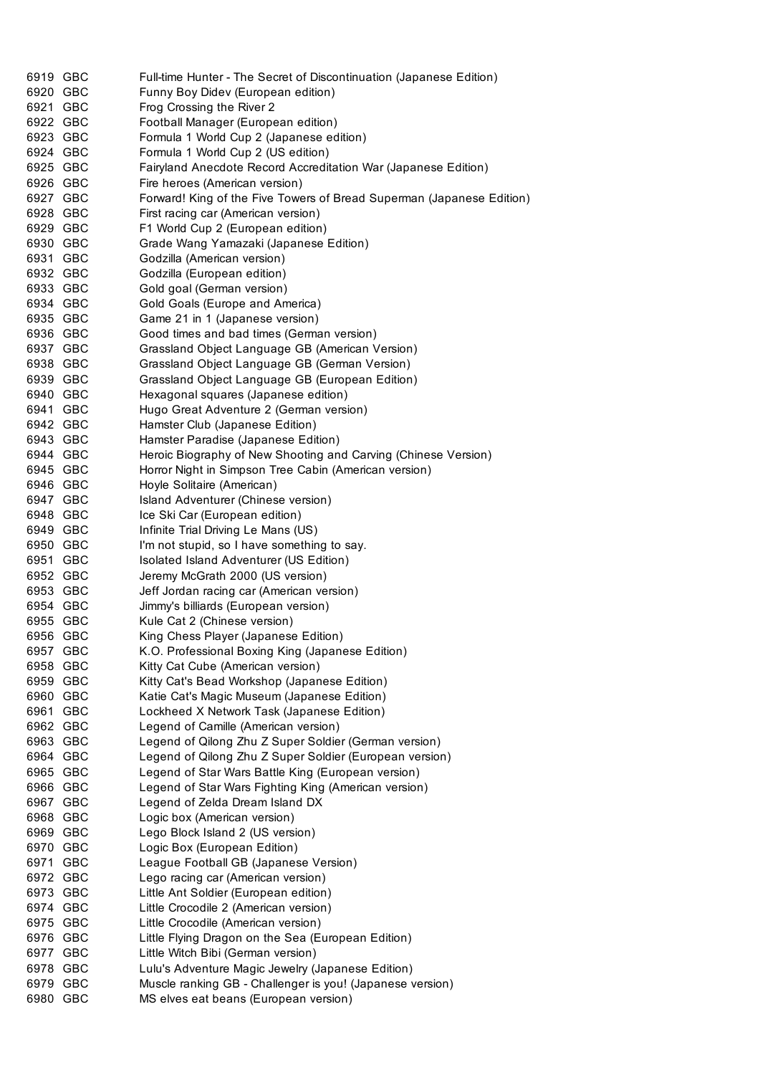| 6919 GBC | Full-time Hunter - The Secret of Discontinuation (Japanese Edition)   |
|----------|-----------------------------------------------------------------------|
| 6920 GBC | Funny Boy Didev (European edition)                                    |
| 6921 GBC | Frog Crossing the River 2                                             |
| 6922 GBC | Football Manager (European edition)                                   |
| 6923 GBC | Formula 1 World Cup 2 (Japanese edition)                              |
| 6924 GBC | Formula 1 World Cup 2 (US edition)                                    |
| 6925 GBC | Fairyland Anecdote Record Accreditation War (Japanese Edition)        |
| 6926 GBC | Fire heroes (American version)                                        |
| 6927 GBC | Forward! King of the Five Towers of Bread Superman (Japanese Edition) |
| 6928 GBC | First racing car (American version)                                   |
| 6929 GBC | F1 World Cup 2 (European edition)                                     |
| 6930 GBC | Grade Wang Yamazaki (Japanese Edition)                                |
| 6931 GBC | Godzilla (American version)                                           |
| 6932 GBC | Godzilla (European edition)                                           |
| 6933 GBC | Gold goal (German version)                                            |
| 6934 GBC | Gold Goals (Europe and America)                                       |
| 6935 GBC | Game 21 in 1 (Japanese version)                                       |
| 6936 GBC | Good times and bad times (German version)                             |
| 6937 GBC | Grassland Object Language GB (American Version)                       |
| 6938 GBC | Grassland Object Language GB (German Version)                         |
| 6939 GBC | Grassland Object Language GB (European Edition)                       |
| 6940 GBC | Hexagonal squares (Japanese edition)                                  |
| 6941 GBC | Hugo Great Adventure 2 (German version)                               |
| 6942 GBC | Hamster Club (Japanese Edition)                                       |
| 6943 GBC | Hamster Paradise (Japanese Edition)                                   |
| 6944 GBC | Heroic Biography of New Shooting and Carving (Chinese Version)        |
| 6945 GBC | Horror Night in Simpson Tree Cabin (American version)                 |
| 6946 GBC | Hoyle Solitaire (American)                                            |
| 6947 GBC | Island Adventurer (Chinese version)                                   |
| 6948 GBC | Ice Ski Car (European edition)                                        |
| 6949 GBC | Infinite Trial Driving Le Mans (US)                                   |
| 6950 GBC | I'm not stupid, so I have something to say.                           |
|          |                                                                       |
| 6951 GBC | Isolated Island Adventurer (US Edition)                               |
| 6952 GBC | Jeremy McGrath 2000 (US version)                                      |
| 6953 GBC | Jeff Jordan racing car (American version)                             |
| 6954 GBC | Jimmy's billiards (European version)                                  |
| 6955 GBC | Kule Cat 2 (Chinese version)                                          |
| 6956 GBC | King Chess Player (Japanese Edition)                                  |
| 6957 GBC | K.O. Professional Boxing King (Japanese Edition)                      |
| 6958 GBC | Kitty Cat Cube (American version)                                     |
| 6959 GBC | Kitty Cat's Bead Workshop (Japanese Edition)                          |
| 6960 GBC | Katie Cat's Magic Museum (Japanese Edition)                           |
| 6961 GBC | Lockheed X Network Task (Japanese Edition)                            |
| 6962 GBC | Legend of Camille (American version)                                  |
| 6963 GBC | Legend of Qilong Zhu Z Super Soldier (German version)                 |
| 6964 GBC | Legend of Qilong Zhu Z Super Soldier (European version)               |
| 6965 GBC | Legend of Star Wars Battle King (European version)                    |
| 6966 GBC | Legend of Star Wars Fighting King (American version)                  |
| 6967 GBC | Legend of Zelda Dream Island DX                                       |
| 6968 GBC | Logic box (American version)                                          |
| 6969 GBC | Lego Block Island 2 (US version)                                      |
| 6970 GBC | Logic Box (European Edition)                                          |
| 6971 GBC | League Football GB (Japanese Version)                                 |
| 6972 GBC | Lego racing car (American version)                                    |
| 6973 GBC | Little Ant Soldier (European edition)                                 |
| 6974 GBC | Little Crocodile 2 (American version)                                 |
| 6975 GBC | Little Crocodile (American version)                                   |
| 6976 GBC | Little Flying Dragon on the Sea (European Edition)                    |
| 6977 GBC | Little Witch Bibi (German version)                                    |
| 6978 GBC | Lulu's Adventure Magic Jewelry (Japanese Edition)                     |
| 6979 GBC | Muscle ranking GB - Challenger is you! (Japanese version)             |
| 6980 GBC | MS elves eat beans (European version)                                 |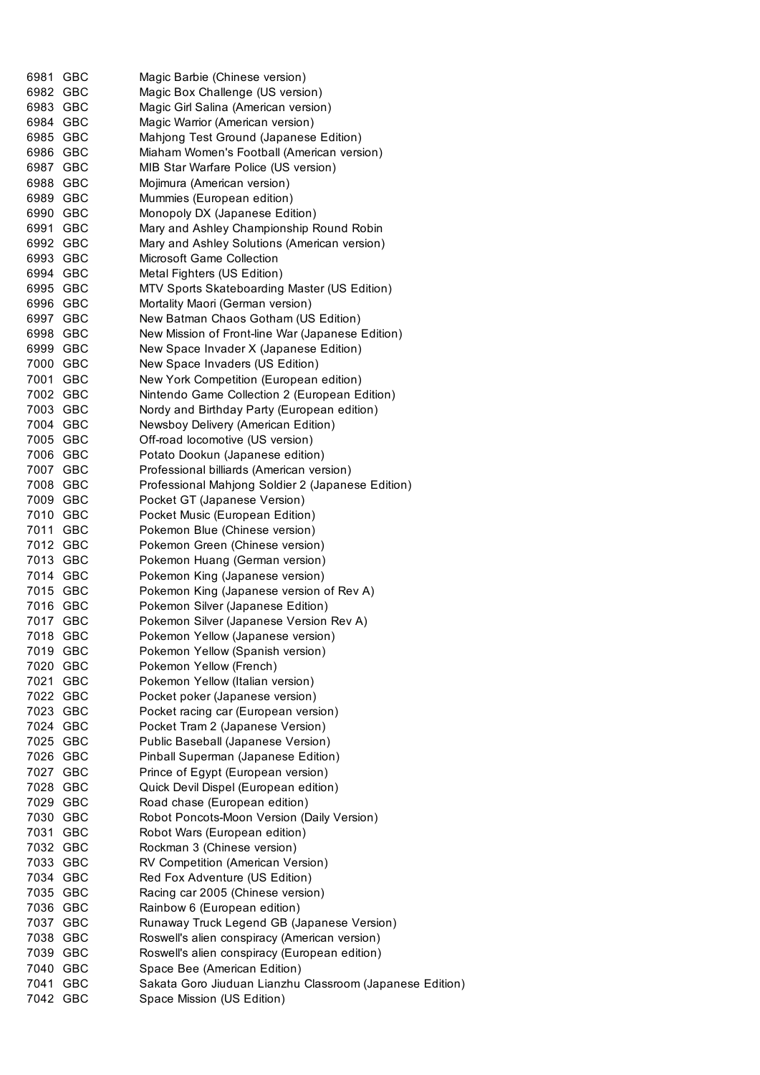| 6981     | <b>GBC</b> | Magic Barbie (Chinese version)                                            |
|----------|------------|---------------------------------------------------------------------------|
| 6982 GBC |            | Magic Box Challenge (US version)                                          |
| 6983 GBC |            | Magic Girl Salina (American version)                                      |
| 6984 GBC |            | Magic Warrior (American version)                                          |
|          | 6985 GBC   | Mahjong Test Ground (Japanese Edition)                                    |
|          | 6986 GBC   | Miaham Women's Football (American version)                                |
|          | 6987 GBC   | MIB Star Warfare Police (US version)                                      |
|          | 6988 GBC   | Mojimura (American version)                                               |
| 6989 GBC |            | Mummies (European edition)                                                |
| 6990 GBC |            | Monopoly DX (Japanese Edition)                                            |
| 6991 GBC |            | Mary and Ashley Championship Round Robin                                  |
| 6992 GBC |            | Mary and Ashley Solutions (American version)                              |
| 6993 GBC |            | Microsoft Game Collection                                                 |
|          | 6994 GBC   | Metal Fighters (US Edition)                                               |
|          | 6995 GBC   | MTV Sports Skateboarding Master (US Edition)                              |
| 6996 GBC |            | Mortality Maori (German version)                                          |
|          | 6997 GBC   | New Batman Chaos Gotham (US Edition)                                      |
| 6998 GBC |            | New Mission of Front-line War (Japanese Edition)                          |
| 6999 GBC |            | New Space Invader X (Japanese Edition)                                    |
| 7000 GBC |            | New Space Invaders (US Edition)                                           |
| 7001 GBC |            | New York Competition (European edition)                                   |
| 7002 GBC |            | Nintendo Game Collection 2 (European Edition)                             |
|          | 7003 GBC   | Nordy and Birthday Party (European edition)                               |
|          | 7004 GBC   | Newsboy Delivery (American Edition)                                       |
| 7005 GBC |            | Off-road locomotive (US version)                                          |
| 7006 GBC |            | Potato Dookun (Japanese edition)                                          |
| 7007 GBC |            | Professional billiards (American version)                                 |
| 7008 GBC |            | Professional Mahjong Soldier 2 (Japanese Edition)                         |
| 7009 GBC |            | Pocket GT (Japanese Version)                                              |
| 7010 GBC |            | Pocket Music (European Edition)                                           |
| 7011 GBC |            | Pokemon Blue (Chinese version)                                            |
|          | 7012 GBC   | Pokemon Green (Chinese version)                                           |
|          | 7013 GBC   | Pokemon Huang (German version)                                            |
|          | 7014 GBC   | Pokemon King (Japanese version)                                           |
|          | 7015 GBC   | Pokemon King (Japanese version of Rev A)                                  |
|          | 7016 GBC   | Pokemon Silver (Japanese Edition)                                         |
| 7017 GBC |            | Pokemon Silver (Japanese Version Rev A)                                   |
| 7018     | GBC        | Pokemon Yellow (Japanese version)                                         |
| 7019     | GBC        | Pokemon Yellow (Spanish version)                                          |
| 7020     | <b>GBC</b> | Pokemon Yellow (French)                                                   |
|          | 7021 GBC   | Pokemon Yellow (Italian version)                                          |
|          | 7022 GBC   | Pocket poker (Japanese version)                                           |
|          | 7023 GBC   | Pocket racing car (European version)                                      |
|          | 7024 GBC   | Pocket Tram 2 (Japanese Version)                                          |
|          | 7025 GBC   |                                                                           |
| 7026 GBC |            | Public Baseball (Japanese Version)                                        |
| 7027 GBC |            | Pinball Superman (Japanese Edition)<br>Prince of Egypt (European version) |
|          |            |                                                                           |
| 7028 GBC |            | Quick Devil Dispel (European edition)                                     |
| 7029 GBC |            | Road chase (European edition)                                             |
|          | 7030 GBC   | Robot Poncots-Moon Version (Daily Version)                                |
|          | 7031 GBC   | Robot Wars (European edition)                                             |
|          | 7032 GBC   | Rockman 3 (Chinese version)                                               |
| 7033 GBC |            | RV Competition (American Version)                                         |
| 7034 GBC |            | Red Fox Adventure (US Edition)                                            |
| 7035 GBC |            | Racing car 2005 (Chinese version)                                         |
| 7036 GBC |            | Rainbow 6 (European edition)                                              |
| 7037 GBC |            | Runaway Truck Legend GB (Japanese Version)                                |
| 7038 GBC |            | Roswell's alien conspiracy (American version)                             |
|          | 7039 GBC   | Roswell's alien conspiracy (European edition)                             |
|          | 7040 GBC   | Space Bee (American Edition)                                              |
| 7041     | GBC        | Sakata Goro Jiuduan Lianzhu Classroom (Japanese Edition)                  |
| 7042 GBC |            | Space Mission (US Edition)                                                |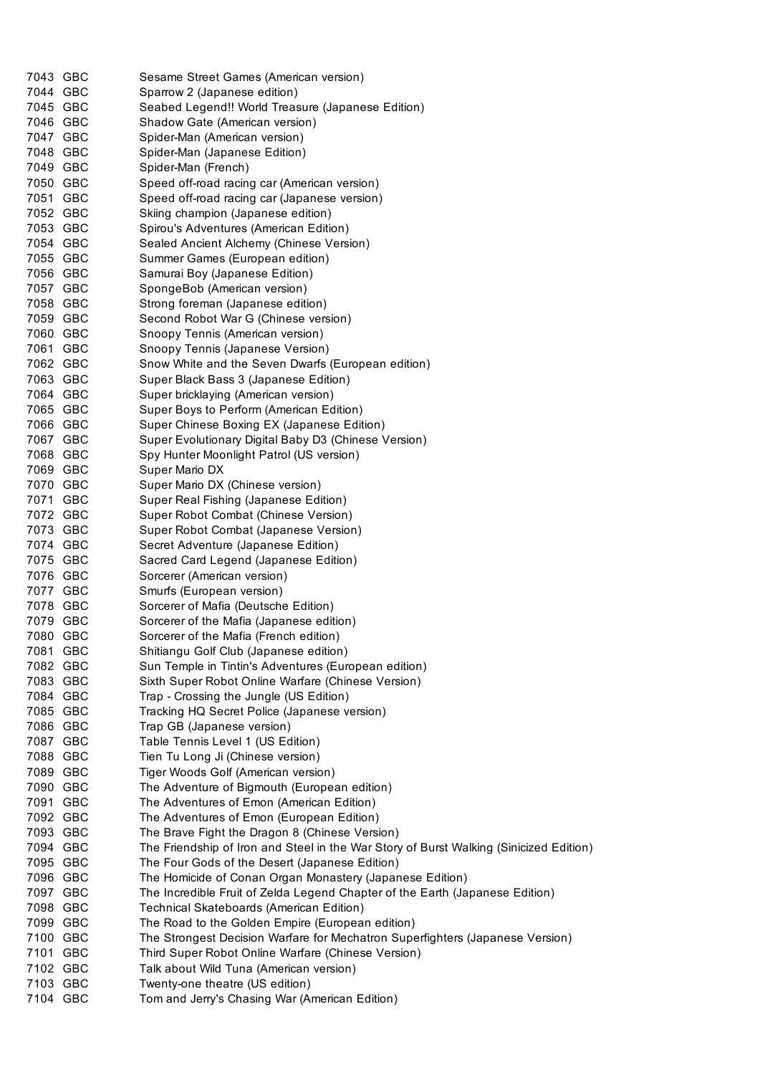| 7043 GBC             | Sesame Street Games (American version)                                                 |
|----------------------|----------------------------------------------------------------------------------------|
| 7044 GBC             | Sparrow 2 (Japanese edition)                                                           |
| 7045 GBC             | Seabed Legend!! World Treasure (Japanese Edition)                                      |
| 7046 GBC             | Shadow Gate (American version)                                                         |
| 7047 GBC             | Spider-Man (American version)                                                          |
| 7048 GBC             | Spider-Man (Japanese Edition)                                                          |
| 7049 GBC             | Spider-Man (French)                                                                    |
| 7050 GBC             | Speed off-road racing car (American version)                                           |
| 7051 GBC             | Speed off-road racing car (Japanese version)                                           |
| 7052 GBC             | Skiing champion (Japanese edition)                                                     |
| 7053 GBC             | Spirou's Adventures (American Edition)                                                 |
| 7054 GBC             | Sealed Ancient Alchemy (Chinese Version)                                               |
| 7055 GBC             | Summer Games (European edition)                                                        |
| 7056 GBC             | Samurai Boy (Japanese Edition)                                                         |
| 7057 GBC             | SpongeBob (American version)                                                           |
| 7058 GBC             | Strong foreman (Japanese edition)                                                      |
| 7059 GBC             | Second Robot War G (Chinese version)                                                   |
| 7060 GBC             | Snoopy Tennis (American version)                                                       |
| 7061 GBC             | Snoopy Tennis (Japanese Version)                                                       |
| 7062 GBC             | Snow White and the Seven Dwarfs (European edition)                                     |
| 7063 GBC             | Super Black Bass 3 (Japanese Edition)                                                  |
| 7064 GBC             | Super bricklaying (American version)                                                   |
| 7065 GBC             | Super Boys to Perform (American Edition)                                               |
| 7066 GBC             | Super Chinese Boxing EX (Japanese Edition)                                             |
| 7067 GBC             | Super Evolutionary Digital Baby D3 (Chinese Version)                                   |
| 7068 GBC             | Spy Hunter Moonlight Patrol (US version)                                               |
| 7069 GBC             | Super Mario DX                                                                         |
| 7070 GBC             | Super Mario DX (Chinese version)                                                       |
| 7071 GBC<br>7072 GBC | Super Real Fishing (Japanese Edition)                                                  |
| 7073 GBC             | Super Robot Combat (Chinese Version)                                                   |
| 7074 GBC             | Super Robot Combat (Japanese Version)                                                  |
| 7075 GBC             | Secret Adventure (Japanese Edition)<br>Sacred Card Legend (Japanese Edition)           |
| 7076 GBC             | Sorcerer (American version)                                                            |
| 7077 GBC             | Smurfs (European version)                                                              |
| 7078 GBC             | Sorcerer of Mafia (Deutsche Edition)                                                   |
| 7079 GBC             | Sorcerer of the Mafia (Japanese edition)                                               |
| 7080 GBC             | Sorcerer of the Mafia (French edition)                                                 |
| 7081 GBC             | Shitiangu Golf Club (Japanese edition)                                                 |
| 7082 GBC             | Sun Temple in Tintin's Adventures (European edition)                                   |
| 7083 GBC             | Sixth Super Robot Online Warfare (Chinese Version)                                     |
| 7084 GBC             | Trap - Crossing the Jungle (US Edition)                                                |
| 7085 GBC             | Tracking HQ Secret Police (Japanese version)                                           |
| 7086 GBC             | Trap GB (Japanese version)                                                             |
| 7087 GBC             | Table Tennis Level 1 (US Edition)                                                      |
| 7088 GBC             | Tien Tu Long Ji (Chinese version)                                                      |
| 7089 GBC             | Tiger Woods Golf (American version)                                                    |
| 7090 GBC             | The Adventure of Bigmouth (European edition)                                           |
| 7091 GBC             | The Adventures of Emon (American Edition)                                              |
| 7092 GBC             | The Adventures of Emon (European Edition)                                              |
| 7093 GBC             | The Brave Fight the Dragon 8 (Chinese Version)                                         |
| 7094 GBC             | The Friendship of Iron and Steel in the War Story of Burst Walking (Sinicized Edition) |
| 7095 GBC             | The Four Gods of the Desert (Japanese Edition)                                         |
| 7096 GBC             | The Homicide of Conan Organ Monastery (Japanese Edition)                               |
| 7097 GBC             | The Incredible Fruit of Zelda Legend Chapter of the Earth (Japanese Edition)           |
| 7098 GBC             | Technical Skateboards (American Edition)                                               |
| 7099 GBC             | The Road to the Golden Empire (European edition)                                       |
| 7100 GBC             | The Strongest Decision Warfare for Mechatron Superfighters (Japanese Version)          |
| 7101 GBC             | Third Super Robot Online Warfare (Chinese Version)                                     |
| 7102 GBC             | Talk about Wild Tuna (American version)                                                |
| 7103 GBC             | Twenty-one theatre (US edition)                                                        |
| 7104 GBC             | Tom and Jerry's Chasing War (American Edition)                                         |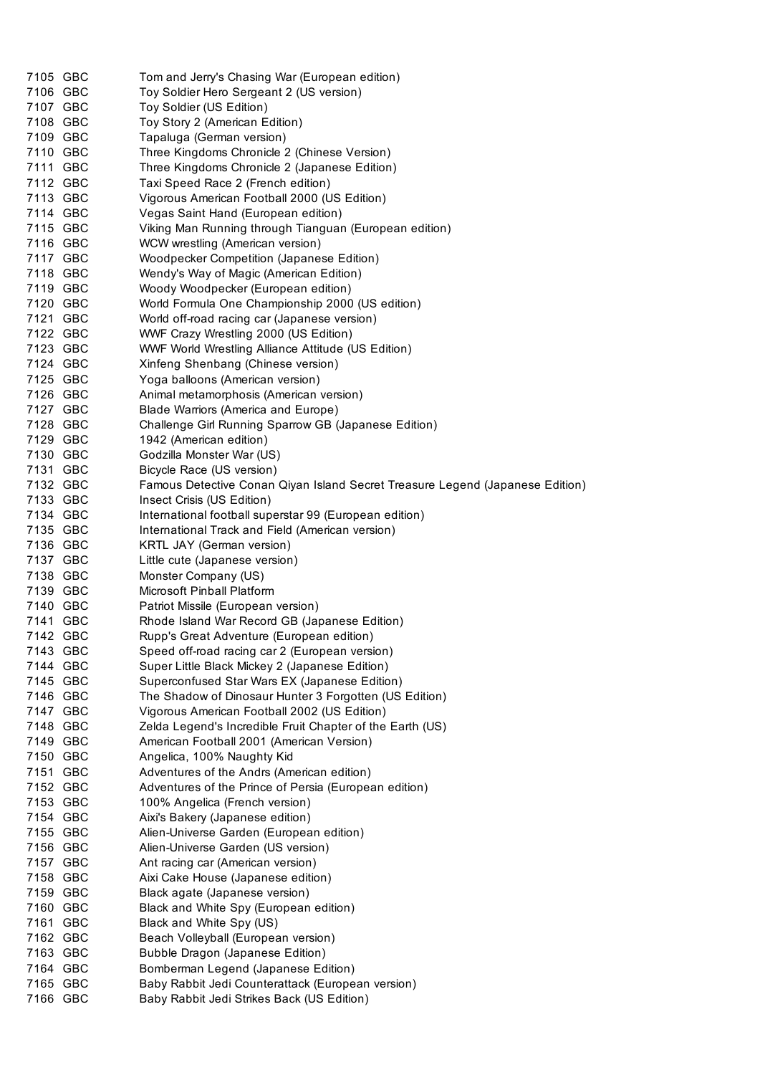| 7105 GBC | Tom and Jerry's Chasing War (European edition)                                |
|----------|-------------------------------------------------------------------------------|
| 7106 GBC | Toy Soldier Hero Sergeant 2 (US version)                                      |
| 7107 GBC | Toy Soldier (US Edition)                                                      |
| 7108 GBC | Toy Story 2 (American Edition)                                                |
| 7109 GBC | Tapaluga (German version)                                                     |
| 7110 GBC | Three Kingdoms Chronicle 2 (Chinese Version)                                  |
| 7111 GBC | Three Kingdoms Chronicle 2 (Japanese Edition)                                 |
| 7112 GBC | Taxi Speed Race 2 (French edition)                                            |
| 7113 GBC | Vigorous American Football 2000 (US Edition)                                  |
| 7114 GBC | Vegas Saint Hand (European edition)                                           |
| 7115 GBC | Viking Man Running through Tianguan (European edition)                        |
| 7116 GBC | WCW wrestling (American version)                                              |
| 7117 GBC | Woodpecker Competition (Japanese Edition)                                     |
| 7118 GBC | Wendy's Way of Magic (American Edition)                                       |
| 7119 GBC | Woody Woodpecker (European edition)                                           |
| 7120 GBC | World Formula One Championship 2000 (US edition)                              |
| 7121 GBC | World off-road racing car (Japanese version)                                  |
| 7122 GBC | WWF Crazy Wrestling 2000 (US Edition)                                         |
| 7123 GBC | WWF World Wrestling Alliance Attitude (US Edition)                            |
| 7124 GBC | Xinfeng Shenbang (Chinese version)                                            |
| 7125 GBC | Yoga balloons (American version)                                              |
| 7126 GBC | Animal metamorphosis (American version)                                       |
| 7127 GBC | Blade Warriors (America and Europe)                                           |
| 7128 GBC | Challenge Girl Running Sparrow GB (Japanese Edition)                          |
| 7129 GBC | 1942 (American edition)                                                       |
| 7130 GBC | Godzilla Monster War (US)                                                     |
| 7131 GBC | Bicycle Race (US version)                                                     |
| 7132 GBC | Famous Detective Conan Qiyan Island Secret Treasure Legend (Japanese Edition) |
| 7133 GBC | Insect Crisis (US Edition)                                                    |
| 7134 GBC | International football superstar 99 (European edition)                        |
| 7135 GBC | International Track and Field (American version)                              |
| 7136 GBC | KRTL JAY (German version)                                                     |
| 7137 GBC | Little cute (Japanese version)                                                |
| 7138 GBC | Monster Company (US)                                                          |
| 7139 GBC | <b>Microsoft Pinball Platform</b>                                             |
| 7140 GBC | Patriot Missile (European version)                                            |
| 7141 GBC | Rhode Island War Record GB (Japanese Edition)                                 |
| 7142 GBC | Rupp's Great Adventure (European edition)                                     |
| 7143 GBC | Speed off-road racing car 2 (European version)                                |
| 7144 GBC | Super Little Black Mickey 2 (Japanese Edition)                                |
| 7145 GBC | Superconfused Star Wars EX (Japanese Edition)                                 |
| 7146 GBC | The Shadow of Dinosaur Hunter 3 Forgotten (US Edition)                        |
| 7147 GBC | Vigorous American Football 2002 (US Edition)                                  |
| 7148 GBC | Zelda Legend's Incredible Fruit Chapter of the Earth (US)                     |
| 7149 GBC | American Football 2001 (American Version)                                     |
| 7150 GBC | Angelica, 100% Naughty Kid                                                    |
| 7151 GBC | Adventures of the Andrs (American edition)                                    |
| 7152 GBC | Adventures of the Prince of Persia (European edition)                         |
| 7153 GBC | 100% Angelica (French version)                                                |
| 7154 GBC | Aixi's Bakery (Japanese edition)                                              |
| 7155 GBC | Alien-Universe Garden (European edition)                                      |
| 7156 GBC | Alien-Universe Garden (US version)                                            |
| 7157 GBC | Ant racing car (American version)                                             |
| 7158 GBC | Aixi Cake House (Japanese edition)                                            |
| 7159 GBC | Black agate (Japanese version)                                                |
| 7160 GBC | Black and White Spy (European edition)                                        |
| 7161 GBC | Black and White Spy (US)                                                      |
| 7162 GBC | Beach Volleyball (European version)                                           |
| 7163 GBC | Bubble Dragon (Japanese Edition)                                              |
| 7164 GBC | Bomberman Legend (Japanese Edition)                                           |
| 7165 GBC | Baby Rabbit Jedi Counterattack (European version)                             |
| 7166 GBC | Baby Rabbit Jedi Strikes Back (US Edition)                                    |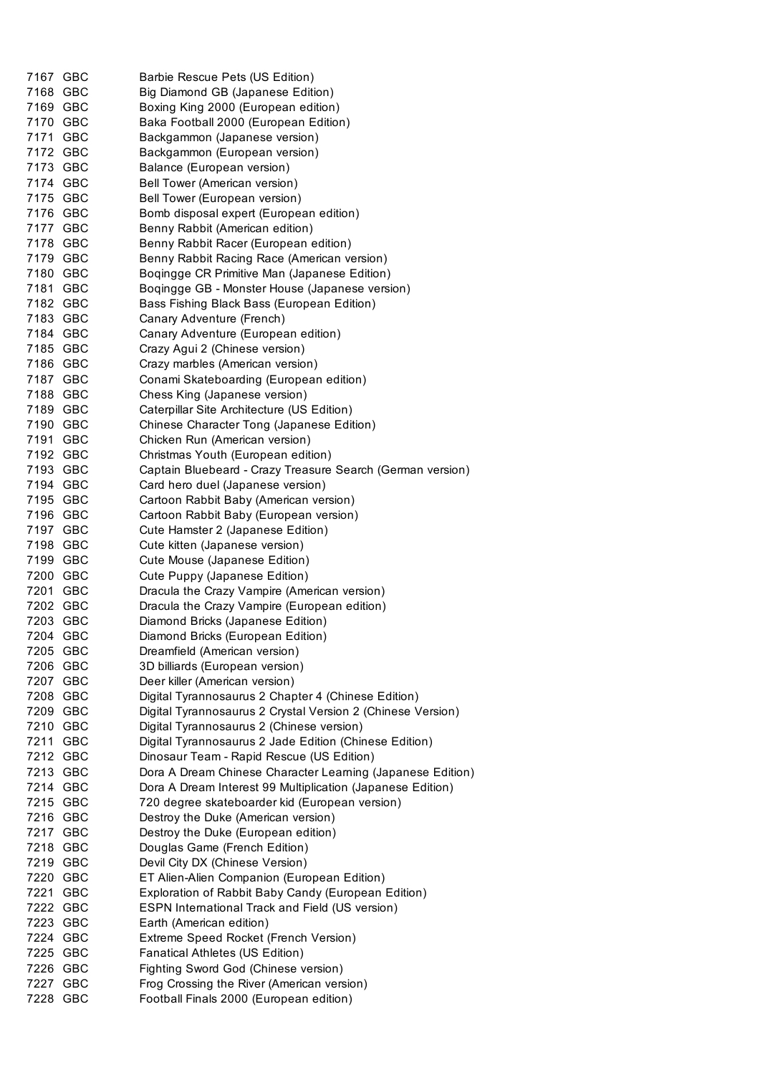| 7167 GBC | Barbie Rescue Pets (US Edition)                             |
|----------|-------------------------------------------------------------|
| 7168 GBC | Big Diamond GB (Japanese Edition)                           |
| 7169 GBC | Boxing King 2000 (European edition)                         |
| 7170 GBC | Baka Football 2000 (European Edition)                       |
| 7171 GBC | Backgammon (Japanese version)                               |
| 7172 GBC | Backgammon (European version)                               |
| 7173 GBC | Balance (European version)                                  |
| 7174 GBC | Bell Tower (American version)                               |
| 7175 GBC | Bell Tower (European version)                               |
| 7176 GBC | Bomb disposal expert (European edition)                     |
| 7177 GBC | Benny Rabbit (American edition)                             |
| 7178 GBC | Benny Rabbit Racer (European edition)                       |
| 7179 GBC | Benny Rabbit Racing Race (American version)                 |
| 7180 GBC | Boqingge CR Primitive Man (Japanese Edition)                |
| 7181 GBC | Boqingge GB - Monster House (Japanese version)              |
| 7182 GBC | Bass Fishing Black Bass (European Edition)                  |
| 7183 GBC | Canary Adventure (French)                                   |
| 7184 GBC | Canary Adventure (European edition)                         |
| 7185 GBC | Crazy Agui 2 (Chinese version)                              |
| 7186 GBC | Crazy marbles (American version)                            |
| 7187 GBC | Conami Skateboarding (European edition)                     |
| 7188 GBC | Chess King (Japanese version)                               |
| 7189 GBC | Caterpillar Site Architecture (US Edition)                  |
| 7190 GBC | Chinese Character Tong (Japanese Edition)                   |
| 7191 GBC | Chicken Run (American version)                              |
| 7192 GBC | Christmas Youth (European edition)                          |
| 7193 GBC | Captain Bluebeard - Crazy Treasure Search (German version)  |
| 7194 GBC | Card hero duel (Japanese version)                           |
| 7195 GBC | Cartoon Rabbit Baby (American version)                      |
| 7196 GBC | Cartoon Rabbit Baby (European version)                      |
| 7197 GBC | Cute Hamster 2 (Japanese Edition)                           |
| 7198 GBC | Cute kitten (Japanese version)                              |
| 7199 GBC | Cute Mouse (Japanese Edition)                               |
| 7200 GBC | Cute Puppy (Japanese Edition)                               |
| 7201 GBC | Dracula the Crazy Vampire (American version)                |
| 7202 GBC | Dracula the Crazy Vampire (European edition)                |
| 7203 GBC | Diamond Bricks (Japanese Edition)                           |
| 7204 GBC | Diamond Bricks (European Edition)                           |
| 7205 GBC | Dreamfield (American version)                               |
| 7206 GBC | 3D billiards (European version)                             |
| 7207 GBC | Deer killer (American version)                              |
| 7208 GBC | Digital Tyrannosaurus 2 Chapter 4 (Chinese Edition)         |
| 7209 GBC | Digital Tyrannosaurus 2 Crystal Version 2 (Chinese Version) |
| 7210 GBC | Digital Tyrannosaurus 2 (Chinese version)                   |
| 7211 GBC | Digital Tyrannosaurus 2 Jade Edition (Chinese Edition)      |
| 7212 GBC | Dinosaur Team - Rapid Rescue (US Edition)                   |
| 7213 GBC | Dora A Dream Chinese Character Learning (Japanese Edition)  |
| 7214 GBC | Dora A Dream Interest 99 Multiplication (Japanese Edition)  |
| 7215 GBC | 720 degree skateboarder kid (European version)              |
| 7216 GBC | Destroy the Duke (American version)                         |
| 7217 GBC | Destroy the Duke (European edition)                         |
| 7218 GBC | Douglas Game (French Edition)                               |
| 7219 GBC | Devil City DX (Chinese Version)                             |
| 7220 GBC | ET Alien-Alien Companion (European Edition)                 |
| 7221 GBC | Exploration of Rabbit Baby Candy (European Edition)         |
| 7222 GBC | ESPN International Track and Field (US version)             |
| 7223 GBC | Earth (American edition)                                    |
| 7224 GBC | Extreme Speed Rocket (French Version)                       |
| 7225 GBC | Fanatical Athletes (US Edition)                             |
| 7226 GBC | Fighting Sword God (Chinese version)                        |
| 7227 GBC | Frog Crossing the River (American version)                  |
| 7228 GBC | Football Finals 2000 (European edition)                     |
|          |                                                             |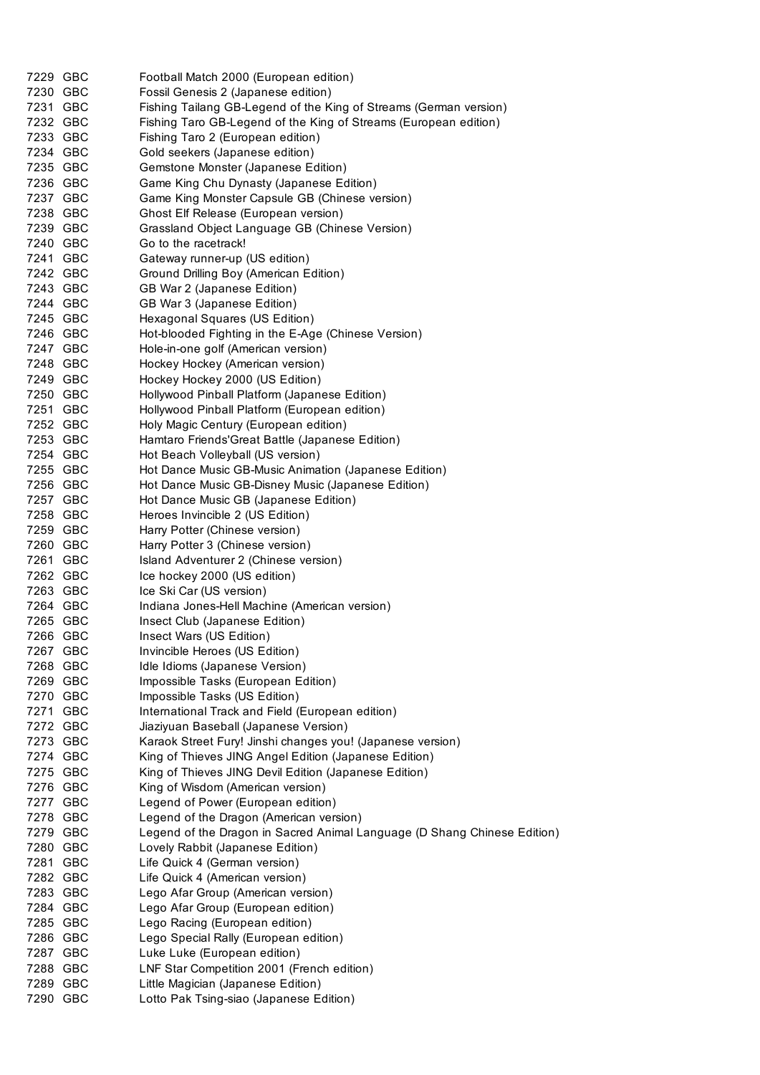| 7229 GBC | Football Match 2000 (European edition)                                   |
|----------|--------------------------------------------------------------------------|
| 7230 GBC | Fossil Genesis 2 (Japanese edition)                                      |
| 7231 GBC | Fishing Tailang GB-Legend of the King of Streams (German version)        |
|          |                                                                          |
| 7232 GBC | Fishing Taro GB-Legend of the King of Streams (European edition)         |
| 7233 GBC | Fishing Taro 2 (European edition)                                        |
| 7234 GBC | Gold seekers (Japanese edition)                                          |
| 7235 GBC | Gemstone Monster (Japanese Edition)                                      |
| 7236 GBC | Game King Chu Dynasty (Japanese Edition)                                 |
| 7237 GBC |                                                                          |
|          | Game King Monster Capsule GB (Chinese version)                           |
| 7238 GBC | Ghost Elf Release (European version)                                     |
| 7239 GBC | Grassland Object Language GB (Chinese Version)                           |
| 7240 GBC | Go to the racetrack!                                                     |
| 7241 GBC | Gateway runner-up (US edition)                                           |
| 7242 GBC | Ground Drilling Boy (American Edition)                                   |
| 7243 GBC | GB War 2 (Japanese Edition)                                              |
| 7244 GBC | GB War 3 (Japanese Edition)                                              |
|          |                                                                          |
| 7245 GBC | Hexagonal Squares (US Edition)                                           |
| 7246 GBC | Hot-blooded Fighting in the E-Age (Chinese Version)                      |
| 7247 GBC | Hole-in-one golf (American version)                                      |
| 7248 GBC | Hockey Hockey (American version)                                         |
| 7249 GBC | Hockey Hockey 2000 (US Edition)                                          |
| 7250 GBC | Hollywood Pinball Platform (Japanese Edition)                            |
| 7251 GBC | Hollywood Pinball Platform (European edition)                            |
|          |                                                                          |
| 7252 GBC | Holy Magic Century (European edition)                                    |
| 7253 GBC | Hamtaro Friends'Great Battle (Japanese Edition)                          |
| 7254 GBC | Hot Beach Volleyball (US version)                                        |
| 7255 GBC | Hot Dance Music GB-Music Animation (Japanese Edition)                    |
| 7256 GBC | Hot Dance Music GB-Disney Music (Japanese Edition)                       |
| 7257 GBC | Hot Dance Music GB (Japanese Edition)                                    |
| 7258 GBC | Heroes Invincible 2 (US Edition)                                         |
|          |                                                                          |
| 7259 GBC | Harry Potter (Chinese version)                                           |
| 7260 GBC | Harry Potter 3 (Chinese version)                                         |
| 7261 GBC | Island Adventurer 2 (Chinese version)                                    |
| 7262 GBC | Ice hockey 2000 (US edition)                                             |
| 7263 GBC | Ice Ski Car (US version)                                                 |
| 7264 GBC | Indiana Jones-Hell Machine (American version)                            |
| 7265 GBC | Insect Club (Japanese Edition)                                           |
| 7266 GBC |                                                                          |
|          | Insect Wars (US Edition)                                                 |
| 7267 GBC | Invincible Heroes (US Edition)                                           |
| 7268 GBC | Idle Idioms (Japanese Version)                                           |
| 7269 GBC | Impossible Tasks (European Edition)                                      |
| 7270 GBC | Impossible Tasks (US Edition)                                            |
| 7271 GBC | International Track and Field (European edition)                         |
| 7272 GBC | Jiaziyuan Baseball (Japanese Version)                                    |
| 7273 GBC | Karaok Street Fury! Jinshi changes you! (Japanese version)               |
|          |                                                                          |
| 7274 GBC | King of Thieves JING Angel Edition (Japanese Edition)                    |
| 7275 GBC | King of Thieves JING Devil Edition (Japanese Edition)                    |
| 7276 GBC | King of Wisdom (American version)                                        |
| 7277 GBC | Legend of Power (European edition)                                       |
| 7278 GBC | Legend of the Dragon (American version)                                  |
| 7279 GBC | Legend of the Dragon in Sacred Animal Language (D Shang Chinese Edition) |
| 7280 GBC | Lovely Rabbit (Japanese Edition)                                         |
| 7281 GBC |                                                                          |
|          | Life Quick 4 (German version)                                            |
| 7282 GBC | Life Quick 4 (American version)                                          |
| 7283 GBC | Lego Afar Group (American version)                                       |
| 7284 GBC | Lego Afar Group (European edition)                                       |
| 7285 GBC | Lego Racing (European edition)                                           |
| 7286 GBC | Lego Special Rally (European edition)                                    |
| 7287 GBC | Luke Luke (European edition)                                             |
| 7288 GBC | LNF Star Competition 2001 (French edition)                               |
|          |                                                                          |
| 7289 GBC | Little Magician (Japanese Edition)                                       |
| 7290 GBC | Lotto Pak Tsing-siao (Japanese Edition)                                  |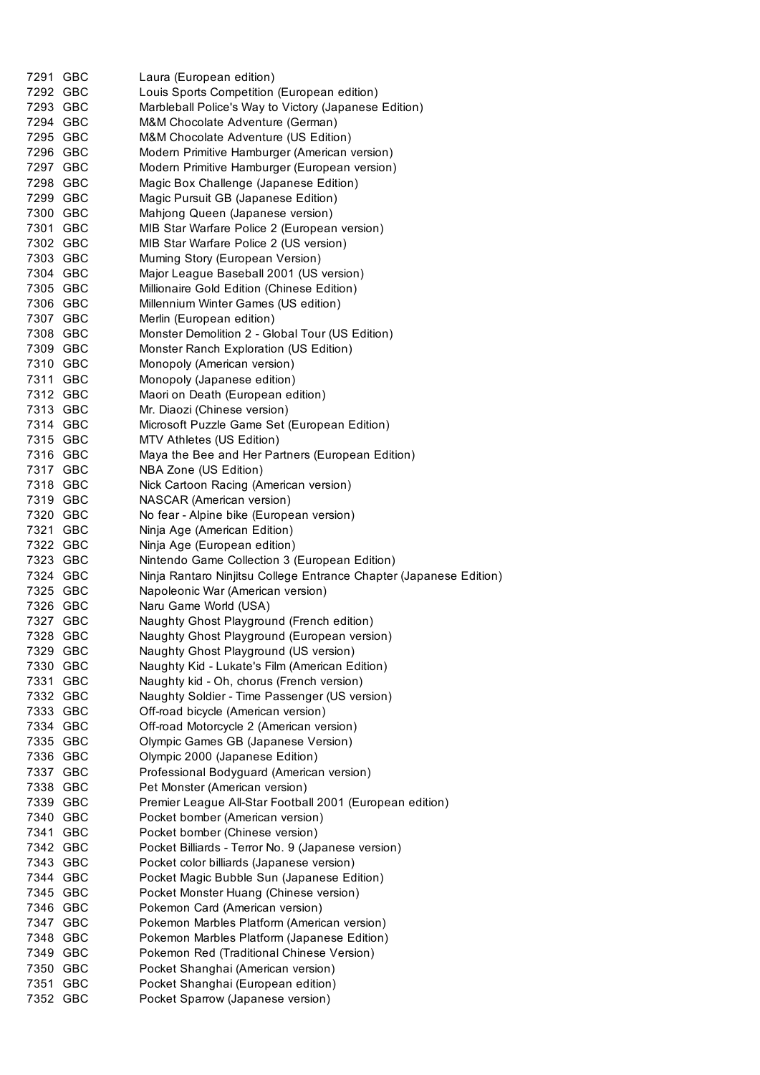| 7291 GBC | Laura (European edition)                                           |
|----------|--------------------------------------------------------------------|
| 7292 GBC | Louis Sports Competition (European edition)                        |
| 7293 GBC | Marbleball Police's Way to Victory (Japanese Edition)              |
| 7294 GBC | M&M Chocolate Adventure (German)                                   |
| 7295 GBC | M&M Chocolate Adventure (US Edition)                               |
| 7296 GBC | Modern Primitive Hamburger (American version)                      |
| 7297 GBC | Modern Primitive Hamburger (European version)                      |
| 7298 GBC | Magic Box Challenge (Japanese Edition)                             |
| 7299 GBC | Magic Pursuit GB (Japanese Edition)                                |
| 7300 GBC | Mahjong Queen (Japanese version)                                   |
| 7301 GBC | MIB Star Warfare Police 2 (European version)                       |
| 7302 GBC | MIB Star Warfare Police 2 (US version)                             |
| 7303 GBC | Muming Story (European Version)                                    |
| 7304 GBC | Major League Baseball 2001 (US version)                            |
| 7305 GBC | Millionaire Gold Edition (Chinese Edition)                         |
| 7306 GBC | Millennium Winter Games (US edition)                               |
| 7307 GBC | Merlin (European edition)                                          |
| 7308 GBC | Monster Demolition 2 - Global Tour (US Edition)                    |
| 7309 GBC | Monster Ranch Exploration (US Edition)                             |
| 7310 GBC | Monopoly (American version)                                        |
| 7311 GBC | Monopoly (Japanese edition)                                        |
| 7312 GBC | Maori on Death (European edition)                                  |
| 7313 GBC | Mr. Diaozi (Chinese version)                                       |
| 7314 GBC | Microsoft Puzzle Game Set (European Edition)                       |
| 7315 GBC | MTV Athletes (US Edition)                                          |
| 7316 GBC | Maya the Bee and Her Partners (European Edition)                   |
| 7317 GBC | NBA Zone (US Edition)                                              |
| 7318 GBC | Nick Cartoon Racing (American version)                             |
| 7319 GBC | NASCAR (American version)                                          |
| 7320 GBC | No fear - Alpine bike (European version)                           |
| 7321 GBC | Ninja Age (American Edition)                                       |
| 7322 GBC | Ninja Age (European edition)                                       |
| 7323 GBC | Nintendo Game Collection 3 (European Edition)                      |
| 7324 GBC | Ninja Rantaro Ninjitsu College Entrance Chapter (Japanese Edition) |
| 7325 GBC | Napoleonic War (American version)                                  |
| 7326 GBC | Naru Game World (USA)                                              |
| 7327 GBC | Naughty Ghost Playground (French edition)                          |
| 7328 GBC | Naughty Ghost Playground (European version)                        |
| 7329 GBC | Naughty Ghost Playground (US version)                              |
| 7330 GBC | Naughty Kid - Lukate's Film (American Edition)                     |
| 7331 GBC | Naughty kid - Oh, chorus (French version)                          |
| 7332 GBC | Naughty Soldier - Time Passenger (US version)                      |
| 7333 GBC | Off-road bicycle (American version)                                |
| 7334 GBC | Off-road Motorcycle 2 (American version)                           |
| 7335 GBC | Olympic Games GB (Japanese Version)                                |
| 7336 GBC | Olympic 2000 (Japanese Edition)                                    |
| 7337 GBC | Professional Bodyguard (American version)                          |
| 7338 GBC | Pet Monster (American version)                                     |
| 7339 GBC | Premier League All-Star Football 2001 (European edition)           |
| 7340 GBC | Pocket bomber (American version)                                   |
| 7341 GBC | Pocket bomber (Chinese version)                                    |
| 7342 GBC | Pocket Billiards - Terror No. 9 (Japanese version)                 |
| 7343 GBC | Pocket color billiards (Japanese version)                          |
| 7344 GBC | Pocket Magic Bubble Sun (Japanese Edition)                         |
| 7345 GBC | Pocket Monster Huang (Chinese version)                             |
| 7346 GBC | Pokemon Card (American version)                                    |
| 7347 GBC | Pokemon Marbles Platform (American version)                        |
| 7348 GBC | Pokemon Marbles Platform (Japanese Edition)                        |
| 7349 GBC | Pokemon Red (Traditional Chinese Version)                          |
| 7350 GBC | Pocket Shanghai (American version)                                 |
| 7351 GBC | Pocket Shanghai (European edition)                                 |
| 7352 GBC | Pocket Sparrow (Japanese version)                                  |
|          |                                                                    |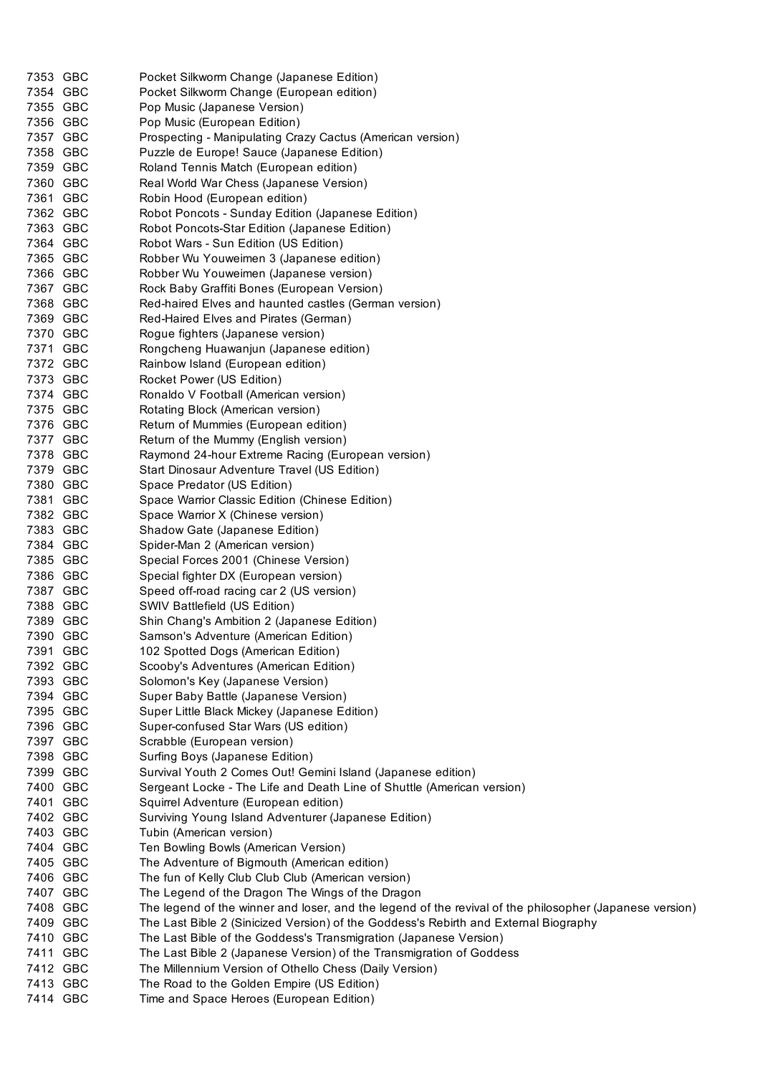| 7353 GBC             | Pocket Silkworm Change (Japanese Edition)                                                               |
|----------------------|---------------------------------------------------------------------------------------------------------|
| 7354 GBC             | Pocket Silkworm Change (European edition)                                                               |
| 7355 GBC             | Pop Music (Japanese Version)                                                                            |
| 7356 GBC             | Pop Music (European Edition)                                                                            |
| 7357 GBC             | Prospecting - Manipulating Crazy Cactus (American version)                                              |
| 7358 GBC             | Puzzle de Europe! Sauce (Japanese Edition)                                                              |
| 7359 GBC             | Roland Tennis Match (European edition)                                                                  |
| 7360 GBC             | Real World War Chess (Japanese Version)                                                                 |
| 7361 GBC             | Robin Hood (European edition)                                                                           |
| 7362 GBC             | Robot Poncots - Sunday Edition (Japanese Edition)                                                       |
| 7363 GBC             | Robot Poncots-Star Edition (Japanese Edition)                                                           |
| 7364 GBC             | Robot Wars - Sun Edition (US Edition)                                                                   |
| 7365 GBC             | Robber Wu Youweimen 3 (Japanese edition)                                                                |
| 7366 GBC             | Robber Wu Youweimen (Japanese version)                                                                  |
| 7367 GBC             | Rock Baby Graffiti Bones (European Version)                                                             |
| 7368 GBC             | Red-haired Elves and haunted castles (German version)                                                   |
| 7369 GBC             | Red-Haired Elves and Pirates (German)                                                                   |
| 7370 GBC             | Rogue fighters (Japanese version)                                                                       |
| 7371 GBC             | Rongcheng Huawanjun (Japanese edition)                                                                  |
| 7372 GBC             | Rainbow Island (European edition)                                                                       |
| 7373 GBC             | Rocket Power (US Edition)                                                                               |
| 7374 GBC             | Ronaldo V Football (American version)                                                                   |
| 7375 GBC             | Rotating Block (American version)                                                                       |
| 7376 GBC             | Return of Mummies (European edition)                                                                    |
| 7377 GBC             | Retum of the Mummy (English version)                                                                    |
| 7378 GBC             | Raymond 24-hour Extreme Racing (European version)                                                       |
| 7379 GBC             | Start Dinosaur Adventure Travel (US Edition)                                                            |
| 7380 GBC             | Space Predator (US Edition)                                                                             |
| 7381 GBC             | Space Warrior Classic Edition (Chinese Edition)                                                         |
| 7382 GBC             | Space Warrior X (Chinese version)                                                                       |
| 7383 GBC             | Shadow Gate (Japanese Edition)                                                                          |
| 7384 GBC             | Spider-Man 2 (American version)                                                                         |
| 7385 GBC             | Special Forces 2001 (Chinese Version)                                                                   |
| 7386 GBC             | Special fighter DX (European version)                                                                   |
| 7387 GBC             | Speed off-road racing car 2 (US version)                                                                |
| 7388 GBC             | SWIV Battlefield (US Edition)                                                                           |
| 7389 GBC             | Shin Chang's Ambition 2 (Japanese Edition)                                                              |
| 7390 GBC             | Samson's Adventure (American Edition)                                                                   |
| 7391 GBC             | 102 Spotted Dogs (American Edition)                                                                     |
| 7392 GBC             | Scooby's Adventures (American Edition)                                                                  |
| 7393 GBC             | Solomon's Key (Japanese Version)                                                                        |
| 7394 GBC             | Super Baby Battle (Japanese Version)                                                                    |
| 7395 GBC             | Super Little Black Mickey (Japanese Edition)                                                            |
| 7396 GBC             | Super-confused Star Wars (US edition)                                                                   |
| 7397 GBC             | Scrabble (European version)                                                                             |
| 7398 GBC             | Surfing Boys (Japanese Edition)                                                                         |
| 7399 GBC             | Survival Youth 2 Comes Out! Gemini Island (Japanese edition)                                            |
| 7400 GBC             | Sergeant Locke - The Life and Death Line of Shuttle (American version)                                  |
| 7401 GBC             | Squirrel Adventure (European edition)                                                                   |
| 7402 GBC             | Surviving Young Island Adventurer (Japanese Edition)                                                    |
| 7403 GBC             | Tubin (American version)                                                                                |
| 7404 GBC             | Ten Bowling Bowls (American Version)                                                                    |
| 7405 GBC<br>7406 GBC | The Adventure of Bigmouth (American edition)<br>The fun of Kelly Club Club Club (American version)      |
| 7407 GBC             | The Legend of the Dragon The Wings of the Dragon                                                        |
| 7408 GBC             | The legend of the winner and loser, and the legend of the revival of the philosopher (Japanese version) |
| 7409 GBC             | The Last Bible 2 (Sinicized Version) of the Goddess's Rebirth and External Biography                    |
| 7410 GBC             | The Last Bible of the Goddess's Transmigration (Japanese Version)                                       |
| 7411 GBC             | The Last Bible 2 (Japanese Version) of the Transmigration of Goddess                                    |
| 7412 GBC             | The Millennium Version of Othello Chess (Daily Version)                                                 |
| 7413 GBC             | The Road to the Golden Empire (US Edition)                                                              |
| 7414 GBC             | Time and Space Heroes (European Edition)                                                                |
|                      |                                                                                                         |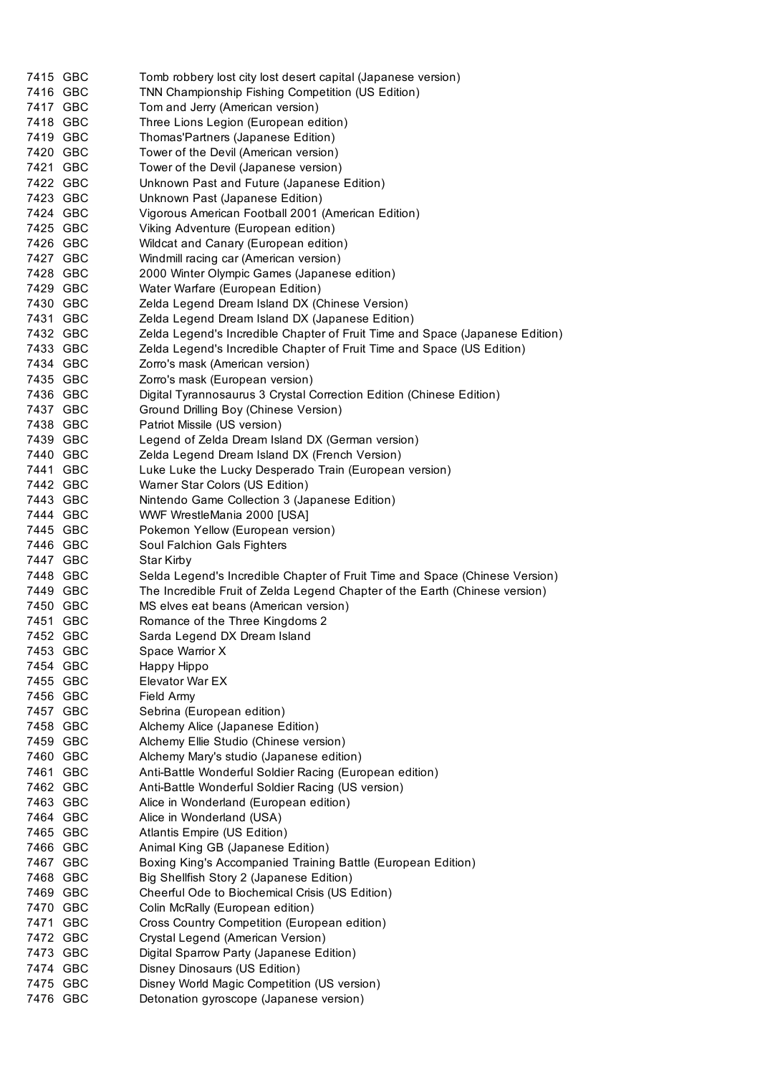| 7415 GBC | Tomb robbery lost city lost desert capital (Japanese version)                |
|----------|------------------------------------------------------------------------------|
| 7416 GBC | TNN Championship Fishing Competition (US Edition)                            |
| 7417 GBC | Tom and Jerry (American version)                                             |
| 7418 GBC | Three Lions Legion (European edition)                                        |
| 7419 GBC | Thomas'Partners (Japanese Edition)                                           |
| 7420 GBC | Tower of the Devil (American version)                                        |
| 7421 GBC | Tower of the Devil (Japanese version)                                        |
| 7422 GBC | Unknown Past and Future (Japanese Edition)                                   |
| 7423 GBC | Unknown Past (Japanese Edition)                                              |
| 7424 GBC | Vigorous American Football 2001 (American Edition)                           |
| 7425 GBC | Viking Adventure (European edition)                                          |
| 7426 GBC | Wildcat and Canary (European edition)                                        |
| 7427 GBC | Windmill racing car (American version)                                       |
| 7428 GBC | 2000 Winter Olympic Games (Japanese edition)                                 |
| 7429 GBC | Water Warfare (European Edition)                                             |
| 7430 GBC | Zelda Legend Dream Island DX (Chinese Version)                               |
| 7431 GBC | Zelda Legend Dream Island DX (Japanese Edition)                              |
| 7432 GBC | Zelda Legend's Incredible Chapter of Fruit Time and Space (Japanese Edition) |
| 7433 GBC | Zelda Legend's Incredible Chapter of Fruit Time and Space (US Edition)       |
| 7434 GBC | Zorro's mask (American version)                                              |
| 7435 GBC | Zorro's mask (European version)                                              |
| 7436 GBC | Digital Tyrannosaurus 3 Crystal Correction Edition (Chinese Edition)         |
| 7437 GBC | Ground Drilling Boy (Chinese Version)                                        |
| 7438 GBC | Patriot Missile (US version)                                                 |
| 7439 GBC | Legend of Zelda Dream Island DX (German version)                             |
| 7440 GBC | Zelda Legend Dream Island DX (French Version)                                |
| 7441 GBC | Luke Luke the Lucky Desperado Train (European version)                       |
| 7442 GBC | Warner Star Colors (US Edition)                                              |
| 7443 GBC | Nintendo Game Collection 3 (Japanese Edition)                                |
| 7444 GBC | WWF WrestleMania 2000 [USA]                                                  |
| 7445 GBC | Pokemon Yellow (European version)                                            |
| 7446 GBC | Soul Falchion Gals Fighters                                                  |
| 7447 GBC | Star Kirby                                                                   |
| 7448 GBC | Selda Legend's Incredible Chapter of Fruit Time and Space (Chinese Version)  |
| 7449 GBC | The Incredible Fruit of Zelda Legend Chapter of the Earth (Chinese version)  |
| 7450 GBC | MS elves eat beans (American version)                                        |
| 7451 GBC | Romance of the Three Kingdoms 2                                              |
| 7452 GBC | Sarda Legend DX Dream Island                                                 |
| 7453 GBC | Space Warrior X                                                              |
| 7454 GBC | Happy Hippo                                                                  |
| 7455 GBC | Elevator War EX                                                              |
| 7456 GBC | Field Army                                                                   |
| 7457 GBC | Sebrina (European edition)                                                   |
| 7458 GBC | Alchemy Alice (Japanese Edition)                                             |
| 7459 GBC | Alchemy Ellie Studio (Chinese version)                                       |
| 7460 GBC | Alchemy Mary's studio (Japanese edition)                                     |
| 7461 GBC | Anti-Battle Wonderful Soldier Racing (European edition)                      |
| 7462 GBC | Anti-Battle Wonderful Soldier Racing (US version)                            |
| 7463 GBC |                                                                              |
| 7464 GBC | Alice in Wonderland (European edition)<br>Alice in Wonderland (USA)          |
| 7465 GBC |                                                                              |
|          | Atlantis Empire (US Edition)                                                 |
| 7466 GBC | Animal King GB (Japanese Edition)                                            |
| 7467 GBC | Boxing King's Accompanied Training Battle (European Edition)                 |
| 7468 GBC | Big Shellfish Story 2 (Japanese Edition)                                     |
| 7469 GBC | Cheerful Ode to Biochemical Crisis (US Edition)                              |
| 7470 GBC | Colin McRally (European edition)                                             |
| 7471 GBC | Cross Country Competition (European edition)                                 |
| 7472 GBC | Crystal Legend (American Version)                                            |
| 7473 GBC | Digital Sparrow Party (Japanese Edition)                                     |
| 7474 GBC | Disney Dinosaurs (US Edition)                                                |
| 7475 GBC | Disney World Magic Competition (US version)                                  |
| 7476 GBC | Detonation gyroscope (Japanese version)                                      |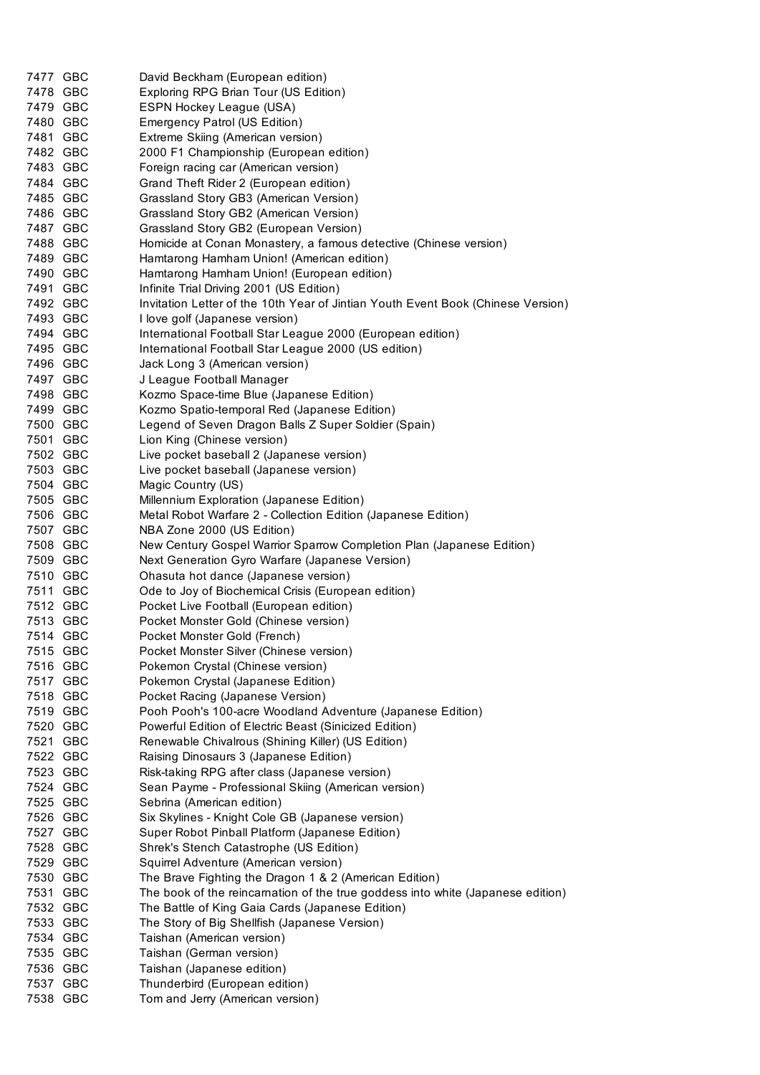| 7477 GBC             | David Beckham (European edition)                                                             |
|----------------------|----------------------------------------------------------------------------------------------|
| 7478 GBC             | Exploring RPG Brian Tour (US Edition)                                                        |
| 7479 GBC             | ESPN Hockey League (USA)                                                                     |
| 7480 GBC             | Emergency Patrol (US Edition)                                                                |
| 7481 GBC             | Extreme Skiing (American version)                                                            |
| 7482 GBC             | 2000 F1 Championship (European edition)                                                      |
| 7483 GBC             | Foreign racing car (American version)                                                        |
| 7484 GBC             | Grand Theft Rider 2 (European edition)                                                       |
| 7485 GBC             | Grassland Story GB3 (American Version)                                                       |
| 7486 GBC             | Grassland Story GB2 (American Version)                                                       |
| 7487 GBC             | Grassland Story GB2 (European Version)                                                       |
| 7488 GBC             | Homicide at Conan Monastery, a famous detective (Chinese version)                            |
| 7489 GBC             | Hamtarong Hamham Union! (American edition)                                                   |
| 7490 GBC             | Hamtarong Hamham Union! (European edition)                                                   |
| 7491 GBC             | Infinite Trial Driving 2001 (US Edition)                                                     |
| 7492 GBC             | Invitation Letter of the 10th Year of Jintian Youth Event Book (Chinese Version)             |
| 7493 GBC             | I love golf (Japanese version)                                                               |
| 7494 GBC             | International Football Star League 2000 (European edition)                                   |
| 7495 GBC             | International Football Star League 2000 (US edition)                                         |
| 7496 GBC             | Jack Long 3 (American version)                                                               |
| 7497 GBC             | J League Football Manager                                                                    |
| 7498 GBC             | Kozmo Space-time Blue (Japanese Edition)                                                     |
| 7499 GBC             | Kozmo Spatio-temporal Red (Japanese Edition)                                                 |
| 7500 GBC             | Legend of Seven Dragon Balls Z Super Soldier (Spain)                                         |
| 7501 GBC             | Lion King (Chinese version)                                                                  |
| 7502 GBC             | Live pocket baseball 2 (Japanese version)                                                    |
| 7503 GBC             | Live pocket baseball (Japanese version)                                                      |
| 7504 GBC             | Magic Country (US)                                                                           |
| 7505 GBC             | Millennium Exploration (Japanese Edition)                                                    |
| 7506 GBC             | Metal Robot Warfare 2 - Collection Edition (Japanese Edition)                                |
| 7507 GBC             | NBA Zone 2000 (US Edition)                                                                   |
| 7508 GBC             | New Century Gospel Warrior Sparrow Completion Plan (Japanese Edition)                        |
| 7509 GBC             | Next Generation Gyro Warfare (Japanese Version)                                              |
| 7510 GBC             | Ohasuta hot dance (Japanese version)                                                         |
| 7511 GBC             | Ode to Joy of Biochemical Crisis (European edition)                                          |
| 7512 GBC             | Pocket Live Football (European edition)                                                      |
| 7513 GBC             | Pocket Monster Gold (Chinese version)                                                        |
| 7514 GBC             | Pocket Monster Gold (French)                                                                 |
| 7515 GBC             | Pocket Monster Silver (Chinese version)                                                      |
| 7516 GBC             | Pokemon Crystal (Chinese version)                                                            |
| 7517 GBC             | Pokemon Crystal (Japanese Edition)                                                           |
| 7518 GBC             |                                                                                              |
|                      | Pocket Racing (Japanese Version)                                                             |
| 7519 GBC<br>7520 GBC | Pooh Pooh's 100-acre Woodland Adventure (Japanese Edition)                                   |
|                      | Powerful Edition of Electric Beast (Sinicized Edition)                                       |
| 7521 GBC<br>7522 GBC | Renewable Chivalrous (Shining Killer) (US Edition)<br>Raising Dinosaurs 3 (Japanese Edition) |
|                      |                                                                                              |
| 7523 GBC             | Risk-taking RPG after class (Japanese version)                                               |
| 7524 GBC             | Sean Payme - Professional Skiing (American version)                                          |
| 7525 GBC             | Sebrina (American edition)                                                                   |
| 7526 GBC             | Six Skylines - Knight Cole GB (Japanese version)                                             |
| 7527 GBC             | Super Robot Pinball Platform (Japanese Edition)                                              |
| 7528 GBC             | Shrek's Stench Catastrophe (US Edition)                                                      |
| 7529 GBC             | Squirrel Adventure (American version)                                                        |
| 7530 GBC             | The Brave Fighting the Dragon 1 & 2 (American Edition)                                       |
| 7531 GBC             | The book of the reincarnation of the true goddess into white (Japanese edition)              |
| 7532 GBC             | The Battle of King Gaia Cards (Japanese Edition)                                             |
| 7533 GBC             | The Story of Big Shellfish (Japanese Version)                                                |
| 7534 GBC             | Taishan (American version)                                                                   |
| 7535 GBC             | Taishan (German version)                                                                     |
| 7536 GBC             | Taishan (Japanese edition)                                                                   |
| 7537 GBC             | Thunderbird (European edition)                                                               |
| 7538 GBC             | Tom and Jerry (American version)                                                             |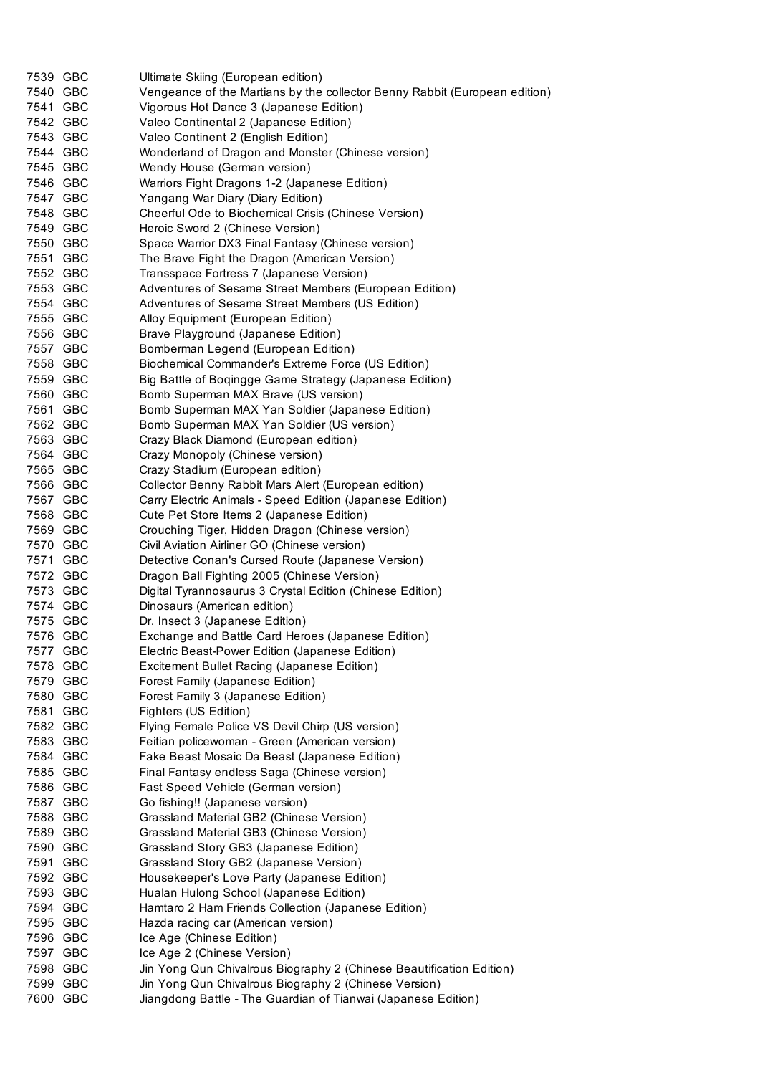| 7539 GBC | Ultimate Skiing (European edition)                                         |
|----------|----------------------------------------------------------------------------|
| 7540 GBC | Vengeance of the Martians by the collector Benny Rabbit (European edition) |
| 7541 GBC | Vigorous Hot Dance 3 (Japanese Edition)                                    |
| 7542 GBC | Valeo Continental 2 (Japanese Edition)                                     |
| 7543 GBC | Valeo Continent 2 (English Edition)                                        |
| 7544 GBC | Wonderland of Dragon and Monster (Chinese version)                         |
| 7545 GBC | Wendy House (German version)                                               |
| 7546 GBC | Warriors Fight Dragons 1-2 (Japanese Edition)                              |
| 7547 GBC | Yangang War Diary (Diary Edition)                                          |
| 7548 GBC | Cheerful Ode to Biochemical Crisis (Chinese Version)                       |
| 7549 GBC | Heroic Sword 2 (Chinese Version)                                           |
| 7550 GBC | Space Warrior DX3 Final Fantasy (Chinese version)                          |
| 7551 GBC | The Brave Fight the Dragon (American Version)                              |
| 7552 GBC | Transspace Fortress 7 (Japanese Version)                                   |
| 7553 GBC | Adventures of Sesame Street Members (European Edition)                     |
| 7554 GBC | Adventures of Sesame Street Members (US Edition)                           |
| 7555 GBC | Alloy Equipment (European Edition)                                         |
| 7556 GBC | Brave Playground (Japanese Edition)                                        |
| 7557 GBC | Bomberman Legend (European Edition)                                        |
| 7558 GBC | Biochemical Commander's Extreme Force (US Edition)                         |
| 7559 GBC | Big Battle of Boqingge Game Strategy (Japanese Edition)                    |
| 7560 GBC | Bomb Superman MAX Brave (US version)                                       |
| 7561 GBC | Bomb Superman MAX Yan Soldier (Japanese Edition)                           |
| 7562 GBC | Bomb Superman MAX Yan Soldier (US version)                                 |
| 7563 GBC | Crazy Black Diamond (European edition)                                     |
| 7564 GBC | Crazy Monopoly (Chinese version)                                           |
| 7565 GBC | Crazy Stadium (European edition)                                           |
| 7566 GBC | Collector Benny Rabbit Mars Alert (European edition)                       |
| 7567 GBC | Carry Electric Animals - Speed Edition (Japanese Edition)                  |
| 7568 GBC | Cute Pet Store Items 2 (Japanese Edition)                                  |
| 7569 GBC | Crouching Tiger, Hidden Dragon (Chinese version)                           |
| 7570 GBC | Civil Aviation Airliner GO (Chinese version)                               |
| 7571 GBC | Detective Conan's Cursed Route (Japanese Version)                          |
| 7572 GBC | Dragon Ball Fighting 2005 (Chinese Version)                                |
| 7573 GBC | Digital Tyrannosaurus 3 Crystal Edition (Chinese Edition)                  |
| 7574 GBC | Dinosaurs (American edition)                                               |
| 7575 GBC | Dr. Insect 3 (Japanese Edition)                                            |
| 7576 GBC | Exchange and Battle Card Heroes (Japanese Edition)                         |
| 7577 GBC | Electric Beast-Power Edition (Japanese Edition)                            |
| 7578 GBC | Excitement Bullet Racing (Japanese Edition)                                |
| 7579 GBC | Forest Family (Japanese Edition)                                           |
| 7580 GBC | Forest Family 3 (Japanese Edition)                                         |
| 7581 GBC | Fighters (US Edition)                                                      |
| 7582 GBC | Flying Female Police VS Devil Chirp (US version)                           |
| 7583 GBC | Feitian policewoman - Green (American version)                             |
| 7584 GBC | Fake Beast Mosaic Da Beast (Japanese Edition)                              |
| 7585 GBC | Final Fantasy endless Saga (Chinese version)                               |
| 7586 GBC | Fast Speed Vehicle (German version)                                        |
| 7587 GBC | Go fishing!! (Japanese version)                                            |
| 7588 GBC | Grassland Material GB2 (Chinese Version)                                   |
| 7589 GBC | Grassland Material GB3 (Chinese Version)                                   |
| 7590 GBC | Grassland Story GB3 (Japanese Edition)                                     |
| 7591 GBC | Grassland Story GB2 (Japanese Version)                                     |
| 7592 GBC | Housekeeper's Love Party (Japanese Edition)                                |
| 7593 GBC | Hualan Hulong School (Japanese Edition)                                    |
| 7594 GBC | Hamtaro 2 Ham Friends Collection (Japanese Edition)                        |
| 7595 GBC | Hazda racing car (American version)                                        |
| 7596 GBC | Ice Age (Chinese Edition)                                                  |
| 7597 GBC | Ice Age 2 (Chinese Version)                                                |
| 7598 GBC | Jin Yong Qun Chivalrous Biography 2 (Chinese Beautification Edition)       |
| 7599 GBC | Jin Yong Qun Chivalrous Biography 2 (Chinese Version)                      |
| 7600 GBC | Jiangdong Battle - The Guardian of Tianwai (Japanese Edition)              |
|          |                                                                            |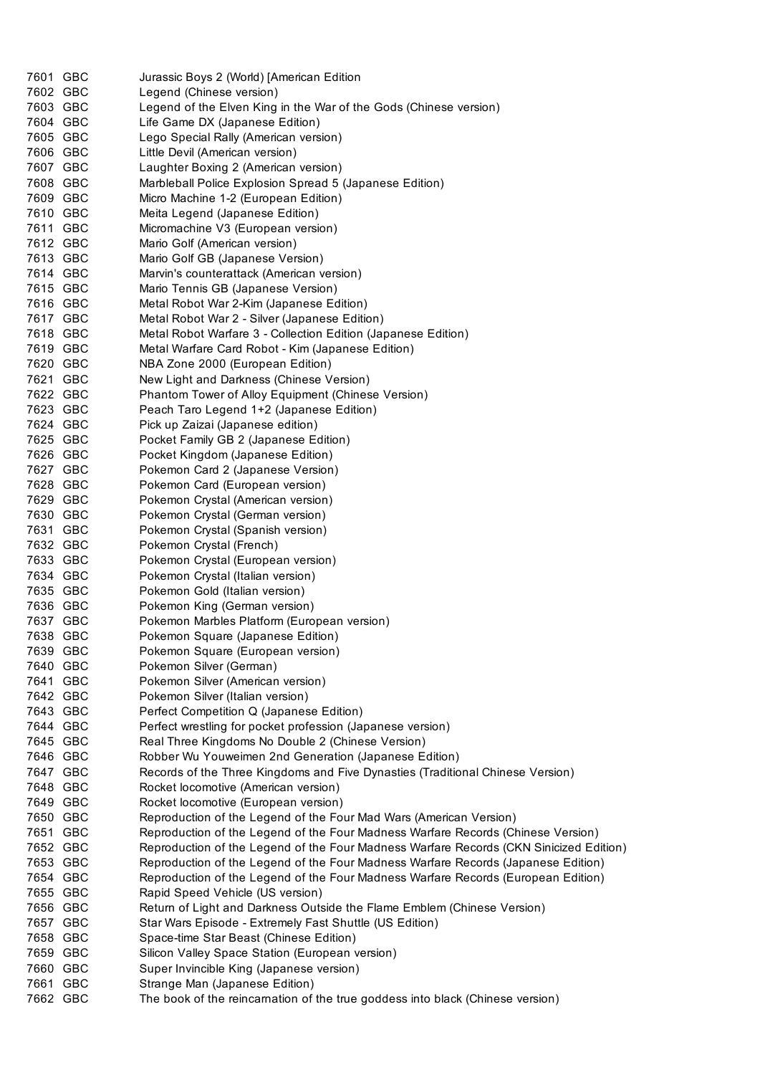| 7601 GBC | Jurassic Boys 2 (World) [American Edition                                              |  |  |
|----------|----------------------------------------------------------------------------------------|--|--|
| 7602 GBC | Legend (Chinese version)                                                               |  |  |
| 7603 GBC | Legend of the Elven King in the War of the Gods (Chinese version)                      |  |  |
| 7604 GBC | Life Game DX (Japanese Edition)                                                        |  |  |
| 7605 GBC | Lego Special Rally (American version)                                                  |  |  |
| 7606 GBC | Little Devil (American version)                                                        |  |  |
| 7607 GBC | Laughter Boxing 2 (American version)                                                   |  |  |
| 7608 GBC | Marbleball Police Explosion Spread 5 (Japanese Edition)                                |  |  |
| 7609 GBC | Micro Machine 1-2 (European Edition)                                                   |  |  |
| 7610 GBC | Meita Legend (Japanese Edition)                                                        |  |  |
| 7611 GBC | Micromachine V3 (European version)                                                     |  |  |
| 7612 GBC | Mario Golf (American version)                                                          |  |  |
| 7613 GBC | Mario Golf GB (Japanese Version)                                                       |  |  |
| 7614 GBC | Marvin's counterattack (American version)                                              |  |  |
| 7615 GBC | Mario Tennis GB (Japanese Version)                                                     |  |  |
| 7616 GBC | Metal Robot War 2-Kim (Japanese Edition)                                               |  |  |
| 7617 GBC | Metal Robot War 2 - Silver (Japanese Edition)                                          |  |  |
| 7618 GBC | Metal Robot Warfare 3 - Collection Edition (Japanese Edition)                          |  |  |
| 7619 GBC | Metal Warfare Card Robot - Kim (Japanese Edition)                                      |  |  |
| 7620 GBC | NBA Zone 2000 (European Edition)                                                       |  |  |
| 7621 GBC | New Light and Darkness (Chinese Version)                                               |  |  |
| 7622 GBC | Phantom Tower of Alloy Equipment (Chinese Version)                                     |  |  |
| 7623 GBC | Peach Taro Legend 1+2 (Japanese Edition)                                               |  |  |
| 7624 GBC | Pick up Zaizai (Japanese edition)                                                      |  |  |
| 7625 GBC | Pocket Family GB 2 (Japanese Edition)                                                  |  |  |
| 7626 GBC | Pocket Kingdom (Japanese Edition)                                                      |  |  |
| 7627 GBC | Pokemon Card 2 (Japanese Version)                                                      |  |  |
| 7628 GBC | Pokemon Card (European version)                                                        |  |  |
| 7629 GBC | Pokemon Crystal (American version)                                                     |  |  |
| 7630 GBC | Pokemon Crystal (German version)                                                       |  |  |
| 7631 GBC | Pokemon Crystal (Spanish version)                                                      |  |  |
| 7632 GBC | Pokemon Crystal (French)                                                               |  |  |
| 7633 GBC | Pokemon Crystal (European version)                                                     |  |  |
| 7634 GBC | Pokemon Crystal (Italian version)                                                      |  |  |
| 7635 GBC | Pokemon Gold (Italian version)                                                         |  |  |
| 7636 GBC | Pokemon King (German version)                                                          |  |  |
| 7637 GBC | Pokemon Marbles Platform (European version)                                            |  |  |
| 7638 GBC | Pokemon Square (Japanese Edition)                                                      |  |  |
| 7639 GBC | Pokemon Square (European version)                                                      |  |  |
| 7640 GBC | Pokemon Silver (German)                                                                |  |  |
| 7641 GBC | Pokemon Silver (American version)                                                      |  |  |
| 7642 GBC | Pokemon Silver (Italian version)                                                       |  |  |
| 7643 GBC | Perfect Competition Q (Japanese Edition)                                               |  |  |
| 7644 GBC | Perfect wrestling for pocket profession (Japanese version)                             |  |  |
| 7645 GBC | Real Three Kingdoms No Double 2 (Chinese Version)                                      |  |  |
| 7646 GBC | Robber Wu Youweimen 2nd Generation (Japanese Edition)                                  |  |  |
| 7647 GBC | Records of the Three Kingdoms and Five Dynasties (Traditional Chinese Version)         |  |  |
| 7648 GBC | Rocket locomotive (American version)                                                   |  |  |
| 7649 GBC | Rocket locomotive (European version)                                                   |  |  |
| 7650 GBC | Reproduction of the Legend of the Four Mad Wars (American Version)                     |  |  |
| 7651 GBC | Reproduction of the Legend of the Four Madness Warfare Records (Chinese Version)       |  |  |
| 7652 GBC | Reproduction of the Legend of the Four Madness Warfare Records (CKN Sinicized Edition) |  |  |
| 7653 GBC | Reproduction of the Legend of the Four Madness Warfare Records (Japanese Edition)      |  |  |
| 7654 GBC | Reproduction of the Legend of the Four Madness Warfare Records (European Edition)      |  |  |
| 7655 GBC | Rapid Speed Vehicle (US version)                                                       |  |  |
| 7656 GBC | Return of Light and Darkness Outside the Flame Emblem (Chinese Version)                |  |  |
| 7657 GBC | Star Wars Episode - Extremely Fast Shuttle (US Edition)                                |  |  |
| 7658 GBC | Space-time Star Beast (Chinese Edition)                                                |  |  |
| 7659 GBC | Silicon Valley Space Station (European version)                                        |  |  |
| 7660 GBC | Super Invincible King (Japanese version)                                               |  |  |
| 7661 GBC | Strange Man (Japanese Edition)                                                         |  |  |
| 7662 GBC | The book of the reincarnation of the true goddess into black (Chinese version)         |  |  |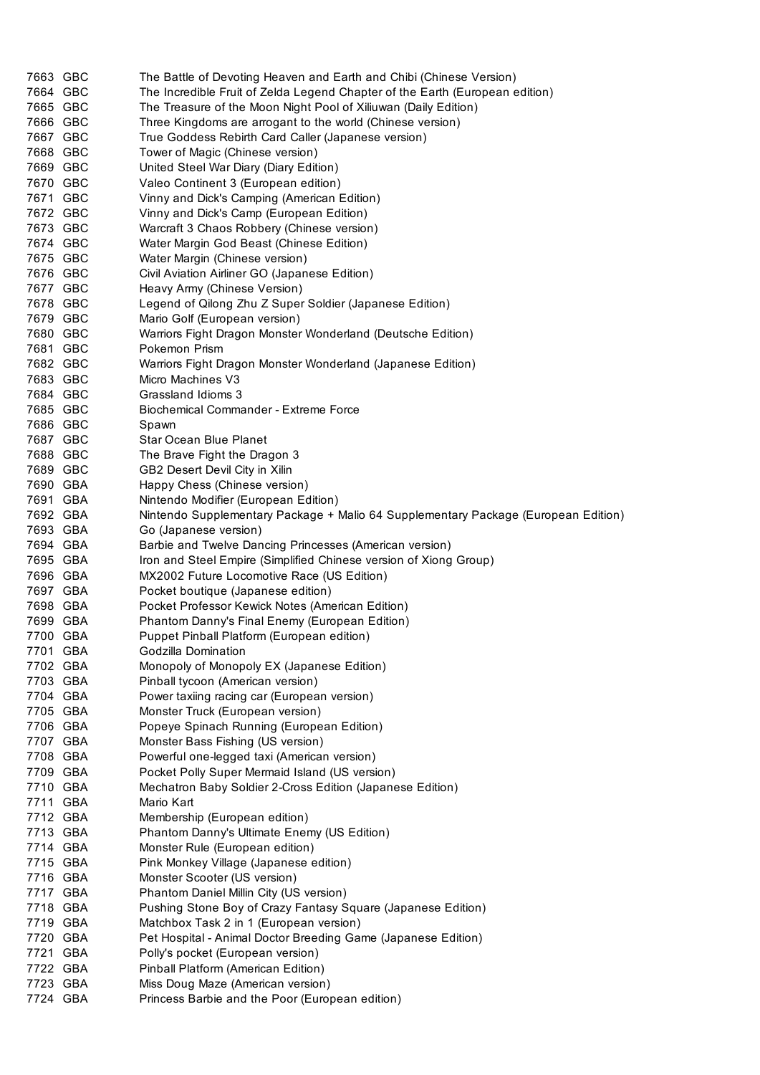| 7663 GBC             | The Battle of Devoting Heaven and Earth and Chibi (Chinese Version)                |  |  |
|----------------------|------------------------------------------------------------------------------------|--|--|
| 7664 GBC             | The Incredible Fruit of Zelda Legend Chapter of the Earth (European edition)       |  |  |
| 7665 GBC             | The Treasure of the Moon Night Pool of Xiliuwan (Daily Edition)                    |  |  |
| 7666 GBC             | Three Kingdoms are arrogant to the world (Chinese version)                         |  |  |
| 7667 GBC             | True Goddess Rebirth Card Caller (Japanese version)                                |  |  |
| 7668 GBC             |                                                                                    |  |  |
| 7669 GBC             | Tower of Magic (Chinese version)                                                   |  |  |
|                      | United Steel War Diary (Diary Edition)                                             |  |  |
| 7670 GBC<br>7671 GBC | Valeo Continent 3 (European edition)                                               |  |  |
|                      | Vinny and Dick's Camping (American Edition)                                        |  |  |
| 7672 GBC             | Vinny and Dick's Camp (European Edition)                                           |  |  |
| 7673 GBC             | Warcraft 3 Chaos Robbery (Chinese version)                                         |  |  |
| 7674 GBC             | Water Margin God Beast (Chinese Edition)                                           |  |  |
| 7675 GBC             | Water Margin (Chinese version)                                                     |  |  |
| 7676 GBC             | Civil Aviation Airliner GO (Japanese Edition)                                      |  |  |
| 7677 GBC             | Heavy Army (Chinese Version)                                                       |  |  |
| 7678 GBC             | Legend of Qilong Zhu Z Super Soldier (Japanese Edition)                            |  |  |
| 7679 GBC             | Mario Golf (European version)                                                      |  |  |
| 7680 GBC             | Warriors Fight Dragon Monster Wonderland (Deutsche Edition)                        |  |  |
| 7681 GBC             | Pokemon Prism                                                                      |  |  |
| 7682 GBC             | Warriors Fight Dragon Monster Wonderland (Japanese Edition)                        |  |  |
| 7683 GBC             | Micro Machines V3                                                                  |  |  |
| 7684 GBC             | Grassland Idioms 3                                                                 |  |  |
| 7685 GBC             | <b>Biochemical Commander - Extreme Force</b>                                       |  |  |
| 7686 GBC             | Spawn                                                                              |  |  |
| 7687 GBC             | Star Ocean Blue Planet                                                             |  |  |
| 7688 GBC             | The Brave Fight the Dragon 3                                                       |  |  |
| 7689 GBC             | GB2 Desert Devil City in Xilin                                                     |  |  |
| 7690 GBA             | Happy Chess (Chinese version)                                                      |  |  |
| 7691 GBA             | Nintendo Modifier (European Edition)                                               |  |  |
| 7692 GBA             | Nintendo Supplementary Package + Malio 64 Supplementary Package (European Edition) |  |  |
| 7693 GBA             | Go (Japanese version)                                                              |  |  |
| 7694 GBA             | Barbie and Twelve Dancing Princesses (American version)                            |  |  |
| 7695 GBA             | Iron and Steel Empire (Simplified Chinese version of Xiong Group)                  |  |  |
| 7696 GBA             | MX2002 Future Locomotive Race (US Edition)                                         |  |  |
| 7697 GBA             | Pocket boutique (Japanese edition)                                                 |  |  |
| 7698 GBA             | Pocket Professor Kewick Notes (American Edition)                                   |  |  |
| 7699 GBA             | Phantom Danny's Final Enemy (European Edition)                                     |  |  |
| 7700 GBA             | Puppet Pinball Platform (European edition)                                         |  |  |
| 7701 GBA             | Godzilla Domination                                                                |  |  |
| 7702 GBA             | Monopoly of Monopoly EX (Japanese Edition)                                         |  |  |
| 7703 GBA             | Pinball tycoon (American version)                                                  |  |  |
| 7704 GBA             | Power taxiing racing car (European version)                                        |  |  |
| 7705 GBA             | Monster Truck (European version)                                                   |  |  |
| 7706 GBA             | Popeye Spinach Running (European Edition)                                          |  |  |
| 7707 GBA             | Monster Bass Fishing (US version)                                                  |  |  |
| 7708 GBA             | Powerful one-legged taxi (American version)                                        |  |  |
| 7709 GBA             | Pocket Polly Super Mermaid Island (US version)                                     |  |  |
| 7710 GBA             | Mechatron Baby Soldier 2-Cross Edition (Japanese Edition)                          |  |  |
| 7711 GBA             | Mario Kart                                                                         |  |  |
| 7712 GBA             | Membership (European edition)                                                      |  |  |
| 7713 GBA             | Phantom Danny's Ultimate Enemy (US Edition)                                        |  |  |
| 7714 GBA             |                                                                                    |  |  |
|                      | Monster Rule (European edition)                                                    |  |  |
| 7715 GBA             | Pink Monkey Village (Japanese edition)                                             |  |  |
| 7716 GBA             | Monster Scooter (US version)                                                       |  |  |
| 7717 GBA             | Phantom Daniel Millin City (US version)                                            |  |  |
| 7718 GBA             | Pushing Stone Boy of Crazy Fantasy Square (Japanese Edition)                       |  |  |
| 7719 GBA             | Matchbox Task 2 in 1 (European version)                                            |  |  |
| 7720 GBA             | Pet Hospital - Animal Doctor Breeding Game (Japanese Edition)                      |  |  |
| 7721 GBA             | Polly's pocket (European version)                                                  |  |  |
| 7722 GBA             | Pinball Platform (American Edition)                                                |  |  |
| 7723 GBA             | Miss Doug Maze (American version)                                                  |  |  |
| 7724 GBA             | Princess Barbie and the Poor (European edition)                                    |  |  |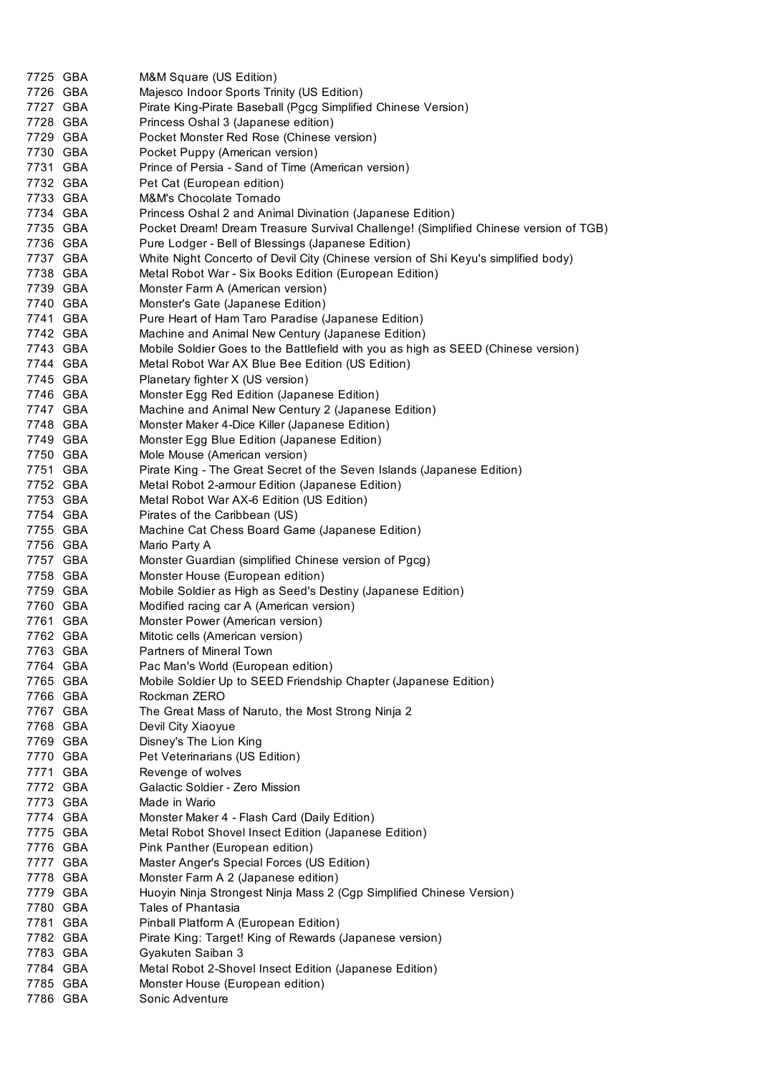| 7725 GBA | M&M Square (US Edition)                                                              |
|----------|--------------------------------------------------------------------------------------|
| 7726 GBA | Majesco Indoor Sports Trinity (US Edition)                                           |
| 7727 GBA | Pirate King-Pirate Baseball (Pgcg Simplified Chinese Version)                        |
| 7728 GBA | Princess Oshal 3 (Japanese edition)                                                  |
| 7729 GBA | Pocket Monster Red Rose (Chinese version)                                            |
| 7730 GBA | Pocket Puppy (American version)                                                      |
| 7731 GBA | Prince of Persia - Sand of Time (American version)                                   |
| 7732 GBA | Pet Cat (European edition)                                                           |
| 7733 GBA | M&M's Chocolate Tornado                                                              |
| 7734 GBA | Princess Oshal 2 and Animal Divination (Japanese Edition)                            |
| 7735 GBA | Pocket Dream! Dream Treasure Survival Challenge! (Simplified Chinese version of TGB) |
| 7736 GBA | Pure Lodger - Bell of Blessings (Japanese Edition)                                   |
| 7737 GBA | White Night Concerto of Devil City (Chinese version of Shi Keyu's simplified body)   |
| 7738 GBA | Metal Robot War - Six Books Edition (European Edition)                               |
| 7739 GBA | Monster Farm A (American version)                                                    |
| 7740 GBA | Monster's Gate (Japanese Edition)                                                    |
| 7741 GBA | Pure Heart of Ham Taro Paradise (Japanese Edition)                                   |
| 7742 GBA | Machine and Animal New Century (Japanese Edition)                                    |
| 7743 GBA | Mobile Soldier Goes to the Battlefield with you as high as SEED (Chinese version)    |
| 7744 GBA | Metal Robot War AX Blue Bee Edition (US Edition)                                     |
| 7745 GBA | Planetary fighter X (US version)                                                     |
| 7746 GBA | Monster Egg Red Edition (Japanese Edition)                                           |
| 7747 GBA | Machine and Animal New Century 2 (Japanese Edition)                                  |
| 7748 GBA | Monster Maker 4-Dice Killer (Japanese Edition)                                       |
| 7749 GBA | Monster Egg Blue Edition (Japanese Edition)                                          |
| 7750 GBA | Mole Mouse (American version)                                                        |
| 7751 GBA | Pirate King - The Great Secret of the Seven Islands (Japanese Edition)               |
| 7752 GBA | Metal Robot 2-armour Edition (Japanese Edition)                                      |
| 7753 GBA | Metal Robot War AX-6 Edition (US Edition)                                            |
| 7754 GBA | Pirates of the Caribbean (US)                                                        |
| 7755 GBA | Machine Cat Chess Board Game (Japanese Edition)                                      |
| 7756 GBA | Mario Party A                                                                        |
| 7757 GBA | Monster Guardian (simplified Chinese version of Pgcg)                                |
| 7758 GBA | Monster House (European edition)                                                     |
| 7759 GBA | Mobile Soldier as High as Seed's Destiny (Japanese Edition)                          |
| 7760 GBA | Modified racing car A (American version)                                             |
| 7761 GBA | Monster Power (American version)                                                     |
| 7762 GBA | Mitotic cells (American version)                                                     |
| 7763 GBA | <b>Partners of Mineral Town</b>                                                      |
| 7764 GBA | Pac Man's World (European edition)                                                   |
| 7765 GBA | Mobile Soldier Up to SEED Friendship Chapter (Japanese Edition)                      |
| 7766 GBA | Rockman ZERO                                                                         |
| 7767 GBA | The Great Mass of Naruto, the Most Strong Ninja 2                                    |
| 7768 GBA | Devil City Xiaoyue                                                                   |
| 7769 GBA | Disney's The Lion King                                                               |
| 7770 GBA | Pet Veterinarians (US Edition)                                                       |
| 7771 GBA | Revenge of wolves                                                                    |
| 7772 GBA | Galactic Soldier - Zero Mission                                                      |
| 7773 GBA | Made in Wario                                                                        |
| 7774 GBA | Monster Maker 4 - Flash Card (Daily Edition)                                         |
| 7775 GBA | Metal Robot Shovel Insect Edition (Japanese Edition)                                 |
| 7776 GBA | Pink Panther (European edition)                                                      |
| 7777 GBA | Master Anger's Special Forces (US Edition)                                           |
| 7778 GBA | Monster Farm A 2 (Japanese edition)                                                  |
| 7779 GBA | Huoyin Ninja Strongest Ninja Mass 2 (Cgp Simplified Chinese Version)                 |
| 7780 GBA | Tales of Phantasia                                                                   |
| 7781 GBA | Pinball Platform A (European Edition)                                                |
| 7782 GBA | Pirate King: Target! King of Rewards (Japanese version)                              |
| 7783 GBA | Gyakuten Saiban 3                                                                    |
| 7784 GBA | Metal Robot 2-Shovel Insect Edition (Japanese Edition)                               |
| 7785 GBA | Monster House (European edition)                                                     |
| 7786 GBA | Sonic Adventure                                                                      |
|          |                                                                                      |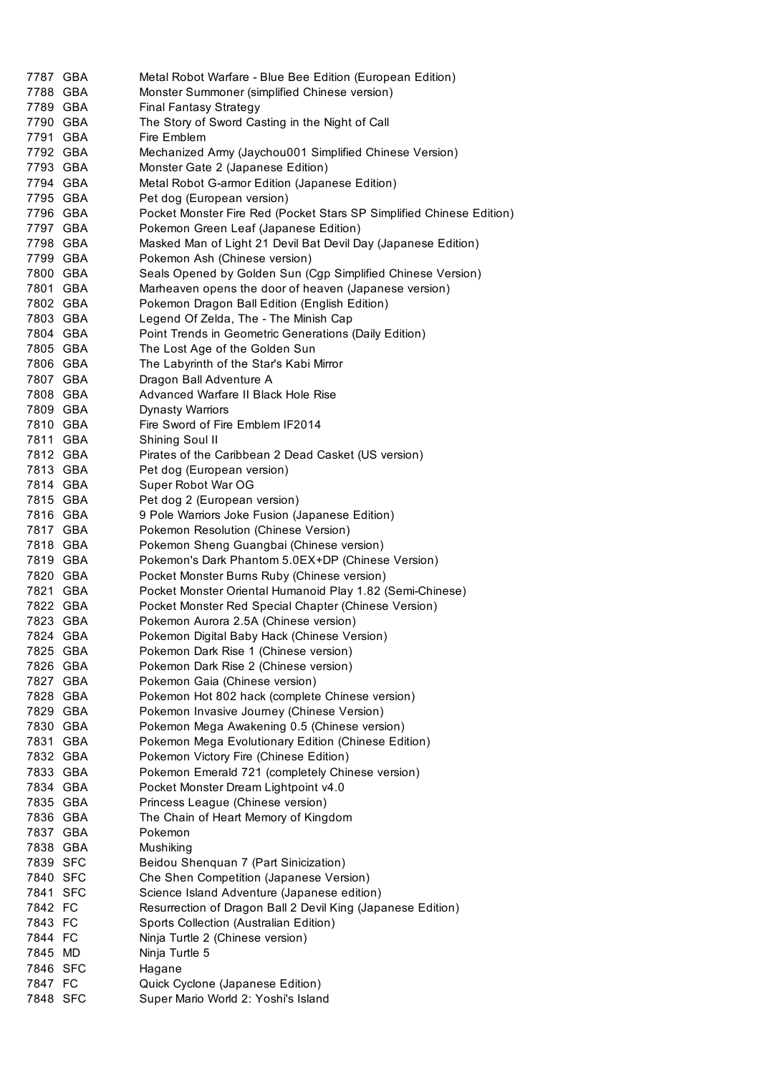| 7787 GBA             | Metal Robot Warfare - Blue Bee Edition (European Edition)                                  |
|----------------------|--------------------------------------------------------------------------------------------|
| 7788 GBA             | Monster Summoner (simplified Chinese version)                                              |
| 7789 GBA             | <b>Final Fantasy Strategy</b>                                                              |
| 7790 GBA             | The Story of Sword Casting in the Night of Call                                            |
| 7791 GBA             | Fire Emblem                                                                                |
| 7792 GBA             | Mechanized Army (Jaychou001 Simplified Chinese Version)                                    |
| 7793 GBA             | Monster Gate 2 (Japanese Edition)                                                          |
| 7794 GBA             | Metal Robot G-armor Edition (Japanese Edition)                                             |
| 7795 GBA             | Pet dog (European version)                                                                 |
| 7796 GBA             | Pocket Monster Fire Red (Pocket Stars SP Simplified Chinese Edition)                       |
| 7797 GBA             | Pokemon Green Leaf (Japanese Edition)                                                      |
| 7798 GBA             | Masked Man of Light 21 Devil Bat Devil Day (Japanese Edition)                              |
| 7799 GBA             | Pokemon Ash (Chinese version)                                                              |
| 7800 GBA             | Seals Opened by Golden Sun (Cgp Simplified Chinese Version)                                |
| 7801 GBA             | Marheaven opens the door of heaven (Japanese version)                                      |
| 7802 GBA             | Pokemon Dragon Ball Edition (English Edition)                                              |
| 7803 GBA             | Legend Of Zelda, The - The Minish Cap                                                      |
| 7804 GBA             | Point Trends in Geometric Generations (Daily Edition)                                      |
| 7805 GBA             | The Lost Age of the Golden Sun                                                             |
| 7806 GBA             | The Labyrinth of the Star's Kabi Mirror                                                    |
| 7807 GBA             | Dragon Ball Adventure A                                                                    |
| 7808 GBA             | Advanced Warfare II Black Hole Rise                                                        |
| 7809 GBA             | Dynasty Warriors                                                                           |
| 7810 GBA             | Fire Sword of Fire Emblem IF2014                                                           |
| 7811 GBA             | Shining Soul II                                                                            |
| 7812 GBA             | Pirates of the Caribbean 2 Dead Casket (US version)                                        |
| 7813 GBA             | Pet dog (European version)                                                                 |
| 7814 GBA             | Super Robot War OG                                                                         |
| 7815 GBA             | Pet dog 2 (European version)                                                               |
| 7816 GBA             | 9 Pole Warriors Joke Fusion (Japanese Edition)                                             |
| 7817 GBA             | Pokemon Resolution (Chinese Version)                                                       |
| 7818 GBA             | Pokemon Sheng Guangbai (Chinese version)                                                   |
| 7819 GBA             | Pokemon's Dark Phantom 5.0EX+DP (Chinese Version)                                          |
| 7820 GBA             | Pocket Monster Burns Ruby (Chinese version)                                                |
| 7821 GBA             | Pocket Monster Oriental Humanoid Play 1.82 (Semi-Chinese)                                  |
| 7822 GBA             | Pocket Monster Red Special Chapter (Chinese Version)                                       |
| 7823 GBA             | Pokemon Aurora 2.5A (Chinese version)                                                      |
| 7824 GBA             | Pokemon Digital Baby Hack (Chinese Version)                                                |
| 7825 GBA             | Pokemon Dark Rise 1 (Chinese version)                                                      |
| 7826 GBA             | Pokemon Dark Rise 2 (Chinese version)                                                      |
| 7827 GBA             | Pokemon Gaia (Chinese version)                                                             |
| 7828 GBA             | Pokemon Hot 802 hack (complete Chinese version)                                            |
| 7829 GBA<br>7830 GBA | Pokemon Invasive Journey (Chinese Version)                                                 |
| 7831 GBA             | Pokemon Mega Awakening 0.5 (Chinese version)                                               |
| 7832 GBA             | Pokemon Mega Evolutionary Edition (Chinese Edition)                                        |
| 7833 GBA             | Pokemon Victory Fire (Chinese Edition)<br>Pokemon Emerald 721 (completely Chinese version) |
| 7834 GBA             | Pocket Monster Dream Lightpoint v4.0                                                       |
| 7835 GBA             | Princess League (Chinese version)                                                          |
| 7836 GBA             | The Chain of Heart Memory of Kingdom                                                       |
| 7837 GBA             | Pokemon                                                                                    |
| 7838 GBA             | Mushiking                                                                                  |
| 7839 SFC             | Beidou Shenquan 7 (Part Sinicization)                                                      |
| 7840 SFC             | Che Shen Competition (Japanese Version)                                                    |
| 7841 SFC             | Science Island Adventure (Japanese edition)                                                |
| 7842 FC              | Resurrection of Dragon Ball 2 Devil King (Japanese Edition)                                |
| 7843 FC              | Sports Collection (Australian Edition)                                                     |
| 7844 FC              | Ninja Turtle 2 (Chinese version)                                                           |
| 7845 MD              | Ninja Turtle 5                                                                             |
| 7846 SFC             | Hagane                                                                                     |
| 7847 FC              | Quick Cyclone (Japanese Edition)                                                           |
| 7848 SFC             | Super Mario World 2: Yoshi's Island                                                        |
|                      |                                                                                            |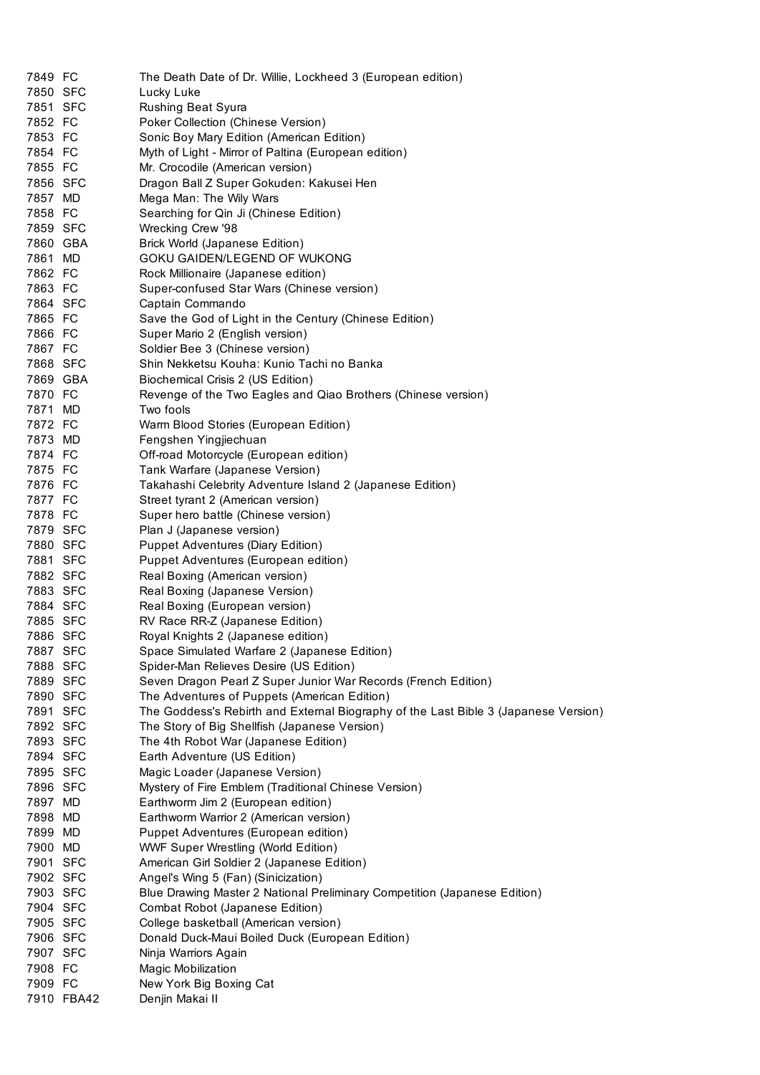| 7849 FC  |            | The Death Date of Dr. Willie, Lockheed 3 (European edition)                         |  |  |  |
|----------|------------|-------------------------------------------------------------------------------------|--|--|--|
| 7850 SFC |            | Lucky Luke                                                                          |  |  |  |
| 7851 SFC |            | Rushing Beat Syura                                                                  |  |  |  |
| 7852 FC  |            | Poker Collection (Chinese Version)                                                  |  |  |  |
| 7853 FC  |            | Sonic Boy Mary Edition (American Edition)                                           |  |  |  |
| 7854 FC  |            | Myth of Light - Mirror of Paltina (European edition)                                |  |  |  |
| 7855 FC  |            | Mr. Crocodile (American version)                                                    |  |  |  |
| 7856 SFC |            | Dragon Ball Z Super Gokuden: Kakusei Hen                                            |  |  |  |
| 7857 MD  |            | Mega Man: The Wily Wars                                                             |  |  |  |
| 7858 FC  |            | Searching for Qin Ji (Chinese Edition)                                              |  |  |  |
| 7859 SFC |            | Wrecking Crew '98                                                                   |  |  |  |
| 7860 GBA |            | Brick World (Japanese Edition)                                                      |  |  |  |
| 7861 MD  |            | GOKU GAIDEN/LEGEND OF WUKONG                                                        |  |  |  |
| 7862 FC  |            | Rock Millionaire (Japanese edition)                                                 |  |  |  |
|          |            |                                                                                     |  |  |  |
| 7863 FC  |            | Super-confused Star Wars (Chinese version)                                          |  |  |  |
| 7864 SFC |            | Captain Commando                                                                    |  |  |  |
| 7865 FC  |            | Save the God of Light in the Century (Chinese Edition)                              |  |  |  |
| 7866 FC  |            | Super Mario 2 (English version)                                                     |  |  |  |
| 7867 FC  |            | Soldier Bee 3 (Chinese version)                                                     |  |  |  |
| 7868 SFC |            | Shin Nekketsu Kouha: Kunio Tachi no Banka                                           |  |  |  |
| 7869 GBA |            | Biochemical Crisis 2 (US Edition)                                                   |  |  |  |
| 7870 FC  |            | Revenge of the Two Eagles and Qiao Brothers (Chinese version)                       |  |  |  |
| 7871 MD  |            | Two fools                                                                           |  |  |  |
| 7872 FC  |            | Warm Blood Stories (European Edition)                                               |  |  |  |
| 7873 MD  |            | Fengshen Yingjiechuan                                                               |  |  |  |
| 7874 FC  |            | Off-road Motorcycle (European edition)                                              |  |  |  |
| 7875 FC  |            | Tank Warfare (Japanese Version)                                                     |  |  |  |
| 7876 FC  |            | Takahashi Celebrity Adventure Island 2 (Japanese Edition)                           |  |  |  |
| 7877 FC  |            | Street tyrant 2 (American version)                                                  |  |  |  |
| 7878 FC  |            | Super hero battle (Chinese version)                                                 |  |  |  |
| 7879 SFC |            | Plan J (Japanese version)                                                           |  |  |  |
| 7880 SFC |            | <b>Puppet Adventures (Diary Edition)</b>                                            |  |  |  |
| 7881 SFC |            | Puppet Adventures (European edition)                                                |  |  |  |
| 7882 SFC |            | Real Boxing (American version)                                                      |  |  |  |
| 7883 SFC |            | Real Boxing (Japanese Version)                                                      |  |  |  |
| 7884 SFC |            | Real Boxing (European version)                                                      |  |  |  |
| 7885 SFC |            | RV Race RR-Z (Japanese Edition)                                                     |  |  |  |
| 7886 SFC |            | Royal Knights 2 (Japanese edition)                                                  |  |  |  |
| 7887 SFC |            | Space Simulated Warfare 2 (Japanese Edition)                                        |  |  |  |
| 7888 SFC |            | Spider-Man Relieves Desire (US Edition)                                             |  |  |  |
| 7889 SFC |            | Seven Dragon Pearl Z Super Junior War Records (French Edition)                      |  |  |  |
| 7890 SFC |            | The Adventures of Puppets (American Edition)                                        |  |  |  |
| 7891 SFC |            | The Goddess's Rebirth and External Biography of the Last Bible 3 (Japanese Version) |  |  |  |
| 7892 SFC |            | The Story of Big Shellfish (Japanese Version)                                       |  |  |  |
| 7893 SFC |            | The 4th Robot War (Japanese Edition)                                                |  |  |  |
| 7894 SFC |            | Earth Adventure (US Edition)                                                        |  |  |  |
| 7895 SFC |            | Magic Loader (Japanese Version)                                                     |  |  |  |
| 7896 SFC |            | Mystery of Fire Emblem (Traditional Chinese Version)                                |  |  |  |
| 7897 MD  |            | Earthworm Jim 2 (European edition)                                                  |  |  |  |
| 7898 MD  |            | Earthworm Warrior 2 (American version)                                              |  |  |  |
| 7899 MD  |            |                                                                                     |  |  |  |
|          |            | Puppet Adventures (European edition)                                                |  |  |  |
| 7900 MD  |            | <b>WWF Super Wrestling (World Edition)</b>                                          |  |  |  |
| 7901 SFC |            | American Girl Soldier 2 (Japanese Edition)                                          |  |  |  |
| 7902 SFC |            | Angel's Wing 5 (Fan) (Sinicization)                                                 |  |  |  |
| 7903 SFC |            | Blue Drawing Master 2 National Preliminary Competition (Japanese Edition)           |  |  |  |
| 7904 SFC |            | Combat Robot (Japanese Edition)                                                     |  |  |  |
| 7905 SFC |            | College basketball (American version)                                               |  |  |  |
| 7906 SFC |            | Donald Duck-Maui Boiled Duck (European Edition)                                     |  |  |  |
| 7907 SFC |            | Ninja Warriors Again                                                                |  |  |  |
| 7908 FC  |            | Magic Mobilization                                                                  |  |  |  |
| 7909 FC  |            | New York Big Boxing Cat                                                             |  |  |  |
|          | 7910 FBA42 | Denjin Makai II                                                                     |  |  |  |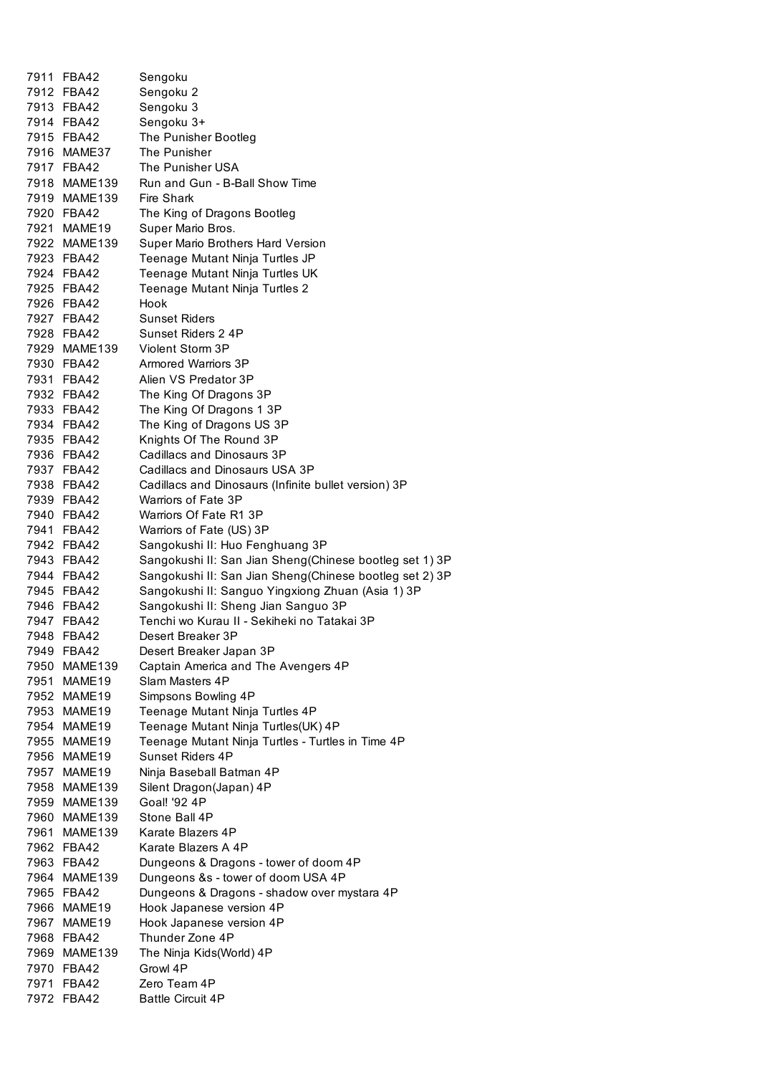| 7911 FBA42               |                                                         |
|--------------------------|---------------------------------------------------------|
|                          | Sengoku                                                 |
| 7912 FBA42               | Sengoku 2                                               |
| 7913 FBA42               | Sengoku 3                                               |
| 7914 FBA42               | Sengoku 3+                                              |
| 7915 FBA42               | The Punisher Bootleg                                    |
| 7916 MAME37              | The Punisher                                            |
| 7917 FBA42               | The Punisher USA                                        |
| 7918 MAME139             | Run and Gun - B-Ball Show Time                          |
| 7919 MAME139             | <b>Fire Shark</b>                                       |
| 7920 FBA42               | The King of Dragons Bootleg                             |
| 7921 MAME19              | Super Mario Bros.                                       |
| 7922 MAME139             | Super Mario Brothers Hard Version                       |
|                          |                                                         |
| 7923 FBA42               | Teenage Mutant Ninja Turtles JP                         |
| 7924 FBA42               | Teenage Mutant Ninja Turtles UK                         |
| 7925 FBA42               | Teenage Mutant Ninja Turtles 2                          |
| 7926 FBA42               | Hook                                                    |
| 7927 FBA42               | Sunset Riders                                           |
| 7928 FBA42               | Sunset Riders 2 4P                                      |
| 7929 MAME139             | Violent Storm 3P                                        |
| 7930 FBA42               | Armored Warriors 3P                                     |
| 7931 FBA42               | Alien VS Predator 3P                                    |
| 7932 FBA42               | The King Of Dragons 3P                                  |
| 7933 FBA42               | The King Of Dragons 1 3P                                |
| 7934 FBA42               | The King of Dragons US 3P                               |
| 7935 FBA42               | Knights Of The Round 3P                                 |
| 7936 FBA42               | Cadillacs and Dinosaurs 3P                              |
| 7937 FBA42               | Cadillacs and Dinosaurs USA 3P                          |
| 7938 FBA42               | Cadillacs and Dinosaurs (Infinite bullet version) 3P    |
| 7939 FBA42               | Warriors of Fate 3P                                     |
| 7940 FBA42               | Warriors Of Fate R1 3P                                  |
| 7941 FBA42               | Warriors of Fate (US) 3P                                |
| 7942 FBA42               | Sangokushi II: Huo Fenghuang 3P                         |
| 7943 FBA42               |                                                         |
|                          |                                                         |
|                          | Sangokushi II: San Jian Sheng(Chinese bootleg set 1) 3P |
| 7944 FBA42               | Sangokushi II: San Jian Sheng(Chinese bootleg set 2) 3P |
| 7945 FBA42               | Sangokushi II: Sanguo Yingxiong Zhuan (Asia 1) 3P       |
| 7946 FBA42               | Sangokushi II: Sheng Jian Sanguo 3P                     |
| 7947 FBA42               | Tenchi wo Kurau II - Sekiheki no Tatakai 3P             |
| 7948 FBA42               | Desert Breaker 3P                                       |
| 7949 FBA42               | Desert Breaker Japan 3P                                 |
| 7950 MAME139             | Captain America and The Avengers 4P                     |
| 7951 MAME19              | Slam Masters 4P                                         |
| 7952 MAME19              | Simpsons Bowling 4P                                     |
| 7953 MAME19              | Teenage Mutant Ninja Turtles 4P                         |
| 7954 MAME19              | Teenage Mutant Ninja Turtles(UK) 4P                     |
| 7955 MAME19              | Teenage Mutant Ninja Turtles - Turtles in Time 4P       |
| 7956 MAME19              | Sunset Riders 4P                                        |
|                          |                                                         |
| 7957 MAME19              | Ninja Baseball Batman 4P                                |
| 7958 MAME139             | Silent Dragon(Japan) 4P                                 |
| 7959 MAME139             | Goal! '92 4P                                            |
| 7960 MAME139             | Stone Ball 4P                                           |
| 7961 MAME139             | Karate Blazers 4P                                       |
| 7962 FBA42               | Karate Blazers A 4P                                     |
| 7963 FBA42               | Dungeons & Dragons - tower of doom 4P                   |
| 7964 MAME139             | Dungeons &s - tower of doom USA 4P                      |
| 7965 FBA42               | Dungeons & Dragons - shadow over mystara 4P             |
| 7966 MAME19              | Hook Japanese version 4P                                |
| 7967 MAME19              | Hook Japanese version 4P                                |
| 7968 FBA42               | Thunder Zone 4P                                         |
| 7969 MAME139             | The Ninja Kids(World) 4P                                |
| 7970 FBA42               | Growl 4P                                                |
| 7971 FBA42<br>7972 FBA42 | Zero Team 4P<br><b>Battle Circuit 4P</b>                |